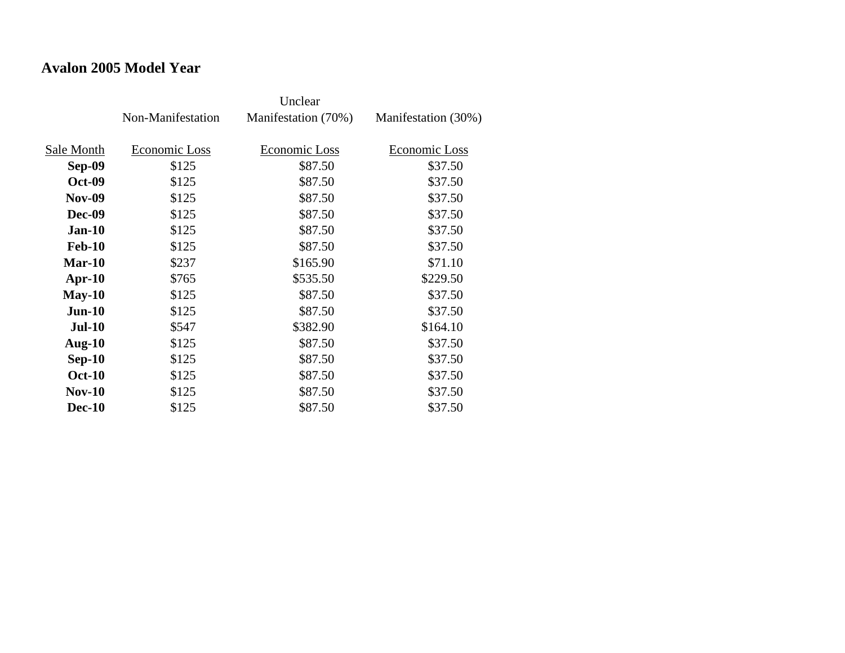#### **Avalon 2005 Model Year**

|               | Non-Manifestation | Manifestation (70%) | Manifestation (30%) |
|---------------|-------------------|---------------------|---------------------|
| Sale Month    | Economic Loss     | Economic Loss       | Economic Loss       |
| Sep-09        | \$125             | \$87.50             | \$37.50             |
| <b>Oct-09</b> | \$125             | \$87.50             | \$37.50             |
| <b>Nov-09</b> | \$125             | \$87.50             | \$37.50             |
| <b>Dec-09</b> | \$125             | \$87.50             | \$37.50             |
| $Jan-10$      | \$125             | \$87.50             | \$37.50             |
| <b>Feb-10</b> | \$125             | \$87.50             | \$37.50             |
| $Mar-10$      | \$237             | \$165.90            | \$71.10             |
| $Apr-10$      | \$765             | \$535.50            | \$229.50            |
| $May-10$      | \$125             | \$87.50             | \$37.50             |
| $Jun-10$      | \$125             | \$87.50             | \$37.50             |
| <b>Jul-10</b> | \$547             | \$382.90            | \$164.10            |
| Aug- $10$     | \$125             | \$87.50             | \$37.50             |
| $Sep-10$      | \$125             | \$87.50             | \$37.50             |
| <b>Oct-10</b> | \$125             | \$87.50             | \$37.50             |
| $Nov-10$      | \$125             | \$87.50             | \$37.50             |
| <b>Dec-10</b> | \$125             | \$87.50             | \$37.50             |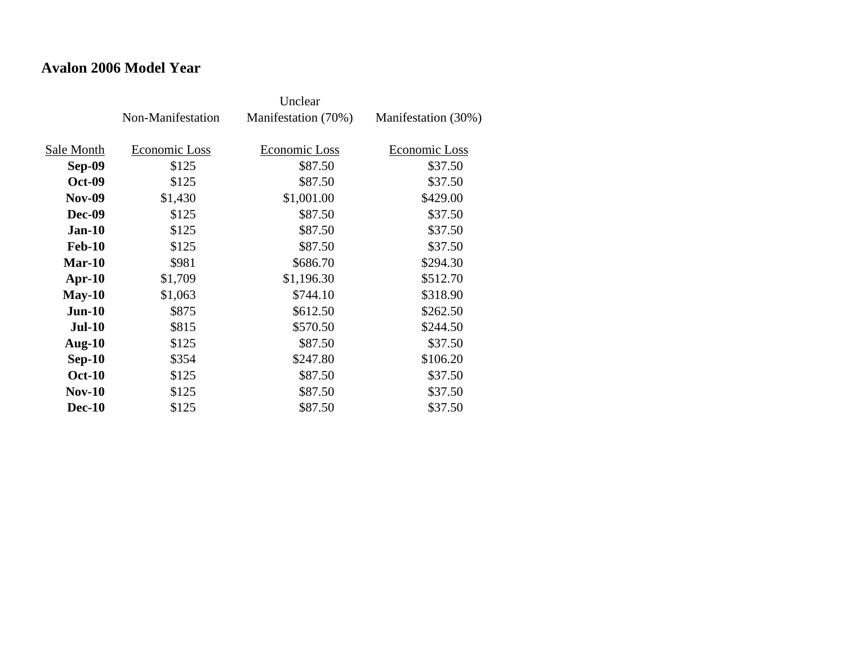#### **Avalon 2006 Model Year**

|               | Non-Manifestation | Manifestation (70%) | Manifestation (30%) |
|---------------|-------------------|---------------------|---------------------|
| Sale Month    | Economic Loss     | Economic Loss       | Economic Loss       |
|               |                   |                     |                     |
| Sep-09        | \$125             | \$87.50             | \$37.50             |
| <b>Oct-09</b> | \$125             | \$87.50             | \$37.50             |
| <b>Nov-09</b> | \$1,430           | \$1,001.00          | \$429.00            |
| <b>Dec-09</b> | \$125             | \$87.50             | \$37.50             |
| <b>Jan-10</b> | \$125             | \$87.50             | \$37.50             |
| <b>Feb-10</b> | \$125             | \$87.50             | \$37.50             |
| Mar-10        | \$981             | \$686.70            | \$294.30            |
| Apr- $10$     | \$1,709           | \$1,196.30          | \$512.70            |
| $May-10$      | \$1,063           | \$744.10            | \$318.90            |
| $Jun-10$      | \$875             | \$612.50            | \$262.50            |
| <b>Jul-10</b> | \$815             | \$570.50            | \$244.50            |
| Aug- $10$     | \$125             | \$87.50             | \$37.50             |
| $Sep-10$      | \$354             | \$247.80            | \$106.20            |
| <b>Oct-10</b> | \$125             | \$87.50             | \$37.50             |
| <b>Nov-10</b> | \$125             | \$87.50             | \$37.50             |
| <b>Dec-10</b> | \$125             | \$87.50             | \$37.50             |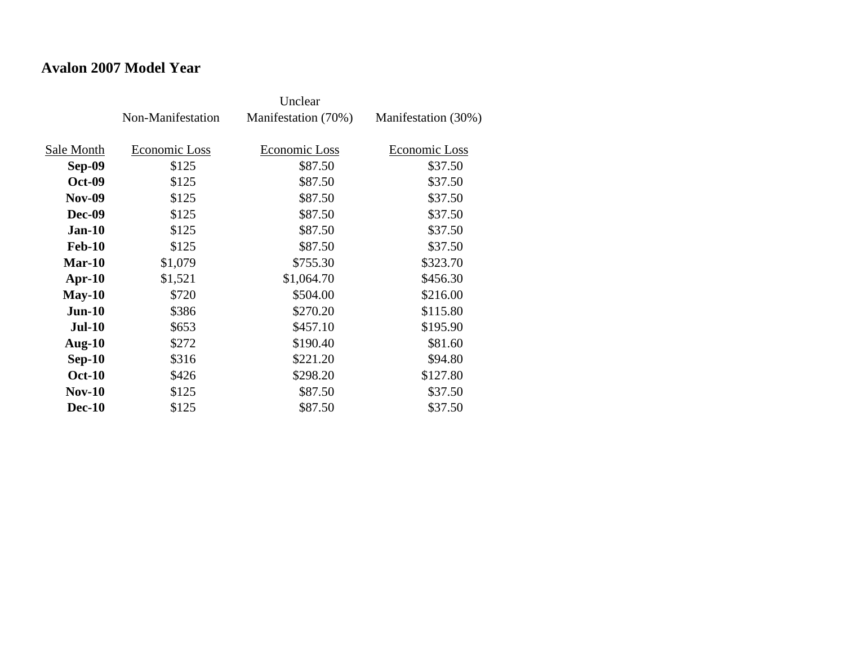#### **Avalon 2007 Model Year**

|               | Non-Manifestation | Manifestation (70%) | Manifestation (30%) |
|---------------|-------------------|---------------------|---------------------|
| Sale Month    | Economic Loss     | Economic Loss       | Economic Loss       |
|               |                   |                     |                     |
| Sep-09        | \$125             | \$87.50             | \$37.50             |
| <b>Oct-09</b> | \$125             | \$87.50             | \$37.50             |
| <b>Nov-09</b> | \$125             | \$87.50             | \$37.50             |
| <b>Dec-09</b> | \$125             | \$87.50             | \$37.50             |
| <b>Jan-10</b> | \$125             | \$87.50             | \$37.50             |
| <b>Feb-10</b> | \$125             | \$87.50             | \$37.50             |
| Mar-10        | \$1,079           | \$755.30            | \$323.70            |
| $Apr-10$      | \$1,521           | \$1,064.70          | \$456.30            |
| $May-10$      | \$720             | \$504.00            | \$216.00            |
| $Jun-10$      | \$386             | \$270.20            | \$115.80            |
| <b>Jul-10</b> | \$653             | \$457.10            | \$195.90            |
| Aug- $10$     | \$272             | \$190.40            | \$81.60             |
| $Sep-10$      | \$316             | \$221.20            | \$94.80             |
| <b>Oct-10</b> | \$426             | \$298.20            | \$127.80            |
| <b>Nov-10</b> | \$125             | \$87.50             | \$37.50             |
| <b>Dec-10</b> | \$125             | \$87.50             | \$37.50             |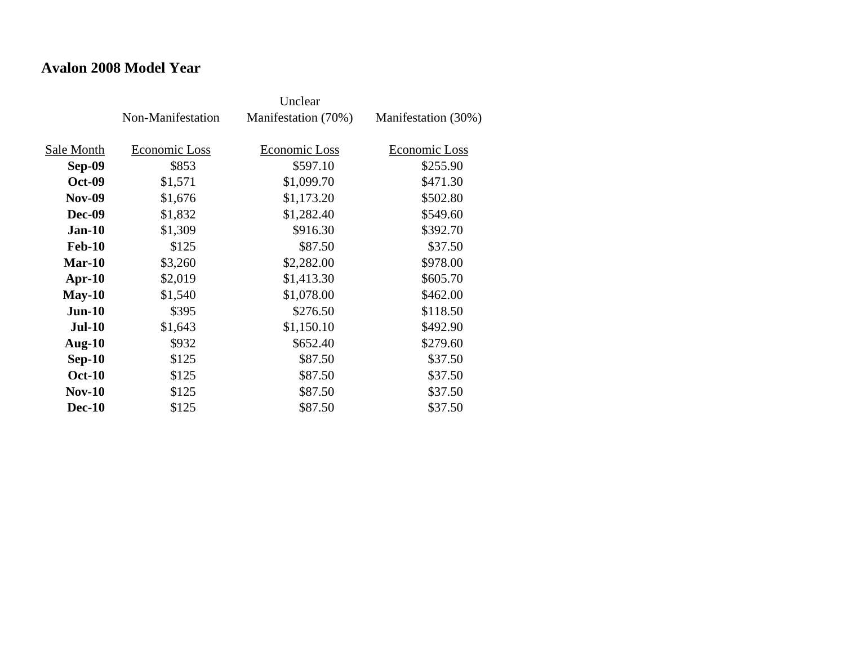#### **Avalon 2008 Model Year**

|               | Non-Manifestation | Manifestation (70%) | Manifestation (30%) |
|---------------|-------------------|---------------------|---------------------|
| Sale Month    | Economic Loss     | Economic Loss       | Economic Loss       |
| Sep-09        | \$853             | \$597.10            | \$255.90            |
| <b>Oct-09</b> | \$1,571           | \$1,099.70          | \$471.30            |
| <b>Nov-09</b> | \$1,676           | \$1,173.20          | \$502.80            |
| <b>Dec-09</b> | \$1,832           | \$1,282.40          | \$549.60            |
| <b>Jan-10</b> | \$1,309           | \$916.30            | \$392.70            |
| <b>Feb-10</b> | \$125             | \$87.50             | \$37.50             |
| Mar-10        | \$3,260           | \$2,282.00          | \$978.00            |
| $Apr-10$      | \$2,019           | \$1,413.30          | \$605.70            |
| $May-10$      | \$1,540           | \$1,078.00          | \$462.00            |
| $Jun-10$      | \$395             | \$276.50            | \$118.50            |
| <b>Jul-10</b> | \$1,643           | \$1,150.10          | \$492.90            |
| Aug- $10$     | \$932             | \$652.40            | \$279.60            |
| $Sep-10$      | \$125             | \$87.50             | \$37.50             |
| <b>Oct-10</b> | \$125             | \$87.50             | \$37.50             |
| <b>Nov-10</b> | \$125             | \$87.50             | \$37.50             |
| <b>Dec-10</b> | \$125             | \$87.50             | \$37.50             |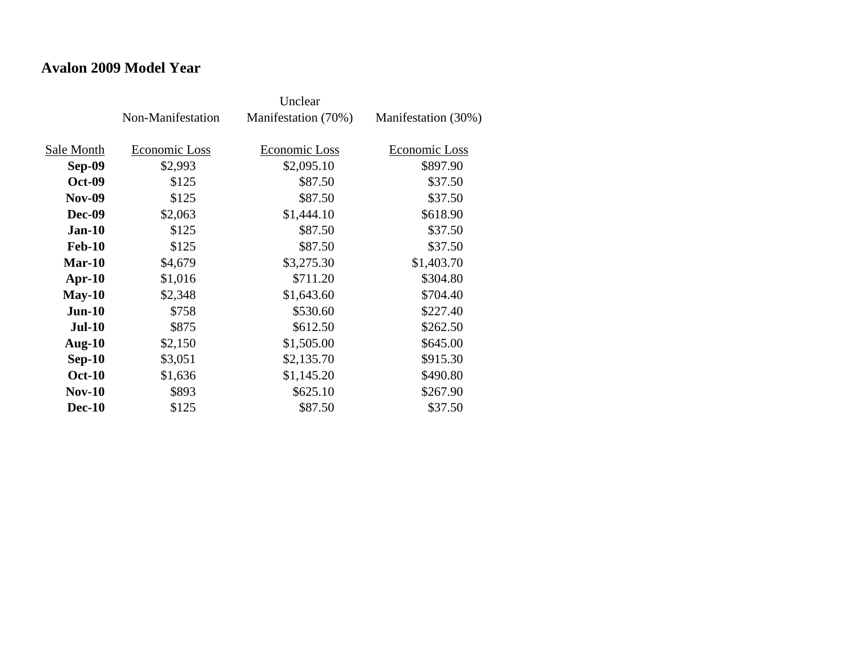#### **Avalon 2009 Model Year**

|               | Non-Manifestation | Manifestation (70%) | Manifestation (30%) |
|---------------|-------------------|---------------------|---------------------|
| Sale Month    | Economic Loss     | Economic Loss       | Economic Loss       |
| Sep-09        | \$2,993           | \$2,095.10          | \$897.90            |
| <b>Oct-09</b> | \$125             | \$87.50             | \$37.50             |
| <b>Nov-09</b> | \$125             | \$87.50             | \$37.50             |
| <b>Dec-09</b> | \$2,063           | \$1,444.10          | \$618.90            |
| <b>Jan-10</b> | \$125             | \$87.50             | \$37.50             |
| <b>Feb-10</b> | \$125             | \$87.50             | \$37.50             |
| Mar-10        | \$4,679           | \$3,275.30          | \$1,403.70          |
| $Apr-10$      | \$1,016           | \$711.20            | \$304.80            |
| $May-10$      | \$2,348           | \$1,643.60          | \$704.40            |
| $Jun-10$      | \$758             | \$530.60            | \$227.40            |
| $Jul-10$      | \$875             | \$612.50            | \$262.50            |
| Aug- $10$     | \$2,150           | \$1,505.00          | \$645.00            |
| $Sep-10$      | \$3,051           | \$2,135.70          | \$915.30            |
| <b>Oct-10</b> | \$1,636           | \$1,145.20          | \$490.80            |
| <b>Nov-10</b> | \$893             | \$625.10            | \$267.90            |
| <b>Dec-10</b> | \$125             | \$87.50             | \$37.50             |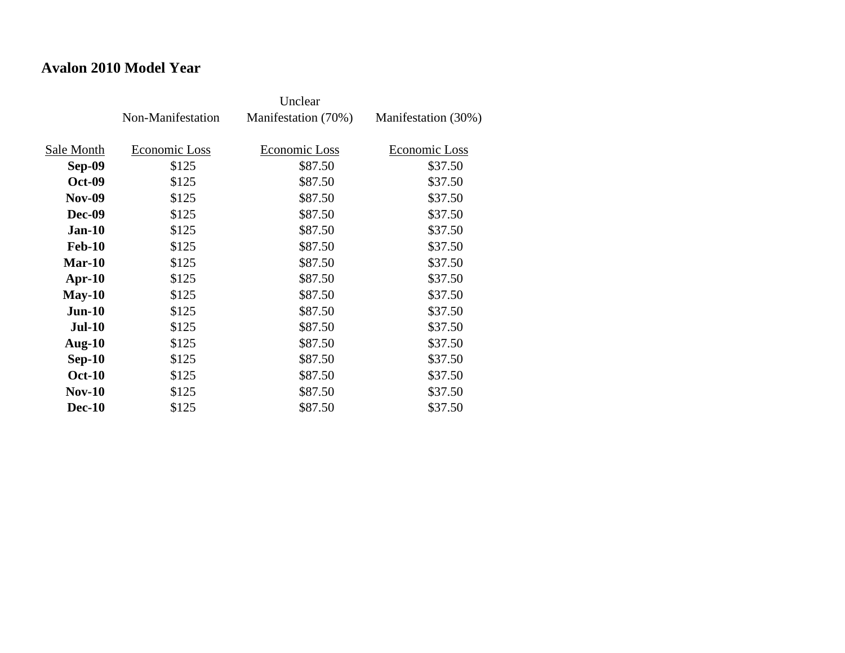#### **Avalon 2010 Model Year**

|               | Non-Manifestation | Manifestation (70%) | Manifestation (30%) |
|---------------|-------------------|---------------------|---------------------|
| Sale Month    | Economic Loss     | Economic Loss       | Economic Loss       |
| Sep-09        | \$125             | \$87.50             | \$37.50             |
| <b>Oct-09</b> | \$125             | \$87.50             | \$37.50             |
| <b>Nov-09</b> | \$125             | \$87.50             | \$37.50             |
| <b>Dec-09</b> |                   | \$87.50             | \$37.50             |
|               | \$125             |                     |                     |
| <b>Jan-10</b> | \$125             | \$87.50             | \$37.50             |
| <b>Feb-10</b> | \$125             | \$87.50             | \$37.50             |
| Mar-10        | \$125             | \$87.50             | \$37.50             |
| Apr- $10$     | \$125             | \$87.50             | \$37.50             |
| $May-10$      | \$125             | \$87.50             | \$37.50             |
| $Jun-10$      | \$125             | \$87.50             | \$37.50             |
| <b>Jul-10</b> | \$125             | \$87.50             | \$37.50             |
| Aug- $10$     | \$125             | \$87.50             | \$37.50             |
| $Sep-10$      | \$125             | \$87.50             | \$37.50             |
| <b>Oct-10</b> | \$125             | \$87.50             | \$37.50             |
| <b>Nov-10</b> | \$125             | \$87.50             | \$37.50             |
| <b>Dec-10</b> | \$125             | \$87.50             | \$37.50             |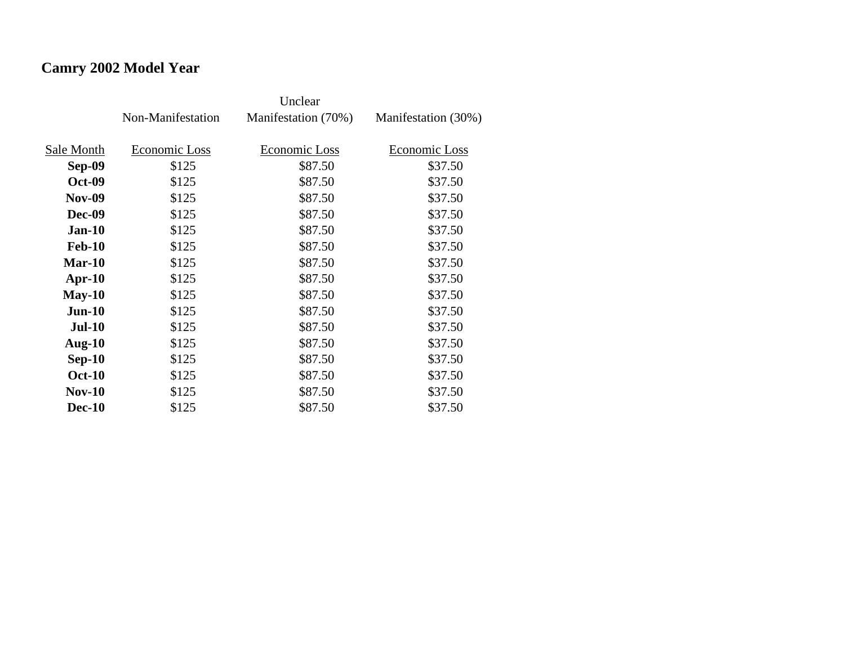# **Camry 2002 Model Year**

|               | Non-Manifestation | Manifestation (70%) | Manifestation (30%) |
|---------------|-------------------|---------------------|---------------------|
| Sale Month    | Economic Loss     | Economic Loss       | Economic Loss       |
| Sep-09        | \$125             | \$87.50             | \$37.50             |
|               |                   |                     |                     |
| <b>Oct-09</b> | \$125             | \$87.50             | \$37.50             |
| <b>Nov-09</b> | \$125             | \$87.50             | \$37.50             |
| <b>Dec-09</b> | \$125             | \$87.50             | \$37.50             |
| <b>Jan-10</b> | \$125             | \$87.50             | \$37.50             |
| <b>Feb-10</b> | \$125             | \$87.50             | \$37.50             |
| Mar-10        | \$125             | \$87.50             | \$37.50             |
| $Apr-10$      | \$125             | \$87.50             | \$37.50             |
| $May-10$      | \$125             | \$87.50             | \$37.50             |
| $Jun-10$      | \$125             | \$87.50             | \$37.50             |
| <b>Jul-10</b> | \$125             | \$87.50             | \$37.50             |
| Aug- $10$     | \$125             | \$87.50             | \$37.50             |
| $Sep-10$      | \$125             | \$87.50             | \$37.50             |
| <b>Oct-10</b> | \$125             | \$87.50             | \$37.50             |
| $Nov-10$      | \$125             | \$87.50             | \$37.50             |
| <b>Dec-10</b> | \$125             | \$87.50             | \$37.50             |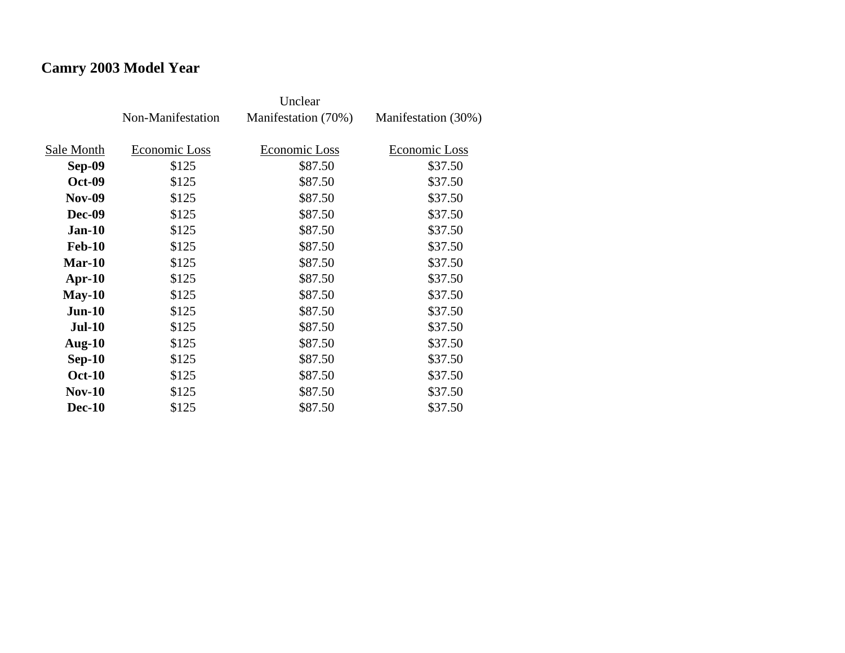# **Camry 2003 Model Year**

|               | Non-Manifestation | Manifestation (70%) | Manifestation (30%) |
|---------------|-------------------|---------------------|---------------------|
| Sale Month    | Economic Loss     | Economic Loss       | Economic Loss       |
| Sep-09        | \$125             | \$87.50             | \$37.50             |
| <b>Oct-09</b> | \$125             | \$87.50             | \$37.50             |
| <b>Nov-09</b> | \$125             | \$87.50             | \$37.50             |
| Dec-09        | \$125             | \$87.50             | \$37.50             |
| <b>Jan-10</b> | \$125             | \$87.50             | \$37.50             |
| <b>Feb-10</b> | \$125             | \$87.50             | \$37.50             |
| $Mar-10$      | \$125             | \$87.50             | \$37.50             |
| $Apr-10$      | \$125             | \$87.50             | \$37.50             |
| $May-10$      | \$125             | \$87.50             | \$37.50             |
| $Jun-10$      | \$125             | \$87.50             | \$37.50             |
| <b>Jul-10</b> | \$125             | \$87.50             | \$37.50             |
| Aug- $10$     | \$125             | \$87.50             | \$37.50             |
| $Sep-10$      | \$125             | \$87.50             | \$37.50             |
| <b>Oct-10</b> | \$125             | \$87.50             | \$37.50             |
| $Nov-10$      | \$125             | \$87.50             | \$37.50             |
| <b>Dec-10</b> | \$125             | \$87.50             | \$37.50             |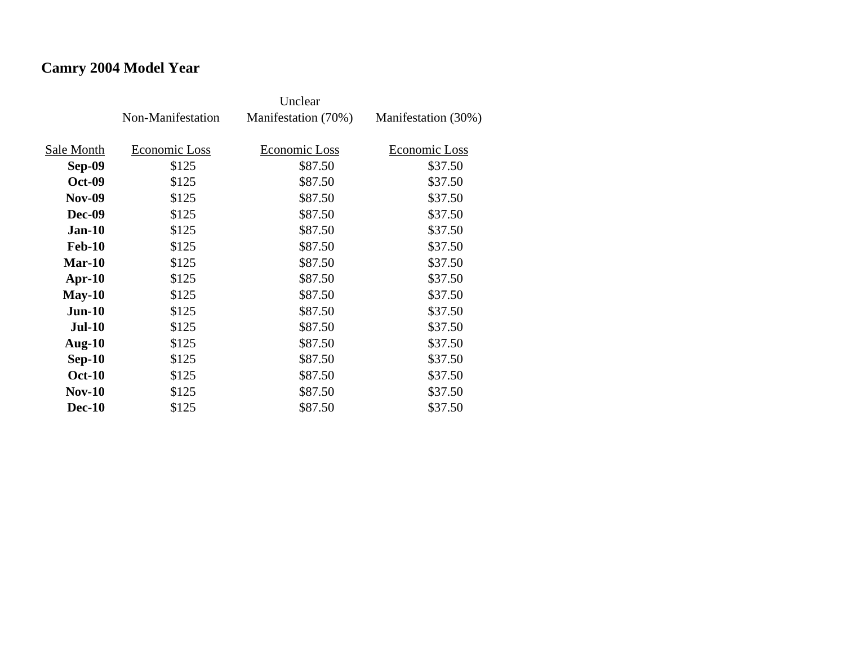# **Camry 2004 Model Year**

|               | Non-Manifestation | Manifestation (70%) | Manifestation (30%) |
|---------------|-------------------|---------------------|---------------------|
| Sale Month    | Economic Loss     | Economic Loss       | Economic Loss       |
| Sep-09        | \$125             | \$87.50             | \$37.50             |
| <b>Oct-09</b> | \$125             | \$87.50             | \$37.50             |
| <b>Nov-09</b> | \$125             | \$87.50             | \$37.50             |
| Dec-09        | \$125             | \$87.50             | \$37.50             |
| $Jan-10$      | \$125             | \$87.50             | \$37.50             |
| <b>Feb-10</b> | \$125             | \$87.50             | \$37.50             |
| $Mar-10$      | \$125             | \$87.50             | \$37.50             |
| $Apr-10$      | \$125             | \$87.50             | \$37.50             |
| $May-10$      | \$125             | \$87.50             | \$37.50             |
| $Jun-10$      | \$125             | \$87.50             | \$37.50             |
| <b>Jul-10</b> | \$125             | \$87.50             | \$37.50             |
| Aug- $10$     | \$125             | \$87.50             | \$37.50             |
| $Sep-10$      | \$125             | \$87.50             | \$37.50             |
| <b>Oct-10</b> | \$125             | \$87.50             | \$37.50             |
| $Nov-10$      | \$125             | \$87.50             | \$37.50             |
| <b>Dec-10</b> | \$125             | \$87.50             | \$37.50             |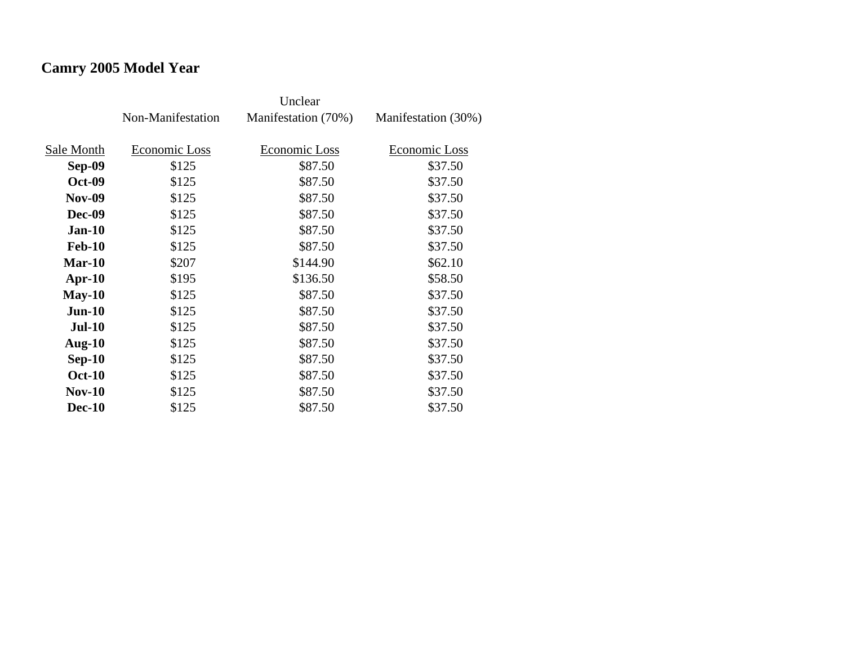# **Camry 2005 Model Year**

|               | Non-Manifestation | Manifestation (70%) | Manifestation (30%) |
|---------------|-------------------|---------------------|---------------------|
| Sale Month    | Economic Loss     | Economic Loss       | Economic Loss       |
| Sep-09        | \$125             | \$87.50             | \$37.50             |
|               |                   |                     |                     |
| <b>Oct-09</b> | \$125             | \$87.50             | \$37.50             |
| <b>Nov-09</b> | \$125             | \$87.50             | \$37.50             |
| <b>Dec-09</b> | \$125             | \$87.50             | \$37.50             |
| $Jan-10$      | \$125             | \$87.50             | \$37.50             |
| <b>Feb-10</b> | \$125             | \$87.50             | \$37.50             |
| Mar-10        | \$207             | \$144.90            | \$62.10             |
| $Apr-10$      | \$195             | \$136.50            | \$58.50             |
| $May-10$      | \$125             | \$87.50             | \$37.50             |
| $Jun-10$      | \$125             | \$87.50             | \$37.50             |
| <b>Jul-10</b> | \$125             | \$87.50             | \$37.50             |
| Aug- $10$     | \$125             | \$87.50             | \$37.50             |
| $Sep-10$      | \$125             | \$87.50             | \$37.50             |
| <b>Oct-10</b> | \$125             | \$87.50             | \$37.50             |
| $Nov-10$      | \$125             | \$87.50             | \$37.50             |
| <b>Dec-10</b> | \$125             | \$87.50             | \$37.50             |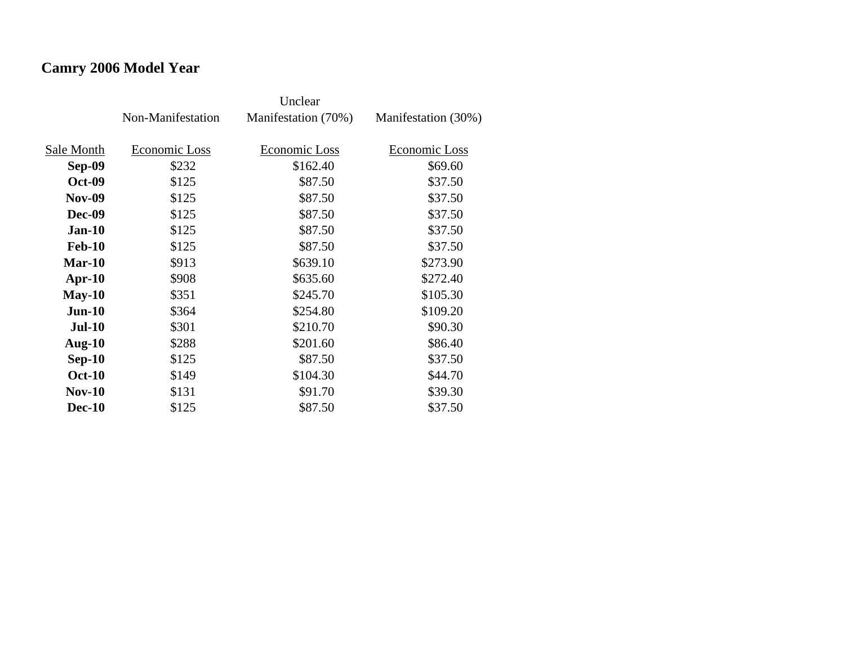# **Camry 2006 Model Year**

|               | Non-Manifestation | Manifestation (70%) | Manifestation (30%) |
|---------------|-------------------|---------------------|---------------------|
| Sale Month    | Economic Loss     | Economic Loss       | Economic Loss       |
| Sep-09        | \$232             | \$162.40            | \$69.60             |
| <b>Oct-09</b> | \$125             | \$87.50             | \$37.50             |
| <b>Nov-09</b> | \$125             | \$87.50             | \$37.50             |
| Dec-09        | \$125             | \$87.50             | \$37.50             |
| $Jan-10$      | \$125             | \$87.50             | \$37.50             |
| <b>Feb-10</b> | \$125             | \$87.50             | \$37.50             |
| Mar-10        | \$913             | \$639.10            | \$273.90            |
| $Apr-10$      | \$908             | \$635.60            | \$272.40            |
| $May-10$      | \$351             | \$245.70            | \$105.30            |
| $Jun-10$      | \$364             | \$254.80            | \$109.20            |
| <b>Jul-10</b> | \$301             | \$210.70            | \$90.30             |
| Aug- $10$     | \$288             | \$201.60            | \$86.40             |
| $Sep-10$      | \$125             | \$87.50             | \$37.50             |
| <b>Oct-10</b> | \$149             | \$104.30            | \$44.70             |
| $Nov-10$      | \$131             | \$91.70             | \$39.30             |
| <b>Dec-10</b> | \$125             | \$87.50             | \$37.50             |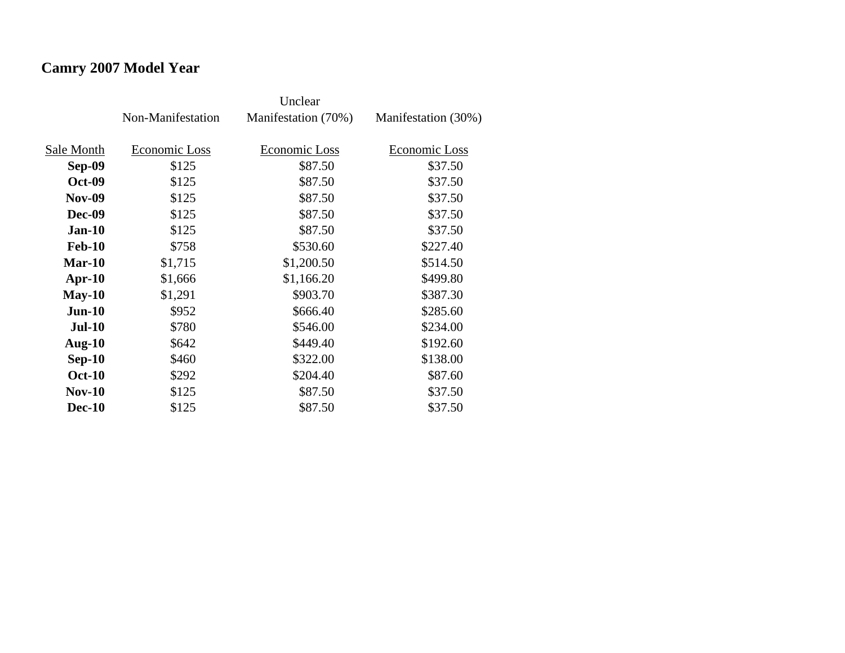# **Camry 2007 Model Year**

|               | Non-Manifestation | Manifestation (70%) | Manifestation (30%) |
|---------------|-------------------|---------------------|---------------------|
| Sale Month    | Economic Loss     | Economic Loss       | Economic Loss       |
| Sep-09        | \$125             | \$87.50             | \$37.50             |
| <b>Oct-09</b> | \$125             | \$87.50             | \$37.50             |
| <b>Nov-09</b> | \$125             | \$87.50             | \$37.50             |
| <b>Dec-09</b> | \$125             | \$87.50             | \$37.50             |
| $Jan-10$      | \$125             | \$87.50             | \$37.50             |
| <b>Feb-10</b> | \$758             | \$530.60            | \$227.40            |
| Mar-10        | \$1,715           | \$1,200.50          | \$514.50            |
| $Apr-10$      | \$1,666           | \$1,166.20          | \$499.80            |
| $May-10$      | \$1,291           | \$903.70            | \$387.30            |
| $Jun-10$      | \$952             | \$666.40            | \$285.60            |
| <b>Jul-10</b> | \$780             | \$546.00            | \$234.00            |
| Aug- $10$     | \$642             | \$449.40            | \$192.60            |
| $Sep-10$      | \$460             | \$322.00            | \$138.00            |
| <b>Oct-10</b> | \$292             | \$204.40            | \$87.60             |
| <b>Nov-10</b> | \$125             | \$87.50             | \$37.50             |
| <b>Dec-10</b> | \$125             | \$87.50             | \$37.50             |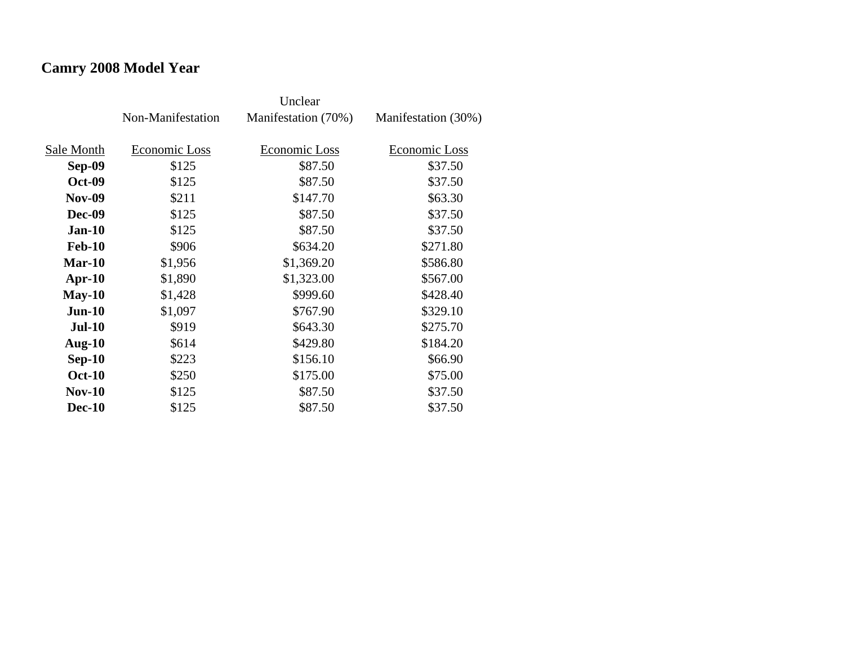# **Camry 2008 Model Year**

|               | Non-Manifestation | Manifestation (70%) | Manifestation (30%) |
|---------------|-------------------|---------------------|---------------------|
| Sale Month    | Economic Loss     | Economic Loss       | Economic Loss       |
| Sep-09        | \$125             | \$87.50             | \$37.50             |
| <b>Oct-09</b> | \$125             | \$87.50             | \$37.50             |
| <b>Nov-09</b> | \$211             | \$147.70            | \$63.30             |
| Dec-09        | \$125             | \$87.50             | \$37.50             |
| $Jan-10$      | \$125             | \$87.50             | \$37.50             |
| <b>Feb-10</b> | \$906             | \$634.20            | \$271.80            |
| Mar-10        | \$1,956           | \$1,369.20          | \$586.80            |
| $Apr-10$      | \$1,890           | \$1,323.00          | \$567.00            |
| $May-10$      | \$1,428           | \$999.60            | \$428.40            |
| $Jun-10$      | \$1,097           | \$767.90            | \$329.10            |
| <b>Jul-10</b> | \$919             | \$643.30            | \$275.70            |
| Aug- $10$     | \$614             | \$429.80            | \$184.20            |
| $Sep-10$      | \$223             | \$156.10            | \$66.90             |
| <b>Oct-10</b> | \$250             | \$175.00            | \$75.00             |
| $Nov-10$      | \$125             | \$87.50             | \$37.50             |
| <b>Dec-10</b> | \$125             | \$87.50             | \$37.50             |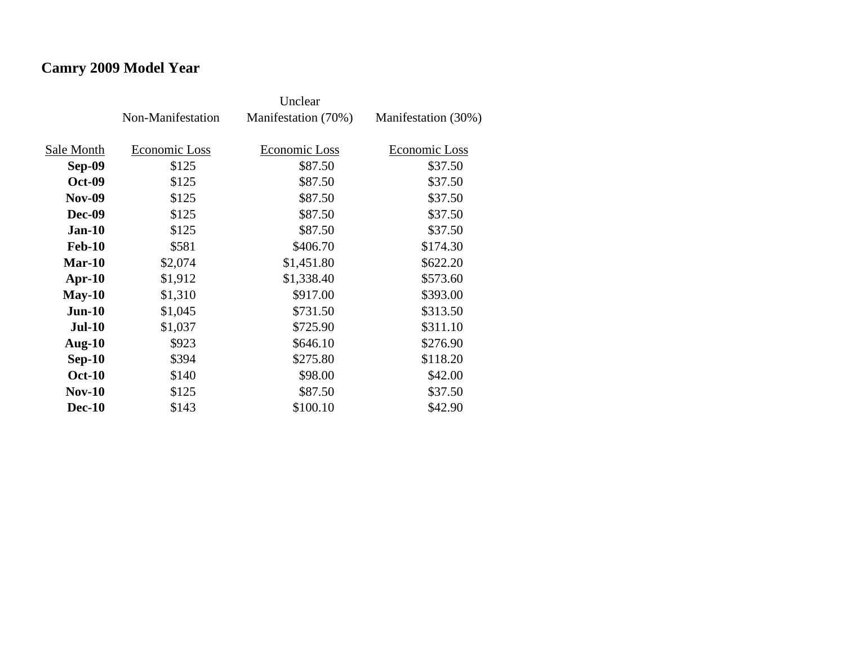# **Camry 2009 Model Year**

|               | Non-Manifestation | Manifestation (70%) | Manifestation (30%) |
|---------------|-------------------|---------------------|---------------------|
| Sale Month    | Economic Loss     | Economic Loss       | Economic Loss       |
|               |                   |                     |                     |
| Sep-09        | \$125             | \$87.50             | \$37.50             |
| <b>Oct-09</b> | \$125             | \$87.50             | \$37.50             |
| <b>Nov-09</b> | \$125             | \$87.50             | \$37.50             |
| <b>Dec-09</b> | \$125             | \$87.50             | \$37.50             |
| $Jan-10$      | \$125             | \$87.50             | \$37.50             |
| <b>Feb-10</b> | \$581             | \$406.70            | \$174.30            |
| Mar-10        | \$2,074           | \$1,451.80          | \$622.20            |
| $Apr-10$      | \$1,912           | \$1,338.40          | \$573.60            |
| $May-10$      | \$1,310           | \$917.00            | \$393.00            |
| $Jun-10$      | \$1,045           | \$731.50            | \$313.50            |
| <b>Jul-10</b> | \$1,037           | \$725.90            | \$311.10            |
| Aug- $10$     | \$923             | \$646.10            | \$276.90            |
| $Sep-10$      | \$394             | \$275.80            | \$118.20            |
| <b>Oct-10</b> | \$140             | \$98.00             | \$42.00             |
| $Nov-10$      | \$125             | \$87.50             | \$37.50             |
| <b>Dec-10</b> | \$143             | \$100.10            | \$42.90             |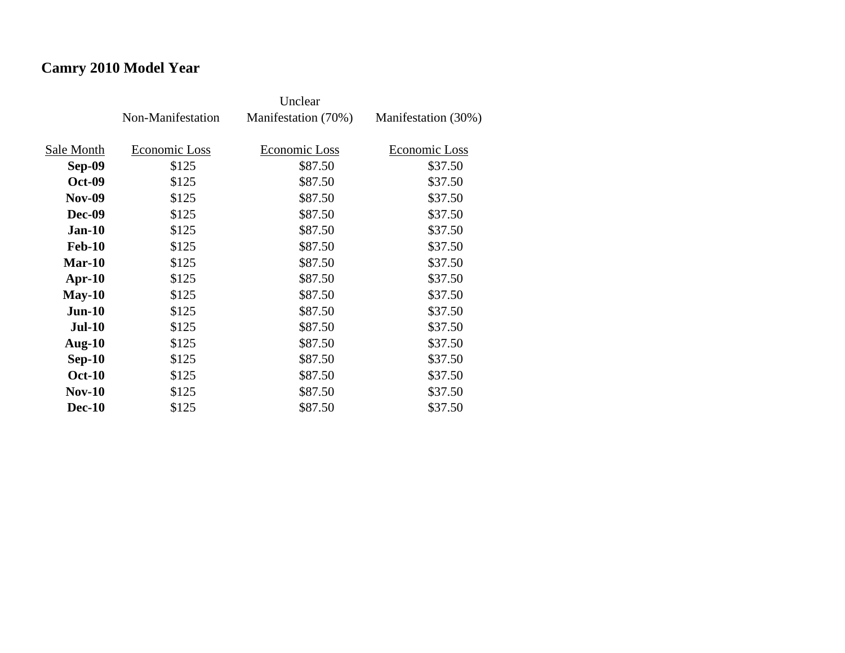# **Camry 2010 Model Year**

|               | Non-Manifestation | Manifestation (70%) | Manifestation (30%) |
|---------------|-------------------|---------------------|---------------------|
| Sale Month    | Economic Loss     | Economic Loss       | Economic Loss       |
| Sep-09        | \$125             | \$87.50             | \$37.50             |
| <b>Oct-09</b> | \$125             | \$87.50             | \$37.50             |
| <b>Nov-09</b> | \$125             | \$87.50             | \$37.50             |
| Dec-09        | \$125             | \$87.50             | \$37.50             |
| <b>Jan-10</b> | \$125             | \$87.50             | \$37.50             |
| <b>Feb-10</b> | \$125             | \$87.50             | \$37.50             |
| $Mar-10$      | \$125             | \$87.50             | \$37.50             |
| $Apr-10$      | \$125             | \$87.50             | \$37.50             |
| $May-10$      | \$125             | \$87.50             | \$37.50             |
| $Jun-10$      | \$125             | \$87.50             | \$37.50             |
| <b>Jul-10</b> | \$125             | \$87.50             | \$37.50             |
| Aug- $10$     | \$125             | \$87.50             | \$37.50             |
| $Sep-10$      | \$125             | \$87.50             | \$37.50             |
| <b>Oct-10</b> | \$125             | \$87.50             | \$37.50             |
| $Nov-10$      | \$125             | \$87.50             | \$37.50             |
| <b>Dec-10</b> | \$125             | \$87.50             | \$37.50             |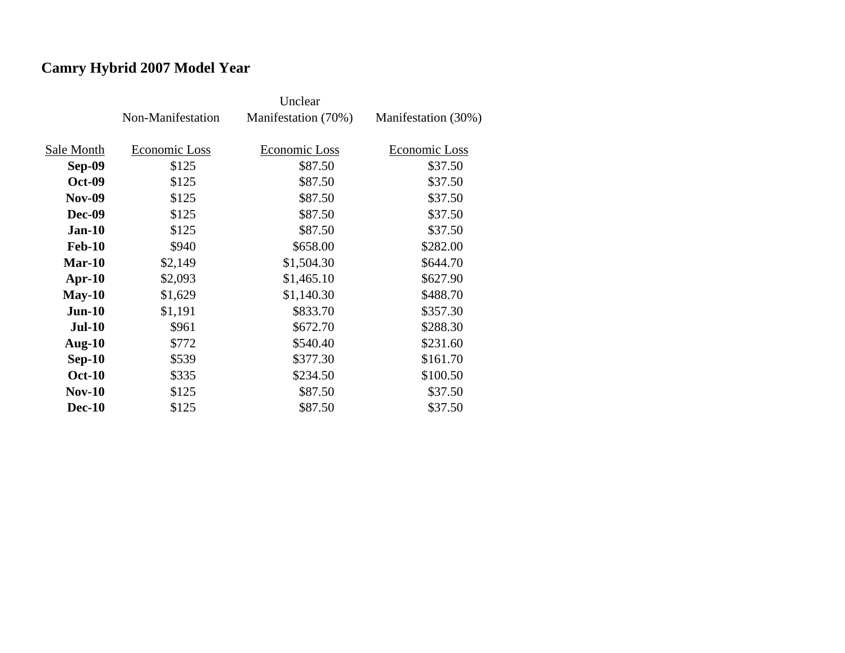# **Camry Hybrid 2007 Model Year**

|               | Non-Manifestation | Manifestation (70%) | Manifestation (30%) |
|---------------|-------------------|---------------------|---------------------|
| Sale Month    | Economic Loss     | Economic Loss       | Economic Loss       |
| <b>Sep-09</b> | \$125             | \$87.50             | \$37.50             |
| <b>Oct-09</b> | \$125             | \$87.50             | \$37.50             |
| <b>Nov-09</b> | \$125             | \$87.50             | \$37.50             |
| <b>Dec-09</b> | \$125             | \$87.50             | \$37.50             |
| $Jan-10$      | \$125             | \$87.50             | \$37.50             |
| <b>Feb-10</b> | \$940             | \$658.00            | \$282.00            |
| Mar-10        | \$2,149           | \$1,504.30          | \$644.70            |
| $Apr-10$      | \$2,093           | \$1,465.10          | \$627.90            |
| $May-10$      | \$1,629           | \$1,140.30          | \$488.70            |
| $Jun-10$      | \$1,191           | \$833.70            | \$357.30            |
| <b>Jul-10</b> | \$961             | \$672.70            | \$288.30            |
| Aug- $10$     | \$772             | \$540.40            | \$231.60            |
| $Sep-10$      | \$539             | \$377.30            | \$161.70            |
| <b>Oct-10</b> | \$335             | \$234.50            | \$100.50            |
| <b>Nov-10</b> | \$125             | \$87.50             | \$37.50             |
| <b>Dec-10</b> | \$125             | \$87.50             | \$37.50             |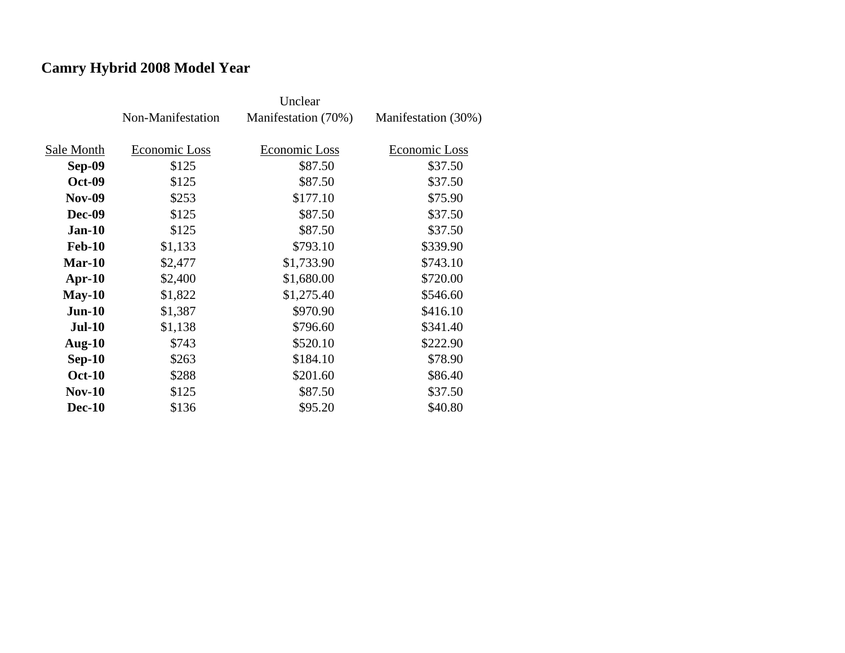# **Camry Hybrid 2008 Model Year**

|               | Non-Manifestation | Manifestation (70%) | Manifestation (30%) |
|---------------|-------------------|---------------------|---------------------|
|               |                   |                     |                     |
| Sale Month    | Economic Loss     | Economic Loss       | Economic Loss       |
| <b>Sep-09</b> | \$125             | \$87.50             | \$37.50             |
| <b>Oct-09</b> | \$125             | \$87.50             | \$37.50             |
| <b>Nov-09</b> | \$253             | \$177.10            | \$75.90             |
| <b>Dec-09</b> | \$125             | \$87.50             | \$37.50             |
| $Jan-10$      | \$125             | \$87.50             | \$37.50             |
| <b>Feb-10</b> | \$1,133           | \$793.10            | \$339.90            |
| $Mar-10$      | \$2,477           | \$1,733.90          | \$743.10            |
| $Apr-10$      | \$2,400           | \$1,680.00          | \$720.00            |
| $May-10$      | \$1,822           | \$1,275.40          | \$546.60            |
| $Jun-10$      | \$1,387           | \$970.90            | \$416.10            |
| <b>Jul-10</b> | \$1,138           | \$796.60            | \$341.40            |
| Aug- $10$     | \$743             | \$520.10            | \$222.90            |
| $Sep-10$      | \$263             | \$184.10            | \$78.90             |
| <b>Oct-10</b> | \$288             | \$201.60            | \$86.40             |
| $Nov-10$      | \$125             | \$87.50             | \$37.50             |
| <b>Dec-10</b> | \$136             | \$95.20             | \$40.80             |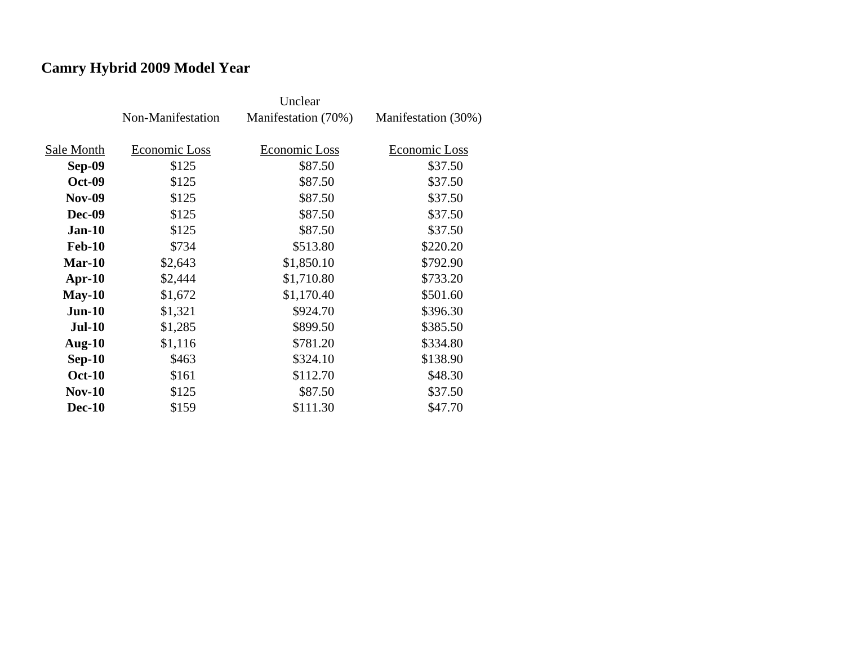# **Camry Hybrid 2009 Model Year**

|               | Non-Manifestation | Manifestation (70%) | Manifestation (30%) |
|---------------|-------------------|---------------------|---------------------|
|               |                   |                     |                     |
| Sale Month    | Economic Loss     | Economic Loss       | Economic Loss       |
| <b>Sep-09</b> | \$125             | \$87.50             | \$37.50             |
| <b>Oct-09</b> | \$125             | \$87.50             | \$37.50             |
| <b>Nov-09</b> | \$125             | \$87.50             | \$37.50             |
| <b>Dec-09</b> | \$125             | \$87.50             | \$37.50             |
| $Jan-10$      | \$125             | \$87.50             | \$37.50             |
| <b>Feb-10</b> | \$734             | \$513.80            | \$220.20            |
| Mar-10        | \$2,643           | \$1,850.10          | \$792.90            |
| $Apr-10$      | \$2,444           | \$1,710.80          | \$733.20            |
| $May-10$      | \$1,672           | \$1,170.40          | \$501.60            |
| $Jun-10$      | \$1,321           | \$924.70            | \$396.30            |
| <b>Jul-10</b> | \$1,285           | \$899.50            | \$385.50            |
| Aug- $10$     | \$1,116           | \$781.20            | \$334.80            |
| $Sep-10$      | \$463             | \$324.10            | \$138.90            |
| <b>Oct-10</b> | \$161             | \$112.70            | \$48.30             |
| $Nov-10$      | \$125             | \$87.50             | \$37.50             |
| <b>Dec-10</b> | \$159             | \$111.30            | \$47.70             |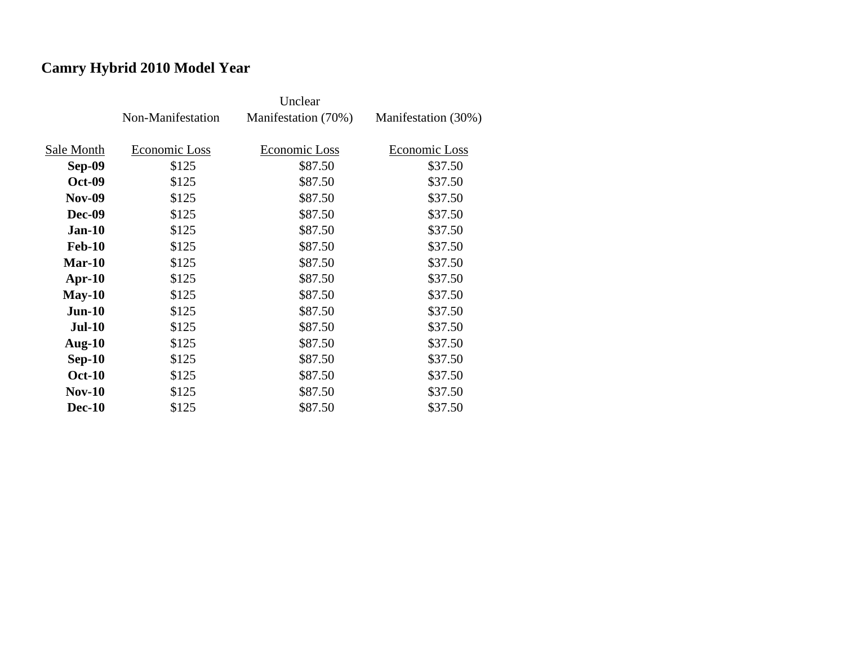# **Camry Hybrid 2010 Model Year**

|               | Non-Manifestation | Manifestation (70%) | Manifestation (30%) |
|---------------|-------------------|---------------------|---------------------|
|               |                   |                     |                     |
| Sale Month    | Economic Loss     | Economic Loss       | Economic Loss       |
| <b>Sep-09</b> | \$125             | \$87.50             | \$37.50             |
| <b>Oct-09</b> | \$125             | \$87.50             | \$37.50             |
| <b>Nov-09</b> | \$125             | \$87.50             | \$37.50             |
| <b>Dec-09</b> | \$125             | \$87.50             | \$37.50             |
| $Jan-10$      | \$125             | \$87.50             | \$37.50             |
| <b>Feb-10</b> | \$125             | \$87.50             | \$37.50             |
| Mar-10        | \$125             | \$87.50             | \$37.50             |
| $Apr-10$      | \$125             | \$87.50             | \$37.50             |
| $May-10$      | \$125             | \$87.50             | \$37.50             |
| $Jun-10$      | \$125             | \$87.50             | \$37.50             |
| <b>Jul-10</b> | \$125             | \$87.50             | \$37.50             |
| Aug- $10$     | \$125             | \$87.50             | \$37.50             |
| $Sep-10$      | \$125             | \$87.50             | \$37.50             |
| <b>Oct-10</b> | \$125             | \$87.50             | \$37.50             |
| $Nov-10$      | \$125             | \$87.50             | \$37.50             |
| <b>Dec-10</b> | \$125             | \$87.50             | \$37.50             |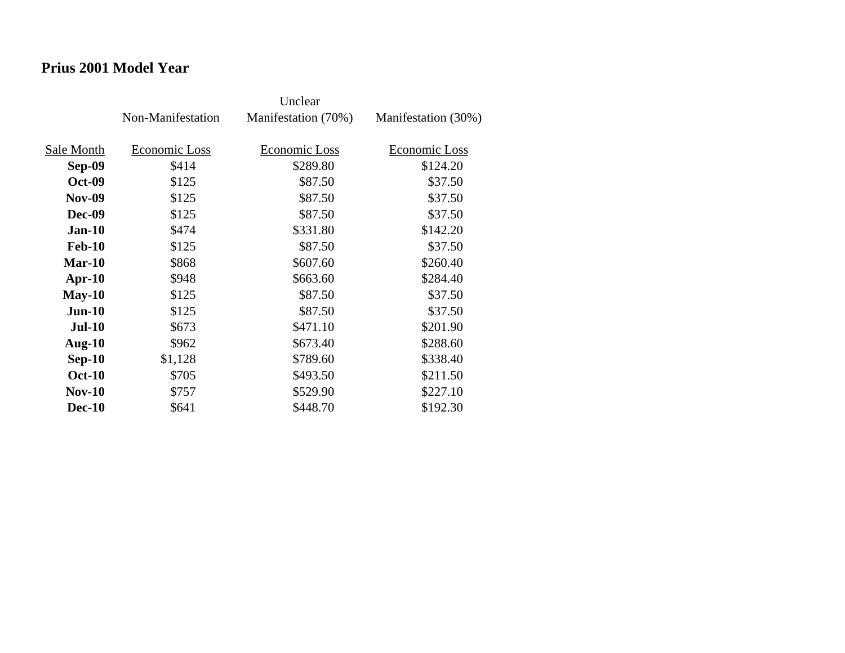### **Prius 2001 Model Year**

|               | Non-Manifestation | Manifestation (70%) | Manifestation (30%) |
|---------------|-------------------|---------------------|---------------------|
| Sale Month    | Economic Loss     | Economic Loss       | Economic Loss       |
| Sep-09        | \$414             | \$289.80            | \$124.20            |
| <b>Oct-09</b> | \$125             | \$87.50             | \$37.50             |
| <b>Nov-09</b> | \$125             | \$87.50             | \$37.50             |
| Dec-09        | \$125             | \$87.50             | \$37.50             |
| <b>Jan-10</b> | \$474             | \$331.80            | \$142.20            |
| <b>Feb-10</b> | \$125             | \$87.50             | \$37.50             |
| $Mar-10$      | \$868             | \$607.60            | \$260.40            |
| $Apr-10$      | \$948             | \$663.60            | \$284.40            |
| $May-10$      | \$125             | \$87.50             | \$37.50             |
| $Jun-10$      | \$125             | \$87.50             | \$37.50             |
| <b>Jul-10</b> | \$673             | \$471.10            | \$201.90            |
| Aug- $10$     | \$962             | \$673.40            | \$288.60            |
| $Sep-10$      | \$1,128           | \$789.60            | \$338.40            |
| <b>Oct-10</b> | \$705             | \$493.50            | \$211.50            |
| $Nov-10$      | \$757             | \$529.90            | \$227.10            |
| <b>Dec-10</b> | \$641             | \$448.70            | \$192.30            |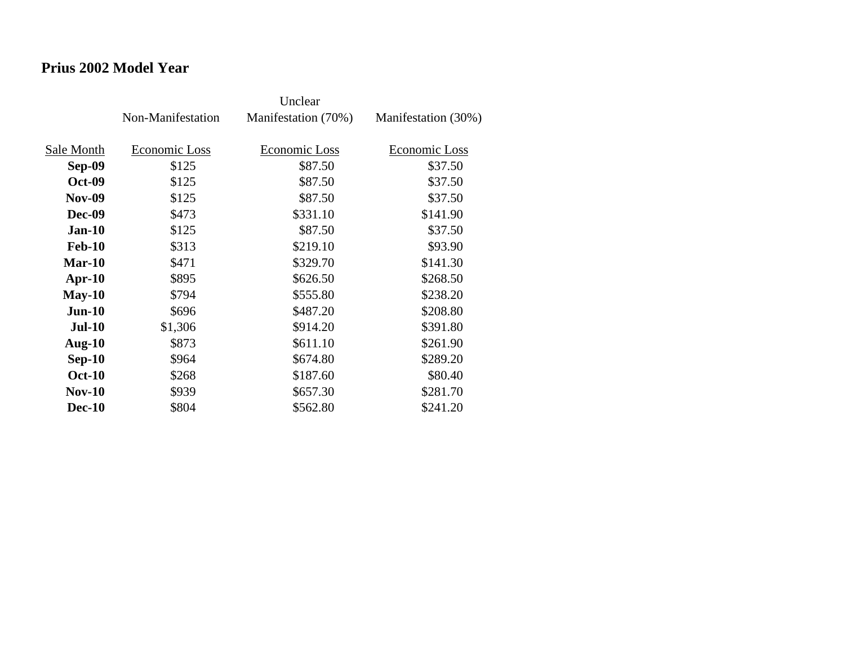### **Prius 2002 Model Year**

|               | Non-Manifestation | Manifestation (70%) | Manifestation (30%) |
|---------------|-------------------|---------------------|---------------------|
| Sale Month    | Economic Loss     | Economic Loss       | Economic Loss       |
| Sep-09        | \$125             | \$87.50             | \$37.50             |
| <b>Oct-09</b> | \$125             | \$87.50             | \$37.50             |
| <b>Nov-09</b> | \$125             | \$87.50             | \$37.50             |
| Dec-09        | \$473             | \$331.10            | \$141.90            |
| $Jan-10$      | \$125             | \$87.50             | \$37.50             |
| <b>Feb-10</b> | \$313             | \$219.10            | \$93.90             |
| Mar-10        | \$471             | \$329.70            | \$141.30            |
| $Apr-10$      | \$895             | \$626.50            | \$268.50            |
| $May-10$      | \$794             | \$555.80            | \$238.20            |
| $Jun-10$      | \$696             | \$487.20            | \$208.80            |
| <b>Jul-10</b> | \$1,306           | \$914.20            | \$391.80            |
| Aug- $10$     | \$873             | \$611.10            | \$261.90            |
| $Sep-10$      | \$964             | \$674.80            | \$289.20            |
| <b>Oct-10</b> | \$268             | \$187.60            | \$80.40             |
| <b>Nov-10</b> | \$939             | \$657.30            | \$281.70            |
| <b>Dec-10</b> | \$804             | \$562.80            | \$241.20            |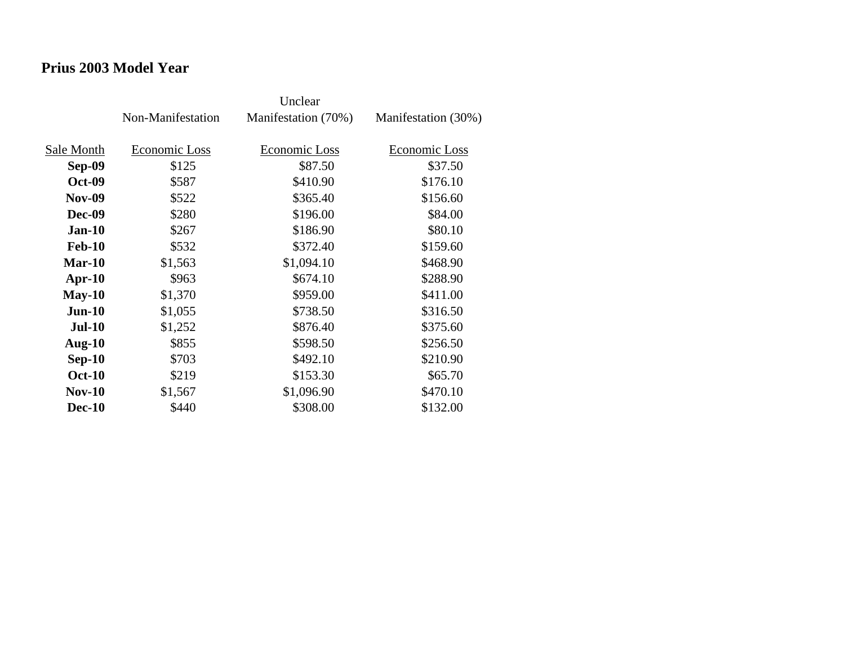### **Prius 2003 Model Year**

|               | Non-Manifestation | Manifestation (70%) | Manifestation (30%) |
|---------------|-------------------|---------------------|---------------------|
| Sale Month    | Economic Loss     | Economic Loss       | Economic Loss       |
| Sep-09        | \$125             | \$87.50             | \$37.50             |
| <b>Oct-09</b> | \$587             | \$410.90            | \$176.10            |
| <b>Nov-09</b> | \$522             | \$365.40            | \$156.60            |
| <b>Dec-09</b> | \$280             | \$196.00            | \$84.00             |
| $Jan-10$      | \$267             | \$186.90            | \$80.10             |
| <b>Feb-10</b> | \$532             | \$372.40            | \$159.60            |
| Mar-10        | \$1,563           | \$1,094.10          | \$468.90            |
| $Apr-10$      | \$963             | \$674.10            | \$288.90            |
| $May-10$      | \$1,370           | \$959.00            | \$411.00            |
| $Jun-10$      | \$1,055           | \$738.50            | \$316.50            |
| <b>Jul-10</b> | \$1,252           | \$876.40            | \$375.60            |
| Aug- $10$     | \$855             | \$598.50            | \$256.50            |
| $Sep-10$      | \$703             | \$492.10            | \$210.90            |
| <b>Oct-10</b> | \$219             | \$153.30            | \$65.70             |
| <b>Nov-10</b> | \$1,567           | \$1,096.90          | \$470.10            |
| <b>Dec-10</b> | \$440             | \$308.00            | \$132.00            |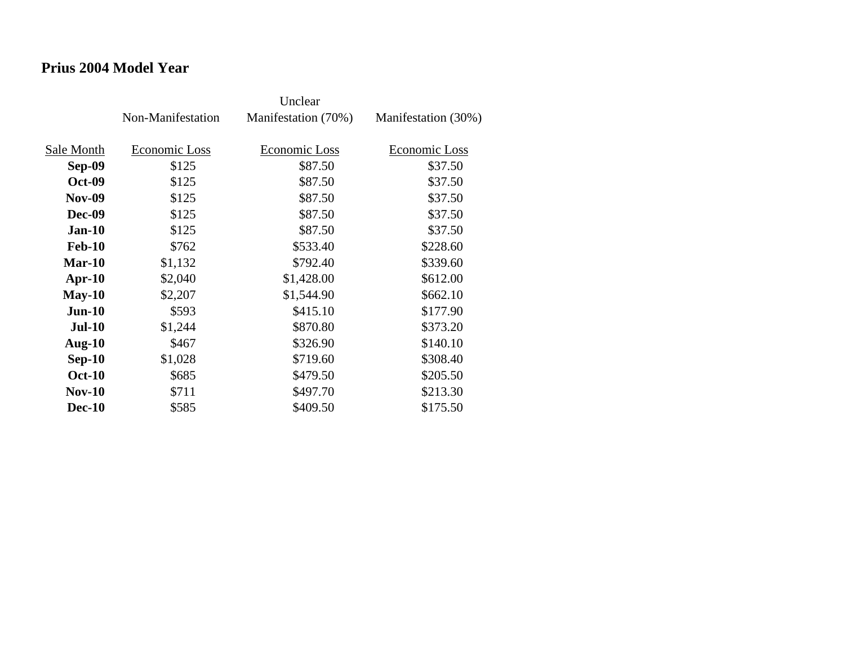### **Prius 2004 Model Year**

|               | Non-Manifestation | Manifestation (70%) | Manifestation (30%) |
|---------------|-------------------|---------------------|---------------------|
| Sale Month    | Economic Loss     | Economic Loss       | Economic Loss       |
| Sep-09        | \$125             | \$87.50             | \$37.50             |
| <b>Oct-09</b> | \$125             | \$87.50             | \$37.50             |
| <b>Nov-09</b> | \$125             | \$87.50             | \$37.50             |
| <b>Dec-09</b> | \$125             | \$87.50             | \$37.50             |
| $Jan-10$      | \$125             | \$87.50             | \$37.50             |
| <b>Feb-10</b> | \$762             | \$533.40            | \$228.60            |
| Mar-10        | \$1,132           | \$792.40            | \$339.60            |
| $Apr-10$      | \$2,040           | \$1,428.00          | \$612.00            |
| $May-10$      | \$2,207           | \$1,544.90          | \$662.10            |
| $Jun-10$      | \$593             | \$415.10            | \$177.90            |
| $Jul-10$      | \$1,244           | \$870.80            | \$373.20            |
| Aug- $10$     | \$467             | \$326.90            | \$140.10            |
| $Sep-10$      | \$1,028           | \$719.60            | \$308.40            |
| <b>Oct-10</b> | \$685             | \$479.50            | \$205.50            |
| $Nov-10$      | \$711             | \$497.70            | \$213.30            |
| <b>Dec-10</b> | \$585             | \$409.50            | \$175.50            |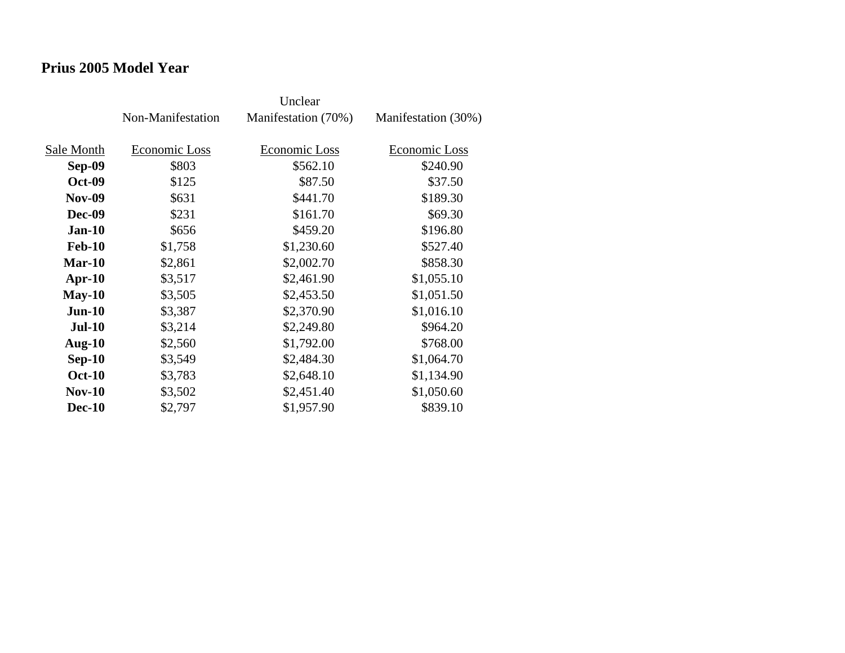### **Prius 2005 Model Year**

|               | Non-Manifestation | Manifestation (70%) | Manifestation (30%) |
|---------------|-------------------|---------------------|---------------------|
| Sale Month    | Economic Loss     | Economic Loss       | Economic Loss       |
| Sep-09        | \$803             | \$562.10            | \$240.90            |
| <b>Oct-09</b> | \$125             | \$87.50             | \$37.50             |
| <b>Nov-09</b> | \$631             | \$441.70            | \$189.30            |
| <b>Dec-09</b> | \$231             | \$161.70            | \$69.30             |
| $Jan-10$      | \$656             | \$459.20            | \$196.80            |
| <b>Feb-10</b> | \$1,758           | \$1,230.60          | \$527.40            |
| $Mar-10$      | \$2,861           | \$2,002.70          | \$858.30            |
| $Apr-10$      | \$3,517           | \$2,461.90          | \$1,055.10          |
| $May-10$      | \$3,505           | \$2,453.50          | \$1,051.50          |
| $Jun-10$      | \$3,387           | \$2,370.90          | \$1,016.10          |
| <b>Jul-10</b> | \$3,214           | \$2,249.80          | \$964.20            |
| Aug- $10$     | \$2,560           | \$1,792.00          | \$768.00            |
| $Sep-10$      | \$3,549           | \$2,484.30          | \$1,064.70          |
| <b>Oct-10</b> | \$3,783           | \$2,648.10          | \$1,134.90          |
| <b>Nov-10</b> | \$3,502           | \$2,451.40          | \$1,050.60          |
| <b>Dec-10</b> | \$2,797           | \$1,957.90          | \$839.10            |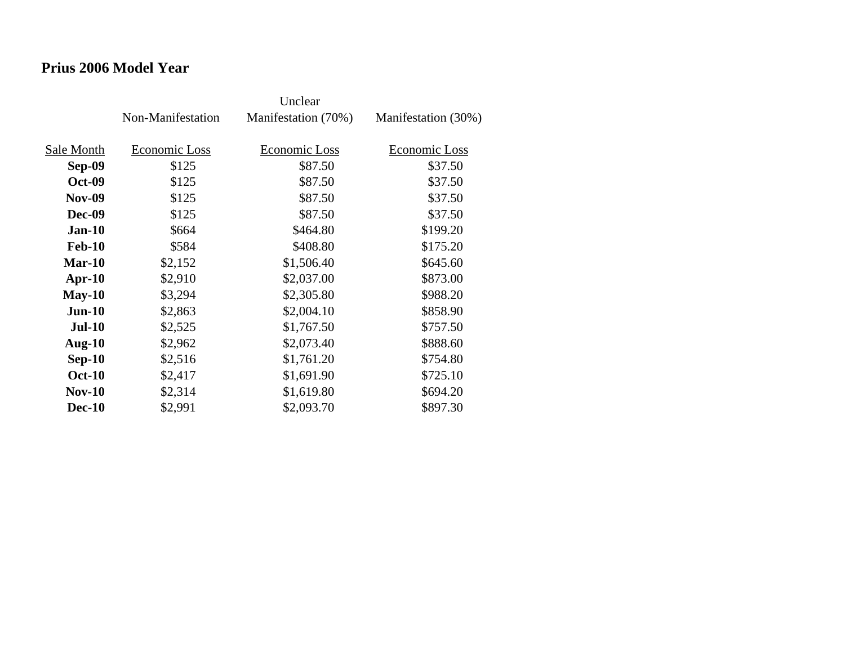### **Prius 2006 Model Year**

|               | Non-Manifestation | Manifestation (70%) | Manifestation (30%) |
|---------------|-------------------|---------------------|---------------------|
| Sale Month    | Economic Loss     | Economic Loss       | Economic Loss       |
| Sep-09        | \$125             | \$87.50             | \$37.50             |
| <b>Oct-09</b> | \$125             | \$87.50             | \$37.50             |
| <b>Nov-09</b> | \$125             | \$87.50             | \$37.50             |
| <b>Dec-09</b> | \$125             | \$87.50             | \$37.50             |
| $Jan-10$      | \$664             | \$464.80            | \$199.20            |
| <b>Feb-10</b> | \$584             | \$408.80            | \$175.20            |
| $Mar-10$      | \$2,152           | \$1,506.40          | \$645.60            |
| $Apr-10$      | \$2,910           | \$2,037.00          | \$873.00            |
| $May-10$      | \$3,294           | \$2,305.80          | \$988.20            |
| $Jun-10$      | \$2,863           | \$2,004.10          | \$858.90            |
| $Jul-10$      | \$2,525           | \$1,767.50          | \$757.50            |
| Aug- $10$     | \$2,962           | \$2,073.40          | \$888.60            |
| $Sep-10$      | \$2,516           | \$1,761.20          | \$754.80            |
| <b>Oct-10</b> | \$2,417           | \$1,691.90          | \$725.10            |
| $Nov-10$      | \$2,314           | \$1,619.80          | \$694.20            |
| <b>Dec-10</b> | \$2,991           | \$2,093.70          | \$897.30            |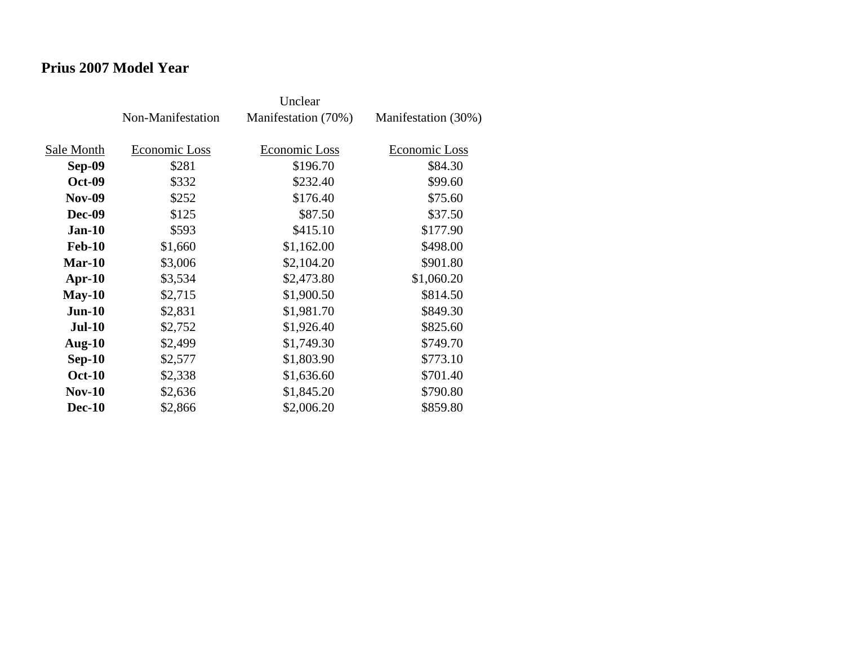### **Prius 2007 Model Year**

|               | Non-Manifestation | Manifestation (70%) | Manifestation (30%) |
|---------------|-------------------|---------------------|---------------------|
|               |                   |                     |                     |
| Sale Month    | Economic Loss     | Economic Loss       | Economic Loss       |
| Sep-09        | \$281             | \$196.70            | \$84.30             |
| <b>Oct-09</b> | \$332             | \$232.40            | \$99.60             |
| <b>Nov-09</b> | \$252             | \$176.40            | \$75.60             |
| Dec-09        | \$125             | \$87.50             | \$37.50             |
| $Jan-10$      | \$593             | \$415.10            | \$177.90            |
| <b>Feb-10</b> | \$1,660           | \$1,162.00          | \$498.00            |
| $Mar-10$      | \$3,006           | \$2,104.20          | \$901.80            |
| $Apr-10$      | \$3,534           | \$2,473.80          | \$1,060.20          |
| $May-10$      | \$2,715           | \$1,900.50          | \$814.50            |
| $Jun-10$      | \$2,831           | \$1,981.70          | \$849.30            |
| <b>Jul-10</b> | \$2,752           | \$1,926.40          | \$825.60            |
| Aug- $10$     | \$2,499           | \$1,749.30          | \$749.70            |
| $Sep-10$      | \$2,577           | \$1,803.90          | \$773.10            |
| <b>Oct-10</b> | \$2,338           | \$1,636.60          | \$701.40            |
| $Nov-10$      | \$2,636           | \$1,845.20          | \$790.80            |
| <b>Dec-10</b> | \$2,866           | \$2,006.20          | \$859.80            |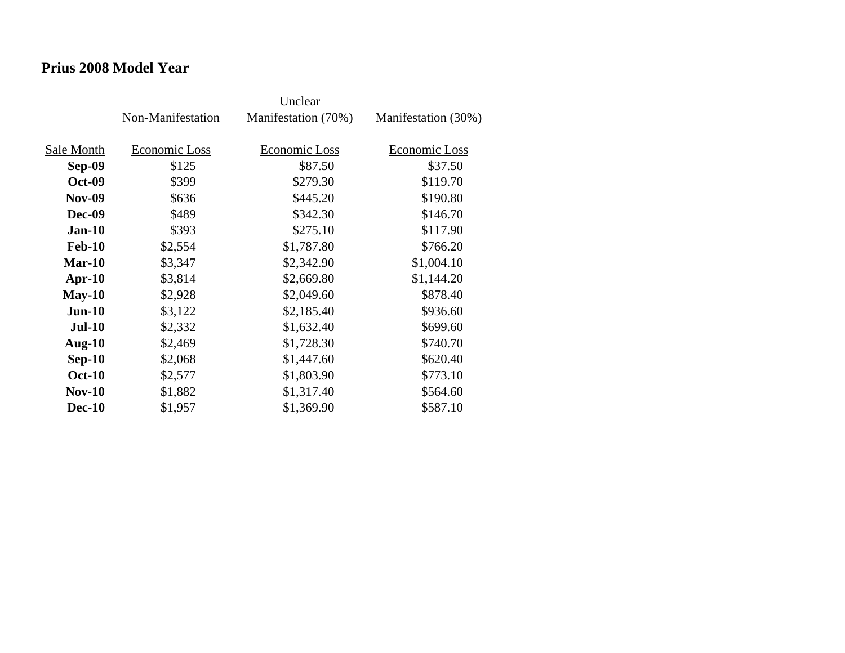### **Prius 2008 Model Year**

|               | Non-Manifestation | Manifestation (70%) | Manifestation (30%) |
|---------------|-------------------|---------------------|---------------------|
| Sale Month    | Economic Loss     | Economic Loss       | Economic Loss       |
| Sep-09        | \$125             | \$87.50             | \$37.50             |
| <b>Oct-09</b> | \$399             | \$279.30            | \$119.70            |
| <b>Nov-09</b> | \$636             | \$445.20            | \$190.80            |
| <b>Dec-09</b> | \$489             | \$342.30            | \$146.70            |
| <b>Jan-10</b> | \$393             | \$275.10            | \$117.90            |
| <b>Feb-10</b> | \$2,554           | \$1,787.80          | \$766.20            |
| $Mar-10$      | \$3,347           | \$2,342.90          | \$1,004.10          |
| $Apr-10$      | \$3,814           | \$2,669.80          | \$1,144.20          |
| $May-10$      | \$2,928           | \$2,049.60          | \$878.40            |
| $Jun-10$      | \$3,122           | \$2,185.40          | \$936.60            |
| $Jul-10$      | \$2,332           | \$1,632.40          | \$699.60            |
| Aug- $10$     | \$2,469           | \$1,728.30          | \$740.70            |
| $Sep-10$      | \$2,068           | \$1,447.60          | \$620.40            |
| <b>Oct-10</b> | \$2,577           | \$1,803.90          | \$773.10            |
| <b>Nov-10</b> | \$1,882           | \$1,317.40          | \$564.60            |
| <b>Dec-10</b> | \$1,957           | \$1,369.90          | \$587.10            |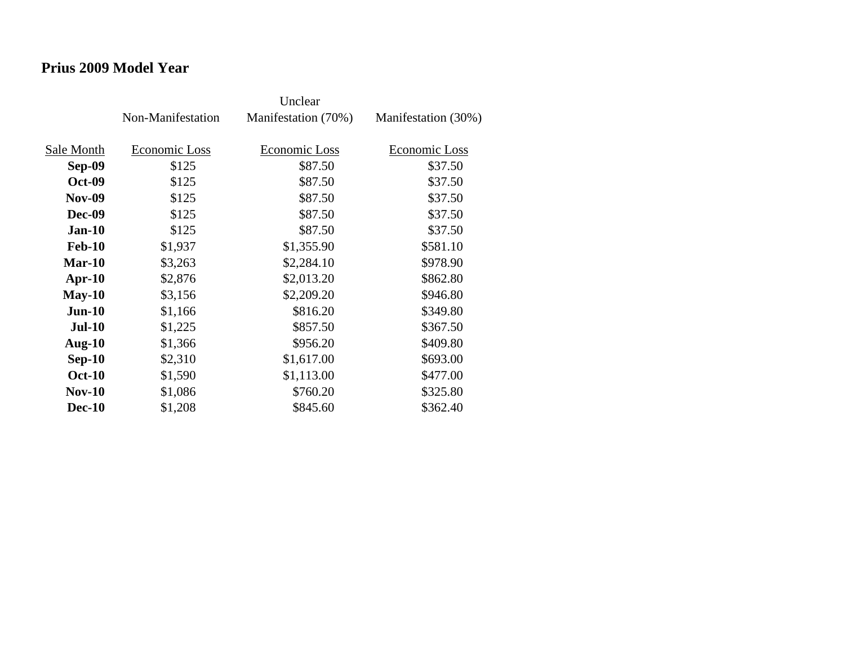### **Prius 2009 Model Year**

|               | Non-Manifestation | Manifestation (70%) | Manifestation (30%) |
|---------------|-------------------|---------------------|---------------------|
| Sale Month    | Economic Loss     | Economic Loss       | Economic Loss       |
| Sep-09        | \$125             | \$87.50             | \$37.50             |
| <b>Oct-09</b> | \$125             | \$87.50             | \$37.50             |
| <b>Nov-09</b> | \$125             | \$87.50             | \$37.50             |
| Dec-09        | \$125             | \$87.50             | \$37.50             |
| $Jan-10$      | \$125             | \$87.50             | \$37.50             |
| <b>Feb-10</b> | \$1,937           | \$1,355.90          | \$581.10            |
| Mar-10        | \$3,263           | \$2,284.10          | \$978.90            |
| $Apr-10$      | \$2,876           | \$2,013.20          | \$862.80            |
| $May-10$      | \$3,156           | \$2,209.20          | \$946.80            |
| $Jun-10$      | \$1,166           | \$816.20            | \$349.80            |
| <b>Jul-10</b> | \$1,225           | \$857.50            | \$367.50            |
| Aug- $10$     | \$1,366           | \$956.20            | \$409.80            |
| $Sep-10$      | \$2,310           | \$1,617.00          | \$693.00            |
| <b>Oct-10</b> | \$1,590           | \$1,113.00          | \$477.00            |
| $Nov-10$      | \$1,086           | \$760.20            | \$325.80            |
| <b>Dec-10</b> | \$1,208           | \$845.60            | \$362.40            |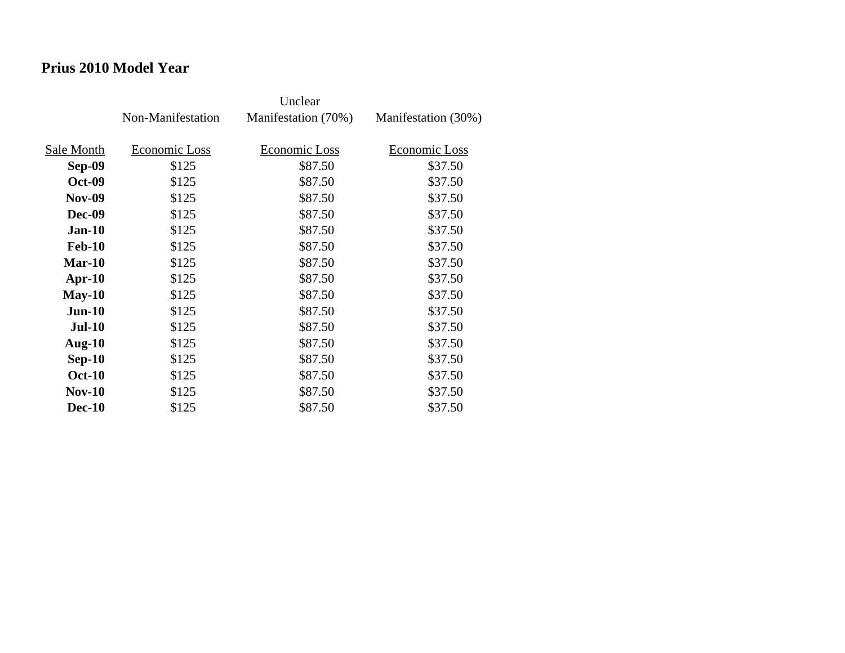### **Prius 2010 Model Year**

|               | Non-Manifestation | Manifestation (70%) | Manifestation (30%) |
|---------------|-------------------|---------------------|---------------------|
| Sale Month    | Economic Loss     | Economic Loss       | Economic Loss       |
| Sep-09        | \$125             | \$87.50             | \$37.50             |
| <b>Oct-09</b> | \$125             | \$87.50             | \$37.50             |
| <b>Nov-09</b> | \$125             | \$87.50             | \$37.50             |
| Dec-09        | \$125             | \$87.50             | \$37.50             |
| $Jan-10$      | \$125             | \$87.50             | \$37.50             |
| <b>Feb-10</b> | \$125             | \$87.50             | \$37.50             |
| $Mar-10$      | \$125             | \$87.50             | \$37.50             |
| $Apr-10$      | \$125             | \$87.50             | \$37.50             |
| $May-10$      | \$125             | \$87.50             | \$37.50             |
| $Jun-10$      | \$125             | \$87.50             | \$37.50             |
| <b>Jul-10</b> | \$125             | \$87.50             | \$37.50             |
| Aug- $10$     | \$125             | \$87.50             | \$37.50             |
| $Sep-10$      | \$125             | \$87.50             | \$37.50             |
| <b>Oct-10</b> | \$125             | \$87.50             | \$37.50             |
| $Nov-10$      | \$125             | \$87.50             | \$37.50             |
| <b>Dec-10</b> | \$125             | \$87.50             | \$37.50             |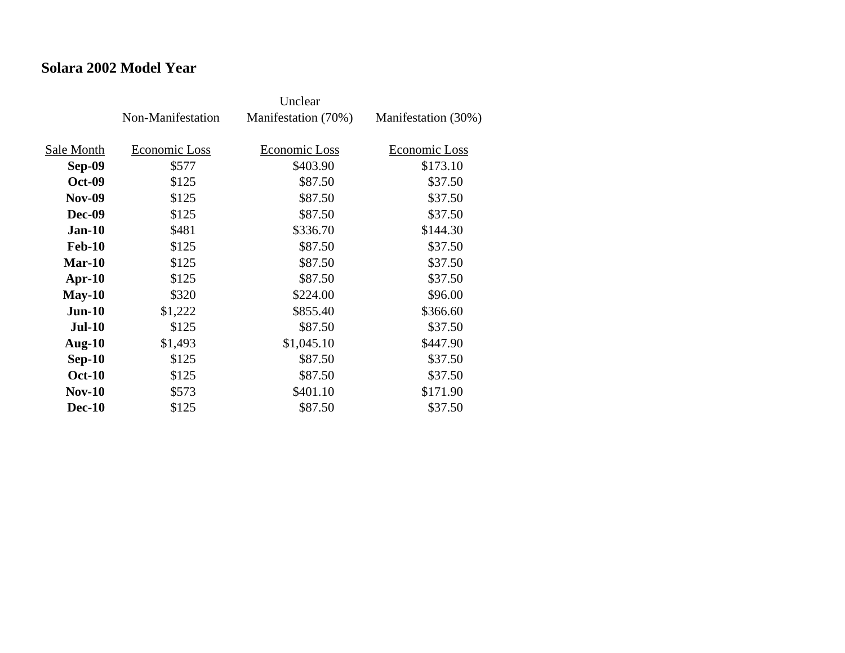### **Solara 2002 Model Year**

|               | Non-Manifestation | Manifestation (70%) | Manifestation (30%) |
|---------------|-------------------|---------------------|---------------------|
| Sale Month    | Economic Loss     | Economic Loss       | Economic Loss       |
| Sep-09        | \$577             | \$403.90            | \$173.10            |
| <b>Oct-09</b> | \$125             | \$87.50             | \$37.50             |
| <b>Nov-09</b> | \$125             | \$87.50             | \$37.50             |
| Dec-09        | \$125             | \$87.50             | \$37.50             |
| $Jan-10$      | \$481             | \$336.70            | \$144.30            |
| <b>Feb-10</b> | \$125             | \$87.50             | \$37.50             |
| $Mar-10$      | \$125             | \$87.50             | \$37.50             |
| $Apr-10$      | \$125             | \$87.50             | \$37.50             |
| $May-10$      | \$320             | \$224.00            | \$96.00             |
| $Jun-10$      | \$1,222           | \$855.40            | \$366.60            |
| <b>Jul-10</b> | \$125             | \$87.50             | \$37.50             |
| Aug- $10$     | \$1,493           | \$1,045.10          | \$447.90            |
| $Sep-10$      | \$125             | \$87.50             | \$37.50             |
| <b>Oct-10</b> | \$125             | \$87.50             | \$37.50             |
| $Nov-10$      | \$573             | \$401.10            | \$171.90            |
| <b>Dec-10</b> | \$125             | \$87.50             | \$37.50             |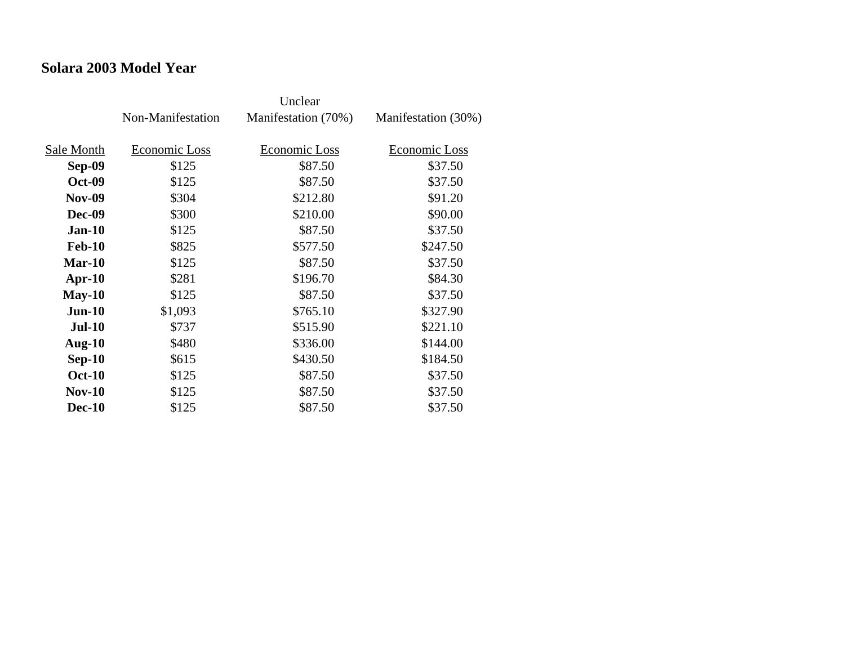### **Solara 2003 Model Year**

|               | Non-Manifestation | Manifestation (70%) | Manifestation (30%) |
|---------------|-------------------|---------------------|---------------------|
| Sale Month    | Economic Loss     | Economic Loss       | Economic Loss       |
| Sep-09        | \$125             | \$87.50             | \$37.50             |
| <b>Oct-09</b> | \$125             | \$87.50             | \$37.50             |
| <b>Nov-09</b> | \$304             | \$212.80            | \$91.20             |
| <b>Dec-09</b> | \$300             | \$210.00            | \$90.00             |
| $Jan-10$      | \$125             | \$87.50             | \$37.50             |
| <b>Feb-10</b> | \$825             | \$577.50            | \$247.50            |
| Mar-10        | \$125             | \$87.50             | \$37.50             |
| $Apr-10$      | \$281             | \$196.70            | \$84.30             |
| $May-10$      | \$125             | \$87.50             | \$37.50             |
| $Jun-10$      | \$1,093           | \$765.10            | \$327.90            |
| $Jul-10$      | \$737             | \$515.90            | \$221.10            |
| Aug- $10$     | \$480             | \$336.00            | \$144.00            |
| $Sep-10$      | \$615             | \$430.50            | \$184.50            |
| <b>Oct-10</b> | \$125             | \$87.50             | \$37.50             |
| $Nov-10$      | \$125             | \$87.50             | \$37.50             |
| <b>Dec-10</b> | \$125             | \$87.50             | \$37.50             |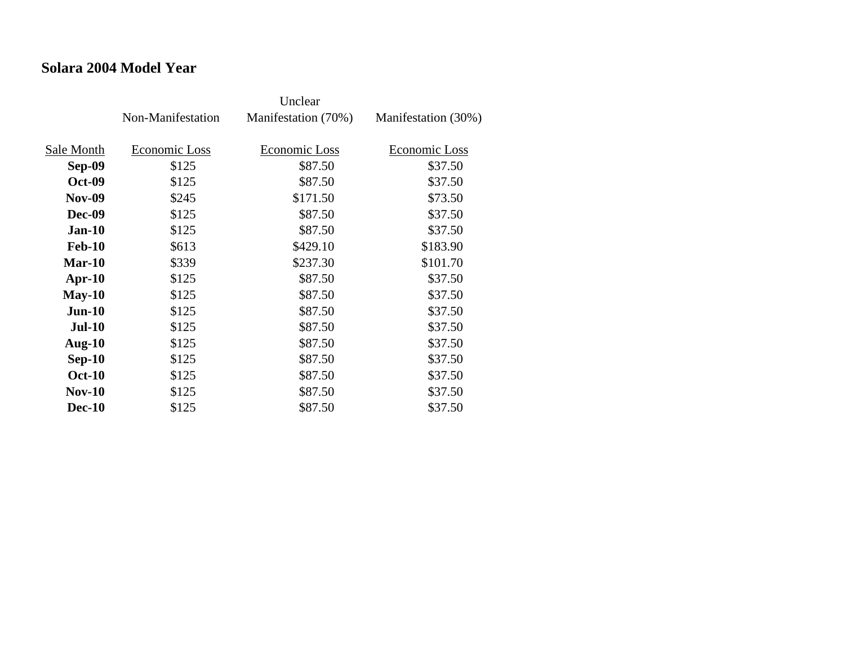### **Solara 2004 Model Year**

|               | Non-Manifestation | Manifestation (70%) | Manifestation (30%) |
|---------------|-------------------|---------------------|---------------------|
| Sale Month    | Economic Loss     | Economic Loss       | Economic Loss       |
| <b>Sep-09</b> | \$125             | \$87.50             | \$37.50             |
| <b>Oct-09</b> | \$125             | \$87.50             | \$37.50             |
| <b>Nov-09</b> | \$245             | \$171.50            | \$73.50             |
| <b>Dec-09</b> | \$125             | \$87.50             | \$37.50             |
| $Jan-10$      | \$125             | \$87.50             | \$37.50             |
| <b>Feb-10</b> | \$613             | \$429.10            | \$183.90            |
| $Mar-10$      | \$339             | \$237.30            | \$101.70            |
| $Apr-10$      | \$125             | \$87.50             | \$37.50             |
| $May-10$      | \$125             | \$87.50             | \$37.50             |
| $Jun-10$      | \$125             | \$87.50             | \$37.50             |
| $Jul-10$      | \$125             | \$87.50             | \$37.50             |
| Aug- $10$     | \$125             | \$87.50             | \$37.50             |
| $Sep-10$      | \$125             | \$87.50             | \$37.50             |
| <b>Oct-10</b> | \$125             | \$87.50             | \$37.50             |
| $Nov-10$      | \$125             | \$87.50             | \$37.50             |
| <b>Dec-10</b> | \$125             | \$87.50             | \$37.50             |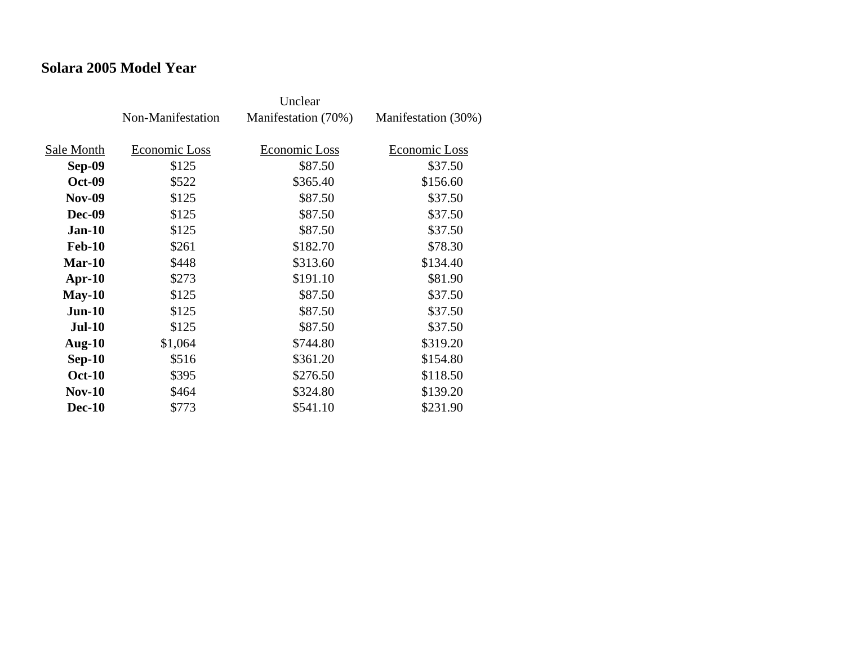### **Solara 2005 Model Year**

|               | Non-Manifestation | Manifestation (70%) | Manifestation (30%) |
|---------------|-------------------|---------------------|---------------------|
| Sale Month    | Economic Loss     | Economic Loss       | Economic Loss       |
| Sep-09        | \$125             | \$87.50             | \$37.50             |
| <b>Oct-09</b> | \$522             | \$365.40            | \$156.60            |
| <b>Nov-09</b> | \$125             | \$87.50             | \$37.50             |
| <b>Dec-09</b> | \$125             | \$87.50             | \$37.50             |
| $Jan-10$      | \$125             | \$87.50             | \$37.50             |
| <b>Feb-10</b> | \$261             | \$182.70            | \$78.30             |
| $Mar-10$      | \$448             | \$313.60            | \$134.40            |
| $Apr-10$      | \$273             | \$191.10            | \$81.90             |
| $May-10$      | \$125             | \$87.50             | \$37.50             |
| $Jun-10$      | \$125             | \$87.50             | \$37.50             |
| <b>Jul-10</b> | \$125             | \$87.50             | \$37.50             |
| Aug- $10$     | \$1,064           | \$744.80            | \$319.20            |
| $Sep-10$      | \$516             | \$361.20            | \$154.80            |
| <b>Oct-10</b> | \$395             | \$276.50            | \$118.50            |
| $Nov-10$      | \$464             | \$324.80            | \$139.20            |
| <b>Dec-10</b> | \$773             | \$541.10            | \$231.90            |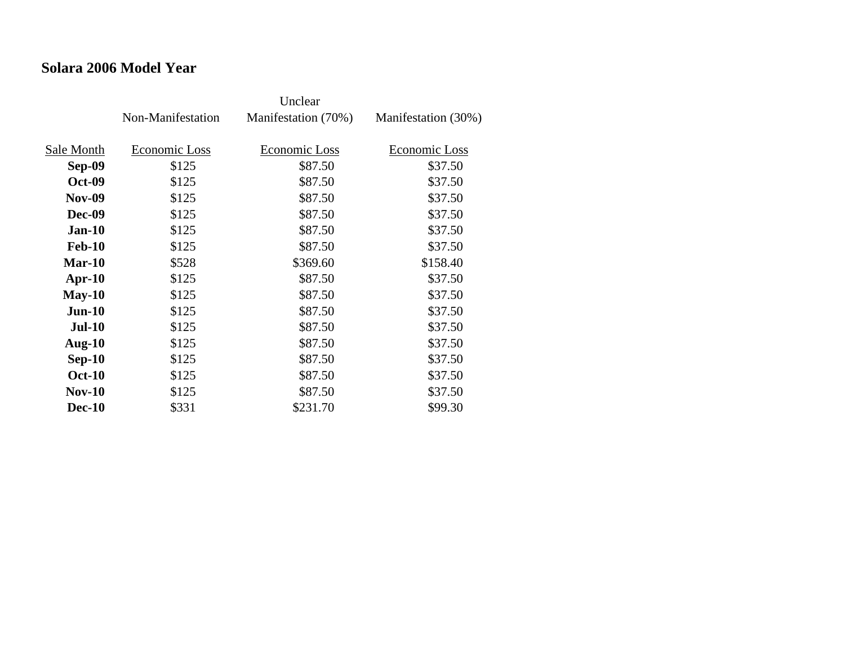### **Solara 2006 Model Year**

|               | Non-Manifestation | Manifestation (70%) | Manifestation (30%) |
|---------------|-------------------|---------------------|---------------------|
| Sale Month    | Economic Loss     | Economic Loss       | Economic Loss       |
|               |                   |                     |                     |
| Sep-09        | \$125             | \$87.50             | \$37.50             |
| <b>Oct-09</b> | \$125             | \$87.50             | \$37.50             |
| <b>Nov-09</b> | \$125             | \$87.50             | \$37.50             |
| <b>Dec-09</b> | \$125             | \$87.50             | \$37.50             |
| $Jan-10$      | \$125             | \$87.50             | \$37.50             |
| <b>Feb-10</b> | \$125             | \$87.50             | \$37.50             |
| $Mar-10$      | \$528             | \$369.60            | \$158.40            |
| $Apr-10$      | \$125             | \$87.50             | \$37.50             |
| $May-10$      | \$125             | \$87.50             | \$37.50             |
| $Jun-10$      | \$125             | \$87.50             | \$37.50             |
| <b>Jul-10</b> | \$125             | \$87.50             | \$37.50             |
| Aug- $10$     | \$125             | \$87.50             | \$37.50             |
| $Sep-10$      | \$125             | \$87.50             | \$37.50             |
| <b>Oct-10</b> | \$125             | \$87.50             | \$37.50             |
| $Nov-10$      | \$125             | \$87.50             | \$37.50             |
| <b>Dec-10</b> | \$331             | \$231.70            | \$99.30             |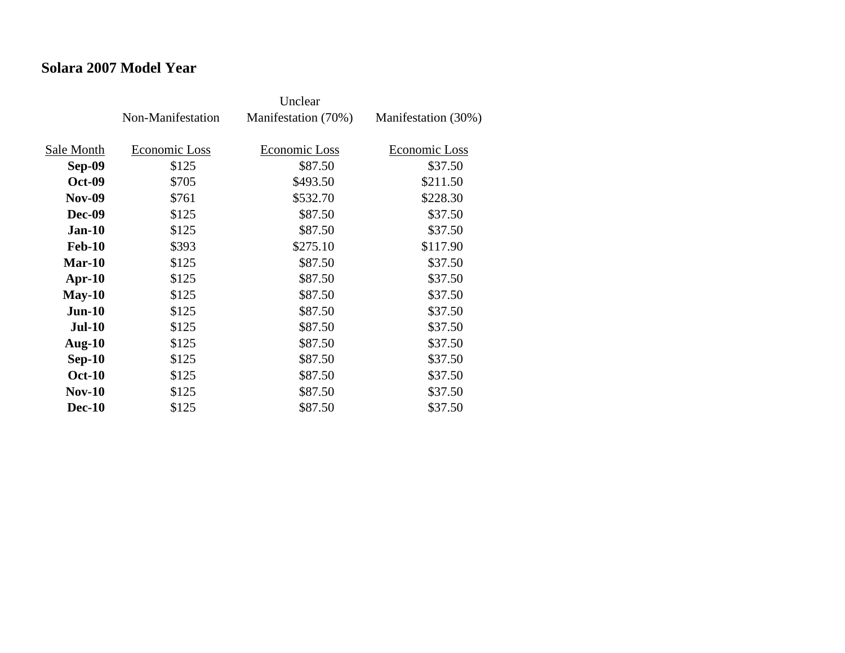### **Solara 2007 Model Year**

|               | Non-Manifestation | Manifestation (70%) | Manifestation (30%) |
|---------------|-------------------|---------------------|---------------------|
| Sale Month    | Economic Loss     | Economic Loss       | Economic Loss       |
| Sep-09        | \$125             | \$87.50             | \$37.50             |
| <b>Oct-09</b> | \$705             | \$493.50            | \$211.50            |
| <b>Nov-09</b> | \$761             | \$532.70            | \$228.30            |
| <b>Dec-09</b> | \$125             | \$87.50             | \$37.50             |
| $Jan-10$      | \$125             | \$87.50             | \$37.50             |
| <b>Feb-10</b> | \$393             | \$275.10            | \$117.90            |
| $Mar-10$      | \$125             | \$87.50             | \$37.50             |
| $Apr-10$      | \$125             | \$87.50             | \$37.50             |
| $May-10$      | \$125             | \$87.50             | \$37.50             |
| $Jun-10$      | \$125             | \$87.50             | \$37.50             |
| <b>Jul-10</b> | \$125             | \$87.50             | \$37.50             |
| Aug- $10$     | \$125             | \$87.50             | \$37.50             |
| $Sep-10$      | \$125             | \$87.50             | \$37.50             |
| <b>Oct-10</b> | \$125             | \$87.50             | \$37.50             |
| $Nov-10$      | \$125             | \$87.50             | \$37.50             |
| <b>Dec-10</b> | \$125             | \$87.50             | \$37.50             |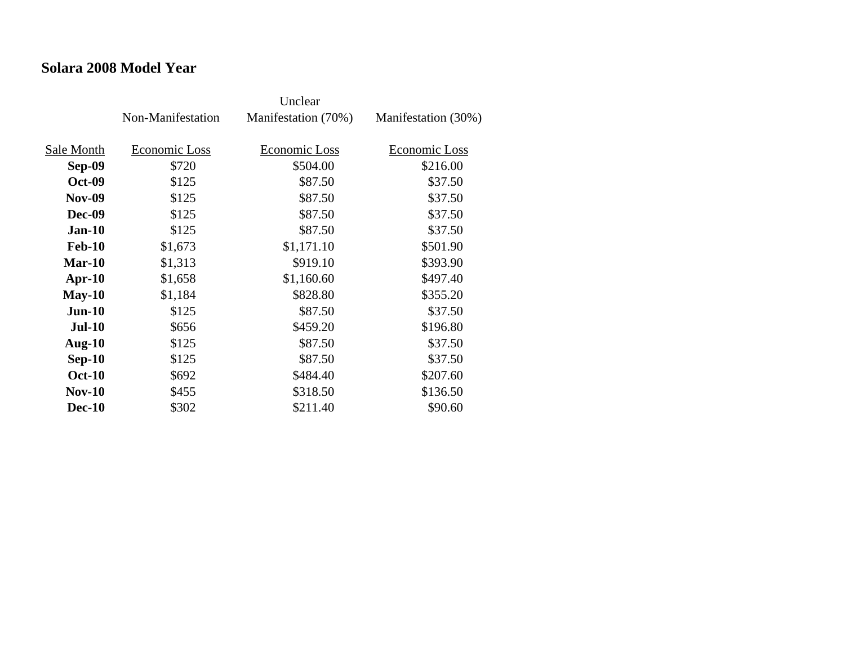#### **Solara 2008 Model Year**

|               | Non-Manifestation | Manifestation (70%) | Manifestation (30%) |
|---------------|-------------------|---------------------|---------------------|
|               |                   |                     |                     |
| Sale Month    | Economic Loss     | Economic Loss       | Economic Loss       |
| Sep-09        | \$720             | \$504.00            | \$216.00            |
| <b>Oct-09</b> | \$125             | \$87.50             | \$37.50             |
| <b>Nov-09</b> | \$125             | \$87.50             | \$37.50             |
| <b>Dec-09</b> | \$125             | \$87.50             | \$37.50             |
| $Jan-10$      | \$125             | \$87.50             | \$37.50             |
| <b>Feb-10</b> | \$1,673           | \$1,171.10          | \$501.90            |
| Mar-10        | \$1,313           | \$919.10            | \$393.90            |
| $Apr-10$      | \$1,658           | \$1,160.60          | \$497.40            |
| $May-10$      | \$1,184           | \$828.80            | \$355.20            |
| $Jun-10$      | \$125             | \$87.50             | \$37.50             |
| <b>Jul-10</b> | \$656             | \$459.20            | \$196.80            |
| Aug- $10$     | \$125             | \$87.50             | \$37.50             |
| $Sep-10$      | \$125             | \$87.50             | \$37.50             |
| <b>Oct-10</b> | \$692             | \$484.40            | \$207.60            |
| $Nov-10$      | \$455             | \$318.50            | \$136.50            |
| <b>Dec-10</b> | \$302             | \$211.40            | \$90.60             |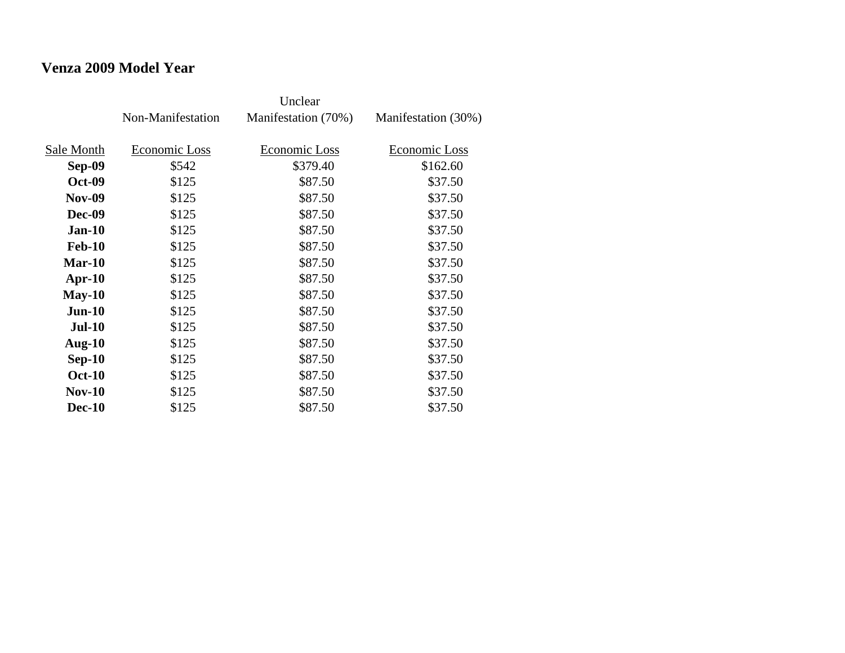# **Venza 2009 Model Year**

|               | Non-Manifestation | Manifestation (70%) | Manifestation (30%) |
|---------------|-------------------|---------------------|---------------------|
| Sale Month    | Economic Loss     | Economic Loss       | Economic Loss       |
|               |                   |                     |                     |
| Sep-09        | \$542             | \$379.40            | \$162.60            |
| <b>Oct-09</b> | \$125             | \$87.50             | \$37.50             |
| <b>Nov-09</b> | \$125             | \$87.50             | \$37.50             |
| <b>Dec-09</b> | \$125             | \$87.50             | \$37.50             |
| $Jan-10$      | \$125             | \$87.50             | \$37.50             |
| <b>Feb-10</b> | \$125             | \$87.50             | \$37.50             |
| Mar-10        | \$125             | \$87.50             | \$37.50             |
| $Apr-10$      | \$125             | \$87.50             | \$37.50             |
| $May-10$      | \$125             | \$87.50             | \$37.50             |
| $Jun-10$      | \$125             | \$87.50             | \$37.50             |
| <b>Jul-10</b> | \$125             | \$87.50             | \$37.50             |
| Aug- $10$     | \$125             | \$87.50             | \$37.50             |
| $Sep-10$      | \$125             | \$87.50             | \$37.50             |
| <b>Oct-10</b> | \$125             | \$87.50             | \$37.50             |
| $Nov-10$      | \$125             | \$87.50             | \$37.50             |
| <b>Dec-10</b> | \$125             | \$87.50             | \$37.50             |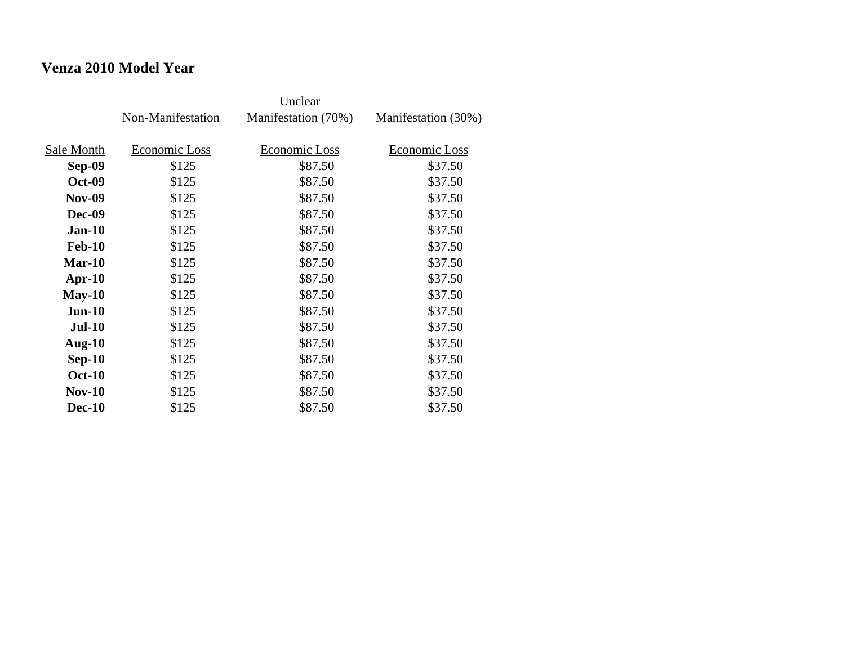# **Venza 2010 Model Year**

|               | Non-Manifestation | Manifestation (70%) | Manifestation (30%) |
|---------------|-------------------|---------------------|---------------------|
| Sale Month    | Economic Loss     | Economic Loss       | Economic Loss       |
| Sep-09        | \$125             | \$87.50             | \$37.50             |
|               |                   |                     |                     |
| <b>Oct-09</b> | \$125             | \$87.50             | \$37.50             |
| <b>Nov-09</b> | \$125             | \$87.50             | \$37.50             |
| <b>Dec-09</b> | \$125             | \$87.50             | \$37.50             |
| $Jan-10$      | \$125             | \$87.50             | \$37.50             |
| <b>Feb-10</b> | \$125             | \$87.50             | \$37.50             |
| Mar-10        | \$125             | \$87.50             | \$37.50             |
| $Apr-10$      | \$125             | \$87.50             | \$37.50             |
| $May-10$      | \$125             | \$87.50             | \$37.50             |
| $Jun-10$      | \$125             | \$87.50             | \$37.50             |
| <b>Jul-10</b> | \$125             | \$87.50             | \$37.50             |
| Aug- $10$     | \$125             | \$87.50             | \$37.50             |
| $Sep-10$      | \$125             | \$87.50             | \$37.50             |
| <b>Oct-10</b> | \$125             | \$87.50             | \$37.50             |
| $Nov-10$      | \$125             | \$87.50             | \$37.50             |
| <b>Dec-10</b> | \$125             | \$87.50             | \$37.50             |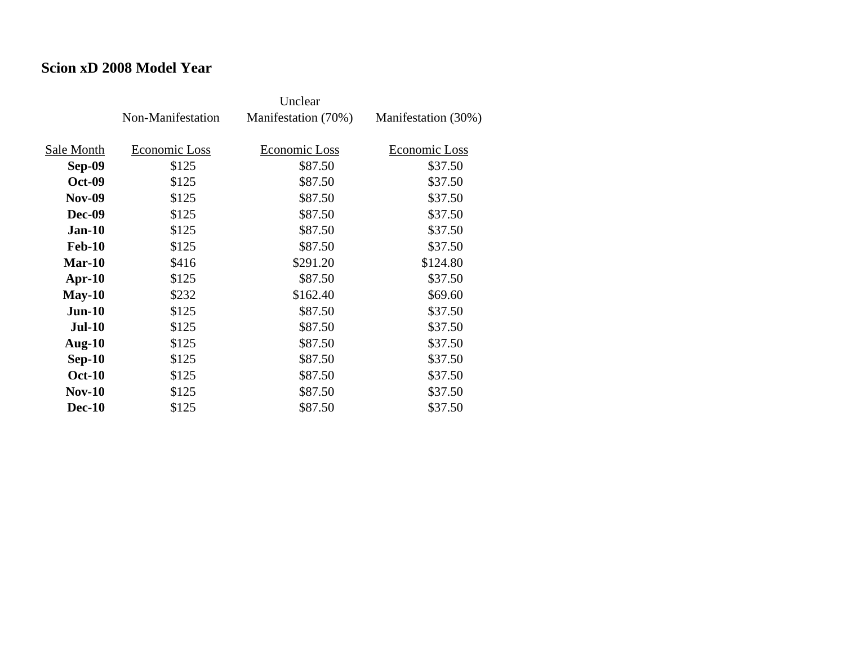#### **Scion xD 2008 Model Year**

|               | Non-Manifestation | Manifestation (70%) | Manifestation (30%) |
|---------------|-------------------|---------------------|---------------------|
| Sale Month    | Economic Loss     | Economic Loss       | Economic Loss       |
| Sep-09        | \$125             | \$87.50             | \$37.50             |
| <b>Oct-09</b> | \$125             | \$87.50             | \$37.50             |
| <b>Nov-09</b> | \$125             | \$87.50             | \$37.50             |
| <b>Dec-09</b> | \$125             | \$87.50             | \$37.50             |
| $Jan-10$      | \$125             | \$87.50             | \$37.50             |
| <b>Feb-10</b> | \$125             | \$87.50             | \$37.50             |
| Mar-10        | \$416             | \$291.20            | \$124.80            |
| $Apr-10$      | \$125             | \$87.50             | \$37.50             |
| $May-10$      | \$232             | \$162.40            | \$69.60             |
| $Jun-10$      | \$125             | \$87.50             | \$37.50             |
| $Jul-10$      | \$125             | \$87.50             | \$37.50             |
| Aug- $10$     | \$125             | \$87.50             | \$37.50             |
| $Sep-10$      | \$125             | \$87.50             | \$37.50             |
| <b>Oct-10</b> | \$125             | \$87.50             | \$37.50             |
| $Nov-10$      | \$125             | \$87.50             | \$37.50             |
| <b>Dec-10</b> | \$125             | \$87.50             | \$37.50             |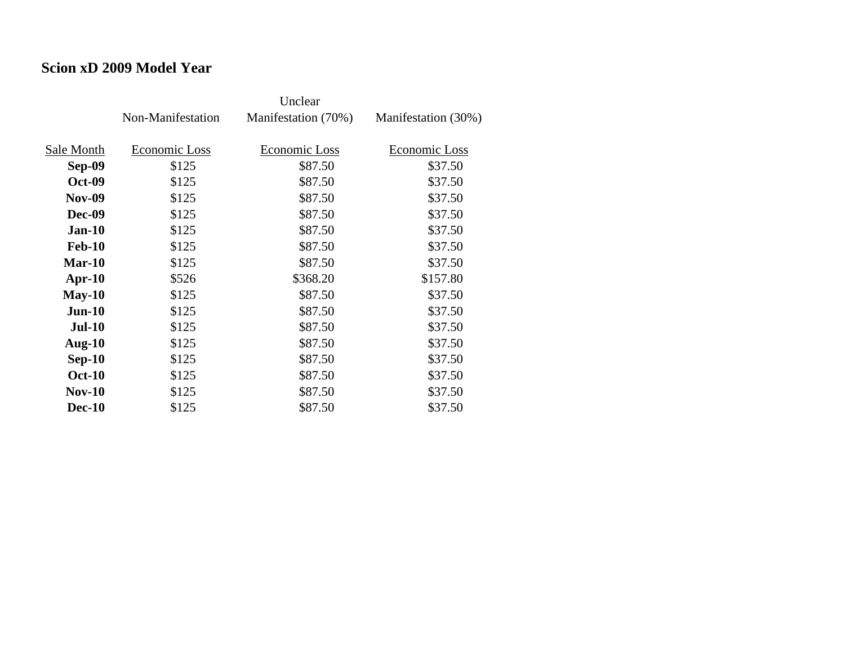#### **Scion xD 2009 Model Year**

|               | Non-Manifestation | Manifestation (70%) | Manifestation (30%) |
|---------------|-------------------|---------------------|---------------------|
| Sale Month    | Economic Loss     | Economic Loss       | Economic Loss       |
|               |                   |                     |                     |
| Sep-09        | \$125             | \$87.50             | \$37.50             |
| <b>Oct-09</b> | \$125             | \$87.50             | \$37.50             |
| <b>Nov-09</b> | \$125             | \$87.50             | \$37.50             |
| <b>Dec-09</b> | \$125             | \$87.50             | \$37.50             |
| $Jan-10$      | \$125             | \$87.50             | \$37.50             |
| <b>Feb-10</b> | \$125             | \$87.50             | \$37.50             |
| Mar-10        | \$125             | \$87.50             | \$37.50             |
| $Apr-10$      | \$526             | \$368.20            | \$157.80            |
| $May-10$      | \$125             | \$87.50             | \$37.50             |
| $Jun-10$      | \$125             | \$87.50             | \$37.50             |
| <b>Jul-10</b> | \$125             | \$87.50             | \$37.50             |
| Aug- $10$     | \$125             | \$87.50             | \$37.50             |
| $Sep-10$      | \$125             | \$87.50             | \$37.50             |
| <b>Oct-10</b> | \$125             | \$87.50             | \$37.50             |
| $Nov-10$      | \$125             | \$87.50             | \$37.50             |
| <b>Dec-10</b> | \$125             | \$87.50             | \$37.50             |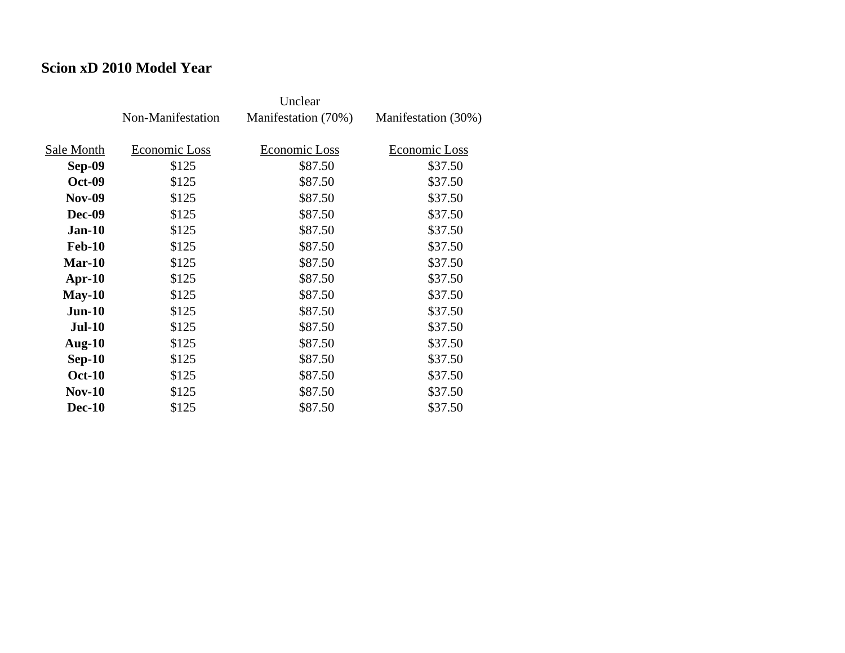#### **Scion xD 2010 Model Year**

|               |                   | Unclear             |                     |
|---------------|-------------------|---------------------|---------------------|
|               | Non-Manifestation | Manifestation (70%) | Manifestation (30%) |
|               |                   |                     |                     |
| Sale Month    | Economic Loss     | Economic Loss       | Economic Loss       |
| Sep-09        | \$125             | \$87.50             | \$37.50             |
| <b>Oct-09</b> | \$125             | \$87.50             | \$37.50             |
| <b>Nov-09</b> | \$125             | \$87.50             | \$37.50             |
| Dec-09        | \$125             | \$87.50             | \$37.50             |
| <b>Jan-10</b> | \$125             | \$87.50             | \$37.50             |
| <b>Feb-10</b> | \$125             | \$87.50             | \$37.50             |
| $Mar-10$      | \$125             | \$87.50             | \$37.50             |
| $Apr-10$      | \$125             | \$87.50             | \$37.50             |
| $May-10$      | \$125             | \$87.50             | \$37.50             |
| $Jun-10$      | \$125             | \$87.50             | \$37.50             |
| <b>Jul-10</b> | \$125             | \$87.50             | \$37.50             |
| Aug- $10$     | \$125             | \$87.50             | \$37.50             |
| $Sep-10$      | \$125             | \$87.50             | \$37.50             |
| <b>Oct-10</b> | \$125             | \$87.50             | \$37.50             |
| $Nov-10$      | \$125             | \$87.50             | \$37.50             |
| <b>Dec-10</b> | \$125             | \$87.50             | \$37.50             |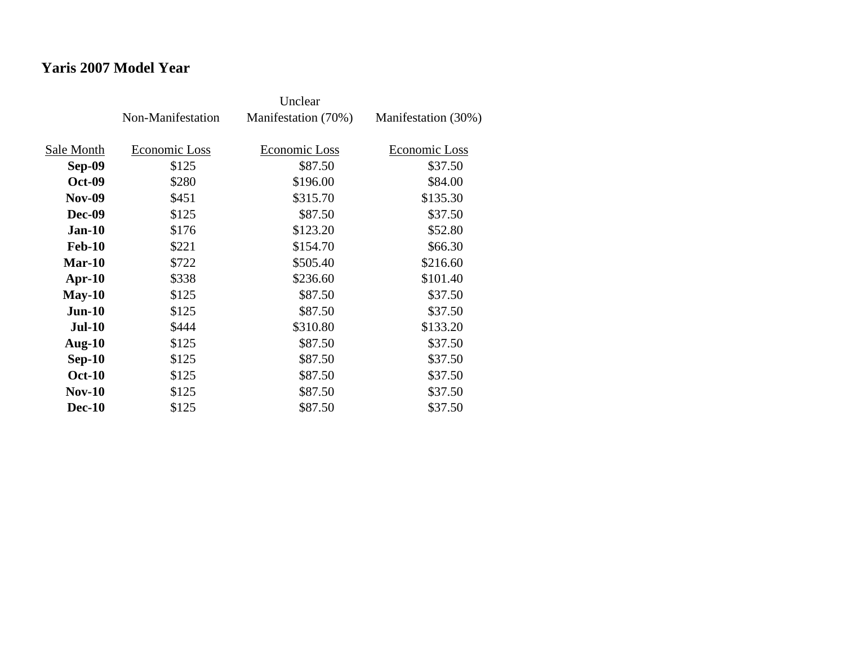# **Yaris 2007 Model Year**

|               | Non-Manifestation | Manifestation (70%) | Manifestation (30%) |
|---------------|-------------------|---------------------|---------------------|
| Sale Month    | Economic Loss     | Economic Loss       | Economic Loss       |
| Sep-09        | \$125             | \$87.50             | \$37.50             |
|               |                   |                     |                     |
| <b>Oct-09</b> | \$280             | \$196.00            | \$84.00             |
| <b>Nov-09</b> | \$451             | \$315.70            | \$135.30            |
| <b>Dec-09</b> | \$125             | \$87.50             | \$37.50             |
| $Jan-10$      | \$176             | \$123.20            | \$52.80             |
| <b>Feb-10</b> | \$221             | \$154.70            | \$66.30             |
| Mar-10        | \$722             | \$505.40            | \$216.60            |
| $Apr-10$      | \$338             | \$236.60            | \$101.40            |
| $May-10$      | \$125             | \$87.50             | \$37.50             |
| $Jun-10$      | \$125             | \$87.50             | \$37.50             |
| <b>Jul-10</b> | \$444             | \$310.80            | \$133.20            |
| Aug- $10$     | \$125             | \$87.50             | \$37.50             |
| $Sep-10$      | \$125             | \$87.50             | \$37.50             |
| <b>Oct-10</b> | \$125             | \$87.50             | \$37.50             |
| $Nov-10$      | \$125             | \$87.50             | \$37.50             |
| <b>Dec-10</b> | \$125             | \$87.50             | \$37.50             |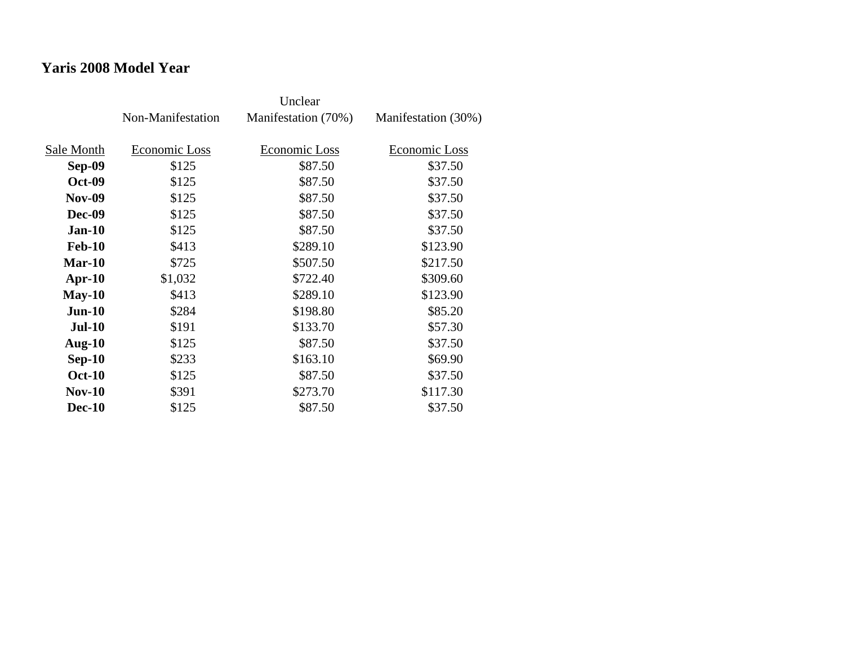# **Yaris 2008 Model Year**

|               | Non-Manifestation | Manifestation (70%) | Manifestation (30%) |
|---------------|-------------------|---------------------|---------------------|
|               |                   |                     |                     |
| Sale Month    | Economic Loss     | Economic Loss       | Economic Loss       |
| Sep-09        | \$125             | \$87.50             | \$37.50             |
| <b>Oct-09</b> | \$125             | \$87.50             | \$37.50             |
| <b>Nov-09</b> | \$125             | \$87.50             | \$37.50             |
| <b>Dec-09</b> | \$125             | \$87.50             | \$37.50             |
| <b>Jan-10</b> | \$125             | \$87.50             | \$37.50             |
| <b>Feb-10</b> | \$413             | \$289.10            | \$123.90            |
| Mar-10        | \$725             | \$507.50            | \$217.50            |
| $Apr-10$      | \$1,032           | \$722.40            | \$309.60            |
| $May-10$      | \$413             | \$289.10            | \$123.90            |
| $Jun-10$      | \$284             | \$198.80            | \$85.20             |
| <b>Jul-10</b> | \$191             | \$133.70            | \$57.30             |
| Aug- $10$     | \$125             | \$87.50             | \$37.50             |
| $Sep-10$      | \$233             | \$163.10            | \$69.90             |
| <b>Oct-10</b> | \$125             | \$87.50             | \$37.50             |
| $Nov-10$      | \$391             | \$273.70            | \$117.30            |
| <b>Dec-10</b> | \$125             | \$87.50             | \$37.50             |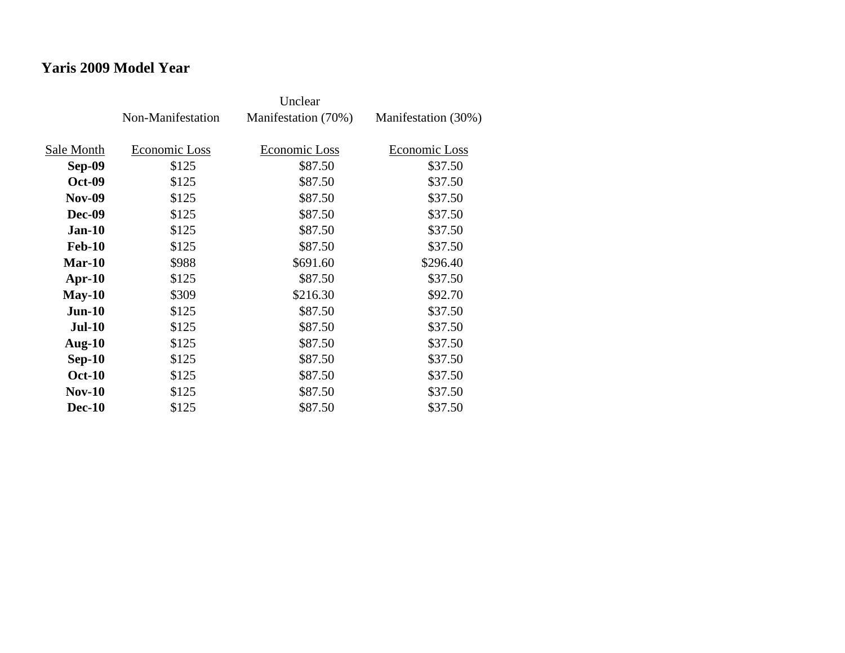# **Yaris 2009 Model Year**

|               | Non-Manifestation | Manifestation (70%) | Manifestation (30%) |
|---------------|-------------------|---------------------|---------------------|
| Sale Month    | Economic Loss     | Economic Loss       | Economic Loss       |
| Sep-09        | \$125             | \$87.50             | \$37.50             |
|               |                   |                     |                     |
| <b>Oct-09</b> | \$125             | \$87.50             | \$37.50             |
| <b>Nov-09</b> | \$125             | \$87.50             | \$37.50             |
| <b>Dec-09</b> | \$125             | \$87.50             | \$37.50             |
| <b>Jan-10</b> | \$125             | \$87.50             | \$37.50             |
| <b>Feb-10</b> | \$125             | \$87.50             | \$37.50             |
| Mar-10        | \$988             | \$691.60            | \$296.40            |
| Apr- $10$     | \$125             | \$87.50             | \$37.50             |
| $May-10$      | \$309             | \$216.30            | \$92.70             |
| $Jun-10$      | \$125             | \$87.50             | \$37.50             |
| <b>Jul-10</b> | \$125             | \$87.50             | \$37.50             |
| Aug- $10$     | \$125             | \$87.50             | \$37.50             |
| $Sep-10$      | \$125             | \$87.50             | \$37.50             |
| <b>Oct-10</b> | \$125             | \$87.50             | \$37.50             |
| <b>Nov-10</b> | \$125             | \$87.50             | \$37.50             |
| <b>Dec-10</b> | \$125             | \$87.50             | \$37.50             |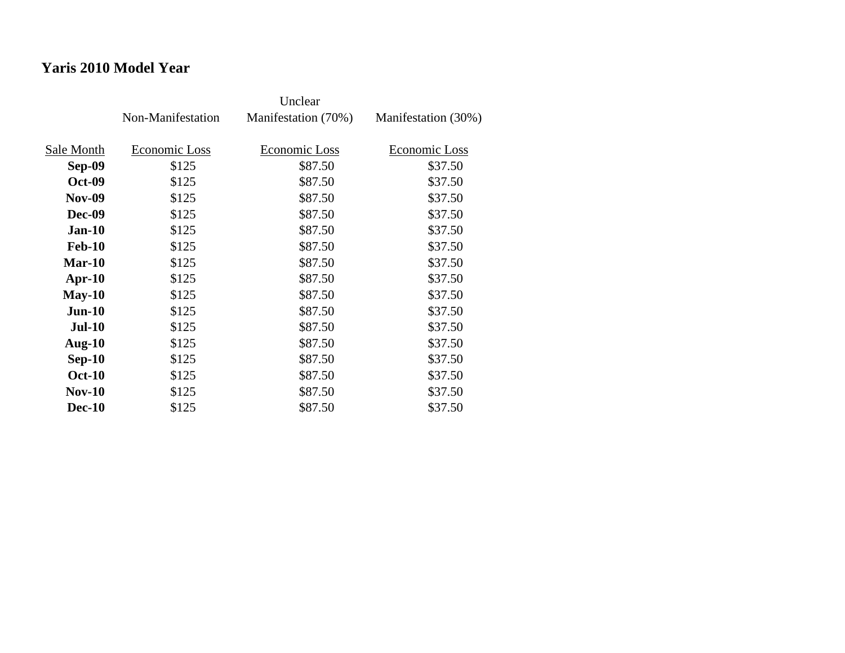# **Yaris 2010 Model Year**

|               | Non-Manifestation | Manifestation (70%) | Manifestation (30%) |
|---------------|-------------------|---------------------|---------------------|
| Sale Month    | Economic Loss     | Economic Loss       | Economic Loss       |
| Sep-09        | \$125             | \$87.50             | \$37.50             |
| <b>Oct-09</b> | \$125             | \$87.50             | \$37.50             |
| <b>Nov-09</b> | \$125             | \$87.50             | \$37.50             |
| <b>Dec-09</b> | \$125             | \$87.50             | \$37.50             |
| $Jan-10$      | \$125             | \$87.50             | \$37.50             |
| <b>Feb-10</b> | \$125             | \$87.50             | \$37.50             |
| Mar-10        | \$125             | \$87.50             | \$37.50             |
| $Apr-10$      | \$125             | \$87.50             | \$37.50             |
| $May-10$      | \$125             | \$87.50             | \$37.50             |
| $Jun-10$      | \$125             | \$87.50             | \$37.50             |
| <b>Jul-10</b> | \$125             | \$87.50             | \$37.50             |
| Aug- $10$     | \$125             | \$87.50             | \$37.50             |
| $Sep-10$      | \$125             | \$87.50             | \$37.50             |
| <b>Oct-10</b> | \$125             | \$87.50             | \$37.50             |
| <b>Nov-10</b> | \$125             | \$87.50             | \$37.50             |
| <b>Dec-10</b> | \$125             | \$87.50             | \$37.50             |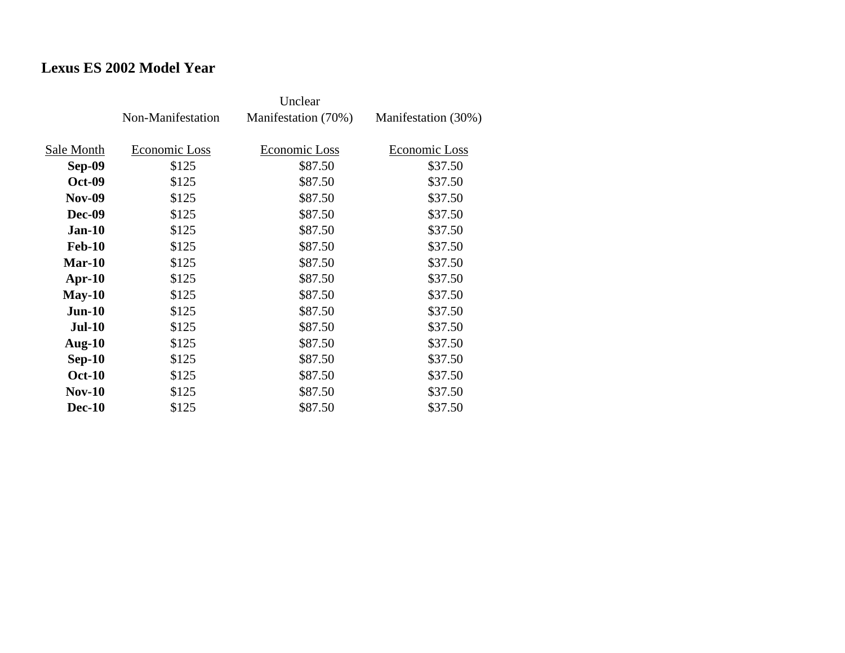## **Lexus ES 2002 Model Year**

|               | Non-Manifestation | Manifestation (70%) | Manifestation (30%) |
|---------------|-------------------|---------------------|---------------------|
| Sale Month    | Economic Loss     | Economic Loss       | Economic Loss       |
| Sep-09        | \$125             | \$87.50             | \$37.50             |
| <b>Oct-09</b> | \$125             | \$87.50             | \$37.50             |
| <b>Nov-09</b> | \$125             | \$87.50             | \$37.50             |
| <b>Dec-09</b> | \$125             | \$87.50             | \$37.50             |
| <b>Jan-10</b> | \$125             | \$87.50             | \$37.50             |
| <b>Feb-10</b> | \$125             | \$87.50             | \$37.50             |
| $Mar-10$      | \$125             | \$87.50             | \$37.50             |
| $Apr-10$      | \$125             | \$87.50             | \$37.50             |
| $May-10$      | \$125             | \$87.50             | \$37.50             |
| $Jun-10$      | \$125             | \$87.50             | \$37.50             |
| <b>Jul-10</b> | \$125             | \$87.50             | \$37.50             |
| Aug- $10$     | \$125             | \$87.50             | \$37.50             |
| $Sep-10$      | \$125             | \$87.50             | \$37.50             |
| <b>Oct-10</b> | \$125             | \$87.50             | \$37.50             |
| $Nov-10$      | \$125             | \$87.50             | \$37.50             |
| <b>Dec-10</b> | \$125             | \$87.50             | \$37.50             |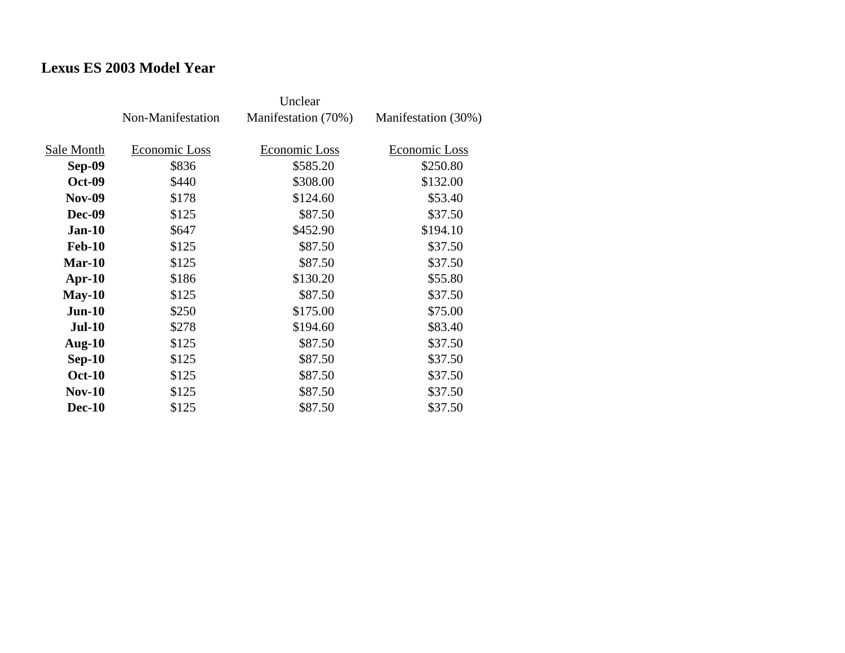## **Lexus ES 2003 Model Year**

|               | Non-Manifestation | Manifestation (70%)  | Manifestation (30%) |
|---------------|-------------------|----------------------|---------------------|
| Sale Month    | Economic Loss     | <b>Economic Loss</b> | Economic Loss       |
| <b>Sep-09</b> | \$836             | \$585.20             | \$250.80            |
| <b>Oct-09</b> | \$440             | \$308.00             | \$132.00            |
| <b>Nov-09</b> |                   | \$124.60             | \$53.40             |
|               | \$178             |                      |                     |
| <b>Dec-09</b> | \$125             | \$87.50              | \$37.50             |
| $Jan-10$      | \$647             | \$452.90             | \$194.10            |
| <b>Feb-10</b> | \$125             | \$87.50              | \$37.50             |
| $Mar-10$      | \$125             | \$87.50              | \$37.50             |
| $Apr-10$      | \$186             | \$130.20             | \$55.80             |
| $May-10$      | \$125             | \$87.50              | \$37.50             |
| $Jun-10$      | \$250             | \$175.00             | \$75.00             |
| <b>Jul-10</b> | \$278             | \$194.60             | \$83.40             |
| Aug- $10$     | \$125             | \$87.50              | \$37.50             |
| $Sep-10$      | \$125             | \$87.50              | \$37.50             |
| <b>Oct-10</b> | \$125             | \$87.50              | \$37.50             |
| $Nov-10$      | \$125             | \$87.50              | \$37.50             |
| <b>Dec-10</b> | \$125             | \$87.50              | \$37.50             |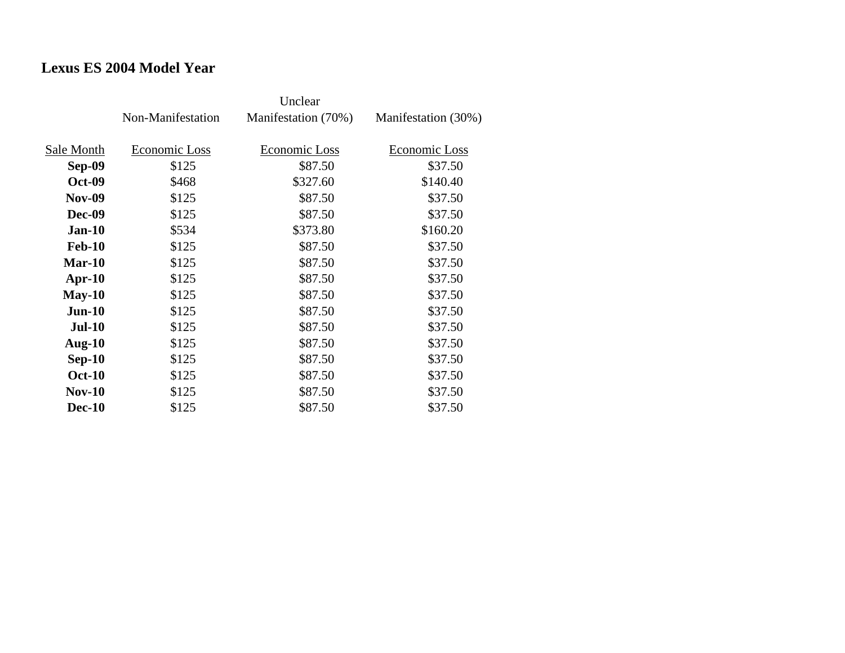## **Lexus ES 2004 Model Year**

|               | Non-Manifestation | Manifestation (70%) | Manifestation (30%) |
|---------------|-------------------|---------------------|---------------------|
| Sale Month    | Economic Loss     | Economic Loss       | Economic Loss       |
| Sep-09        | \$125             | \$87.50             | \$37.50             |
| <b>Oct-09</b> | \$468             | \$327.60            | \$140.40            |
| <b>Nov-09</b> | \$125             | \$87.50             | \$37.50             |
| Dec-09        | \$125             | \$87.50             | \$37.50             |
| <b>Jan-10</b> | \$534             | \$373.80            | \$160.20            |
| <b>Feb-10</b> | \$125             | \$87.50             | \$37.50             |
| $Mar-10$      | \$125             | \$87.50             | \$37.50             |
| $Apr-10$      | \$125             | \$87.50             | \$37.50             |
| $May-10$      | \$125             | \$87.50             | \$37.50             |
| $Jun-10$      | \$125             | \$87.50             | \$37.50             |
| <b>Jul-10</b> | \$125             | \$87.50             | \$37.50             |
| Aug- $10$     | \$125             | \$87.50             | \$37.50             |
| $Sep-10$      | \$125             | \$87.50             | \$37.50             |
| <b>Oct-10</b> | \$125             | \$87.50             | \$37.50             |
| <b>Nov-10</b> | \$125             | \$87.50             | \$37.50             |
| <b>Dec-10</b> | \$125             | \$87.50             | \$37.50             |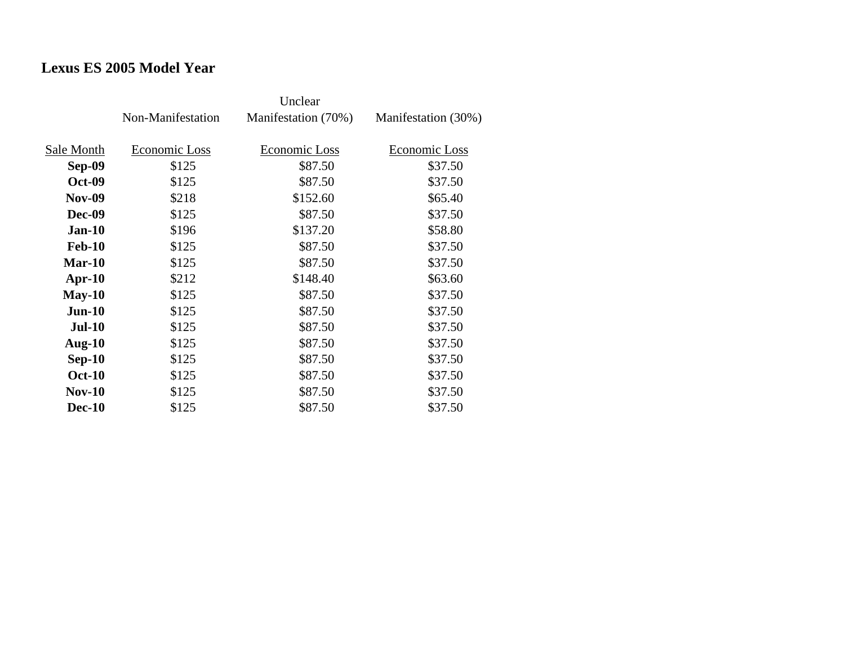## **Lexus ES 2005 Model Year**

|               | Non-Manifestation | Manifestation (70%) | Manifestation (30%) |
|---------------|-------------------|---------------------|---------------------|
| Sale Month    | Economic Loss     | Economic Loss       | Economic Loss       |
| <b>Sep-09</b> | \$125             | \$87.50             | \$37.50             |
| <b>Oct-09</b> | \$125             | \$87.50             | \$37.50             |
| <b>Nov-09</b> | \$218             | \$152.60            | \$65.40             |
| <b>Dec-09</b> | \$125             | \$87.50             | \$37.50             |
| <b>Jan-10</b> | \$196             | \$137.20            | \$58.80             |
| <b>Feb-10</b> | \$125             | \$87.50             | \$37.50             |
| $Mar-10$      | \$125             | \$87.50             | \$37.50             |
| $Apr-10$      | \$212             | \$148.40            | \$63.60             |
| $May-10$      | \$125             | \$87.50             | \$37.50             |
| $Jun-10$      | \$125             | \$87.50             | \$37.50             |
| $Jul-10$      | \$125             | \$87.50             | \$37.50             |
| Aug- $10$     | \$125             | \$87.50             | \$37.50             |
| $Sep-10$      | \$125             | \$87.50             | \$37.50             |
| <b>Oct-10</b> | \$125             | \$87.50             | \$37.50             |
| $Nov-10$      | \$125             | \$87.50             | \$37.50             |
| <b>Dec-10</b> | \$125             | \$87.50             | \$37.50             |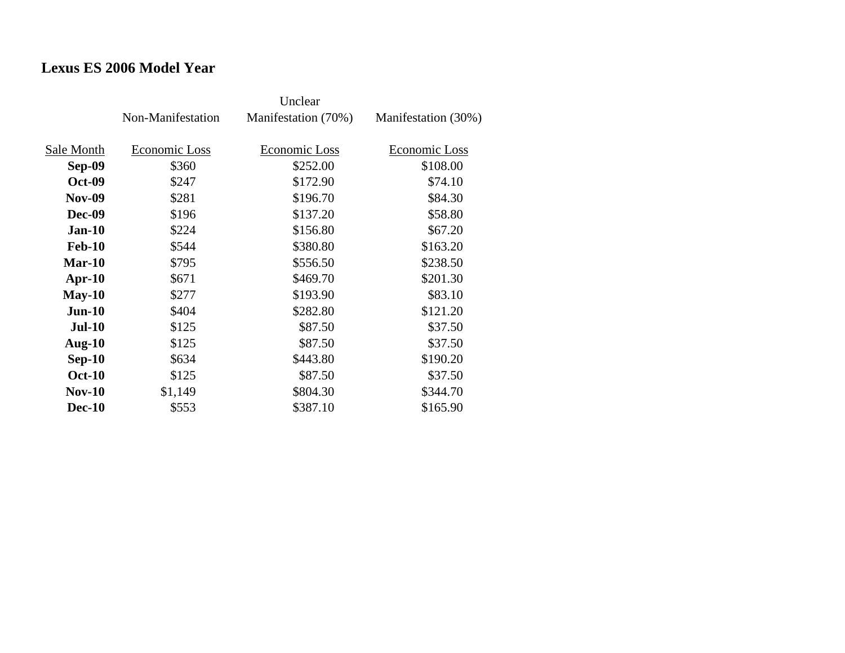## **Lexus ES 2006 Model Year**

|               | Non-Manifestation | Manifestation (70%) | Manifestation (30%) |
|---------------|-------------------|---------------------|---------------------|
| Sale Month    | Economic Loss     | Economic Loss       | Economic Loss       |
|               |                   |                     |                     |
| Sep-09        | \$360             | \$252.00            | \$108.00            |
| <b>Oct-09</b> | \$247             | \$172.90            | \$74.10             |
| <b>Nov-09</b> | \$281             | \$196.70            | \$84.30             |
| Dec-09        | \$196             | \$137.20            | \$58.80             |
| <b>Jan-10</b> | \$224             | \$156.80            | \$67.20             |
| <b>Feb-10</b> | \$544             | \$380.80            | \$163.20            |
| $Mar-10$      | \$795             | \$556.50            | \$238.50            |
| $Apr-10$      | \$671             | \$469.70            | \$201.30            |
| $May-10$      | \$277             | \$193.90            | \$83.10             |
| $Jun-10$      | \$404             | \$282.80            | \$121.20            |
| <b>Jul-10</b> | \$125             | \$87.50             | \$37.50             |
| Aug- $10$     | \$125             | \$87.50             | \$37.50             |
| $Sep-10$      | \$634             | \$443.80            | \$190.20            |
| <b>Oct-10</b> | \$125             | \$87.50             | \$37.50             |
| $Nov-10$      | \$1,149           | \$804.30            | \$344.70            |
| <b>Dec-10</b> | \$553             | \$387.10            | \$165.90            |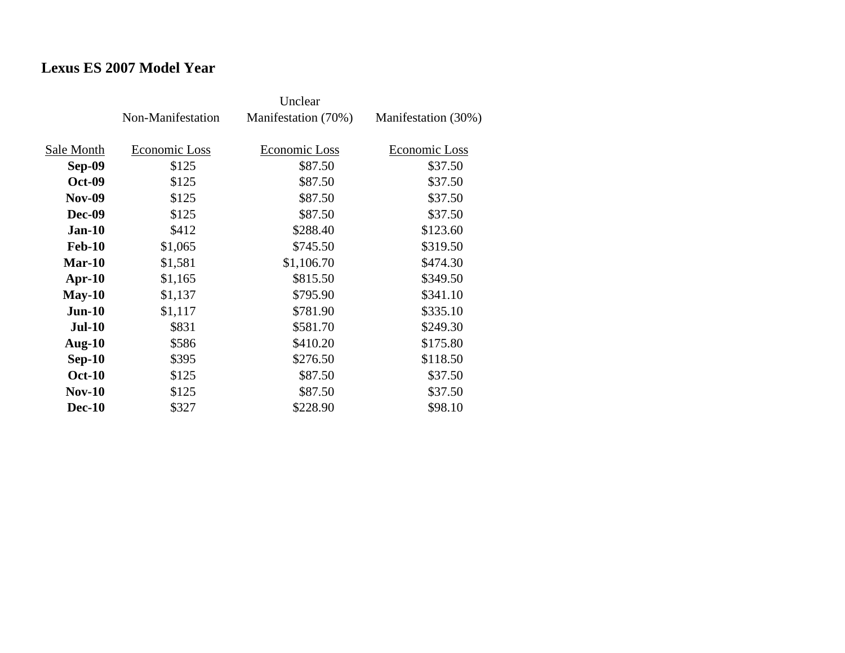## **Lexus ES 2007 Model Year**

|               | Non-Manifestation | Manifestation (70%)  | Manifestation (30%) |
|---------------|-------------------|----------------------|---------------------|
| Sale Month    | Economic Loss     | <b>Economic Loss</b> | Economic Loss       |
| Sep-09        | \$125             | \$87.50              | \$37.50             |
| <b>Oct-09</b> | \$125             | \$87.50              | \$37.50             |
| <b>Nov-09</b> | \$125             | \$87.50              | \$37.50             |
|               |                   |                      |                     |
| <b>Dec-09</b> | \$125             | \$87.50              | \$37.50             |
| $Jan-10$      | \$412             | \$288.40             | \$123.60            |
| <b>Feb-10</b> | \$1,065           | \$745.50             | \$319.50            |
| $Mar-10$      | \$1,581           | \$1,106.70           | \$474.30            |
| $Apr-10$      | \$1,165           | \$815.50             | \$349.50            |
| $May-10$      | \$1,137           | \$795.90             | \$341.10            |
| $Jun-10$      | \$1,117           | \$781.90             | \$335.10            |
| <b>Jul-10</b> | \$831             | \$581.70             | \$249.30            |
| Aug- $10$     | \$586             | \$410.20             | \$175.80            |
| $Sep-10$      | \$395             | \$276.50             | \$118.50            |
| <b>Oct-10</b> | \$125             | \$87.50              | \$37.50             |
| $Nov-10$      | \$125             | \$87.50              | \$37.50             |
| <b>Dec-10</b> | \$327             | \$228.90             | \$98.10             |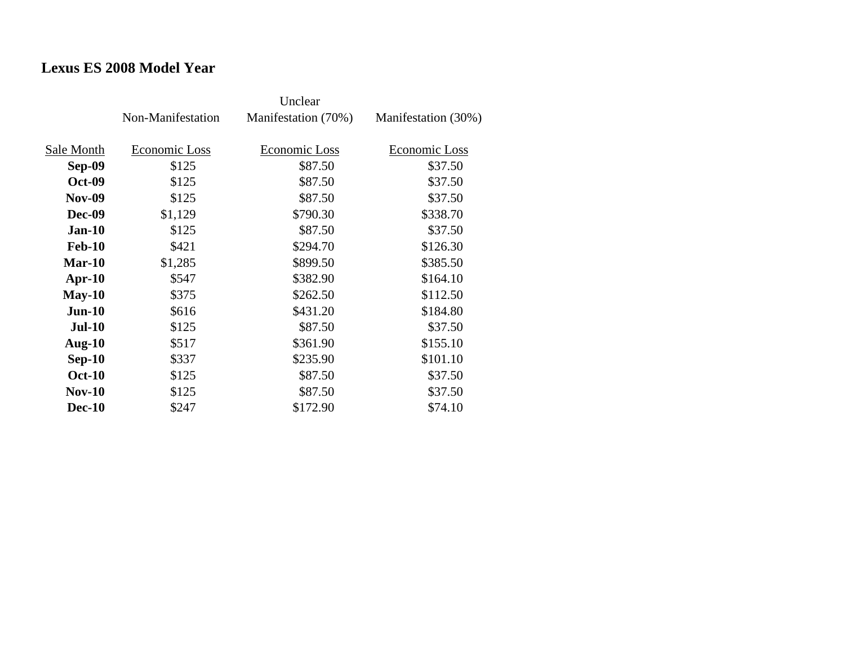## **Lexus ES 2008 Model Year**

|               | Non-Manifestation | Manifestation (70%)  | Manifestation (30%) |
|---------------|-------------------|----------------------|---------------------|
| Sale Month    | Economic Loss     | <b>Economic Loss</b> | Economic Loss       |
|               |                   |                      |                     |
| Sep-09        | \$125             | \$87.50              | \$37.50             |
| <b>Oct-09</b> | \$125             | \$87.50              | \$37.50             |
| <b>Nov-09</b> | \$125             | \$87.50              | \$37.50             |
| <b>Dec-09</b> | \$1,129           | \$790.30             | \$338.70            |
| $Jan-10$      | \$125             | \$87.50              | \$37.50             |
| <b>Feb-10</b> | \$421             | \$294.70             | \$126.30            |
| $Mar-10$      | \$1,285           | \$899.50             | \$385.50            |
| $Apr-10$      | \$547             | \$382.90             | \$164.10            |
| $May-10$      | \$375             | \$262.50             | \$112.50            |
| $Jun-10$      | \$616             | \$431.20             | \$184.80            |
| <b>Jul-10</b> | \$125             | \$87.50              | \$37.50             |
| Aug- $10$     | \$517             | \$361.90             | \$155.10            |
| $Sep-10$      | \$337             | \$235.90             | \$101.10            |
| <b>Oct-10</b> | \$125             | \$87.50              | \$37.50             |
| $Nov-10$      | \$125             | \$87.50              | \$37.50             |
| <b>Dec-10</b> | \$247             | \$172.90             | \$74.10             |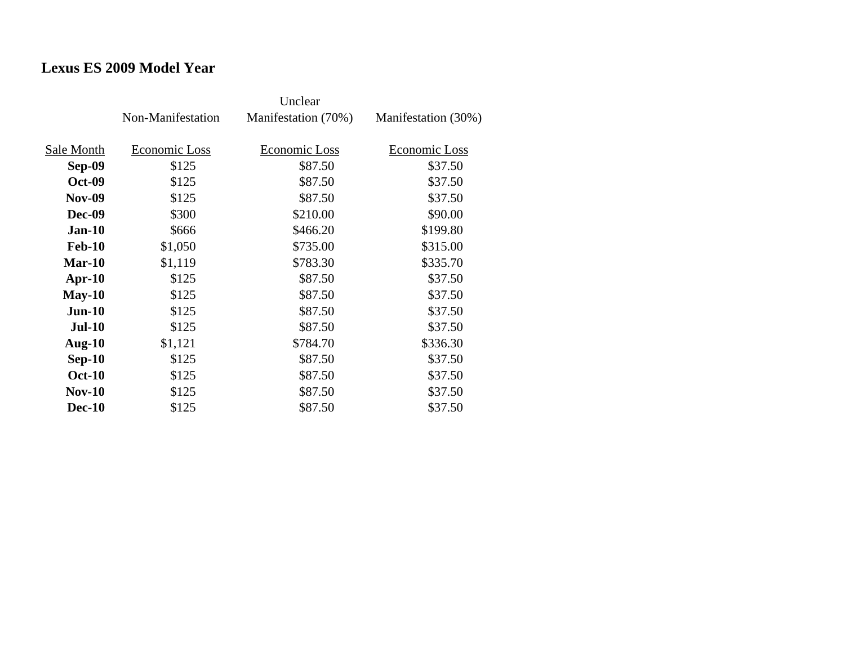## **Lexus ES 2009 Model Year**

|               | Non-Manifestation | Manifestation (70%) | Manifestation (30%) |
|---------------|-------------------|---------------------|---------------------|
| Sale Month    | Economic Loss     | Economic Loss       | Economic Loss       |
| Sep-09        | \$125             | \$87.50             | \$37.50             |
| <b>Oct-09</b> | \$125             | \$87.50             | \$37.50             |
| <b>Nov-09</b> | \$125             | \$87.50             | \$37.50             |
| Dec-09        | \$300             | \$210.00            | \$90.00             |
| <b>Jan-10</b> | \$666             | \$466.20            | \$199.80            |
| <b>Feb-10</b> | \$1,050           | \$735.00            | \$315.00            |
| $Mar-10$      | \$1,119           | \$783.30            | \$335.70            |
| Apr- $10$     | \$125             | \$87.50             | \$37.50             |
| $May-10$      | \$125             | \$87.50             | \$37.50             |
| $Jun-10$      | \$125             | \$87.50             | \$37.50             |
| <b>Jul-10</b> | \$125             | \$87.50             | \$37.50             |
| Aug- $10$     | \$1,121           | \$784.70            | \$336.30            |
| $Sep-10$      | \$125             | \$87.50             | \$37.50             |
| <b>Oct-10</b> | \$125             | \$87.50             | \$37.50             |
| $Nov-10$      | \$125             | \$87.50             | \$37.50             |
| <b>Dec-10</b> | \$125             | \$87.50             | \$37.50             |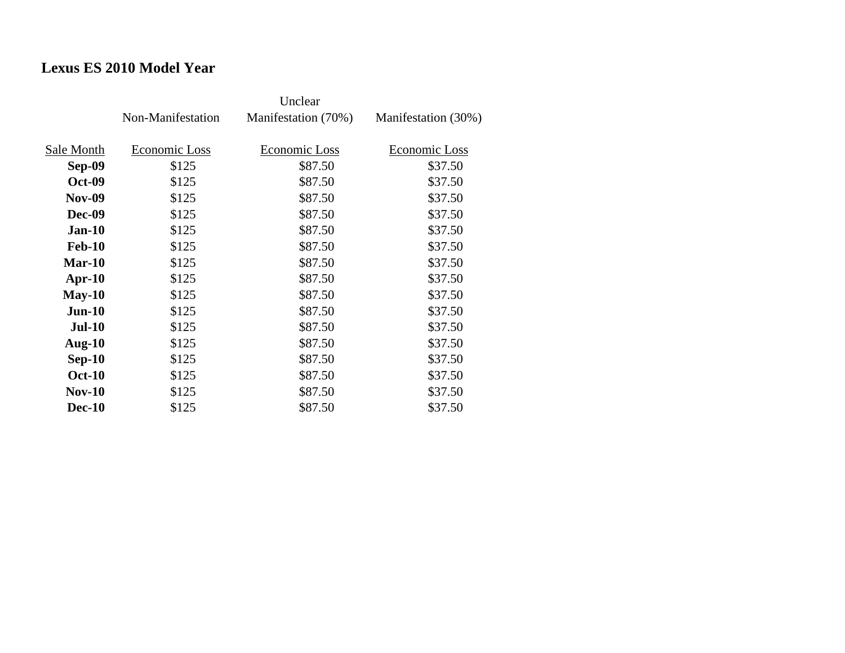## **Lexus ES 2010 Model Year**

|               | Non-Manifestation | Manifestation (70%) | Manifestation (30%) |
|---------------|-------------------|---------------------|---------------------|
| Sale Month    | Economic Loss     | Economic Loss       | Economic Loss       |
| Sep-09        | \$125             | \$87.50             | \$37.50             |
| <b>Oct-09</b> | \$125             | \$87.50             | \$37.50             |
| <b>Nov-09</b> | \$125             | \$87.50             | \$37.50             |
| Dec-09        | \$125             | \$87.50             | \$37.50             |
| <b>Jan-10</b> | \$125             | \$87.50             | \$37.50             |
| <b>Feb-10</b> | \$125             | \$87.50             | \$37.50             |
| $Mar-10$      | \$125             | \$87.50             | \$37.50             |
| $Apr-10$      | \$125             | \$87.50             | \$37.50             |
| $May-10$      | \$125             | \$87.50             | \$37.50             |
| $Jun-10$      | \$125             | \$87.50             | \$37.50             |
| <b>Jul-10</b> | \$125             | \$87.50             | \$37.50             |
| Aug- $10$     | \$125             | \$87.50             | \$37.50             |
| $Sep-10$      | \$125             | \$87.50             | \$37.50             |
| <b>Oct-10</b> | \$125             | \$87.50             | \$37.50             |
| <b>Nov-10</b> | \$125             | \$87.50             | \$37.50             |
| <b>Dec-10</b> | \$125             | \$87.50             | \$37.50             |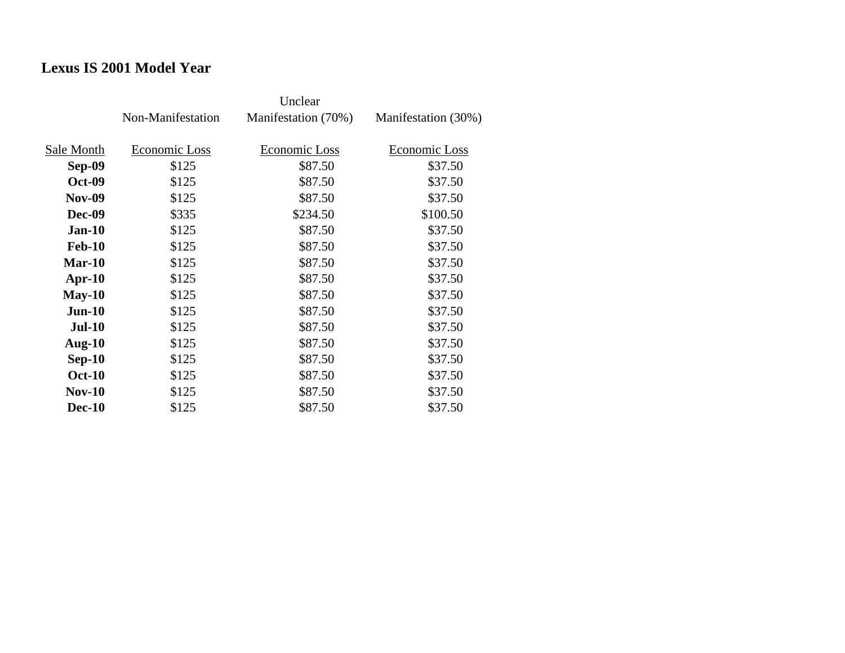## **Lexus IS 2001 Model Year**

|               | Non-Manifestation | Manifestation (70%) | Manifestation (30%) |
|---------------|-------------------|---------------------|---------------------|
| Sale Month    | Economic Loss     | Economic Loss       | Economic Loss       |
| Sep-09        | \$125             | \$87.50             | \$37.50             |
| <b>Oct-09</b> | \$125             | \$87.50             | \$37.50             |
| <b>Nov-09</b> | \$125             | \$87.50             | \$37.50             |
| <b>Dec-09</b> | \$335             | \$234.50            | \$100.50            |
| $Jan-10$      | \$125             | \$87.50             | \$37.50             |
| <b>Feb-10</b> | \$125             | \$87.50             | \$37.50             |
| $Mar-10$      | \$125             | \$87.50             | \$37.50             |
| $Apr-10$      | \$125             | \$87.50             | \$37.50             |
| $May-10$      | \$125             | \$87.50             | \$37.50             |
| $Jun-10$      | \$125             | \$87.50             | \$37.50             |
| <b>Jul-10</b> | \$125             | \$87.50             | \$37.50             |
| Aug- $10$     | \$125             | \$87.50             | \$37.50             |
| $Sep-10$      | \$125             | \$87.50             | \$37.50             |
| <b>Oct-10</b> | \$125             | \$87.50             | \$37.50             |
| $Nov-10$      | \$125             | \$87.50             | \$37.50             |
| <b>Dec-10</b> | \$125             | \$87.50             | \$37.50             |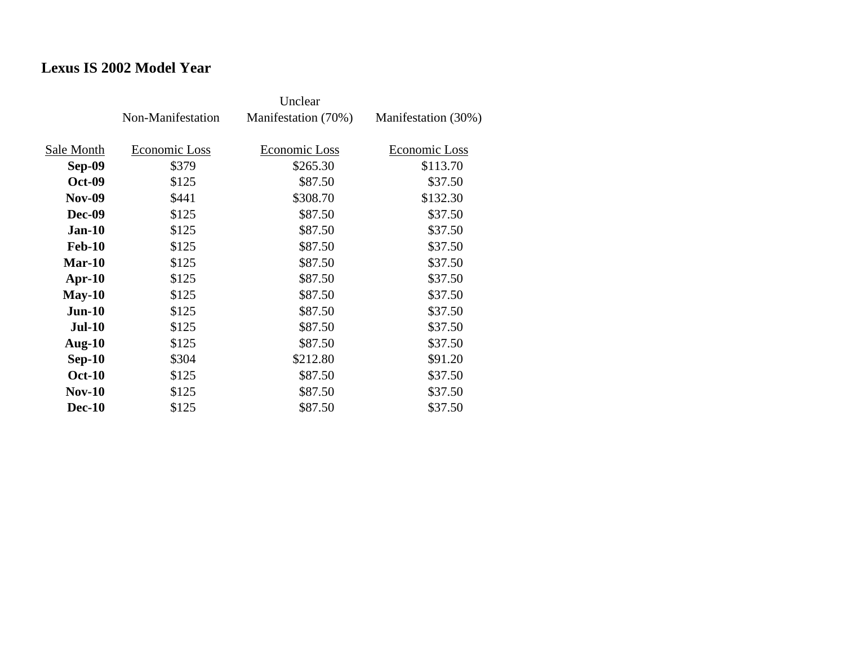## **Lexus IS 2002 Model Year**

|               | Non-Manifestation | Manifestation (70%) | Manifestation (30%) |
|---------------|-------------------|---------------------|---------------------|
|               |                   |                     |                     |
| Sale Month    | Economic Loss     | Economic Loss       | Economic Loss       |
| Sep-09        | \$379             | \$265.30            | \$113.70            |
| <b>Oct-09</b> | \$125             | \$87.50             | \$37.50             |
| <b>Nov-09</b> | \$441             | \$308.70            | \$132.30            |
| <b>Dec-09</b> | \$125             | \$87.50             | \$37.50             |
| <b>Jan-10</b> | \$125             | \$87.50             | \$37.50             |
| <b>Feb-10</b> | \$125             | \$87.50             | \$37.50             |
| $Mar-10$      | \$125             | \$87.50             | \$37.50             |
| $Apr-10$      | \$125             | \$87.50             | \$37.50             |
| $May-10$      | \$125             | \$87.50             | \$37.50             |
| $Jun-10$      | \$125             | \$87.50             | \$37.50             |
| <b>Jul-10</b> | \$125             | \$87.50             | \$37.50             |
| Aug- $10$     | \$125             | \$87.50             | \$37.50             |
| $Sep-10$      | \$304             | \$212.80            | \$91.20             |
| <b>Oct-10</b> | \$125             | \$87.50             | \$37.50             |
| $Nov-10$      | \$125             | \$87.50             | \$37.50             |
| <b>Dec-10</b> | \$125             | \$87.50             | \$37.50             |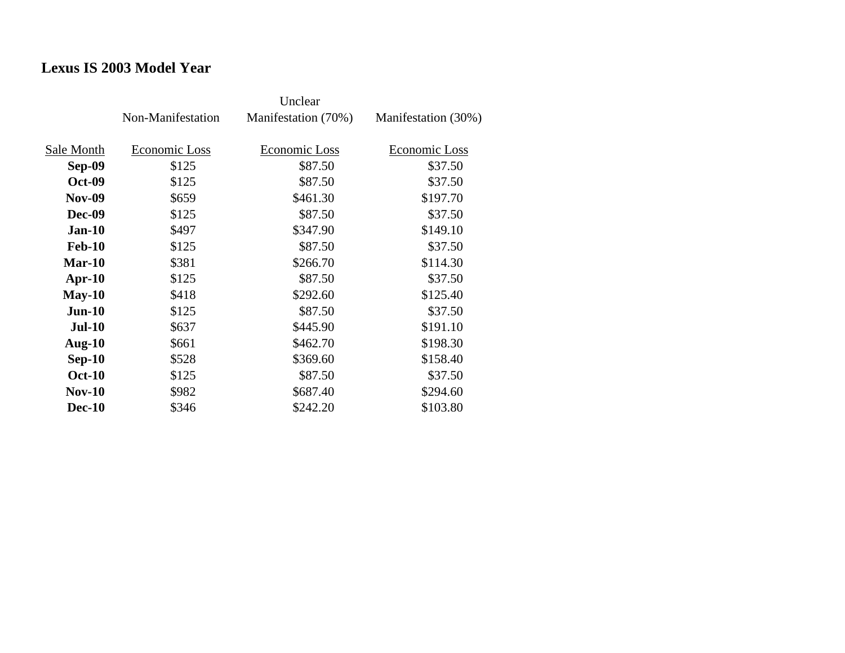## **Lexus IS 2003 Model Year**

|               | Non-Manifestation | Manifestation (70%) | Manifestation (30%) |
|---------------|-------------------|---------------------|---------------------|
| Sale Month    | Economic Loss     | Economic Loss       | Economic Loss       |
| Sep-09        | \$125             | \$87.50             | \$37.50             |
| <b>Oct-09</b> | \$125             | \$87.50             | \$37.50             |
| <b>Nov-09</b> | \$659             | \$461.30            | \$197.70            |
| Dec-09        | \$125             | \$87.50             | \$37.50             |
| <b>Jan-10</b> | \$497             | \$347.90            | \$149.10            |
| <b>Feb-10</b> | \$125             | \$87.50             | \$37.50             |
| $Mar-10$      | \$381             | \$266.70            | \$114.30            |
| $Apr-10$      | \$125             | \$87.50             | \$37.50             |
| $May-10$      | \$418             | \$292.60            | \$125.40            |
| $Jun-10$      | \$125             | \$87.50             | \$37.50             |
| <b>Jul-10</b> | \$637             | \$445.90            | \$191.10            |
| Aug- $10$     | \$661             | \$462.70            | \$198.30            |
| $Sep-10$      | \$528             | \$369.60            | \$158.40            |
| <b>Oct-10</b> | \$125             | \$87.50             | \$37.50             |
| $Nov-10$      | \$982             | \$687.40            | \$294.60            |
| <b>Dec-10</b> | \$346             | \$242.20            | \$103.80            |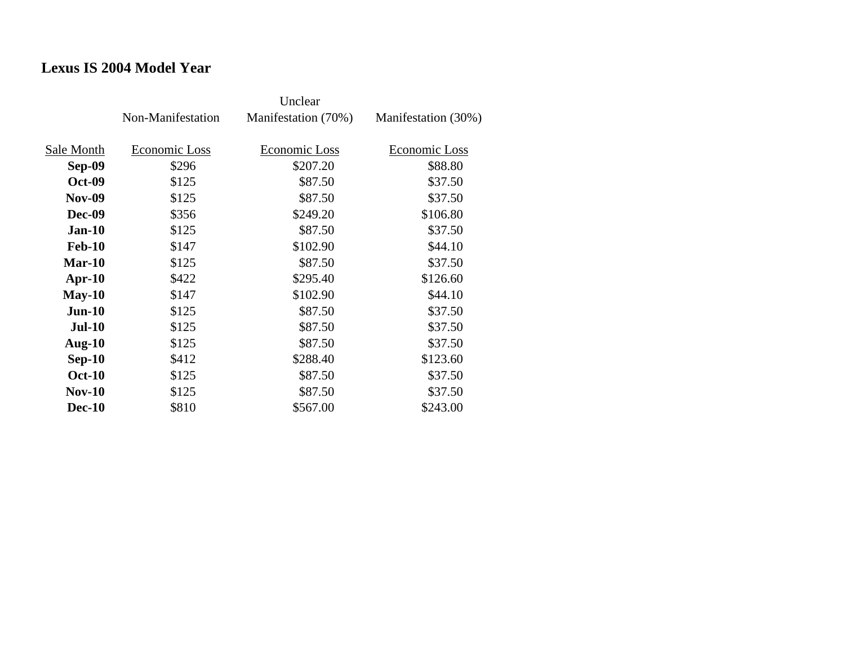#### **Lexus IS 2004 Model Year**

|               | Non-Manifestation | Manifestation (70%) | Manifestation (30%) |
|---------------|-------------------|---------------------|---------------------|
| Sale Month    | Economic Loss     | Economic Loss       | Economic Loss       |
| Sep-09        | \$296             | \$207.20            | \$88.80             |
| <b>Oct-09</b> | \$125             | \$87.50             | \$37.50             |
| <b>Nov-09</b> | \$125             | \$87.50             | \$37.50             |
| Dec-09        | \$356             | \$249.20            | \$106.80            |
| $Jan-10$      | \$125             | \$87.50             | \$37.50             |
| <b>Feb-10</b> | \$147             | \$102.90            | \$44.10             |
| $Mar-10$      | \$125             | \$87.50             | \$37.50             |
| $Apr-10$      | \$422             | \$295.40            | \$126.60            |
| $May-10$      | \$147             | \$102.90            | \$44.10             |
| $Jun-10$      | \$125             | \$87.50             | \$37.50             |
| <b>Jul-10</b> | \$125             | \$87.50             | \$37.50             |
| Aug- $10$     | \$125             | \$87.50             | \$37.50             |
| $Sep-10$      | \$412             | \$288.40            | \$123.60            |
| <b>Oct-10</b> | \$125             | \$87.50             | \$37.50             |
| $Nov-10$      | \$125             | \$87.50             | \$37.50             |
| <b>Dec-10</b> | \$810             | \$567.00            | \$243.00            |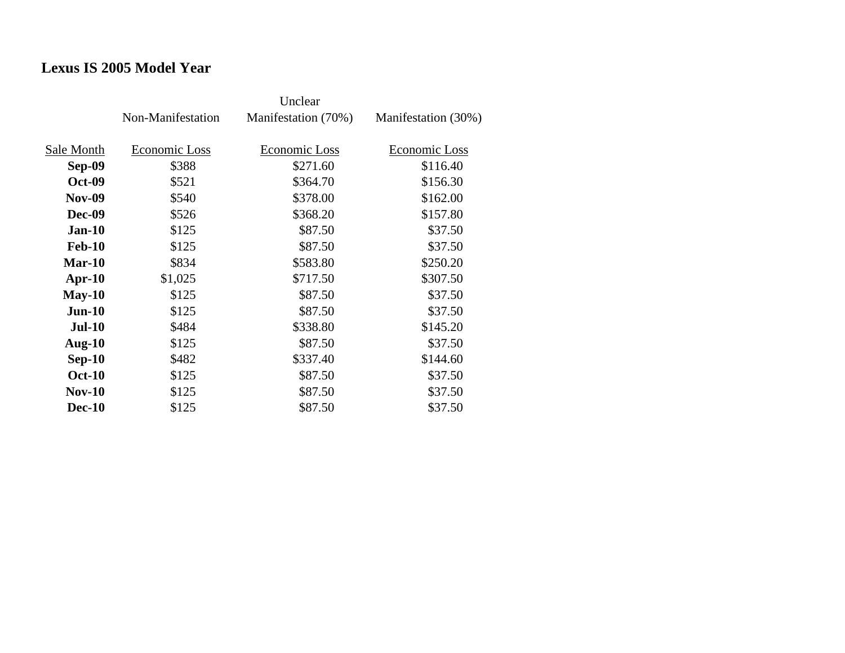## **Lexus IS 2005 Model Year**

|               | Non-Manifestation | Manifestation (70%) | Manifestation (30%) |
|---------------|-------------------|---------------------|---------------------|
| Sale Month    | Economic Loss     | Economic Loss       | Economic Loss       |
| <b>Sep-09</b> | \$388             | \$271.60            | \$116.40            |
| <b>Oct-09</b> | \$521             | \$364.70            | \$156.30            |
| <b>Nov-09</b> | \$540             | \$378.00            | \$162.00            |
| <b>Dec-09</b> | \$526             | \$368.20            | \$157.80            |
| $Jan-10$      | \$125             | \$87.50             | \$37.50             |
| <b>Feb-10</b> | \$125             | \$87.50             | \$37.50             |
| $Mar-10$      | \$834             | \$583.80            | \$250.20            |
| Apr- $10$     | \$1,025           | \$717.50            | \$307.50            |
| $May-10$      | \$125             | \$87.50             | \$37.50             |
| $Jun-10$      | \$125             | \$87.50             | \$37.50             |
| <b>Jul-10</b> | \$484             | \$338.80            | \$145.20            |
| Aug- $10$     | \$125             | \$87.50             | \$37.50             |
| $Sep-10$      | \$482             | \$337.40            | \$144.60            |
| <b>Oct-10</b> | \$125             | \$87.50             | \$37.50             |
| $Nov-10$      | \$125             | \$87.50             | \$37.50             |
| <b>Dec-10</b> | \$125             | \$87.50             | \$37.50             |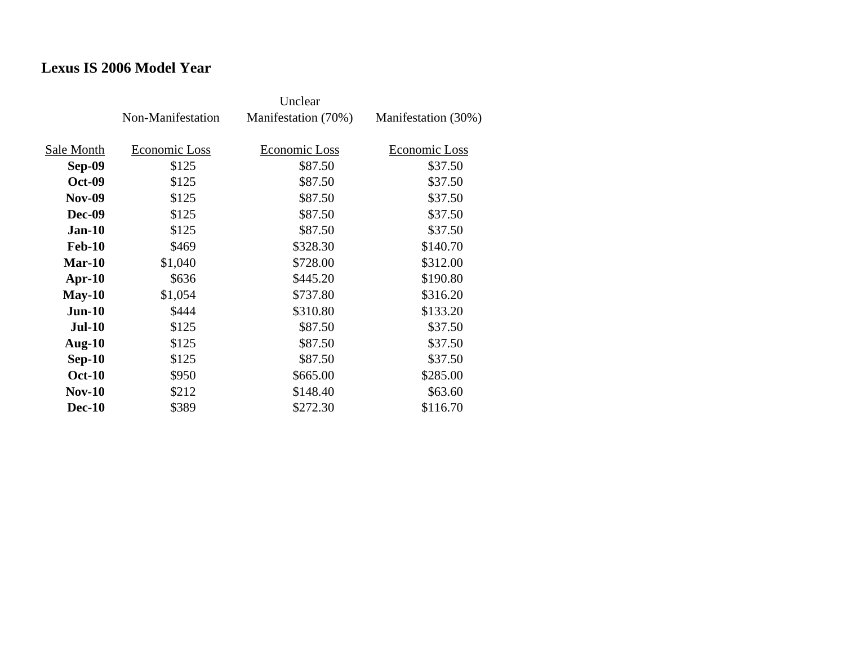#### **Lexus IS 2006 Model Year**

|               | Non-Manifestation | Manifestation (70%) | Manifestation (30%) |
|---------------|-------------------|---------------------|---------------------|
| Sale Month    | Economic Loss     | Economic Loss       | Economic Loss       |
| Sep-09        | \$125             | \$87.50             | \$37.50             |
| <b>Oct-09</b> | \$125             | \$87.50             | \$37.50             |
| <b>Nov-09</b> | \$125             | \$87.50             | \$37.50             |
| Dec-09        | \$125             | \$87.50             | \$37.50             |
| $Jan-10$      | \$125             | \$87.50             | \$37.50             |
| <b>Feb-10</b> | \$469             | \$328.30            | \$140.70            |
| $Mar-10$      | \$1,040           | \$728.00            | \$312.00            |
| $Apr-10$      | \$636             | \$445.20            | \$190.80            |
| $May-10$      | \$1,054           | \$737.80            | \$316.20            |
| $Jun-10$      | \$444             | \$310.80            | \$133.20            |
| <b>Jul-10</b> | \$125             | \$87.50             | \$37.50             |
| Aug- $10$     | \$125             | \$87.50             | \$37.50             |
| $Sep-10$      | \$125             | \$87.50             | \$37.50             |
| <b>Oct-10</b> | \$950             | \$665.00            | \$285.00            |
| $Nov-10$      | \$212             | \$148.40            | \$63.60             |
| <b>Dec-10</b> | \$389             | \$272.30            | \$116.70            |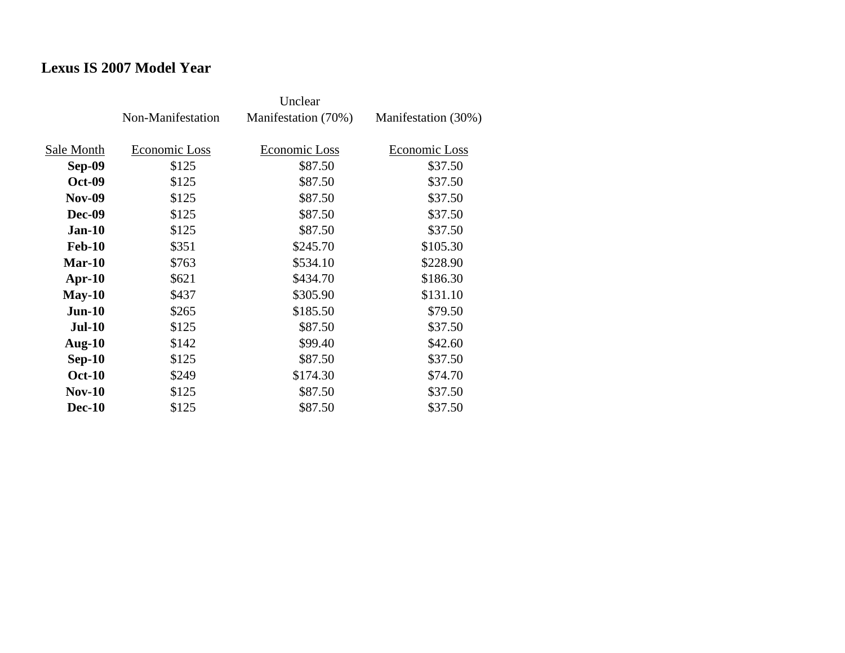## **Lexus IS 2007 Model Year**

|               | Non-Manifestation | Manifestation (70%) | Manifestation (30%) |
|---------------|-------------------|---------------------|---------------------|
| Sale Month    | Economic Loss     | Economic Loss       | Economic Loss       |
| Sep-09        | \$125             | \$87.50             | \$37.50             |
| <b>Oct-09</b> | \$125             | \$87.50             | \$37.50             |
| <b>Nov-09</b> | \$125             | \$87.50             | \$37.50             |
| <b>Dec-09</b> | \$125             | \$87.50             | \$37.50             |
| $Jan-10$      | \$125             | \$87.50             | \$37.50             |
| <b>Feb-10</b> | \$351             | \$245.70            | \$105.30            |
| $Mar-10$      | \$763             | \$534.10            | \$228.90            |
| $Apr-10$      | \$621             | \$434.70            | \$186.30            |
| $May-10$      | \$437             | \$305.90            | \$131.10            |
| $Jun-10$      | \$265             | \$185.50            | \$79.50             |
| <b>Jul-10</b> | \$125             | \$87.50             | \$37.50             |
| Aug- $10$     | \$142             | \$99.40             | \$42.60             |
| $Sep-10$      | \$125             | \$87.50             | \$37.50             |
| <b>Oct-10</b> | \$249             | \$174.30            | \$74.70             |
| $Nov-10$      | \$125             | \$87.50             | \$37.50             |
| <b>Dec-10</b> | \$125             | \$87.50             | \$37.50             |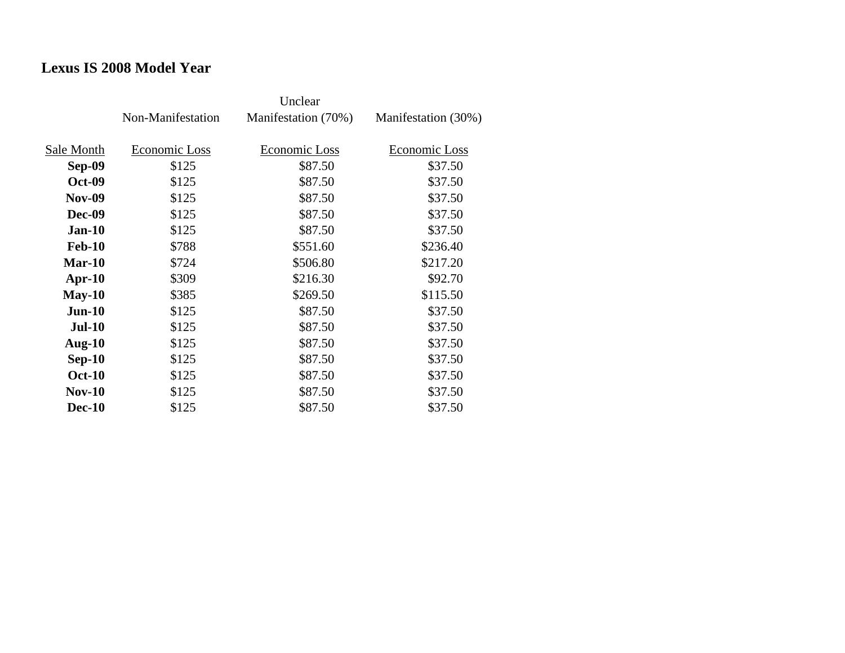#### **Lexus IS 2008 Model Year**

|               | Non-Manifestation | Manifestation (70%) | Manifestation (30%) |
|---------------|-------------------|---------------------|---------------------|
| Sale Month    | Economic Loss     | Economic Loss       | Economic Loss       |
| Sep-09        | \$125             | \$87.50             | \$37.50             |
| <b>Oct-09</b> | \$125             | \$87.50             | \$37.50             |
| <b>Nov-09</b> | \$125             | \$87.50             | \$37.50             |
| <b>Dec-09</b> | \$125             | \$87.50             | \$37.50             |
| $Jan-10$      | \$125             | \$87.50             | \$37.50             |
| <b>Feb-10</b> | \$788             | \$551.60            | \$236.40            |
| $Mar-10$      | \$724             | \$506.80            | \$217.20            |
| $Apr-10$      | \$309             | \$216.30            | \$92.70             |
| $May-10$      | \$385             | \$269.50            | \$115.50            |
| $Jun-10$      | \$125             | \$87.50             | \$37.50             |
| <b>Jul-10</b> | \$125             | \$87.50             | \$37.50             |
| Aug- $10$     | \$125             | \$87.50             | \$37.50             |
| $Sep-10$      | \$125             | \$87.50             | \$37.50             |
| <b>Oct-10</b> | \$125             | \$87.50             | \$37.50             |
| $Nov-10$      | \$125             | \$87.50             | \$37.50             |
| <b>Dec-10</b> | \$125             | \$87.50             | \$37.50             |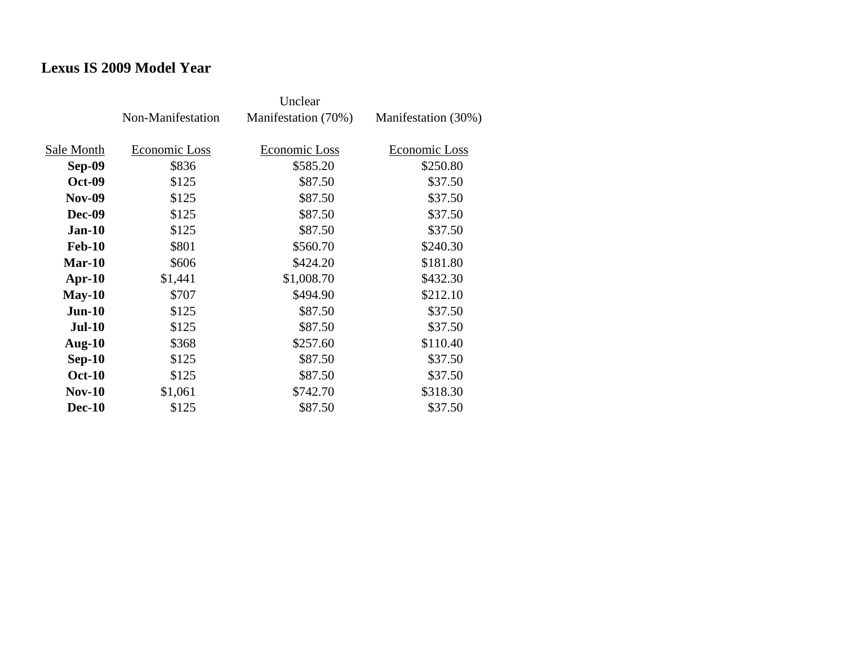#### **Lexus IS 2009 Model Year**

|               | Non-Manifestation | Manifestation (70%) | Manifestation (30%) |
|---------------|-------------------|---------------------|---------------------|
| Sale Month    | Economic Loss     | Economic Loss       | Economic Loss       |
| Sep-09        | \$836             | \$585.20            | \$250.80            |
| <b>Oct-09</b> | \$125             | \$87.50             | \$37.50             |
| <b>Nov-09</b> |                   |                     |                     |
|               | \$125             | \$87.50             | \$37.50             |
| Dec-09        | \$125             | \$87.50             | \$37.50             |
| <b>Jan-10</b> | \$125             | \$87.50             | \$37.50             |
| <b>Feb-10</b> | \$801             | \$560.70            | \$240.30            |
| $Mar-10$      | \$606             | \$424.20            | \$181.80            |
| $Apr-10$      | \$1,441           | \$1,008.70          | \$432.30            |
| $May-10$      | \$707             | \$494.90            | \$212.10            |
| $Jun-10$      | \$125             | \$87.50             | \$37.50             |
| <b>Jul-10</b> | \$125             | \$87.50             | \$37.50             |
| Aug- $10$     | \$368             | \$257.60            | \$110.40            |
| $Sep-10$      | \$125             | \$87.50             | \$37.50             |
| <b>Oct-10</b> | \$125             | \$87.50             | \$37.50             |
| $Nov-10$      | \$1,061           | \$742.70            | \$318.30            |
| <b>Dec-10</b> | \$125             | \$87.50             | \$37.50             |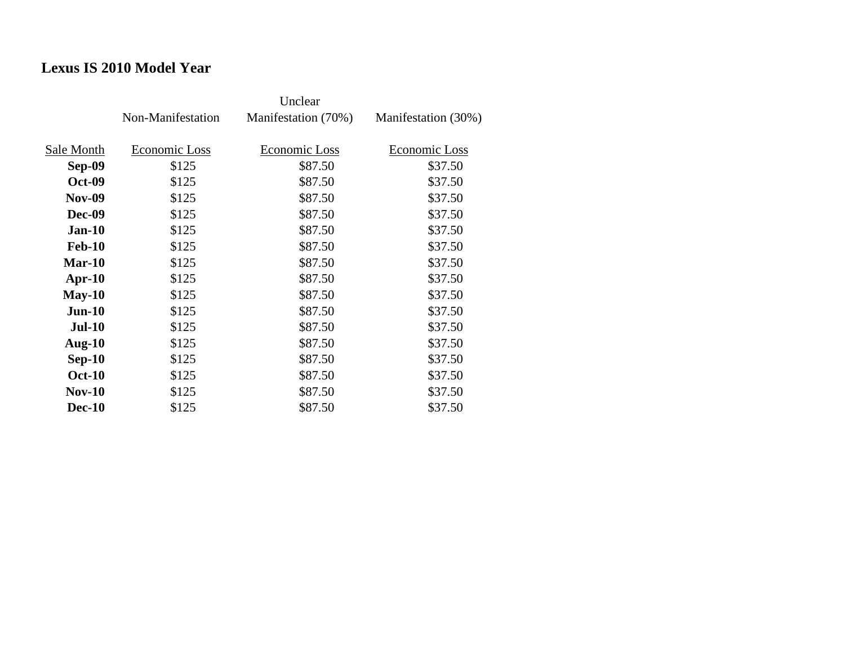## **Lexus IS 2010 Model Year**

|               | Non-Manifestation | Manifestation (70%) | Manifestation (30%) |
|---------------|-------------------|---------------------|---------------------|
| Sale Month    | Economic Loss     | Economic Loss       | Economic Loss       |
| Sep-09        | \$125             | \$87.50             | \$37.50             |
| <b>Oct-09</b> | \$125             | \$87.50             | \$37.50             |
| <b>Nov-09</b> | \$125             | \$87.50             | \$37.50             |
| <b>Dec-09</b> | \$125             | \$87.50             | \$37.50             |
| $Jan-10$      | \$125             | \$87.50             | \$37.50             |
| <b>Feb-10</b> | \$125             | \$87.50             | \$37.50             |
| Mar-10        | \$125             | \$87.50             | \$37.50             |
| $Apr-10$      | \$125             | \$87.50             | \$37.50             |
| $May-10$      | \$125             | \$87.50             | \$37.50             |
| $Jun-10$      | \$125             | \$87.50             | \$37.50             |
| $Jul-10$      | \$125             | \$87.50             | \$37.50             |
| Aug- $10$     | \$125             | \$87.50             | \$37.50             |
| $Sep-10$      | \$125             | \$87.50             | \$37.50             |
| <b>Oct-10</b> | \$125             | \$87.50             | \$37.50             |
| $Nov-10$      | \$125             | \$87.50             | \$37.50             |
| <b>Dec-10</b> | \$125             | \$87.50             | \$37.50             |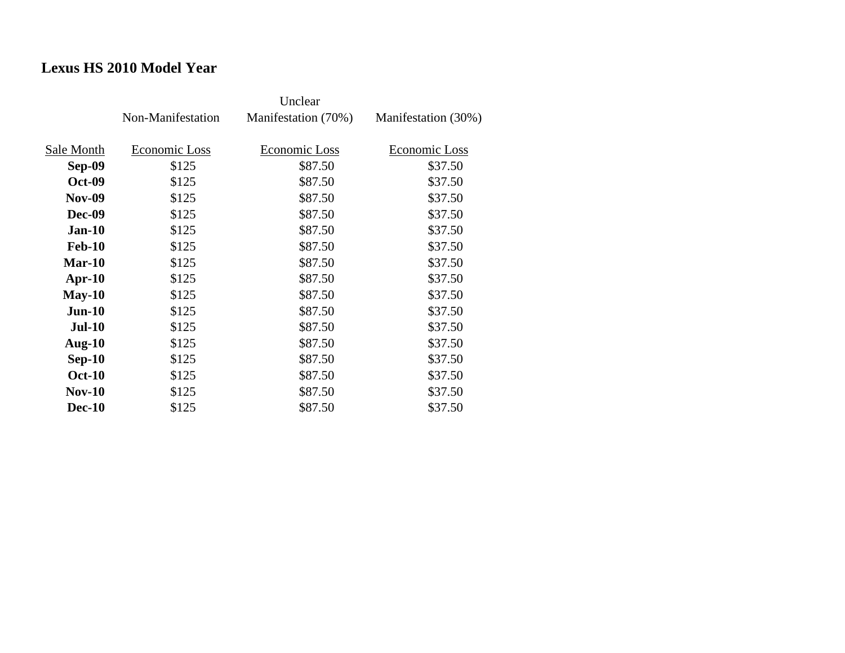## **Lexus HS 2010 Model Year**

|               | Non-Manifestation | Manifestation (70%) | Manifestation (30%) |
|---------------|-------------------|---------------------|---------------------|
| Sale Month    | Economic Loss     | Economic Loss       | Economic Loss       |
| <b>Sep-09</b> | \$125             | \$87.50             | \$37.50             |
| <b>Oct-09</b> | \$125             | \$87.50             | \$37.50             |
| <b>Nov-09</b> | \$125             | \$87.50             | \$37.50             |
| <b>Dec-09</b> | \$125             | \$87.50             | \$37.50             |
| <b>Jan-10</b> | \$125             | \$87.50             | \$37.50             |
| <b>Feb-10</b> | \$125             | \$87.50             | \$37.50             |
| $Mar-10$      | \$125             | \$87.50             | \$37.50             |
| $Apr-10$      | \$125             | \$87.50             | \$37.50             |
| $May-10$      | \$125             | \$87.50             | \$37.50             |
| $Jun-10$      | \$125             | \$87.50             | \$37.50             |
| $Jul-10$      | \$125             | \$87.50             | \$37.50             |
| Aug- $10$     | \$125             | \$87.50             | \$37.50             |
| $Sep-10$      | \$125             | \$87.50             | \$37.50             |
| <b>Oct-10</b> | \$125             | \$87.50             | \$37.50             |
| $Nov-10$      | \$125             | \$87.50             | \$37.50             |
| <b>Dec-10</b> | \$125             | \$87.50             | \$37.50             |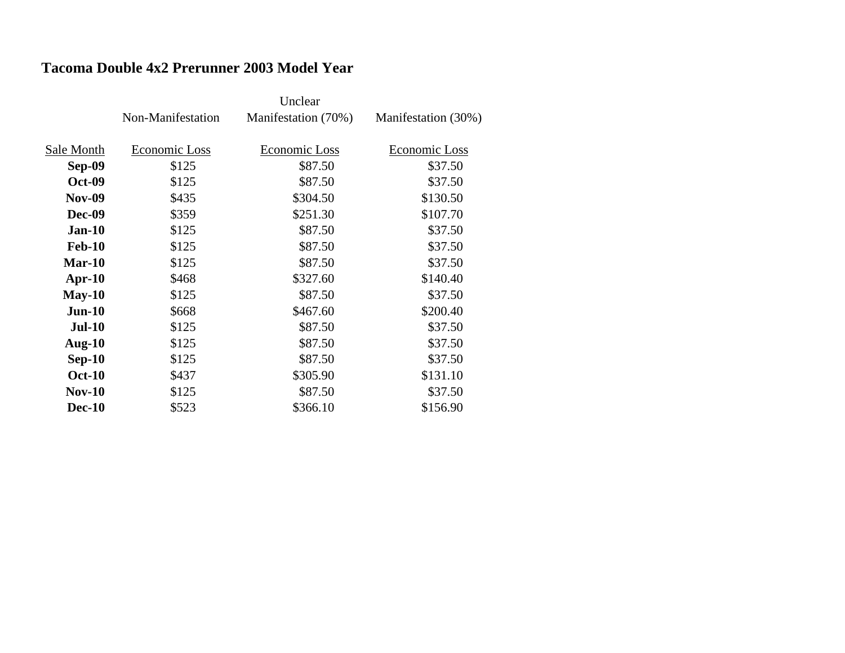#### **Tacoma Double 4x2 Prerunner 2003 Model Year**

|               | Non-Manifestation | Manifestation (70%) | Manifestation (30%) |
|---------------|-------------------|---------------------|---------------------|
|               |                   |                     |                     |
| Sale Month    | Economic Loss     | Economic Loss       | Economic Loss       |
| Sep-09        | \$125             | \$87.50             | \$37.50             |
| <b>Oct-09</b> | \$125             | \$87.50             | \$37.50             |
| <b>Nov-09</b> | \$435             | \$304.50            | \$130.50            |
| Dec-09        | \$359             | \$251.30            | \$107.70            |
| $Jan-10$      | \$125             | \$87.50             | \$37.50             |
| <b>Feb-10</b> | \$125             | \$87.50             | \$37.50             |
| $Mar-10$      | \$125             | \$87.50             | \$37.50             |
| Apr- $10$     | \$468             | \$327.60            | \$140.40            |
| $May-10$      | \$125             | \$87.50             | \$37.50             |
| $Jun-10$      | \$668             | \$467.60            | \$200.40            |
| <b>Jul-10</b> | \$125             | \$87.50             | \$37.50             |
| Aug- $10$     | \$125             | \$87.50             | \$37.50             |
| $Sep-10$      | \$125             | \$87.50             | \$37.50             |
| <b>Oct-10</b> | \$437             | \$305.90            | \$131.10            |
| $Nov-10$      | \$125             | \$87.50             | \$37.50             |
| <b>Dec-10</b> | \$523             | \$366.10            | \$156.90            |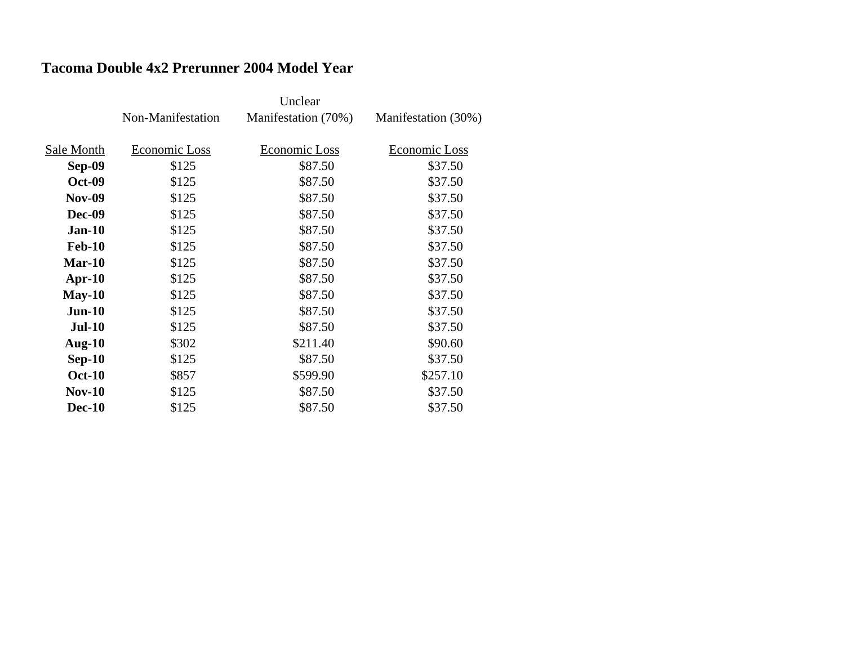#### **Tacoma Double 4x2 Prerunner 2004 Model Year**

|               | Non-Manifestation | Manifestation (70%) | Manifestation (30%) |
|---------------|-------------------|---------------------|---------------------|
|               |                   |                     |                     |
| Sale Month    | Economic Loss     | Economic Loss       | Economic Loss       |
| <b>Sep-09</b> | \$125             | \$87.50             | \$37.50             |
| <b>Oct-09</b> | \$125             | \$87.50             | \$37.50             |
| <b>Nov-09</b> | \$125             | \$87.50             | \$37.50             |
| Dec-09        | \$125             | \$87.50             | \$37.50             |
| $Jan-10$      | \$125             | \$87.50             | \$37.50             |
| <b>Feb-10</b> | \$125             | \$87.50             | \$37.50             |
| $Mar-10$      | \$125             | \$87.50             | \$37.50             |
| $Apr-10$      | \$125             | \$87.50             | \$37.50             |
| $May-10$      | \$125             | \$87.50             | \$37.50             |
| $Jun-10$      | \$125             | \$87.50             | \$37.50             |
| <b>Jul-10</b> | \$125             | \$87.50             | \$37.50             |
| Aug- $10$     | \$302             | \$211.40            | \$90.60             |
| $Sep-10$      | \$125             | \$87.50             | \$37.50             |
| <b>Oct-10</b> | \$857             | \$599.90            | \$257.10            |
| $Nov-10$      | \$125             | \$87.50             | \$37.50             |
| <b>Dec-10</b> | \$125             | \$87.50             | \$37.50             |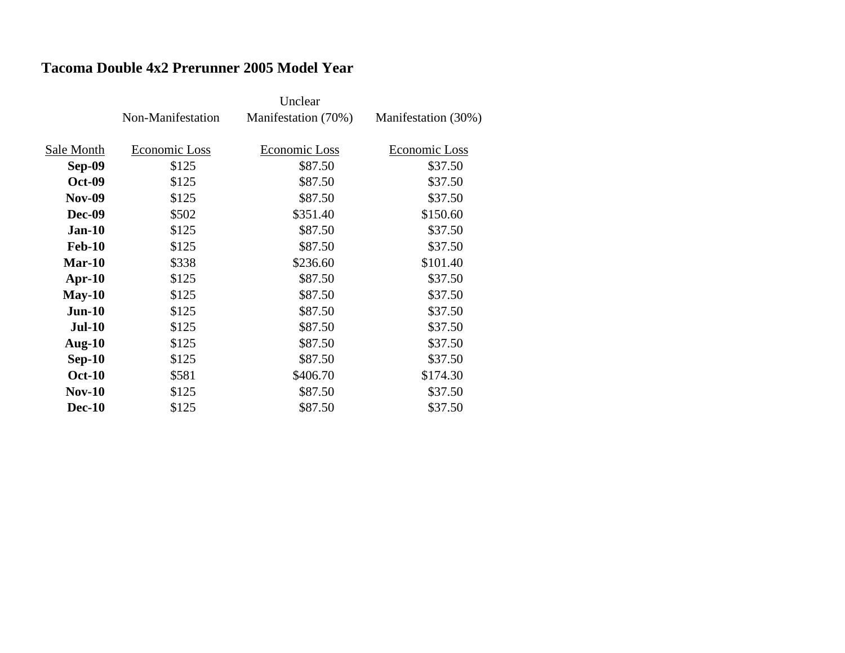#### **Tacoma Double 4x2 Prerunner 2005 Model Year**

|               | Non-Manifestation | Manifestation (70%) | Manifestation (30%) |
|---------------|-------------------|---------------------|---------------------|
|               |                   |                     |                     |
| Sale Month    | Economic Loss     | Economic Loss       | Economic Loss       |
| <b>Sep-09</b> | \$125             | \$87.50             | \$37.50             |
| <b>Oct-09</b> | \$125             | \$87.50             | \$37.50             |
| <b>Nov-09</b> | \$125             | \$87.50             | \$37.50             |
| <b>Dec-09</b> | \$502             | \$351.40            | \$150.60            |
| <b>Jan-10</b> | \$125             | \$87.50             | \$37.50             |
| <b>Feb-10</b> | \$125             | \$87.50             | \$37.50             |
| $Mar-10$      | \$338             | \$236.60            | \$101.40            |
| $Apr-10$      | \$125             | \$87.50             | \$37.50             |
| $May-10$      | \$125             | \$87.50             | \$37.50             |
| $Jun-10$      | \$125             | \$87.50             | \$37.50             |
| <b>Jul-10</b> | \$125             | \$87.50             | \$37.50             |
| <b>Aug-10</b> | \$125             | \$87.50             | \$37.50             |
| $Sep-10$      | \$125             | \$87.50             | \$37.50             |
| <b>Oct-10</b> | \$581             | \$406.70            | \$174.30            |
| $Nov-10$      | \$125             | \$87.50             | \$37.50             |
| <b>Dec-10</b> | \$125             | \$87.50             | \$37.50             |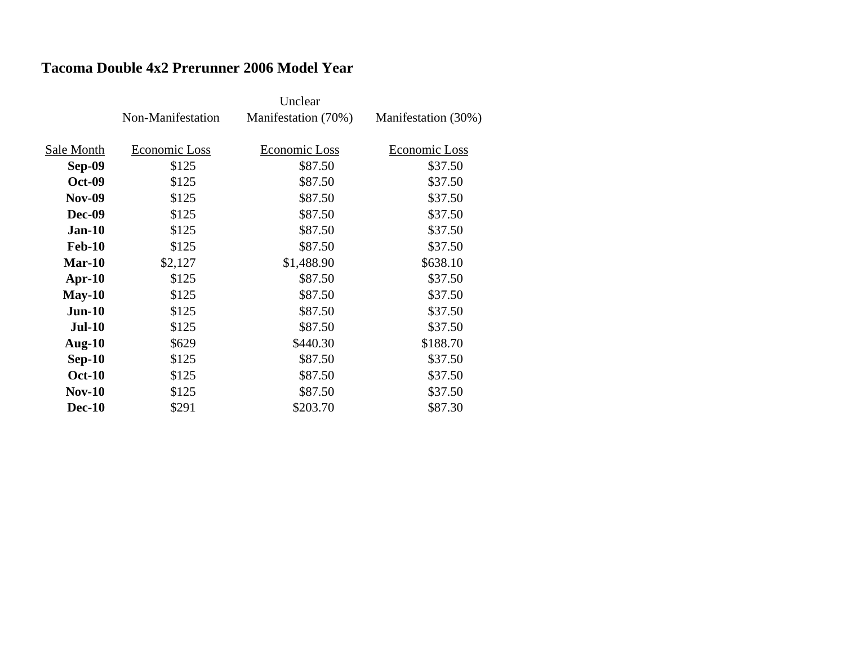#### **Tacoma Double 4x2 Prerunner 2006 Model Year**

|               | Non-Manifestation | Manifestation (70%) | Manifestation (30%) |
|---------------|-------------------|---------------------|---------------------|
|               |                   |                     |                     |
| Sale Month    | Economic Loss     | Economic Loss       | Economic Loss       |
| <b>Sep-09</b> | \$125             | \$87.50             | \$37.50             |
| <b>Oct-09</b> | \$125             | \$87.50             | \$37.50             |
| <b>Nov-09</b> | \$125             | \$87.50             | \$37.50             |
| <b>Dec-09</b> | \$125             | \$87.50             | \$37.50             |
| <b>Jan-10</b> | \$125             | \$87.50             | \$37.50             |
| <b>Feb-10</b> | \$125             | \$87.50             | \$37.50             |
| $Mar-10$      | \$2,127           | \$1,488.90          | \$638.10            |
| $Apr-10$      | \$125             | \$87.50             | \$37.50             |
| $May-10$      | \$125             | \$87.50             | \$37.50             |
| $Jun-10$      | \$125             | \$87.50             | \$37.50             |
| <b>Jul-10</b> | \$125             | \$87.50             | \$37.50             |
| <b>Aug-10</b> | \$629             | \$440.30            | \$188.70            |
| $Sep-10$      | \$125             | \$87.50             | \$37.50             |
| <b>Oct-10</b> | \$125             | \$87.50             | \$37.50             |
| $Nov-10$      | \$125             | \$87.50             | \$37.50             |
| <b>Dec-10</b> | \$291             | \$203.70            | \$87.30             |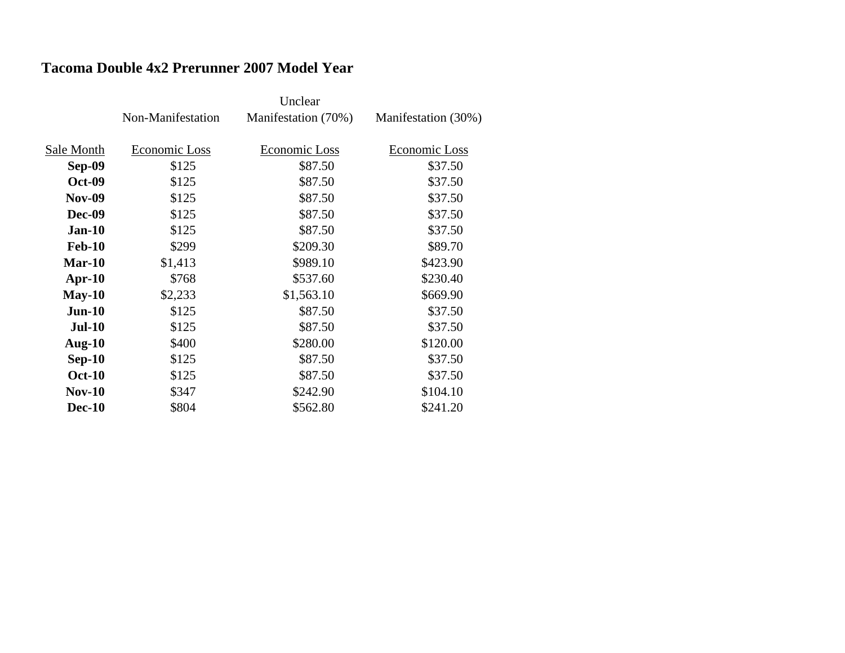#### **Tacoma Double 4x2 Prerunner 2007 Model Year**

|               | Non-Manifestation | Manifestation (70%) | Manifestation (30%) |
|---------------|-------------------|---------------------|---------------------|
|               |                   |                     |                     |
| Sale Month    | Economic Loss     | Economic Loss       | Economic Loss       |
| Sep-09        | \$125             | \$87.50             | \$37.50             |
| <b>Oct-09</b> | \$125             | \$87.50             | \$37.50             |
| <b>Nov-09</b> | \$125             | \$87.50             | \$37.50             |
| Dec-09        | \$125             | \$87.50             | \$37.50             |
| $Jan-10$      | \$125             | \$87.50             | \$37.50             |
| <b>Feb-10</b> | \$299             | \$209.30            | \$89.70             |
| Mar-10        | \$1,413           | \$989.10            | \$423.90            |
| $Apr-10$      | \$768             | \$537.60            | \$230.40            |
| $May-10$      | \$2,233           | \$1,563.10          | \$669.90            |
| $Jun-10$      | \$125             | \$87.50             | \$37.50             |
| <b>Jul-10</b> | \$125             | \$87.50             | \$37.50             |
| Aug- $10$     | \$400             | \$280.00            | \$120.00            |
| $Sep-10$      | \$125             | \$87.50             | \$37.50             |
| <b>Oct-10</b> | \$125             | \$87.50             | \$37.50             |
| $Nov-10$      | \$347             | \$242.90            | \$104.10            |
| <b>Dec-10</b> | \$804             | \$562.80            | \$241.20            |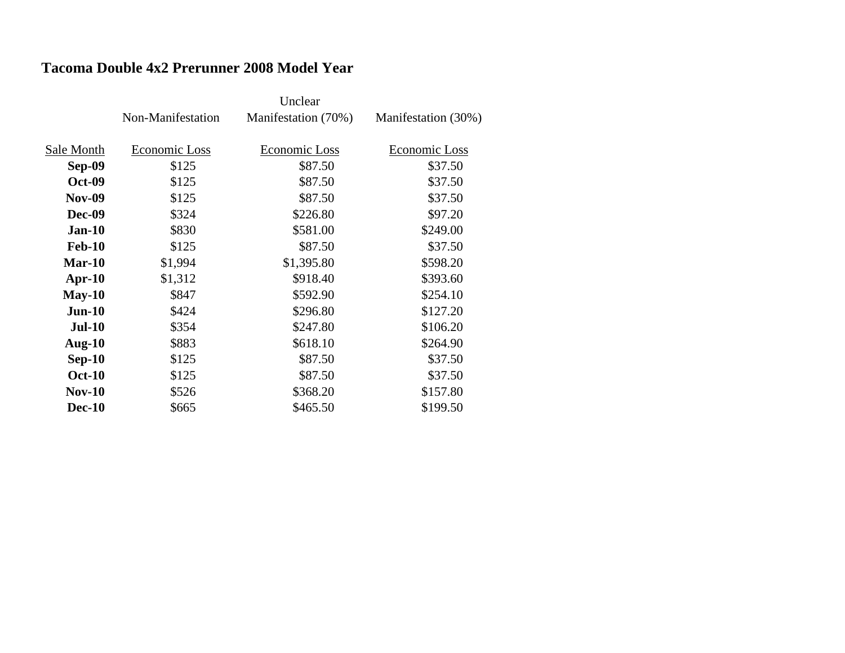#### **Tacoma Double 4x2 Prerunner 2008 Model Year**

|               | Non-Manifestation | Manifestation (70%) | Manifestation (30%) |
|---------------|-------------------|---------------------|---------------------|
|               |                   |                     |                     |
| Sale Month    | Economic Loss     | Economic Loss       | Economic Loss       |
| <b>Sep-09</b> | \$125             | \$87.50             | \$37.50             |
| <b>Oct-09</b> | \$125             | \$87.50             | \$37.50             |
| <b>Nov-09</b> | \$125             | \$87.50             | \$37.50             |
| <b>Dec-09</b> | \$324             | \$226.80            | \$97.20             |
| <b>Jan-10</b> | \$830             | \$581.00            | \$249.00            |
| <b>Feb-10</b> | \$125             | \$87.50             | \$37.50             |
| $Mar-10$      | \$1,994           | \$1,395.80          | \$598.20            |
| $Apr-10$      | \$1,312           | \$918.40            | \$393.60            |
| $May-10$      | \$847             | \$592.90            | \$254.10            |
| $Jun-10$      | \$424             | \$296.80            | \$127.20            |
| <b>Jul-10</b> | \$354             | \$247.80            | \$106.20            |
| <b>Aug-10</b> | \$883             | \$618.10            | \$264.90            |
| $Sep-10$      | \$125             | \$87.50             | \$37.50             |
| <b>Oct-10</b> | \$125             | \$87.50             | \$37.50             |
| $Nov-10$      | \$526             | \$368.20            | \$157.80            |
| <b>Dec-10</b> | \$665             | \$465.50            | \$199.50            |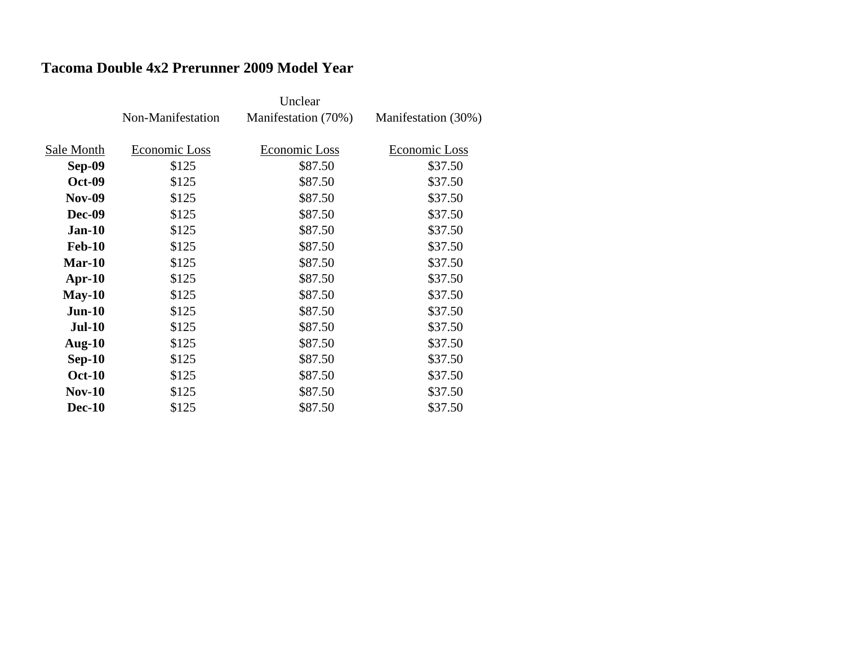#### **Tacoma Double 4x2 Prerunner 2009 Model Year**

|               | Non-Manifestation | Manifestation (70%) | Manifestation (30%) |
|---------------|-------------------|---------------------|---------------------|
|               |                   |                     |                     |
| Sale Month    | Economic Loss     | Economic Loss       | Economic Loss       |
| Sep-09        | \$125             | \$87.50             | \$37.50             |
| <b>Oct-09</b> | \$125             | \$87.50             | \$37.50             |
| <b>Nov-09</b> | \$125             | \$87.50             | \$37.50             |
| Dec-09        | \$125             | \$87.50             | \$37.50             |
| $Jan-10$      | \$125             | \$87.50             | \$37.50             |
| <b>Feb-10</b> | \$125             | \$87.50             | \$37.50             |
| Mar-10        | \$125             | \$87.50             | \$37.50             |
| $Apr-10$      | \$125             | \$87.50             | \$37.50             |
| $May-10$      | \$125             | \$87.50             | \$37.50             |
| $Jun-10$      | \$125             | \$87.50             | \$37.50             |
| <b>Jul-10</b> | \$125             | \$87.50             | \$37.50             |
| Aug- $10$     | \$125             | \$87.50             | \$37.50             |
| $Sep-10$      | \$125             | \$87.50             | \$37.50             |
| <b>Oct-10</b> | \$125             | \$87.50             | \$37.50             |
| $Nov-10$      | \$125             | \$87.50             | \$37.50             |
| <b>Dec-10</b> | \$125             | \$87.50             | \$37.50             |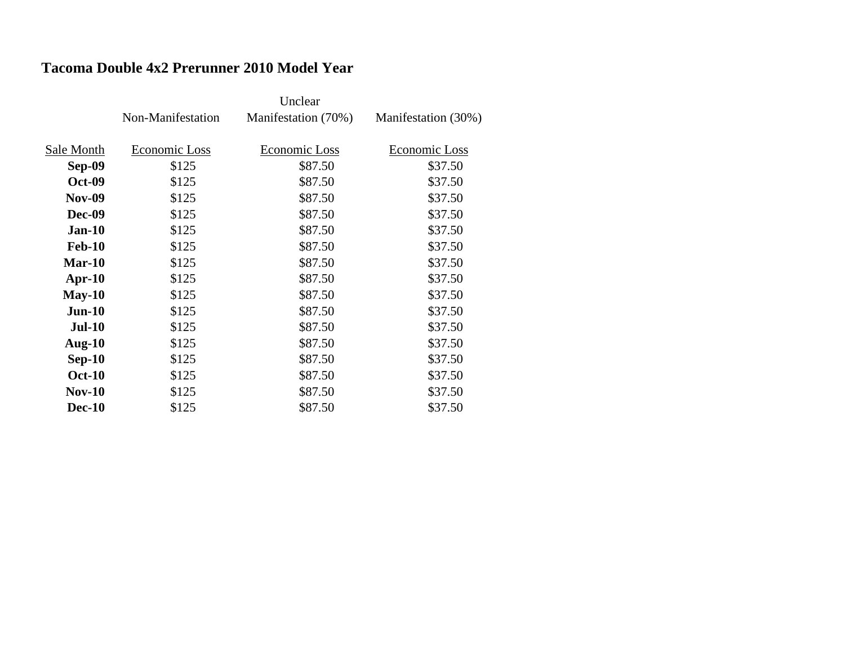### **Tacoma Double 4x2 Prerunner 2010 Model Year**

|               | Non-Manifestation | Manifestation (70%) | Manifestation (30%) |
|---------------|-------------------|---------------------|---------------------|
|               |                   |                     |                     |
| Sale Month    | Economic Loss     | Economic Loss       | Economic Loss       |
| Sep-09        | \$125             | \$87.50             | \$37.50             |
| <b>Oct-09</b> | \$125             | \$87.50             | \$37.50             |
| <b>Nov-09</b> | \$125             | \$87.50             | \$37.50             |
| Dec-09        | \$125             | \$87.50             | \$37.50             |
| $Jan-10$      | \$125             | \$87.50             | \$37.50             |
| <b>Feb-10</b> | \$125             | \$87.50             | \$37.50             |
| Mar-10        | \$125             | \$87.50             | \$37.50             |
| $Apr-10$      | \$125             | \$87.50             | \$37.50             |
| $May-10$      | \$125             | \$87.50             | \$37.50             |
| $Jun-10$      | \$125             | \$87.50             | \$37.50             |
| <b>Jul-10</b> | \$125             | \$87.50             | \$37.50             |
| Aug- $10$     | \$125             | \$87.50             | \$37.50             |
| $Sep-10$      | \$125             | \$87.50             | \$37.50             |
| <b>Oct-10</b> | \$125             | \$87.50             | \$37.50             |
| $Nov-10$      | \$125             | \$87.50             | \$37.50             |
| <b>Dec-10</b> | \$125             | \$87.50             | \$37.50             |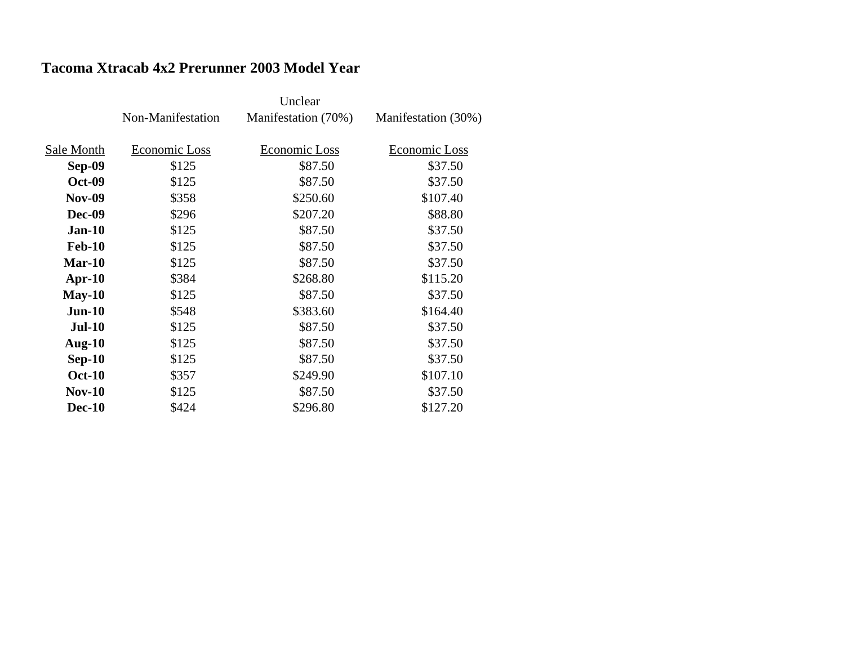#### **Tacoma Xtracab 4x2 Prerunner 2003 Model Year**

|               | Non-Manifestation | Manifestation (70%) | Manifestation (30%) |
|---------------|-------------------|---------------------|---------------------|
|               |                   |                     |                     |
| Sale Month    | Economic Loss     | Economic Loss       | Economic Loss       |
| Sep-09        | \$125             | \$87.50             | \$37.50             |
| <b>Oct-09</b> | \$125             | \$87.50             | \$37.50             |
| <b>Nov-09</b> | \$358             | \$250.60            | \$107.40            |
| Dec-09        | \$296             | \$207.20            | \$88.80             |
| $Jan-10$      | \$125             | \$87.50             | \$37.50             |
| <b>Feb-10</b> | \$125             | \$87.50             | \$37.50             |
| Mar-10        | \$125             | \$87.50             | \$37.50             |
| Apr- $10$     | \$384             | \$268.80            | \$115.20            |
| $May-10$      | \$125             | \$87.50             | \$37.50             |
| $Jun-10$      | \$548             | \$383.60            | \$164.40            |
| <b>Jul-10</b> | \$125             | \$87.50             | \$37.50             |
| Aug- $10$     | \$125             | \$87.50             | \$37.50             |
| $Sep-10$      | \$125             | \$87.50             | \$37.50             |
| <b>Oct-10</b> | \$357             | \$249.90            | \$107.10            |
| $Nov-10$      | \$125             | \$87.50             | \$37.50             |
| <b>Dec-10</b> | \$424             | \$296.80            | \$127.20            |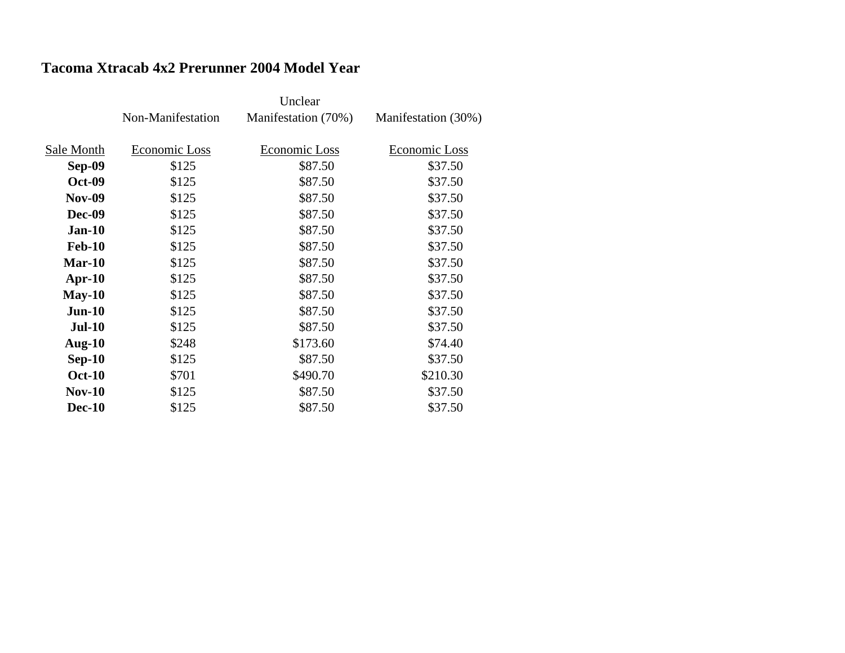#### **Tacoma Xtracab 4x2 Prerunner 2004 Model Year**

|               | Non-Manifestation | Manifestation (70%) | Manifestation (30%) |
|---------------|-------------------|---------------------|---------------------|
|               |                   |                     |                     |
| Sale Month    | Economic Loss     | Economic Loss       | Economic Loss       |
| <b>Sep-09</b> | \$125             | \$87.50             | \$37.50             |
| <b>Oct-09</b> | \$125             | \$87.50             | \$37.50             |
| <b>Nov-09</b> | \$125             | \$87.50             | \$37.50             |
| Dec-09        | \$125             | \$87.50             | \$37.50             |
| <b>Jan-10</b> | \$125             | \$87.50             | \$37.50             |
| <b>Feb-10</b> | \$125             | \$87.50             | \$37.50             |
| $Mar-10$      | \$125             | \$87.50             | \$37.50             |
| Apr- $10$     | \$125             | \$87.50             | \$37.50             |
| $May-10$      | \$125             | \$87.50             | \$37.50             |
| $Jun-10$      | \$125             | \$87.50             | \$37.50             |
| <b>Jul-10</b> | \$125             | \$87.50             | \$37.50             |
| Aug- $10$     | \$248             | \$173.60            | \$74.40             |
| $Sep-10$      | \$125             | \$87.50             | \$37.50             |
| <b>Oct-10</b> | \$701             | \$490.70            | \$210.30            |
| $Nov-10$      | \$125             | \$87.50             | \$37.50             |
| <b>Dec-10</b> | \$125             | \$87.50             | \$37.50             |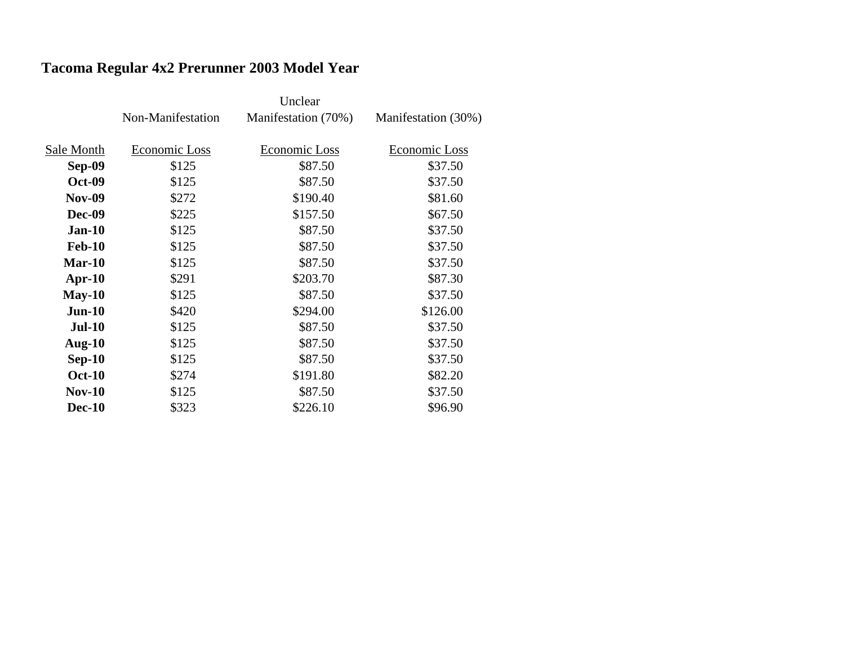# **Tacoma Regular 4x2 Prerunner 2003 Model Year**

|               | Non-Manifestation | Manifestation (70%) | Manifestation (30%) |
|---------------|-------------------|---------------------|---------------------|
|               |                   |                     |                     |
| Sale Month    | Economic Loss     | Economic Loss       | Economic Loss       |
| Sep-09        | \$125             | \$87.50             | \$37.50             |
| <b>Oct-09</b> | \$125             | \$87.50             | \$37.50             |
| <b>Nov-09</b> | \$272             | \$190.40            | \$81.60             |
| <b>Dec-09</b> | \$225             | \$157.50            | \$67.50             |
| $Jan-10$      | \$125             | \$87.50             | \$37.50             |
| <b>Feb-10</b> | \$125             | \$87.50             | \$37.50             |
| $Mar-10$      | \$125             | \$87.50             | \$37.50             |
| $Apr-10$      | \$291             | \$203.70            | \$87.30             |
| $May-10$      | \$125             | \$87.50             | \$37.50             |
| $Jun-10$      | \$420             | \$294.00            | \$126.00            |
| <b>Jul-10</b> | \$125             | \$87.50             | \$37.50             |
| Aug- $10$     | \$125             | \$87.50             | \$37.50             |
| $Sep-10$      | \$125             | \$87.50             | \$37.50             |
| <b>Oct-10</b> | \$274             | \$191.80            | \$82.20             |
| $Nov-10$      | \$125             | \$87.50             | \$37.50             |
| <b>Dec-10</b> | \$323             | \$226.10            | \$96.90             |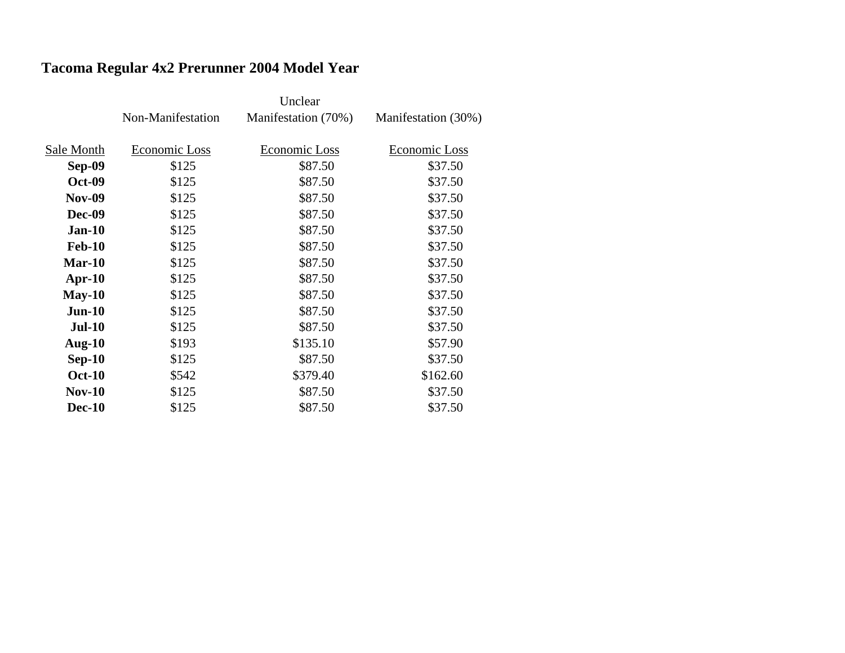## **Tacoma Regular 4x2 Prerunner 2004 Model Year**

|               | Non-Manifestation | Manifestation (70%) | Manifestation (30%) |
|---------------|-------------------|---------------------|---------------------|
|               |                   |                     |                     |
| Sale Month    | Economic Loss     | Economic Loss       | Economic Loss       |
| Sep-09        | \$125             | \$87.50             | \$37.50             |
| <b>Oct-09</b> | \$125             | \$87.50             | \$37.50             |
| <b>Nov-09</b> | \$125             | \$87.50             | \$37.50             |
| <b>Dec-09</b> | \$125             | \$87.50             | \$37.50             |
| $Jan-10$      | \$125             | \$87.50             | \$37.50             |
| <b>Feb-10</b> | \$125             | \$87.50             | \$37.50             |
| $Mar-10$      | \$125             | \$87.50             | \$37.50             |
| $Apr-10$      | \$125             | \$87.50             | \$37.50             |
| $May-10$      | \$125             | \$87.50             | \$37.50             |
| $Jun-10$      | \$125             | \$87.50             | \$37.50             |
| <b>Jul-10</b> | \$125             | \$87.50             | \$37.50             |
| Aug- $10$     | \$193             | \$135.10            | \$57.90             |
| $Sep-10$      | \$125             | \$87.50             | \$37.50             |
| <b>Oct-10</b> | \$542             | \$379.40            | \$162.60            |
| $Nov-10$      | \$125             | \$87.50             | \$37.50             |
| <b>Dec-10</b> | \$125             | \$87.50             | \$37.50             |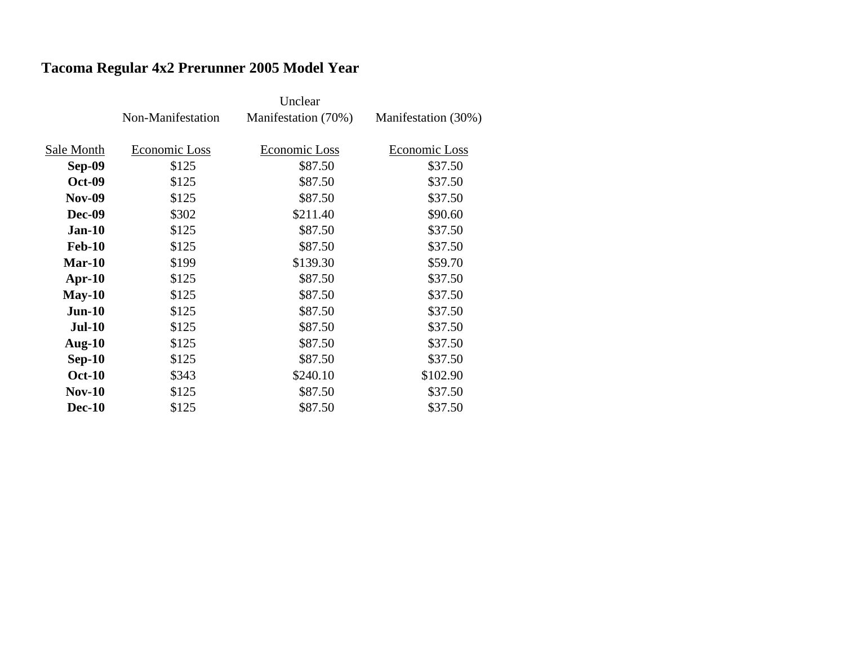# **Tacoma Regular 4x2 Prerunner 2005 Model Year**

|               | Non-Manifestation | Manifestation (70%) | Manifestation (30%) |
|---------------|-------------------|---------------------|---------------------|
|               |                   |                     |                     |
| Sale Month    | Economic Loss     | Economic Loss       | Economic Loss       |
| <b>Sep-09</b> | \$125             | \$87.50             | \$37.50             |
| <b>Oct-09</b> | \$125             | \$87.50             | \$37.50             |
| <b>Nov-09</b> | \$125             | \$87.50             | \$37.50             |
| <b>Dec-09</b> | \$302             | \$211.40            | \$90.60             |
| $Jan-10$      | \$125             | \$87.50             | \$37.50             |
| <b>Feb-10</b> | \$125             | \$87.50             | \$37.50             |
| $Mar-10$      | \$199             | \$139.30            | \$59.70             |
| Apr- $10$     | \$125             | \$87.50             | \$37.50             |
| $May-10$      | \$125             | \$87.50             | \$37.50             |
| $Jun-10$      | \$125             | \$87.50             | \$37.50             |
| <b>Jul-10</b> | \$125             | \$87.50             | \$37.50             |
| Aug- $10$     | \$125             | \$87.50             | \$37.50             |
| $Sep-10$      | \$125             | \$87.50             | \$37.50             |
| <b>Oct-10</b> | \$343             | \$240.10            | \$102.90            |
| <b>Nov-10</b> | \$125             | \$87.50             | \$37.50             |
| <b>Dec-10</b> | \$125             | \$87.50             | \$37.50             |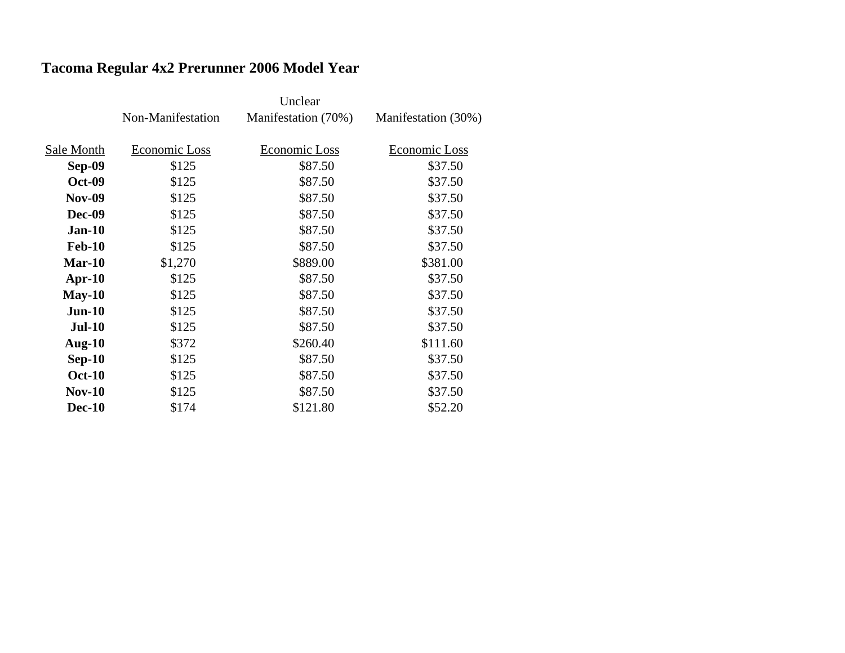# **Tacoma Regular 4x2 Prerunner 2006 Model Year**

|               | Non-Manifestation | Manifestation (70%) | Manifestation (30%) |
|---------------|-------------------|---------------------|---------------------|
|               |                   |                     |                     |
| Sale Month    | Economic Loss     | Economic Loss       | Economic Loss       |
| Sep-09        | \$125             | \$87.50             | \$37.50             |
| <b>Oct-09</b> | \$125             | \$87.50             | \$37.50             |
| <b>Nov-09</b> | \$125             | \$87.50             | \$37.50             |
| Dec-09        | \$125             | \$87.50             | \$37.50             |
| $Jan-10$      | \$125             | \$87.50             | \$37.50             |
| <b>Feb-10</b> | \$125             | \$87.50             | \$37.50             |
| Mar-10        | \$1,270           | \$889.00            | \$381.00            |
| $Apr-10$      | \$125             | \$87.50             | \$37.50             |
| $May-10$      | \$125             | \$87.50             | \$37.50             |
| $Jun-10$      | \$125             | \$87.50             | \$37.50             |
| <b>Jul-10</b> | \$125             | \$87.50             | \$37.50             |
| Aug- $10$     | \$372             | \$260.40            | \$111.60            |
| $Sep-10$      | \$125             | \$87.50             | \$37.50             |
| <b>Oct-10</b> | \$125             | \$87.50             | \$37.50             |
| $Nov-10$      | \$125             | \$87.50             | \$37.50             |
| <b>Dec-10</b> | \$174             | \$121.80            | \$52.20             |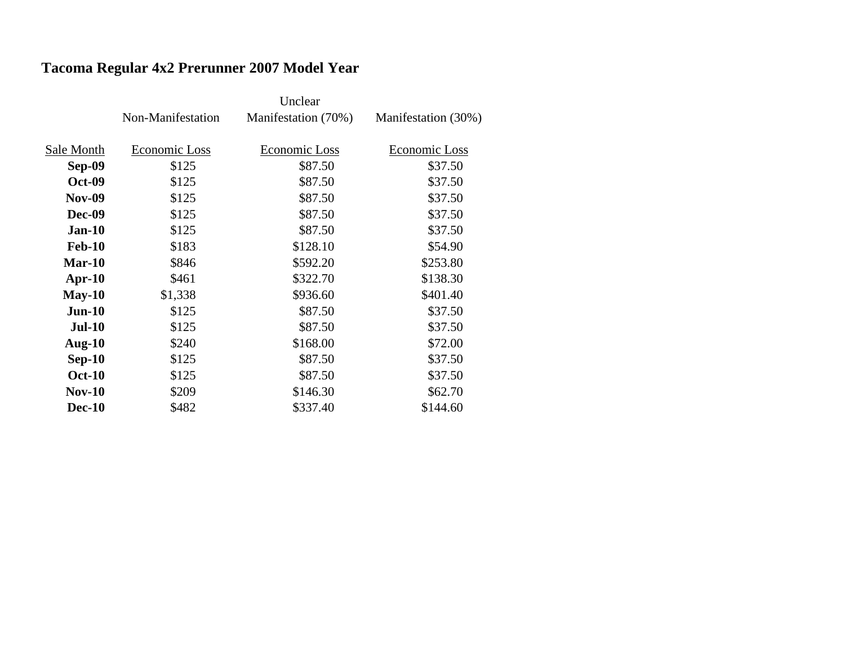# **Tacoma Regular 4x2 Prerunner 2007 Model Year**

|               | Non-Manifestation | Manifestation (70%) | Manifestation (30%) |
|---------------|-------------------|---------------------|---------------------|
|               |                   |                     |                     |
| Sale Month    | Economic Loss     | Economic Loss       | Economic Loss       |
| Sep-09        | \$125             | \$87.50             | \$37.50             |
| <b>Oct-09</b> | \$125             | \$87.50             | \$37.50             |
| <b>Nov-09</b> | \$125             | \$87.50             | \$37.50             |
| <b>Dec-09</b> | \$125             | \$87.50             | \$37.50             |
| $Jan-10$      | \$125             | \$87.50             | \$37.50             |
| <b>Feb-10</b> | \$183             | \$128.10            | \$54.90             |
| Mar-10        | \$846             | \$592.20            | \$253.80            |
| Apr- $10$     | \$461             | \$322.70            | \$138.30            |
| $May-10$      | \$1,338           | \$936.60            | \$401.40            |
| $Jun-10$      | \$125             | \$87.50             | \$37.50             |
| $Jul-10$      | \$125             | \$87.50             | \$37.50             |
| Aug- $10$     | \$240             | \$168.00            | \$72.00             |
| $Sep-10$      | \$125             | \$87.50             | \$37.50             |
| <b>Oct-10</b> | \$125             | \$87.50             | \$37.50             |
| $Nov-10$      | \$209             | \$146.30            | \$62.70             |
| <b>Dec-10</b> | \$482             | \$337.40            | \$144.60            |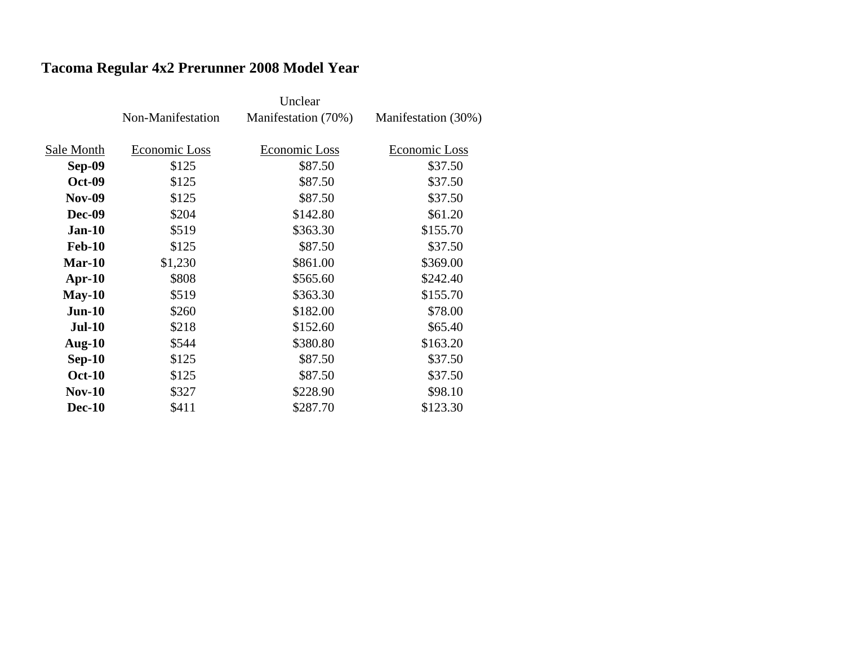# **Tacoma Regular 4x2 Prerunner 2008 Model Year**

|               | Non-Manifestation | Manifestation (70%) | Manifestation (30%) |
|---------------|-------------------|---------------------|---------------------|
|               |                   |                     |                     |
| Sale Month    | Economic Loss     | Economic Loss       | Economic Loss       |
| <b>Sep-09</b> | \$125             | \$87.50             | \$37.50             |
| <b>Oct-09</b> | \$125             | \$87.50             | \$37.50             |
| <b>Nov-09</b> | \$125             | \$87.50             | \$37.50             |
| <b>Dec-09</b> | \$204             | \$142.80            | \$61.20             |
| $Jan-10$      | \$519             | \$363.30            | \$155.70            |
| <b>Feb-10</b> | \$125             | \$87.50             | \$37.50             |
| $Mar-10$      | \$1,230           | \$861.00            | \$369.00            |
| $Apr-10$      | \$808             | \$565.60            | \$242.40            |
| $May-10$      | \$519             | \$363.30            | \$155.70            |
| $Jun-10$      | \$260             | \$182.00            | \$78.00             |
| <b>Jul-10</b> | \$218             | \$152.60            | \$65.40             |
| Aug- $10$     | \$544             | \$380.80            | \$163.20            |
| $Sep-10$      | \$125             | \$87.50             | \$37.50             |
| <b>Oct-10</b> | \$125             | \$87.50             | \$37.50             |
| $Nov-10$      | \$327             | \$228.90            | \$98.10             |
| <b>Dec-10</b> | \$411             | \$287.70            | \$123.30            |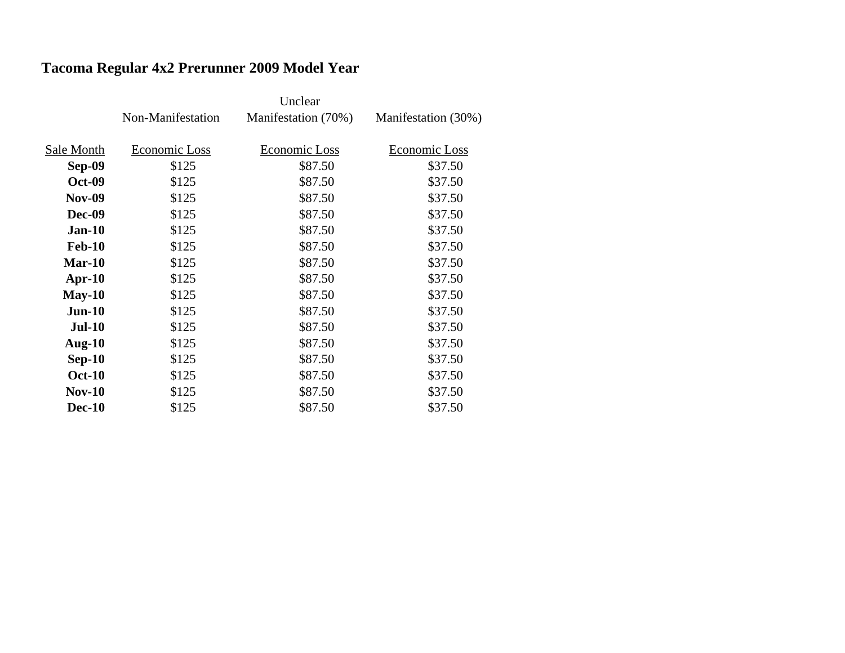## **Tacoma Regular 4x2 Prerunner 2009 Model Year**

|               |                   | Unclear             |                     |
|---------------|-------------------|---------------------|---------------------|
|               | Non-Manifestation | Manifestation (70%) | Manifestation (30%) |
|               |                   |                     |                     |
| Sale Month    | Economic Loss     | Economic Loss       | Economic Loss       |
| <b>Sep-09</b> | \$125             | \$87.50             | \$37.50             |
| <b>Oct-09</b> | \$125             | \$87.50             | \$37.50             |
| <b>Nov-09</b> | \$125             | \$87.50             | \$37.50             |
| <b>Dec-09</b> | \$125             | \$87.50             | \$37.50             |
| $Jan-10$      | \$125             | \$87.50             | \$37.50             |
| <b>Feb-10</b> | \$125             | \$87.50             | \$37.50             |
| $Mar-10$      | \$125             | \$87.50             | \$37.50             |
| $Apr-10$      | \$125             | \$87.50             | \$37.50             |
| $May-10$      | \$125             | \$87.50             | \$37.50             |
| $Jun-10$      | \$125             | \$87.50             | \$37.50             |
| <b>Jul-10</b> | \$125             | \$87.50             | \$37.50             |
| Aug- $10$     | \$125             | \$87.50             | \$37.50             |
| $Sep-10$      | \$125             | \$87.50             | \$37.50             |
| <b>Oct-10</b> | \$125             | \$87.50             | \$37.50             |
| $Nov-10$      | \$125             | \$87.50             | \$37.50             |
| <b>Dec-10</b> | \$125             | \$87.50             | \$37.50             |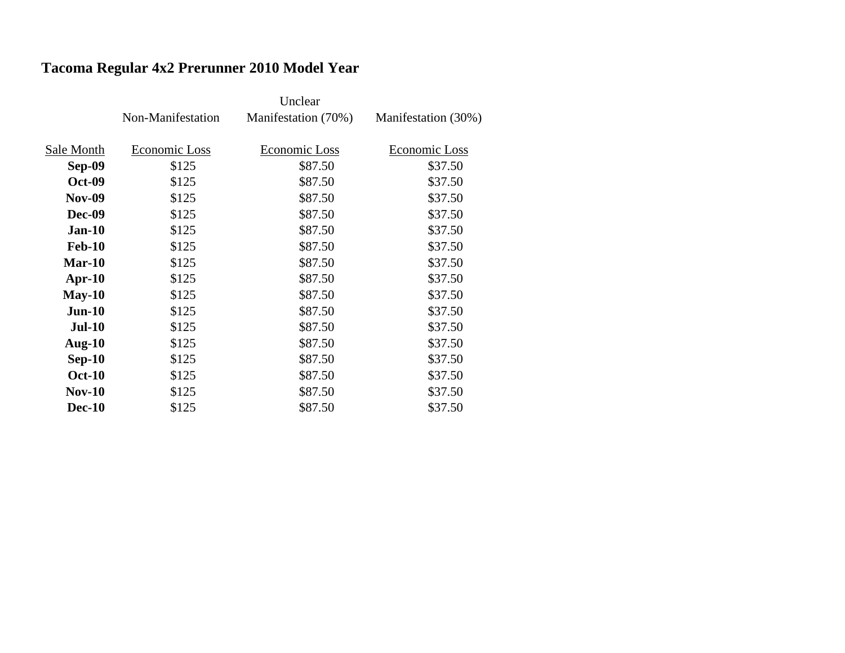# **Tacoma Regular 4x2 Prerunner 2010 Model Year**

|               | Non-Manifestation | Manifestation (70%) | Manifestation (30%) |
|---------------|-------------------|---------------------|---------------------|
|               |                   |                     |                     |
| Sale Month    | Economic Loss     | Economic Loss       | Economic Loss       |
| <b>Sep-09</b> | \$125             | \$87.50             | \$37.50             |
| <b>Oct-09</b> | \$125             | \$87.50             | \$37.50             |
| <b>Nov-09</b> | \$125             | \$87.50             | \$37.50             |
| <b>Dec-09</b> | \$125             | \$87.50             | \$37.50             |
| $Jan-10$      | \$125             | \$87.50             | \$37.50             |
| <b>Feb-10</b> | \$125             | \$87.50             | \$37.50             |
| $Mar-10$      | \$125             | \$87.50             | \$37.50             |
| Apr- $10$     | \$125             | \$87.50             | \$37.50             |
| $May-10$      | \$125             | \$87.50             | \$37.50             |
| $Jun-10$      | \$125             | \$87.50             | \$37.50             |
| <b>Jul-10</b> | \$125             | \$87.50             | \$37.50             |
| Aug- $10$     | \$125             | \$87.50             | \$37.50             |
| $Sep-10$      | \$125             | \$87.50             | \$37.50             |
| <b>Oct-10</b> | \$125             | \$87.50             | \$37.50             |
| <b>Nov-10</b> | \$125             | \$87.50             | \$37.50             |
| <b>Dec-10</b> | \$125             | \$87.50             | \$37.50             |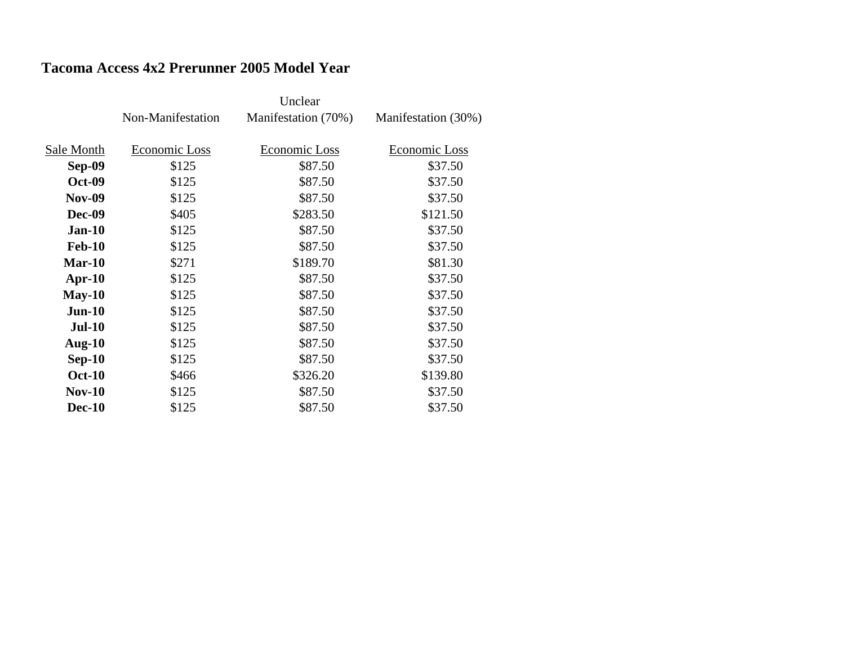### **Tacoma Access 4x2 Prerunner 2005 Model Year**

|               | Non-Manifestation | Manifestation (70%) | Manifestation (30%) |
|---------------|-------------------|---------------------|---------------------|
|               |                   |                     |                     |
| Sale Month    | Economic Loss     | Economic Loss       | Economic Loss       |
| <b>Sep-09</b> | \$125             | \$87.50             | \$37.50             |
| <b>Oct-09</b> | \$125             | \$87.50             | \$37.50             |
| <b>Nov-09</b> | \$125             | \$87.50             | \$37.50             |
| Dec-09        | \$405             | \$283.50            | \$121.50            |
| <b>Jan-10</b> | \$125             | \$87.50             | \$37.50             |
| <b>Feb-10</b> | \$125             | \$87.50             | \$37.50             |
| $Mar-10$      | \$271             | \$189.70            | \$81.30             |
| Apr- $10$     | \$125             | \$87.50             | \$37.50             |
| $May-10$      | \$125             | \$87.50             | \$37.50             |
| $Jun-10$      | \$125             | \$87.50             | \$37.50             |
| <b>Jul-10</b> | \$125             | \$87.50             | \$37.50             |
| Aug- $10$     | \$125             | \$87.50             | \$37.50             |
| $Sep-10$      | \$125             | \$87.50             | \$37.50             |
| <b>Oct-10</b> | \$466             | \$326.20            | \$139.80            |
| $Nov-10$      | \$125             | \$87.50             | \$37.50             |
| <b>Dec-10</b> | \$125             | \$87.50             | \$37.50             |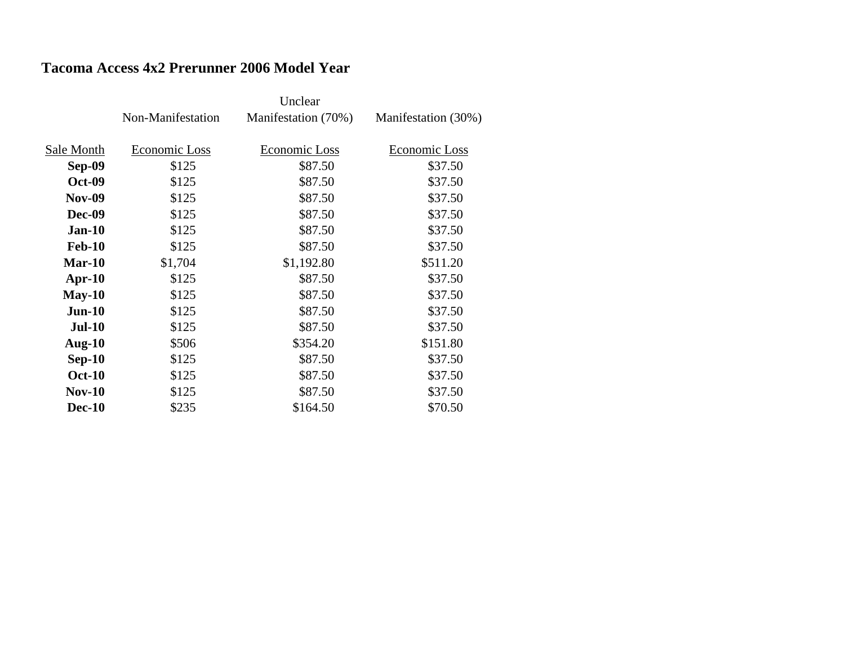### **Tacoma Access 4x2 Prerunner 2006 Model Year**

|               |                   | Unclear             |                     |
|---------------|-------------------|---------------------|---------------------|
|               | Non-Manifestation | Manifestation (70%) | Manifestation (30%) |
|               |                   |                     |                     |
| Sale Month    | Economic Loss     | Economic Loss       | Economic Loss       |
| Sep-09        | \$125             | \$87.50             | \$37.50             |
| <b>Oct-09</b> | \$125             | \$87.50             | \$37.50             |
| <b>Nov-09</b> | \$125             | \$87.50             | \$37.50             |
| <b>Dec-09</b> | \$125             | \$87.50             | \$37.50             |
| <b>Jan-10</b> | \$125             | \$87.50             | \$37.50             |
| <b>Feb-10</b> | \$125             | \$87.50             | \$37.50             |
| $Mar-10$      | \$1,704           | \$1,192.80          | \$511.20            |
| $Apr-10$      | \$125             | \$87.50             | \$37.50             |
| $May-10$      | \$125             | \$87.50             | \$37.50             |
| $Jun-10$      | \$125             | \$87.50             | \$37.50             |
| $Jul-10$      | \$125             | \$87.50             | \$37.50             |
| Aug- $10$     | \$506             | \$354.20            | \$151.80            |
| $Sep-10$      | \$125             | \$87.50             | \$37.50             |
| <b>Oct-10</b> | \$125             | \$87.50             | \$37.50             |
| $Nov-10$      | \$125             | \$87.50             | \$37.50             |
| <b>Dec-10</b> | \$235             | \$164.50            | \$70.50             |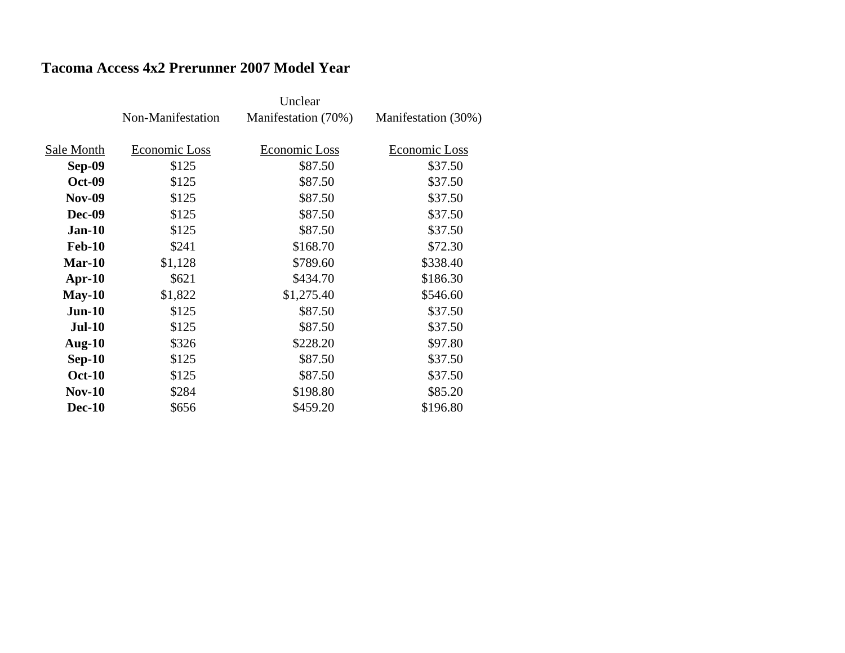### **Tacoma Access 4x2 Prerunner 2007 Model Year**

|               | Non-Manifestation | Manifestation (70%) | Manifestation (30%) |
|---------------|-------------------|---------------------|---------------------|
|               |                   |                     |                     |
| Sale Month    | Economic Loss     | Economic Loss       | Economic Loss       |
| <b>Sep-09</b> | \$125             | \$87.50             | \$37.50             |
| <b>Oct-09</b> | \$125             | \$87.50             | \$37.50             |
| <b>Nov-09</b> | \$125             | \$87.50             | \$37.50             |
| <b>Dec-09</b> | \$125             | \$87.50             | \$37.50             |
| <b>Jan-10</b> | \$125             | \$87.50             | \$37.50             |
| <b>Feb-10</b> | \$241             | \$168.70            | \$72.30             |
| $Mar-10$      | \$1,128           | \$789.60            | \$338.40            |
| $Apr-10$      | \$621             | \$434.70            | \$186.30            |
| $May-10$      | \$1,822           | \$1,275.40          | \$546.60            |
| $Jun-10$      | \$125             | \$87.50             | \$37.50             |
| <b>Jul-10</b> | \$125             | \$87.50             | \$37.50             |
| <b>Aug-10</b> | \$326             | \$228.20            | \$97.80             |
| $Sep-10$      | \$125             | \$87.50             | \$37.50             |
| <b>Oct-10</b> | \$125             | \$87.50             | \$37.50             |
| $Nov-10$      | \$284             | \$198.80            | \$85.20             |
| <b>Dec-10</b> | \$656             | \$459.20            | \$196.80            |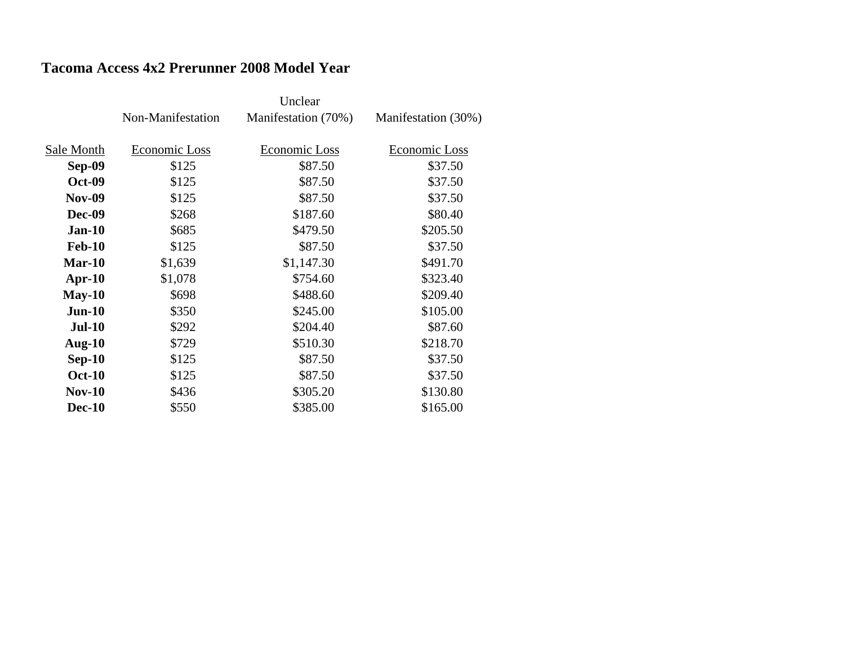### **Tacoma Access 4x2 Prerunner 2008 Model Year**

|               | Non-Manifestation | Manifestation (70%) | Manifestation (30%) |
|---------------|-------------------|---------------------|---------------------|
|               |                   |                     |                     |
| Sale Month    | Economic Loss     | Economic Loss       | Economic Loss       |
| Sep-09        | \$125             | \$87.50             | \$37.50             |
| <b>Oct-09</b> | \$125             | \$87.50             | \$37.50             |
| <b>Nov-09</b> | \$125             | \$87.50             | \$37.50             |
| <b>Dec-09</b> | \$268             | \$187.60            | \$80.40             |
| <b>Jan-10</b> | \$685             | \$479.50            | \$205.50            |
| <b>Feb-10</b> | \$125             | \$87.50             | \$37.50             |
| Mar-10        | \$1,639           | \$1,147.30          | \$491.70            |
| $Apr-10$      | \$1,078           | \$754.60            | \$323.40            |
| $May-10$      | \$698             | \$488.60            | \$209.40            |
| $Jun-10$      | \$350             | \$245.00            | \$105.00            |
| $Jul-10$      | \$292             | \$204.40            | \$87.60             |
| Aug- $10$     | \$729             | \$510.30            | \$218.70            |
| $Sep-10$      | \$125             | \$87.50             | \$37.50             |
| <b>Oct-10</b> | \$125             | \$87.50             | \$37.50             |
| $Nov-10$      | \$436             | \$305.20            | \$130.80            |
| <b>Dec-10</b> | \$550             | \$385.00            | \$165.00            |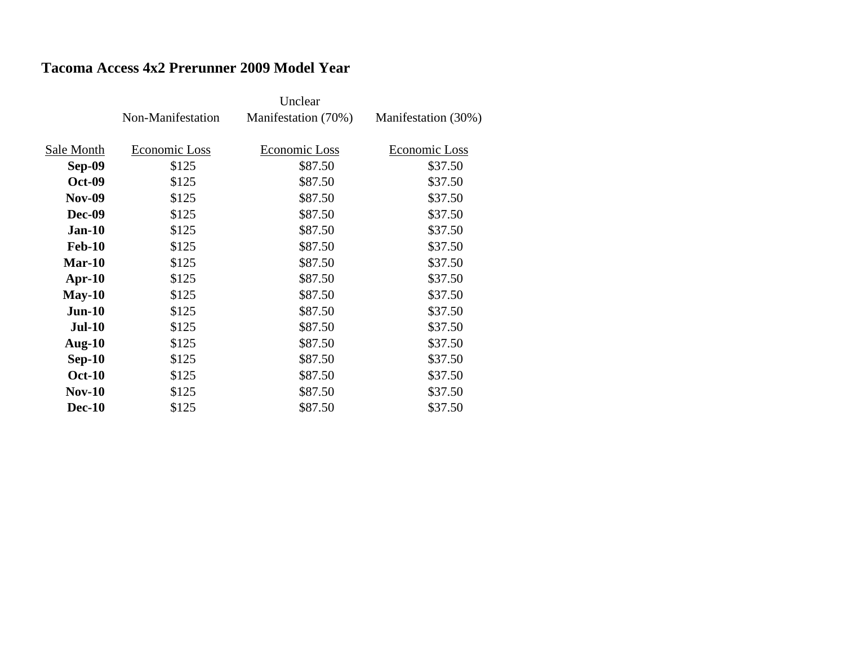### **Tacoma Access 4x2 Prerunner 2009 Model Year**

|               |                   | Unclear             |                     |
|---------------|-------------------|---------------------|---------------------|
|               | Non-Manifestation | Manifestation (70%) | Manifestation (30%) |
|               |                   |                     |                     |
| Sale Month    | Economic Loss     | Economic Loss       | Economic Loss       |
| <b>Sep-09</b> | \$125             | \$87.50             | \$37.50             |
| <b>Oct-09</b> | \$125             | \$87.50             | \$37.50             |
| <b>Nov-09</b> | \$125             | \$87.50             | \$37.50             |
| <b>Dec-09</b> | \$125             | \$87.50             | \$37.50             |
| <b>Jan-10</b> | \$125             | \$87.50             | \$37.50             |
| <b>Feb-10</b> | \$125             | \$87.50             | \$37.50             |
| $Mar-10$      | \$125             | \$87.50             | \$37.50             |
| $Apr-10$      | \$125             | \$87.50             | \$37.50             |
| $May-10$      | \$125             | \$87.50             | \$37.50             |
| $Jun-10$      | \$125             | \$87.50             | \$37.50             |
| <b>Jul-10</b> | \$125             | \$87.50             | \$37.50             |
| <b>Aug-10</b> | \$125             | \$87.50             | \$37.50             |
| $Sep-10$      | \$125             | \$87.50             | \$37.50             |
| <b>Oct-10</b> | \$125             | \$87.50             | \$37.50             |
| $Nov-10$      | \$125             | \$87.50             | \$37.50             |
| <b>Dec-10</b> | \$125             | \$87.50             | \$37.50             |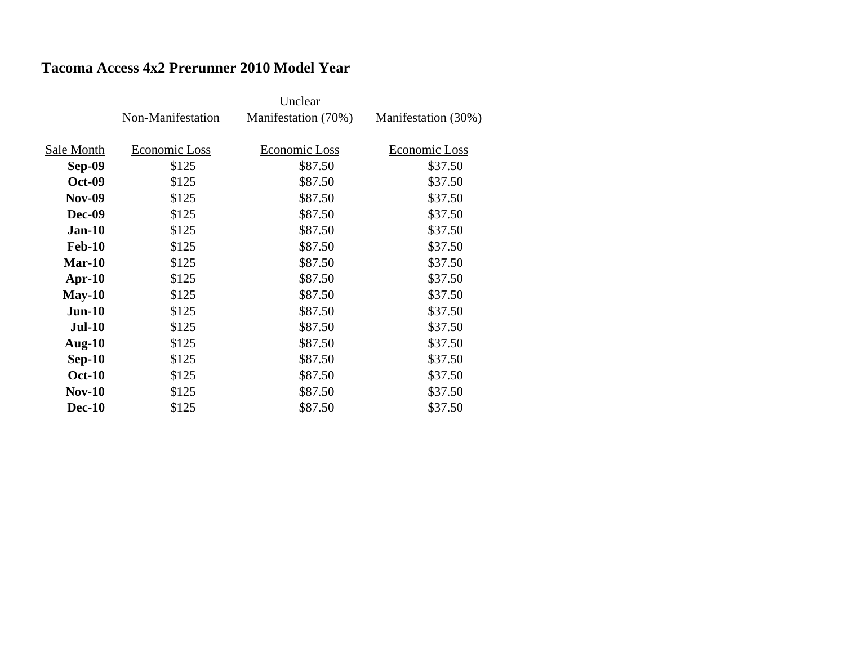### **Tacoma Access 4x2 Prerunner 2010 Model Year**

|               |                   | Unclear             |                     |
|---------------|-------------------|---------------------|---------------------|
|               | Non-Manifestation | Manifestation (70%) | Manifestation (30%) |
|               |                   |                     |                     |
| Sale Month    | Economic Loss     | Economic Loss       | Economic Loss       |
| <b>Sep-09</b> | \$125             | \$87.50             | \$37.50             |
| <b>Oct-09</b> | \$125             | \$87.50             | \$37.50             |
| <b>Nov-09</b> | \$125             | \$87.50             | \$37.50             |
| <b>Dec-09</b> | \$125             | \$87.50             | \$37.50             |
| <b>Jan-10</b> | \$125             | \$87.50             | \$37.50             |
| <b>Feb-10</b> | \$125             | \$87.50             | \$37.50             |
| $Mar-10$      | \$125             | \$87.50             | \$37.50             |
| $Apr-10$      | \$125             | \$87.50             | \$37.50             |
| $May-10$      | \$125             | \$87.50             | \$37.50             |
| $Jun-10$      | \$125             | \$87.50             | \$37.50             |
| <b>Jul-10</b> | \$125             | \$87.50             | \$37.50             |
| <b>Aug-10</b> | \$125             | \$87.50             | \$37.50             |
| $Sep-10$      | \$125             | \$87.50             | \$37.50             |
| <b>Oct-10</b> | \$125             | \$87.50             | \$37.50             |
| $Nov-10$      | \$125             | \$87.50             | \$37.50             |
| <b>Dec-10</b> | \$125             | \$87.50             | \$37.50             |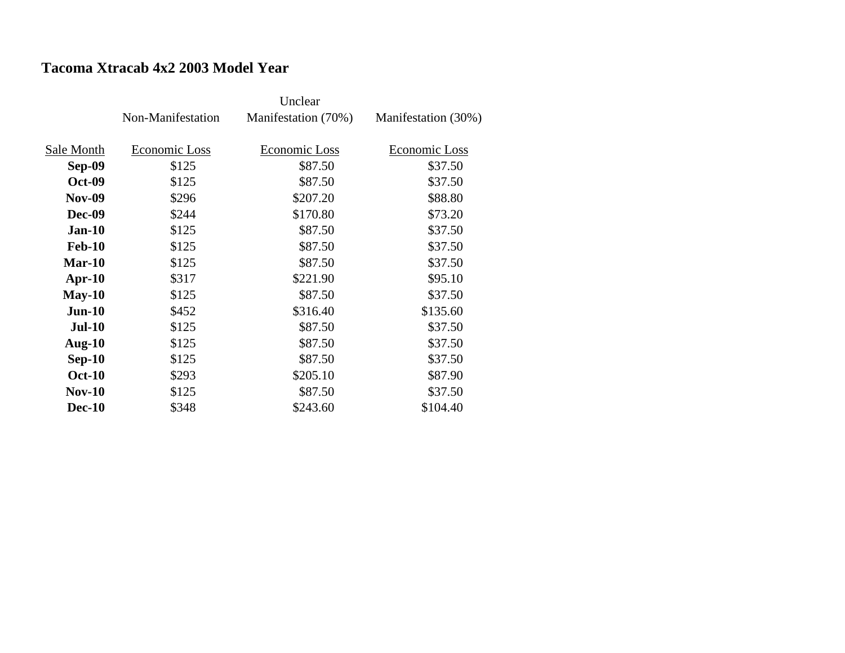#### **Tacoma Xtracab 4x2 2003 Model Year**

|               | Non-Manifestation | Manifestation (70%) | Manifestation (30%) |
|---------------|-------------------|---------------------|---------------------|
| Sale Month    | Economic Loss     | Economic Loss       | Economic Loss       |
| <b>Sep-09</b> | \$125             | \$87.50             | \$37.50             |
| <b>Oct-09</b> | \$125             | \$87.50             | \$37.50             |
| <b>Nov-09</b> | \$296             | \$207.20            | \$88.80             |
| <b>Dec-09</b> | \$244             | \$170.80            | \$73.20             |
| $Jan-10$      | \$125             | \$87.50             | \$37.50             |
| <b>Feb-10</b> | \$125             | \$87.50             | \$37.50             |
| $Mar-10$      | \$125             | \$87.50             | \$37.50             |
|               |                   |                     |                     |
| $Apr-10$      | \$317             | \$221.90            | \$95.10             |
| $May-10$      | \$125             | \$87.50             | \$37.50             |
| $Jun-10$      | \$452             | \$316.40            | \$135.60            |
| $Jul-10$      | \$125             | \$87.50             | \$37.50             |
| Aug- $10$     | \$125             | \$87.50             | \$37.50             |
| $Sep-10$      | \$125             | \$87.50             | \$37.50             |
| <b>Oct-10</b> | \$293             | \$205.10            | \$87.90             |
| <b>Nov-10</b> | \$125             | \$87.50             | \$37.50             |
| <b>Dec-10</b> | \$348             | \$243.60            | \$104.40            |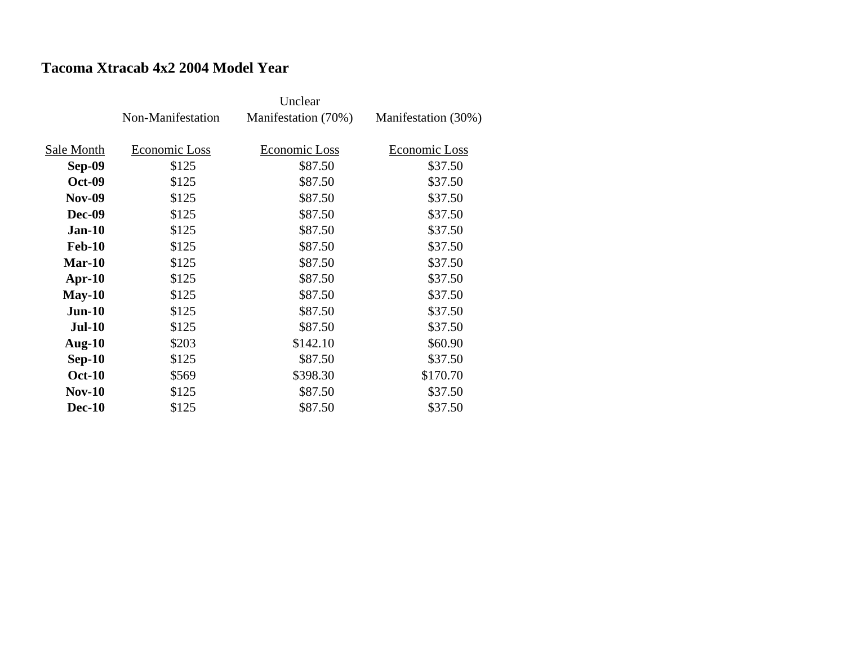#### **Tacoma Xtracab 4x2 2004 Model Year**

|               | Non-Manifestation | Manifestation (70%) | Manifestation (30%) |
|---------------|-------------------|---------------------|---------------------|
| Sale Month    | Economic Loss     | Economic Loss       | Economic Loss       |
| <b>Sep-09</b> | \$125             | \$87.50             | \$37.50             |
| <b>Oct-09</b> | \$125             | \$87.50             | \$37.50             |
| <b>Nov-09</b> | \$125             | \$87.50             | \$37.50             |
| <b>Dec-09</b> | \$125             | \$87.50             | \$37.50             |
| $Jan-10$      | \$125             | \$87.50             | \$37.50             |
| <b>Feb-10</b> | \$125             | \$87.50             | \$37.50             |
| $Mar-10$      | \$125             | \$87.50             | \$37.50             |
| $Apr-10$      | \$125             | \$87.50             | \$37.50             |
| $May-10$      | \$125             | \$87.50             | \$37.50             |
| $Jun-10$      | \$125             | \$87.50             | \$37.50             |
| <b>Jul-10</b> | \$125             | \$87.50             | \$37.50             |
| Aug- $10$     | \$203             | \$142.10            | \$60.90             |
| $Sep-10$      | \$125             | \$87.50             | \$37.50             |
| <b>Oct-10</b> | \$569             | \$398.30            | \$170.70            |
| <b>Nov-10</b> | \$125             | \$87.50             | \$37.50             |
| <b>Dec-10</b> | \$125             | \$87.50             | \$37.50             |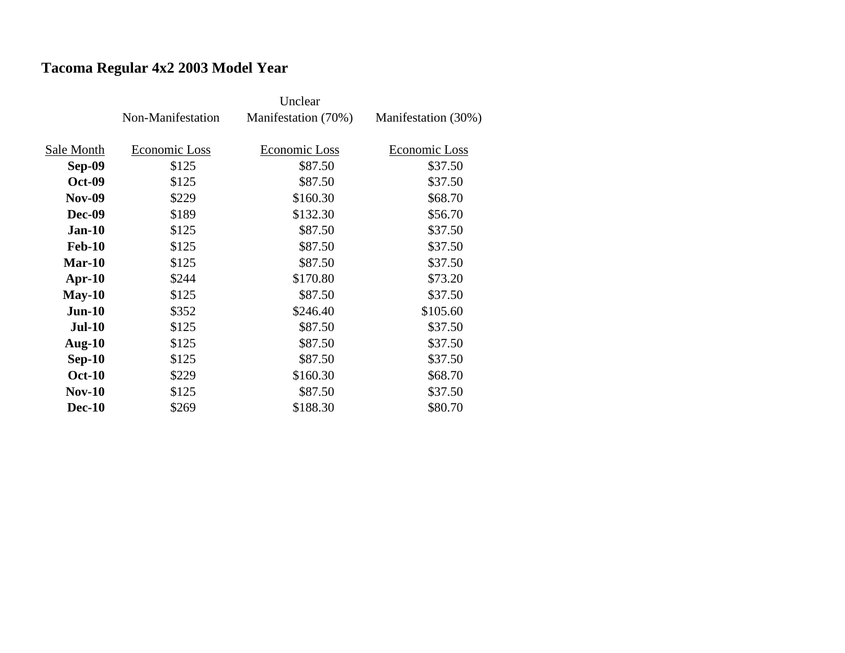## **Tacoma Regular 4x2 2003 Model Year**

|               | Non-Manifestation | Manifestation (70%) | Manifestation (30%) |
|---------------|-------------------|---------------------|---------------------|
|               |                   |                     |                     |
| Sale Month    | Economic Loss     | Economic Loss       | Economic Loss       |
| <b>Sep-09</b> | \$125             | \$87.50             | \$37.50             |
| <b>Oct-09</b> | \$125             | \$87.50             | \$37.50             |
| <b>Nov-09</b> | \$229             | \$160.30            | \$68.70             |
| <b>Dec-09</b> | \$189             | \$132.30            | \$56.70             |
| $Jan-10$      | \$125             | \$87.50             | \$37.50             |
| <b>Feb-10</b> | \$125             | \$87.50             | \$37.50             |
| $Mar-10$      | \$125             | \$87.50             | \$37.50             |
| $Apr-10$      | \$244             | \$170.80            | \$73.20             |
| $May-10$      | \$125             | \$87.50             | \$37.50             |
| $Jun-10$      | \$352             | \$246.40            | \$105.60            |
| <b>Jul-10</b> | \$125             | \$87.50             | \$37.50             |
| Aug- $10$     | \$125             | \$87.50             | \$37.50             |
| $Sep-10$      | \$125             | \$87.50             | \$37.50             |
| <b>Oct-10</b> | \$229             | \$160.30            | \$68.70             |
| $Nov-10$      | \$125             | \$87.50             | \$37.50             |
| <b>Dec-10</b> | \$269             | \$188.30            | \$80.70             |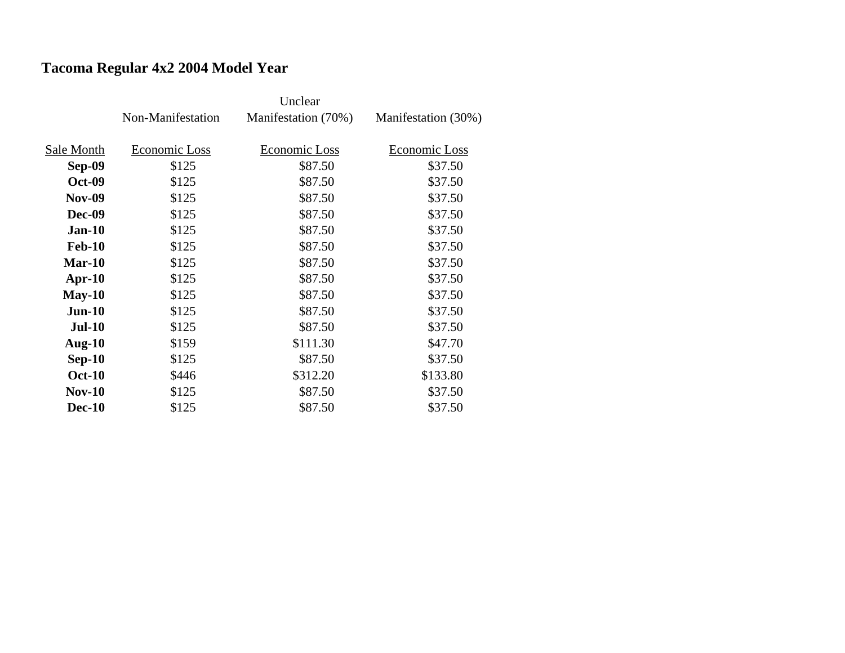## **Tacoma Regular 4x2 2004 Model Year**

|               | Non-Manifestation | Manifestation (70%) | Manifestation (30%) |
|---------------|-------------------|---------------------|---------------------|
|               |                   |                     |                     |
| Sale Month    | Economic Loss     | Economic Loss       | Economic Loss       |
| <b>Sep-09</b> | \$125             | \$87.50             | \$37.50             |
| <b>Oct-09</b> | \$125             | \$87.50             | \$37.50             |
| <b>Nov-09</b> | \$125             | \$87.50             | \$37.50             |
| <b>Dec-09</b> | \$125             | \$87.50             | \$37.50             |
| $Jan-10$      | \$125             | \$87.50             | \$37.50             |
| <b>Feb-10</b> | \$125             | \$87.50             | \$37.50             |
| $Mar-10$      | \$125             | \$87.50             | \$37.50             |
| Apr- $10$     | \$125             | \$87.50             | \$37.50             |
| $May-10$      | \$125             | \$87.50             | \$37.50             |
| $Jun-10$      | \$125             | \$87.50             | \$37.50             |
| $Jul-10$      | \$125             | \$87.50             | \$37.50             |
| Aug- $10$     | \$159             | \$111.30            | \$47.70             |
| $Sep-10$      | \$125             | \$87.50             | \$37.50             |
| <b>Oct-10</b> | \$446             | \$312.20            | \$133.80            |
| <b>Nov-10</b> | \$125             | \$87.50             | \$37.50             |
| <b>Dec-10</b> | \$125             | \$87.50             | \$37.50             |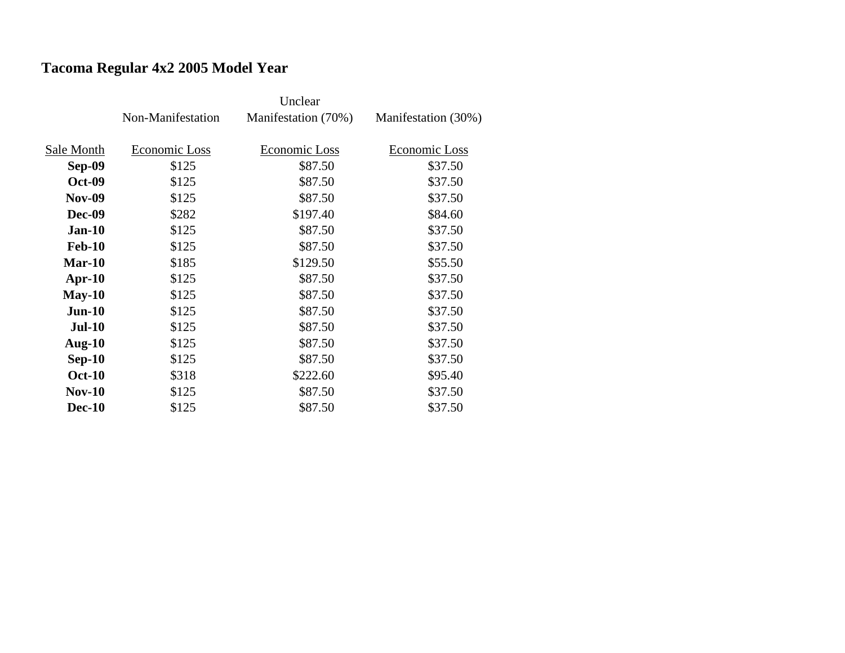## **Tacoma Regular 4x2 2005 Model Year**

|               | Non-Manifestation | Manifestation (70%) | Manifestation (30%) |
|---------------|-------------------|---------------------|---------------------|
|               |                   |                     |                     |
| Sale Month    | Economic Loss     | Economic Loss       | Economic Loss       |
| Sep-09        | \$125             | \$87.50             | \$37.50             |
| <b>Oct-09</b> | \$125             | \$87.50             | \$37.50             |
| <b>Nov-09</b> | \$125             | \$87.50             | \$37.50             |
| <b>Dec-09</b> | \$282             | \$197.40            | \$84.60             |
| $Jan-10$      | \$125             | \$87.50             | \$37.50             |
| <b>Feb-10</b> | \$125             | \$87.50             | \$37.50             |
| $Mar-10$      | \$185             | \$129.50            | \$55.50             |
| $Apr-10$      | \$125             | \$87.50             | \$37.50             |
| $May-10$      | \$125             | \$87.50             | \$37.50             |
| $Jun-10$      | \$125             | \$87.50             | \$37.50             |
| <b>Jul-10</b> | \$125             | \$87.50             | \$37.50             |
| Aug- $10$     | \$125             | \$87.50             | \$37.50             |
| $Sep-10$      | \$125             | \$87.50             | \$37.50             |
| <b>Oct-10</b> | \$318             | \$222.60            | \$95.40             |
| $Nov-10$      | \$125             | \$87.50             | \$37.50             |
| <b>Dec-10</b> | \$125             | \$87.50             | \$37.50             |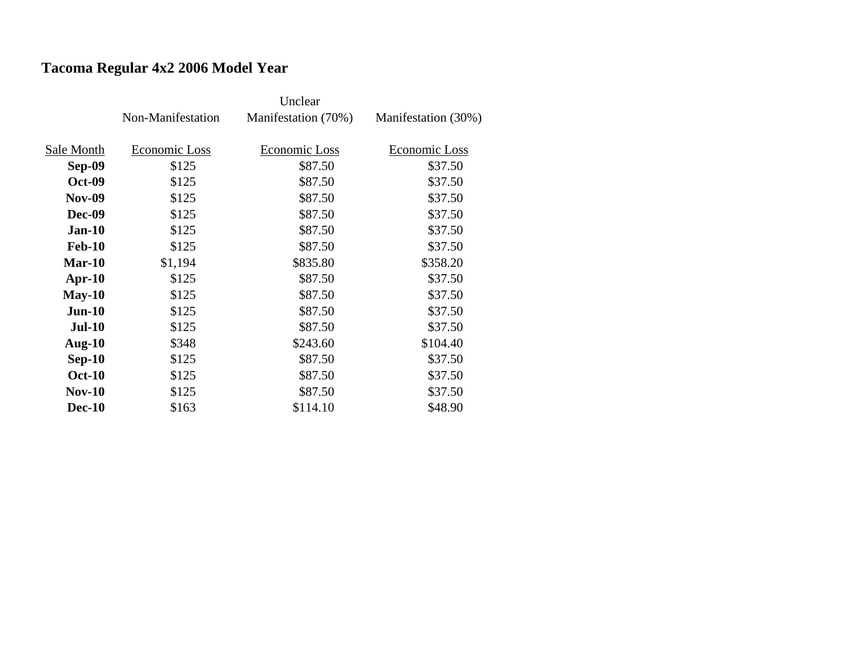## **Tacoma Regular 4x2 2006 Model Year**

|               | Non-Manifestation | Manifestation (70%) | Manifestation (30%) |
|---------------|-------------------|---------------------|---------------------|
| Sale Month    | Economic Loss     | Economic Loss       | Economic Loss       |
| <b>Sep-09</b> | \$125             | \$87.50             | \$37.50             |
| <b>Oct-09</b> | \$125             | \$87.50             | \$37.50             |
| <b>Nov-09</b> | \$125             | \$87.50             | \$37.50             |
| <b>Dec-09</b> | \$125             | \$87.50             | \$37.50             |
| $Jan-10$      | \$125             | \$87.50             | \$37.50             |
| <b>Feb-10</b> | \$125             | \$87.50             | \$37.50             |
| $Mar-10$      | \$1,194           | \$835.80            | \$358.20            |
| $Apr-10$      | \$125             | \$87.50             | \$37.50             |
| $May-10$      | \$125             | \$87.50             | \$37.50             |
| $Jun-10$      | \$125             | \$87.50             | \$37.50             |
| <b>Jul-10</b> | \$125             | \$87.50             | \$37.50             |
| Aug- $10$     | \$348             | \$243.60            | \$104.40            |
| $Sep-10$      | \$125             | \$87.50             | \$37.50             |
| <b>Oct-10</b> | \$125             | \$87.50             | \$37.50             |
| <b>Nov-10</b> | \$125             | \$87.50             | \$37.50             |
| <b>Dec-10</b> | \$163             | \$114.10            | \$48.90             |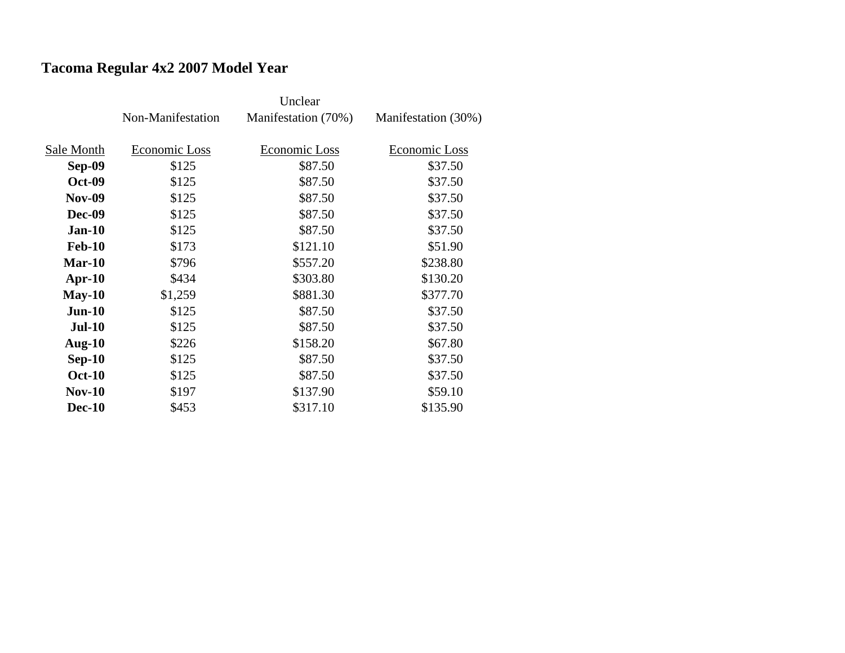## **Tacoma Regular 4x2 2007 Model Year**

|               | Non-Manifestation | Manifestation (70%) | Manifestation (30%) |
|---------------|-------------------|---------------------|---------------------|
|               |                   |                     |                     |
| Sale Month    | Economic Loss     | Economic Loss       | Economic Loss       |
| <b>Sep-09</b> | \$125             | \$87.50             | \$37.50             |
| <b>Oct-09</b> | \$125             | \$87.50             | \$37.50             |
| <b>Nov-09</b> | \$125             | \$87.50             | \$37.50             |
| <b>Dec-09</b> | \$125             | \$87.50             | \$37.50             |
| $Jan-10$      | \$125             | \$87.50             | \$37.50             |
| <b>Feb-10</b> | \$173             | \$121.10            | \$51.90             |
| <b>Mar-10</b> | \$796             | \$557.20            | \$238.80            |
| $Apr-10$      | \$434             | \$303.80            | \$130.20            |
| $May-10$      | \$1,259           | \$881.30            | \$377.70            |
| $Jun-10$      | \$125             | \$87.50             | \$37.50             |
| <b>Jul-10</b> | \$125             | \$87.50             | \$37.50             |
| Aug- $10$     | \$226             | \$158.20            | \$67.80             |
| $Sep-10$      | \$125             | \$87.50             | \$37.50             |
| <b>Oct-10</b> | \$125             | \$87.50             | \$37.50             |
| <b>Nov-10</b> | \$197             | \$137.90            | \$59.10             |
| <b>Dec-10</b> | \$453             | \$317.10            | \$135.90            |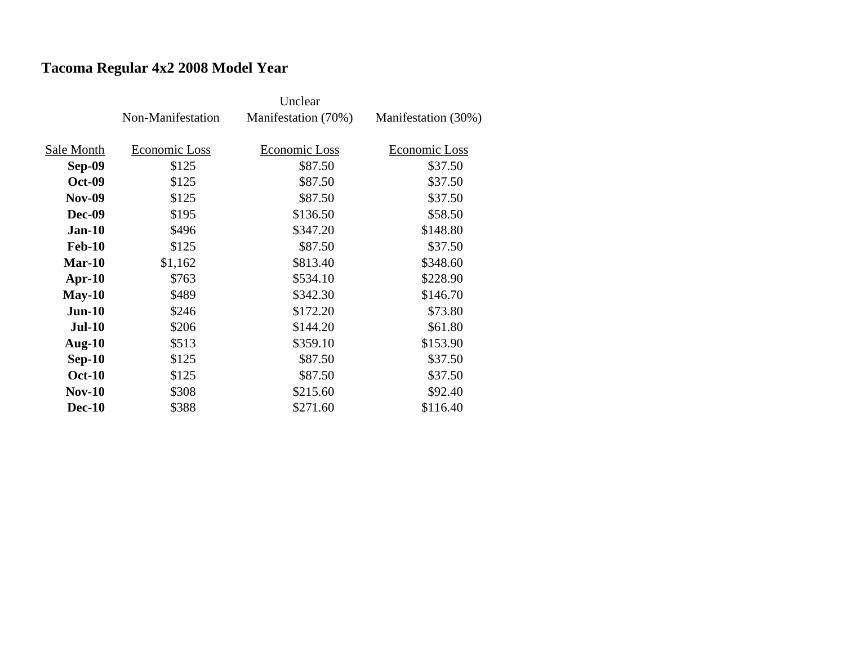## **Tacoma Regular 4x2 2008 Model Year**

|               | Non-Manifestation | Manifestation (70%) | Manifestation (30%) |
|---------------|-------------------|---------------------|---------------------|
|               |                   |                     |                     |
| Sale Month    | Economic Loss     | Economic Loss       | Economic Loss       |
| <b>Sep-09</b> | \$125             | \$87.50             | \$37.50             |
| <b>Oct-09</b> | \$125             | \$87.50             | \$37.50             |
| <b>Nov-09</b> | \$125             | \$87.50             | \$37.50             |
| <b>Dec-09</b> | \$195             | \$136.50            | \$58.50             |
| $Jan-10$      | \$496             | \$347.20            | \$148.80            |
| <b>Feb-10</b> | \$125             | \$87.50             | \$37.50             |
| $Mar-10$      | \$1,162           | \$813.40            | \$348.60            |
| $Apr-10$      | \$763             | \$534.10            | \$228.90            |
| $May-10$      | \$489             | \$342.30            | \$146.70            |
| $Jun-10$      | \$246             | \$172.20            | \$73.80             |
| <b>Jul-10</b> | \$206             | \$144.20            | \$61.80             |
| Aug- $10$     | \$513             | \$359.10            | \$153.90            |
| $Sep-10$      | \$125             | \$87.50             | \$37.50             |
| <b>Oct-10</b> | \$125             | \$87.50             | \$37.50             |
| $Nov-10$      | \$308             | \$215.60            | \$92.40             |
| <b>Dec-10</b> | \$388             | \$271.60            | \$116.40            |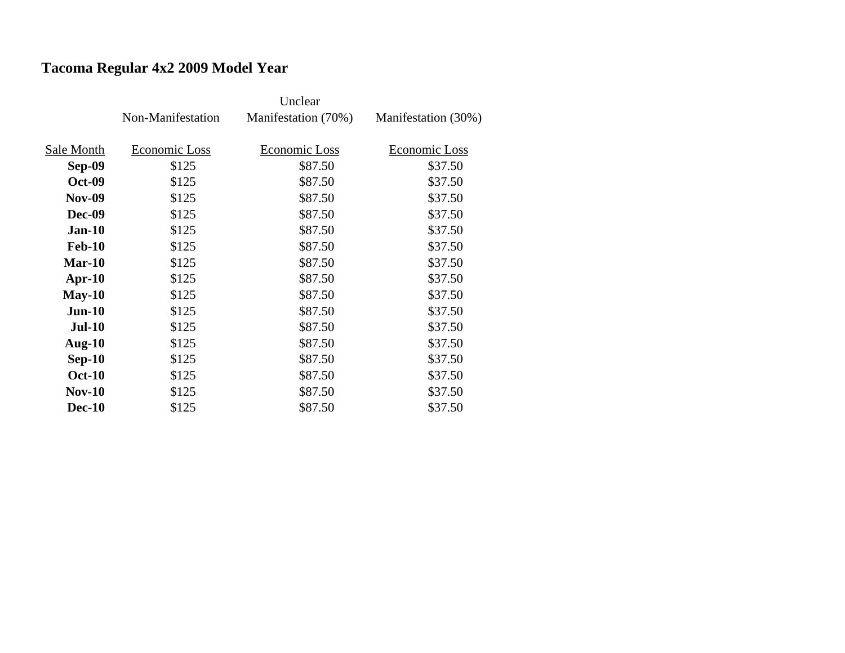## **Tacoma Regular 4x2 2009 Model Year**

|               | Non-Manifestation | Manifestation (70%) | Manifestation (30%) |
|---------------|-------------------|---------------------|---------------------|
|               |                   |                     |                     |
| Sale Month    | Economic Loss     | Economic Loss       | Economic Loss       |
| Sep-09        | \$125             | \$87.50             | \$37.50             |
| <b>Oct-09</b> | \$125             | \$87.50             | \$37.50             |
| <b>Nov-09</b> | \$125             | \$87.50             | \$37.50             |
| <b>Dec-09</b> | \$125             | \$87.50             | \$37.50             |
| $Jan-10$      | \$125             | \$87.50             | \$37.50             |
| <b>Feb-10</b> | \$125             | \$87.50             | \$37.50             |
| $Mar-10$      | \$125             | \$87.50             | \$37.50             |
| $Apr-10$      | \$125             | \$87.50             | \$37.50             |
| $May-10$      | \$125             | \$87.50             | \$37.50             |
| $Jun-10$      | \$125             | \$87.50             | \$37.50             |
| <b>Jul-10</b> | \$125             | \$87.50             | \$37.50             |
| Aug- $10$     | \$125             | \$87.50             | \$37.50             |
| $Sep-10$      | \$125             | \$87.50             | \$37.50             |
| <b>Oct-10</b> | \$125             | \$87.50             | \$37.50             |
| <b>Nov-10</b> | \$125             | \$87.50             | \$37.50             |
| <b>Dec-10</b> | \$125             | \$87.50             | \$37.50             |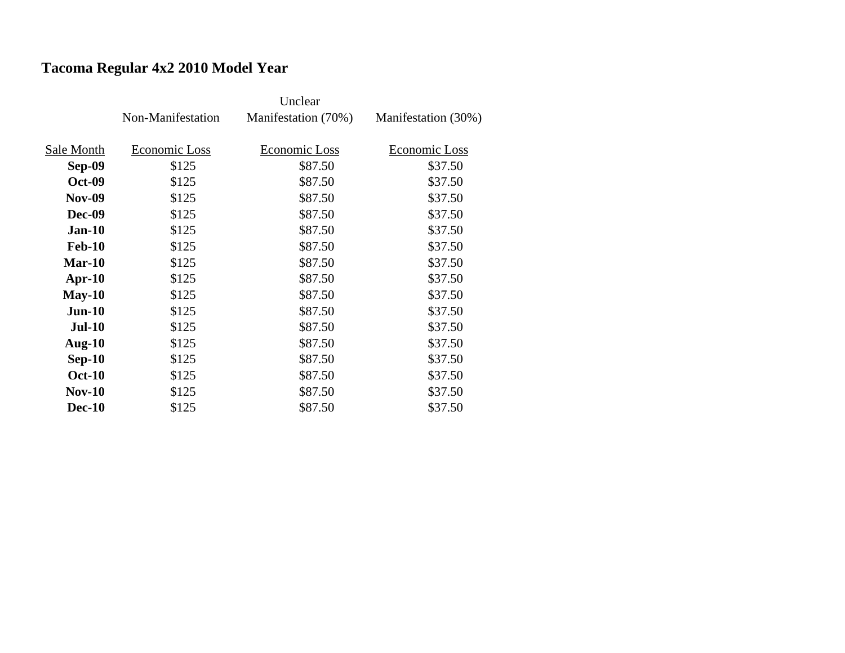## **Tacoma Regular 4x2 2010 Model Year**

|               | Non-Manifestation | Manifestation (70%) | Manifestation (30%) |
|---------------|-------------------|---------------------|---------------------|
|               |                   |                     |                     |
| Sale Month    | Economic Loss     | Economic Loss       | Economic Loss       |
| Sep-09        | \$125             | \$87.50             | \$37.50             |
| <b>Oct-09</b> | \$125             | \$87.50             | \$37.50             |
| <b>Nov-09</b> | \$125             | \$87.50             | \$37.50             |
| <b>Dec-09</b> | \$125             | \$87.50             | \$37.50             |
| $Jan-10$      | \$125             | \$87.50             | \$37.50             |
| <b>Feb-10</b> | \$125             | \$87.50             | \$37.50             |
| $Mar-10$      | \$125             | \$87.50             | \$37.50             |
| $Apr-10$      | \$125             | \$87.50             | \$37.50             |
| $May-10$      | \$125             | \$87.50             | \$37.50             |
| $Jun-10$      | \$125             | \$87.50             | \$37.50             |
| <b>Jul-10</b> | \$125             | \$87.50             | \$37.50             |
| Aug- $10$     | \$125             | \$87.50             | \$37.50             |
| $Sep-10$      | \$125             | \$87.50             | \$37.50             |
| <b>Oct-10</b> | \$125             | \$87.50             | \$37.50             |
| $Nov-10$      | \$125             | \$87.50             | \$37.50             |
| <b>Dec-10</b> | \$125             | \$87.50             | \$37.50             |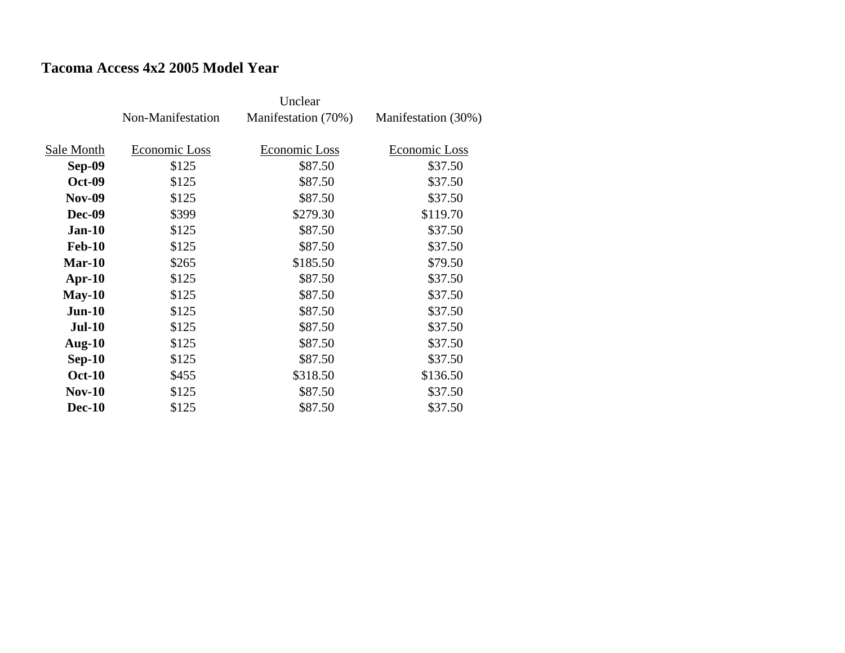### **Tacoma Access 4x2 2005 Model Year**

|               | Non-Manifestation | Manifestation (70%) | Manifestation (30%) |
|---------------|-------------------|---------------------|---------------------|
|               |                   |                     |                     |
| Sale Month    | Economic Loss     | Economic Loss       | Economic Loss       |
| <b>Sep-09</b> | \$125             | \$87.50             | \$37.50             |
| <b>Oct-09</b> | \$125             | \$87.50             | \$37.50             |
| <b>Nov-09</b> | \$125             | \$87.50             | \$37.50             |
| <b>Dec-09</b> | \$399             | \$279.30            | \$119.70            |
| $Jan-10$      | \$125             | \$87.50             | \$37.50             |
| <b>Feb-10</b> | \$125             | \$87.50             | \$37.50             |
| <b>Mar-10</b> | \$265             | \$185.50            | \$79.50             |
| $Apr-10$      | \$125             | \$87.50             | \$37.50             |
| $May-10$      | \$125             | \$87.50             | \$37.50             |
| $Jun-10$      | \$125             | \$87.50             | \$37.50             |
| <b>Jul-10</b> | \$125             | \$87.50             | \$37.50             |
| Aug- $10$     | \$125             | \$87.50             | \$37.50             |
| $Sep-10$      | \$125             | \$87.50             | \$37.50             |
| <b>Oct-10</b> | \$455             | \$318.50            | \$136.50            |
| <b>Nov-10</b> | \$125             | \$87.50             | \$37.50             |
| <b>Dec-10</b> | \$125             | \$87.50             | \$37.50             |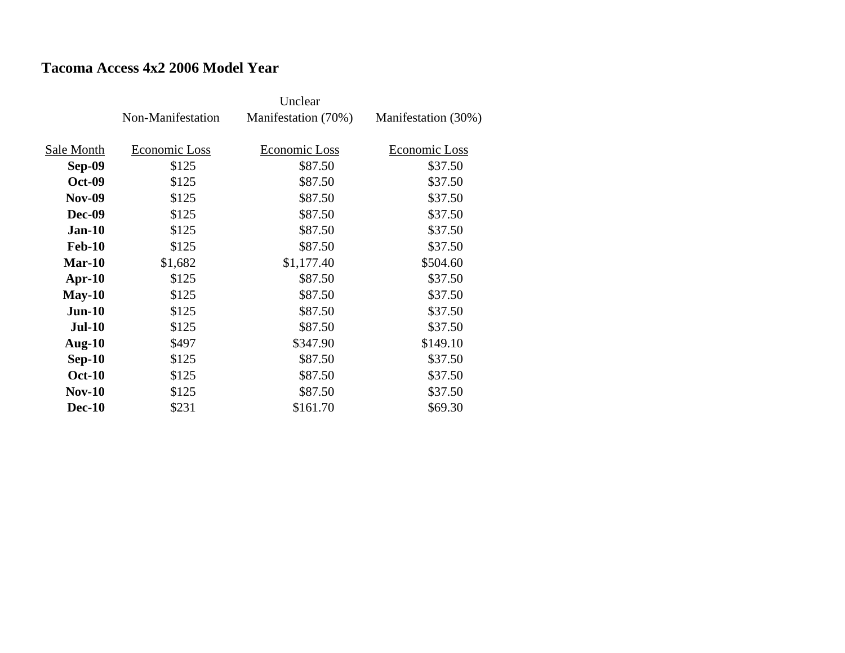### **Tacoma Access 4x2 2006 Model Year**

|               | Non-Manifestation | Manifestation (70%) | Manifestation (30%) |
|---------------|-------------------|---------------------|---------------------|
| Sale Month    | Economic Loss     | Economic Loss       | Economic Loss       |
| <b>Sep-09</b> | \$125             | \$87.50             | \$37.50             |
|               |                   |                     |                     |
| <b>Oct-09</b> | \$125             | \$87.50             | \$37.50             |
| <b>Nov-09</b> | \$125             | \$87.50             | \$37.50             |
| <b>Dec-09</b> | \$125             | \$87.50             | \$37.50             |
| $Jan-10$      | \$125             | \$87.50             | \$37.50             |
| <b>Feb-10</b> | \$125             | \$87.50             | \$37.50             |
| $Mar-10$      | \$1,682           | \$1,177.40          | \$504.60            |
| $Apr-10$      | \$125             | \$87.50             | \$37.50             |
| $May-10$      | \$125             | \$87.50             | \$37.50             |
| $Jun-10$      | \$125             | \$87.50             | \$37.50             |
| <b>Jul-10</b> | \$125             | \$87.50             | \$37.50             |
| Aug- $10$     | \$497             | \$347.90            | \$149.10            |
| $Sep-10$      | \$125             | \$87.50             | \$37.50             |
| <b>Oct-10</b> | \$125             | \$87.50             | \$37.50             |
| <b>Nov-10</b> | \$125             | \$87.50             | \$37.50             |
| <b>Dec-10</b> | \$231             | \$161.70            | \$69.30             |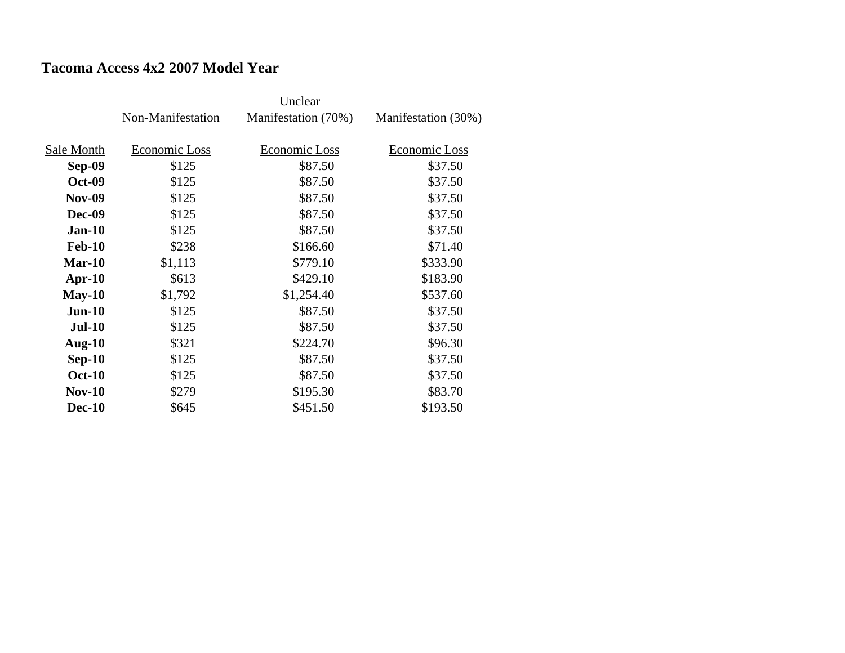### **Tacoma Access 4x2 2007 Model Year**

|               | Non-Manifestation | Manifestation (70%) | Manifestation (30%) |
|---------------|-------------------|---------------------|---------------------|
| Sale Month    | Economic Loss     | Economic Loss       | Economic Loss       |
| <b>Sep-09</b> | \$125             | \$87.50             | \$37.50             |
| <b>Oct-09</b> | \$125             | \$87.50             | \$37.50             |
|               |                   |                     |                     |
| <b>Nov-09</b> | \$125             | \$87.50             | \$37.50             |
| <b>Dec-09</b> | \$125             | \$87.50             | \$37.50             |
| $Jan-10$      | \$125             | \$87.50             | \$37.50             |
| <b>Feb-10</b> | \$238             | \$166.60            | \$71.40             |
| $Mar-10$      | \$1,113           | \$779.10            | \$333.90            |
| $Apr-10$      | \$613             | \$429.10            | \$183.90            |
| $May-10$      | \$1,792           | \$1,254.40          | \$537.60            |
| $Jun-10$      | \$125             | \$87.50             | \$37.50             |
| $Jul-10$      | \$125             | \$87.50             | \$37.50             |
| Aug- $10$     | \$321             | \$224.70            | \$96.30             |
| $Sep-10$      | \$125             | \$87.50             | \$37.50             |
| <b>Oct-10</b> | \$125             | \$87.50             | \$37.50             |
| <b>Nov-10</b> | \$279             | \$195.30            | \$83.70             |
| <b>Dec-10</b> | \$645             | \$451.50            | \$193.50            |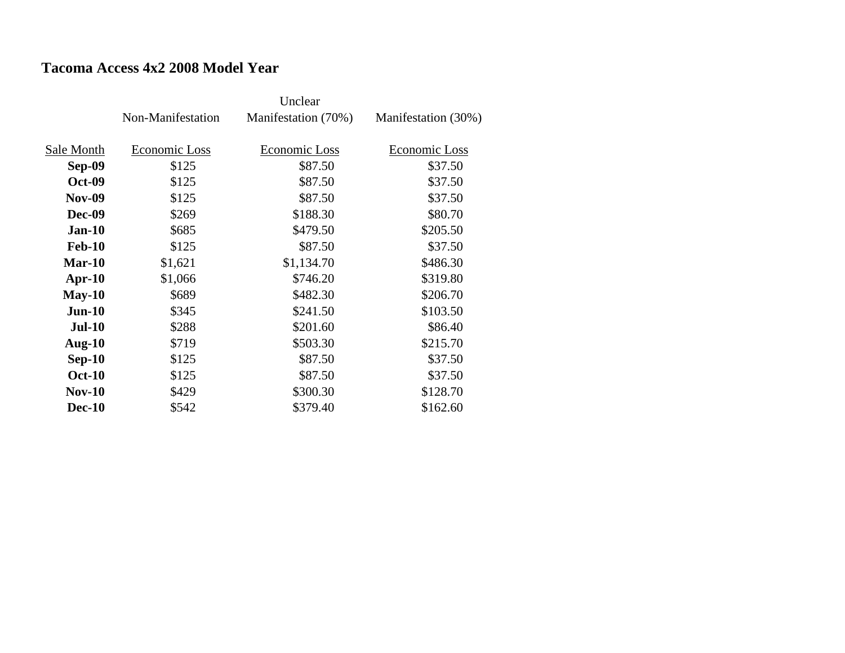### **Tacoma Access 4x2 2008 Model Year**

|               | Non-Manifestation | Manifestation (70%) | Manifestation (30%) |
|---------------|-------------------|---------------------|---------------------|
| Sale Month    | Economic Loss     | Economic Loss       | Economic Loss       |
|               |                   |                     |                     |
| Sep-09        | \$125             | \$87.50             | \$37.50             |
| <b>Oct-09</b> | \$125             | \$87.50             | \$37.50             |
| <b>Nov-09</b> | \$125             | \$87.50             | \$37.50             |
| <b>Dec-09</b> | \$269             | \$188.30            | \$80.70             |
| $Jan-10$      | \$685             | \$479.50            | \$205.50            |
| <b>Feb-10</b> | \$125             | \$87.50             | \$37.50             |
| $Mar-10$      | \$1,621           | \$1,134.70          | \$486.30            |
| $Apr-10$      | \$1,066           | \$746.20            | \$319.80            |
| $May-10$      | \$689             | \$482.30            | \$206.70            |
| $Jun-10$      | \$345             | \$241.50            | \$103.50            |
| <b>Jul-10</b> | \$288             | \$201.60            | \$86.40             |
| Aug- $10$     | \$719             | \$503.30            | \$215.70            |
| $Sep-10$      | \$125             | \$87.50             | \$37.50             |
| <b>Oct-10</b> | \$125             | \$87.50             | \$37.50             |
| $Nov-10$      | \$429             | \$300.30            | \$128.70            |
| <b>Dec-10</b> | \$542             | \$379.40            | \$162.60            |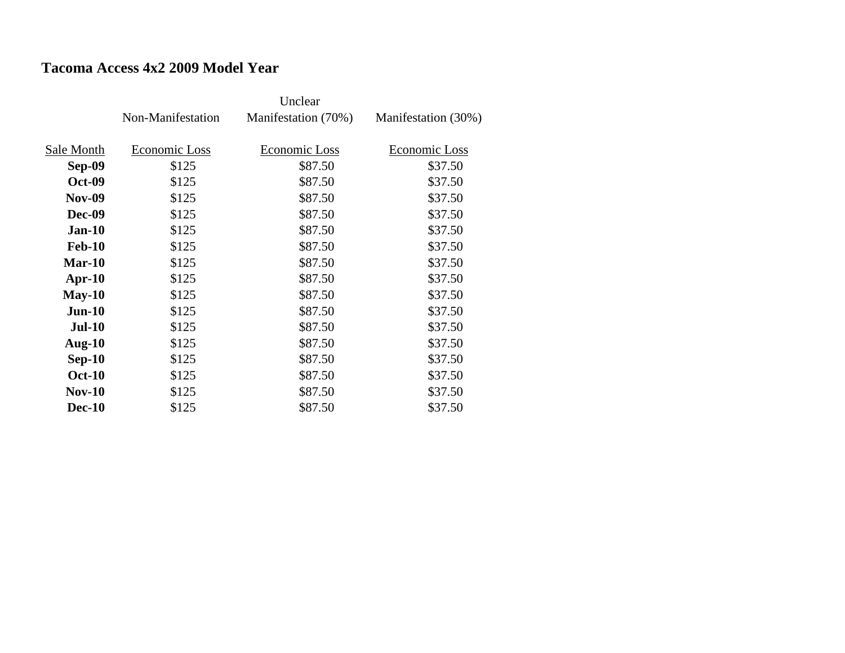#### **Tacoma Access 4x2 2009 Model Year**

|               | Non-Manifestation | Manifestation (70%) | Manifestation (30%) |
|---------------|-------------------|---------------------|---------------------|
| Sale Month    | Economic Loss     | Economic Loss       | Economic Loss       |
| <b>Sep-09</b> | \$125             | \$87.50             | \$37.50             |
| <b>Oct-09</b> | \$125             | \$87.50             | \$37.50             |
| <b>Nov-09</b> | \$125             | \$87.50             | \$37.50             |
| <b>Dec-09</b> | \$125             | \$87.50             | \$37.50             |
| $Jan-10$      | \$125             | \$87.50             | \$37.50             |
| <b>Feb-10</b> | \$125             | \$87.50             | \$37.50             |
| Mar-10        | \$125             | \$87.50             | \$37.50             |
| $Apr-10$      | \$125             | \$87.50             | \$37.50             |
| $May-10$      | \$125             | \$87.50             | \$37.50             |
| $Jun-10$      | \$125             | \$87.50             | \$37.50             |
| <b>Jul-10</b> | \$125             | \$87.50             | \$37.50             |
| Aug- $10$     | \$125             | \$87.50             | \$37.50             |
| $Sep-10$      | \$125             | \$87.50             | \$37.50             |
| <b>Oct-10</b> | \$125             | \$87.50             | \$37.50             |
| <b>Nov-10</b> | \$125             | \$87.50             | \$37.50             |
| <b>Dec-10</b> | \$125             | \$87.50             | \$37.50             |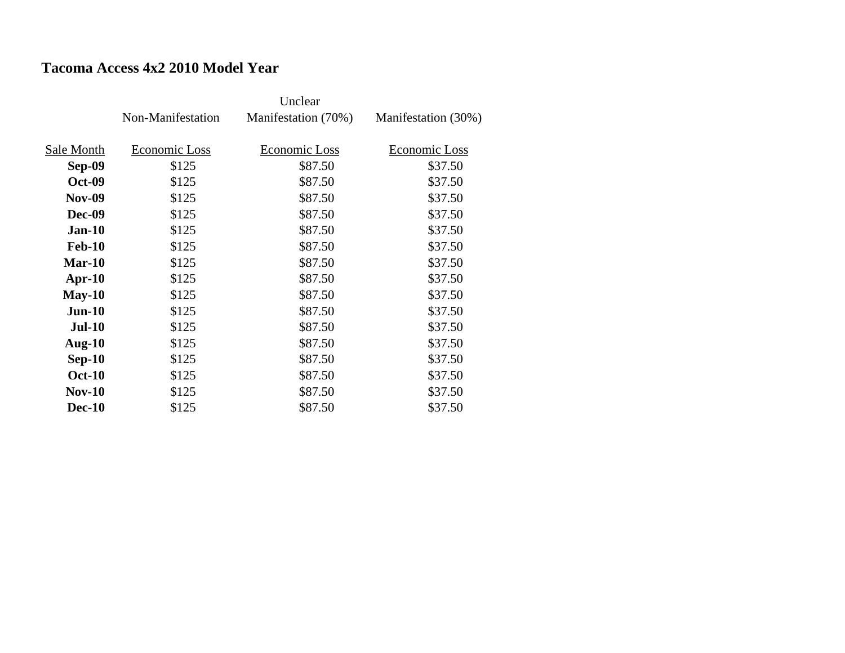### **Tacoma Access 4x2 2010 Model Year**

|               | Non-Manifestation | Manifestation (70%) | Manifestation (30%) |
|---------------|-------------------|---------------------|---------------------|
|               |                   |                     |                     |
| Sale Month    | Economic Loss     | Economic Loss       | Economic Loss       |
| <b>Sep-09</b> | \$125             | \$87.50             | \$37.50             |
| <b>Oct-09</b> | \$125             | \$87.50             | \$37.50             |
| <b>Nov-09</b> | \$125             | \$87.50             | \$37.50             |
| <b>Dec-09</b> | \$125             | \$87.50             | \$37.50             |
| $Jan-10$      | \$125             | \$87.50             | \$37.50             |
| <b>Feb-10</b> | \$125             | \$87.50             | \$37.50             |
| Mar-10        | \$125             | \$87.50             | \$37.50             |
| $Apr-10$      | \$125             | \$87.50             | \$37.50             |
| $May-10$      | \$125             | \$87.50             | \$37.50             |
| $Jun-10$      | \$125             | \$87.50             | \$37.50             |
| <b>Jul-10</b> | \$125             | \$87.50             | \$37.50             |
| Aug- $10$     | \$125             | \$87.50             | \$37.50             |
| $Sep-10$      | \$125             | \$87.50             | \$37.50             |
| <b>Oct-10</b> | \$125             | \$87.50             | \$37.50             |
| <b>Nov-10</b> | \$125             | \$87.50             | \$37.50             |
| <b>Dec-10</b> | \$125             | \$87.50             | \$37.50             |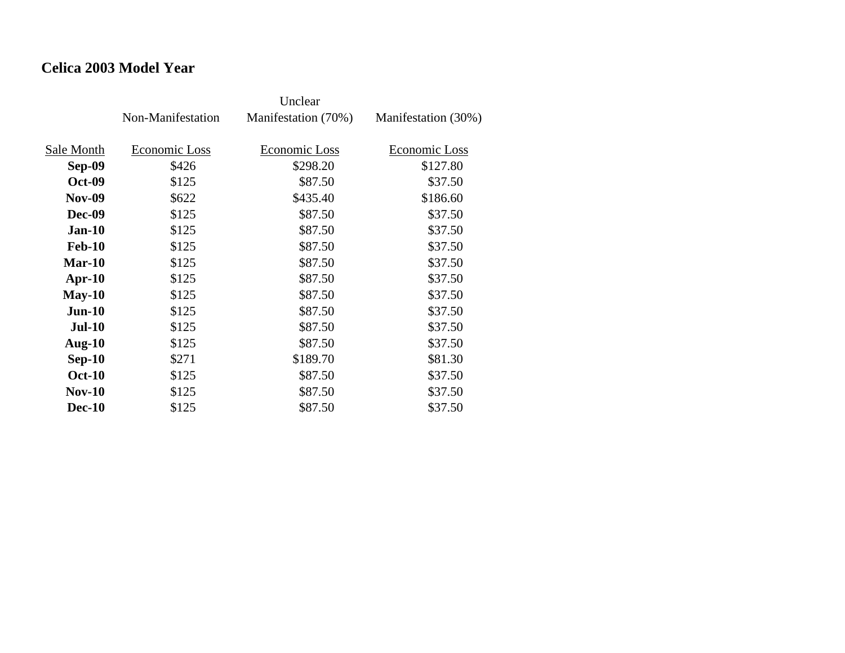### **Celica 2003 Model Year**

|               | Non-Manifestation | Manifestation (70%) | Manifestation (30%) |
|---------------|-------------------|---------------------|---------------------|
| Sale Month    | Economic Loss     | Economic Loss       | Economic Loss       |
| Sep-09        | \$426             | \$298.20            | \$127.80            |
| <b>Oct-09</b> | \$125             | \$87.50             | \$37.50             |
| <b>Nov-09</b> | \$622             | \$435.40            | \$186.60            |
| <b>Dec-09</b> | \$125             | \$87.50             | \$37.50             |
| $Jan-10$      | \$125             | \$87.50             | \$37.50             |
| <b>Feb-10</b> | \$125             | \$87.50             | \$37.50             |
| $Mar-10$      | \$125             | \$87.50             | \$37.50             |
| $Apr-10$      | \$125             | \$87.50             | \$37.50             |
| $May-10$      | \$125             | \$87.50             | \$37.50             |
| $Jun-10$      | \$125             | \$87.50             | \$37.50             |
| <b>Jul-10</b> | \$125             | \$87.50             | \$37.50             |
| Aug- $10$     | \$125             | \$87.50             | \$37.50             |
| $Sep-10$      | \$271             | \$189.70            | \$81.30             |
| <b>Oct-10</b> | \$125             | \$87.50             | \$37.50             |
| $Nov-10$      | \$125             | \$87.50             | \$37.50             |
| <b>Dec-10</b> | \$125             | \$87.50             | \$37.50             |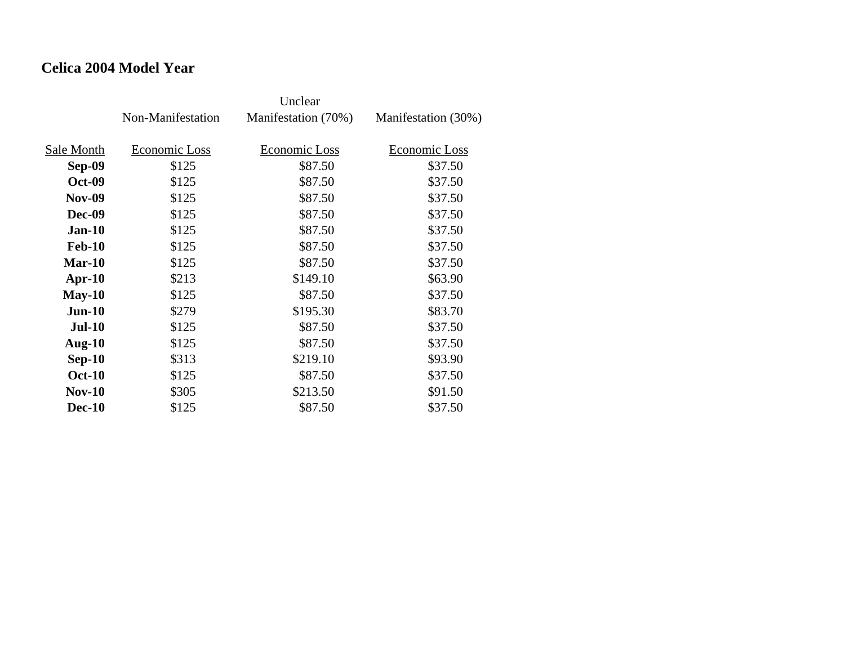### **Celica 2004 Model Year**

|               | Non-Manifestation | Manifestation (70%) | Manifestation (30%) |
|---------------|-------------------|---------------------|---------------------|
| Sale Month    | Economic Loss     | Economic Loss       | Economic Loss       |
| Sep-09        | \$125             | \$87.50             | \$37.50             |
| <b>Oct-09</b> | \$125             | \$87.50             | \$37.50             |
| <b>Nov-09</b> | \$125             | \$87.50             | \$37.50             |
| <b>Dec-09</b> | \$125             | \$87.50             | \$37.50             |
| <b>Jan-10</b> | \$125             | \$87.50             | \$37.50             |
| <b>Feb-10</b> | \$125             | \$87.50             | \$37.50             |
| Mar-10        | \$125             | \$87.50             | \$37.50             |
| $Apr-10$      | \$213             | \$149.10            | \$63.90             |
| $May-10$      | \$125             | \$87.50             | \$37.50             |
| $Jun-10$      | \$279             | \$195.30            | \$83.70             |
| $Jul-10$      | \$125             | \$87.50             | \$37.50             |
| Aug- $10$     | \$125             | \$87.50             | \$37.50             |
| $Sep-10$      | \$313             | \$219.10            | \$93.90             |
| <b>Oct-10</b> | \$125             | \$87.50             | \$37.50             |
| $Nov-10$      | \$305             | \$213.50            | \$91.50             |
| <b>Dec-10</b> | \$125             | \$87.50             | \$37.50             |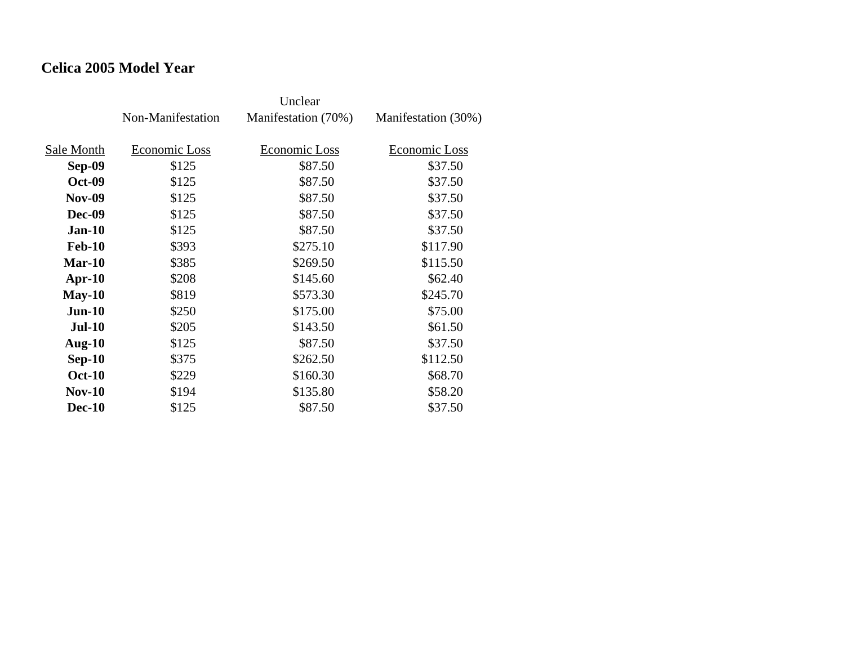### **Celica 2005 Model Year**

|               | Non-Manifestation | Manifestation (70%) | Manifestation (30%) |
|---------------|-------------------|---------------------|---------------------|
| Sale Month    | Economic Loss     | Economic Loss       | Economic Loss       |
| Sep-09        | \$125             | \$87.50             | \$37.50             |
| <b>Oct-09</b> | \$125             | \$87.50             | \$37.50             |
| <b>Nov-09</b> | \$125             | \$87.50             | \$37.50             |
| Dec-09        | \$125             | \$87.50             | \$37.50             |
| $Jan-10$      | \$125             | \$87.50             | \$37.50             |
| <b>Feb-10</b> | \$393             | \$275.10            | \$117.90            |
| $Mar-10$      | \$385             | \$269.50            | \$115.50            |
| $Apr-10$      | \$208             | \$145.60            | \$62.40             |
| $May-10$      | \$819             | \$573.30            | \$245.70            |
| $Jun-10$      | \$250             | \$175.00            | \$75.00             |
| <b>Jul-10</b> | \$205             | \$143.50            | \$61.50             |
| Aug- $10$     | \$125             | \$87.50             | \$37.50             |
| $Sep-10$      | \$375             | \$262.50            | \$112.50            |
| <b>Oct-10</b> | \$229             | \$160.30            | \$68.70             |
| $Nov-10$      | \$194             | \$135.80            | \$58.20             |
| <b>Dec-10</b> | \$125             | \$87.50             | \$37.50             |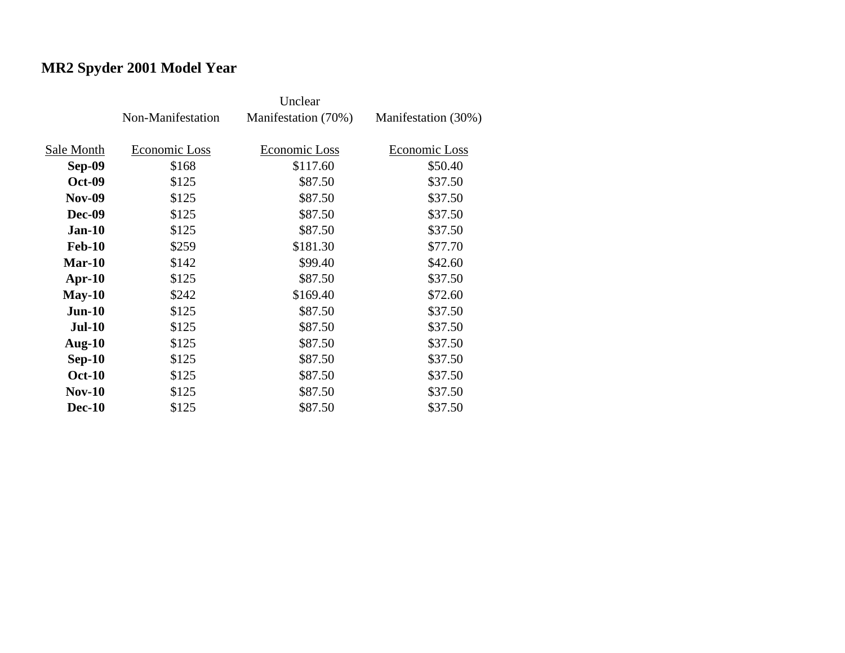# **MR2 Spyder 2001 Model Year**

|               | Non-Manifestation | Manifestation (70%) | Manifestation (30%) |
|---------------|-------------------|---------------------|---------------------|
| Sale Month    | Economic Loss     | Economic Loss       | Economic Loss       |
| <b>Sep-09</b> | \$168             | \$117.60            | \$50.40             |
| <b>Oct-09</b> | \$125             | \$87.50             | \$37.50             |
| <b>Nov-09</b> | \$125             | \$87.50             | \$37.50             |
| <b>Dec-09</b> | \$125             | \$87.50             | \$37.50             |
| $Jan-10$      | \$125             | \$87.50             | \$37.50             |
| <b>Feb-10</b> | \$259             | \$181.30            | \$77.70             |
| $Mar-10$      | \$142             | \$99.40             | \$42.60             |
| $Apr-10$      | \$125             | \$87.50             | \$37.50             |
| $May-10$      | \$242             | \$169.40            | \$72.60             |
| $Jun-10$      | \$125             | \$87.50             | \$37.50             |
| <b>Jul-10</b> | \$125             | \$87.50             | \$37.50             |
| Aug- $10$     | \$125             | \$87.50             | \$37.50             |
| $Sep-10$      | \$125             | \$87.50             | \$37.50             |
| <b>Oct-10</b> | \$125             | \$87.50             | \$37.50             |
| <b>Nov-10</b> | \$125             | \$87.50             | \$37.50             |
| <b>Dec-10</b> | \$125             | \$87.50             | \$37.50             |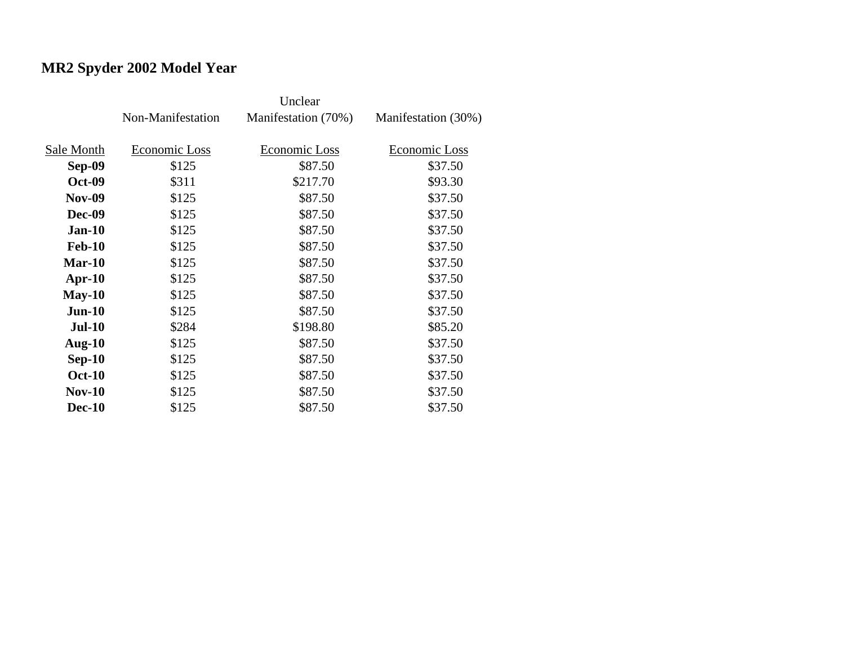# **MR2 Spyder 2002 Model Year**

|               | Non-Manifestation | Manifestation (70%) | Manifestation (30%) |
|---------------|-------------------|---------------------|---------------------|
|               |                   |                     |                     |
| Sale Month    | Economic Loss     | Economic Loss       | Economic Loss       |
| <b>Sep-09</b> | \$125             | \$87.50             | \$37.50             |
| <b>Oct-09</b> | \$311             | \$217.70            | \$93.30             |
| <b>Nov-09</b> | \$125             | \$87.50             | \$37.50             |
| <b>Dec-09</b> | \$125             | \$87.50             | \$37.50             |
| $Jan-10$      | \$125             | \$87.50             | \$37.50             |
| <b>Feb-10</b> | \$125             | \$87.50             | \$37.50             |
| $Mar-10$      | \$125             | \$87.50             | \$37.50             |
| $Apr-10$      | \$125             | \$87.50             | \$37.50             |
| $May-10$      | \$125             | \$87.50             | \$37.50             |
| $Jun-10$      | \$125             | \$87.50             | \$37.50             |
| <b>Jul-10</b> | \$284             | \$198.80            | \$85.20             |
| Aug- $10$     | \$125             | \$87.50             | \$37.50             |
| $Sep-10$      | \$125             | \$87.50             | \$37.50             |
| <b>Oct-10</b> | \$125             | \$87.50             | \$37.50             |
| $Nov-10$      | \$125             | \$87.50             | \$37.50             |
| <b>Dec-10</b> | \$125             | \$87.50             | \$37.50             |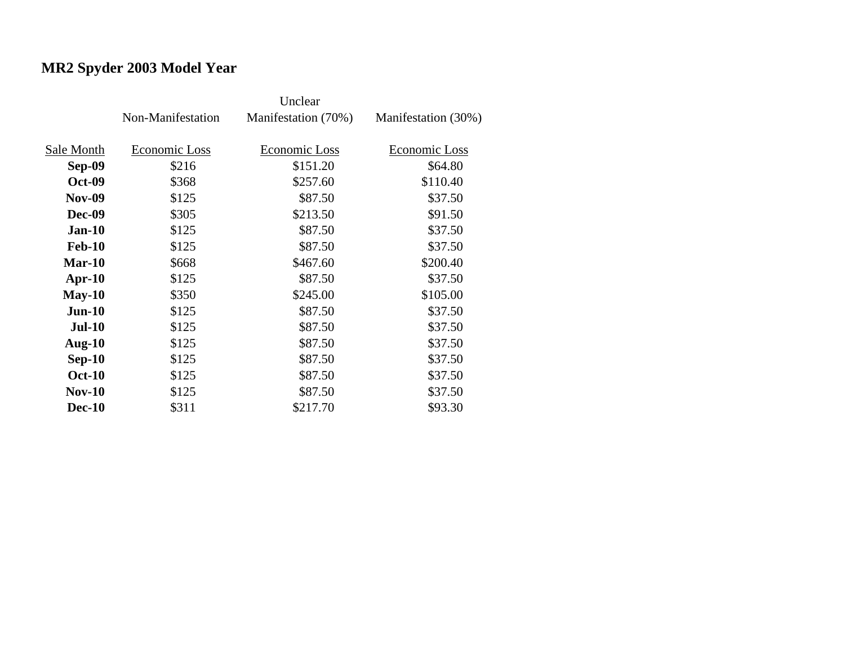# **MR2 Spyder 2003 Model Year**

|               | Non-Manifestation | Manifestation (70%) | Manifestation (30%) |
|---------------|-------------------|---------------------|---------------------|
| Sale Month    | Economic Loss     | Economic Loss       | Economic Loss       |
|               |                   |                     |                     |
| Sep-09        | \$216             | \$151.20            | \$64.80             |
| <b>Oct-09</b> | \$368             | \$257.60            | \$110.40            |
| <b>Nov-09</b> | \$125             | \$87.50             | \$37.50             |
| <b>Dec-09</b> | \$305             | \$213.50            | \$91.50             |
| $Jan-10$      | \$125             | \$87.50             | \$37.50             |
| <b>Feb-10</b> | \$125             | \$87.50             | \$37.50             |
| $Mar-10$      | \$668             | \$467.60            | \$200.40            |
| $Apr-10$      | \$125             | \$87.50             | \$37.50             |
| $May-10$      | \$350             | \$245.00            | \$105.00            |
| $Jun-10$      | \$125             | \$87.50             | \$37.50             |
| $Jul-10$      | \$125             | \$87.50             | \$37.50             |
| Aug- $10$     | \$125             | \$87.50             | \$37.50             |
| $Sep-10$      | \$125             | \$87.50             | \$37.50             |
| <b>Oct-10</b> | \$125             | \$87.50             | \$37.50             |
| <b>Nov-10</b> | \$125             | \$87.50             | \$37.50             |
| <b>Dec-10</b> | \$311             | \$217.70            | \$93.30             |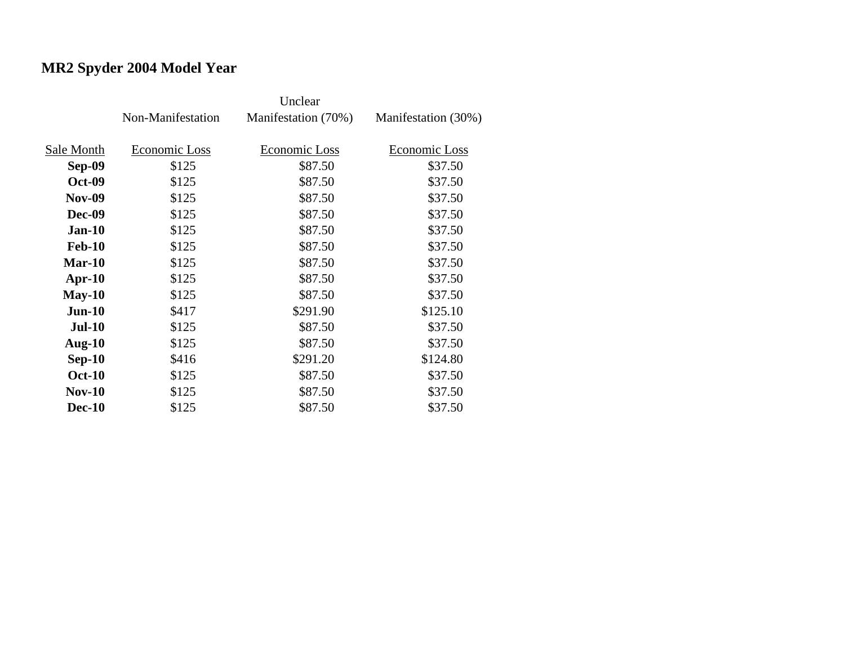# **MR2 Spyder 2004 Model Year**

|               | Non-Manifestation | Manifestation (70%) | Manifestation (30%) |
|---------------|-------------------|---------------------|---------------------|
| Sale Month    | Economic Loss     | Economic Loss       | Economic Loss       |
| Sep-09        | \$125             | \$87.50             | \$37.50             |
| <b>Oct-09</b> | \$125             | \$87.50             | \$37.50             |
| <b>Nov-09</b> | \$125             | \$87.50             | \$37.50             |
| <b>Dec-09</b> | \$125             | \$87.50             | \$37.50             |
| $Jan-10$      | \$125             | \$87.50             | \$37.50             |
| <b>Feb-10</b> | \$125             | \$87.50             | \$37.50             |
| $Mar-10$      | \$125             | \$87.50             | \$37.50             |
| $Apr-10$      | \$125             | \$87.50             | \$37.50             |
| $May-10$      | \$125             | \$87.50             | \$37.50             |
| $Jun-10$      | \$417             | \$291.90            | \$125.10            |
| $Jul-10$      | \$125             | \$87.50             | \$37.50             |
| Aug- $10$     | \$125             | \$87.50             | \$37.50             |
| $Sep-10$      | \$416             | \$291.20            | \$124.80            |
| <b>Oct-10</b> | \$125             | \$87.50             | \$37.50             |
| <b>Nov-10</b> | \$125             | \$87.50             | \$37.50             |
| <b>Dec-10</b> | \$125             | \$87.50             | \$37.50             |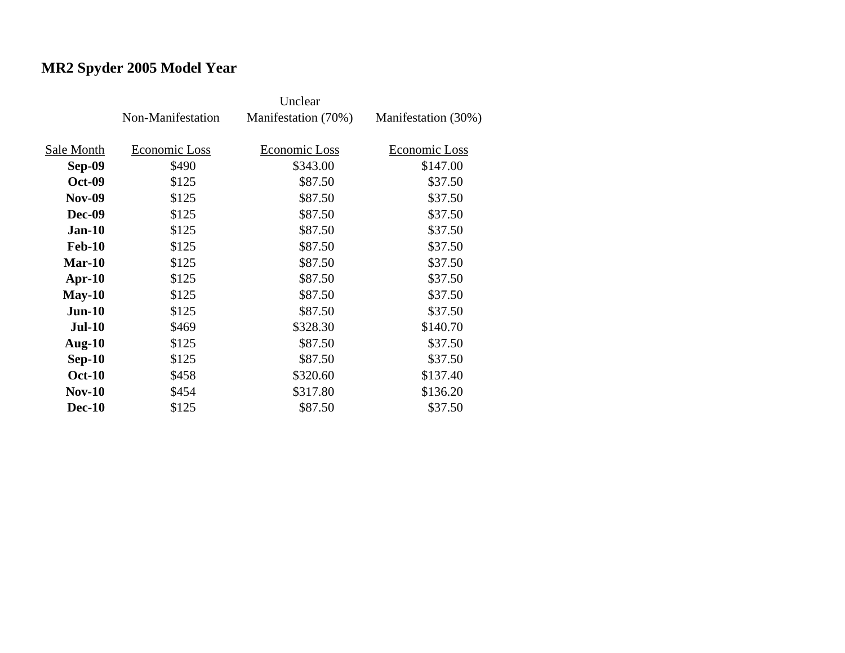# **MR2 Spyder 2005 Model Year**

|               | Non-Manifestation | Manifestation (70%)  | Manifestation (30%) |
|---------------|-------------------|----------------------|---------------------|
| Sale Month    | Economic Loss     | <b>Economic Loss</b> | Economic Loss       |
| <b>Sep-09</b> | \$490             | \$343.00             | \$147.00            |
| <b>Oct-09</b> | \$125             | \$87.50              | \$37.50             |
| <b>Nov-09</b> | \$125             | \$87.50              | \$37.50             |
| <b>Dec-09</b> | \$125             | \$87.50              | \$37.50             |
| $Jan-10$      | \$125             | \$87.50              | \$37.50             |
| <b>Feb-10</b> | \$125             | \$87.50              | \$37.50             |
| $Mar-10$      | \$125             | \$87.50              | \$37.50             |
| $Apr-10$      | \$125             | \$87.50              | \$37.50             |
| $May-10$      | \$125             | \$87.50              | \$37.50             |
| $Jun-10$      | \$125             | \$87.50              | \$37.50             |
| <b>Jul-10</b> | \$469             | \$328.30             | \$140.70            |
| Aug- $10$     | \$125             | \$87.50              | \$37.50             |
| $Sep-10$      | \$125             | \$87.50              | \$37.50             |
| <b>Oct-10</b> | \$458             | \$320.60             | \$137.40            |
| <b>Nov-10</b> | \$454             | \$317.80             | \$136.20            |
| <b>Dec-10</b> | \$125             | \$87.50              | \$37.50             |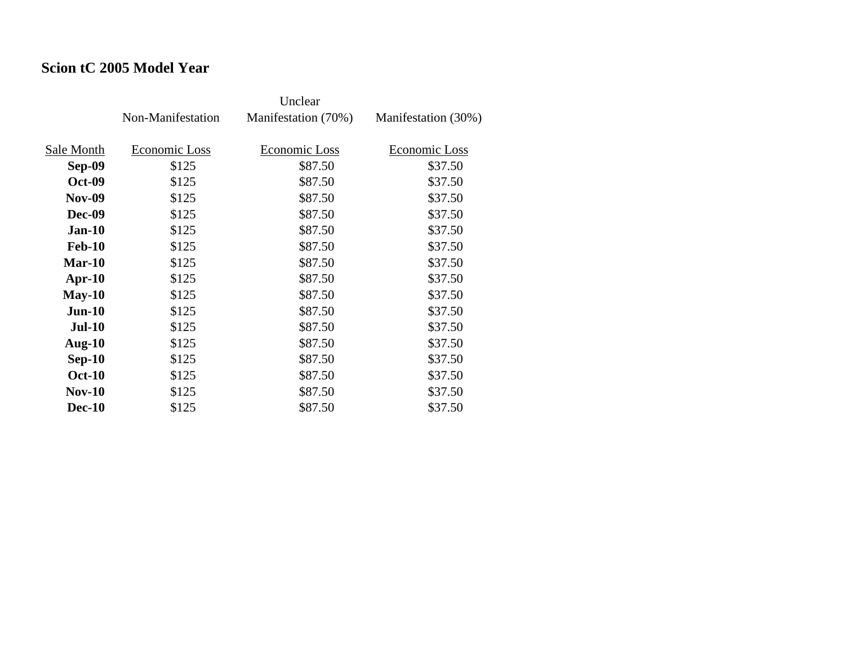### **Scion tC 2005 Model Year**

|               | Non-Manifestation | Manifestation (70%) | Manifestation (30%) |
|---------------|-------------------|---------------------|---------------------|
|               |                   |                     |                     |
| Sale Month    | Economic Loss     | Economic Loss       | Economic Loss       |
| Sep-09        | \$125             | \$87.50             | \$37.50             |
| <b>Oct-09</b> | \$125             | \$87.50             | \$37.50             |
| <b>Nov-09</b> | \$125             | \$87.50             | \$37.50             |
| Dec-09        | \$125             | \$87.50             | \$37.50             |
| <b>Jan-10</b> | \$125             | \$87.50             | \$37.50             |
| <b>Feb-10</b> | \$125             | \$87.50             | \$37.50             |
| $Mar-10$      | \$125             | \$87.50             | \$37.50             |
| $Apr-10$      | \$125             | \$87.50             | \$37.50             |
| $May-10$      | \$125             | \$87.50             | \$37.50             |
| $Jun-10$      | \$125             | \$87.50             | \$37.50             |
| <b>Jul-10</b> | \$125             | \$87.50             | \$37.50             |
| Aug- $10$     | \$125             | \$87.50             | \$37.50             |
| $Sep-10$      | \$125             | \$87.50             | \$37.50             |
| <b>Oct-10</b> | \$125             | \$87.50             | \$37.50             |
| $Nov-10$      | \$125             | \$87.50             | \$37.50             |
| <b>Dec-10</b> | \$125             | \$87.50             | \$37.50             |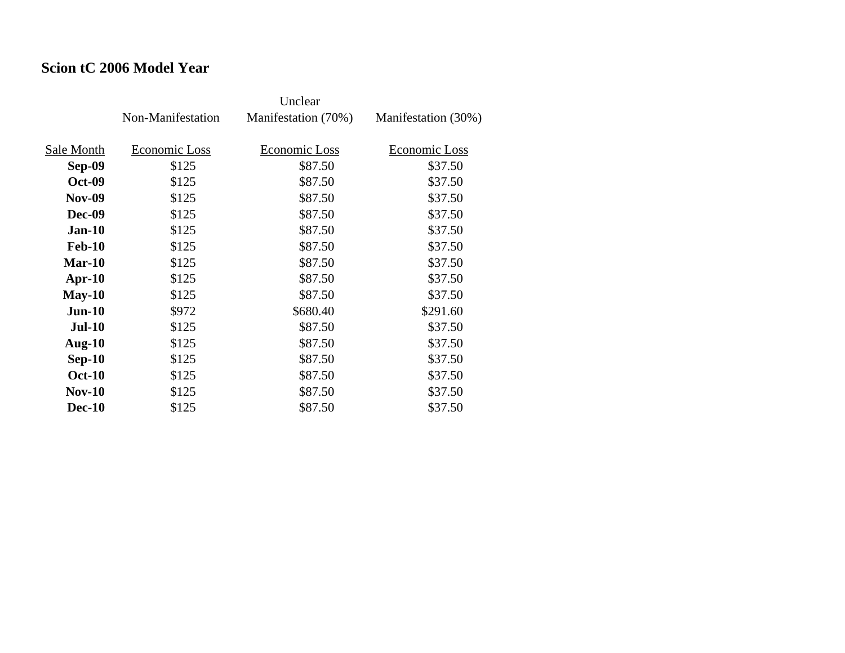### **Scion tC 2006 Model Year**

|               | Non-Manifestation | Manifestation (70%) | Manifestation (30%) |
|---------------|-------------------|---------------------|---------------------|
| Sale Month    | Economic Loss     | Economic Loss       | Economic Loss       |
| Sep-09        | \$125             | \$87.50             | \$37.50             |
| <b>Oct-09</b> | \$125             | \$87.50             | \$37.50             |
| <b>Nov-09</b> | \$125             | \$87.50             | \$37.50             |
| <b>Dec-09</b> | \$125             | \$87.50             | \$37.50             |
| $Jan-10$      | \$125             | \$87.50             | \$37.50             |
| <b>Feb-10</b> | \$125             | \$87.50             | \$37.50             |
| Mar-10        | \$125             | \$87.50             | \$37.50             |
| $Apr-10$      | \$125             | \$87.50             | \$37.50             |
| $May-10$      | \$125             | \$87.50             | \$37.50             |
| $Jun-10$      | \$972             | \$680.40            | \$291.60            |
| $Jul-10$      | \$125             | \$87.50             | \$37.50             |
| Aug- $10$     | \$125             | \$87.50             | \$37.50             |
| $Sep-10$      | \$125             | \$87.50             | \$37.50             |
| <b>Oct-10</b> | \$125             | \$87.50             | \$37.50             |
| $Nov-10$      | \$125             | \$87.50             | \$37.50             |
| <b>Dec-10</b> | \$125             | \$87.50             | \$37.50             |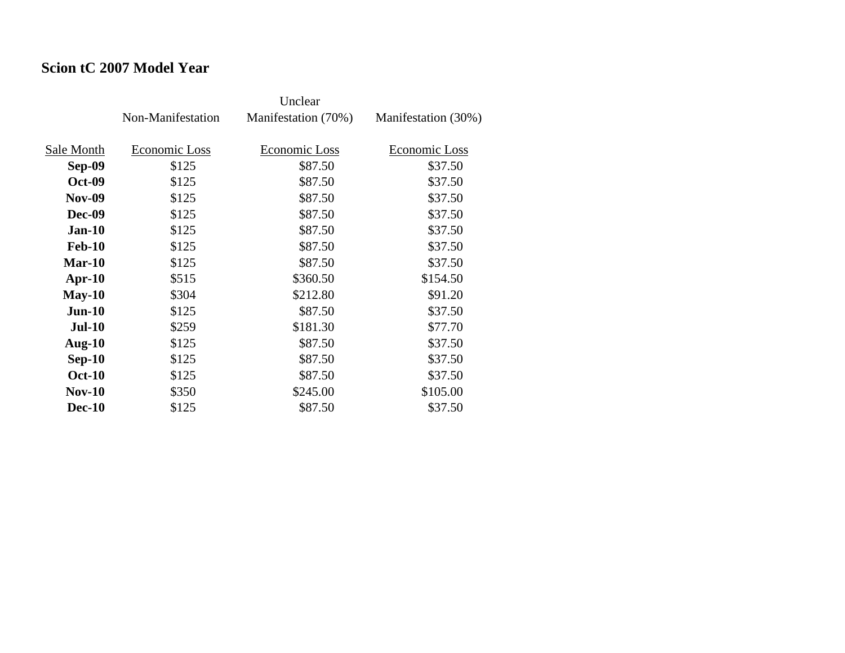### **Scion tC 2007 Model Year**

|               | Non-Manifestation | Manifestation (70%) | Manifestation (30%) |
|---------------|-------------------|---------------------|---------------------|
| Sale Month    | Economic Loss     | Economic Loss       | Economic Loss       |
| Sep-09        | \$125             | \$87.50             | \$37.50             |
| <b>Oct-09</b> | \$125             | \$87.50             | \$37.50             |
| <b>Nov-09</b> | \$125             | \$87.50             | \$37.50             |
| Dec-09        | \$125             | \$87.50             | \$37.50             |
| $Jan-10$      | \$125             | \$87.50             | \$37.50             |
| <b>Feb-10</b> | \$125             | \$87.50             | \$37.50             |
| $Mar-10$      | \$125             | \$87.50             | \$37.50             |
| $Apr-10$      | \$515             | \$360.50            | \$154.50            |
| $May-10$      | \$304             | \$212.80            | \$91.20             |
| $Jun-10$      | \$125             | \$87.50             | \$37.50             |
| <b>Jul-10</b> | \$259             | \$181.30            | \$77.70             |
| Aug- $10$     | \$125             | \$87.50             | \$37.50             |
| $Sep-10$      | \$125             | \$87.50             | \$37.50             |
| <b>Oct-10</b> | \$125             | \$87.50             | \$37.50             |
| $Nov-10$      | \$350             | \$245.00            | \$105.00            |
| <b>Dec-10</b> | \$125             | \$87.50             | \$37.50             |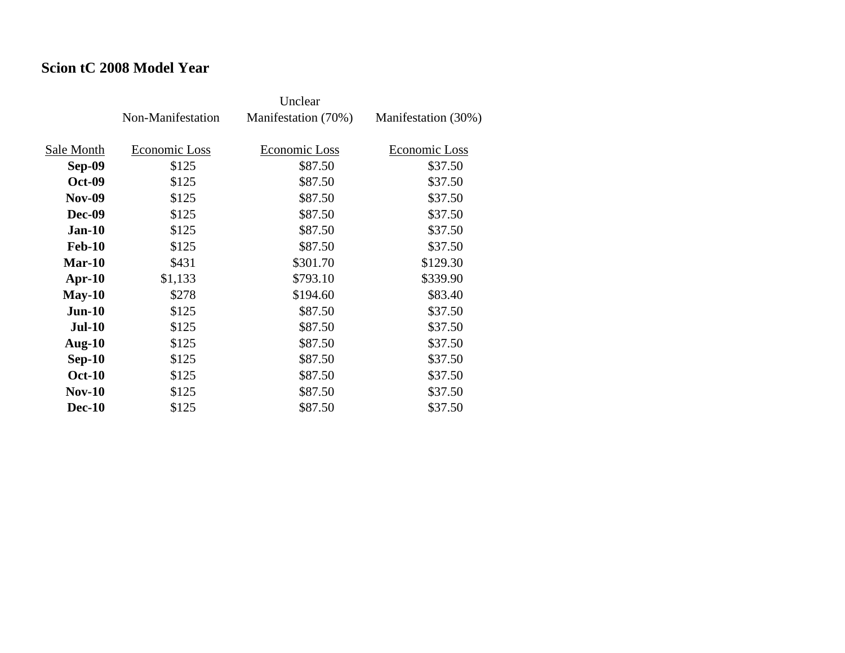#### **Scion tC 2008 Model Year**

|               | Non-Manifestation | Manifestation (70%) | Manifestation (30%) |
|---------------|-------------------|---------------------|---------------------|
| Sale Month    | Economic Loss     | Economic Loss       | Economic Loss       |
| Sep-09        | \$125             | \$87.50             | \$37.50             |
| <b>Oct-09</b> | \$125             | \$87.50             | \$37.50             |
| <b>Nov-09</b> | \$125             | \$87.50             | \$37.50             |
| <b>Dec-09</b> | \$125             | \$87.50             | \$37.50             |
| $Jan-10$      | \$125             | \$87.50             | \$37.50             |
| <b>Feb-10</b> | \$125             | \$87.50             | \$37.50             |
| $Mar-10$      | \$431             | \$301.70            | \$129.30            |
| $Apr-10$      | \$1,133           | \$793.10            | \$339.90            |
| $May-10$      | \$278             | \$194.60            | \$83.40             |
| $Jun-10$      | \$125             | \$87.50             | \$37.50             |
| <b>Jul-10</b> | \$125             | \$87.50             | \$37.50             |
| Aug- $10$     | \$125             | \$87.50             | \$37.50             |
| $Sep-10$      | \$125             | \$87.50             | \$37.50             |
| <b>Oct-10</b> | \$125             | \$87.50             | \$37.50             |
| $Nov-10$      | \$125             | \$87.50             | \$37.50             |
| <b>Dec-10</b> | \$125             | \$87.50             | \$37.50             |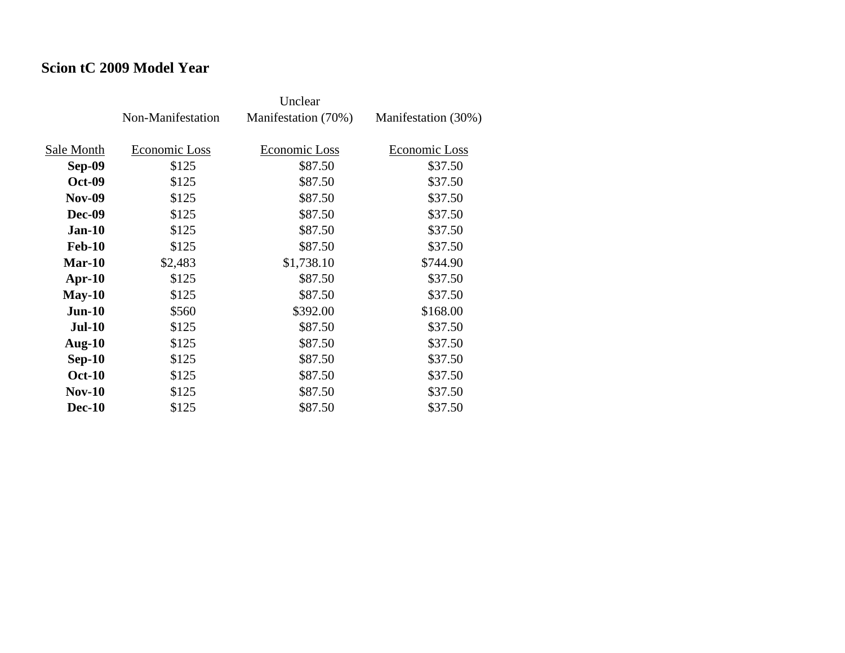#### **Scion tC 2009 Model Year**

|               | Non-Manifestation | Manifestation (70%) | Manifestation (30%) |
|---------------|-------------------|---------------------|---------------------|
| Sale Month    | Economic Loss     | Economic Loss       | Economic Loss       |
|               |                   |                     |                     |
| Sep-09        | \$125             | \$87.50             | \$37.50             |
| <b>Oct-09</b> | \$125             | \$87.50             | \$37.50             |
| <b>Nov-09</b> | \$125             | \$87.50             | \$37.50             |
| <b>Dec-09</b> | \$125             | \$87.50             | \$37.50             |
| $Jan-10$      | \$125             | \$87.50             | \$37.50             |
| <b>Feb-10</b> | \$125             | \$87.50             | \$37.50             |
| Mar-10        | \$2,483           | \$1,738.10          | \$744.90            |
| $Apr-10$      | \$125             | \$87.50             | \$37.50             |
| $May-10$      | \$125             | \$87.50             | \$37.50             |
| $Jun-10$      | \$560             | \$392.00            | \$168.00            |
| <b>Jul-10</b> | \$125             | \$87.50             | \$37.50             |
| Aug- $10$     | \$125             | \$87.50             | \$37.50             |
| $Sep-10$      | \$125             | \$87.50             | \$37.50             |
| <b>Oct-10</b> | \$125             | \$87.50             | \$37.50             |
| $Nov-10$      | \$125             | \$87.50             | \$37.50             |
| <b>Dec-10</b> | \$125             | \$87.50             | \$37.50             |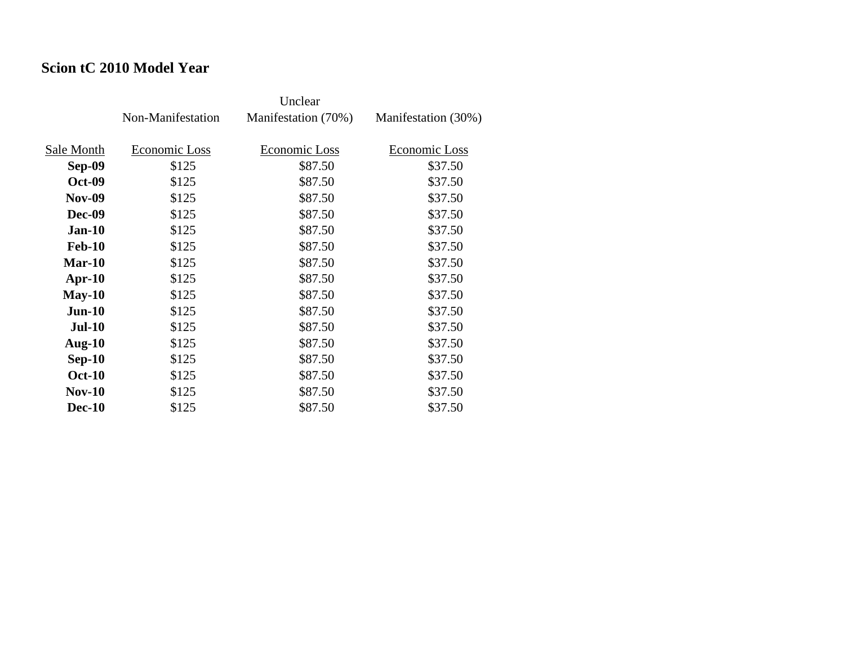### **Scion tC 2010 Model Year**

|               | Non-Manifestation | Manifestation (70%) | Manifestation (30%) |
|---------------|-------------------|---------------------|---------------------|
|               |                   |                     |                     |
| Sale Month    | Economic Loss     | Economic Loss       | Economic Loss       |
| Sep-09        | \$125             | \$87.50             | \$37.50             |
| <b>Oct-09</b> | \$125             | \$87.50             | \$37.50             |
| <b>Nov-09</b> | \$125             | \$87.50             | \$37.50             |
| Dec-09        | \$125             | \$87.50             | \$37.50             |
| <b>Jan-10</b> | \$125             | \$87.50             | \$37.50             |
| <b>Feb-10</b> | \$125             | \$87.50             | \$37.50             |
| $Mar-10$      | \$125             | \$87.50             | \$37.50             |
| $Apr-10$      | \$125             | \$87.50             | \$37.50             |
| $May-10$      | \$125             | \$87.50             | \$37.50             |
| $Jun-10$      | \$125             | \$87.50             | \$37.50             |
| <b>Jul-10</b> | \$125             | \$87.50             | \$37.50             |
| Aug- $10$     | \$125             | \$87.50             | \$37.50             |
| $Sep-10$      | \$125             | \$87.50             | \$37.50             |
| <b>Oct-10</b> | \$125             | \$87.50             | \$37.50             |
| $Nov-10$      | \$125             | \$87.50             | \$37.50             |
| <b>Dec-10</b> | \$125             | \$87.50             | \$37.50             |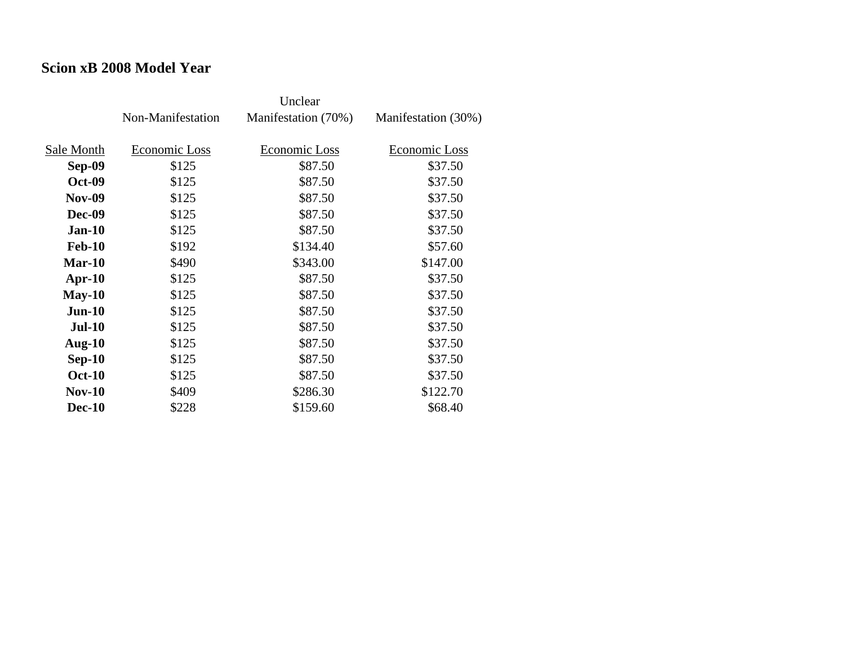#### **Scion xB 2008 Model Year**

|               | Non-Manifestation | Manifestation (70%) | Manifestation (30%) |
|---------------|-------------------|---------------------|---------------------|
| Sale Month    | Economic Loss     | Economic Loss       | Economic Loss       |
|               | \$125             | \$87.50             | \$37.50             |
| Sep-09        |                   |                     |                     |
| <b>Oct-09</b> | \$125             | \$87.50             | \$37.50             |
| <b>Nov-09</b> | \$125             | \$87.50             | \$37.50             |
| <b>Dec-09</b> | \$125             | \$87.50             | \$37.50             |
| $Jan-10$      | \$125             | \$87.50             | \$37.50             |
| <b>Feb-10</b> | \$192             | \$134.40            | \$57.60             |
| $Mar-10$      | \$490             | \$343.00            | \$147.00            |
| $Apr-10$      | \$125             | \$87.50             | \$37.50             |
| $May-10$      | \$125             | \$87.50             | \$37.50             |
| $Jun-10$      | \$125             | \$87.50             | \$37.50             |
| <b>Jul-10</b> | \$125             | \$87.50             | \$37.50             |
| Aug- $10$     | \$125             | \$87.50             | \$37.50             |
| $Sep-10$      | \$125             | \$87.50             | \$37.50             |
| <b>Oct-10</b> | \$125             | \$87.50             | \$37.50             |
| $Nov-10$      | \$409             | \$286.30            | \$122.70            |
| <b>Dec-10</b> | \$228             | \$159.60            | \$68.40             |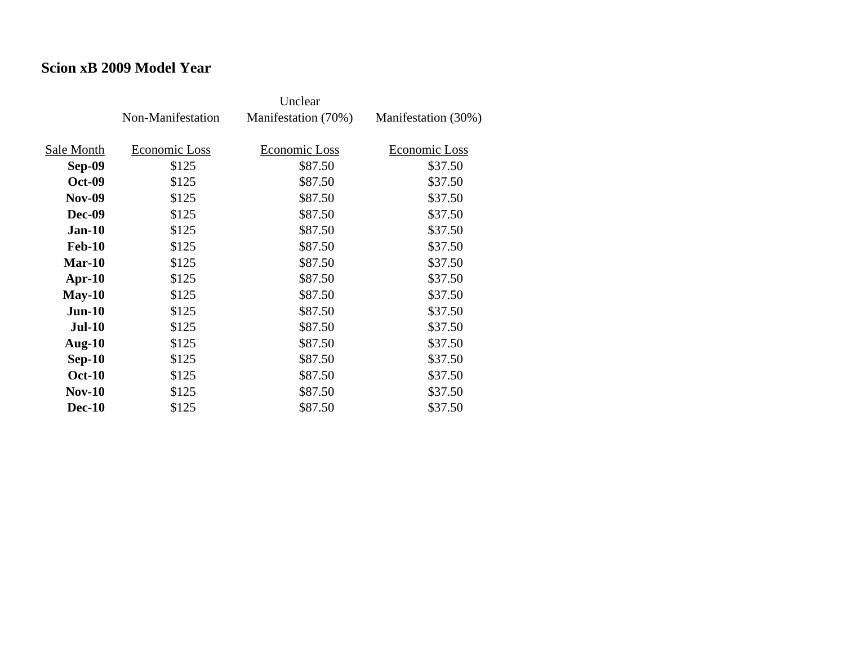#### **Scion xB 2009 Model Year**

|               | Non-Manifestation | Manifestation (70%) | Manifestation (30%) |
|---------------|-------------------|---------------------|---------------------|
|               |                   |                     |                     |
| Sale Month    | Economic Loss     | Economic Loss       | Economic Loss       |
| Sep-09        | \$125             | \$87.50             | \$37.50             |
| <b>Oct-09</b> | \$125             | \$87.50             | \$37.50             |
| <b>Nov-09</b> | \$125             | \$87.50             | \$37.50             |
| <b>Dec-09</b> | \$125             | \$87.50             | \$37.50             |
| $Jan-10$      | \$125             | \$87.50             | \$37.50             |
| <b>Feb-10</b> | \$125             | \$87.50             | \$37.50             |
| $Mar-10$      | \$125             | \$87.50             | \$37.50             |
| $Apr-10$      | \$125             | \$87.50             | \$37.50             |
| $May-10$      | \$125             | \$87.50             | \$37.50             |
| $Jun-10$      | \$125             | \$87.50             | \$37.50             |
| <b>Jul-10</b> | \$125             | \$87.50             | \$37.50             |
| Aug- $10$     | \$125             | \$87.50             | \$37.50             |
| $Sep-10$      | \$125             | \$87.50             | \$37.50             |
| <b>Oct-10</b> | \$125             | \$87.50             | \$37.50             |
| $Nov-10$      | \$125             | \$87.50             | \$37.50             |
| <b>Dec-10</b> | \$125             | \$87.50             | \$37.50             |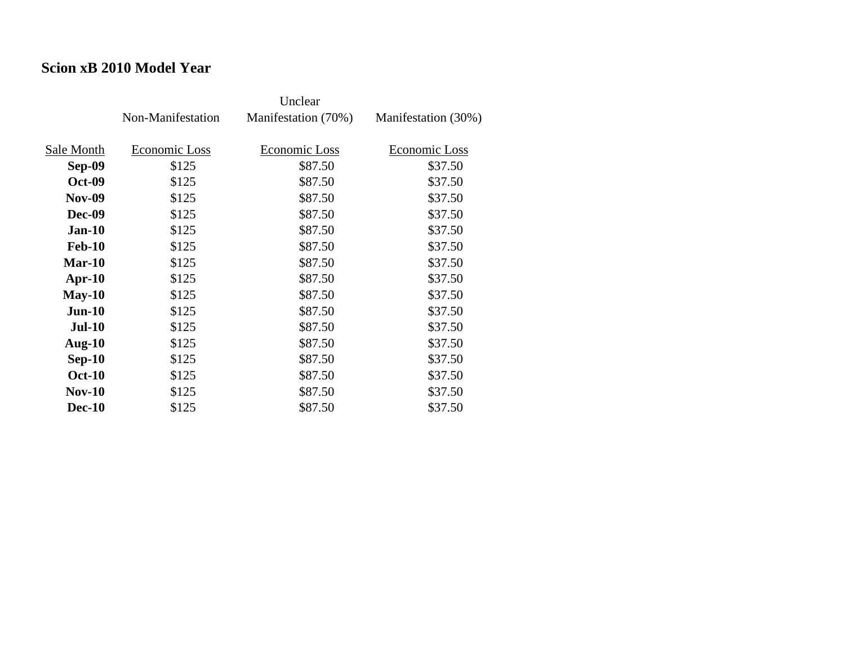#### **Scion xB 2010 Model Year**

|               | Non-Manifestation | Manifestation (70%) | Manifestation (30%) |
|---------------|-------------------|---------------------|---------------------|
| Sale Month    | Economic Loss     | Economic Loss       | Economic Loss       |
| Sep-09        | \$125             | \$87.50             | \$37.50             |
| <b>Oct-09</b> | \$125             | \$87.50             | \$37.50             |
| <b>Nov-09</b> | \$125             | \$87.50             | \$37.50             |
| <b>Dec-09</b> | \$125             | \$87.50             | \$37.50             |
| $Jan-10$      | \$125             | \$87.50             | \$37.50             |
| <b>Feb-10</b> | \$125             | \$87.50             | \$37.50             |
| $Mar-10$      | \$125             | \$87.50             | \$37.50             |
| Apr- $10$     | \$125             | \$87.50             | \$37.50             |
| $May-10$      | \$125             | \$87.50             | \$37.50             |
| $Jun-10$      | \$125             | \$87.50             | \$37.50             |
| <b>Jul-10</b> | \$125             | \$87.50             | \$37.50             |
| Aug- $10$     | \$125             | \$87.50             | \$37.50             |
| $Sep-10$      | \$125             | \$87.50             | \$37.50             |
| <b>Oct-10</b> | \$125             | \$87.50             | \$37.50             |
| <b>Nov-10</b> | \$125             | \$87.50             | \$37.50             |
| <b>Dec-10</b> | \$125             | \$87.50             | \$37.50             |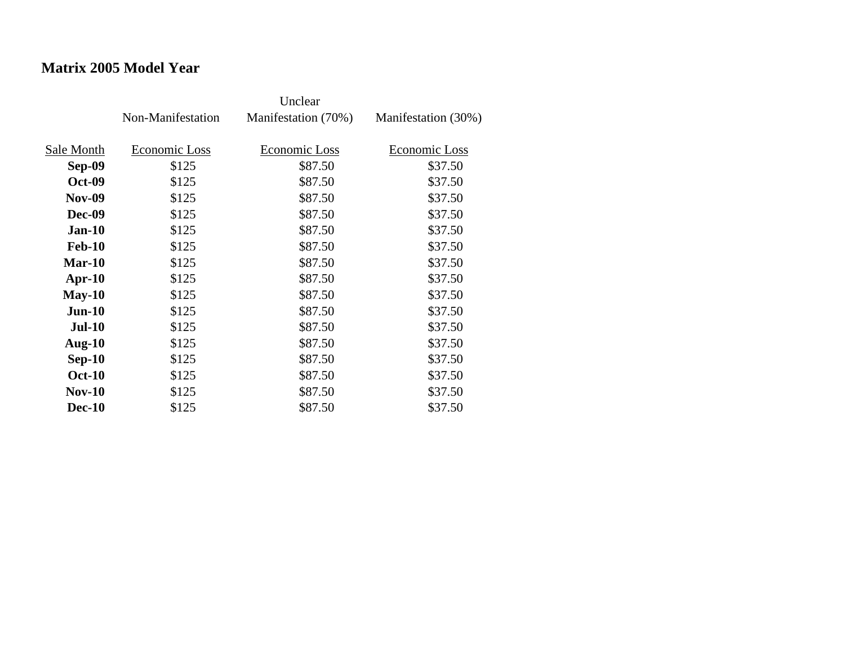## **Matrix 2005 Model Year**

|               | Non-Manifestation | Manifestation (70%) | Manifestation (30%) |
|---------------|-------------------|---------------------|---------------------|
| Sale Month    | Economic Loss     | Economic Loss       | Economic Loss       |
| Sep-09        | \$125             | \$87.50             | \$37.50             |
|               |                   |                     |                     |
| <b>Oct-09</b> | \$125             | \$87.50             | \$37.50             |
| <b>Nov-09</b> | \$125             | \$87.50             | \$37.50             |
| <b>Dec-09</b> | \$125             | \$87.50             | \$37.50             |
| $Jan-10$      | \$125             | \$87.50             | \$37.50             |
| <b>Feb-10</b> | \$125             | \$87.50             | \$37.50             |
| Mar-10        | \$125             | \$87.50             | \$37.50             |
| $Apr-10$      | \$125             | \$87.50             | \$37.50             |
| $May-10$      | \$125             | \$87.50             | \$37.50             |
| $Jun-10$      | \$125             | \$87.50             | \$37.50             |
| <b>Jul-10</b> | \$125             | \$87.50             | \$37.50             |
| Aug- $10$     | \$125             | \$87.50             | \$37.50             |
| $Sep-10$      | \$125             | \$87.50             | \$37.50             |
| <b>Oct-10</b> | \$125             | \$87.50             | \$37.50             |
| $Nov-10$      | \$125             | \$87.50             | \$37.50             |
| <b>Dec-10</b> | \$125             | \$87.50             | \$37.50             |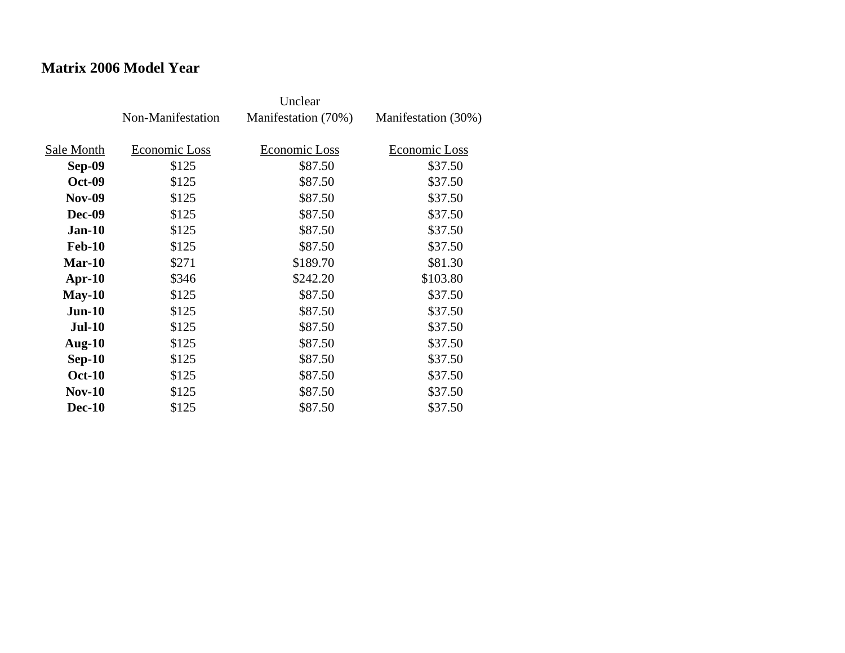### **Matrix 2006 Model Year**

|               | Non-Manifestation | Manifestation (70%) | Manifestation (30%) |
|---------------|-------------------|---------------------|---------------------|
| Sale Month    | Economic Loss     | Economic Loss       | Economic Loss       |
| Sep-09        | \$125             | \$87.50             | \$37.50             |
| <b>Oct-09</b> | \$125             | \$87.50             | \$37.50             |
| <b>Nov-09</b> | \$125             | \$87.50             | \$37.50             |
| <b>Dec-09</b> | \$125             | \$87.50             | \$37.50             |
| $Jan-10$      | \$125             | \$87.50             | \$37.50             |
| <b>Feb-10</b> | \$125             | \$87.50             | \$37.50             |
| $Mar-10$      | \$271             | \$189.70            | \$81.30             |
| $Apr-10$      | \$346             | \$242.20            | \$103.80            |
| $May-10$      | \$125             | \$87.50             | \$37.50             |
| $Jun-10$      | \$125             | \$87.50             | \$37.50             |
| <b>Jul-10</b> | \$125             | \$87.50             | \$37.50             |
| Aug- $10$     | \$125             | \$87.50             | \$37.50             |
| $Sep-10$      | \$125             | \$87.50             | \$37.50             |
| <b>Oct-10</b> | \$125             | \$87.50             | \$37.50             |
| $Nov-10$      | \$125             | \$87.50             | \$37.50             |
| <b>Dec-10</b> | \$125             | \$87.50             | \$37.50             |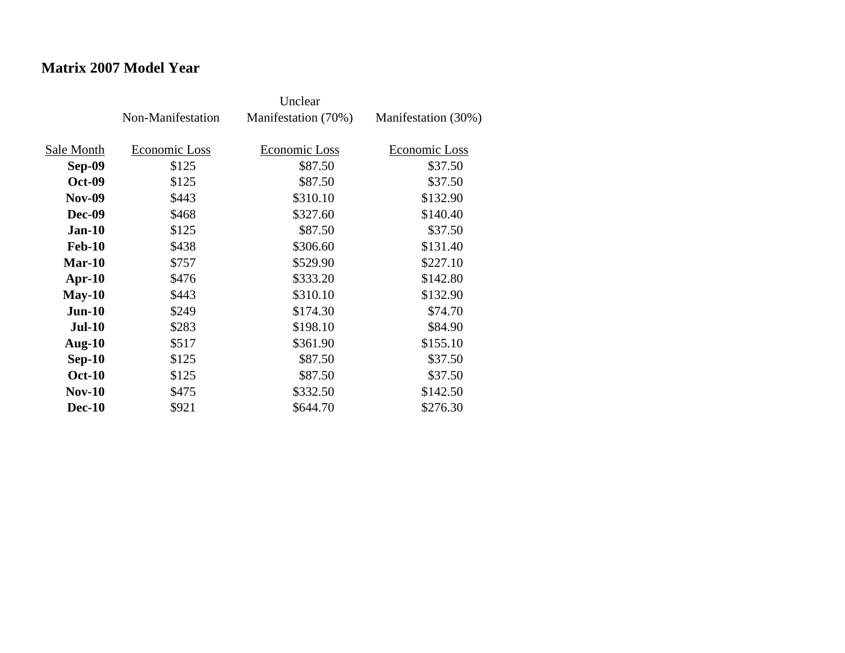## **Matrix 2007 Model Year**

|               | Non-Manifestation | Manifestation (70%) | Manifestation (30%) |
|---------------|-------------------|---------------------|---------------------|
| Sale Month    | Economic Loss     | Economic Loss       | Economic Loss       |
| Sep-09        | \$125             | \$87.50             | \$37.50             |
| <b>Oct-09</b> | \$125             | \$87.50             | \$37.50             |
| <b>Nov-09</b> | \$443             | \$310.10            | \$132.90            |
| Dec-09        | \$468             | \$327.60            | \$140.40            |
| $Jan-10$      | \$125             | \$87.50             | \$37.50             |
| <b>Feb-10</b> | \$438             | \$306.60            | \$131.40            |
| $Mar-10$      | \$757             | \$529.90            | \$227.10            |
| $Apr-10$      | \$476             | \$333.20            | \$142.80            |
| $May-10$      | \$443             | \$310.10            | \$132.90            |
| $Jun-10$      | \$249             | \$174.30            | \$74.70             |
| <b>Jul-10</b> | \$283             | \$198.10            | \$84.90             |
| Aug- $10$     | \$517             | \$361.90            | \$155.10            |
| $Sep-10$      | \$125             | \$87.50             | \$37.50             |
| <b>Oct-10</b> | \$125             | \$87.50             | \$37.50             |
| $Nov-10$      | \$475             | \$332.50            | \$142.50            |
| <b>Dec-10</b> | \$921             | \$644.70            | \$276.30            |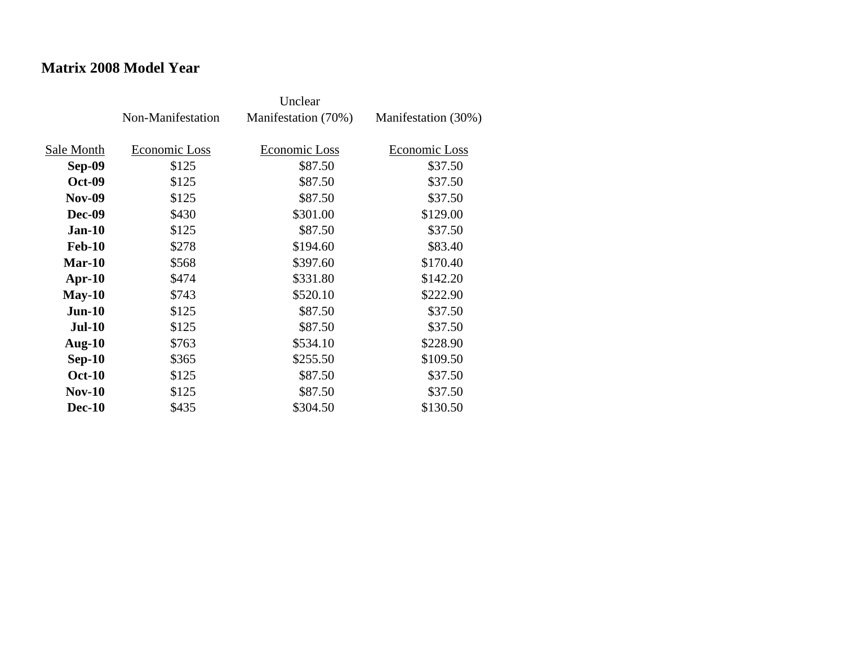### **Matrix 2008 Model Year**

|               | Non-Manifestation | Manifestation (70%) | Manifestation (30%) |
|---------------|-------------------|---------------------|---------------------|
| Sale Month    | Economic Loss     | Economic Loss       | Economic Loss       |
| Sep-09        | \$125             | \$87.50             | \$37.50             |
| <b>Oct-09</b> | \$125             | \$87.50             | \$37.50             |
| <b>Nov-09</b> | \$125             | \$87.50             | \$37.50             |
| Dec-09        | \$430             | \$301.00            | \$129.00            |
| <b>Jan-10</b> | \$125             | \$87.50             | \$37.50             |
| <b>Feb-10</b> | \$278             | \$194.60            | \$83.40             |
| $Mar-10$      | \$568             | \$397.60            | \$170.40            |
| Apr- $10$     | \$474             | \$331.80            | \$142.20            |
| $May-10$      | \$743             | \$520.10            | \$222.90            |
| $Jun-10$      | \$125             | \$87.50             | \$37.50             |
| <b>Jul-10</b> | \$125             | \$87.50             | \$37.50             |
| Aug- $10$     | \$763             | \$534.10            | \$228.90            |
| $Sep-10$      | \$365             | \$255.50            | \$109.50            |
| <b>Oct-10</b> | \$125             | \$87.50             | \$37.50             |
| $Nov-10$      | \$125             | \$87.50             | \$37.50             |
| <b>Dec-10</b> | \$435             | \$304.50            | \$130.50            |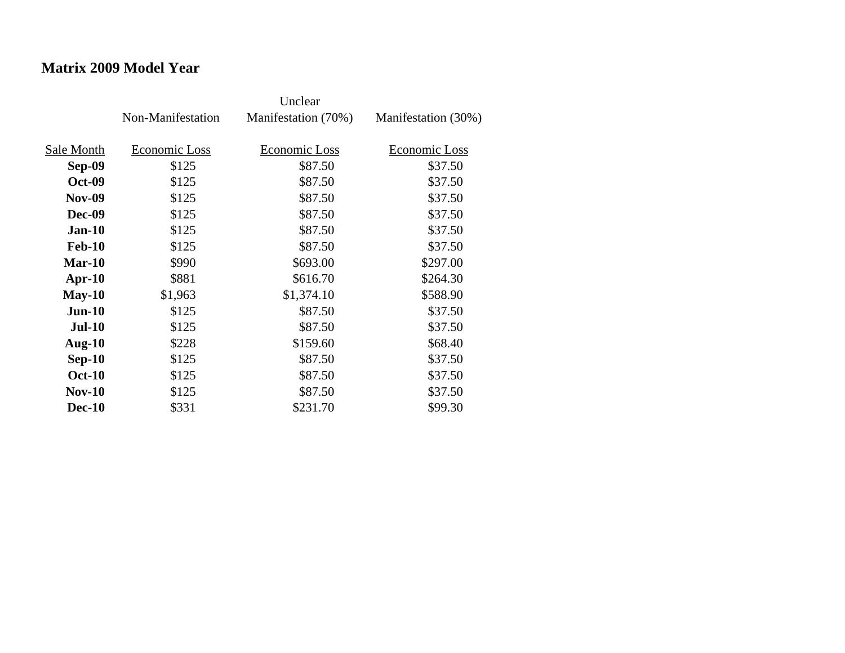### **Matrix 2009 Model Year**

|               | Non-Manifestation | Manifestation (70%) | Manifestation (30%) |
|---------------|-------------------|---------------------|---------------------|
| Sale Month    | Economic Loss     | Economic Loss       | Economic Loss       |
| Sep-09        | \$125             | \$87.50             | \$37.50             |
| <b>Oct-09</b> | \$125             | \$87.50             | \$37.50             |
| <b>Nov-09</b> | \$125             | \$87.50             | \$37.50             |
| <b>Dec-09</b> | \$125             | \$87.50             | \$37.50             |
| $Jan-10$      | \$125             | \$87.50             | \$37.50             |
| <b>Feb-10</b> | \$125             | \$87.50             | \$37.50             |
| Mar-10        | \$990             | \$693.00            | \$297.00            |
| $Apr-10$      | \$881             | \$616.70            | \$264.30            |
| $May-10$      | \$1,963           | \$1,374.10          | \$588.90            |
| $Jun-10$      | \$125             | \$87.50             | \$37.50             |
| $Jul-10$      | \$125             | \$87.50             | \$37.50             |
| Aug- $10$     | \$228             | \$159.60            | \$68.40             |
| $Sep-10$      | \$125             | \$87.50             | \$37.50             |
| <b>Oct-10</b> | \$125             | \$87.50             | \$37.50             |
| $Nov-10$      | \$125             | \$87.50             | \$37.50             |
| <b>Dec-10</b> | \$331             | \$231.70            | \$99.30             |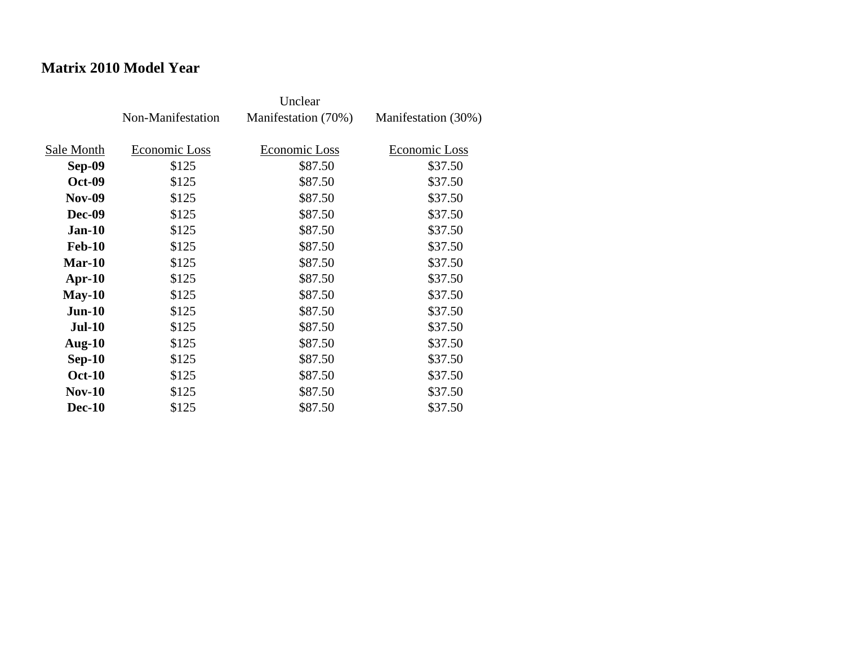## **Matrix 2010 Model Year**

|               | Non-Manifestation | Manifestation (70%) | Manifestation (30%) |
|---------------|-------------------|---------------------|---------------------|
| Sale Month    | Economic Loss     | Economic Loss       | Economic Loss       |
| Sep-09        | \$125             | \$87.50             | \$37.50             |
|               |                   |                     |                     |
| <b>Oct-09</b> | \$125             | \$87.50             | \$37.50             |
| <b>Nov-09</b> | \$125             | \$87.50             | \$37.50             |
| <b>Dec-09</b> | \$125             | \$87.50             | \$37.50             |
| $Jan-10$      | \$125             | \$87.50             | \$37.50             |
| <b>Feb-10</b> | \$125             | \$87.50             | \$37.50             |
| Mar-10        | \$125             | \$87.50             | \$37.50             |
| $Apr-10$      | \$125             | \$87.50             | \$37.50             |
| $May-10$      | \$125             | \$87.50             | \$37.50             |
| $Jun-10$      | \$125             | \$87.50             | \$37.50             |
| <b>Jul-10</b> | \$125             | \$87.50             | \$37.50             |
| Aug- $10$     | \$125             | \$87.50             | \$37.50             |
| $Sep-10$      | \$125             | \$87.50             | \$37.50             |
| <b>Oct-10</b> | \$125             | \$87.50             | \$37.50             |
| $Nov-10$      | \$125             | \$87.50             | \$37.50             |
| <b>Dec-10</b> | \$125             | \$87.50             | \$37.50             |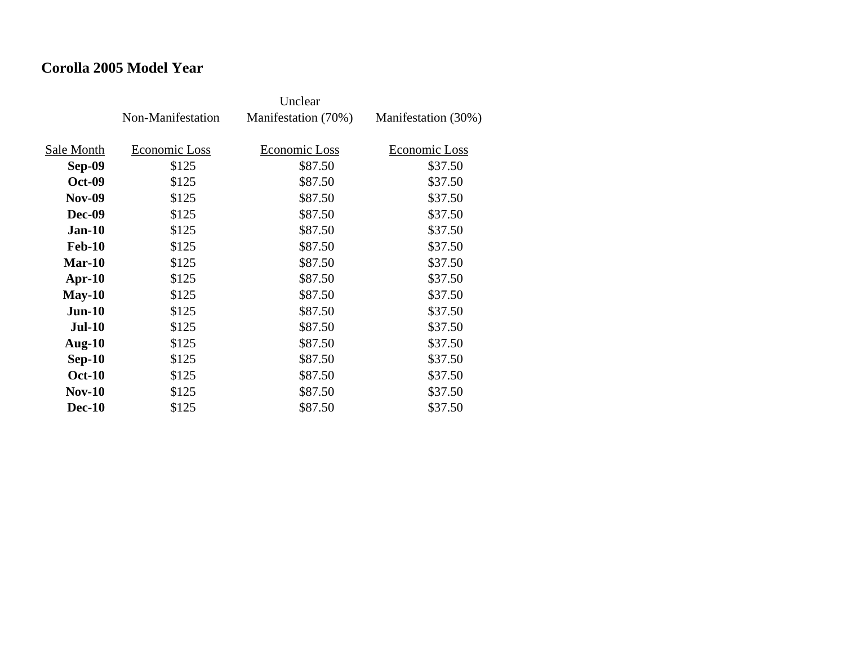### **Corolla 2005 Model Year**

|               | Non-Manifestation | Manifestation (70%) | Manifestation (30%) |
|---------------|-------------------|---------------------|---------------------|
| Sale Month    | Economic Loss     | Economic Loss       | Economic Loss       |
| Sep-09        | \$125             | \$87.50             | \$37.50             |
| <b>Oct-09</b> | \$125             | \$87.50             | \$37.50             |
| <b>Nov-09</b> | \$125             | \$87.50             | \$37.50             |
| Dec-09        | \$125             | \$87.50             | \$37.50             |
| $Jan-10$      | \$125             | \$87.50             | \$37.50             |
| <b>Feb-10</b> | \$125             | \$87.50             | \$37.50             |
| $Mar-10$      | \$125             | \$87.50             | \$37.50             |
| $Apr-10$      | \$125             | \$87.50             | \$37.50             |
| $May-10$      | \$125             | \$87.50             | \$37.50             |
| $Jun-10$      | \$125             | \$87.50             | \$37.50             |
| <b>Jul-10</b> | \$125             | \$87.50             | \$37.50             |
| Aug- $10$     | \$125             | \$87.50             | \$37.50             |
| $Sep-10$      | \$125             | \$87.50             | \$37.50             |
| <b>Oct-10</b> | \$125             | \$87.50             | \$37.50             |
| $Nov-10$      | \$125             | \$87.50             | \$37.50             |
| <b>Dec-10</b> | \$125             | \$87.50             | \$37.50             |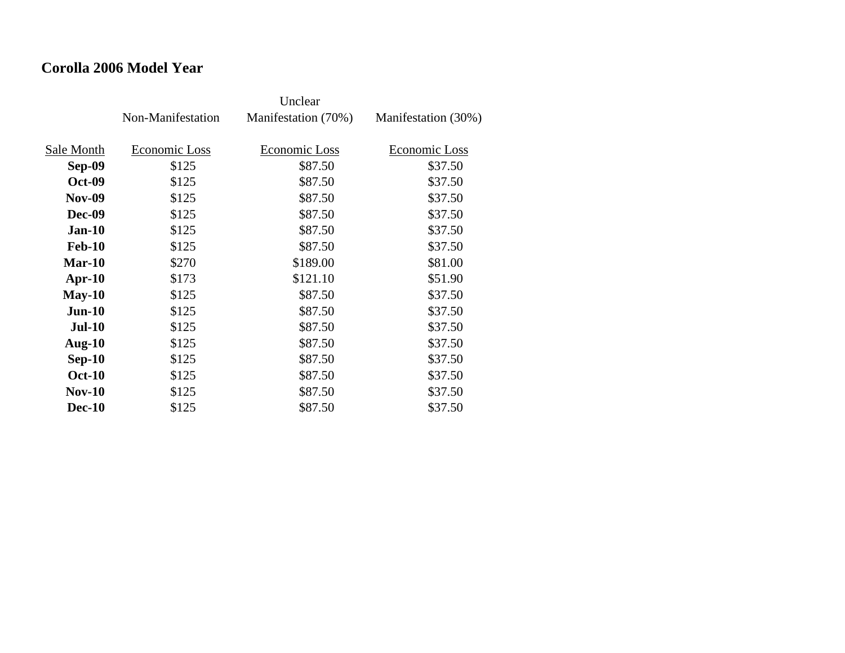### **Corolla 2006 Model Year**

|               | Non-Manifestation | Manifestation (70%) | Manifestation (30%) |
|---------------|-------------------|---------------------|---------------------|
| Sale Month    | Economic Loss     | Economic Loss       | Economic Loss       |
| Sep-09        | \$125             | \$87.50             | \$37.50             |
| <b>Oct-09</b> | \$125             | \$87.50             | \$37.50             |
| <b>Nov-09</b> | \$125             | \$87.50             | \$37.50             |
| Dec-09        | \$125             | \$87.50             | \$37.50             |
| $Jan-10$      | \$125             | \$87.50             | \$37.50             |
| <b>Feb-10</b> | \$125             | \$87.50             | \$37.50             |
| $Mar-10$      | \$270             | \$189.00            | \$81.00             |
| $Apr-10$      | \$173             | \$121.10            | \$51.90             |
| $May-10$      | \$125             | \$87.50             | \$37.50             |
| $Jun-10$      | \$125             | \$87.50             | \$37.50             |
| <b>Jul-10</b> | \$125             | \$87.50             | \$37.50             |
| Aug- $10$     | \$125             | \$87.50             | \$37.50             |
| $Sep-10$      | \$125             | \$87.50             | \$37.50             |
| <b>Oct-10</b> | \$125             | \$87.50             | \$37.50             |
| $Nov-10$      | \$125             | \$87.50             | \$37.50             |
| <b>Dec-10</b> | \$125             | \$87.50             | \$37.50             |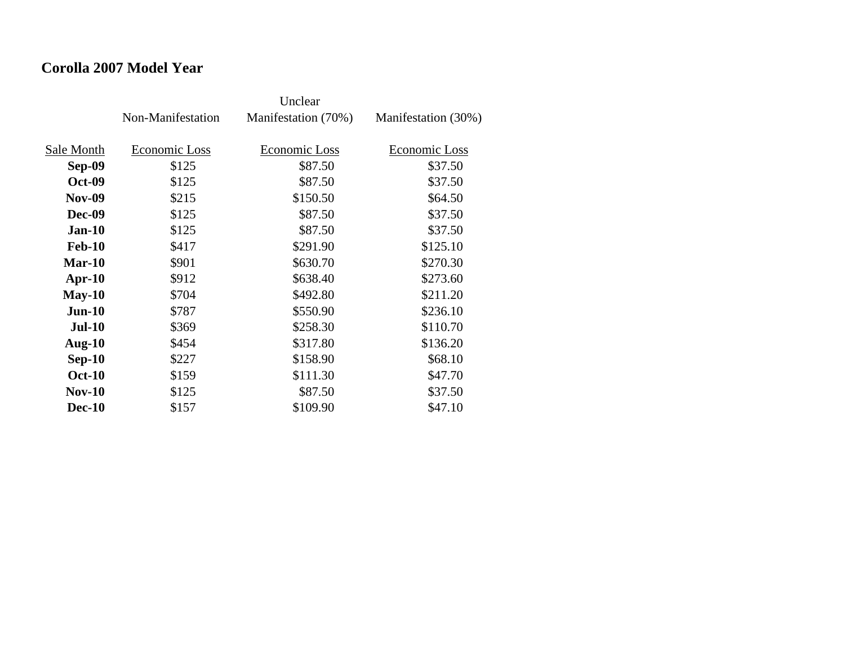### **Corolla 2007 Model Year**

|               | Non-Manifestation | Manifestation (70%) | Manifestation (30%) |
|---------------|-------------------|---------------------|---------------------|
| Sale Month    | Economic Loss     | Economic Loss       | Economic Loss       |
| Sep-09        | \$125             | \$87.50             | \$37.50             |
| <b>Oct-09</b> | \$125             | \$87.50             | \$37.50             |
| <b>Nov-09</b> | \$215             | \$150.50            | \$64.50             |
| <b>Dec-09</b> | \$125             | \$87.50             | \$37.50             |
| $Jan-10$      | \$125             | \$87.50             | \$37.50             |
| <b>Feb-10</b> | \$417             | \$291.90            | \$125.10            |
| $Mar-10$      | \$901             | \$630.70            | \$270.30            |
| $Apr-10$      | \$912             | \$638.40            | \$273.60            |
| $May-10$      | \$704             | \$492.80            | \$211.20            |
| $Jun-10$      | \$787             | \$550.90            | \$236.10            |
| <b>Jul-10</b> | \$369             | \$258.30            | \$110.70            |
| Aug- $10$     | \$454             | \$317.80            | \$136.20            |
| $Sep-10$      | \$227             | \$158.90            | \$68.10             |
| <b>Oct-10</b> | \$159             | \$111.30            | \$47.70             |
| <b>Nov-10</b> | \$125             | \$87.50             | \$37.50             |
| <b>Dec-10</b> | \$157             | \$109.90            | \$47.10             |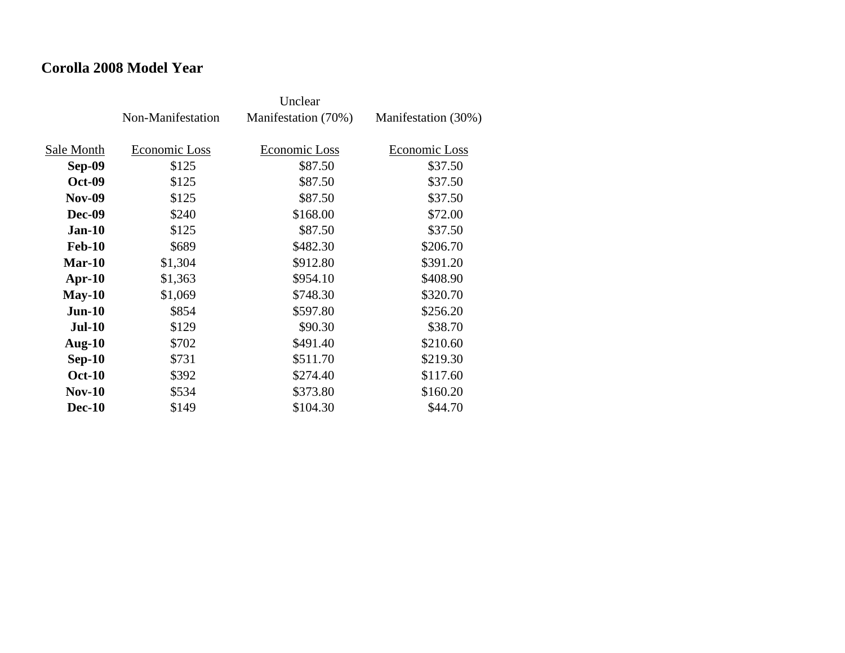### **Corolla 2008 Model Year**

|               | Non-Manifestation | Manifestation (70%) | Manifestation (30%) |
|---------------|-------------------|---------------------|---------------------|
| Sale Month    | Economic Loss     | Economic Loss       | Economic Loss       |
| Sep-09        | \$125             | \$87.50             | \$37.50             |
| <b>Oct-09</b> | \$125             | \$87.50             | \$37.50             |
| <b>Nov-09</b> | \$125             | \$87.50             | \$37.50             |
| <b>Dec-09</b> | \$240             | \$168.00            | \$72.00             |
| <b>Jan-10</b> | \$125             | \$87.50             | \$37.50             |
| <b>Feb-10</b> | \$689             | \$482.30            | \$206.70            |
| Mar-10        | \$1,304           | \$912.80            | \$391.20            |
| $Apr-10$      | \$1,363           | \$954.10            | \$408.90            |
| $May-10$      | \$1,069           | \$748.30            | \$320.70            |
| $Jun-10$      | \$854             | \$597.80            | \$256.20            |
| $Jul-10$      | \$129             | \$90.30             | \$38.70             |
| Aug- $10$     | \$702             | \$491.40            | \$210.60            |
| $Sep-10$      | \$731             | \$511.70            | \$219.30            |
| <b>Oct-10</b> | \$392             | \$274.40            | \$117.60            |
| $Nov-10$      | \$534             | \$373.80            | \$160.20            |
| <b>Dec-10</b> | \$149             | \$104.30            | \$44.70             |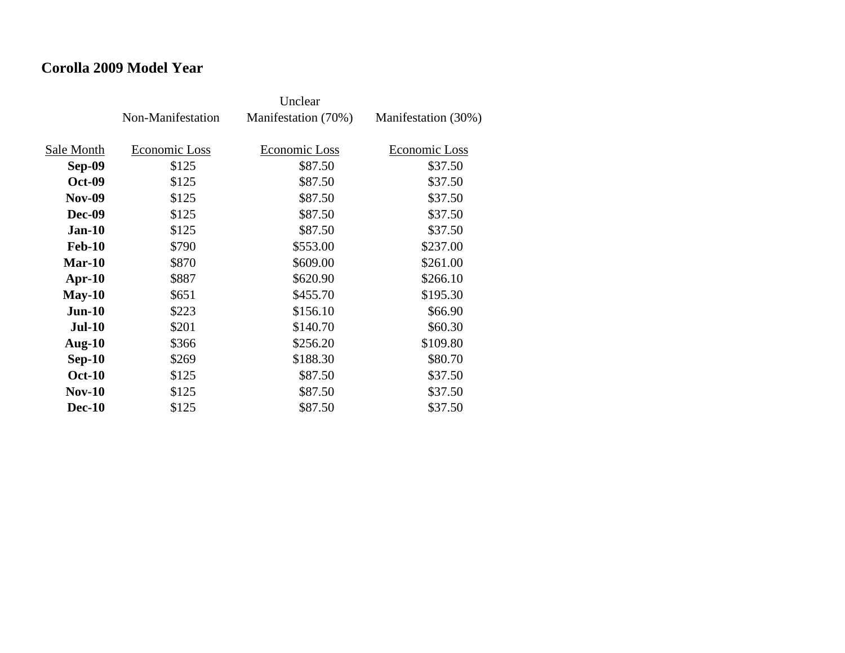### **Corolla 2009 Model Year**

|               | Non-Manifestation | Manifestation (70%) | Manifestation (30%) |
|---------------|-------------------|---------------------|---------------------|
| Sale Month    | Economic Loss     | Economic Loss       | Economic Loss       |
| Sep-09        | \$125             | \$87.50             | \$37.50             |
| <b>Oct-09</b> | \$125             | \$87.50             | \$37.50             |
| <b>Nov-09</b> | \$125             | \$87.50             | \$37.50             |
| <b>Dec-09</b> | \$125             | \$87.50             | \$37.50             |
| <b>Jan-10</b> | \$125             | \$87.50             | \$37.50             |
| <b>Feb-10</b> | \$790             | \$553.00            | \$237.00            |
| $Mar-10$      | \$870             | \$609.00            | \$261.00            |
| $Apr-10$      | \$887             | \$620.90            | \$266.10            |
| $May-10$      | \$651             | \$455.70            | \$195.30            |
| $Jun-10$      | \$223             | \$156.10            | \$66.90             |
| $Jul-10$      | \$201             | \$140.70            | \$60.30             |
| Aug- $10$     | \$366             | \$256.20            | \$109.80            |
| $Sep-10$      | \$269             | \$188.30            | \$80.70             |
| <b>Oct-10</b> | \$125             | \$87.50             | \$37.50             |
| <b>Nov-10</b> | \$125             | \$87.50             | \$37.50             |
| <b>Dec-10</b> | \$125             | \$87.50             | \$37.50             |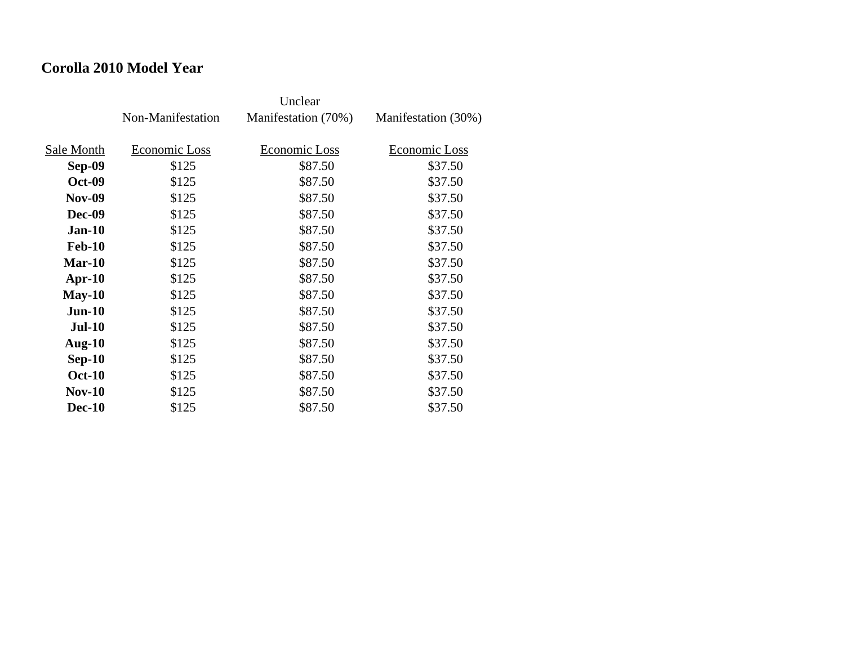### **Corolla 2010 Model Year**

|               | Non-Manifestation | Manifestation (70%) | Manifestation (30%) |
|---------------|-------------------|---------------------|---------------------|
| Sale Month    | Economic Loss     | Economic Loss       | Economic Loss       |
| Sep-09        | \$125             | \$87.50             | \$37.50             |
| <b>Oct-09</b> | \$125             | \$87.50             | \$37.50             |
| <b>Nov-09</b> | \$125             | \$87.50             | \$37.50             |
| Dec-09        | \$125             | \$87.50             | \$37.50             |
| $Jan-10$      | \$125             | \$87.50             | \$37.50             |
| <b>Feb-10</b> | \$125             | \$87.50             | \$37.50             |
| $Mar-10$      | \$125             | \$87.50             | \$37.50             |
| $Apr-10$      | \$125             | \$87.50             | \$37.50             |
| $May-10$      | \$125             | \$87.50             | \$37.50             |
| $Jun-10$      | \$125             | \$87.50             | \$37.50             |
| <b>Jul-10</b> | \$125             | \$87.50             | \$37.50             |
| Aug- $10$     | \$125             | \$87.50             | \$37.50             |
| $Sep-10$      | \$125             | \$87.50             | \$37.50             |
| <b>Oct-10</b> | \$125             | \$87.50             | \$37.50             |
| $Nov-10$      | \$125             | \$87.50             | \$37.50             |
| <b>Dec-10</b> | \$125             | \$87.50             | \$37.50             |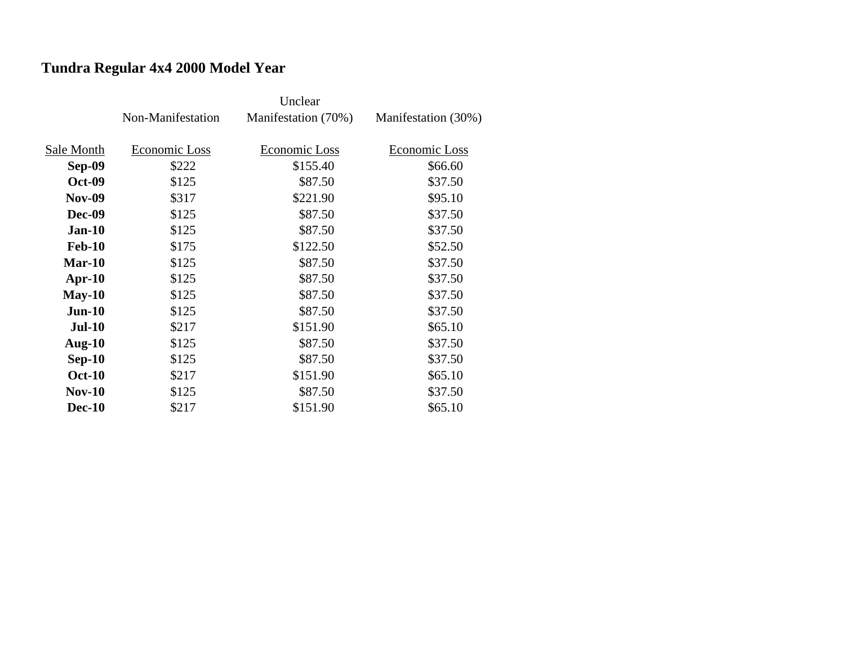# **Tundra Regular 4x4 2000 Model Year**

|               | Non-Manifestation | Manifestation (70%) | Manifestation (30%) |
|---------------|-------------------|---------------------|---------------------|
|               |                   |                     |                     |
| Sale Month    | Economic Loss     | Economic Loss       | Economic Loss       |
| <b>Sep-09</b> | \$222             | \$155.40            | \$66.60             |
| <b>Oct-09</b> | \$125             | \$87.50             | \$37.50             |
| <b>Nov-09</b> | \$317             | \$221.90            | \$95.10             |
| <b>Dec-09</b> | \$125             | \$87.50             | \$37.50             |
| $Jan-10$      | \$125             | \$87.50             | \$37.50             |
| <b>Feb-10</b> | \$175             | \$122.50            | \$52.50             |
| <b>Mar-10</b> | \$125             | \$87.50             | \$37.50             |
| $Apr-10$      | \$125             | \$87.50             | \$37.50             |
| $May-10$      | \$125             | \$87.50             | \$37.50             |
| $Jun-10$      | \$125             | \$87.50             | \$37.50             |
| <b>Jul-10</b> | \$217             | \$151.90            | \$65.10             |
| Aug- $10$     | \$125             | \$87.50             | \$37.50             |
| $Sep-10$      | \$125             | \$87.50             | \$37.50             |
| <b>Oct-10</b> | \$217             | \$151.90            | \$65.10             |
| <b>Nov-10</b> | \$125             | \$87.50             | \$37.50             |
| <b>Dec-10</b> | \$217             | \$151.90            | \$65.10             |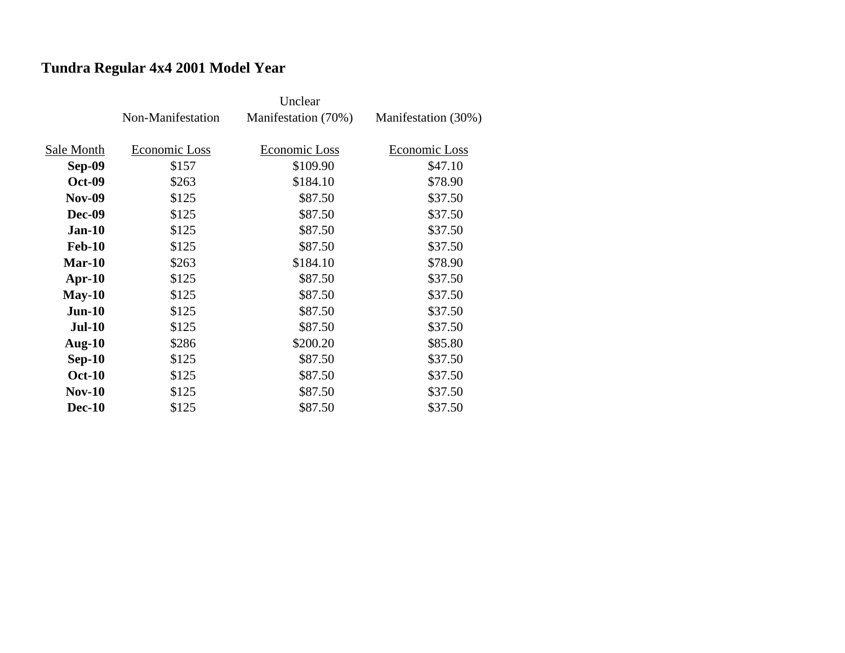# **Tundra Regular 4x4 2001 Model Year**

|               | Non-Manifestation | Manifestation (70%) | Manifestation (30%) |
|---------------|-------------------|---------------------|---------------------|
|               |                   |                     |                     |
| Sale Month    | Economic Loss     | Economic Loss       | Economic Loss       |
| <b>Sep-09</b> | \$157             | \$109.90            | \$47.10             |
| <b>Oct-09</b> | \$263             | \$184.10            | \$78.90             |
| <b>Nov-09</b> | \$125             | \$87.50             | \$37.50             |
| <b>Dec-09</b> | \$125             | \$87.50             | \$37.50             |
| $Jan-10$      | \$125             | \$87.50             | \$37.50             |
| <b>Feb-10</b> | \$125             | \$87.50             | \$37.50             |
| $Mar-10$      | \$263             | \$184.10            | \$78.90             |
| $Apr-10$      | \$125             | \$87.50             | \$37.50             |
| $May-10$      | \$125             | \$87.50             | \$37.50             |
| $Jun-10$      | \$125             | \$87.50             | \$37.50             |
| <b>Jul-10</b> | \$125             | \$87.50             | \$37.50             |
| Aug- $10$     | \$286             | \$200.20            | \$85.80             |
| $Sep-10$      | \$125             | \$87.50             | \$37.50             |
| <b>Oct-10</b> | \$125             | \$87.50             | \$37.50             |
| $Nov-10$      | \$125             | \$87.50             | \$37.50             |
| <b>Dec-10</b> | \$125             | \$87.50             | \$37.50             |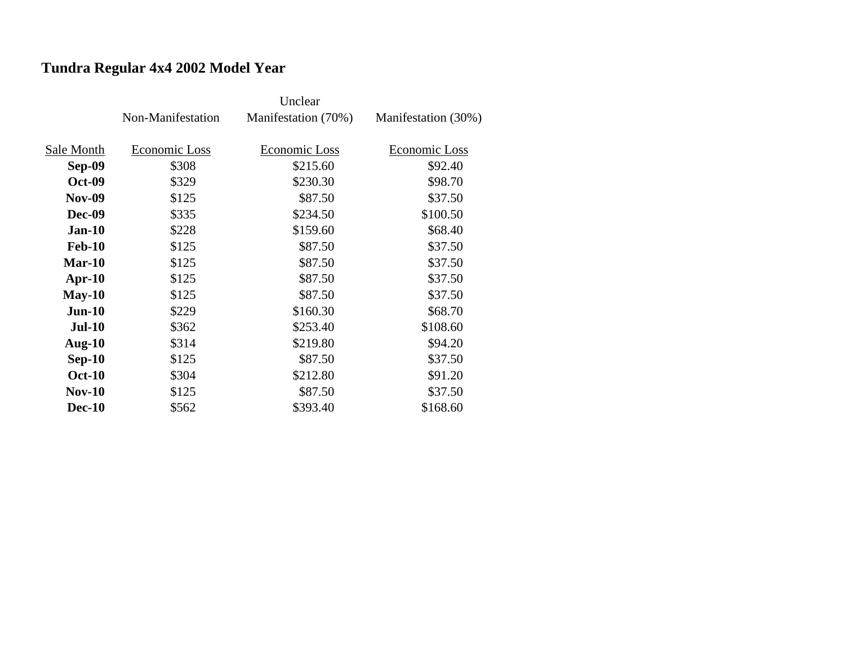# **Tundra Regular 4x4 2002 Model Year**

|               | Non-Manifestation | Manifestation (70%) | Manifestation (30%) |
|---------------|-------------------|---------------------|---------------------|
|               |                   |                     |                     |
| Sale Month    | Economic Loss     | Economic Loss       | Economic Loss       |
| Sep-09        | \$308             | \$215.60            | \$92.40             |
| <b>Oct-09</b> | \$329             | \$230.30            | \$98.70             |
| <b>Nov-09</b> | \$125             | \$87.50             | \$37.50             |
| <b>Dec-09</b> | \$335             | \$234.50            | \$100.50            |
| $Jan-10$      | \$228             | \$159.60            | \$68.40             |
| <b>Feb-10</b> | \$125             | \$87.50             | \$37.50             |
| $Mar-10$      | \$125             | \$87.50             | \$37.50             |
| $Apr-10$      | \$125             | \$87.50             | \$37.50             |
| $May-10$      | \$125             | \$87.50             | \$37.50             |
| $Jun-10$      | \$229             | \$160.30            | \$68.70             |
| <b>Jul-10</b> | \$362             | \$253.40            | \$108.60            |
| Aug- $10$     | \$314             | \$219.80            | \$94.20             |
| $Sep-10$      | \$125             | \$87.50             | \$37.50             |
| <b>Oct-10</b> | \$304             | \$212.80            | \$91.20             |
| $Nov-10$      | \$125             | \$87.50             | \$37.50             |
| <b>Dec-10</b> | \$562             | \$393.40            | \$168.60            |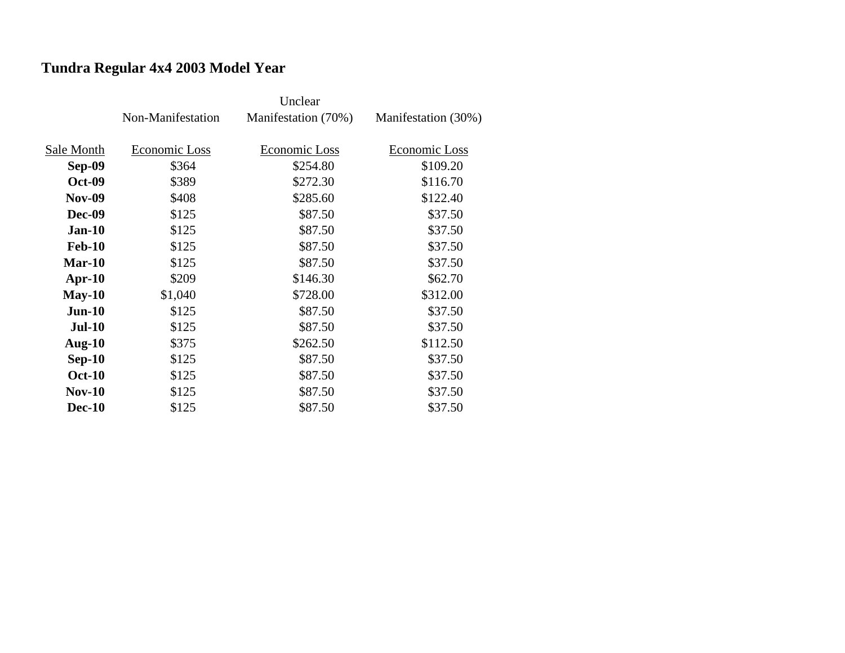# **Tundra Regular 4x4 2003 Model Year**

|               | Non-Manifestation | Manifestation (70%) | Manifestation (30%) |
|---------------|-------------------|---------------------|---------------------|
|               |                   |                     |                     |
| Sale Month    | Economic Loss     | Economic Loss       | Economic Loss       |
| <b>Sep-09</b> | \$364             | \$254.80            | \$109.20            |
| <b>Oct-09</b> | \$389             | \$272.30            | \$116.70            |
| <b>Nov-09</b> | \$408             | \$285.60            | \$122.40            |
| <b>Dec-09</b> | \$125             | \$87.50             | \$37.50             |
| $Jan-10$      | \$125             | \$87.50             | \$37.50             |
| <b>Feb-10</b> | \$125             | \$87.50             | \$37.50             |
| $Mar-10$      | \$125             | \$87.50             | \$37.50             |
| $Apr-10$      | \$209             | \$146.30            | \$62.70             |
| $May-10$      | \$1,040           | \$728.00            | \$312.00            |
| $Jun-10$      | \$125             | \$87.50             | \$37.50             |
| <b>Jul-10</b> | \$125             | \$87.50             | \$37.50             |
| Aug- $10$     | \$375             | \$262.50            | \$112.50            |
| $Sep-10$      | \$125             | \$87.50             | \$37.50             |
| <b>Oct-10</b> | \$125             | \$87.50             | \$37.50             |
| $Nov-10$      | \$125             | \$87.50             | \$37.50             |
| <b>Dec-10</b> | \$125             | \$87.50             | \$37.50             |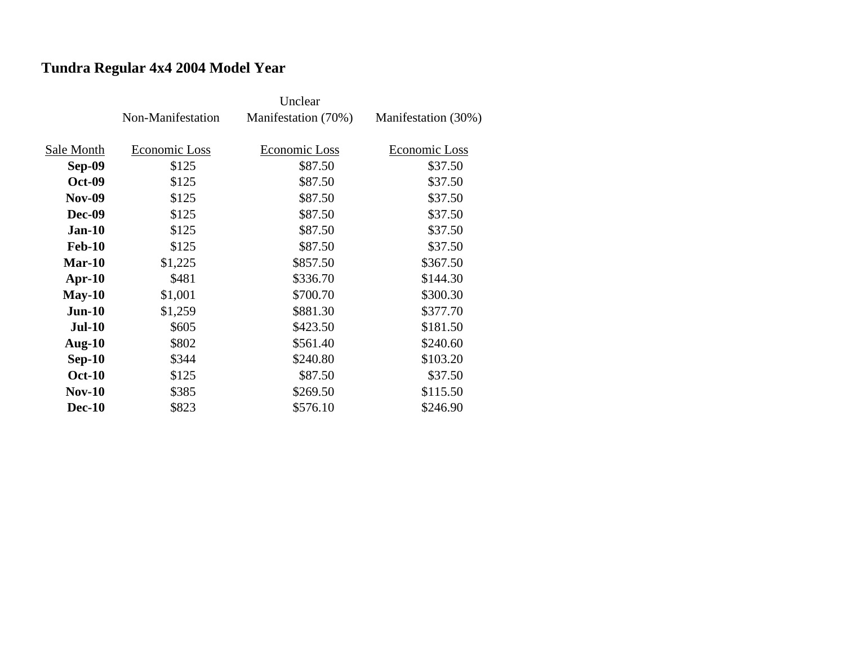# **Tundra Regular 4x4 2004 Model Year**

|               | Non-Manifestation | Manifestation (70%) | Manifestation (30%) |
|---------------|-------------------|---------------------|---------------------|
| Sale Month    | Economic Loss     | Economic Loss       | Economic Loss       |
| <b>Sep-09</b> | \$125             | \$87.50             | \$37.50             |
|               |                   |                     |                     |
| <b>Oct-09</b> | \$125             | \$87.50             | \$37.50             |
| <b>Nov-09</b> | \$125             | \$87.50             | \$37.50             |
| <b>Dec-09</b> | \$125             | \$87.50             | \$37.50             |
| $Jan-10$      | \$125             | \$87.50             | \$37.50             |
| <b>Feb-10</b> | \$125             | \$87.50             | \$37.50             |
| $Mar-10$      | \$1,225           | \$857.50            | \$367.50            |
| $Apr-10$      | \$481             | \$336.70            | \$144.30            |
| $May-10$      | \$1,001           | \$700.70            | \$300.30            |
| $Jun-10$      | \$1,259           | \$881.30            | \$377.70            |
| $Jul-10$      | \$605             | \$423.50            | \$181.50            |
| Aug- $10$     | \$802             | \$561.40            | \$240.60            |
| $Sep-10$      | \$344             | \$240.80            | \$103.20            |
| <b>Oct-10</b> | \$125             | \$87.50             | \$37.50             |
| <b>Nov-10</b> | \$385             | \$269.50            | \$115.50            |
| <b>Dec-10</b> | \$823             | \$576.10            | \$246.90            |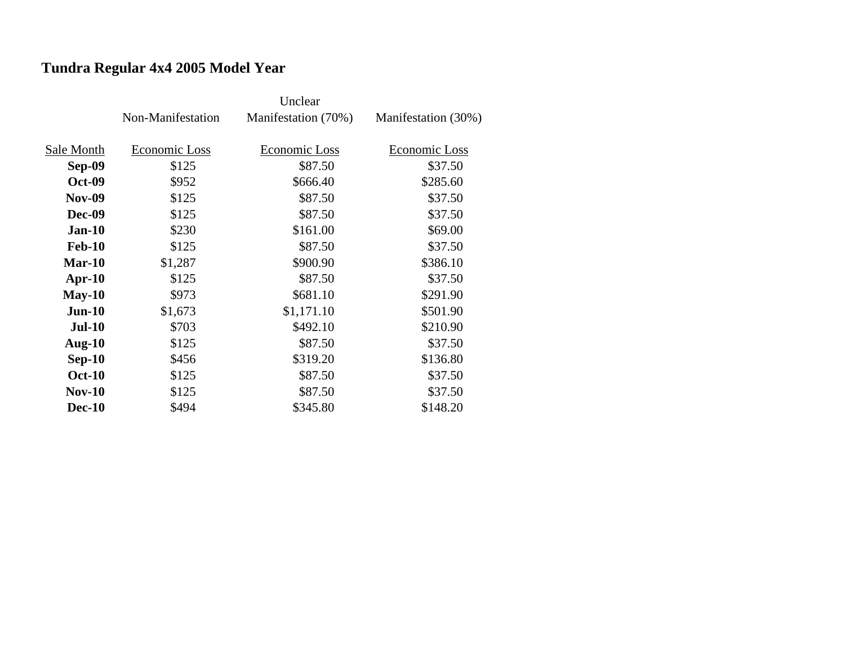# **Tundra Regular 4x4 2005 Model Year**

|               | Non-Manifestation | Manifestation (70%) | Manifestation (30%) |
|---------------|-------------------|---------------------|---------------------|
|               |                   |                     |                     |
| Sale Month    | Economic Loss     | Economic Loss       | Economic Loss       |
| <b>Sep-09</b> | \$125             | \$87.50             | \$37.50             |
| <b>Oct-09</b> | \$952             | \$666.40            | \$285.60            |
| <b>Nov-09</b> | \$125             | \$87.50             | \$37.50             |
| <b>Dec-09</b> | \$125             | \$87.50             | \$37.50             |
| $Jan-10$      | \$230             | \$161.00            | \$69.00             |
| <b>Feb-10</b> | \$125             | \$87.50             | \$37.50             |
| $Mar-10$      | \$1,287           | \$900.90            | \$386.10            |
| $Apr-10$      | \$125             | \$87.50             | \$37.50             |
| $May-10$      | \$973             | \$681.10            | \$291.90            |
| $Jun-10$      | \$1,673           | \$1,171.10          | \$501.90            |
| <b>Jul-10</b> | \$703             | \$492.10            | \$210.90            |
| Aug- $10$     | \$125             | \$87.50             | \$37.50             |
| $Sep-10$      | \$456             | \$319.20            | \$136.80            |
| <b>Oct-10</b> | \$125             | \$87.50             | \$37.50             |
| <b>Nov-10</b> | \$125             | \$87.50             | \$37.50             |
| <b>Dec-10</b> | \$494             | \$345.80            | \$148.20            |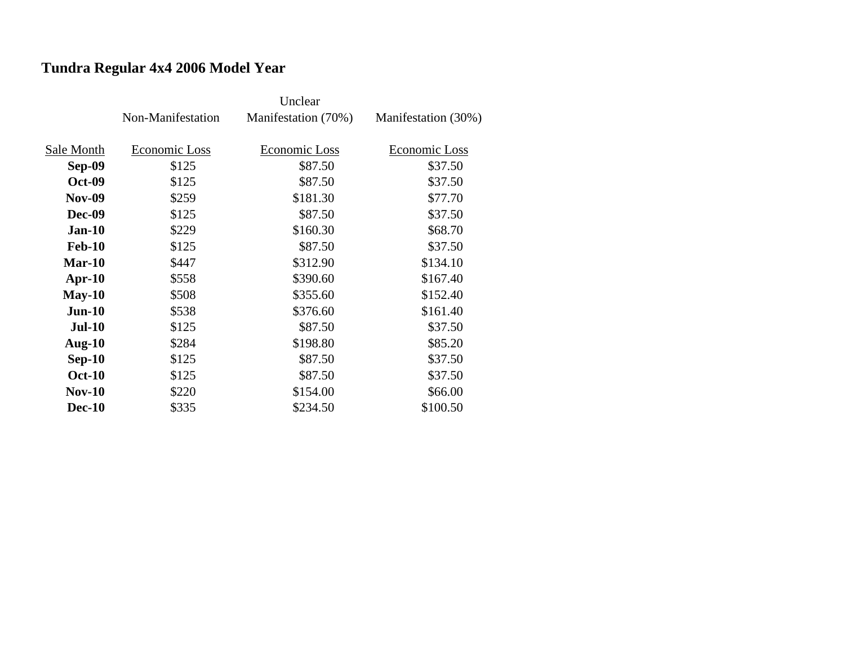# **Tundra Regular 4x4 2006 Model Year**

|               | Non-Manifestation | Manifestation (70%) | Manifestation (30%) |
|---------------|-------------------|---------------------|---------------------|
|               |                   |                     |                     |
| Sale Month    | Economic Loss     | Economic Loss       | Economic Loss       |
| <b>Sep-09</b> | \$125             | \$87.50             | \$37.50             |
| <b>Oct-09</b> | \$125             | \$87.50             | \$37.50             |
| <b>Nov-09</b> | \$259             | \$181.30            | \$77.70             |
| <b>Dec-09</b> | \$125             | \$87.50             | \$37.50             |
| $Jan-10$      | \$229             | \$160.30            | \$68.70             |
| <b>Feb-10</b> | \$125             | \$87.50             | \$37.50             |
| $Mar-10$      | \$447             | \$312.90            | \$134.10            |
| $Apr-10$      | \$558             | \$390.60            | \$167.40            |
| $May-10$      | \$508             | \$355.60            | \$152.40            |
| $Jun-10$      | \$538             | \$376.60            | \$161.40            |
| <b>Jul-10</b> | \$125             | \$87.50             | \$37.50             |
| Aug- $10$     | \$284             | \$198.80            | \$85.20             |
| $Sep-10$      | \$125             | \$87.50             | \$37.50             |
| <b>Oct-10</b> | \$125             | \$87.50             | \$37.50             |
| $Nov-10$      | \$220             | \$154.00            | \$66.00             |
| <b>Dec-10</b> | \$335             | \$234.50            | \$100.50            |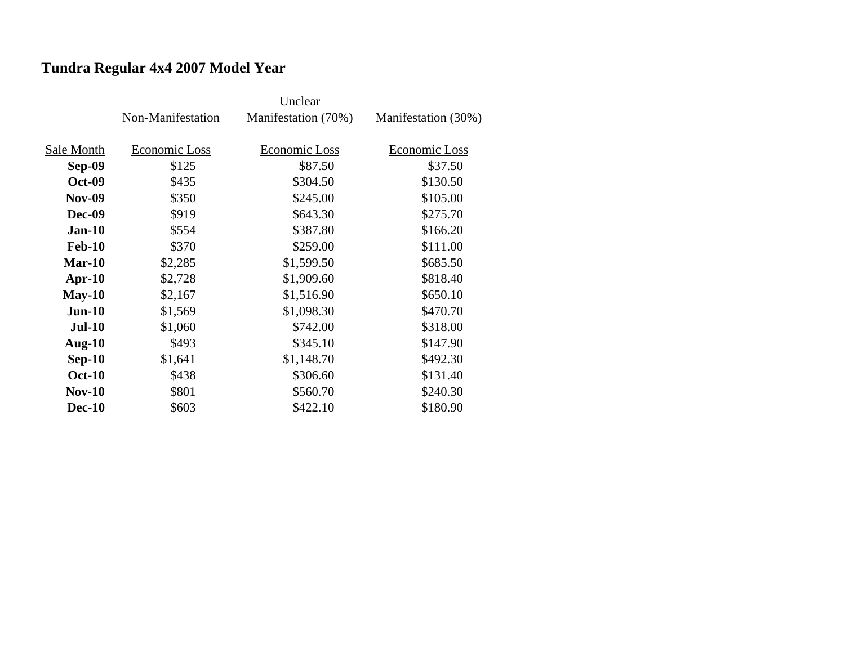# **Tundra Regular 4x4 2007 Model Year**

|               | Non-Manifestation | Manifestation (70%) | Manifestation (30%) |
|---------------|-------------------|---------------------|---------------------|
|               |                   |                     |                     |
| Sale Month    | Economic Loss     | Economic Loss       | Economic Loss       |
| <b>Sep-09</b> | \$125             | \$87.50             | \$37.50             |
| <b>Oct-09</b> | \$435             | \$304.50            | \$130.50            |
| <b>Nov-09</b> | \$350             | \$245.00            | \$105.00            |
| <b>Dec-09</b> | \$919             | \$643.30            | \$275.70            |
| $Jan-10$      | \$554             | \$387.80            | \$166.20            |
| <b>Feb-10</b> | \$370             | \$259.00            | \$111.00            |
| $Mar-10$      | \$2,285           | \$1,599.50          | \$685.50            |
| $Apr-10$      | \$2,728           | \$1,909.60          | \$818.40            |
| $May-10$      | \$2,167           | \$1,516.90          | \$650.10            |
| $Jun-10$      | \$1,569           | \$1,098.30          | \$470.70            |
| <b>Jul-10</b> | \$1,060           | \$742.00            | \$318.00            |
| Aug- $10$     | \$493             | \$345.10            | \$147.90            |
| $Sep-10$      | \$1,641           | \$1,148.70          | \$492.30            |
| <b>Oct-10</b> | \$438             | \$306.60            | \$131.40            |
| $Nov-10$      | \$801             | \$560.70            | \$240.30            |
| <b>Dec-10</b> | \$603             | \$422.10            | \$180.90            |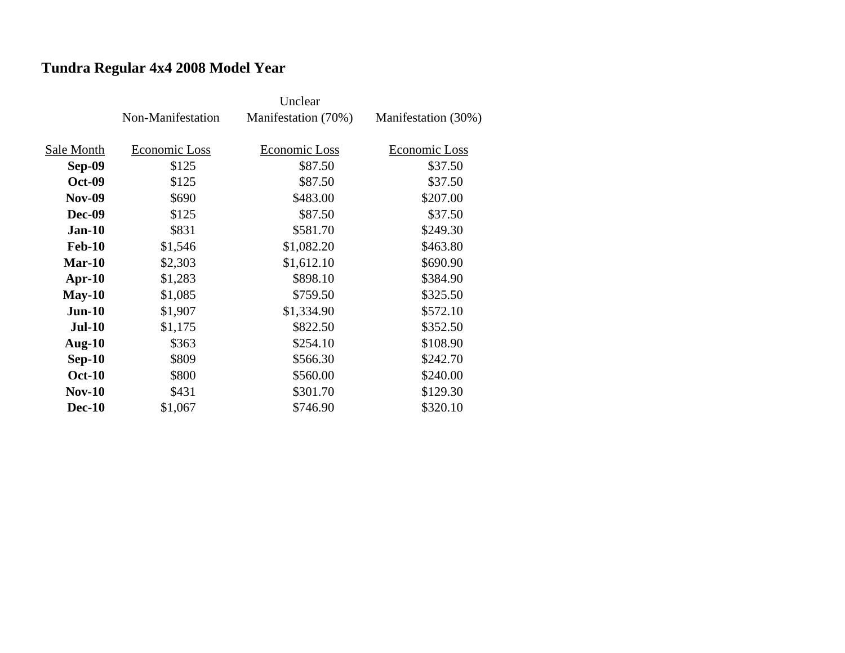# **Tundra Regular 4x4 2008 Model Year**

|               | Non-Manifestation | Manifestation (70%) | Manifestation (30%) |
|---------------|-------------------|---------------------|---------------------|
|               |                   |                     |                     |
| Sale Month    | Economic Loss     | Economic Loss       | Economic Loss       |
| <b>Sep-09</b> | \$125             | \$87.50             | \$37.50             |
| <b>Oct-09</b> | \$125             | \$87.50             | \$37.50             |
| <b>Nov-09</b> | \$690             | \$483.00            | \$207.00            |
| <b>Dec-09</b> | \$125             | \$87.50             | \$37.50             |
| $Jan-10$      | \$831             | \$581.70            | \$249.30            |
| <b>Feb-10</b> | \$1,546           | \$1,082.20          | \$463.80            |
| <b>Mar-10</b> | \$2,303           | \$1,612.10          | \$690.90            |
| $Apr-10$      | \$1,283           | \$898.10            | \$384.90            |
| $May-10$      | \$1,085           | \$759.50            | \$325.50            |
| $Jun-10$      | \$1,907           | \$1,334.90          | \$572.10            |
| <b>Jul-10</b> | \$1,175           | \$822.50            | \$352.50            |
| Aug- $10$     | \$363             | \$254.10            | \$108.90            |
| $Sep-10$      | \$809             | \$566.30            | \$242.70            |
| <b>Oct-10</b> | \$800             | \$560.00            | \$240.00            |
| <b>Nov-10</b> | \$431             | \$301.70            | \$129.30            |
| <b>Dec-10</b> | \$1,067           | \$746.90            | \$320.10            |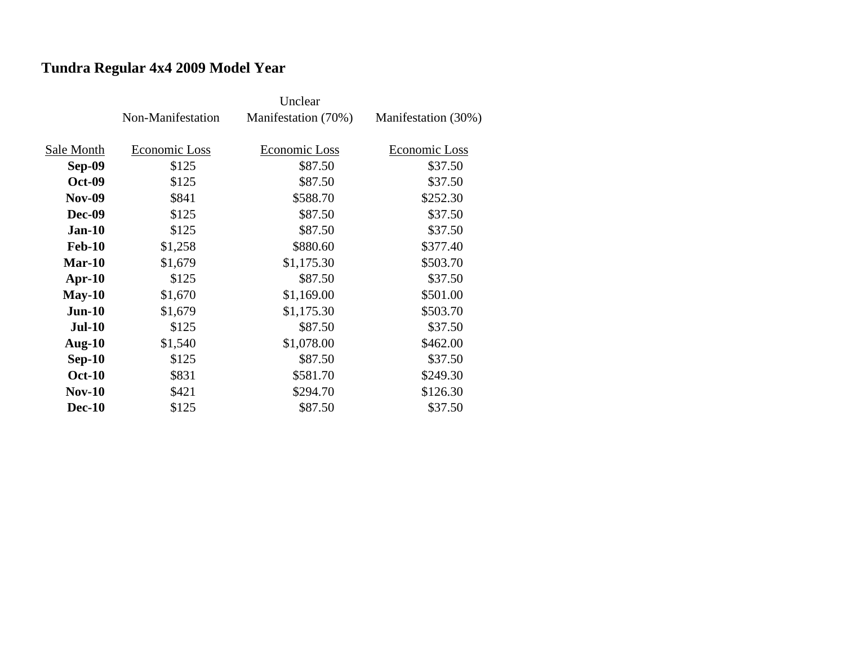# **Tundra Regular 4x4 2009 Model Year**

|               | Non-Manifestation | Manifestation (70%) | Manifestation (30%) |
|---------------|-------------------|---------------------|---------------------|
|               |                   |                     |                     |
| Sale Month    | Economic Loss     | Economic Loss       | Economic Loss       |
| <b>Sep-09</b> | \$125             | \$87.50             | \$37.50             |
| <b>Oct-09</b> | \$125             | \$87.50             | \$37.50             |
| <b>Nov-09</b> | \$841             | \$588.70            | \$252.30            |
| <b>Dec-09</b> | \$125             | \$87.50             | \$37.50             |
| $Jan-10$      | \$125             | \$87.50             | \$37.50             |
| <b>Feb-10</b> | \$1,258           | \$880.60            | \$377.40            |
| $Mar-10$      | \$1,679           | \$1,175.30          | \$503.70            |
| $Apr-10$      | \$125             | \$87.50             | \$37.50             |
| $May-10$      | \$1,670           | \$1,169.00          | \$501.00            |
| $Jun-10$      | \$1,679           | \$1,175.30          | \$503.70            |
| <b>Jul-10</b> | \$125             | \$87.50             | \$37.50             |
| Aug- $10$     | \$1,540           | \$1,078.00          | \$462.00            |
| $Sep-10$      | \$125             | \$87.50             | \$37.50             |
| <b>Oct-10</b> | \$831             | \$581.70            | \$249.30            |
| $Nov-10$      | \$421             | \$294.70            | \$126.30            |
| <b>Dec-10</b> | \$125             | \$87.50             | \$37.50             |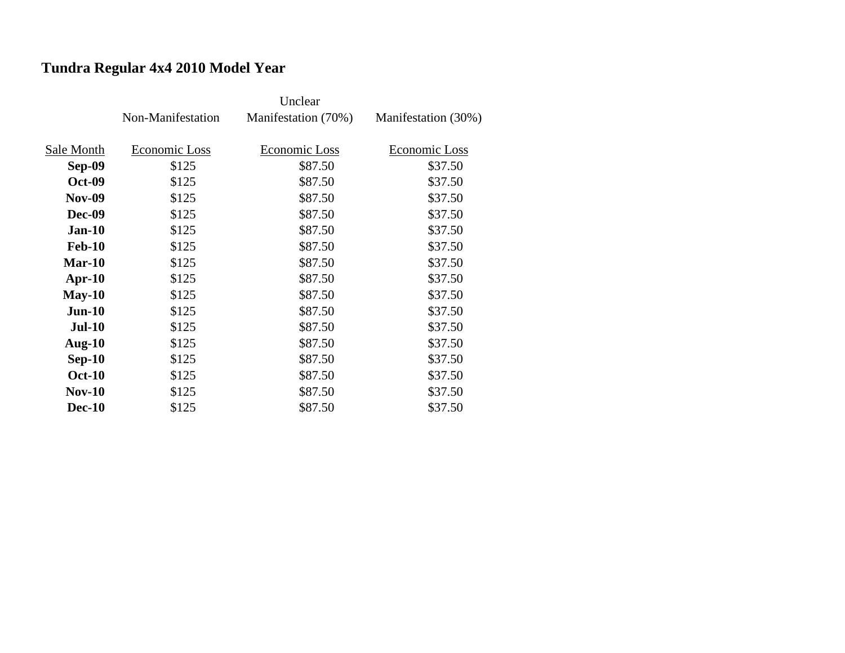# **Tundra Regular 4x4 2010 Model Year**

|               | Non-Manifestation | Manifestation (70%) | Manifestation (30%) |
|---------------|-------------------|---------------------|---------------------|
|               |                   |                     |                     |
| Sale Month    | Economic Loss     | Economic Loss       | Economic Loss       |
| Sep-09        | \$125             | \$87.50             | \$37.50             |
| <b>Oct-09</b> | \$125             | \$87.50             | \$37.50             |
| <b>Nov-09</b> | \$125             | \$87.50             | \$37.50             |
| <b>Dec-09</b> | \$125             | \$87.50             | \$37.50             |
| $Jan-10$      | \$125             | \$87.50             | \$37.50             |
| <b>Feb-10</b> | \$125             | \$87.50             | \$37.50             |
| Mar-10        | \$125             | \$87.50             | \$37.50             |
| $Apr-10$      | \$125             | \$87.50             | \$37.50             |
| $May-10$      | \$125             | \$87.50             | \$37.50             |
| $Jun-10$      | \$125             | \$87.50             | \$37.50             |
| <b>Jul-10</b> | \$125             | \$87.50             | \$37.50             |
| Aug- $10$     | \$125             | \$87.50             | \$37.50             |
| $Sep-10$      | \$125             | \$87.50             | \$37.50             |
| <b>Oct-10</b> | \$125             | \$87.50             | \$37.50             |
| <b>Nov-10</b> | \$125             | \$87.50             | \$37.50             |
| <b>Dec-10</b> | \$125             | \$87.50             | \$37.50             |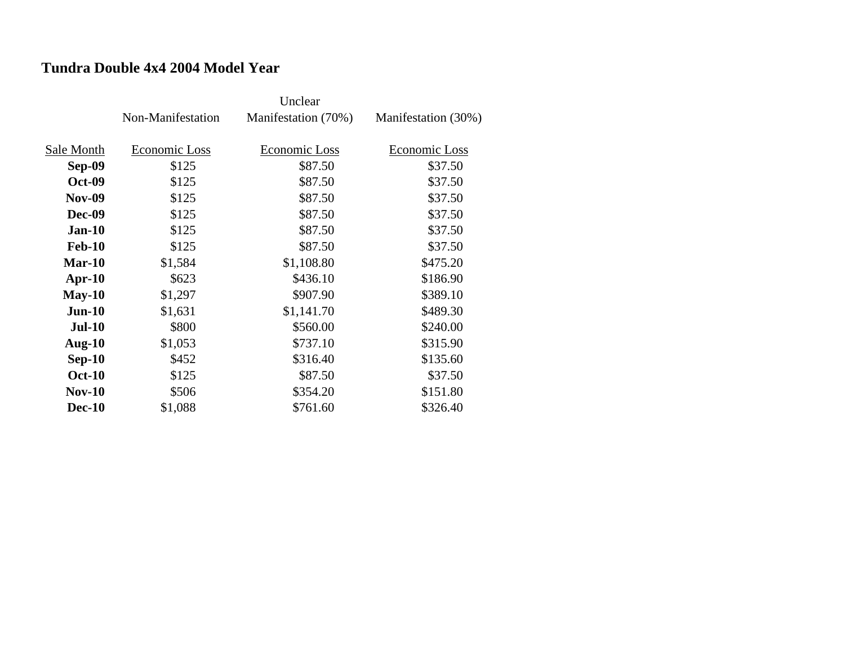## **Tundra Double 4x4 2004 Model Year**

|               | Non-Manifestation | Manifestation (70%) | Manifestation (30%) |
|---------------|-------------------|---------------------|---------------------|
| Sale Month    | Economic Loss     | Economic Loss       | Economic Loss       |
| <b>Sep-09</b> | \$125             | \$87.50             | \$37.50             |
| <b>Oct-09</b> | \$125             | \$87.50             | \$37.50             |
| <b>Nov-09</b> | \$125             | \$87.50             | \$37.50             |
| <b>Dec-09</b> | \$125             | \$87.50             | \$37.50             |
| $Jan-10$      | \$125             | \$87.50             | \$37.50             |
| <b>Feb-10</b> | \$125             | \$87.50             | \$37.50             |
| $Mar-10$      | \$1,584           | \$1,108.80          | \$475.20            |
| $Apr-10$      | \$623             | \$436.10            | \$186.90            |
| $May-10$      | \$1,297           | \$907.90            | \$389.10            |
| $Jun-10$      | \$1,631           | \$1,141.70          | \$489.30            |
| <b>Jul-10</b> | \$800             | \$560.00            | \$240.00            |
| Aug- $10$     | \$1,053           | \$737.10            | \$315.90            |
| $Sep-10$      | \$452             | \$316.40            | \$135.60            |
| <b>Oct-10</b> | \$125             | \$87.50             | \$37.50             |
| <b>Nov-10</b> | \$506             | \$354.20            | \$151.80            |
| <b>Dec-10</b> | \$1,088           | \$761.60            | \$326.40            |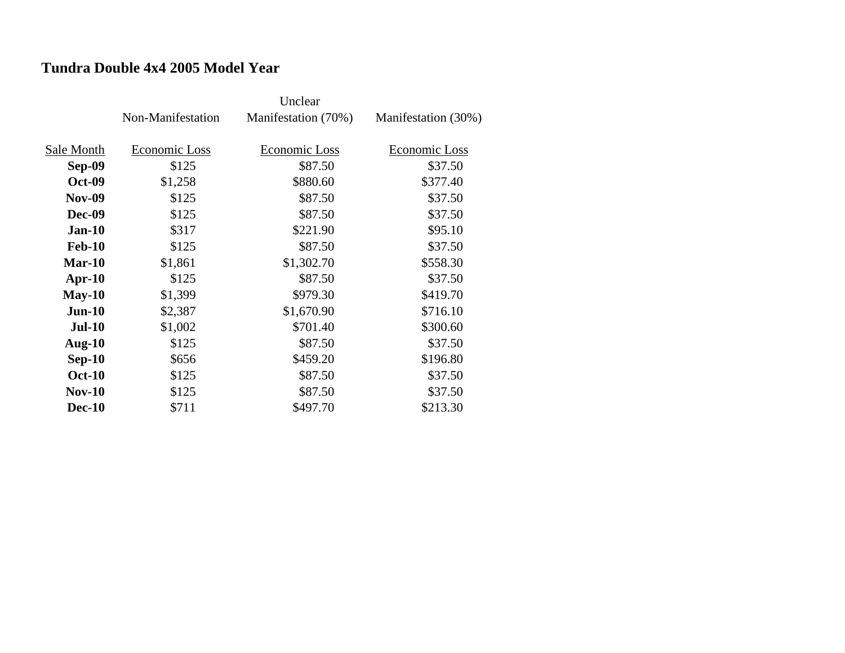### **Tundra Double 4x4 2005 Model Year**

|               | Non-Manifestation | Manifestation (70%) | Manifestation (30%) |
|---------------|-------------------|---------------------|---------------------|
|               |                   |                     |                     |
| Sale Month    | Economic Loss     | Economic Loss       | Economic Loss       |
| <b>Sep-09</b> | \$125             | \$87.50             | \$37.50             |
| <b>Oct-09</b> | \$1,258           | \$880.60            | \$377.40            |
| <b>Nov-09</b> | \$125             | \$87.50             | \$37.50             |
| <b>Dec-09</b> | \$125             | \$87.50             | \$37.50             |
| $Jan-10$      | \$317             | \$221.90            | \$95.10             |
| <b>Feb-10</b> | \$125             | \$87.50             | \$37.50             |
| $Mar-10$      | \$1,861           | \$1,302.70          | \$558.30            |
| $Apr-10$      | \$125             | \$87.50             | \$37.50             |
| $May-10$      | \$1,399           | \$979.30            | \$419.70            |
| $Jun-10$      | \$2,387           | \$1,670.90          | \$716.10            |
| <b>Jul-10</b> | \$1,002           | \$701.40            | \$300.60            |
| Aug- $10$     | \$125             | \$87.50             | \$37.50             |
| $Sep-10$      | \$656             | \$459.20            | \$196.80            |
| <b>Oct-10</b> | \$125             | \$87.50             | \$37.50             |
| <b>Nov-10</b> | \$125             | \$87.50             | \$37.50             |
| <b>Dec-10</b> | \$711             | \$497.70            | \$213.30            |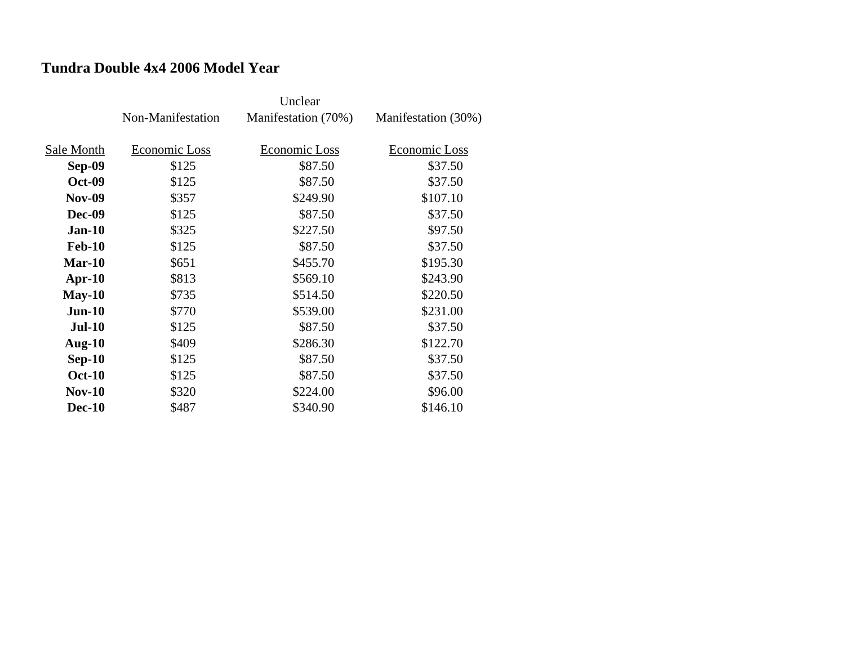### **Tundra Double 4x4 2006 Model Year**

|               |                   | Unclear             |                     |
|---------------|-------------------|---------------------|---------------------|
|               | Non-Manifestation | Manifestation (70%) | Manifestation (30%) |
|               |                   |                     |                     |
| Sale Month    | Economic Loss     | Economic Loss       | Economic Loss       |
| <b>Sep-09</b> | \$125             | \$87.50             | \$37.50             |
| <b>Oct-09</b> | \$125             | \$87.50             | \$37.50             |
| <b>Nov-09</b> | \$357             | \$249.90            | \$107.10            |
| <b>Dec-09</b> | \$125             | \$87.50             | \$37.50             |
| $Jan-10$      | \$325             | \$227.50            | \$97.50             |
| <b>Feb-10</b> | \$125             | \$87.50             | \$37.50             |
| $Mar-10$      | \$651             | \$455.70            | \$195.30            |
| $Apr-10$      | \$813             | \$569.10            | \$243.90            |
| $May-10$      | \$735             | \$514.50            | \$220.50            |
| $Jun-10$      | \$770             | \$539.00            | \$231.00            |
| <b>Jul-10</b> | \$125             | \$87.50             | \$37.50             |
| Aug- $10$     | \$409             | \$286.30            | \$122.70            |
| $Sep-10$      | \$125             | \$87.50             | \$37.50             |
| <b>Oct-10</b> | \$125             | \$87.50             | \$37.50             |
| $Nov-10$      | \$320             | \$224.00            | \$96.00             |
| <b>Dec-10</b> | \$487             | \$340.90            | \$146.10            |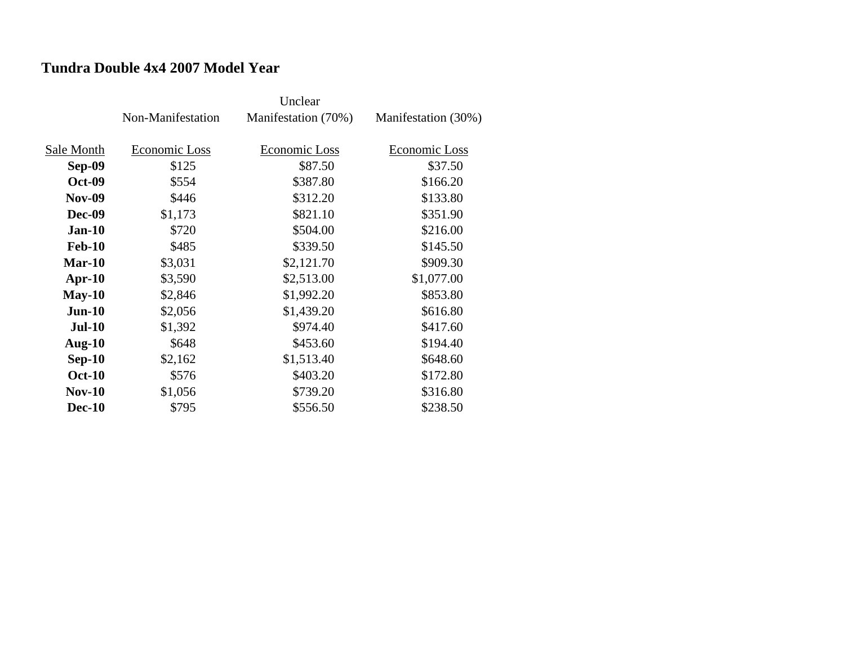### **Tundra Double 4x4 2007 Model Year**

|               | Non-Manifestation | Manifestation (70%) | Manifestation (30%) |
|---------------|-------------------|---------------------|---------------------|
|               |                   |                     |                     |
| Sale Month    | Economic Loss     | Economic Loss       | Economic Loss       |
| <b>Sep-09</b> | \$125             | \$87.50             | \$37.50             |
| <b>Oct-09</b> | \$554             | \$387.80            | \$166.20            |
| <b>Nov-09</b> | \$446             | \$312.20            | \$133.80            |
| <b>Dec-09</b> | \$1,173           | \$821.10            | \$351.90            |
| $Jan-10$      | \$720             | \$504.00            | \$216.00            |
| <b>Feb-10</b> | \$485             | \$339.50            | \$145.50            |
| $Mar-10$      | \$3,031           | \$2,121.70          | \$909.30            |
| $Apr-10$      | \$3,590           | \$2,513.00          | \$1,077.00          |
| $May-10$      | \$2,846           | \$1,992.20          | \$853.80            |
| $Jun-10$      | \$2,056           | \$1,439.20          | \$616.80            |
| <b>Jul-10</b> | \$1,392           | \$974.40            | \$417.60            |
| Aug- $10$     | \$648             | \$453.60            | \$194.40            |
| $Sep-10$      | \$2,162           | \$1,513.40          | \$648.60            |
| <b>Oct-10</b> | \$576             | \$403.20            | \$172.80            |
| <b>Nov-10</b> | \$1,056           | \$739.20            | \$316.80            |
| <b>Dec-10</b> | \$795             | \$556.50            | \$238.50            |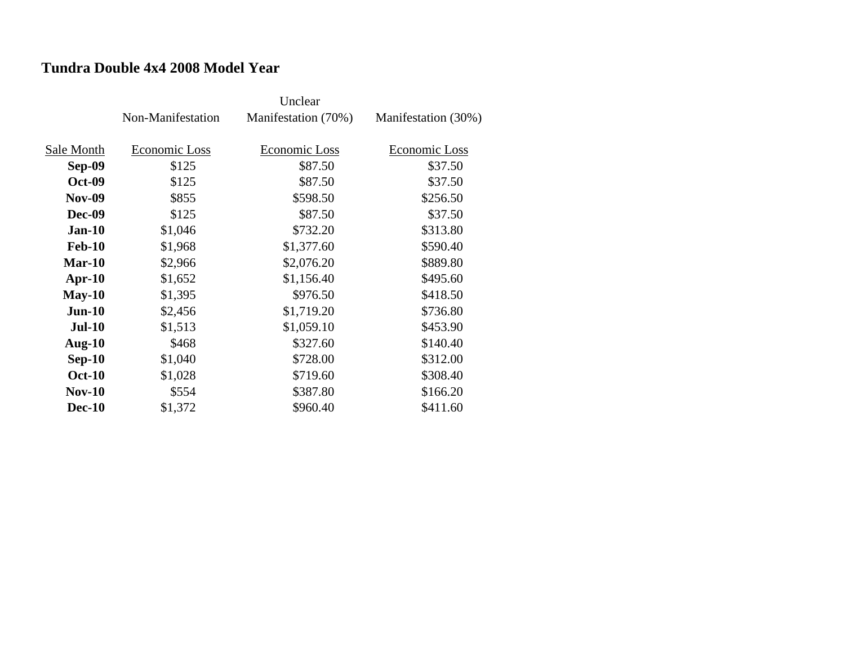## **Tundra Double 4x4 2008 Model Year**

|               | Non-Manifestation | Manifestation (70%) | Manifestation (30%) |
|---------------|-------------------|---------------------|---------------------|
| Sale Month    | Economic Loss     | Economic Loss       | Economic Loss       |
| <b>Sep-09</b> | \$125             | \$87.50             | \$37.50             |
| <b>Oct-09</b> | \$125             | \$87.50             | \$37.50             |
| <b>Nov-09</b> | \$855             | \$598.50            | \$256.50            |
| <b>Dec-09</b> | \$125             | \$87.50             | \$37.50             |
| $Jan-10$      | \$1,046           | \$732.20            | \$313.80            |
| <b>Feb-10</b> | \$1,968           | \$1,377.60          | \$590.40            |
| $Mar-10$      | \$2,966           | \$2,076.20          | \$889.80            |
| $Apr-10$      | \$1,652           | \$1,156.40          | \$495.60            |
| $May-10$      | \$1,395           | \$976.50            | \$418.50            |
| $Jun-10$      | \$2,456           | \$1,719.20          | \$736.80            |
| <b>Jul-10</b> | \$1,513           | \$1,059.10          | \$453.90            |
| Aug- $10$     | \$468             | \$327.60            | \$140.40            |
| $Sep-10$      | \$1,040           | \$728.00            | \$312.00            |
| <b>Oct-10</b> | \$1,028           | \$719.60            | \$308.40            |
| <b>Nov-10</b> | \$554             | \$387.80            | \$166.20            |
| <b>Dec-10</b> | \$1,372           | \$960.40            | \$411.60            |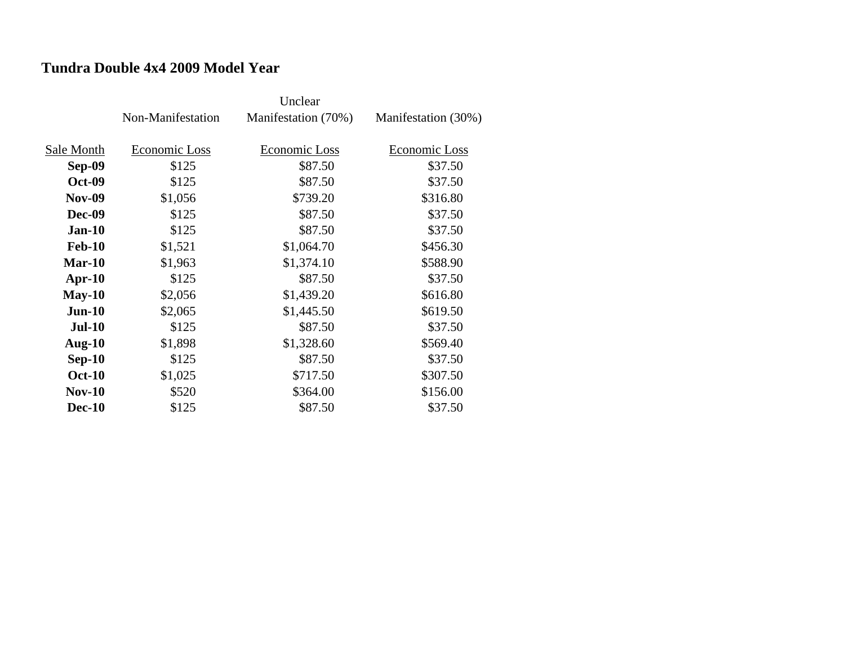### **Tundra Double 4x4 2009 Model Year**

|               | Non-Manifestation | Manifestation (70%) | Manifestation (30%) |
|---------------|-------------------|---------------------|---------------------|
|               |                   |                     |                     |
| Sale Month    | Economic Loss     | Economic Loss       | Economic Loss       |
| <b>Sep-09</b> | \$125             | \$87.50             | \$37.50             |
| <b>Oct-09</b> | \$125             | \$87.50             | \$37.50             |
| <b>Nov-09</b> | \$1,056           | \$739.20            | \$316.80            |
| <b>Dec-09</b> | \$125             | \$87.50             | \$37.50             |
| $Jan-10$      | \$125             | \$87.50             | \$37.50             |
| <b>Feb-10</b> | \$1,521           | \$1,064.70          | \$456.30            |
| $Mar-10$      | \$1,963           | \$1,374.10          | \$588.90            |
| Apr- $10$     | \$125             | \$87.50             | \$37.50             |
| $May-10$      | \$2,056           | \$1,439.20          | \$616.80            |
| $Jun-10$      | \$2,065           | \$1,445.50          | \$619.50            |
| <b>Jul-10</b> | \$125             | \$87.50             | \$37.50             |
| Aug- $10$     | \$1,898           | \$1,328.60          | \$569.40            |
| $Sep-10$      | \$125             | \$87.50             | \$37.50             |
| <b>Oct-10</b> | \$1,025           | \$717.50            | \$307.50            |
| $Nov-10$      | \$520             | \$364.00            | \$156.00            |
| <b>Dec-10</b> | \$125             | \$87.50             | \$37.50             |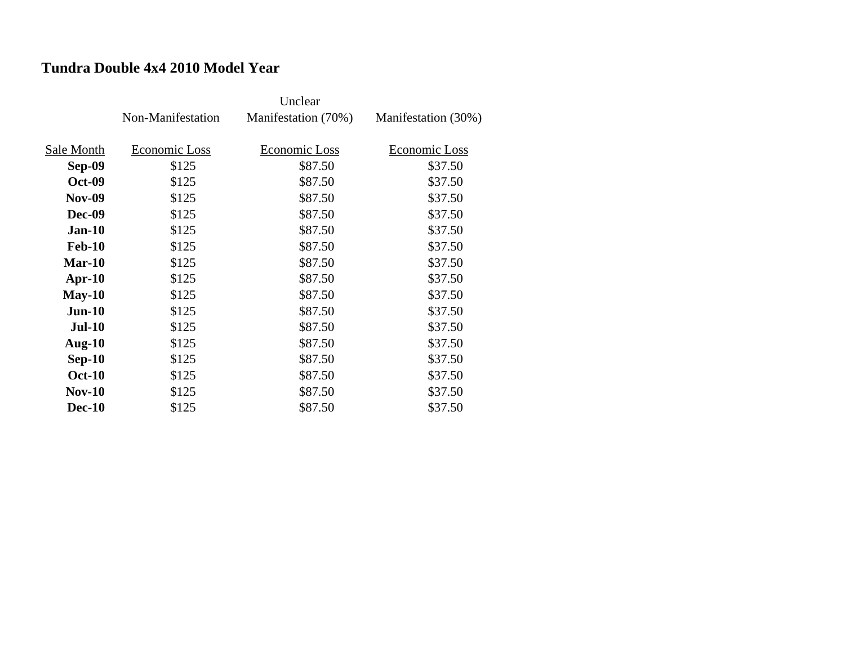### **Tundra Double 4x4 2010 Model Year**

|               | Non-Manifestation | Manifestation (70%) | Manifestation (30%) |
|---------------|-------------------|---------------------|---------------------|
|               |                   |                     |                     |
| Sale Month    | Economic Loss     | Economic Loss       | Economic Loss       |
| <b>Sep-09</b> | \$125             | \$87.50             | \$37.50             |
| <b>Oct-09</b> | \$125             | \$87.50             | \$37.50             |
| <b>Nov-09</b> | \$125             | \$87.50             | \$37.50             |
| <b>Dec-09</b> | \$125             | \$87.50             | \$37.50             |
| $Jan-10$      | \$125             | \$87.50             | \$37.50             |
| <b>Feb-10</b> | \$125             | \$87.50             | \$37.50             |
| Mar-10        | \$125             | \$87.50             | \$37.50             |
| $Apr-10$      | \$125             | \$87.50             | \$37.50             |
| $May-10$      | \$125             | \$87.50             | \$37.50             |
| $Jun-10$      | \$125             | \$87.50             | \$37.50             |
| <b>Jul-10</b> | \$125             | \$87.50             | \$37.50             |
| Aug- $10$     | \$125             | \$87.50             | \$37.50             |
| $Sep-10$      | \$125             | \$87.50             | \$37.50             |
| <b>Oct-10</b> | \$125             | \$87.50             | \$37.50             |
| <b>Nov-10</b> | \$125             | \$87.50             | \$37.50             |
| <b>Dec-10</b> | \$125             | \$87.50             | \$37.50             |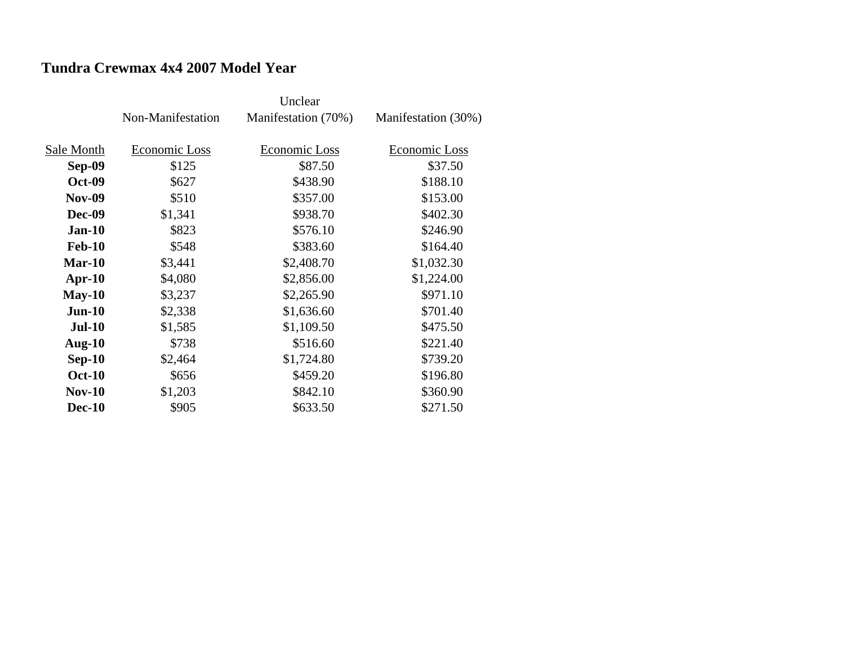## **Tundra Crewmax 4x4 2007 Model Year**

|               |                   | Unclear              |                     |
|---------------|-------------------|----------------------|---------------------|
|               | Non-Manifestation | Manifestation (70%)  | Manifestation (30%) |
|               |                   |                      |                     |
| Sale Month    | Economic Loss     | <b>Economic Loss</b> | Economic Loss       |
| <b>Sep-09</b> | \$125             | \$87.50              | \$37.50             |
| <b>Oct-09</b> | \$627             | \$438.90             | \$188.10            |
| <b>Nov-09</b> | \$510             | \$357.00             | \$153.00            |
| <b>Dec-09</b> | \$1,341           | \$938.70             | \$402.30            |
| $Jan-10$      | \$823             | \$576.10             | \$246.90            |
| <b>Feb-10</b> | \$548             | \$383.60             | \$164.40            |
| $Mar-10$      | \$3,441           | \$2,408.70           | \$1,032.30          |
| $Apr-10$      | \$4,080           | \$2,856.00           | \$1,224.00          |
| $May-10$      | \$3,237           | \$2,265.90           | \$971.10            |
| $Jun-10$      | \$2,338           | \$1,636.60           | \$701.40            |
| $Jul-10$      | \$1,585           | \$1,109.50           | \$475.50            |
| Aug- $10$     | \$738             | \$516.60             | \$221.40            |
| $Sep-10$      | \$2,464           | \$1,724.80           | \$739.20            |
| <b>Oct-10</b> | \$656             | \$459.20             | \$196.80            |
| $Nov-10$      | \$1,203           | \$842.10             | \$360.90            |
| <b>Dec-10</b> | \$905             | \$633.50             | \$271.50            |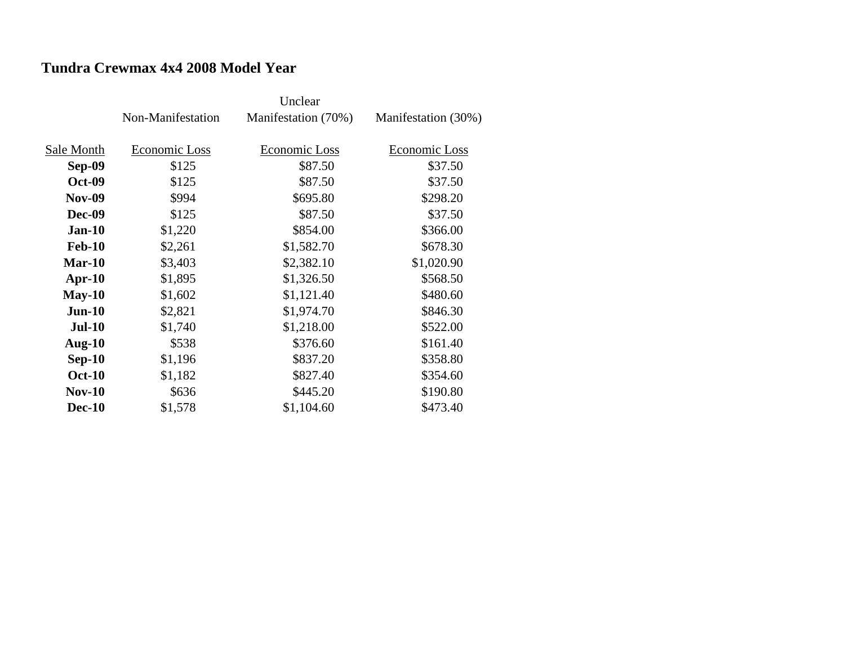## **Tundra Crewmax 4x4 2008 Model Year**

|               | Non-Manifestation | Manifestation (70%) | Manifestation (30%) |
|---------------|-------------------|---------------------|---------------------|
| Sale Month    | Economic Loss     | Economic Loss       | Economic Loss       |
| <b>Sep-09</b> | \$125             | \$87.50             | \$37.50             |
| <b>Oct-09</b> | \$125             | \$87.50             | \$37.50             |
| <b>Nov-09</b> | \$994             | \$695.80            | \$298.20            |
| <b>Dec-09</b> | \$125             | \$87.50             | \$37.50             |
| $Jan-10$      | \$1,220           | \$854.00            | \$366.00            |
| <b>Feb-10</b> | \$2,261           | \$1,582.70          | \$678.30            |
| $Mar-10$      | \$3,403           | \$2,382.10          | \$1,020.90          |
| $Apr-10$      | \$1,895           | \$1,326.50          | \$568.50            |
| $May-10$      | \$1,602           | \$1,121.40          | \$480.60            |
| $Jun-10$      | \$2,821           | \$1,974.70          | \$846.30            |
| <b>Jul-10</b> | \$1,740           | \$1,218.00          | \$522.00            |
| Aug- $10$     | \$538             | \$376.60            | \$161.40            |
| $Sep-10$      | \$1,196           | \$837.20            | \$358.80            |
| <b>Oct-10</b> | \$1,182           | \$827.40            | \$354.60            |
| $Nov-10$      | \$636             | \$445.20            | \$190.80            |
| <b>Dec-10</b> | \$1,578           | \$1,104.60          | \$473.40            |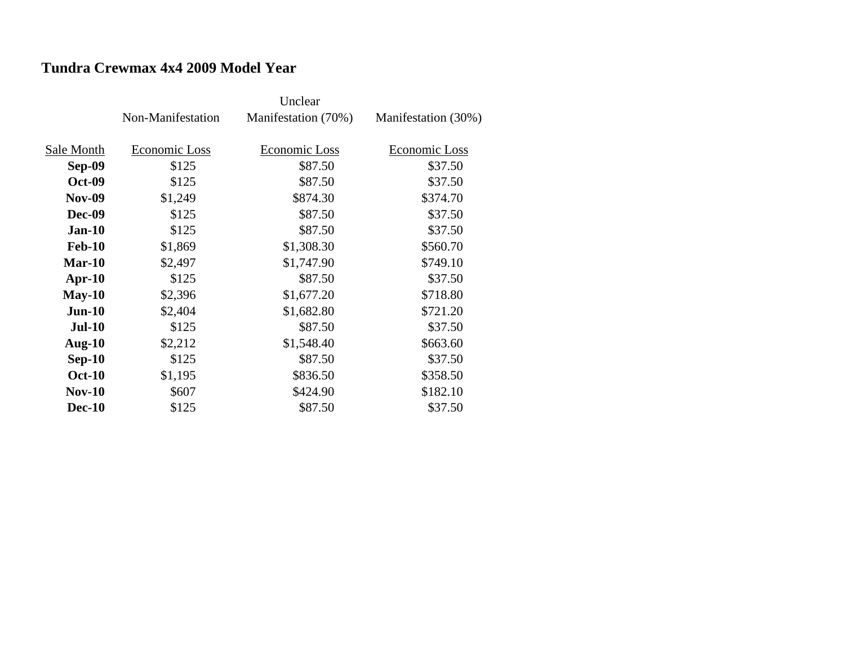## **Tundra Crewmax 4x4 2009 Model Year**

|               | Non-Manifestation | Manifestation (70%) | Manifestation (30%) |
|---------------|-------------------|---------------------|---------------------|
| Sale Month    | Economic Loss     | Economic Loss       | Economic Loss       |
|               |                   |                     |                     |
| Sep-09        | \$125             | \$87.50             | \$37.50             |
| <b>Oct-09</b> | \$125             | \$87.50             | \$37.50             |
| <b>Nov-09</b> | \$1,249           | \$874.30            | \$374.70            |
| <b>Dec-09</b> | \$125             | \$87.50             | \$37.50             |
| $Jan-10$      | \$125             | \$87.50             | \$37.50             |
| <b>Feb-10</b> | \$1,869           | \$1,308.30          | \$560.70            |
| Mar-10        | \$2,497           | \$1,747.90          | \$749.10            |
| $Apr-10$      | \$125             | \$87.50             | \$37.50             |
| $May-10$      | \$2,396           | \$1,677.20          | \$718.80            |
| $Jun-10$      | \$2,404           | \$1,682.80          | \$721.20            |
| <b>Jul-10</b> | \$125             | \$87.50             | \$37.50             |
| Aug- $10$     | \$2,212           | \$1,548.40          | \$663.60            |
| $Sep-10$      | \$125             | \$87.50             | \$37.50             |
| <b>Oct-10</b> | \$1,195           | \$836.50            | \$358.50            |
| $Nov-10$      | \$607             | \$424.90            | \$182.10            |
| <b>Dec-10</b> | \$125             | \$87.50             | \$37.50             |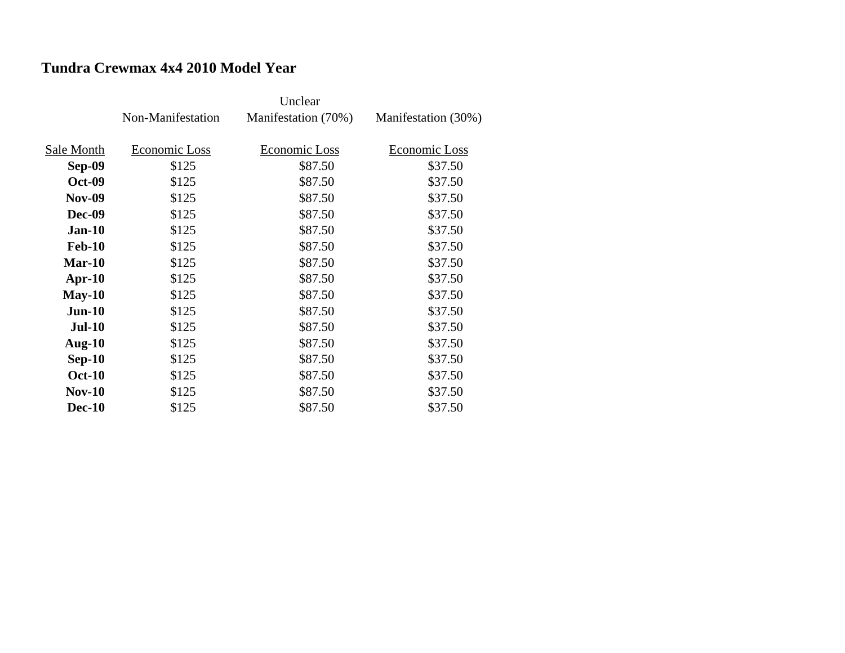## **Tundra Crewmax 4x4 2010 Model Year**

|               | Non-Manifestation | Manifestation (70%) | Manifestation (30%) |
|---------------|-------------------|---------------------|---------------------|
|               |                   |                     |                     |
| Sale Month    | Economic Loss     | Economic Loss       | Economic Loss       |
| Sep-09        | \$125             | \$87.50             | \$37.50             |
| <b>Oct-09</b> | \$125             | \$87.50             | \$37.50             |
| <b>Nov-09</b> | \$125             | \$87.50             | \$37.50             |
| <b>Dec-09</b> | \$125             | \$87.50             | \$37.50             |
| $Jan-10$      | \$125             | \$87.50             | \$37.50             |
| <b>Feb-10</b> | \$125             | \$87.50             | \$37.50             |
| $Mar-10$      | \$125             | \$87.50             | \$37.50             |
| $Apr-10$      | \$125             | \$87.50             | \$37.50             |
| $May-10$      | \$125             | \$87.50             | \$37.50             |
| $Jun-10$      | \$125             | \$87.50             | \$37.50             |
| <b>Jul-10</b> | \$125             | \$87.50             | \$37.50             |
| Aug- $10$     | \$125             | \$87.50             | \$37.50             |
| $Sep-10$      | \$125             | \$87.50             | \$37.50             |
| <b>Oct-10</b> | \$125             | \$87.50             | \$37.50             |
| $Nov-10$      | \$125             | \$87.50             | \$37.50             |
| <b>Dec-10</b> | \$125             | \$87.50             | \$37.50             |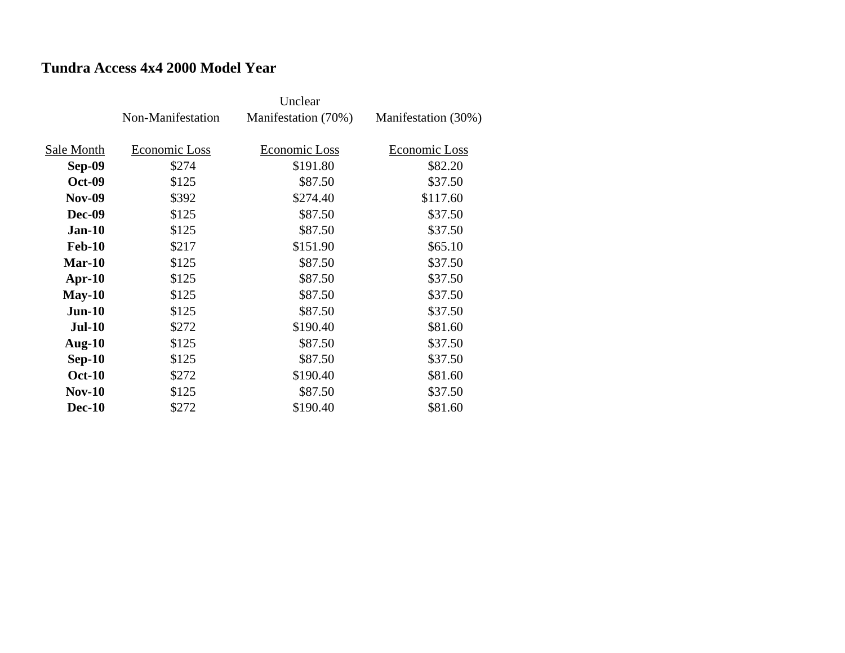## **Tundra Access 4x4 2000 Model Year**

|               | Non-Manifestation | Manifestation (70%) | Manifestation (30%) |
|---------------|-------------------|---------------------|---------------------|
|               |                   |                     |                     |
| Sale Month    | Economic Loss     | Economic Loss       | Economic Loss       |
| Sep-09        | \$274             | \$191.80            | \$82.20             |
| <b>Oct-09</b> | \$125             | \$87.50             | \$37.50             |
| <b>Nov-09</b> | \$392             | \$274.40            | \$117.60            |
| <b>Dec-09</b> | \$125             | \$87.50             | \$37.50             |
| $Jan-10$      | \$125             | \$87.50             | \$37.50             |
| <b>Feb-10</b> | \$217             | \$151.90            | \$65.10             |
| $Mar-10$      | \$125             | \$87.50             | \$37.50             |
| $Apr-10$      | \$125             | \$87.50             | \$37.50             |
| $May-10$      | \$125             | \$87.50             | \$37.50             |
| $Jun-10$      | \$125             | \$87.50             | \$37.50             |
| <b>Jul-10</b> | \$272             | \$190.40            | \$81.60             |
| Aug- $10$     | \$125             | \$87.50             | \$37.50             |
| $Sep-10$      | \$125             | \$87.50             | \$37.50             |
| <b>Oct-10</b> | \$272             | \$190.40            | \$81.60             |
| $Nov-10$      | \$125             | \$87.50             | \$37.50             |
| <b>Dec-10</b> | \$272             | \$190.40            | \$81.60             |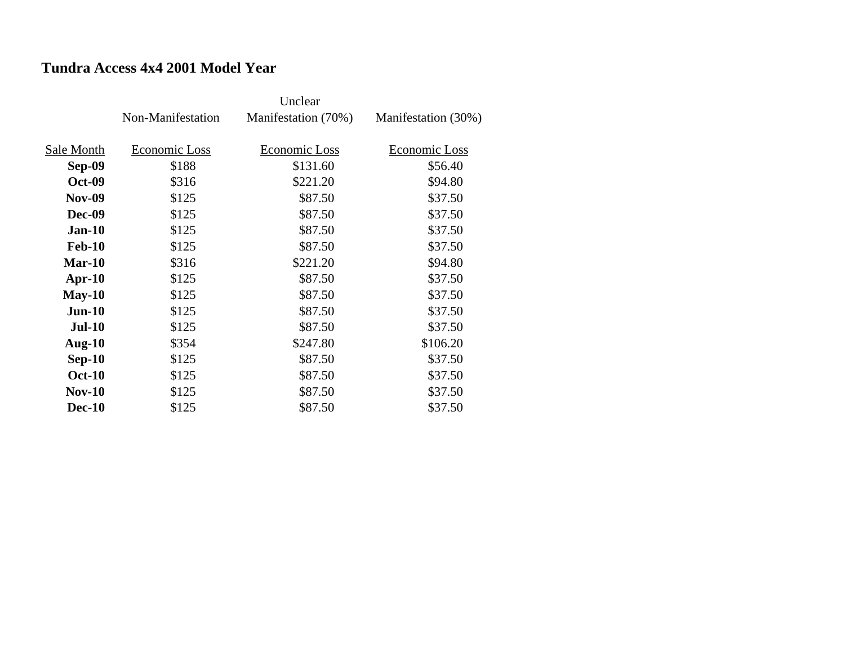## **Tundra Access 4x4 2001 Model Year**

|               | Non-Manifestation | Manifestation (70%) | Manifestation (30%) |
|---------------|-------------------|---------------------|---------------------|
| Sale Month    | Economic Loss     | Economic Loss       | Economic Loss       |
|               |                   |                     |                     |
| Sep-09        | \$188             | \$131.60            | \$56.40             |
| <b>Oct-09</b> | \$316             | \$221.20            | \$94.80             |
| <b>Nov-09</b> | \$125             | \$87.50             | \$37.50             |
| <b>Dec-09</b> | \$125             | \$87.50             | \$37.50             |
| $Jan-10$      | \$125             | \$87.50             | \$37.50             |
| <b>Feb-10</b> | \$125             | \$87.50             | \$37.50             |
| $Mar-10$      | \$316             | \$221.20            | \$94.80             |
| $Apr-10$      | \$125             | \$87.50             | \$37.50             |
| $May-10$      | \$125             | \$87.50             | \$37.50             |
| $Jun-10$      | \$125             | \$87.50             | \$37.50             |
| <b>Jul-10</b> | \$125             | \$87.50             | \$37.50             |
| Aug- $10$     | \$354             | \$247.80            | \$106.20            |
| $Sep-10$      | \$125             | \$87.50             | \$37.50             |
| <b>Oct-10</b> | \$125             | \$87.50             | \$37.50             |
| $Nov-10$      | \$125             | \$87.50             | \$37.50             |
| <b>Dec-10</b> | \$125             | \$87.50             | \$37.50             |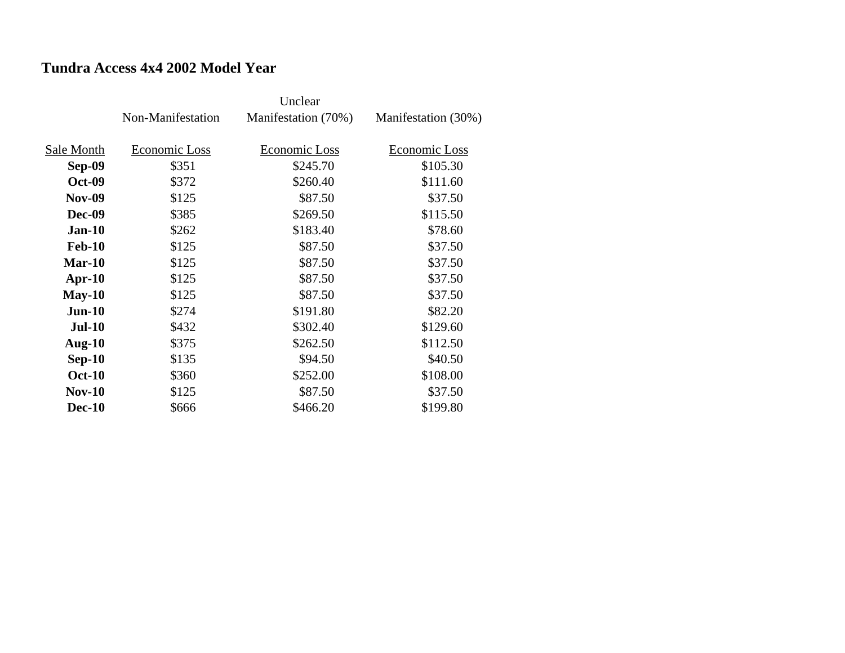## **Tundra Access 4x4 2002 Model Year**

|               |                   | Unclear             |                     |
|---------------|-------------------|---------------------|---------------------|
|               | Non-Manifestation | Manifestation (70%) | Manifestation (30%) |
|               |                   |                     |                     |
| Sale Month    | Economic Loss     | Economic Loss       | Economic Loss       |
| Sep-09        | \$351             | \$245.70            | \$105.30            |
| <b>Oct-09</b> | \$372             | \$260.40            | \$111.60            |
| <b>Nov-09</b> | \$125             | \$87.50             | \$37.50             |
| <b>Dec-09</b> | \$385             | \$269.50            | \$115.50            |
| $Jan-10$      | \$262             | \$183.40            | \$78.60             |
| <b>Feb-10</b> | \$125             | \$87.50             | \$37.50             |
| $Mar-10$      | \$125             | \$87.50             | \$37.50             |
| $Apr-10$      | \$125             | \$87.50             | \$37.50             |
| $May-10$      | \$125             | \$87.50             | \$37.50             |
| $Jun-10$      | \$274             | \$191.80            | \$82.20             |
| <b>Jul-10</b> | \$432             | \$302.40            | \$129.60            |
| Aug- $10$     | \$375             | \$262.50            | \$112.50            |
| $Sep-10$      | \$135             | \$94.50             | \$40.50             |
| <b>Oct-10</b> | \$360             | \$252.00            | \$108.00            |
| $Nov-10$      | \$125             | \$87.50             | \$37.50             |
| <b>Dec-10</b> | \$666             | \$466.20            | \$199.80            |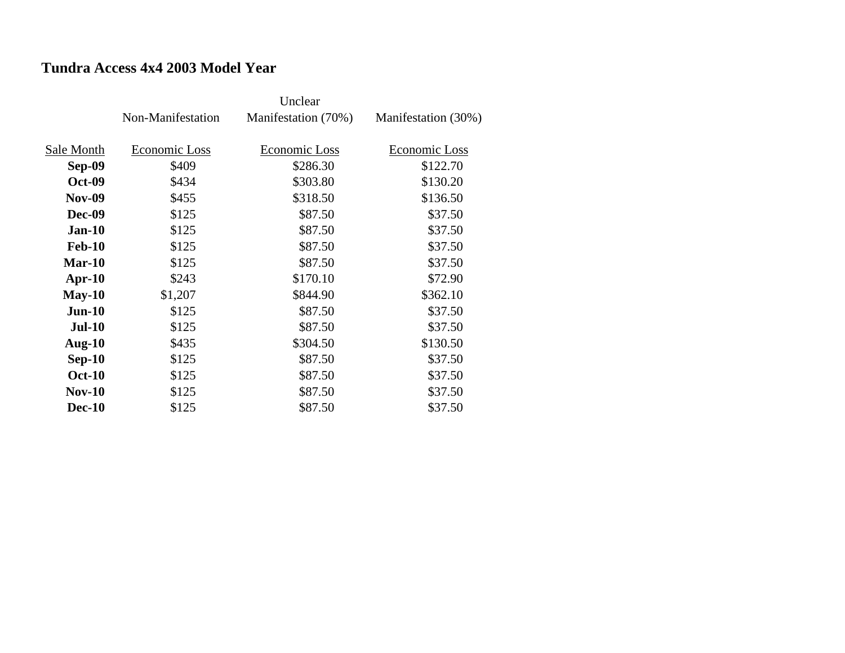## **Tundra Access 4x4 2003 Model Year**

|               | Non-Manifestation | Manifestation (70%) | Manifestation (30%) |
|---------------|-------------------|---------------------|---------------------|
| Sale Month    | Economic Loss     | Economic Loss       | Economic Loss       |
|               |                   |                     |                     |
| Sep-09        | \$409             | \$286.30            | \$122.70            |
| <b>Oct-09</b> | \$434             | \$303.80            | \$130.20            |
| <b>Nov-09</b> | \$455             | \$318.50            | \$136.50            |
| <b>Dec-09</b> | \$125             | \$87.50             | \$37.50             |
| $Jan-10$      | \$125             | \$87.50             | \$37.50             |
| <b>Feb-10</b> | \$125             | \$87.50             | \$37.50             |
| $Mar-10$      | \$125             | \$87.50             | \$37.50             |
| $Apr-10$      | \$243             | \$170.10            | \$72.90             |
| $May-10$      | \$1,207           | \$844.90            | \$362.10            |
| $Jun-10$      | \$125             | \$87.50             | \$37.50             |
| <b>Jul-10</b> | \$125             | \$87.50             | \$37.50             |
| <b>Aug-10</b> | \$435             | \$304.50            | \$130.50            |
| $Sep-10$      | \$125             | \$87.50             | \$37.50             |
| <b>Oct-10</b> | \$125             | \$87.50             | \$37.50             |
| $Nov-10$      | \$125             | \$87.50             | \$37.50             |
| <b>Dec-10</b> | \$125             | \$87.50             | \$37.50             |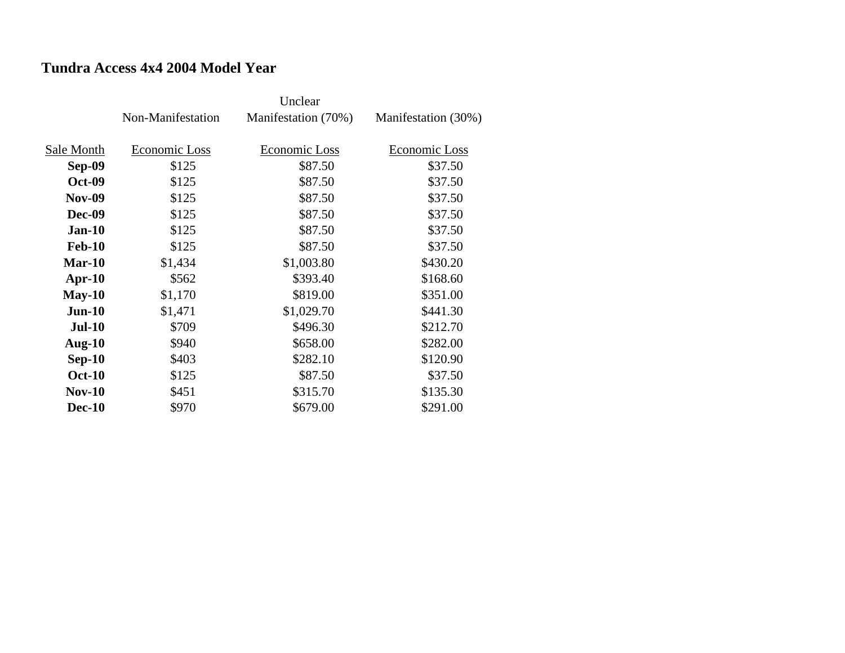## **Tundra Access 4x4 2004 Model Year**

|               | Non-Manifestation | Manifestation (70%) | Manifestation (30%) |
|---------------|-------------------|---------------------|---------------------|
| Sale Month    | Economic Loss     | Economic Loss       | Economic Loss       |
| <b>Sep-09</b> | \$125             | \$87.50             | \$37.50             |
| <b>Oct-09</b> | \$125             | \$87.50             | \$37.50             |
| <b>Nov-09</b> | \$125             | \$87.50             | \$37.50             |
| <b>Dec-09</b> | \$125             | \$87.50             | \$37.50             |
| $Jan-10$      | \$125             | \$87.50             | \$37.50             |
| <b>Feb-10</b> | \$125             | \$87.50             | \$37.50             |
| Mar-10        | \$1,434           | \$1,003.80          | \$430.20            |
| $Apr-10$      | \$562             | \$393.40            | \$168.60            |
| $May-10$      | \$1,170           | \$819.00            | \$351.00            |
| $Jun-10$      | \$1,471           | \$1,029.70          | \$441.30            |
| <b>Jul-10</b> | \$709             | \$496.30            | \$212.70            |
| Aug- $10$     | \$940             | \$658.00            | \$282.00            |
| $Sep-10$      | \$403             | \$282.10            | \$120.90            |
| <b>Oct-10</b> | \$125             | \$87.50             | \$37.50             |
| <b>Nov-10</b> | \$451             | \$315.70            | \$135.30            |
| <b>Dec-10</b> | \$970             | \$679.00            | \$291.00            |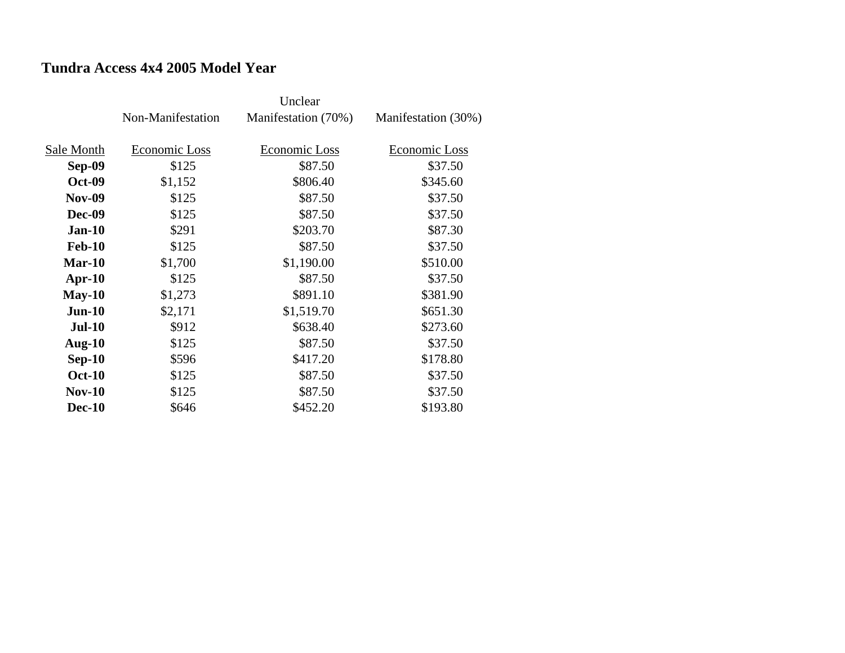## **Tundra Access 4x4 2005 Model Year**

|               | Non-Manifestation | Manifestation (70%) | Manifestation (30%) |
|---------------|-------------------|---------------------|---------------------|
|               |                   |                     |                     |
| Sale Month    | Economic Loss     | Economic Loss       | Economic Loss       |
| Sep-09        | \$125             | \$87.50             | \$37.50             |
| <b>Oct-09</b> | \$1,152           | \$806.40            | \$345.60            |
| <b>Nov-09</b> | \$125             | \$87.50             | \$37.50             |
| <b>Dec-09</b> | \$125             | \$87.50             | \$37.50             |
| $Jan-10$      | \$291             | \$203.70            | \$87.30             |
| <b>Feb-10</b> | \$125             | \$87.50             | \$37.50             |
| Mar-10        | \$1,700           | \$1,190.00          | \$510.00            |
| $Apr-10$      | \$125             | \$87.50             | \$37.50             |
| $May-10$      | \$1,273           | \$891.10            | \$381.90            |
| $Jun-10$      | \$2,171           | \$1,519.70          | \$651.30            |
| <b>Jul-10</b> | \$912             | \$638.40            | \$273.60            |
| Aug- $10$     | \$125             | \$87.50             | \$37.50             |
| $Sep-10$      | \$596             | \$417.20            | \$178.80            |
| <b>Oct-10</b> | \$125             | \$87.50             | \$37.50             |
| <b>Nov-10</b> | \$125             | \$87.50             | \$37.50             |
| <b>Dec-10</b> | \$646             | \$452.20            | \$193.80            |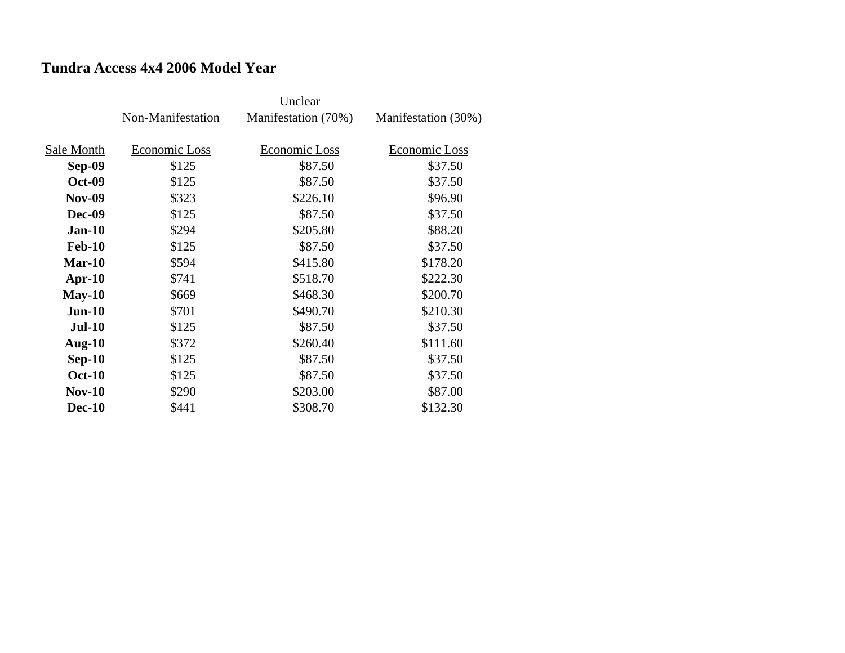## **Tundra Access 4x4 2006 Model Year**

|               |                   | Unclear             |                     |
|---------------|-------------------|---------------------|---------------------|
|               | Non-Manifestation | Manifestation (70%) | Manifestation (30%) |
|               |                   |                     |                     |
| Sale Month    | Economic Loss     | Economic Loss       | Economic Loss       |
| <b>Sep-09</b> | \$125             | \$87.50             | \$37.50             |
| <b>Oct-09</b> | \$125             | \$87.50             | \$37.50             |
| <b>Nov-09</b> | \$323             | \$226.10            | \$96.90             |
| <b>Dec-09</b> | \$125             | \$87.50             | \$37.50             |
| $Jan-10$      | \$294             | \$205.80            | \$88.20             |
| <b>Feb-10</b> | \$125             | \$87.50             | \$37.50             |
| $Mar-10$      | \$594             | \$415.80            | \$178.20            |
| $Apr-10$      | \$741             | \$518.70            | \$222.30            |
| $May-10$      | \$669             | \$468.30            | \$200.70            |
| $Jun-10$      | \$701             | \$490.70            | \$210.30            |
| <b>Jul-10</b> | \$125             | \$87.50             | \$37.50             |
| Aug- $10$     | \$372             | \$260.40            | \$111.60            |
| $Sep-10$      | \$125             | \$87.50             | \$37.50             |
| <b>Oct-10</b> | \$125             | \$87.50             | \$37.50             |
| $Nov-10$      | \$290             | \$203.00            | \$87.00             |
| <b>Dec-10</b> | \$441             | \$308.70            | \$132.30            |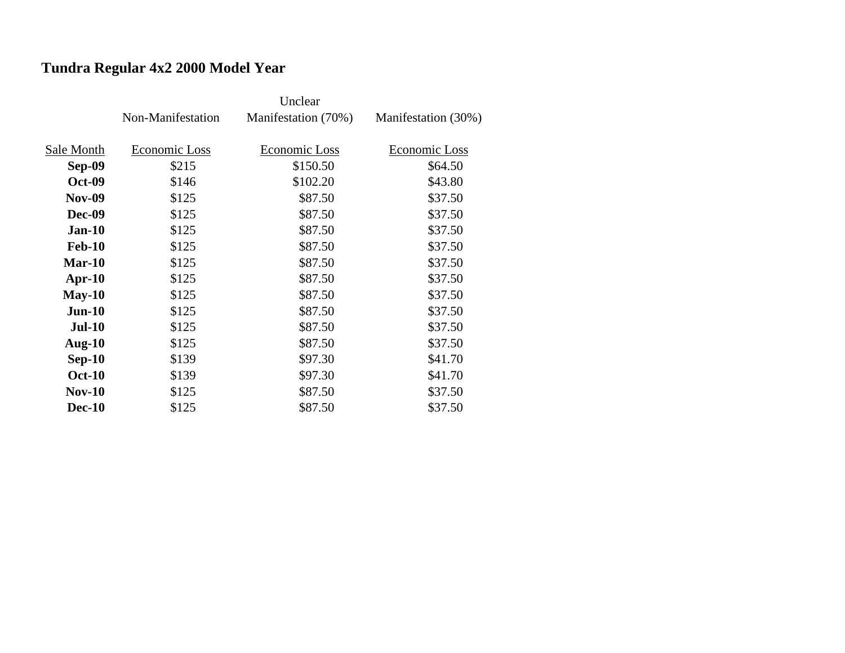# **Tundra Regular 4x2 2000 Model Year**

|               | Non-Manifestation | Manifestation (70%) | Manifestation (30%) |
|---------------|-------------------|---------------------|---------------------|
|               |                   |                     |                     |
| Sale Month    | Economic Loss     | Economic Loss       | Economic Loss       |
| Sep-09        | \$215             | \$150.50            | \$64.50             |
| <b>Oct-09</b> | \$146             | \$102.20            | \$43.80             |
| <b>Nov-09</b> | \$125             | \$87.50             | \$37.50             |
| <b>Dec-09</b> | \$125             | \$87.50             | \$37.50             |
| $Jan-10$      | \$125             | \$87.50             | \$37.50             |
| <b>Feb-10</b> | \$125             | \$87.50             | \$37.50             |
| $Mar-10$      | \$125             | \$87.50             | \$37.50             |
| $Apr-10$      | \$125             | \$87.50             | \$37.50             |
| $May-10$      | \$125             | \$87.50             | \$37.50             |
| $Jun-10$      | \$125             | \$87.50             | \$37.50             |
| <b>Jul-10</b> | \$125             | \$87.50             | \$37.50             |
| Aug- $10$     | \$125             | \$87.50             | \$37.50             |
| $Sep-10$      | \$139             | \$97.30             | \$41.70             |
| <b>Oct-10</b> | \$139             | \$97.30             | \$41.70             |
| $Nov-10$      | \$125             | \$87.50             | \$37.50             |
| <b>Dec-10</b> | \$125             | \$87.50             | \$37.50             |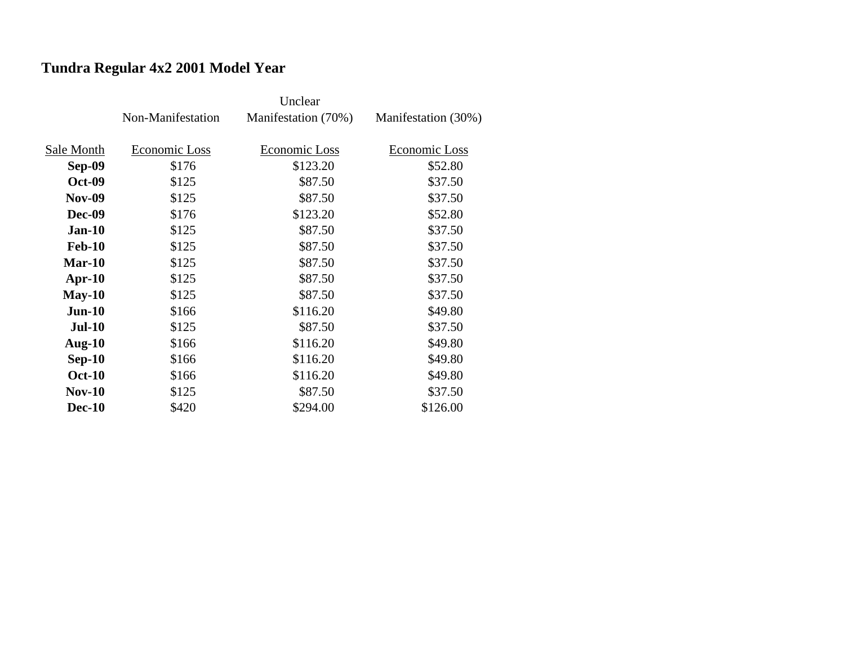# **Tundra Regular 4x2 2001 Model Year**

|               | Non-Manifestation | Manifestation (70%) | Manifestation (30%) |
|---------------|-------------------|---------------------|---------------------|
|               |                   |                     |                     |
| Sale Month    | Economic Loss     | Economic Loss       | Economic Loss       |
| <b>Sep-09</b> | \$176             | \$123.20            | \$52.80             |
| <b>Oct-09</b> | \$125             | \$87.50             | \$37.50             |
| <b>Nov-09</b> | \$125             | \$87.50             | \$37.50             |
| <b>Dec-09</b> | \$176             | \$123.20            | \$52.80             |
| $Jan-10$      | \$125             | \$87.50             | \$37.50             |
| <b>Feb-10</b> | \$125             | \$87.50             | \$37.50             |
| Mar-10        | \$125             | \$87.50             | \$37.50             |
| $Apr-10$      | \$125             | \$87.50             | \$37.50             |
| $May-10$      | \$125             | \$87.50             | \$37.50             |
| $Jun-10$      | \$166             | \$116.20            | \$49.80             |
| <b>Jul-10</b> | \$125             | \$87.50             | \$37.50             |
| Aug- $10$     | \$166             | \$116.20            | \$49.80             |
| $Sep-10$      | \$166             | \$116.20            | \$49.80             |
| <b>Oct-10</b> | \$166             | \$116.20            | \$49.80             |
| <b>Nov-10</b> | \$125             | \$87.50             | \$37.50             |
| <b>Dec-10</b> | \$420             | \$294.00            | \$126.00            |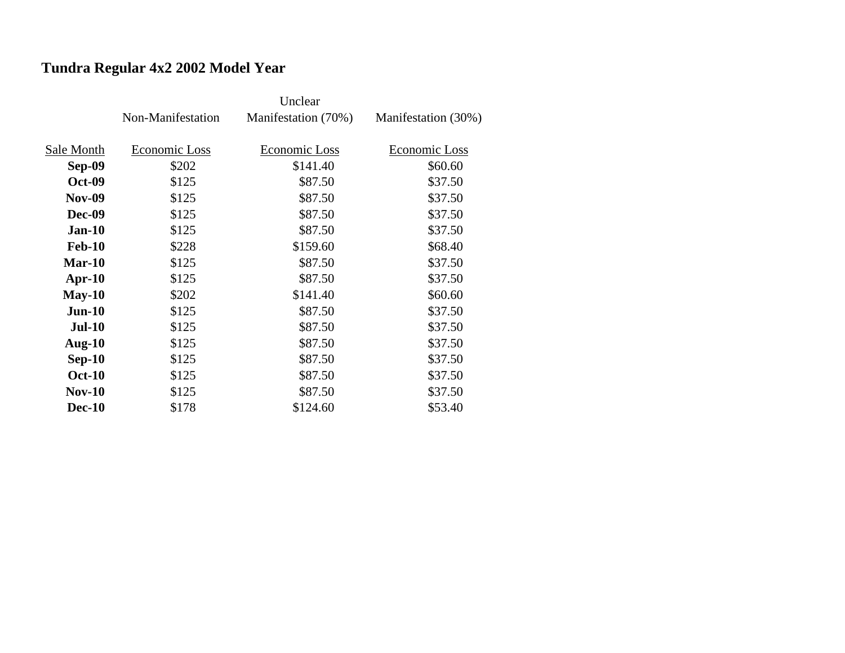# **Tundra Regular 4x2 2002 Model Year**

|               | Non-Manifestation | Manifestation (70%) | Manifestation (30%) |
|---------------|-------------------|---------------------|---------------------|
|               |                   |                     |                     |
| Sale Month    | Economic Loss     | Economic Loss       | Economic Loss       |
| <b>Sep-09</b> | \$202             | \$141.40            | \$60.60             |
| <b>Oct-09</b> | \$125             | \$87.50             | \$37.50             |
| <b>Nov-09</b> | \$125             | \$87.50             | \$37.50             |
| <b>Dec-09</b> | \$125             | \$87.50             | \$37.50             |
| $Jan-10$      | \$125             | \$87.50             | \$37.50             |
| <b>Feb-10</b> | \$228             | \$159.60            | \$68.40             |
| <b>Mar-10</b> | \$125             | \$87.50             | \$37.50             |
| $Apr-10$      | \$125             | \$87.50             | \$37.50             |
| $May-10$      | \$202             | \$141.40            | \$60.60             |
| $Jun-10$      | \$125             | \$87.50             | \$37.50             |
| <b>Jul-10</b> | \$125             | \$87.50             | \$37.50             |
| Aug- $10$     | \$125             | \$87.50             | \$37.50             |
| $Sep-10$      | \$125             | \$87.50             | \$37.50             |
| <b>Oct-10</b> | \$125             | \$87.50             | \$37.50             |
| <b>Nov-10</b> | \$125             | \$87.50             | \$37.50             |
| <b>Dec-10</b> | \$178             | \$124.60            | \$53.40             |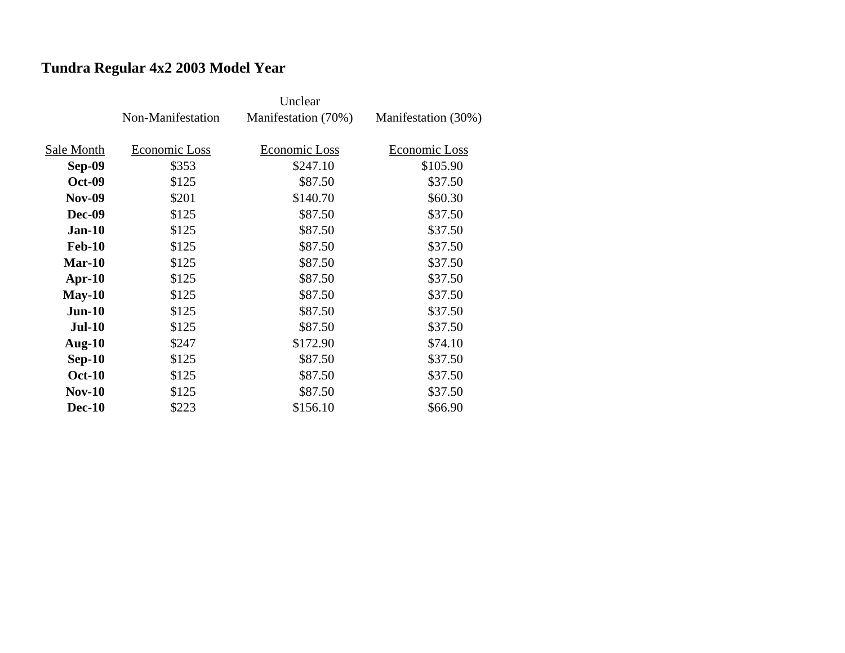# **Tundra Regular 4x2 2003 Model Year**

|               | Non-Manifestation | Manifestation (70%) | Manifestation (30%) |
|---------------|-------------------|---------------------|---------------------|
|               |                   |                     |                     |
| Sale Month    | Economic Loss     | Economic Loss       | Economic Loss       |
| <b>Sep-09</b> | \$353             | \$247.10            | \$105.90            |
| <b>Oct-09</b> | \$125             | \$87.50             | \$37.50             |
| <b>Nov-09</b> | \$201             | \$140.70            | \$60.30             |
| <b>Dec-09</b> | \$125             | \$87.50             | \$37.50             |
| $Jan-10$      | \$125             | \$87.50             | \$37.50             |
| <b>Feb-10</b> | \$125             | \$87.50             | \$37.50             |
| <b>Mar-10</b> | \$125             | \$87.50             | \$37.50             |
| $Apr-10$      | \$125             | \$87.50             | \$37.50             |
| $May-10$      | \$125             | \$87.50             | \$37.50             |
| $Jun-10$      | \$125             | \$87.50             | \$37.50             |
| <b>Jul-10</b> | \$125             | \$87.50             | \$37.50             |
| Aug- $10$     | \$247             | \$172.90            | \$74.10             |
| $Sep-10$      | \$125             | \$87.50             | \$37.50             |
| <b>Oct-10</b> | \$125             | \$87.50             | \$37.50             |
| <b>Nov-10</b> | \$125             | \$87.50             | \$37.50             |
| <b>Dec-10</b> | \$223             | \$156.10            | \$66.90             |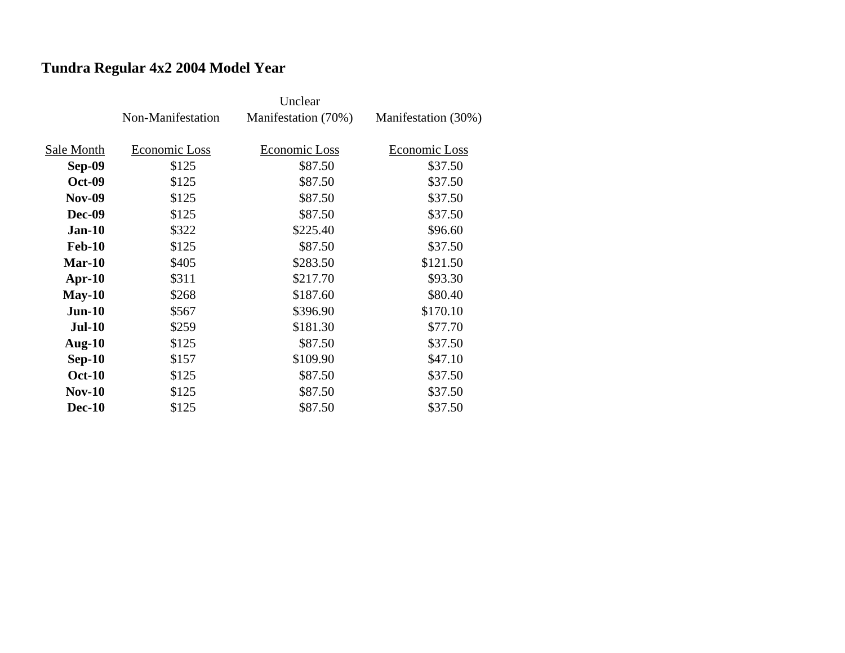# **Tundra Regular 4x2 2004 Model Year**

|               | Non-Manifestation | Manifestation (70%) | Manifestation (30%) |
|---------------|-------------------|---------------------|---------------------|
|               |                   |                     |                     |
| Sale Month    | Economic Loss     | Economic Loss       | Economic Loss       |
| <b>Sep-09</b> | \$125             | \$87.50             | \$37.50             |
| <b>Oct-09</b> | \$125             | \$87.50             | \$37.50             |
| <b>Nov-09</b> | \$125             | \$87.50             | \$37.50             |
| <b>Dec-09</b> | \$125             | \$87.50             | \$37.50             |
| $Jan-10$      | \$322             | \$225.40            | \$96.60             |
| <b>Feb-10</b> | \$125             | \$87.50             | \$37.50             |
| $Mar-10$      | \$405             | \$283.50            | \$121.50            |
| $Apr-10$      | \$311             | \$217.70            | \$93.30             |
| $May-10$      | \$268             | \$187.60            | \$80.40             |
| $Jun-10$      | \$567             | \$396.90            | \$170.10            |
| <b>Jul-10</b> | \$259             | \$181.30            | \$77.70             |
| Aug- $10$     | \$125             | \$87.50             | \$37.50             |
| $Sep-10$      | \$157             | \$109.90            | \$47.10             |
| <b>Oct-10</b> | \$125             | \$87.50             | \$37.50             |
| $Nov-10$      | \$125             | \$87.50             | \$37.50             |
| <b>Dec-10</b> | \$125             | \$87.50             | \$37.50             |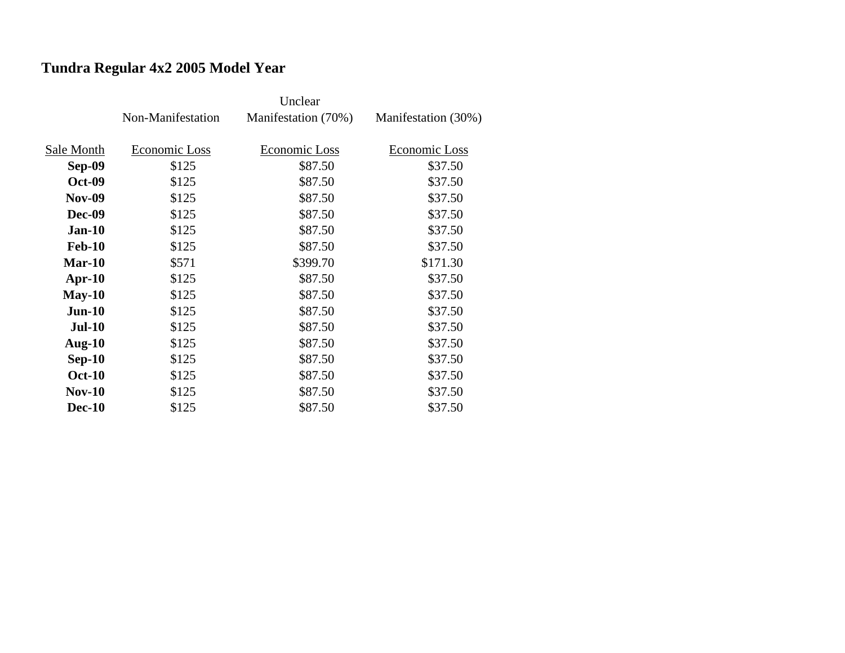# **Tundra Regular 4x2 2005 Model Year**

|               | Non-Manifestation | Manifestation (70%) | Manifestation (30%) |
|---------------|-------------------|---------------------|---------------------|
|               |                   |                     |                     |
| Sale Month    | Economic Loss     | Economic Loss       | Economic Loss       |
| Sep-09        | \$125             | \$87.50             | \$37.50             |
| <b>Oct-09</b> | \$125             | \$87.50             | \$37.50             |
| <b>Nov-09</b> | \$125             | \$87.50             | \$37.50             |
| <b>Dec-09</b> | \$125             | \$87.50             | \$37.50             |
| $Jan-10$      | \$125             | \$87.50             | \$37.50             |
| <b>Feb-10</b> | \$125             | \$87.50             | \$37.50             |
| $Mar-10$      | \$571             | \$399.70            | \$171.30            |
| $Apr-10$      | \$125             | \$87.50             | \$37.50             |
| $May-10$      | \$125             | \$87.50             | \$37.50             |
| $Jun-10$      | \$125             | \$87.50             | \$37.50             |
| <b>Jul-10</b> | \$125             | \$87.50             | \$37.50             |
| Aug- $10$     | \$125             | \$87.50             | \$37.50             |
| $Sep-10$      | \$125             | \$87.50             | \$37.50             |
| <b>Oct-10</b> | \$125             | \$87.50             | \$37.50             |
| $Nov-10$      | \$125             | \$87.50             | \$37.50             |
| <b>Dec-10</b> | \$125             | \$87.50             | \$37.50             |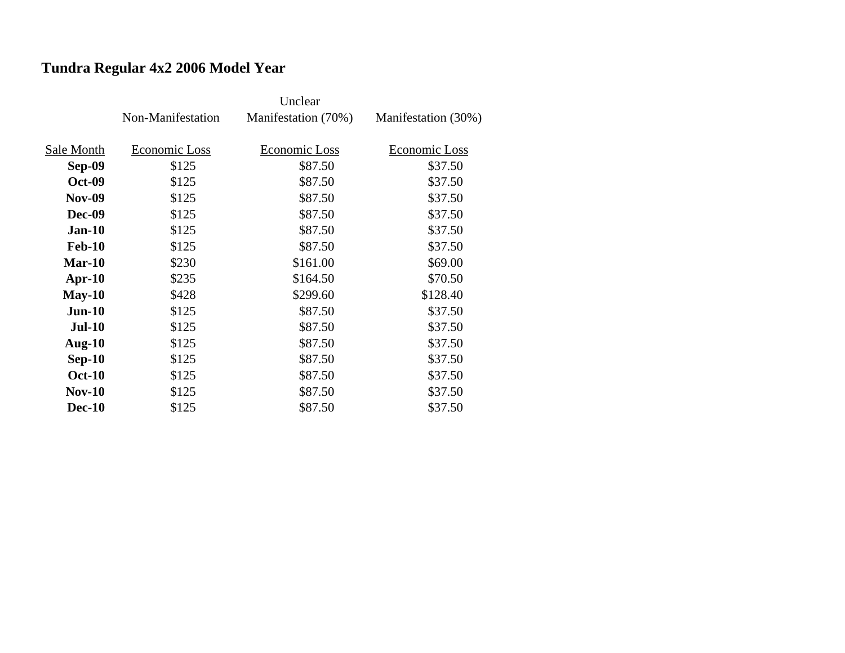# **Tundra Regular 4x2 2006 Model Year**

|               | Non-Manifestation | Manifestation (70%) | Manifestation (30%) |
|---------------|-------------------|---------------------|---------------------|
|               |                   |                     |                     |
| Sale Month    | Economic Loss     | Economic Loss       | Economic Loss       |
| Sep-09        | \$125             | \$87.50             | \$37.50             |
| <b>Oct-09</b> | \$125             | \$87.50             | \$37.50             |
| <b>Nov-09</b> | \$125             | \$87.50             | \$37.50             |
| <b>Dec-09</b> | \$125             | \$87.50             | \$37.50             |
| $Jan-10$      | \$125             | \$87.50             | \$37.50             |
| <b>Feb-10</b> | \$125             | \$87.50             | \$37.50             |
| $Mar-10$      | \$230             | \$161.00            | \$69.00             |
| $Apr-10$      | \$235             | \$164.50            | \$70.50             |
| $May-10$      | \$428             | \$299.60            | \$128.40            |
| $Jun-10$      | \$125             | \$87.50             | \$37.50             |
| <b>Jul-10</b> | \$125             | \$87.50             | \$37.50             |
| Aug- $10$     | \$125             | \$87.50             | \$37.50             |
| $Sep-10$      | \$125             | \$87.50             | \$37.50             |
| <b>Oct-10</b> | \$125             | \$87.50             | \$37.50             |
| $Nov-10$      | \$125             | \$87.50             | \$37.50             |
| <b>Dec-10</b> | \$125             | \$87.50             | \$37.50             |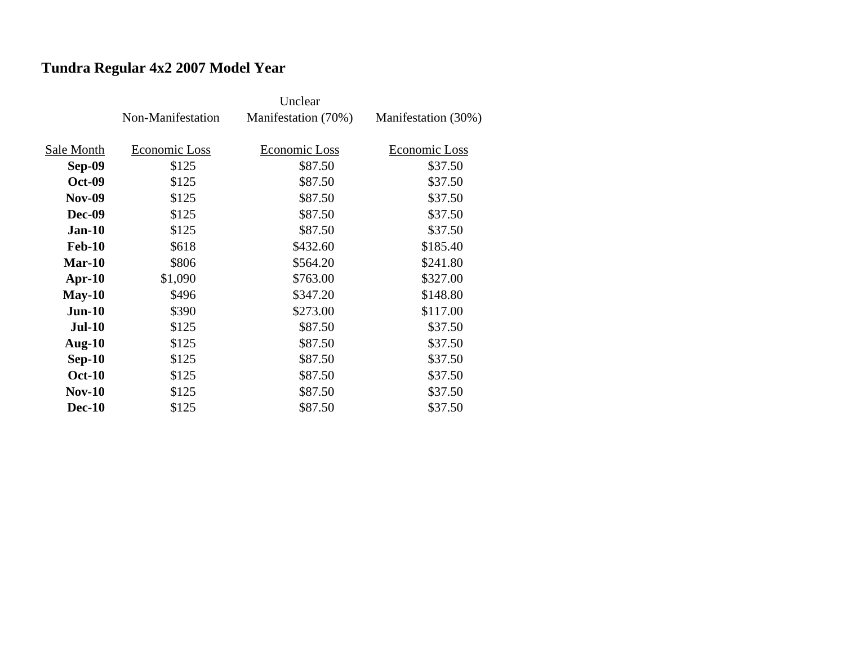# **Tundra Regular 4x2 2007 Model Year**

|               | Non-Manifestation | Manifestation (70%) | Manifestation (30%) |
|---------------|-------------------|---------------------|---------------------|
|               |                   |                     |                     |
| Sale Month    | Economic Loss     | Economic Loss       | Economic Loss       |
| Sep-09        | \$125             | \$87.50             | \$37.50             |
| <b>Oct-09</b> | \$125             | \$87.50             | \$37.50             |
| <b>Nov-09</b> | \$125             | \$87.50             | \$37.50             |
| <b>Dec-09</b> | \$125             | \$87.50             | \$37.50             |
| $Jan-10$      | \$125             | \$87.50             | \$37.50             |
| <b>Feb-10</b> | \$618             | \$432.60            | \$185.40            |
| $Mar-10$      | \$806             | \$564.20            | \$241.80            |
| $Apr-10$      | \$1,090           | \$763.00            | \$327.00            |
| $May-10$      | \$496             | \$347.20            | \$148.80            |
| $Jun-10$      | \$390             | \$273.00            | \$117.00            |
| <b>Jul-10</b> | \$125             | \$87.50             | \$37.50             |
| Aug- $10$     | \$125             | \$87.50             | \$37.50             |
| $Sep-10$      | \$125             | \$87.50             | \$37.50             |
| <b>Oct-10</b> | \$125             | \$87.50             | \$37.50             |
| $Nov-10$      | \$125             | \$87.50             | \$37.50             |
| <b>Dec-10</b> | \$125             | \$87.50             | \$37.50             |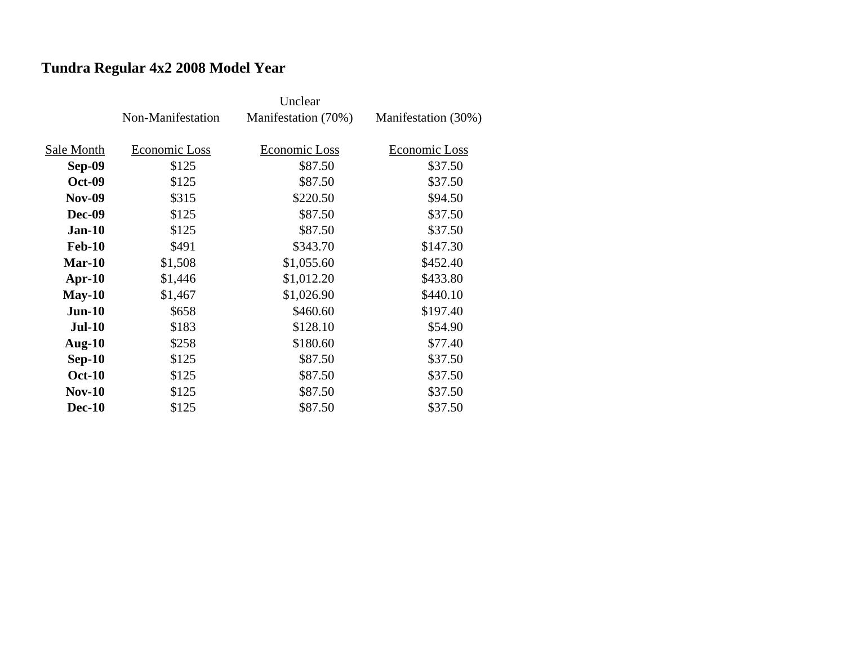# **Tundra Regular 4x2 2008 Model Year**

|               | Non-Manifestation | Manifestation (70%) | Manifestation (30%) |
|---------------|-------------------|---------------------|---------------------|
|               |                   |                     |                     |
| Sale Month    | Economic Loss     | Economic Loss       | Economic Loss       |
| Sep-09        | \$125             | \$87.50             | \$37.50             |
| <b>Oct-09</b> | \$125             | \$87.50             | \$37.50             |
| <b>Nov-09</b> | \$315             | \$220.50            | \$94.50             |
| <b>Dec-09</b> | \$125             | \$87.50             | \$37.50             |
| $Jan-10$      | \$125             | \$87.50             | \$37.50             |
| <b>Feb-10</b> | \$491             | \$343.70            | \$147.30            |
| Mar-10        | \$1,508           | \$1,055.60          | \$452.40            |
| $Apr-10$      | \$1,446           | \$1,012.20          | \$433.80            |
| $May-10$      | \$1,467           | \$1,026.90          | \$440.10            |
| $Jun-10$      | \$658             | \$460.60            | \$197.40            |
| <b>Jul-10</b> | \$183             | \$128.10            | \$54.90             |
| Aug- $10$     | \$258             | \$180.60            | \$77.40             |
| $Sep-10$      | \$125             | \$87.50             | \$37.50             |
| <b>Oct-10</b> | \$125             | \$87.50             | \$37.50             |
| <b>Nov-10</b> | \$125             | \$87.50             | \$37.50             |
| <b>Dec-10</b> | \$125             | \$87.50             | \$37.50             |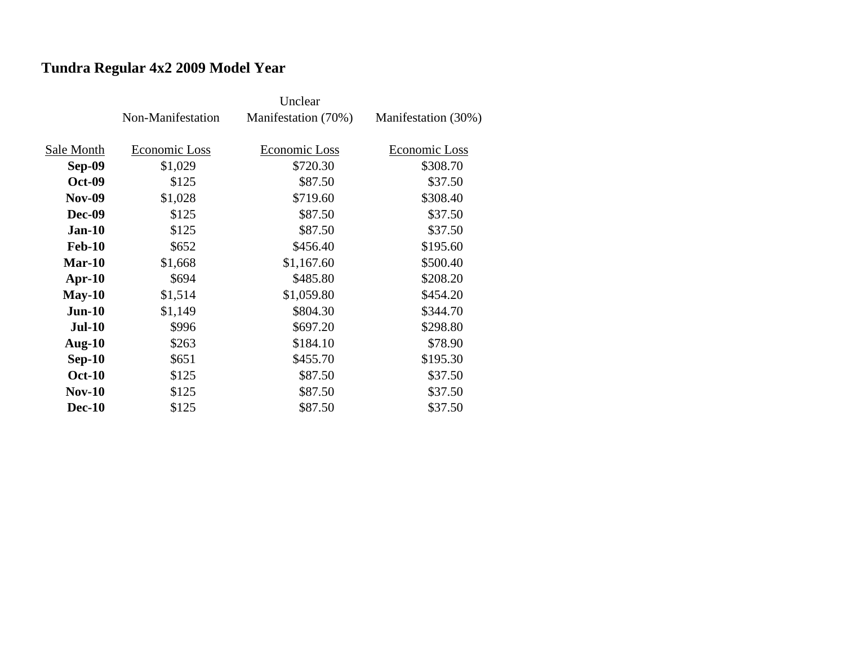# **Tundra Regular 4x2 2009 Model Year**

|               | Non-Manifestation | Manifestation (70%) | Manifestation (30%) |
|---------------|-------------------|---------------------|---------------------|
|               |                   |                     |                     |
| Sale Month    | Economic Loss     | Economic Loss       | Economic Loss       |
| <b>Sep-09</b> | \$1,029           | \$720.30            | \$308.70            |
| <b>Oct-09</b> | \$125             | \$87.50             | \$37.50             |
| <b>Nov-09</b> | \$1,028           | \$719.60            | \$308.40            |
| <b>Dec-09</b> | \$125             | \$87.50             | \$37.50             |
| $Jan-10$      | \$125             | \$87.50             | \$37.50             |
| <b>Feb-10</b> | \$652             | \$456.40            | \$195.60            |
| $Mar-10$      | \$1,668           | \$1,167.60          | \$500.40            |
| $Apr-10$      | \$694             | \$485.80            | \$208.20            |
| $May-10$      | \$1,514           | \$1,059.80          | \$454.20            |
| $Jun-10$      | \$1,149           | \$804.30            | \$344.70            |
| <b>Jul-10</b> | \$996             | \$697.20            | \$298.80            |
| Aug- $10$     | \$263             | \$184.10            | \$78.90             |
| $Sep-10$      | \$651             | \$455.70            | \$195.30            |
| <b>Oct-10</b> | \$125             | \$87.50             | \$37.50             |
| <b>Nov-10</b> | \$125             | \$87.50             | \$37.50             |
| <b>Dec-10</b> | \$125             | \$87.50             | \$37.50             |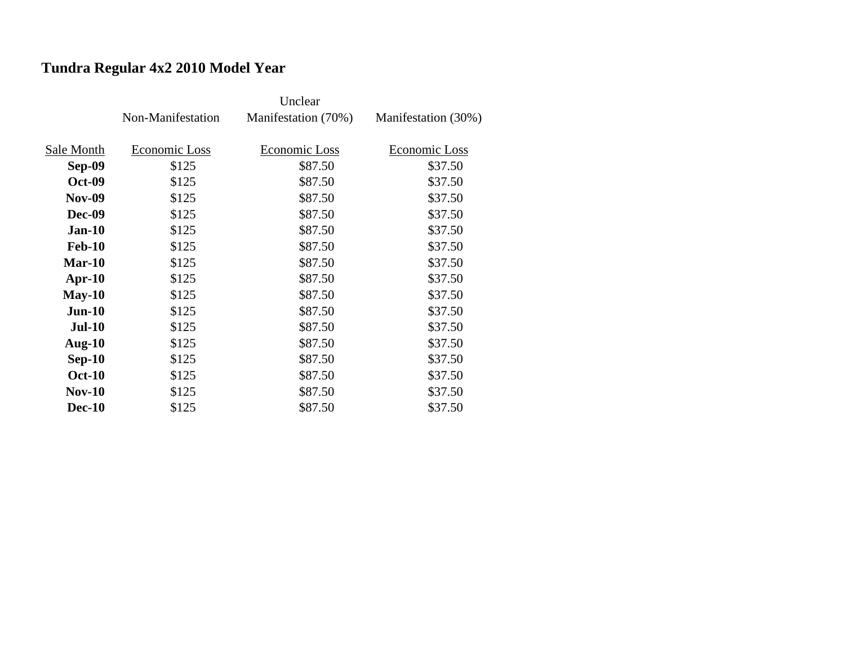# **Tundra Regular 4x2 2010 Model Year**

|               | Non-Manifestation | Manifestation (70%) | Manifestation (30%) |
|---------------|-------------------|---------------------|---------------------|
|               |                   |                     |                     |
| Sale Month    | Economic Loss     | Economic Loss       | Economic Loss       |
| Sep-09        | \$125             | \$87.50             | \$37.50             |
| <b>Oct-09</b> | \$125             | \$87.50             | \$37.50             |
| <b>Nov-09</b> | \$125             | \$87.50             | \$37.50             |
| <b>Dec-09</b> | \$125             | \$87.50             | \$37.50             |
| $Jan-10$      | \$125             | \$87.50             | \$37.50             |
| <b>Feb-10</b> | \$125             | \$87.50             | \$37.50             |
| $Mar-10$      | \$125             | \$87.50             | \$37.50             |
| $Apr-10$      | \$125             | \$87.50             | \$37.50             |
| $May-10$      | \$125             | \$87.50             | \$37.50             |
| $Jun-10$      | \$125             | \$87.50             | \$37.50             |
| <b>Jul-10</b> | \$125             | \$87.50             | \$37.50             |
| Aug- $10$     | \$125             | \$87.50             | \$37.50             |
| $Sep-10$      | \$125             | \$87.50             | \$37.50             |
| <b>Oct-10</b> | \$125             | \$87.50             | \$37.50             |
| $Nov-10$      | \$125             | \$87.50             | \$37.50             |
| <b>Dec-10</b> | \$125             | \$87.50             | \$37.50             |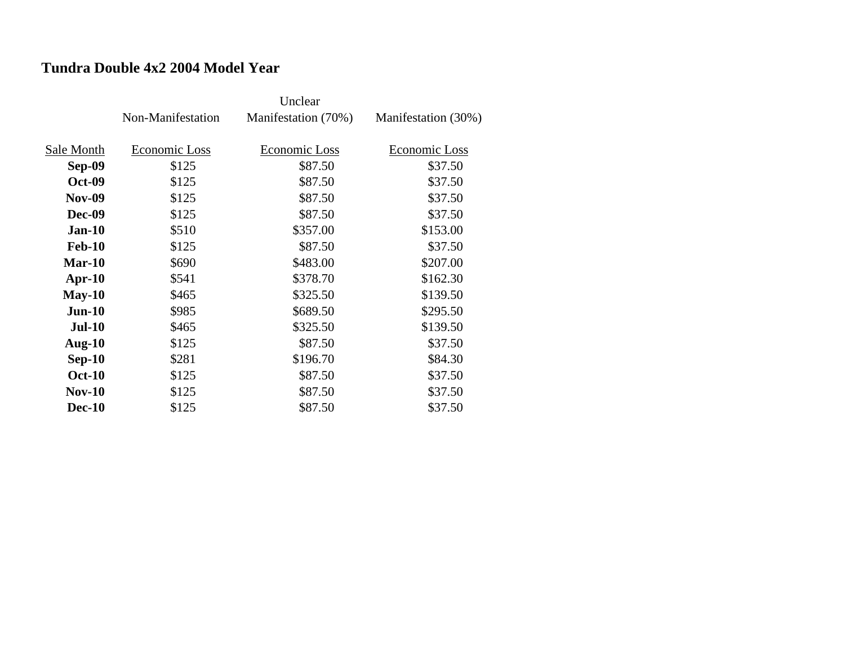### **Tundra Double 4x2 2004 Model Year**

|               | Non-Manifestation | Manifestation (70%) | Manifestation (30%) |
|---------------|-------------------|---------------------|---------------------|
|               |                   |                     |                     |
| Sale Month    | Economic Loss     | Economic Loss       | Economic Loss       |
| <b>Sep-09</b> | \$125             | \$87.50             | \$37.50             |
| <b>Oct-09</b> | \$125             | \$87.50             | \$37.50             |
| <b>Nov-09</b> | \$125             | \$87.50             | \$37.50             |
| <b>Dec-09</b> | \$125             | \$87.50             | \$37.50             |
| $Jan-10$      | \$510             | \$357.00            | \$153.00            |
| <b>Feb-10</b> | \$125             | \$87.50             | \$37.50             |
| <b>Mar-10</b> | \$690             | \$483.00            | \$207.00            |
| $Apr-10$      | \$541             | \$378.70            | \$162.30            |
| $May-10$      | \$465             | \$325.50            | \$139.50            |
| $Jun-10$      | \$985             | \$689.50            | \$295.50            |
| <b>Jul-10</b> | \$465             | \$325.50            | \$139.50            |
| Aug- $10$     | \$125             | \$87.50             | \$37.50             |
| $Sep-10$      | \$281             | \$196.70            | \$84.30             |
| <b>Oct-10</b> | \$125             | \$87.50             | \$37.50             |
| <b>Nov-10</b> | \$125             | \$87.50             | \$37.50             |
| <b>Dec-10</b> | \$125             | \$87.50             | \$37.50             |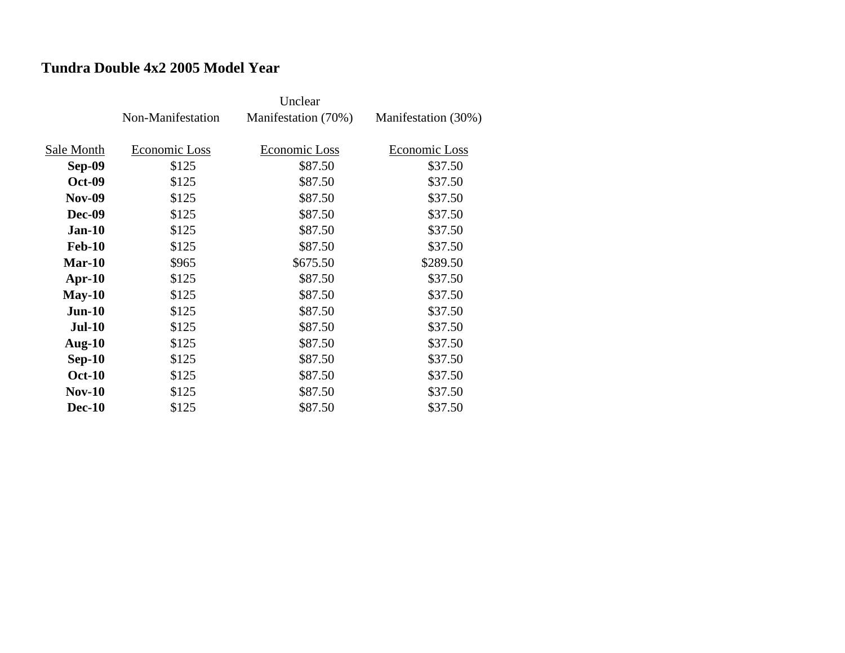### **Tundra Double 4x2 2005 Model Year**

|               | Non-Manifestation | Manifestation (70%) | Manifestation (30%) |
|---------------|-------------------|---------------------|---------------------|
|               |                   |                     |                     |
| Sale Month    | Economic Loss     | Economic Loss       | Economic Loss       |
| <b>Sep-09</b> | \$125             | \$87.50             | \$37.50             |
| <b>Oct-09</b> | \$125             | \$87.50             | \$37.50             |
| <b>Nov-09</b> | \$125             | \$87.50             | \$37.50             |
| <b>Dec-09</b> | \$125             | \$87.50             | \$37.50             |
| $Jan-10$      | \$125             | \$87.50             | \$37.50             |
| <b>Feb-10</b> | \$125             | \$87.50             | \$37.50             |
| Mar-10        | \$965             | \$675.50            | \$289.50            |
| $Apr-10$      | \$125             | \$87.50             | \$37.50             |
| $May-10$      | \$125             | \$87.50             | \$37.50             |
| $Jun-10$      | \$125             | \$87.50             | \$37.50             |
| <b>Jul-10</b> | \$125             | \$87.50             | \$37.50             |
| Aug- $10$     | \$125             | \$87.50             | \$37.50             |
| $Sep-10$      | \$125             | \$87.50             | \$37.50             |
| <b>Oct-10</b> | \$125             | \$87.50             | \$37.50             |
| <b>Nov-10</b> | \$125             | \$87.50             | \$37.50             |
| <b>Dec-10</b> | \$125             | \$87.50             | \$37.50             |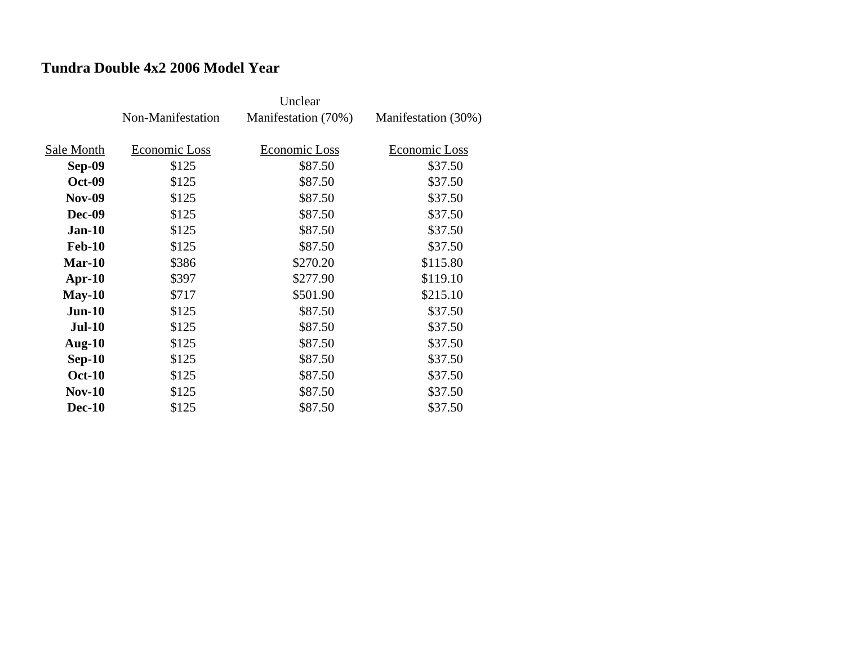### **Tundra Double 4x2 2006 Model Year**

|               |                   | Unclear             |                     |
|---------------|-------------------|---------------------|---------------------|
|               | Non-Manifestation | Manifestation (70%) | Manifestation (30%) |
|               |                   |                     |                     |
| Sale Month    | Economic Loss     | Economic Loss       | Economic Loss       |
| <b>Sep-09</b> | \$125             | \$87.50             | \$37.50             |
| <b>Oct-09</b> | \$125             | \$87.50             | \$37.50             |
| <b>Nov-09</b> | \$125             | \$87.50             | \$37.50             |
| <b>Dec-09</b> | \$125             | \$87.50             | \$37.50             |
| $Jan-10$      | \$125             | \$87.50             | \$37.50             |
| <b>Feb-10</b> | \$125             | \$87.50             | \$37.50             |
| $Mar-10$      | \$386             | \$270.20            | \$115.80            |
| $Apr-10$      | \$397             | \$277.90            | \$119.10            |
| $May-10$      | \$717             | \$501.90            | \$215.10            |
| $Jun-10$      | \$125             | \$87.50             | \$37.50             |
| <b>Jul-10</b> | \$125             | \$87.50             | \$37.50             |
| Aug- $10$     | \$125             | \$87.50             | \$37.50             |
| $Sep-10$      | \$125             | \$87.50             | \$37.50             |
| <b>Oct-10</b> | \$125             | \$87.50             | \$37.50             |
| $Nov-10$      | \$125             | \$87.50             | \$37.50             |
| <b>Dec-10</b> | \$125             | \$87.50             | \$37.50             |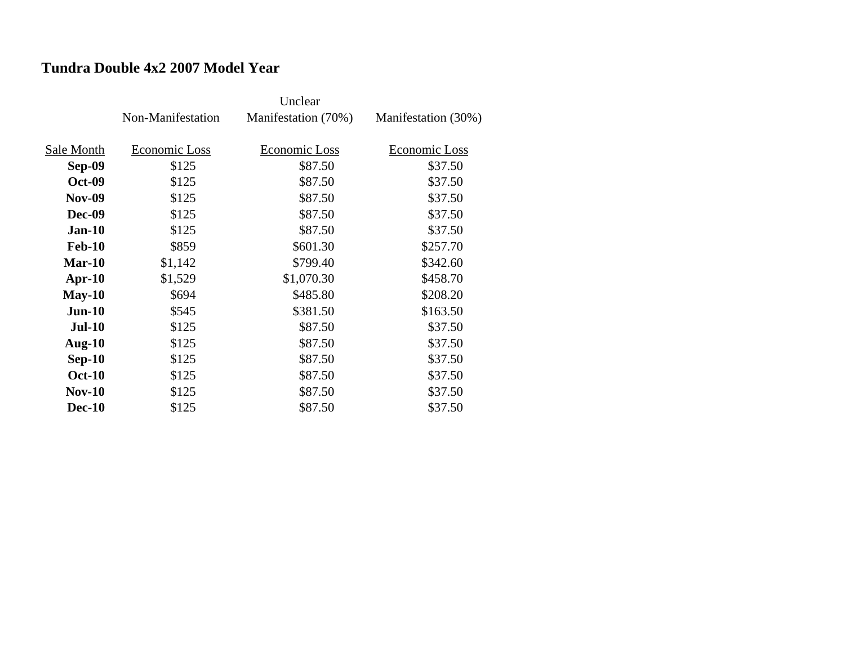### **Tundra Double 4x2 2007 Model Year**

|               | Non-Manifestation | Manifestation (70%) | Manifestation (30%) |
|---------------|-------------------|---------------------|---------------------|
|               |                   |                     |                     |
| Sale Month    | Economic Loss     | Economic Loss       | Economic Loss       |
| <b>Sep-09</b> | \$125             | \$87.50             | \$37.50             |
| <b>Oct-09</b> | \$125             | \$87.50             | \$37.50             |
| <b>Nov-09</b> | \$125             | \$87.50             | \$37.50             |
| <b>Dec-09</b> | \$125             | \$87.50             | \$37.50             |
| $Jan-10$      | \$125             | \$87.50             | \$37.50             |
| <b>Feb-10</b> | \$859             | \$601.30            | \$257.70            |
| $Mar-10$      | \$1,142           | \$799.40            | \$342.60            |
| $Apr-10$      | \$1,529           | \$1,070.30          | \$458.70            |
| $May-10$      | \$694             | \$485.80            | \$208.20            |
| $Jun-10$      | \$545             | \$381.50            | \$163.50            |
| <b>Jul-10</b> | \$125             | \$87.50             | \$37.50             |
| Aug- $10$     | \$125             | \$87.50             | \$37.50             |
| $Sep-10$      | \$125             | \$87.50             | \$37.50             |
| <b>Oct-10</b> | \$125             | \$87.50             | \$37.50             |
| <b>Nov-10</b> | \$125             | \$87.50             | \$37.50             |
| <b>Dec-10</b> | \$125             | \$87.50             | \$37.50             |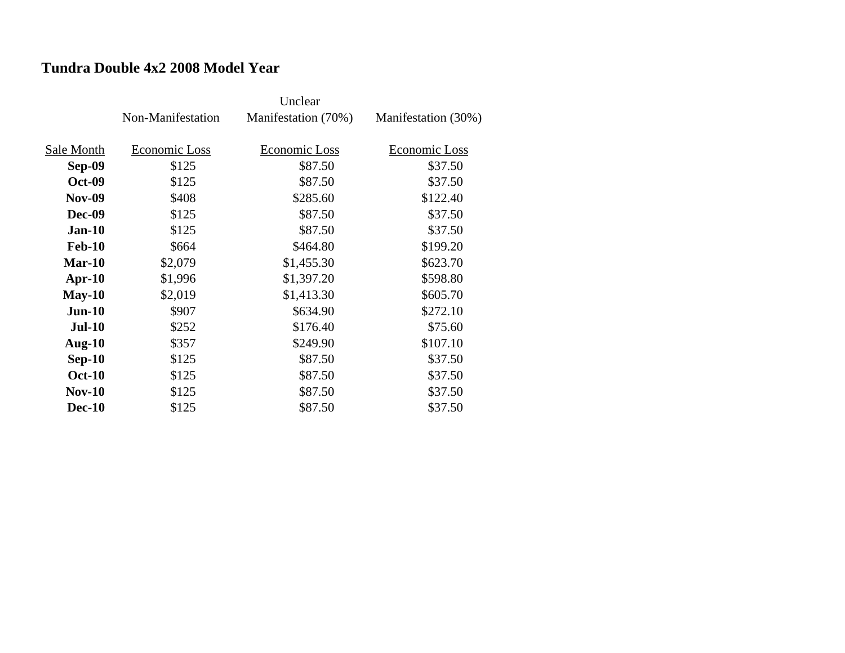### **Tundra Double 4x2 2008 Model Year**

|               | Non-Manifestation | Manifestation (70%) | Manifestation (30%) |
|---------------|-------------------|---------------------|---------------------|
| Sale Month    | Economic Loss     | Economic Loss       | Economic Loss       |
| Sep-09        | \$125             | \$87.50             | \$37.50             |
|               |                   |                     |                     |
| <b>Oct-09</b> | \$125             | \$87.50             | \$37.50             |
| <b>Nov-09</b> | \$408             | \$285.60            | \$122.40            |
| <b>Dec-09</b> | \$125             | \$87.50             | \$37.50             |
| $Jan-10$      | \$125             | \$87.50             | \$37.50             |
| <b>Feb-10</b> | \$664             | \$464.80            | \$199.20            |
| $Mar-10$      | \$2,079           | \$1,455.30          | \$623.70            |
| $Apr-10$      | \$1,996           | \$1,397.20          | \$598.80            |
| $May-10$      | \$2,019           | \$1,413.30          | \$605.70            |
| $Jun-10$      | \$907             | \$634.90            | \$272.10            |
| <b>Jul-10</b> | \$252             | \$176.40            | \$75.60             |
| Aug- $10$     | \$357             | \$249.90            | \$107.10            |
| $Sep-10$      | \$125             | \$87.50             | \$37.50             |
| <b>Oct-10</b> | \$125             | \$87.50             | \$37.50             |
| <b>Nov-10</b> | \$125             | \$87.50             | \$37.50             |
| <b>Dec-10</b> | \$125             | \$87.50             | \$37.50             |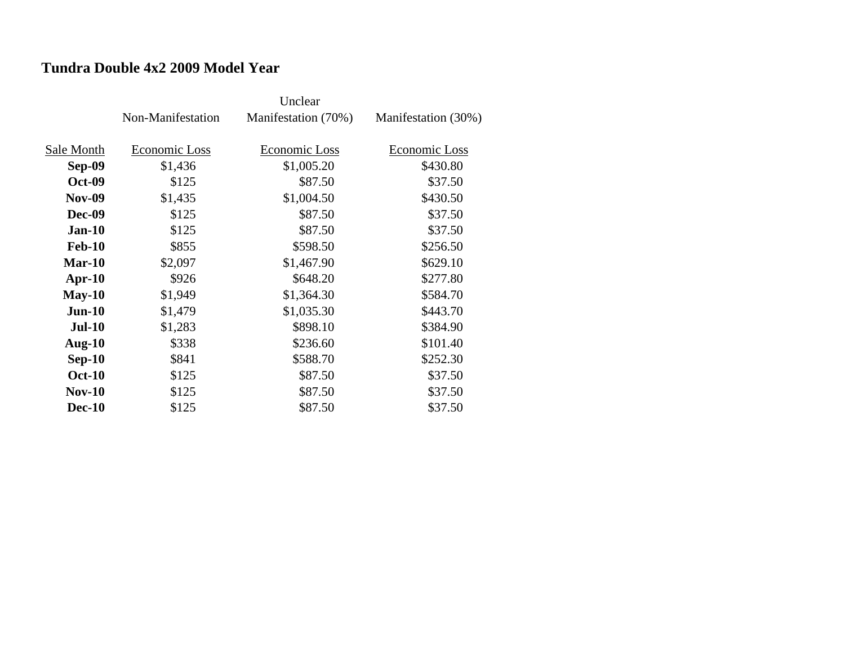#### **Tundra Double 4x2 2009 Model Year**

|               | Non-Manifestation | Manifestation (70%) | Manifestation (30%) |
|---------------|-------------------|---------------------|---------------------|
|               |                   |                     |                     |
| Sale Month    | Economic Loss     | Economic Loss       | Economic Loss       |
| <b>Sep-09</b> | \$1,436           | \$1,005.20          | \$430.80            |
| <b>Oct-09</b> | \$125             | \$87.50             | \$37.50             |
| <b>Nov-09</b> | \$1,435           | \$1,004.50          | \$430.50            |
| <b>Dec-09</b> | \$125             | \$87.50             | \$37.50             |
| $Jan-10$      | \$125             | \$87.50             | \$37.50             |
| <b>Feb-10</b> | \$855             | \$598.50            | \$256.50            |
| $Mar-10$      | \$2,097           | \$1,467.90          | \$629.10            |
| $Apr-10$      | \$926             | \$648.20            | \$277.80            |
| $May-10$      | \$1,949           | \$1,364.30          | \$584.70            |
| $Jun-10$      | \$1,479           | \$1,035.30          | \$443.70            |
| <b>Jul-10</b> | \$1,283           | \$898.10            | \$384.90            |
| Aug- $10$     | \$338             | \$236.60            | \$101.40            |
| $Sep-10$      | \$841             | \$588.70            | \$252.30            |
| <b>Oct-10</b> | \$125             | \$87.50             | \$37.50             |
| <b>Nov-10</b> | \$125             | \$87.50             | \$37.50             |
| <b>Dec-10</b> | \$125             | \$87.50             | \$37.50             |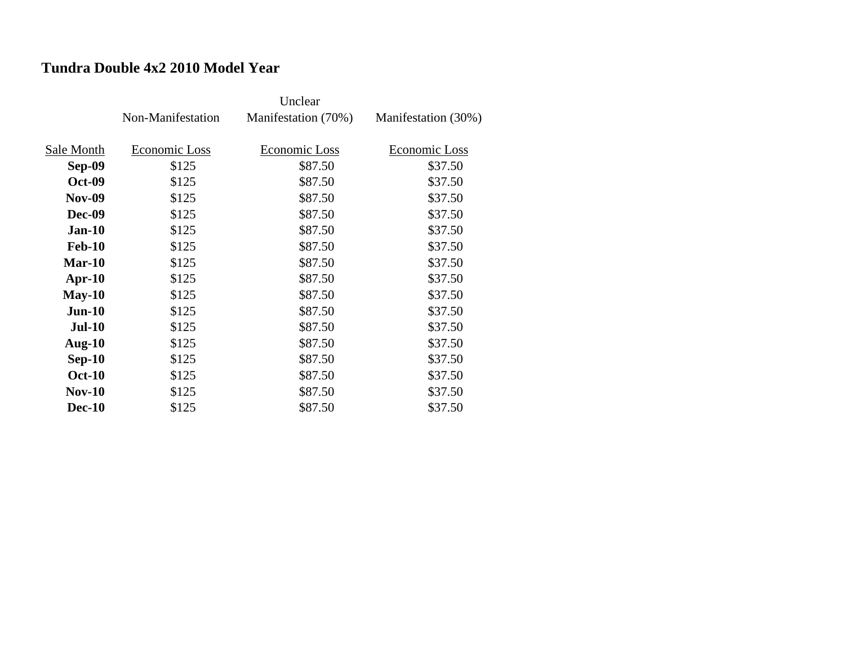### **Tundra Double 4x2 2010 Model Year**

|               | Non-Manifestation | Manifestation (70%) | Manifestation (30%) |
|---------------|-------------------|---------------------|---------------------|
|               |                   |                     |                     |
| Sale Month    | Economic Loss     | Economic Loss       | Economic Loss       |
| Sep-09        | \$125             | \$87.50             | \$37.50             |
| <b>Oct-09</b> | \$125             | \$87.50             | \$37.50             |
| <b>Nov-09</b> | \$125             | \$87.50             | \$37.50             |
| <b>Dec-09</b> | \$125             | \$87.50             | \$37.50             |
| $Jan-10$      | \$125             | \$87.50             | \$37.50             |
| <b>Feb-10</b> | \$125             | \$87.50             | \$37.50             |
| $Mar-10$      | \$125             | \$87.50             | \$37.50             |
| $Apr-10$      | \$125             | \$87.50             | \$37.50             |
| $May-10$      | \$125             | \$87.50             | \$37.50             |
| $Jun-10$      | \$125             | \$87.50             | \$37.50             |
| <b>Jul-10</b> | \$125             | \$87.50             | \$37.50             |
| Aug- $10$     | \$125             | \$87.50             | \$37.50             |
| $Sep-10$      | \$125             | \$87.50             | \$37.50             |
| <b>Oct-10</b> | \$125             | \$87.50             | \$37.50             |
| $Nov-10$      | \$125             | \$87.50             | \$37.50             |
| <b>Dec-10</b> | \$125             | \$87.50             | \$37.50             |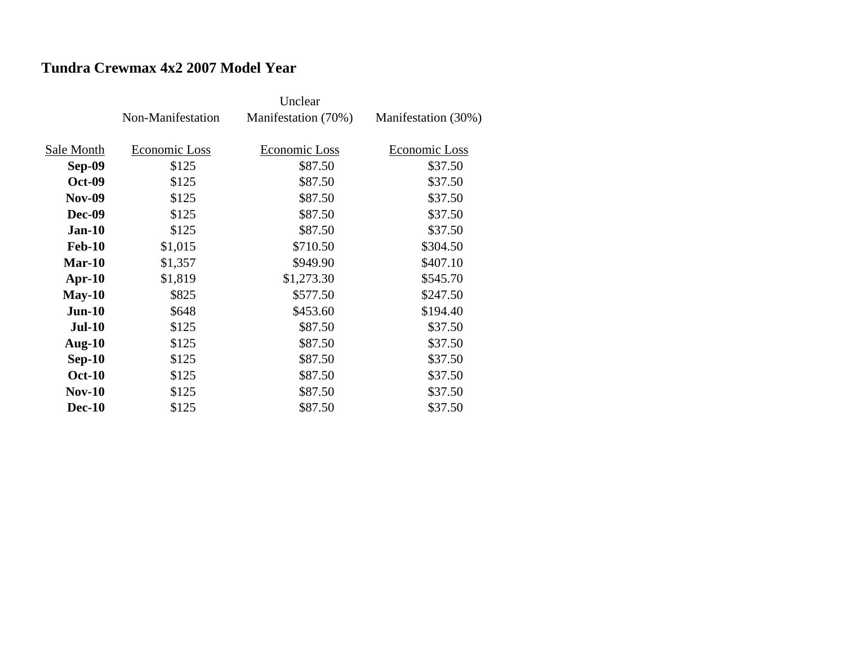## **Tundra Crewmax 4x2 2007 Model Year**

|               | Non-Manifestation | Manifestation (70%) | Manifestation (30%) |
|---------------|-------------------|---------------------|---------------------|
|               |                   |                     |                     |
| Sale Month    | Economic Loss     | Economic Loss       | Economic Loss       |
| <b>Sep-09</b> | \$125             | \$87.50             | \$37.50             |
| <b>Oct-09</b> | \$125             | \$87.50             | \$37.50             |
| <b>Nov-09</b> | \$125             | \$87.50             | \$37.50             |
| <b>Dec-09</b> | \$125             | \$87.50             | \$37.50             |
| $Jan-10$      | \$125             | \$87.50             | \$37.50             |
| <b>Feb-10</b> | \$1,015           | \$710.50            | \$304.50            |
| $Mar-10$      | \$1,357           | \$949.90            | \$407.10            |
| $Apr-10$      | \$1,819           | \$1,273.30          | \$545.70            |
| $May-10$      | \$825             | \$577.50            | \$247.50            |
| $Jun-10$      | \$648             | \$453.60            | \$194.40            |
| <b>Jul-10</b> | \$125             | \$87.50             | \$37.50             |
| Aug- $10$     | \$125             | \$87.50             | \$37.50             |
| $Sep-10$      | \$125             | \$87.50             | \$37.50             |
| <b>Oct-10</b> | \$125             | \$87.50             | \$37.50             |
| $Nov-10$      | \$125             | \$87.50             | \$37.50             |
| <b>Dec-10</b> | \$125             | \$87.50             | \$37.50             |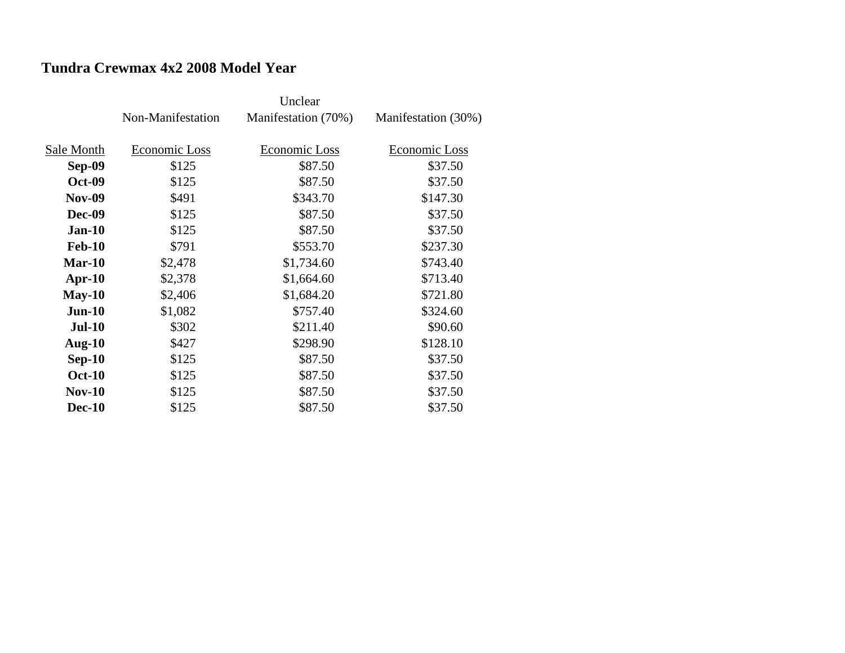## **Tundra Crewmax 4x2 2008 Model Year**

|               | Non-Manifestation | Manifestation (70%) | Manifestation (30%) |
|---------------|-------------------|---------------------|---------------------|
|               |                   |                     |                     |
| Sale Month    | Economic Loss     | Economic Loss       | Economic Loss       |
| Sep-09        | \$125             | \$87.50             | \$37.50             |
| <b>Oct-09</b> | \$125             | \$87.50             | \$37.50             |
| <b>Nov-09</b> | \$491             | \$343.70            | \$147.30            |
| <b>Dec-09</b> | \$125             | \$87.50             | \$37.50             |
| $Jan-10$      | \$125             | \$87.50             | \$37.50             |
| <b>Feb-10</b> | \$791             | \$553.70            | \$237.30            |
| $Mar-10$      | \$2,478           | \$1,734.60          | \$743.40            |
| $Apr-10$      | \$2,378           | \$1,664.60          | \$713.40            |
| $May-10$      | \$2,406           | \$1,684.20          | \$721.80            |
| $Jun-10$      | \$1,082           | \$757.40            | \$324.60            |
| <b>Jul-10</b> | \$302             | \$211.40            | \$90.60             |
| Aug- $10$     | \$427             | \$298.90            | \$128.10            |
| $Sep-10$      | \$125             | \$87.50             | \$37.50             |
| <b>Oct-10</b> | \$125             | \$87.50             | \$37.50             |
| $Nov-10$      | \$125             | \$87.50             | \$37.50             |
| <b>Dec-10</b> | \$125             | \$87.50             | \$37.50             |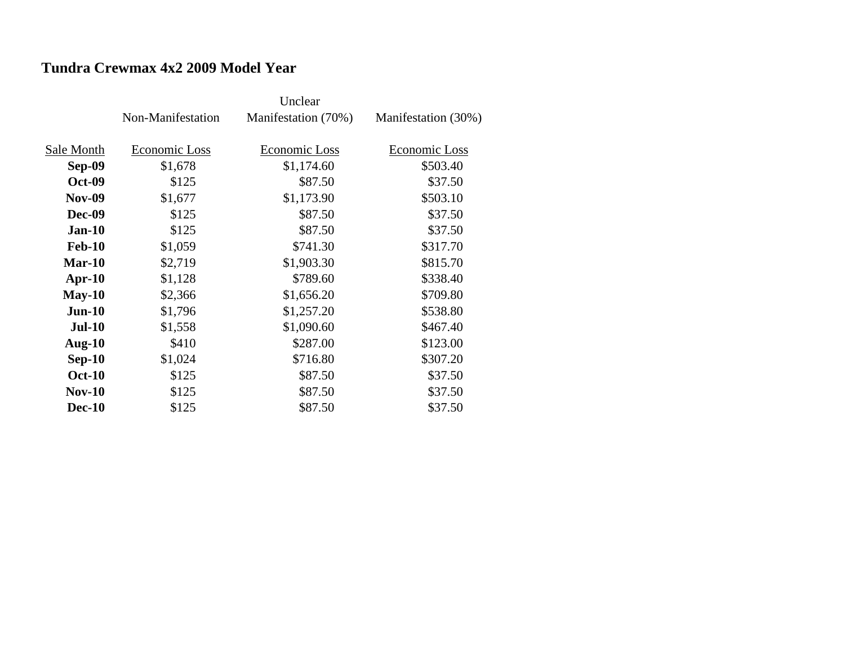### **Tundra Crewmax 4x2 2009 Model Year**

|               | Non-Manifestation | Manifestation (70%) | Manifestation (30%) |
|---------------|-------------------|---------------------|---------------------|
|               |                   |                     |                     |
| Sale Month    | Economic Loss     | Economic Loss       | Economic Loss       |
| Sep-09        | \$1,678           | \$1,174.60          | \$503.40            |
| <b>Oct-09</b> | \$125             | \$87.50             | \$37.50             |
| <b>Nov-09</b> | \$1,677           | \$1,173.90          | \$503.10            |
| <b>Dec-09</b> | \$125             | \$87.50             | \$37.50             |
| $Jan-10$      | \$125             | \$87.50             | \$37.50             |
| <b>Feb-10</b> | \$1,059           | \$741.30            | \$317.70            |
| $Mar-10$      | \$2,719           | \$1,903.30          | \$815.70            |
| $Apr-10$      | \$1,128           | \$789.60            | \$338.40            |
| $May-10$      | \$2,366           | \$1,656.20          | \$709.80            |
| $Jun-10$      | \$1,796           | \$1,257.20          | \$538.80            |
| <b>Jul-10</b> | \$1,558           | \$1,090.60          | \$467.40            |
| Aug- $10$     | \$410             | \$287.00            | \$123.00            |
| $Sep-10$      | \$1,024           | \$716.80            | \$307.20            |
| <b>Oct-10</b> | \$125             | \$87.50             | \$37.50             |
| <b>Nov-10</b> | \$125             | \$87.50             | \$37.50             |
| <b>Dec-10</b> | \$125             | \$87.50             | \$37.50             |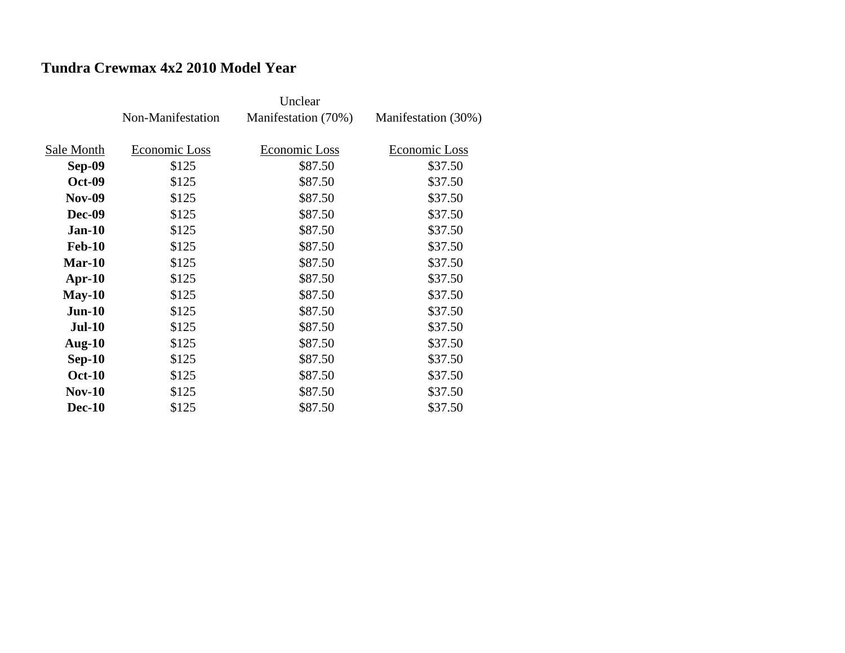## **Tundra Crewmax 4x2 2010 Model Year**

|               | Non-Manifestation | Manifestation (70%) | Manifestation (30%) |
|---------------|-------------------|---------------------|---------------------|
|               |                   |                     |                     |
| Sale Month    | Economic Loss     | Economic Loss       | Economic Loss       |
| Sep-09        | \$125             | \$87.50             | \$37.50             |
| <b>Oct-09</b> | \$125             | \$87.50             | \$37.50             |
| <b>Nov-09</b> | \$125             | \$87.50             | \$37.50             |
| <b>Dec-09</b> | \$125             | \$87.50             | \$37.50             |
| $Jan-10$      | \$125             | \$87.50             | \$37.50             |
| <b>Feb-10</b> | \$125             | \$87.50             | \$37.50             |
| $Mar-10$      | \$125             | \$87.50             | \$37.50             |
| $Apr-10$      | \$125             | \$87.50             | \$37.50             |
| $May-10$      | \$125             | \$87.50             | \$37.50             |
| $Jun-10$      | \$125             | \$87.50             | \$37.50             |
| <b>Jul-10</b> | \$125             | \$87.50             | \$37.50             |
| Aug- $10$     | \$125             | \$87.50             | \$37.50             |
| $Sep-10$      | \$125             | \$87.50             | \$37.50             |
| <b>Oct-10</b> | \$125             | \$87.50             | \$37.50             |
| $Nov-10$      | \$125             | \$87.50             | \$37.50             |
| <b>Dec-10</b> | \$125             | \$87.50             | \$37.50             |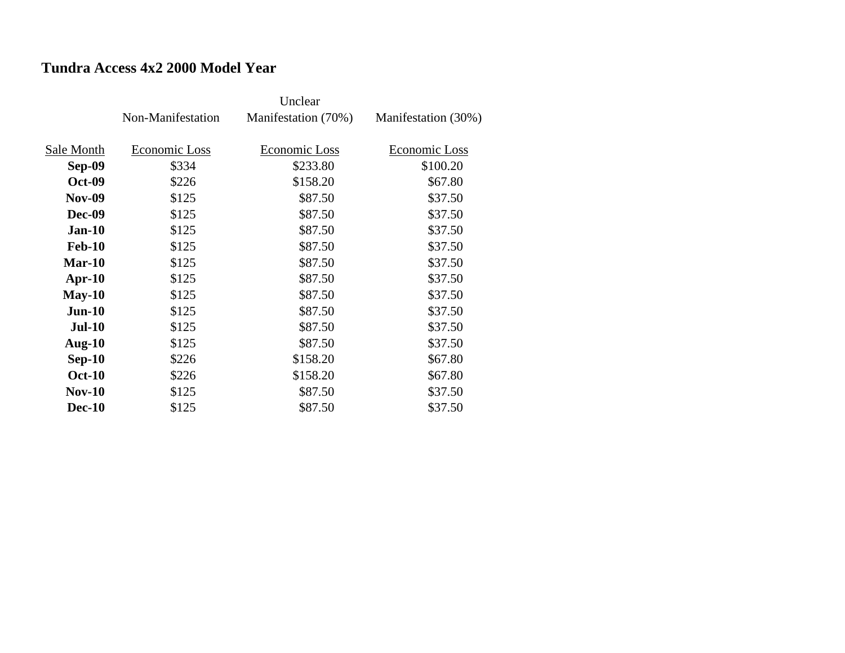## **Tundra Access 4x2 2000 Model Year**

|               | Non-Manifestation | Manifestation (70%) | Manifestation (30%) |
|---------------|-------------------|---------------------|---------------------|
|               |                   |                     |                     |
| Sale Month    | Economic Loss     | Economic Loss       | Economic Loss       |
| <b>Sep-09</b> | \$334             | \$233.80            | \$100.20            |
| <b>Oct-09</b> | \$226             | \$158.20            | \$67.80             |
| <b>Nov-09</b> | \$125             | \$87.50             | \$37.50             |
| <b>Dec-09</b> | \$125             | \$87.50             | \$37.50             |
| $Jan-10$      | \$125             | \$87.50             | \$37.50             |
| <b>Feb-10</b> | \$125             | \$87.50             | \$37.50             |
| $Mar-10$      | \$125             | \$87.50             | \$37.50             |
| $Apr-10$      | \$125             | \$87.50             | \$37.50             |
| $May-10$      | \$125             | \$87.50             | \$37.50             |
| $Jun-10$      | \$125             | \$87.50             | \$37.50             |
| <b>Jul-10</b> | \$125             | \$87.50             | \$37.50             |
| Aug- $10$     | \$125             | \$87.50             | \$37.50             |
| $Sep-10$      | \$226             | \$158.20            | \$67.80             |
| <b>Oct-10</b> | \$226             | \$158.20            | \$67.80             |
| $Nov-10$      | \$125             | \$87.50             | \$37.50             |
| <b>Dec-10</b> | \$125             | \$87.50             | \$37.50             |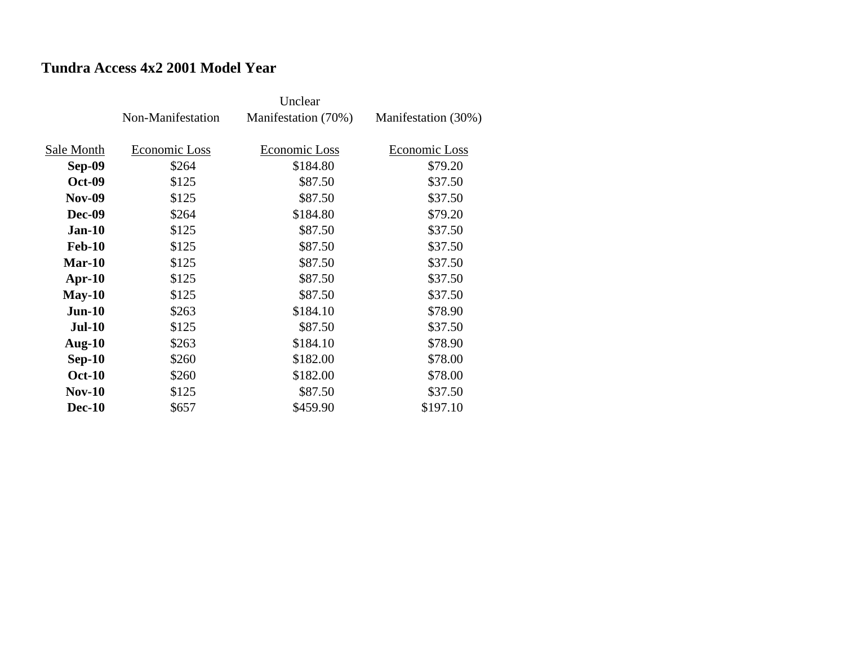## **Tundra Access 4x2 2001 Model Year**

|               | Non-Manifestation | Manifestation (70%) | Manifestation (30%) |
|---------------|-------------------|---------------------|---------------------|
| Sale Month    | Economic Loss     | Economic Loss       | Economic Loss       |
| Sep-09        | \$264             | \$184.80            | \$79.20             |
| <b>Oct-09</b> | \$125             | \$87.50             | \$37.50             |
| <b>Nov-09</b> | \$125             | \$87.50             | \$37.50             |
| <b>Dec-09</b> | \$264             | \$184.80            | \$79.20             |
| $Jan-10$      | \$125             | \$87.50             | \$37.50             |
| <b>Feb-10</b> | \$125             | \$87.50             | \$37.50             |
| Mar-10        | \$125             | \$87.50             | \$37.50             |
| $Apr-10$      | \$125             | \$87.50             | \$37.50             |
| $May-10$      | \$125             | \$87.50             | \$37.50             |
| $Jun-10$      | \$263             | \$184.10            | \$78.90             |
| <b>Jul-10</b> | \$125             | \$87.50             | \$37.50             |
| Aug- $10$     | \$263             | \$184.10            | \$78.90             |
| $Sep-10$      | \$260             | \$182.00            | \$78.00             |
| <b>Oct-10</b> | \$260             | \$182.00            | \$78.00             |
| <b>Nov-10</b> | \$125             | \$87.50             | \$37.50             |
| <b>Dec-10</b> | \$657             | \$459.90            | \$197.10            |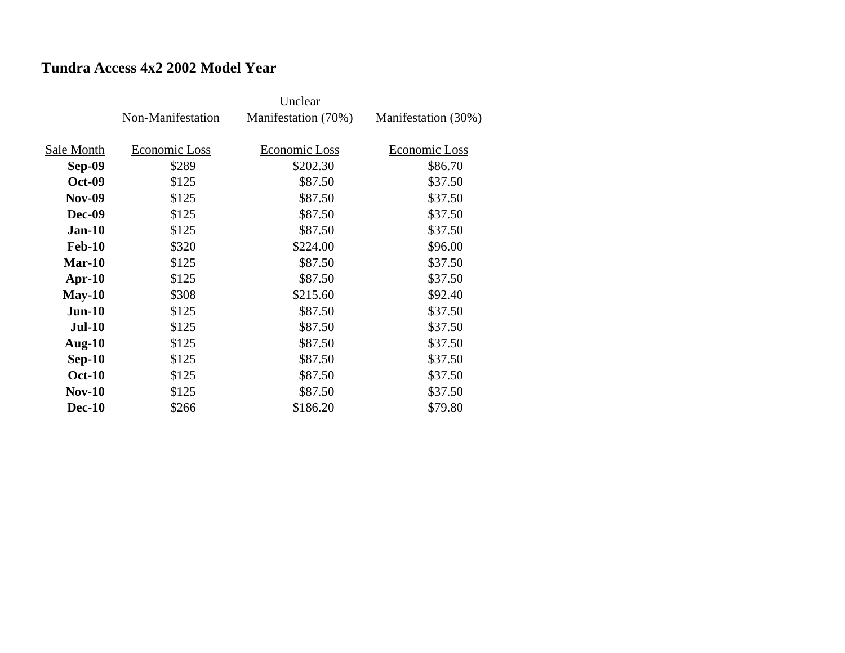## **Tundra Access 4x2 2002 Model Year**

|               | Non-Manifestation | Manifestation (70%) | Manifestation (30%) |
|---------------|-------------------|---------------------|---------------------|
| Sale Month    | Economic Loss     | Economic Loss       | Economic Loss       |
| Sep-09        | \$289             | \$202.30            | \$86.70             |
| <b>Oct-09</b> | \$125             | \$87.50             | \$37.50             |
| <b>Nov-09</b> | \$125             | \$87.50             | \$37.50             |
| <b>Dec-09</b> | \$125             | \$87.50             | \$37.50             |
| $Jan-10$      | \$125             | \$87.50             | \$37.50             |
| <b>Feb-10</b> | \$320             | \$224.00            | \$96.00             |
| $Mar-10$      | \$125             | \$87.50             | \$37.50             |
| $Apr-10$      | \$125             | \$87.50             | \$37.50             |
| $May-10$      | \$308             | \$215.60            | \$92.40             |
| $Jun-10$      | \$125             | \$87.50             | \$37.50             |
| <b>Jul-10</b> | \$125             | \$87.50             | \$37.50             |
| Aug- $10$     | \$125             | \$87.50             | \$37.50             |
| $Sep-10$      | \$125             | \$87.50             | \$37.50             |
| <b>Oct-10</b> | \$125             | \$87.50             | \$37.50             |
| $Nov-10$      | \$125             | \$87.50             | \$37.50             |
| <b>Dec-10</b> | \$266             | \$186.20            | \$79.80             |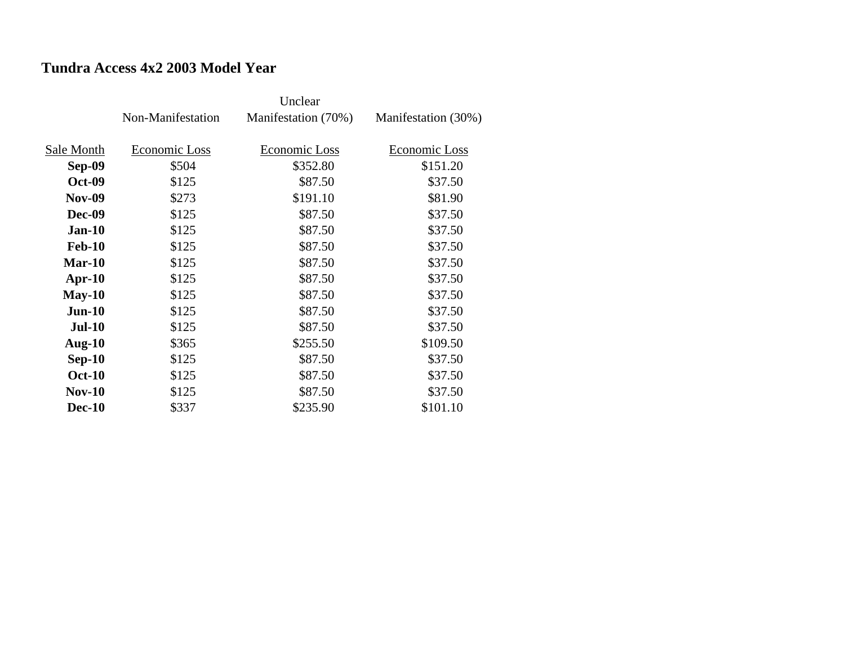## **Tundra Access 4x2 2003 Model Year**

|               | Non-Manifestation | Manifestation (70%) | Manifestation (30%) |
|---------------|-------------------|---------------------|---------------------|
|               |                   |                     |                     |
| Sale Month    | Economic Loss     | Economic Loss       | Economic Loss       |
| Sep-09        | \$504             | \$352.80            | \$151.20            |
| <b>Oct-09</b> | \$125             | \$87.50             | \$37.50             |
| <b>Nov-09</b> | \$273             | \$191.10            | \$81.90             |
| <b>Dec-09</b> | \$125             | \$87.50             | \$37.50             |
| $Jan-10$      | \$125             | \$87.50             | \$37.50             |
| <b>Feb-10</b> | \$125             | \$87.50             | \$37.50             |
| $Mar-10$      | \$125             | \$87.50             | \$37.50             |
| $Apr-10$      | \$125             | \$87.50             | \$37.50             |
| $May-10$      | \$125             | \$87.50             | \$37.50             |
| $Jun-10$      | \$125             | \$87.50             | \$37.50             |
| <b>Jul-10</b> | \$125             | \$87.50             | \$37.50             |
| Aug- $10$     | \$365             | \$255.50            | \$109.50            |
| $Sep-10$      | \$125             | \$87.50             | \$37.50             |
| <b>Oct-10</b> | \$125             | \$87.50             | \$37.50             |
| $Nov-10$      | \$125             | \$87.50             | \$37.50             |
| <b>Dec-10</b> | \$337             | \$235.90            | \$101.10            |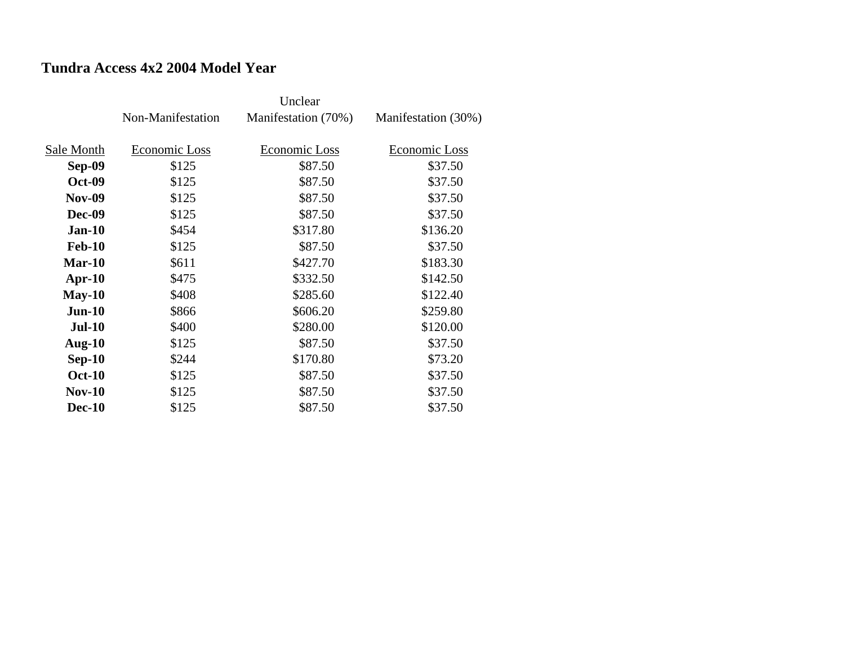## **Tundra Access 4x2 2004 Model Year**

|               | Non-Manifestation | Manifestation (70%) | Manifestation (30%) |
|---------------|-------------------|---------------------|---------------------|
|               |                   |                     |                     |
| Sale Month    | Economic Loss     | Economic Loss       | Economic Loss       |
| Sep-09        | \$125             | \$87.50             | \$37.50             |
| <b>Oct-09</b> | \$125             | \$87.50             | \$37.50             |
| <b>Nov-09</b> | \$125             | \$87.50             | \$37.50             |
| <b>Dec-09</b> | \$125             | \$87.50             | \$37.50             |
| $Jan-10$      | \$454             | \$317.80            | \$136.20            |
| <b>Feb-10</b> | \$125             | \$87.50             | \$37.50             |
| $Mar-10$      | \$611             | \$427.70            | \$183.30            |
| $Apr-10$      | \$475             | \$332.50            | \$142.50            |
| $May-10$      | \$408             | \$285.60            | \$122.40            |
| $Jun-10$      | \$866             | \$606.20            | \$259.80            |
| <b>Jul-10</b> | \$400             | \$280.00            | \$120.00            |
| Aug- $10$     | \$125             | \$87.50             | \$37.50             |
| $Sep-10$      | \$244             | \$170.80            | \$73.20             |
| <b>Oct-10</b> | \$125             | \$87.50             | \$37.50             |
| $Nov-10$      | \$125             | \$87.50             | \$37.50             |
| <b>Dec-10</b> | \$125             | \$87.50             | \$37.50             |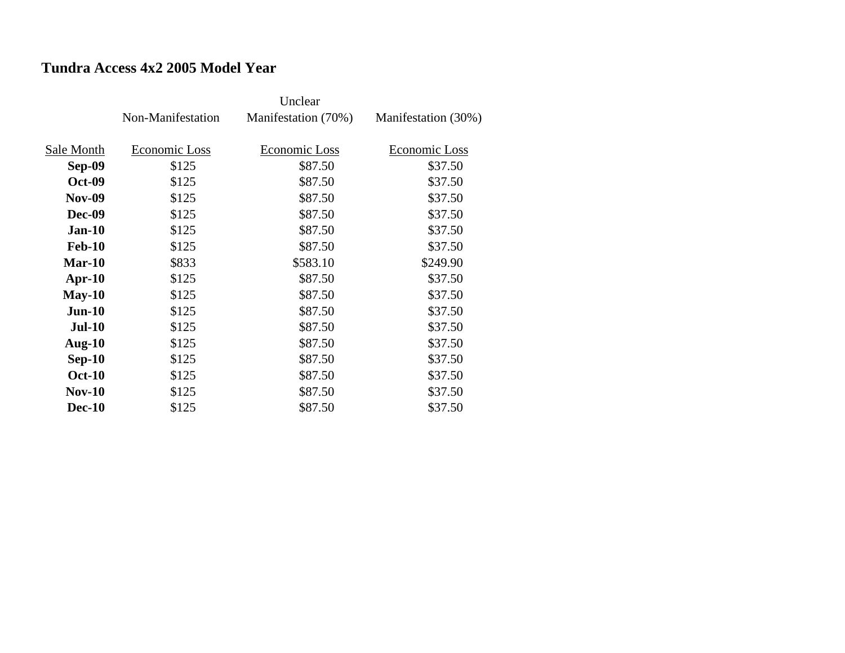## **Tundra Access 4x2 2005 Model Year**

|               | Non-Manifestation | Manifestation (70%) | Manifestation (30%) |
|---------------|-------------------|---------------------|---------------------|
|               |                   |                     |                     |
| Sale Month    | Economic Loss     | Economic Loss       | Economic Loss       |
| Sep-09        | \$125             | \$87.50             | \$37.50             |
| <b>Oct-09</b> | \$125             | \$87.50             | \$37.50             |
| <b>Nov-09</b> | \$125             | \$87.50             | \$37.50             |
| <b>Dec-09</b> | \$125             | \$87.50             | \$37.50             |
| $Jan-10$      | \$125             | \$87.50             | \$37.50             |
| <b>Feb-10</b> | \$125             | \$87.50             | \$37.50             |
| $Mar-10$      | \$833             | \$583.10            | \$249.90            |
| $Apr-10$      | \$125             | \$87.50             | \$37.50             |
| $May-10$      | \$125             | \$87.50             | \$37.50             |
| $Jun-10$      | \$125             | \$87.50             | \$37.50             |
| <b>Jul-10</b> | \$125             | \$87.50             | \$37.50             |
| Aug- $10$     | \$125             | \$87.50             | \$37.50             |
| $Sep-10$      | \$125             | \$87.50             | \$37.50             |
| <b>Oct-10</b> | \$125             | \$87.50             | \$37.50             |
| $Nov-10$      | \$125             | \$87.50             | \$37.50             |
| <b>Dec-10</b> | \$125             | \$87.50             | \$37.50             |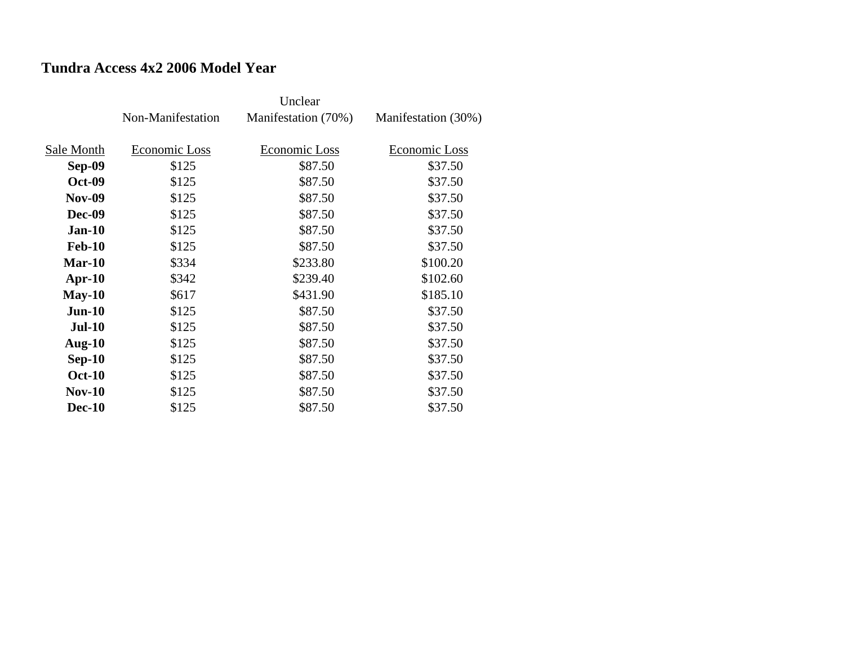## **Tundra Access 4x2 2006 Model Year**

|               | Non-Manifestation | Manifestation (70%) | Manifestation (30%) |
|---------------|-------------------|---------------------|---------------------|
|               |                   |                     |                     |
| Sale Month    | Economic Loss     | Economic Loss       | Economic Loss       |
| Sep-09        | \$125             | \$87.50             | \$37.50             |
| <b>Oct-09</b> | \$125             | \$87.50             | \$37.50             |
| <b>Nov-09</b> | \$125             | \$87.50             | \$37.50             |
| <b>Dec-09</b> | \$125             | \$87.50             | \$37.50             |
| $Jan-10$      | \$125             | \$87.50             | \$37.50             |
| <b>Feb-10</b> | \$125             | \$87.50             | \$37.50             |
| $Mar-10$      | \$334             | \$233.80            | \$100.20            |
| $Apr-10$      | \$342             | \$239.40            | \$102.60            |
| $May-10$      | \$617             | \$431.90            | \$185.10            |
| $Jun-10$      | \$125             | \$87.50             | \$37.50             |
| <b>Jul-10</b> | \$125             | \$87.50             | \$37.50             |
| Aug- $10$     | \$125             | \$87.50             | \$37.50             |
| $Sep-10$      | \$125             | \$87.50             | \$37.50             |
| <b>Oct-10</b> | \$125             | \$87.50             | \$37.50             |
| $Nov-10$      | \$125             | \$87.50             | \$37.50             |
| <b>Dec-10</b> | \$125             | \$87.50             | \$37.50             |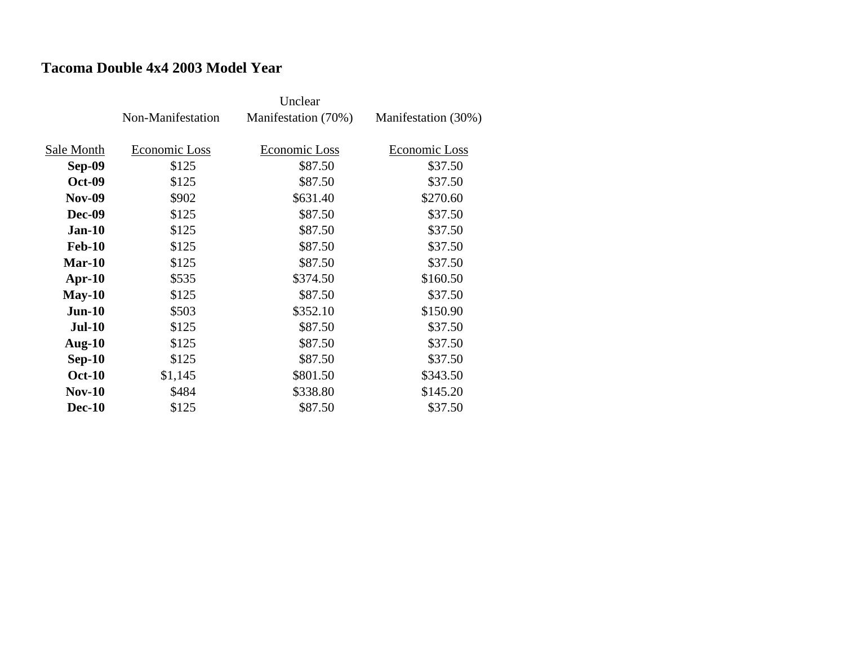#### **Tacoma Double 4x4 2003 Model Year**

|               | Non-Manifestation | Manifestation (70%) | Manifestation (30%) |
|---------------|-------------------|---------------------|---------------------|
| Sale Month    | Economic Loss     | Economic Loss       | Economic Loss       |
|               |                   |                     |                     |
| Sep-09        | \$125             | \$87.50             | \$37.50             |
| <b>Oct-09</b> | \$125             | \$87.50             | \$37.50             |
| <b>Nov-09</b> | \$902             | \$631.40            | \$270.60            |
| <b>Dec-09</b> | \$125             | \$87.50             | \$37.50             |
| $Jan-10$      | \$125             | \$87.50             | \$37.50             |
| <b>Feb-10</b> | \$125             | \$87.50             | \$37.50             |
| $Mar-10$      | \$125             | \$87.50             | \$37.50             |
| $Apr-10$      | \$535             | \$374.50            | \$160.50            |
| $May-10$      | \$125             | \$87.50             | \$37.50             |
| $Jun-10$      | \$503             | \$352.10            | \$150.90            |
| <b>Jul-10</b> | \$125             | \$87.50             | \$37.50             |
| Aug- $10$     | \$125             | \$87.50             | \$37.50             |
| $Sep-10$      | \$125             | \$87.50             | \$37.50             |
| <b>Oct-10</b> | \$1,145           | \$801.50            | \$343.50            |
| $Nov-10$      | \$484             | \$338.80            | \$145.20            |
| <b>Dec-10</b> | \$125             | \$87.50             | \$37.50             |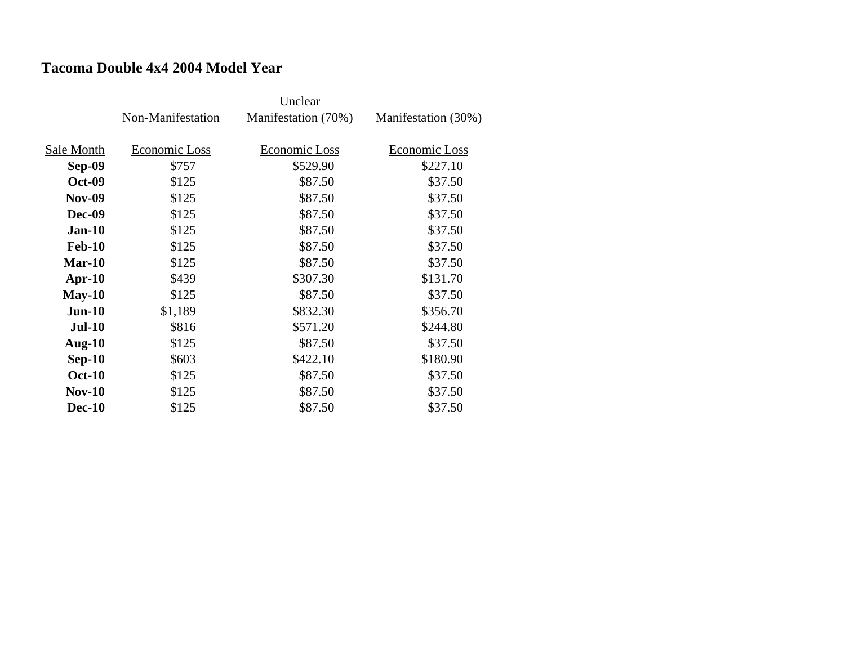#### **Tacoma Double 4x4 2004 Model Year**

|               | Non-Manifestation | Manifestation (70%) | Manifestation (30%) |
|---------------|-------------------|---------------------|---------------------|
| Sale Month    | Economic Loss     | Economic Loss       | Economic Loss       |
|               |                   |                     |                     |
| Sep-09        | \$757             | \$529.90            | \$227.10            |
| <b>Oct-09</b> | \$125             | \$87.50             | \$37.50             |
| <b>Nov-09</b> | \$125             | \$87.50             | \$37.50             |
| <b>Dec-09</b> | \$125             | \$87.50             | \$37.50             |
| $Jan-10$      | \$125             | \$87.50             | \$37.50             |
| <b>Feb-10</b> | \$125             | \$87.50             | \$37.50             |
| Mar-10        | \$125             | \$87.50             | \$37.50             |
| $Apr-10$      | \$439             | \$307.30            | \$131.70            |
| $May-10$      | \$125             | \$87.50             | \$37.50             |
| $Jun-10$      | \$1,189           | \$832.30            | \$356.70            |
| $Jul-10$      | \$816             | \$571.20            | \$244.80            |
| Aug- $10$     | \$125             | \$87.50             | \$37.50             |
| $Sep-10$      | \$603             | \$422.10            | \$180.90            |
| <b>Oct-10</b> | \$125             | \$87.50             | \$37.50             |
| <b>Nov-10</b> | \$125             | \$87.50             | \$37.50             |
| <b>Dec-10</b> | \$125             | \$87.50             | \$37.50             |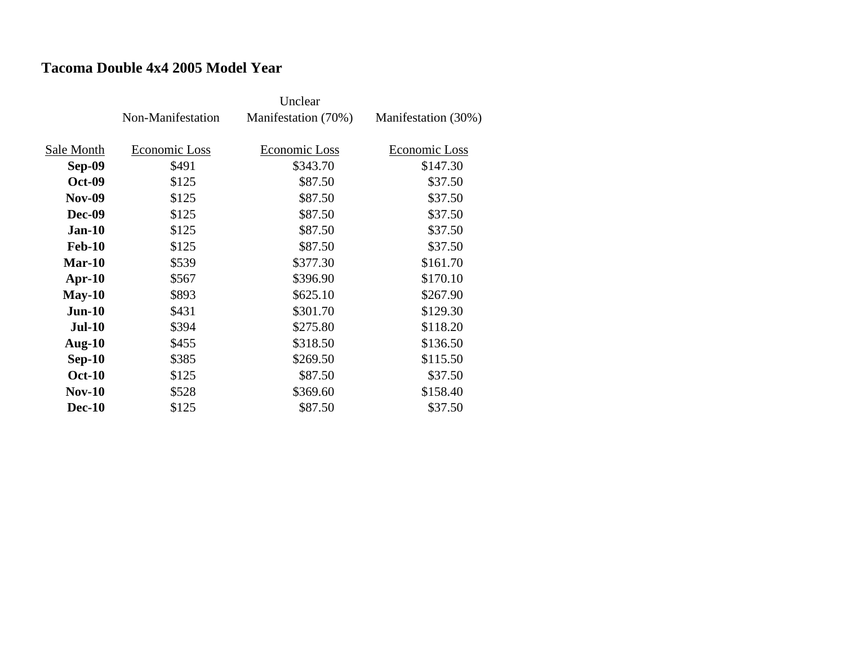#### **Tacoma Double 4x4 2005 Model Year**

|               | Non-Manifestation | Manifestation (70%) | Manifestation (30%) |
|---------------|-------------------|---------------------|---------------------|
| Sale Month    | Economic Loss     | Economic Loss       | Economic Loss       |
| Sep-09        | \$491             | \$343.70            | \$147.30            |
| <b>Oct-09</b> | \$125             | \$87.50             | \$37.50             |
| <b>Nov-09</b> | \$125             | \$87.50             | \$37.50             |
| <b>Dec-09</b> | \$125             | \$87.50             | \$37.50             |
| $Jan-10$      | \$125             | \$87.50             | \$37.50             |
| <b>Feb-10</b> | \$125             | \$87.50             | \$37.50             |
| Mar-10        | \$539             | \$377.30            | \$161.70            |
| $Apr-10$      | \$567             | \$396.90            | \$170.10            |
| $May-10$      | \$893             | \$625.10            | \$267.90            |
| $Jun-10$      | \$431             | \$301.70            | \$129.30            |
| <b>Jul-10</b> | \$394             | \$275.80            | \$118.20            |
| Aug- $10$     | \$455             | \$318.50            | \$136.50            |
| $Sep-10$      | \$385             | \$269.50            | \$115.50            |
| <b>Oct-10</b> | \$125             | \$87.50             | \$37.50             |
| <b>Nov-10</b> | \$528             | \$369.60            | \$158.40            |
| <b>Dec-10</b> | \$125             | \$87.50             | \$37.50             |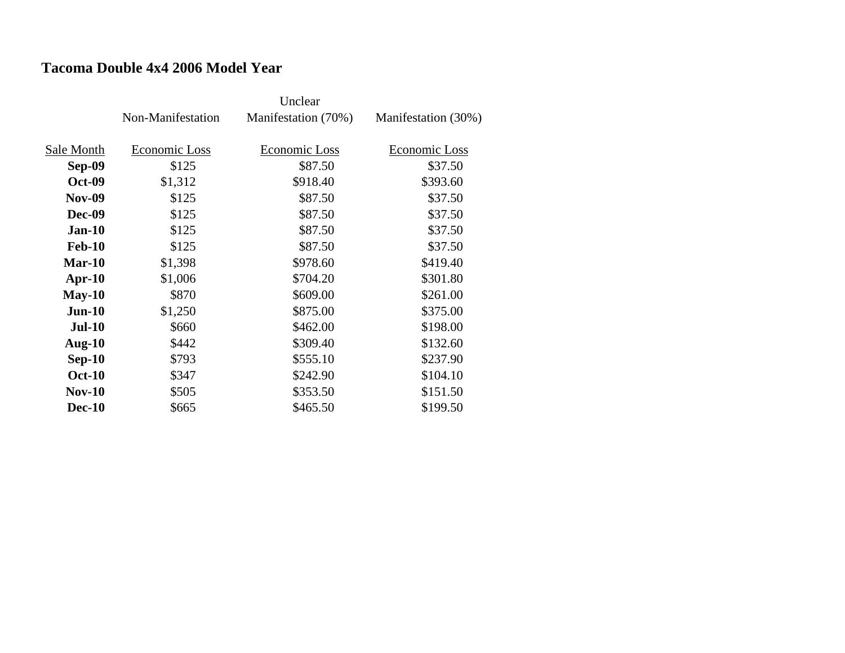#### **Tacoma Double 4x4 2006 Model Year**

|               | Non-Manifestation | Manifestation (70%) | Manifestation (30%) |
|---------------|-------------------|---------------------|---------------------|
| Sale Month    | Economic Loss     | Economic Loss       | Economic Loss       |
| <b>Sep-09</b> | \$125             | \$87.50             | \$37.50             |
| <b>Oct-09</b> | \$1,312           | \$918.40            | \$393.60            |
| <b>Nov-09</b> | \$125             | \$87.50             | \$37.50             |
| <b>Dec-09</b> | \$125             | \$87.50             | \$37.50             |
| $Jan-10$      | \$125             | \$87.50             | \$37.50             |
| <b>Feb-10</b> | \$125             | \$87.50             | \$37.50             |
| $Mar-10$      | \$1,398           | \$978.60            | \$419.40            |
| $Apr-10$      | \$1,006           | \$704.20            | \$301.80            |
| $May-10$      | \$870             | \$609.00            | \$261.00            |
| $Jun-10$      | \$1,250           | \$875.00            | \$375.00            |
| $Jul-10$      | \$660             | \$462.00            | \$198.00            |
| Aug- $10$     | \$442             | \$309.40            | \$132.60            |
| $Sep-10$      | \$793             | \$555.10            | \$237.90            |
| <b>Oct-10</b> | \$347             | \$242.90            | \$104.10            |
| $Nov-10$      | \$505             | \$353.50            | \$151.50            |
| <b>Dec-10</b> | \$665             | \$465.50            | \$199.50            |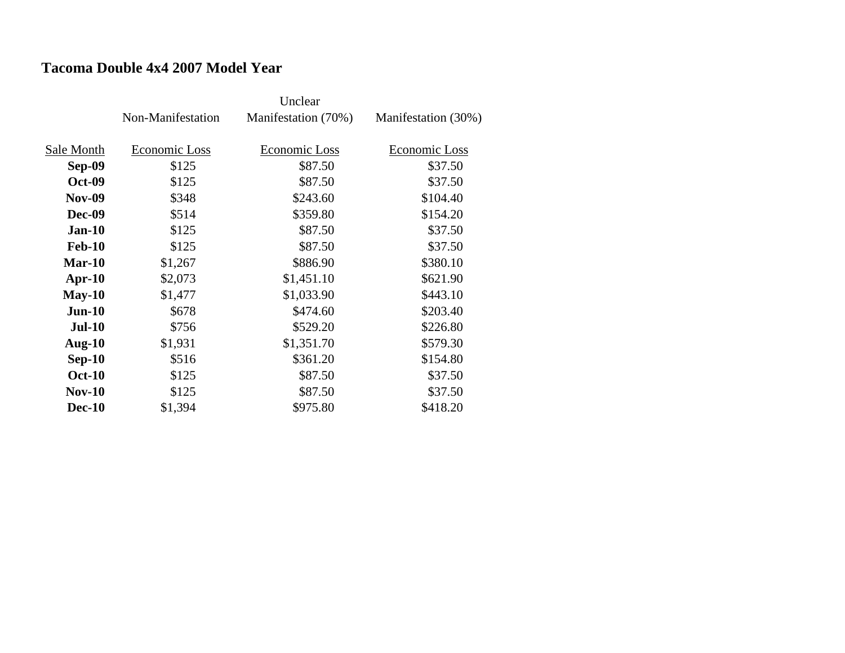#### **Tacoma Double 4x4 2007 Model Year**

|               | Non-Manifestation | Manifestation (70%) | Manifestation (30%) |
|---------------|-------------------|---------------------|---------------------|
| Sale Month    | Economic Loss     | Economic Loss       | Economic Loss       |
| Sep-09        | \$125             | \$87.50             | \$37.50             |
| <b>Oct-09</b> | \$125             | \$87.50             | \$37.50             |
| <b>Nov-09</b> | \$348             | \$243.60            | \$104.40            |
| <b>Dec-09</b> | \$514             | \$359.80            | \$154.20            |
| $Jan-10$      | \$125             | \$87.50             | \$37.50             |
| <b>Feb-10</b> | \$125             | \$87.50             | \$37.50             |
| $Mar-10$      | \$1,267           | \$886.90            | \$380.10            |
| $Apr-10$      | \$2,073           | \$1,451.10          | \$621.90            |
| $May-10$      | \$1,477           | \$1,033.90          | \$443.10            |
| $Jun-10$      | \$678             | \$474.60            | \$203.40            |
| <b>Jul-10</b> | \$756             | \$529.20            | \$226.80            |
| Aug- $10$     | \$1,931           | \$1,351.70          | \$579.30            |
| $Sep-10$      | \$516             | \$361.20            | \$154.80            |
| <b>Oct-10</b> | \$125             | \$87.50             | \$37.50             |
| <b>Nov-10</b> | \$125             | \$87.50             | \$37.50             |
| <b>Dec-10</b> | \$1,394           | \$975.80            | \$418.20            |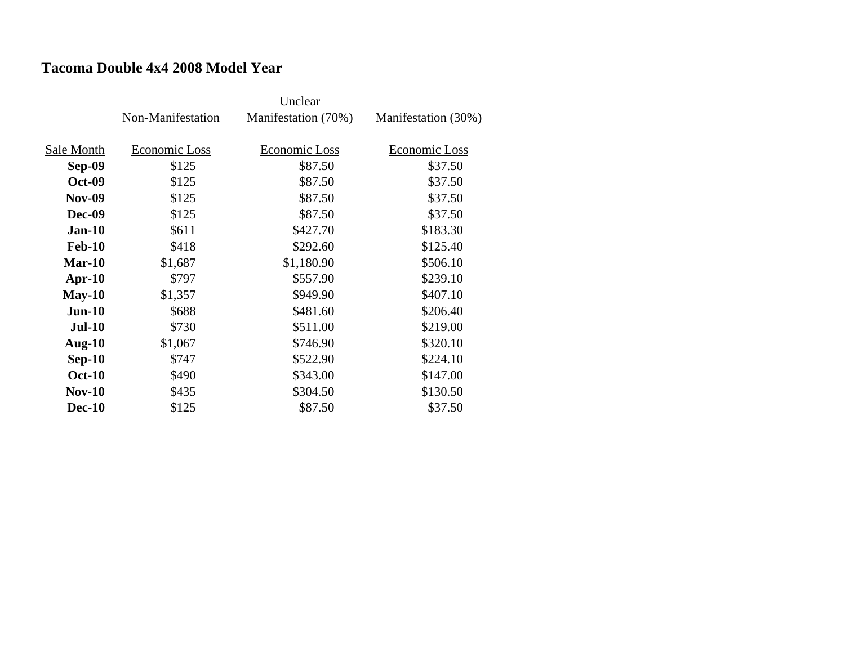### **Tacoma Double 4x4 2008 Model Year**

|               | Non-Manifestation | Manifestation (70%) | Manifestation (30%) |
|---------------|-------------------|---------------------|---------------------|
| Sale Month    | Economic Loss     | Economic Loss       | Economic Loss       |
| Sep-09        | \$125             | \$87.50             | \$37.50             |
| <b>Oct-09</b> | \$125             | \$87.50             | \$37.50             |
| <b>Nov-09</b> | \$125             | \$87.50             | \$37.50             |
| <b>Dec-09</b> | \$125             | \$87.50             | \$37.50             |
| $Jan-10$      | \$611             | \$427.70            | \$183.30            |
| <b>Feb-10</b> | \$418             | \$292.60            | \$125.40            |
| $Mar-10$      | \$1,687           | \$1,180.90          | \$506.10            |
| $Apr-10$      | \$797             | \$557.90            | \$239.10            |
| $May-10$      | \$1,357           | \$949.90            | \$407.10            |
| $Jun-10$      | \$688             | \$481.60            | \$206.40            |
| $Jul-10$      | \$730             | \$511.00            | \$219.00            |
| Aug- $10$     | \$1,067           | \$746.90            | \$320.10            |
| $Sep-10$      | \$747             | \$522.90            | \$224.10            |
| <b>Oct-10</b> | \$490             | \$343.00            | \$147.00            |
| <b>Nov-10</b> | \$435             | \$304.50            | \$130.50            |
| <b>Dec-10</b> | \$125             | \$87.50             | \$37.50             |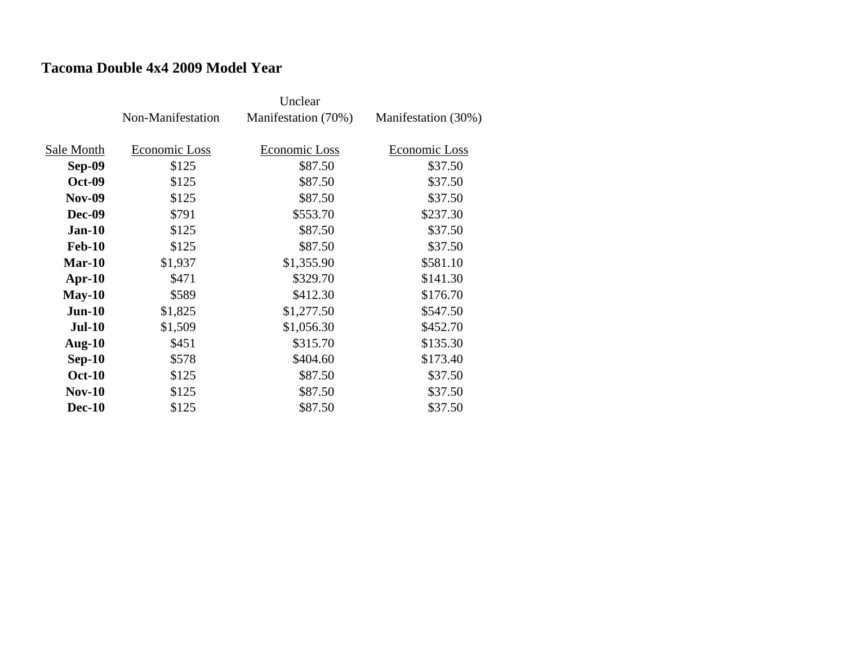#### **Tacoma Double 4x4 2009 Model Year**

|               | Non-Manifestation | Manifestation (70%) | Manifestation (30%) |
|---------------|-------------------|---------------------|---------------------|
| Sale Month    | Economic Loss     | Economic Loss       | Economic Loss       |
| Sep-09        | \$125             | \$87.50             | \$37.50             |
| <b>Oct-09</b> | \$125             | \$87.50             | \$37.50             |
| <b>Nov-09</b> | \$125             | \$87.50             | \$37.50             |
| <b>Dec-09</b> | \$791             | \$553.70            | \$237.30            |
| $Jan-10$      | \$125             | \$87.50             | \$37.50             |
| <b>Feb-10</b> | \$125             | \$87.50             | \$37.50             |
| $Mar-10$      | \$1,937           | \$1,355.90          | \$581.10            |
| $Apr-10$      | \$471             | \$329.70            | \$141.30            |
| $May-10$      | \$589             | \$412.30            | \$176.70            |
| $Jun-10$      | \$1,825           | \$1,277.50          | \$547.50            |
| $Jul-10$      | \$1,509           | \$1,056.30          | \$452.70            |
| Aug- $10$     | \$451             | \$315.70            | \$135.30            |
| $Sep-10$      | \$578             | \$404.60            | \$173.40            |
| <b>Oct-10</b> | \$125             | \$87.50             | \$37.50             |
| <b>Nov-10</b> | \$125             | \$87.50             | \$37.50             |
| <b>Dec-10</b> | \$125             | \$87.50             | \$37.50             |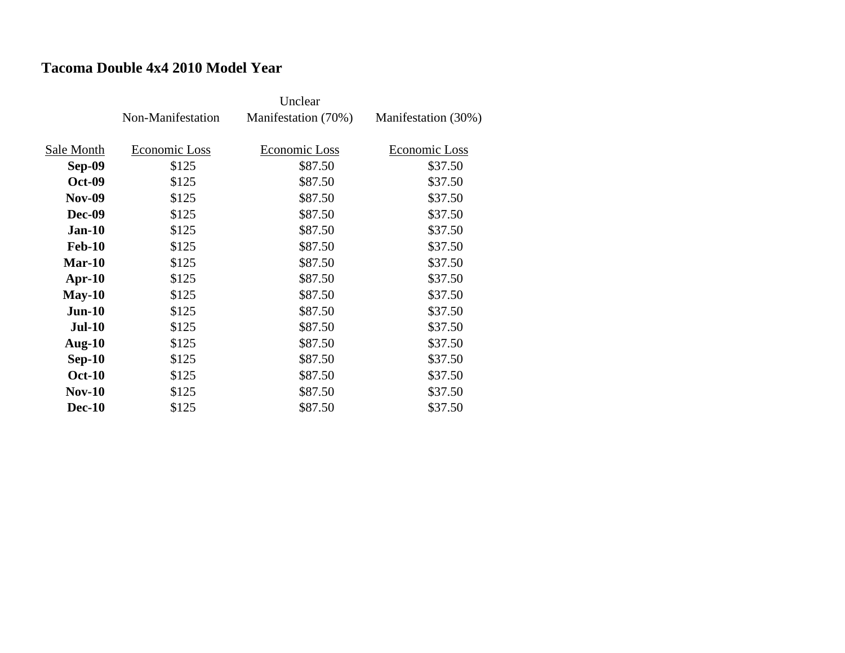#### **Tacoma Double 4x4 2010 Model Year**

|               | Non-Manifestation | Manifestation (70%) | Manifestation (30%) |
|---------------|-------------------|---------------------|---------------------|
| Sale Month    | Economic Loss     | Economic Loss       | Economic Loss       |
| Sep-09        | \$125             | \$87.50             | \$37.50             |
| <b>Oct-09</b> | \$125             | \$87.50             | \$37.50             |
| <b>Nov-09</b> | \$125             | \$87.50             | \$37.50             |
| <b>Dec-09</b> | \$125             | \$87.50             | \$37.50             |
| $Jan-10$      | \$125             | \$87.50             | \$37.50             |
| <b>Feb-10</b> | \$125             | \$87.50             | \$37.50             |
| $Mar-10$      | \$125             | \$87.50             | \$37.50             |
| $Apr-10$      | \$125             | \$87.50             | \$37.50             |
| $May-10$      | \$125             | \$87.50             | \$37.50             |
| $Jun-10$      | \$125             | \$87.50             | \$37.50             |
| <b>Jul-10</b> | \$125             | \$87.50             | \$37.50             |
| Aug- $10$     | \$125             | \$87.50             | \$37.50             |
| $Sep-10$      | \$125             | \$87.50             | \$37.50             |
| <b>Oct-10</b> | \$125             | \$87.50             | \$37.50             |
| $Nov-10$      | \$125             | \$87.50             | \$37.50             |
| <b>Dec-10</b> | \$125             | \$87.50             | \$37.50             |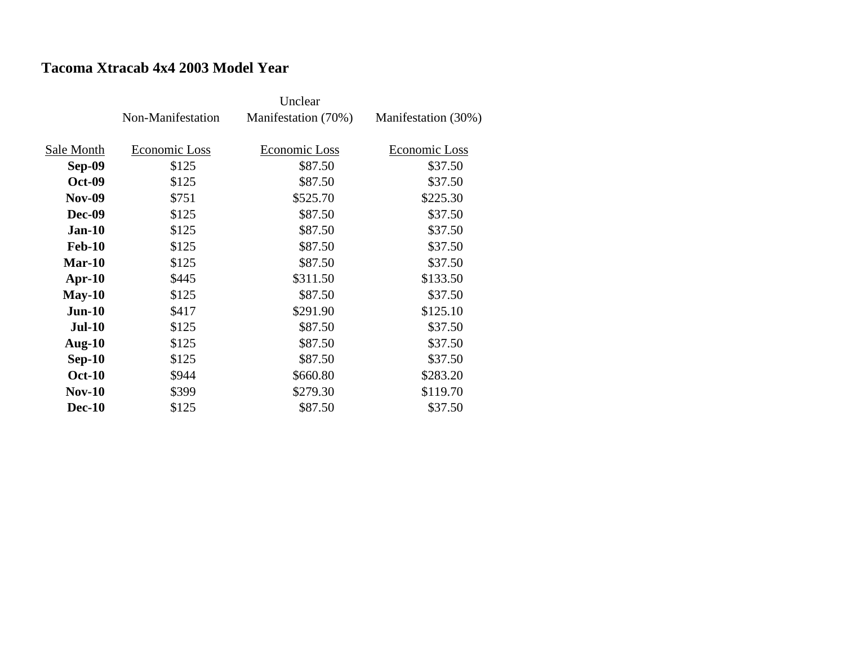### **Tacoma Xtracab 4x4 2003 Model Year**

|               | Non-Manifestation | Manifestation (70%) | Manifestation (30%) |
|---------------|-------------------|---------------------|---------------------|
| Sale Month    | Economic Loss     | Economic Loss       | Economic Loss       |
| <b>Sep-09</b> | \$125             | \$87.50             | \$37.50             |
| <b>Oct-09</b> | \$125             | \$87.50             | \$37.50             |
| <b>Nov-09</b> | \$751             | \$525.70            | \$225.30            |
| <b>Dec-09</b> | \$125             | \$87.50             | \$37.50             |
| $Jan-10$      | \$125             | \$87.50             | \$37.50             |
| <b>Feb-10</b> | \$125             | \$87.50             | \$37.50             |
| $Mar-10$      | \$125             | \$87.50             | \$37.50             |
| $Apr-10$      | \$445             | \$311.50            | \$133.50            |
| $May-10$      | \$125             | \$87.50             | \$37.50             |
| $Jun-10$      | \$417             | \$291.90            | \$125.10            |
| <b>Jul-10</b> | \$125             | \$87.50             | \$37.50             |
| Aug- $10$     | \$125             | \$87.50             | \$37.50             |
| $Sep-10$      | \$125             | \$87.50             | \$37.50             |
| <b>Oct-10</b> | \$944             | \$660.80            | \$283.20            |
| <b>Nov-10</b> | \$399             | \$279.30            | \$119.70            |
| <b>Dec-10</b> | \$125             | \$87.50             | \$37.50             |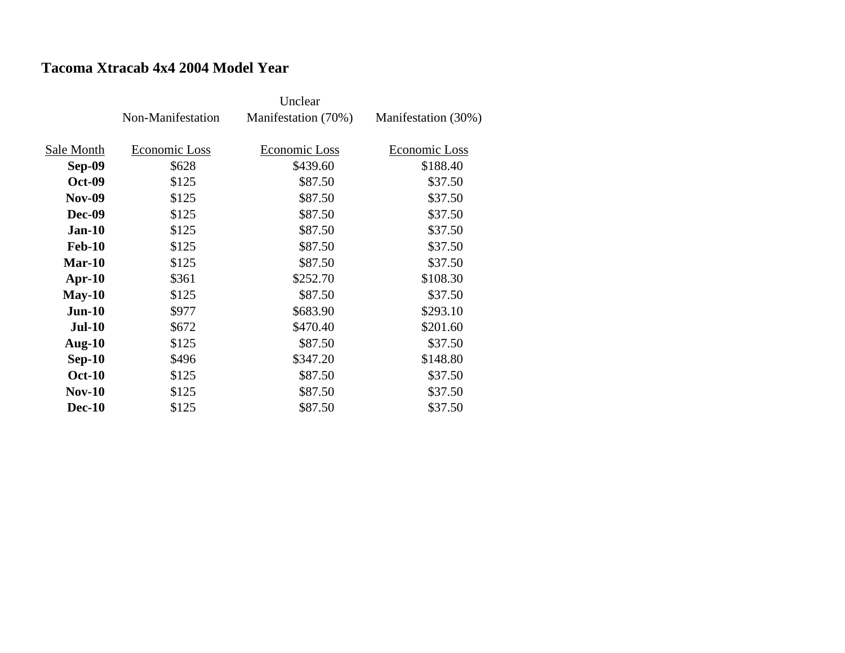#### **Tacoma Xtracab 4x4 2004 Model Year**

|               | Non-Manifestation | Manifestation (70%) | Manifestation (30%) |
|---------------|-------------------|---------------------|---------------------|
| Sale Month    | Economic Loss     | Economic Loss       | Economic Loss       |
| <b>Sep-09</b> | \$628             | \$439.60            | \$188.40            |
| <b>Oct-09</b> | \$125             | \$87.50             | \$37.50             |
| <b>Nov-09</b> | \$125             | \$87.50             | \$37.50             |
| <b>Dec-09</b> | \$125             | \$87.50             | \$37.50             |
| $Jan-10$      | \$125             | \$87.50             | \$37.50             |
| <b>Feb-10</b> | \$125             | \$87.50             | \$37.50             |
| $Mar-10$      | \$125             | \$87.50             | \$37.50             |
| $Apr-10$      | \$361             | \$252.70            | \$108.30            |
| $May-10$      | \$125             | \$87.50             | \$37.50             |
| $Jun-10$      | \$977             | \$683.90            | \$293.10            |
| <b>Jul-10</b> | \$672             | \$470.40            | \$201.60            |
| Aug- $10$     | \$125             | \$87.50             | \$37.50             |
| $Sep-10$      | \$496             | \$347.20            | \$148.80            |
| <b>Oct-10</b> | \$125             | \$87.50             | \$37.50             |
| <b>Nov-10</b> | \$125             | \$87.50             | \$37.50             |
| <b>Dec-10</b> | \$125             | \$87.50             | \$37.50             |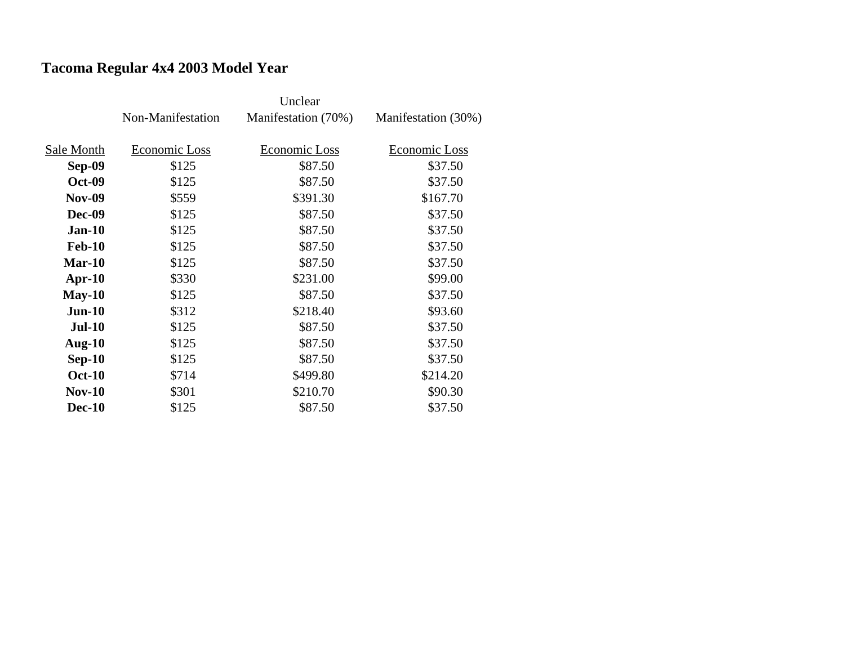# **Tacoma Regular 4x4 2003 Model Year**

|               | Non-Manifestation | Manifestation (70%) | Manifestation (30%) |
|---------------|-------------------|---------------------|---------------------|
|               |                   |                     |                     |
| Sale Month    | Economic Loss     | Economic Loss       | Economic Loss       |
| <b>Sep-09</b> | \$125             | \$87.50             | \$37.50             |
| <b>Oct-09</b> | \$125             | \$87.50             | \$37.50             |
| <b>Nov-09</b> | \$559             | \$391.30            | \$167.70            |
| <b>Dec-09</b> | \$125             | \$87.50             | \$37.50             |
| $Jan-10$      | \$125             | \$87.50             | \$37.50             |
| <b>Feb-10</b> | \$125             | \$87.50             | \$37.50             |
| $Mar-10$      | \$125             | \$87.50             | \$37.50             |
| $Apr-10$      | \$330             | \$231.00            | \$99.00             |
| $May-10$      | \$125             | \$87.50             | \$37.50             |
| $Jun-10$      | \$312             | \$218.40            | \$93.60             |
| <b>Jul-10</b> | \$125             | \$87.50             | \$37.50             |
| Aug- $10$     | \$125             | \$87.50             | \$37.50             |
| $Sep-10$      | \$125             | \$87.50             | \$37.50             |
| <b>Oct-10</b> | \$714             | \$499.80            | \$214.20            |
| $Nov-10$      | \$301             | \$210.70            | \$90.30             |
| <b>Dec-10</b> | \$125             | \$87.50             | \$37.50             |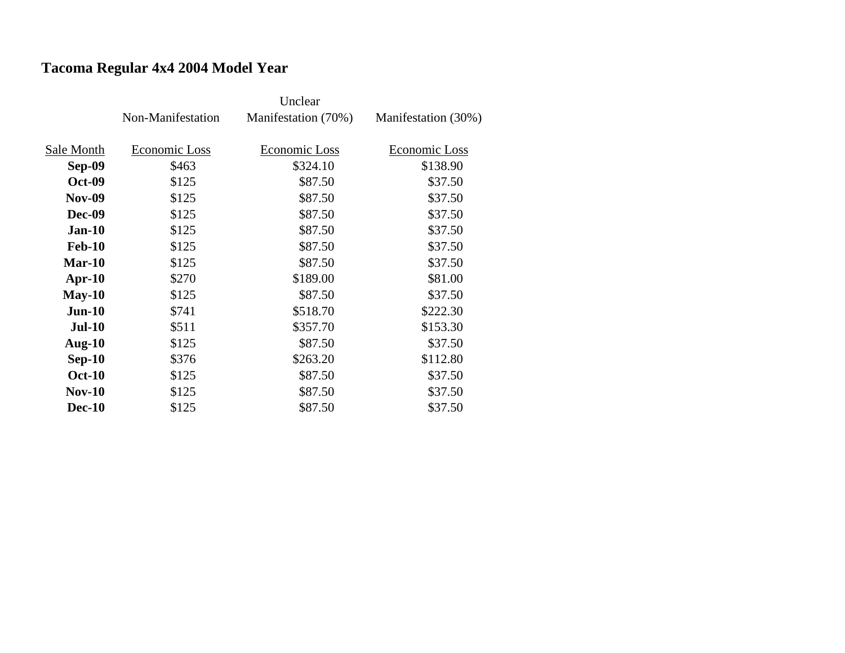# **Tacoma Regular 4x4 2004 Model Year**

|               | Non-Manifestation | Manifestation (70%) | Manifestation (30%) |
|---------------|-------------------|---------------------|---------------------|
|               |                   |                     |                     |
| Sale Month    | Economic Loss     | Economic Loss       | Economic Loss       |
| <b>Sep-09</b> | \$463             | \$324.10            | \$138.90            |
| <b>Oct-09</b> | \$125             | \$87.50             | \$37.50             |
| <b>Nov-09</b> | \$125             | \$87.50             | \$37.50             |
| <b>Dec-09</b> | \$125             | \$87.50             | \$37.50             |
| $Jan-10$      | \$125             | \$87.50             | \$37.50             |
| <b>Feb-10</b> | \$125             | \$87.50             | \$37.50             |
| $Mar-10$      | \$125             | \$87.50             | \$37.50             |
| $Apr-10$      | \$270             | \$189.00            | \$81.00             |
| $May-10$      | \$125             | \$87.50             | \$37.50             |
| $Jun-10$      | \$741             | \$518.70            | \$222.30            |
| <b>Jul-10</b> | \$511             | \$357.70            | \$153.30            |
| Aug- $10$     | \$125             | \$87.50             | \$37.50             |
| $Sep-10$      | \$376             | \$263.20            | \$112.80            |
| <b>Oct-10</b> | \$125             | \$87.50             | \$37.50             |
| $Nov-10$      | \$125             | \$87.50             | \$37.50             |
| <b>Dec-10</b> | \$125             | \$87.50             | \$37.50             |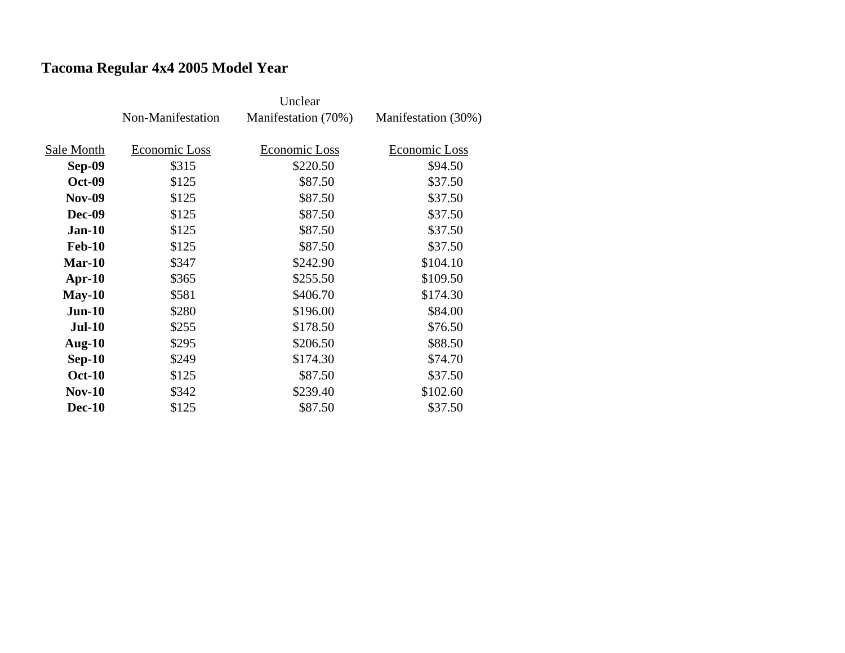# **Tacoma Regular 4x4 2005 Model Year**

|               |                   | Unclear             |                     |
|---------------|-------------------|---------------------|---------------------|
|               | Non-Manifestation | Manifestation (70%) | Manifestation (30%) |
|               |                   |                     |                     |
| Sale Month    | Economic Loss     | Economic Loss       | Economic Loss       |
| <b>Sep-09</b> | \$315             | \$220.50            | \$94.50             |
| <b>Oct-09</b> | \$125             | \$87.50             | \$37.50             |
| <b>Nov-09</b> | \$125             | \$87.50             | \$37.50             |
| <b>Dec-09</b> | \$125             | \$87.50             | \$37.50             |
| $Jan-10$      | \$125             | \$87.50             | \$37.50             |
| <b>Feb-10</b> | \$125             | \$87.50             | \$37.50             |
| $Mar-10$      | \$347             | \$242.90            | \$104.10            |
| $Apr-10$      | \$365             | \$255.50            | \$109.50            |
| $May-10$      | \$581             | \$406.70            | \$174.30            |
| $Jun-10$      | \$280             | \$196.00            | \$84.00             |
| <b>Jul-10</b> | \$255             | \$178.50            | \$76.50             |
| Aug- $10$     | \$295             | \$206.50            | \$88.50             |
| $Sep-10$      | \$249             | \$174.30            | \$74.70             |
| <b>Oct-10</b> | \$125             | \$87.50             | \$37.50             |
| $Nov-10$      | \$342             | \$239.40            | \$102.60            |
| <b>Dec-10</b> | \$125             | \$87.50             | \$37.50             |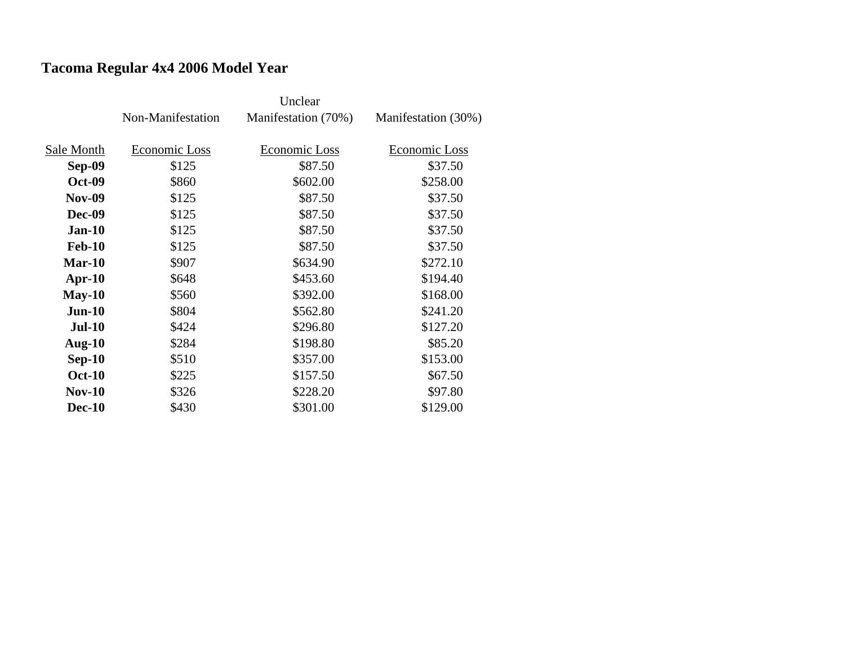# **Tacoma Regular 4x4 2006 Model Year**

|               | Non-Manifestation | Manifestation (70%) | Manifestation (30%) |
|---------------|-------------------|---------------------|---------------------|
|               |                   |                     |                     |
| Sale Month    | Economic Loss     | Economic Loss       | Economic Loss       |
| Sep-09        | \$125             | \$87.50             | \$37.50             |
| <b>Oct-09</b> | \$860             | \$602.00            | \$258.00            |
| <b>Nov-09</b> | \$125             | \$87.50             | \$37.50             |
| <b>Dec-09</b> | \$125             | \$87.50             | \$37.50             |
| $Jan-10$      | \$125             | \$87.50             | \$37.50             |
| <b>Feb-10</b> | \$125             | \$87.50             | \$37.50             |
| $Mar-10$      | \$907             | \$634.90            | \$272.10            |
| $Apr-10$      | \$648             | \$453.60            | \$194.40            |
| $May-10$      | \$560             | \$392.00            | \$168.00            |
| $Jun-10$      | \$804             | \$562.80            | \$241.20            |
| <b>Jul-10</b> | \$424             | \$296.80            | \$127.20            |
| Aug- $10$     | \$284             | \$198.80            | \$85.20             |
| $Sep-10$      | \$510             | \$357.00            | \$153.00            |
| <b>Oct-10</b> | \$225             | \$157.50            | \$67.50             |
| $Nov-10$      | \$326             | \$228.20            | \$97.80             |
| <b>Dec-10</b> | \$430             | \$301.00            | \$129.00            |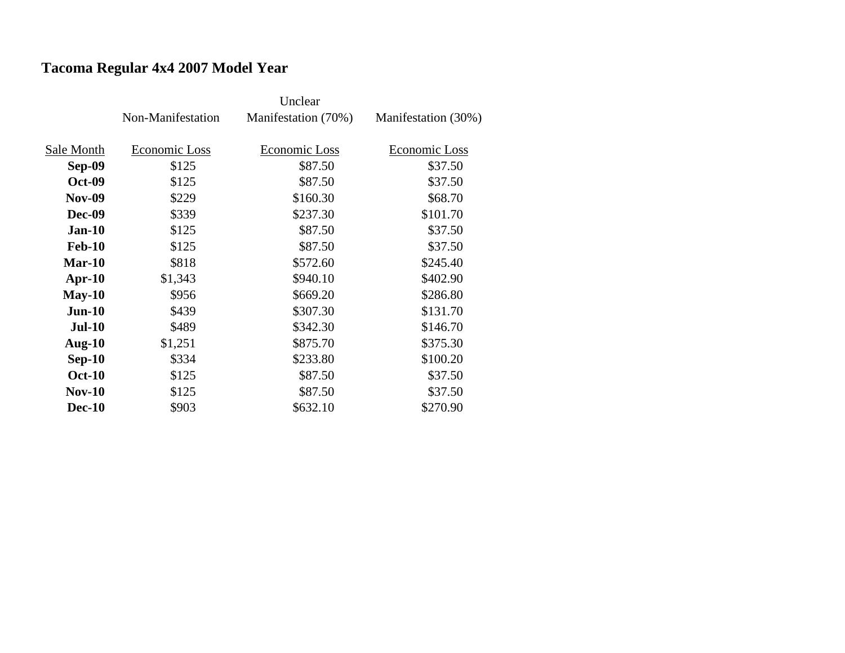# **Tacoma Regular 4x4 2007 Model Year**

|               |                   | Unclear              |                     |
|---------------|-------------------|----------------------|---------------------|
|               | Non-Manifestation | Manifestation (70%)  | Manifestation (30%) |
|               |                   |                      |                     |
| Sale Month    | Economic Loss     | <b>Economic Loss</b> | Economic Loss       |
| <b>Sep-09</b> | \$125             | \$87.50              | \$37.50             |
| <b>Oct-09</b> | \$125             | \$87.50              | \$37.50             |
| <b>Nov-09</b> | \$229             | \$160.30             | \$68.70             |
| <b>Dec-09</b> | \$339             | \$237.30             | \$101.70            |
| $Jan-10$      | \$125             | \$87.50              | \$37.50             |
| <b>Feb-10</b> | \$125             | \$87.50              | \$37.50             |
| $Mar-10$      | \$818             | \$572.60             | \$245.40            |
| $Apr-10$      | \$1,343           | \$940.10             | \$402.90            |
| $May-10$      | \$956             | \$669.20             | \$286.80            |
| $Jun-10$      | \$439             | \$307.30             | \$131.70            |
| $Jul-10$      | \$489             | \$342.30             | \$146.70            |
| Aug- $10$     | \$1,251           | \$875.70             | \$375.30            |
| $Sep-10$      | \$334             | \$233.80             | \$100.20            |
| <b>Oct-10</b> | \$125             | \$87.50              | \$37.50             |
| $Nov-10$      | \$125             | \$87.50              | \$37.50             |
| <b>Dec-10</b> | \$903             | \$632.10             | \$270.90            |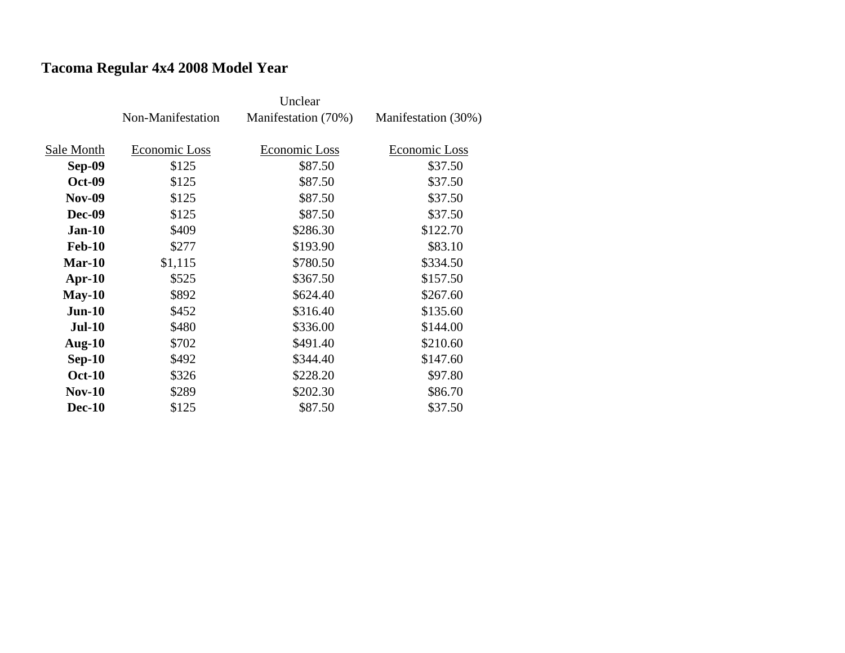# **Tacoma Regular 4x4 2008 Model Year**

|               | Non-Manifestation | Manifestation (70%) | Manifestation (30%) |
|---------------|-------------------|---------------------|---------------------|
|               |                   |                     |                     |
| Sale Month    | Economic Loss     | Economic Loss       | Economic Loss       |
| <b>Sep-09</b> | \$125             | \$87.50             | \$37.50             |
| <b>Oct-09</b> | \$125             | \$87.50             | \$37.50             |
| <b>Nov-09</b> | \$125             | \$87.50             | \$37.50             |
| <b>Dec-09</b> | \$125             | \$87.50             | \$37.50             |
| $Jan-10$      | \$409             | \$286.30            | \$122.70            |
| <b>Feb-10</b> | \$277             | \$193.90            | \$83.10             |
| $Mar-10$      | \$1,115           | \$780.50            | \$334.50            |
| $Apr-10$      | \$525             | \$367.50            | \$157.50            |
| $May-10$      | \$892             | \$624.40            | \$267.60            |
| $Jun-10$      | \$452             | \$316.40            | \$135.60            |
| <b>Jul-10</b> | \$480             | \$336.00            | \$144.00            |
| Aug- $10$     | \$702             | \$491.40            | \$210.60            |
| $Sep-10$      | \$492             | \$344.40            | \$147.60            |
| <b>Oct-10</b> | \$326             | \$228.20            | \$97.80             |
| $Nov-10$      | \$289             | \$202.30            | \$86.70             |
| <b>Dec-10</b> | \$125             | \$87.50             | \$37.50             |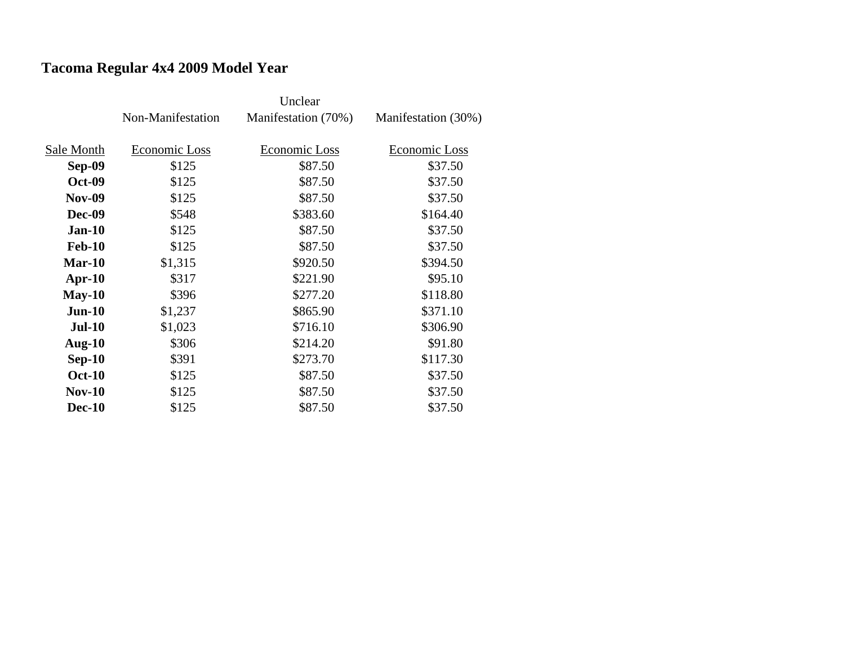# **Tacoma Regular 4x4 2009 Model Year**

|               | Non-Manifestation | Manifestation (70%) | Manifestation (30%) |
|---------------|-------------------|---------------------|---------------------|
|               |                   |                     |                     |
| Sale Month    | Economic Loss     | Economic Loss       | Economic Loss       |
| Sep-09        | \$125             | \$87.50             | \$37.50             |
| <b>Oct-09</b> | \$125             | \$87.50             | \$37.50             |
| <b>Nov-09</b> | \$125             | \$87.50             | \$37.50             |
| <b>Dec-09</b> | \$548             | \$383.60            | \$164.40            |
| $Jan-10$      | \$125             | \$87.50             | \$37.50             |
| <b>Feb-10</b> | \$125             | \$87.50             | \$37.50             |
| Mar-10        | \$1,315           | \$920.50            | \$394.50            |
| $Apr-10$      | \$317             | \$221.90            | \$95.10             |
| $May-10$      | \$396             | \$277.20            | \$118.80            |
| $Jun-10$      | \$1,237           | \$865.90            | \$371.10            |
| <b>Jul-10</b> | \$1,023           | \$716.10            | \$306.90            |
| Aug- $10$     | \$306             | \$214.20            | \$91.80             |
| $Sep-10$      | \$391             | \$273.70            | \$117.30            |
| <b>Oct-10</b> | \$125             | \$87.50             | \$37.50             |
| <b>Nov-10</b> | \$125             | \$87.50             | \$37.50             |
| <b>Dec-10</b> | \$125             | \$87.50             | \$37.50             |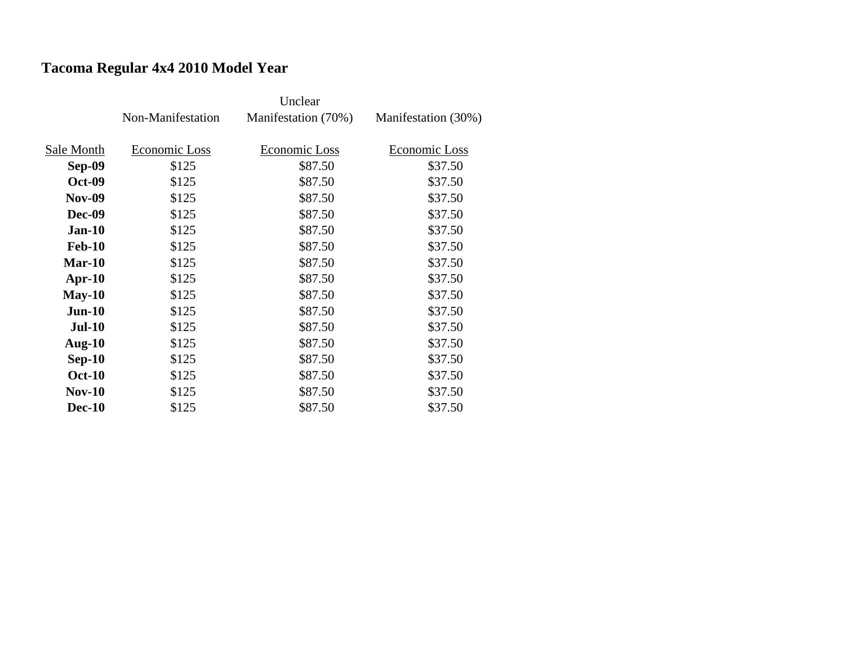# **Tacoma Regular 4x4 2010 Model Year**

|               |                   | Unclear             |                     |
|---------------|-------------------|---------------------|---------------------|
|               | Non-Manifestation | Manifestation (70%) | Manifestation (30%) |
|               |                   |                     |                     |
| Sale Month    | Economic Loss     | Economic Loss       | Economic Loss       |
| <b>Sep-09</b> | \$125             | \$87.50             | \$37.50             |
| <b>Oct-09</b> | \$125             | \$87.50             | \$37.50             |
| <b>Nov-09</b> | \$125             | \$87.50             | \$37.50             |
| <b>Dec-09</b> | \$125             | \$87.50             | \$37.50             |
| $Jan-10$      | \$125             | \$87.50             | \$37.50             |
| <b>Feb-10</b> | \$125             | \$87.50             | \$37.50             |
| $Mar-10$      | \$125             | \$87.50             | \$37.50             |
| $Apr-10$      | \$125             | \$87.50             | \$37.50             |
| $May-10$      | \$125             | \$87.50             | \$37.50             |
| $Jun-10$      | \$125             | \$87.50             | \$37.50             |
| <b>Jul-10</b> | \$125             | \$87.50             | \$37.50             |
| Aug- $10$     | \$125             | \$87.50             | \$37.50             |
| $Sep-10$      | \$125             | \$87.50             | \$37.50             |
| <b>Oct-10</b> | \$125             | \$87.50             | \$37.50             |
| $Nov-10$      | \$125             | \$87.50             | \$37.50             |
| <b>Dec-10</b> | \$125             | \$87.50             | \$37.50             |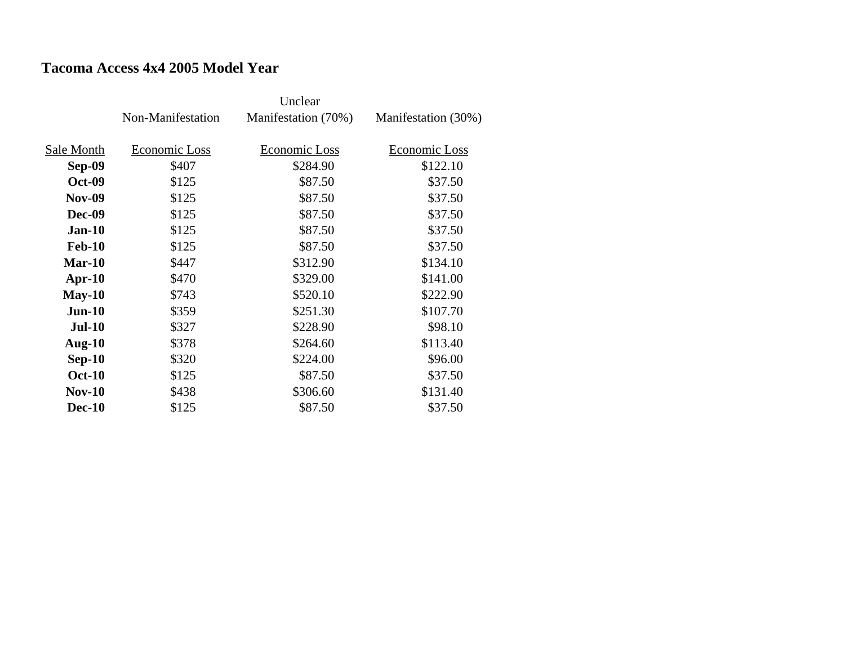## **Tacoma Access 4x4 2005 Model Year**

|               |                   | Unclear             |                     |
|---------------|-------------------|---------------------|---------------------|
|               | Non-Manifestation | Manifestation (70%) | Manifestation (30%) |
|               |                   |                     |                     |
| Sale Month    | Economic Loss     | Economic Loss       | Economic Loss       |
| <b>Sep-09</b> | \$407             | \$284.90            | \$122.10            |
| <b>Oct-09</b> | \$125             | \$87.50             | \$37.50             |
| <b>Nov-09</b> | \$125             | \$87.50             | \$37.50             |
| <b>Dec-09</b> | \$125             | \$87.50             | \$37.50             |
| $Jan-10$      | \$125             | \$87.50             | \$37.50             |
| <b>Feb-10</b> | \$125             | \$87.50             | \$37.50             |
| $Mar-10$      | \$447             | \$312.90            | \$134.10            |
| $Apr-10$      | \$470             | \$329.00            | \$141.00            |
| $May-10$      | \$743             | \$520.10            | \$222.90            |
| $Jun-10$      | \$359             | \$251.30            | \$107.70            |
| <b>Jul-10</b> | \$327             | \$228.90            | \$98.10             |
| Aug- $10$     | \$378             | \$264.60            | \$113.40            |
| $Sep-10$      | \$320             | \$224.00            | \$96.00             |
| <b>Oct-10</b> | \$125             | \$87.50             | \$37.50             |
| $Nov-10$      | \$438             | \$306.60            | \$131.40            |
| <b>Dec-10</b> | \$125             | \$87.50             | \$37.50             |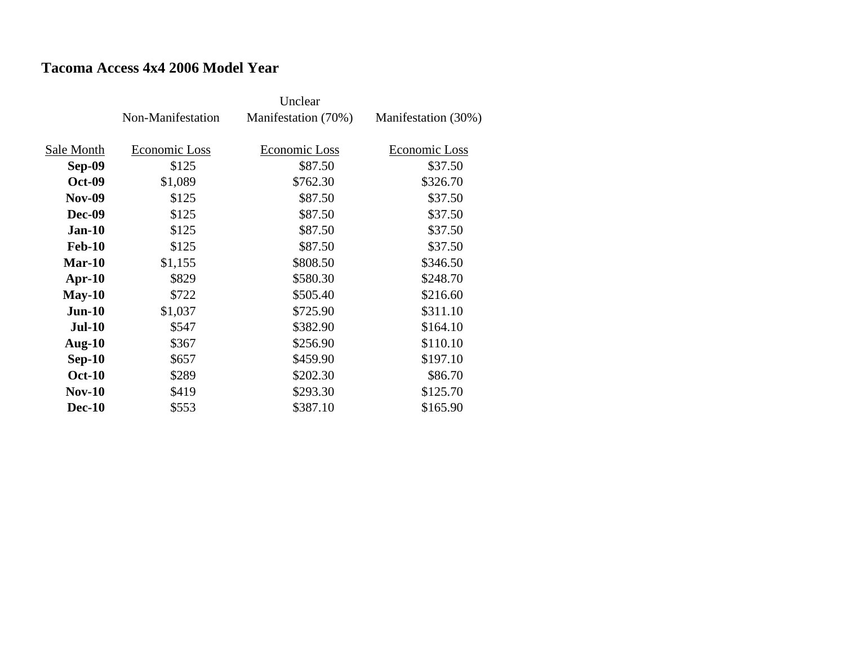## **Tacoma Access 4x4 2006 Model Year**

|               | Non-Manifestation | Manifestation (70%) | Manifestation (30%) |
|---------------|-------------------|---------------------|---------------------|
| Sale Month    | Economic Loss     | Economic Loss       | Economic Loss       |
| Sep-09        | \$125             | \$87.50             | \$37.50             |
| <b>Oct-09</b> | \$1,089           | \$762.30            | \$326.70            |
| <b>Nov-09</b> | \$125             | \$87.50             | \$37.50             |
| <b>Dec-09</b> | \$125             | \$87.50             | \$37.50             |
| $Jan-10$      | \$125             | \$87.50             | \$37.50             |
| <b>Feb-10</b> | \$125             | \$87.50             | \$37.50             |
| $Mar-10$      | \$1,155           | \$808.50            | \$346.50            |
| $Apr-10$      | \$829             | \$580.30            | \$248.70            |
| $May-10$      | \$722             | \$505.40            | \$216.60            |
| $Jun-10$      | \$1,037           | \$725.90            | \$311.10            |
| $Jul-10$      | \$547             | \$382.90            | \$164.10            |
| Aug- $10$     | \$367             | \$256.90            | \$110.10            |
| $Sep-10$      | \$657             | \$459.90            | \$197.10            |
| <b>Oct-10</b> | \$289             | \$202.30            | \$86.70             |
| <b>Nov-10</b> | \$419             | \$293.30            | \$125.70            |
| <b>Dec-10</b> | \$553             | \$387.10            | \$165.90            |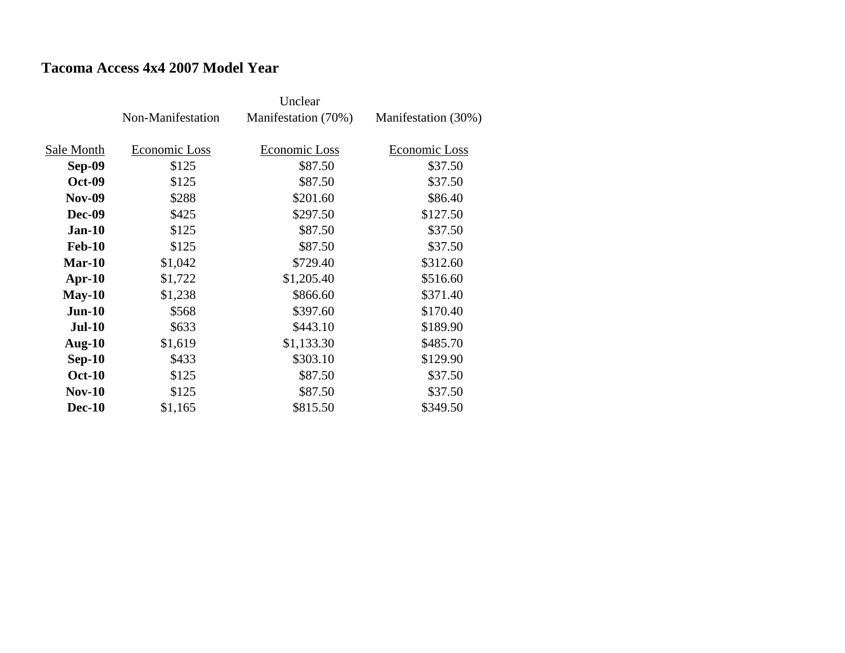## **Tacoma Access 4x4 2007 Model Year**

|               | Non-Manifestation | Manifestation (70%) | Manifestation (30%) |
|---------------|-------------------|---------------------|---------------------|
| Sale Month    | Economic Loss     | Economic Loss       | Economic Loss       |
| Sep-09        | \$125             | \$87.50             | \$37.50             |
| <b>Oct-09</b> | \$125             | \$87.50             | \$37.50             |
| <b>Nov-09</b> | \$288             | \$201.60            | \$86.40             |
| <b>Dec-09</b> | \$425             | \$297.50            | \$127.50            |
| $Jan-10$      | \$125             | \$87.50             | \$37.50             |
| <b>Feb-10</b> | \$125             | \$87.50             | \$37.50             |
| $Mar-10$      | \$1,042           | \$729.40            | \$312.60            |
| $Apr-10$      | \$1,722           | \$1,205.40          | \$516.60            |
| $May-10$      | \$1,238           | \$866.60            | \$371.40            |
| $Jun-10$      | \$568             | \$397.60            | \$170.40            |
| $Jul-10$      | \$633             | \$443.10            | \$189.90            |
| Aug- $10$     | \$1,619           | \$1,133.30          | \$485.70            |
| $Sep-10$      | \$433             | \$303.10            | \$129.90            |
| <b>Oct-10</b> | \$125             | \$87.50             | \$37.50             |
| <b>Nov-10</b> | \$125             | \$87.50             | \$37.50             |
| <b>Dec-10</b> | \$1,165           | \$815.50            | \$349.50            |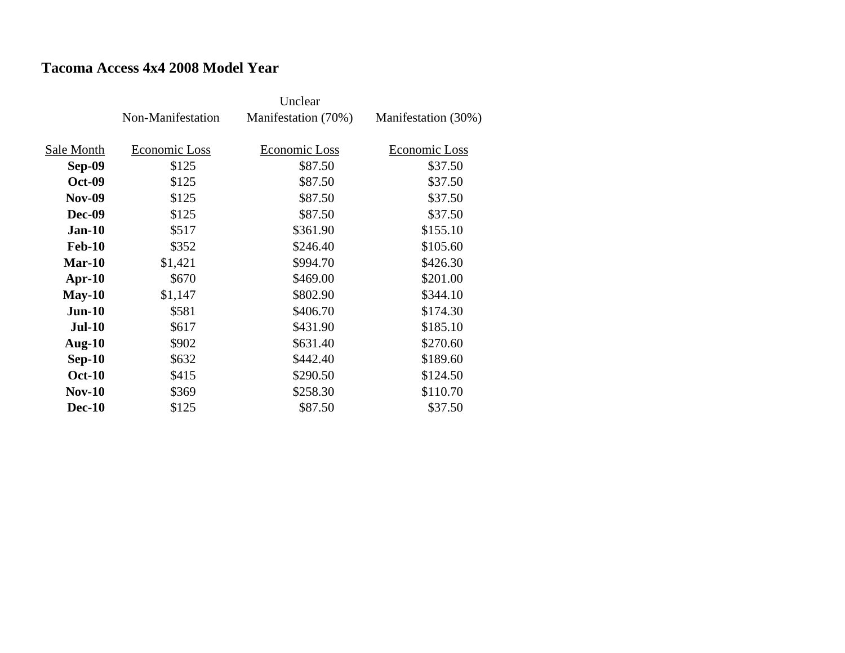## **Tacoma Access 4x4 2008 Model Year**

|               | Non-Manifestation | Manifestation (70%) | Manifestation (30%) |
|---------------|-------------------|---------------------|---------------------|
| Sale Month    | Economic Loss     | Economic Loss       | Economic Loss       |
| Sep-09        | \$125             | \$87.50             | \$37.50             |
| <b>Oct-09</b> | \$125             | \$87.50             | \$37.50             |
| <b>Nov-09</b> | \$125             | \$87.50             | \$37.50             |
| <b>Dec-09</b> | \$125             | \$87.50             | \$37.50             |
| $Jan-10$      | \$517             | \$361.90            | \$155.10            |
| <b>Feb-10</b> | \$352             | \$246.40            | \$105.60            |
|               |                   |                     |                     |
| Mar-10        | \$1,421           | \$994.70            | \$426.30            |
| $Apr-10$      | \$670             | \$469.00            | \$201.00            |
| $May-10$      | \$1,147           | \$802.90            | \$344.10            |
| $Jun-10$      | \$581             | \$406.70            | \$174.30            |
| <b>Jul-10</b> | \$617             | \$431.90            | \$185.10            |
| Aug- $10$     | \$902             | \$631.40            | \$270.60            |
| $Sep-10$      | \$632             | \$442.40            | \$189.60            |
| <b>Oct-10</b> | \$415             | \$290.50            | \$124.50            |
| <b>Nov-10</b> | \$369             | \$258.30            | \$110.70            |
| <b>Dec-10</b> | \$125             | \$87.50             | \$37.50             |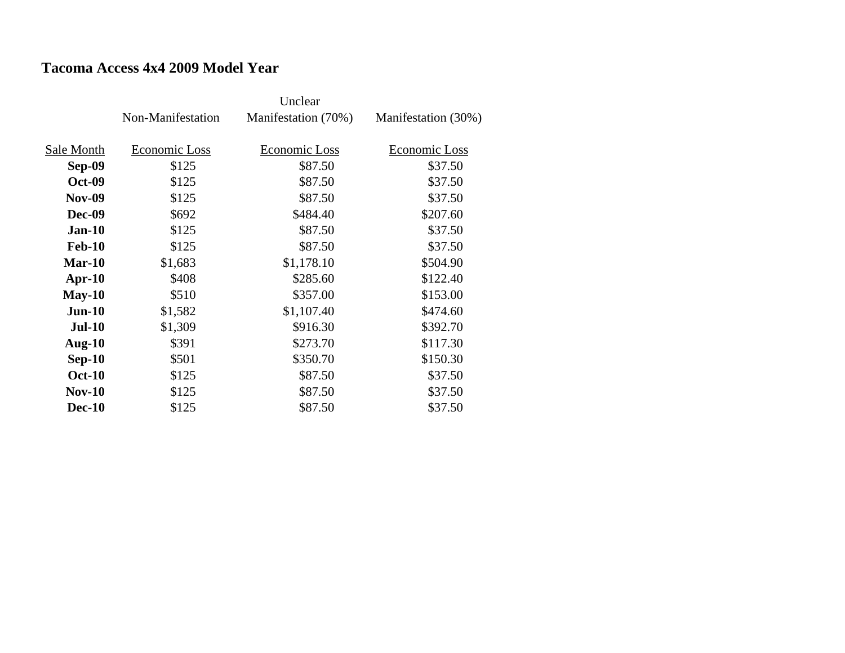### **Tacoma Access 4x4 2009 Model Year**

|               | Non-Manifestation | Manifestation (70%) | Manifestation (30%) |
|---------------|-------------------|---------------------|---------------------|
|               |                   |                     |                     |
| Sale Month    | Economic Loss     | Economic Loss       | Economic Loss       |
| Sep-09        | \$125             | \$87.50             | \$37.50             |
| <b>Oct-09</b> | \$125             | \$87.50             | \$37.50             |
| <b>Nov-09</b> | \$125             | \$87.50             | \$37.50             |
| <b>Dec-09</b> | \$692             | \$484.40            | \$207.60            |
| $Jan-10$      | \$125             | \$87.50             | \$37.50             |
| <b>Feb-10</b> | \$125             | \$87.50             | \$37.50             |
| Mar-10        | \$1,683           | \$1,178.10          | \$504.90            |
| $Apr-10$      | \$408             | \$285.60            | \$122.40            |
| $May-10$      | \$510             | \$357.00            | \$153.00            |
| $Jun-10$      | \$1,582           | \$1,107.40          | \$474.60            |
| <b>Jul-10</b> | \$1,309           | \$916.30            | \$392.70            |
| Aug- $10$     | \$391             | \$273.70            | \$117.30            |
| $Sep-10$      | \$501             | \$350.70            | \$150.30            |
| <b>Oct-10</b> | \$125             | \$87.50             | \$37.50             |
| <b>Nov-10</b> | \$125             | \$87.50             | \$37.50             |
| <b>Dec-10</b> | \$125             | \$87.50             | \$37.50             |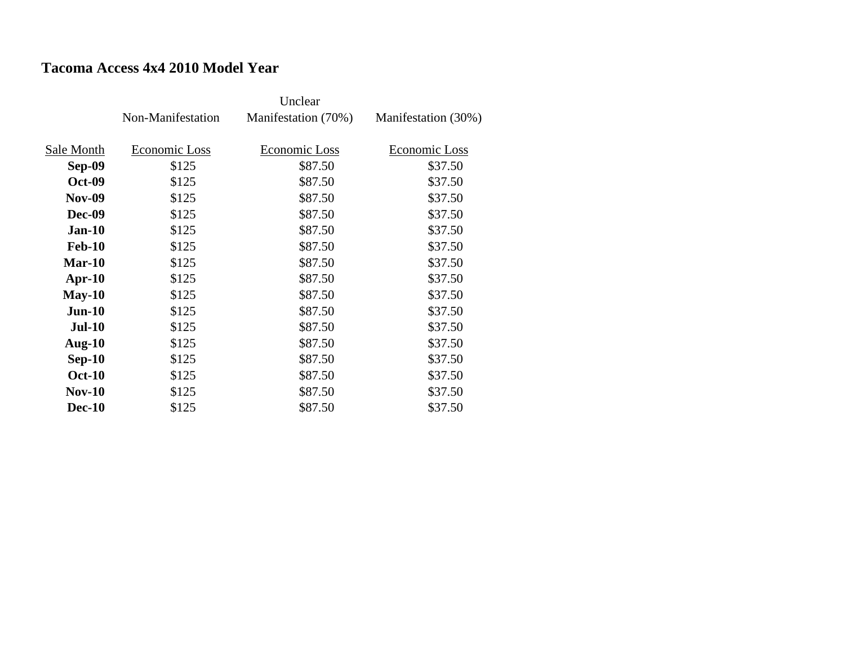## **Tacoma Access 4x4 2010 Model Year**

|               | Non-Manifestation | Manifestation (70%) | Manifestation (30%) |
|---------------|-------------------|---------------------|---------------------|
|               |                   |                     |                     |
| Sale Month    | Economic Loss     | Economic Loss       | Economic Loss       |
| Sep-09        | \$125             | \$87.50             | \$37.50             |
| <b>Oct-09</b> | \$125             | \$87.50             | \$37.50             |
| <b>Nov-09</b> | \$125             | \$87.50             | \$37.50             |
| <b>Dec-09</b> | \$125             | \$87.50             | \$37.50             |
| $Jan-10$      | \$125             | \$87.50             | \$37.50             |
| <b>Feb-10</b> | \$125             | \$87.50             | \$37.50             |
| Mar-10        | \$125             | \$87.50             | \$37.50             |
| $Apr-10$      | \$125             | \$87.50             | \$37.50             |
| $May-10$      | \$125             | \$87.50             | \$37.50             |
| $Jun-10$      | \$125             | \$87.50             | \$37.50             |
| <b>Jul-10</b> | \$125             | \$87.50             | \$37.50             |
| Aug- $10$     | \$125             | \$87.50             | \$37.50             |
| $Sep-10$      | \$125             | \$87.50             | \$37.50             |
| <b>Oct-10</b> | \$125             | \$87.50             | \$37.50             |
| <b>Nov-10</b> | \$125             | \$87.50             | \$37.50             |
| <b>Dec-10</b> | \$125             | \$87.50             | \$37.50             |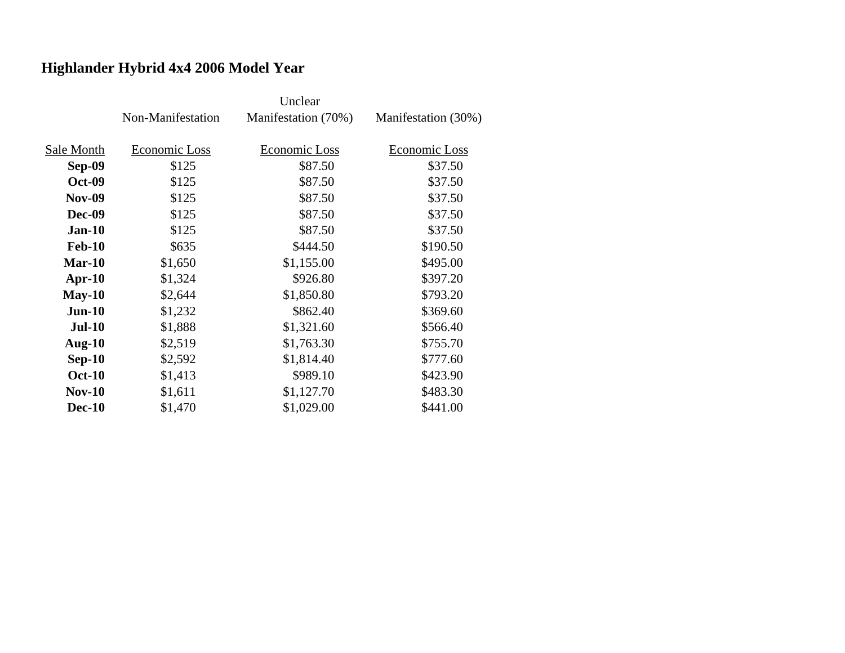# **Highlander Hybrid 4x4 2006 Model Year**

|               | Non-Manifestation | Manifestation (70%) | Manifestation (30%) |
|---------------|-------------------|---------------------|---------------------|
| Sale Month    | Economic Loss     | Economic Loss       | Economic Loss       |
| <b>Sep-09</b> | \$125             | \$87.50             | \$37.50             |
| <b>Oct-09</b> | \$125             | \$87.50             | \$37.50             |
| <b>Nov-09</b> | \$125             | \$87.50             | \$37.50             |
| <b>Dec-09</b> | \$125             | \$87.50             | \$37.50             |
| $Jan-10$      | \$125             | \$87.50             | \$37.50             |
| <b>Feb-10</b> | \$635             | \$444.50            | \$190.50            |
| $Mar-10$      | \$1,650           | \$1,155.00          | \$495.00            |
| $Apr-10$      | \$1,324           | \$926.80            | \$397.20            |
| $May-10$      | \$2,644           | \$1,850.80          | \$793.20            |
| $Jun-10$      | \$1,232           | \$862.40            | \$369.60            |
| <b>Jul-10</b> | \$1,888           | \$1,321.60          | \$566.40            |
| Aug- $10$     | \$2,519           | \$1,763.30          | \$755.70            |
| $Sep-10$      | \$2,592           | \$1,814.40          | \$777.60            |
| <b>Oct-10</b> | \$1,413           | \$989.10            | \$423.90            |
| <b>Nov-10</b> | \$1,611           | \$1,127.70          | \$483.30            |
| <b>Dec-10</b> | \$1,470           | \$1,029.00          | \$441.00            |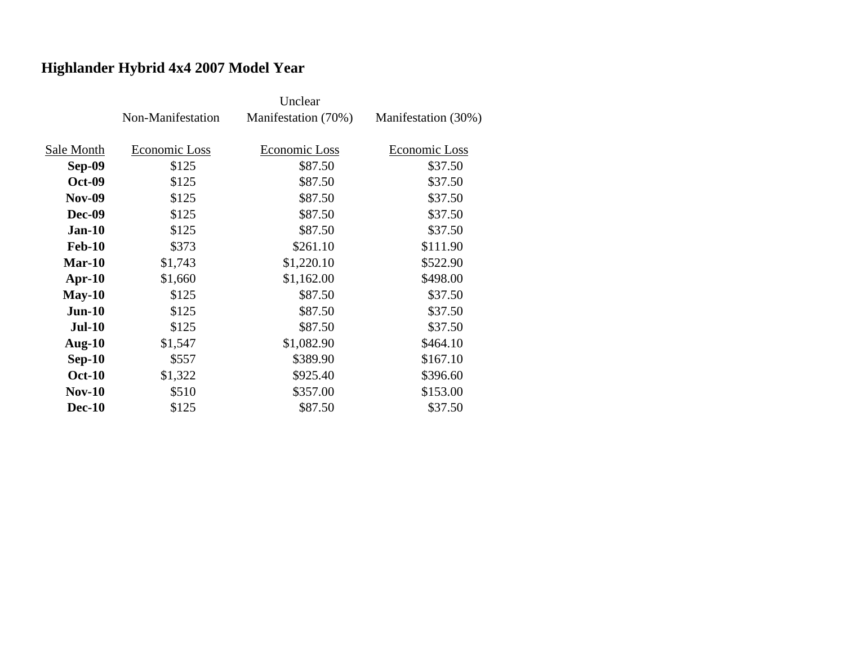# **Highlander Hybrid 4x4 2007 Model Year**

|               | Non-Manifestation | Manifestation (70%)  | Manifestation (30%) |
|---------------|-------------------|----------------------|---------------------|
| Sale Month    | Economic Loss     | <b>Economic Loss</b> | Economic Loss       |
|               |                   |                      |                     |
| <b>Sep-09</b> | \$125             | \$87.50              | \$37.50             |
| <b>Oct-09</b> | \$125             | \$87.50              | \$37.50             |
| <b>Nov-09</b> | \$125             | \$87.50              | \$37.50             |
| <b>Dec-09</b> | \$125             | \$87.50              | \$37.50             |
| $Jan-10$      | \$125             | \$87.50              | \$37.50             |
| <b>Feb-10</b> | \$373             | \$261.10             | \$111.90            |
| $Mar-10$      | \$1,743           | \$1,220.10           | \$522.90            |
| $Apr-10$      | \$1,660           | \$1,162.00           | \$498.00            |
| $May-10$      | \$125             | \$87.50              | \$37.50             |
| $Jun-10$      | \$125             | \$87.50              | \$37.50             |
| <b>Jul-10</b> | \$125             | \$87.50              | \$37.50             |
| Aug- $10$     | \$1,547           | \$1,082.90           | \$464.10            |
| $Sep-10$      | \$557             | \$389.90             | \$167.10            |
| <b>Oct-10</b> | \$1,322           | \$925.40             | \$396.60            |
| $Nov-10$      | \$510             | \$357.00             | \$153.00            |
| <b>Dec-10</b> | \$125             | \$87.50              | \$37.50             |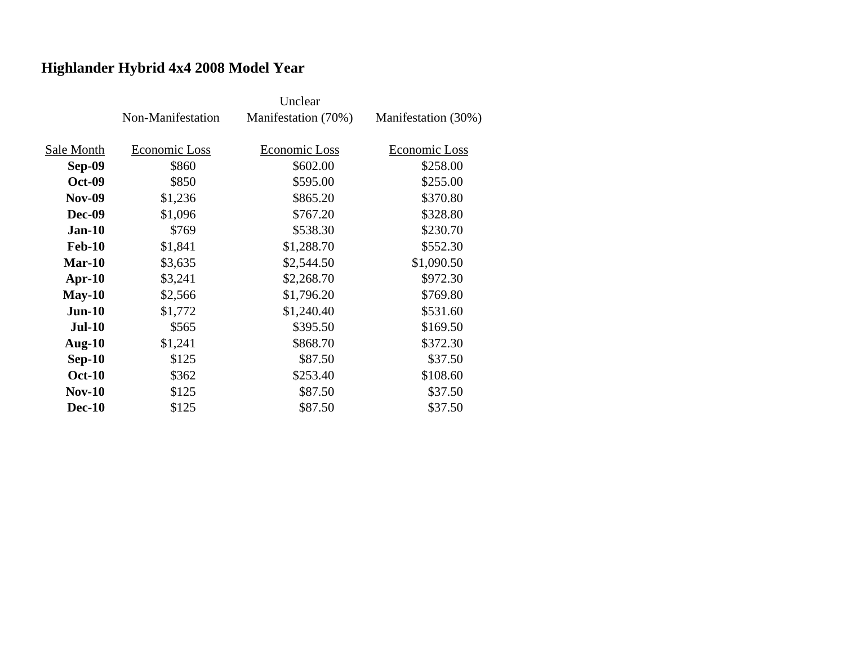# **Highlander Hybrid 4x4 2008 Model Year**

|               | Non-Manifestation | Manifestation (70%) | Manifestation (30%) |
|---------------|-------------------|---------------------|---------------------|
| Sale Month    | Economic Loss     | Economic Loss       |                     |
|               |                   |                     | Economic Loss       |
| <b>Sep-09</b> | \$860             | \$602.00            | \$258.00            |
| <b>Oct-09</b> | \$850             | \$595.00            | \$255.00            |
| <b>Nov-09</b> | \$1,236           | \$865.20            | \$370.80            |
| <b>Dec-09</b> | \$1,096           | \$767.20            | \$328.80            |
| $Jan-10$      | \$769             | \$538.30            | \$230.70            |
| <b>Feb-10</b> | \$1,841           | \$1,288.70          | \$552.30            |
| $Mar-10$      | \$3,635           | \$2,544.50          | \$1,090.50          |
| $Apr-10$      | \$3,241           | \$2,268.70          | \$972.30            |
| $May-10$      | \$2,566           | \$1,796.20          | \$769.80            |
| $Jun-10$      | \$1,772           | \$1,240.40          | \$531.60            |
| $Jul-10$      | \$565             | \$395.50            | \$169.50            |
| Aug- $10$     | \$1,241           | \$868.70            | \$372.30            |
| $Sep-10$      | \$125             | \$87.50             | \$37.50             |
| <b>Oct-10</b> | \$362             | \$253.40            | \$108.60            |
| $Nov-10$      | \$125             | \$87.50             | \$37.50             |
| <b>Dec-10</b> | \$125             | \$87.50             | \$37.50             |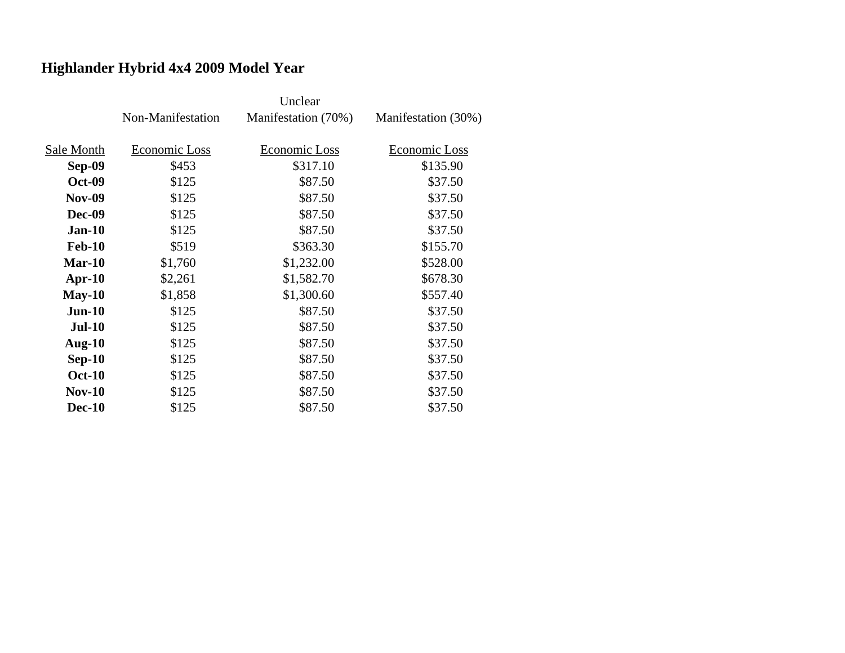# **Highlander Hybrid 4x4 2009 Model Year**

|               | Non-Manifestation | Manifestation (70%) | Manifestation (30%) |
|---------------|-------------------|---------------------|---------------------|
| Sale Month    | Economic Loss     | Economic Loss       | Economic Loss       |
| Sep-09        | \$453             | \$317.10            | \$135.90            |
| <b>Oct-09</b> | \$125             | \$87.50             | \$37.50             |
| <b>Nov-09</b> | \$125             | \$87.50             | \$37.50             |
| <b>Dec-09</b> | \$125             | \$87.50             | \$37.50             |
| $Jan-10$      | \$125             | \$87.50             | \$37.50             |
| <b>Feb-10</b> | \$519             | \$363.30            | \$155.70            |
| $Mar-10$      | \$1,760           | \$1,232.00          | \$528.00            |
| $Apr-10$      | \$2,261           | \$1,582.70          | \$678.30            |
| $May-10$      | \$1,858           | \$1,300.60          | \$557.40            |
| $Jun-10$      | \$125             | \$87.50             | \$37.50             |
| $Jul-10$      | \$125             | \$87.50             | \$37.50             |
| Aug- $10$     | \$125             | \$87.50             | \$37.50             |
| $Sep-10$      | \$125             | \$87.50             | \$37.50             |
| <b>Oct-10</b> | \$125             | \$87.50             | \$37.50             |
| <b>Nov-10</b> | \$125             | \$87.50             | \$37.50             |
| <b>Dec-10</b> | \$125             | \$87.50             | \$37.50             |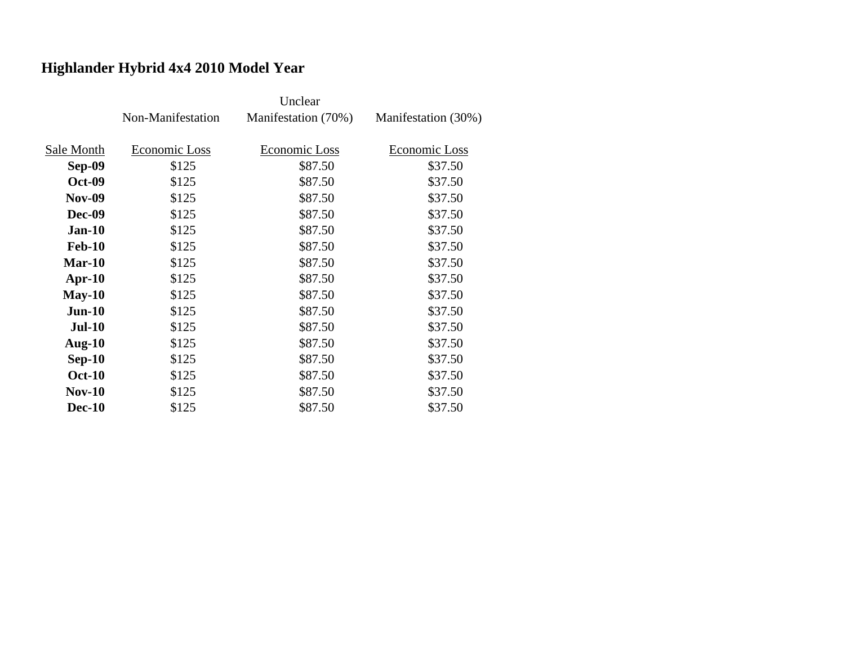# **Highlander Hybrid 4x4 2010 Model Year**

|               | Non-Manifestation | Manifestation (70%) | Manifestation (30%) |
|---------------|-------------------|---------------------|---------------------|
| Sale Month    | Economic Loss     | Economic Loss       | Economic Loss       |
| Sep-09        | \$125             | \$87.50             | \$37.50             |
| <b>Oct-09</b> | \$125             | \$87.50             | \$37.50             |
| <b>Nov-09</b> | \$125             | \$87.50             | \$37.50             |
| <b>Dec-09</b> | \$125             | \$87.50             | \$37.50             |
| $Jan-10$      | \$125             | \$87.50             | \$37.50             |
| <b>Feb-10</b> | \$125             | \$87.50             | \$37.50             |
| $Mar-10$      | \$125             | \$87.50             | \$37.50             |
| $Apr-10$      | \$125             | \$87.50             | \$37.50             |
| $May-10$      | \$125             | \$87.50             | \$37.50             |
| $Jun-10$      | \$125             | \$87.50             | \$37.50             |
| <b>Jul-10</b> | \$125             | \$87.50             | \$37.50             |
| Aug- $10$     | \$125             | \$87.50             | \$37.50             |
| $Sep-10$      | \$125             | \$87.50             | \$37.50             |
| <b>Oct-10</b> | \$125             | \$87.50             | \$37.50             |
| $Nov-10$      | \$125             | \$87.50             | \$37.50             |
| <b>Dec-10</b> | \$125             | \$87.50             | \$37.50             |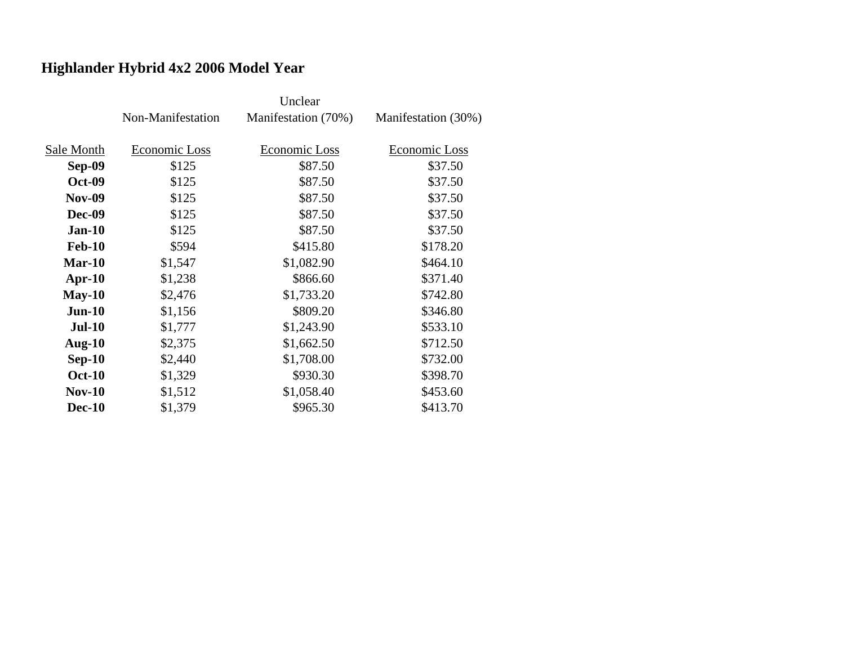# **Highlander Hybrid 4x2 2006 Model Year**

|               | Non-Manifestation | Manifestation (70%) | Manifestation (30%) |
|---------------|-------------------|---------------------|---------------------|
| Sale Month    | Economic Loss     | Economic Loss       | Economic Loss       |
| Sep-09        | \$125             | \$87.50             | \$37.50             |
| <b>Oct-09</b> | \$125             | \$87.50             | \$37.50             |
| <b>Nov-09</b> | \$125             | \$87.50             | \$37.50             |
| <b>Dec-09</b> | \$125             | \$87.50             | \$37.50             |
| $Jan-10$      | \$125             | \$87.50             | \$37.50             |
| <b>Feb-10</b> | \$594             | \$415.80            | \$178.20            |
| $Mar-10$      | \$1,547           | \$1,082.90          | \$464.10            |
| $Apr-10$      | \$1,238           | \$866.60            | \$371.40            |
| $May-10$      | \$2,476           | \$1,733.20          | \$742.80            |
| $Jun-10$      | \$1,156           | \$809.20            | \$346.80            |
| <b>Jul-10</b> | \$1,777           | \$1,243.90          | \$533.10            |
| Aug- $10$     | \$2,375           | \$1,662.50          | \$712.50            |
| $Sep-10$      | \$2,440           | \$1,708.00          | \$732.00            |
| <b>Oct-10</b> | \$1,329           | \$930.30            | \$398.70            |
| <b>Nov-10</b> | \$1,512           | \$1,058.40          | \$453.60            |
| <b>Dec-10</b> | \$1,379           | \$965.30            | \$413.70            |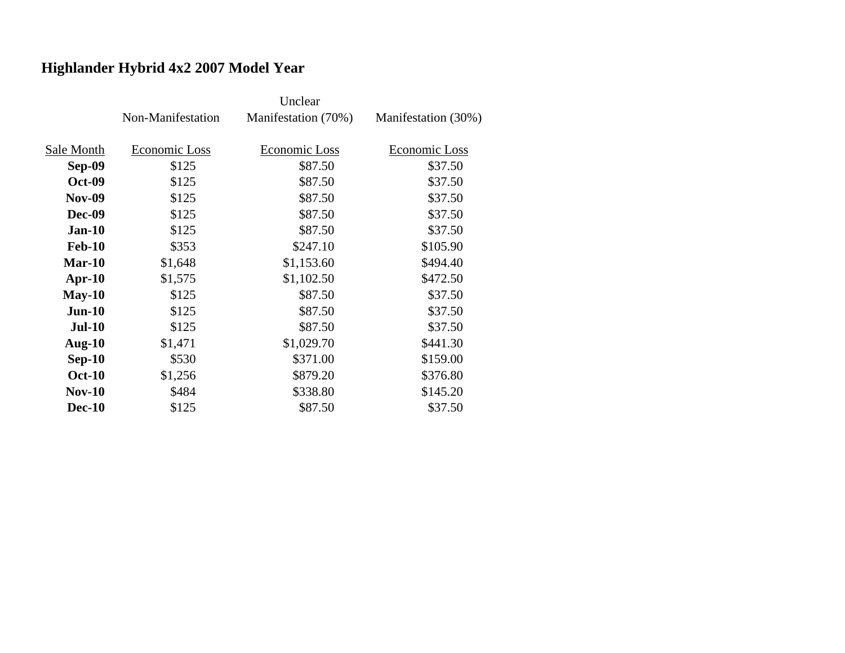# **Highlander Hybrid 4x2 2007 Model Year**

|               | Non-Manifestation | Manifestation (70%) | Manifestation (30%) |
|---------------|-------------------|---------------------|---------------------|
| Sale Month    | Economic Loss     | Economic Loss       | Economic Loss       |
| Sep-09        | \$125             | \$87.50             | \$37.50             |
| <b>Oct-09</b> | \$125             | \$87.50             | \$37.50             |
| <b>Nov-09</b> | \$125             | \$87.50             | \$37.50             |
| <b>Dec-09</b> | \$125             | \$87.50             | \$37.50             |
| $Jan-10$      | \$125             | \$87.50             | \$37.50             |
| <b>Feb-10</b> | \$353             | \$247.10            | \$105.90            |
| $Mar-10$      | \$1,648           | \$1,153.60          | \$494.40            |
| $Apr-10$      | \$1,575           | \$1,102.50          | \$472.50            |
| $May-10$      | \$125             | \$87.50             | \$37.50             |
| $Jun-10$      | \$125             | \$87.50             | \$37.50             |
| $Jul-10$      | \$125             | \$87.50             | \$37.50             |
| Aug- $10$     | \$1,471           | \$1,029.70          | \$441.30            |
| $Sep-10$      | \$530             | \$371.00            | \$159.00            |
| <b>Oct-10</b> | \$1,256           | \$879.20            | \$376.80            |
| $Nov-10$      | \$484             | \$338.80            | \$145.20            |
| <b>Dec-10</b> | \$125             | \$87.50             | \$37.50             |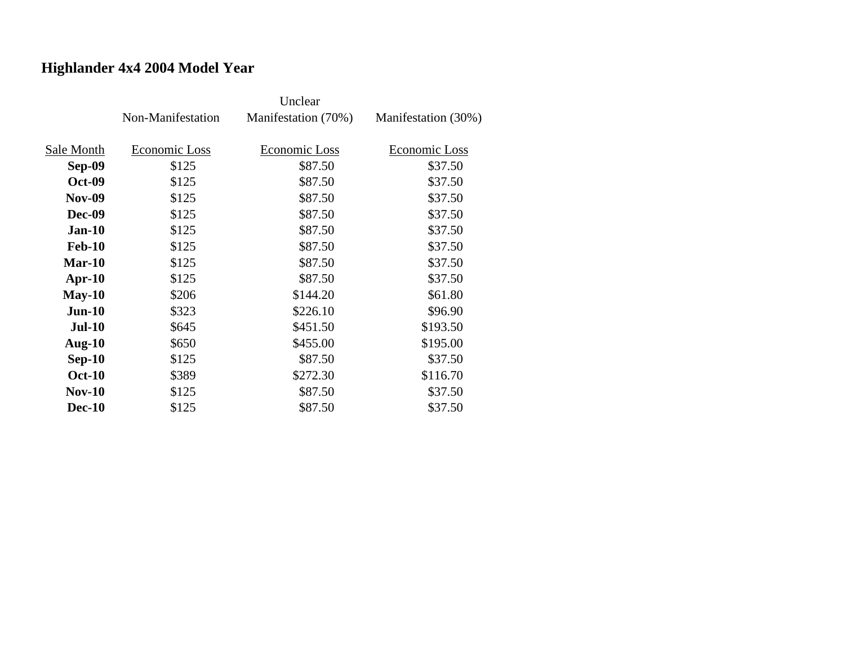## **Highlander 4x4 2004 Model Year**

|               | Non-Manifestation | Manifestation (70%) | Manifestation (30%) |
|---------------|-------------------|---------------------|---------------------|
|               |                   |                     |                     |
| Sale Month    | Economic Loss     | Economic Loss       | Economic Loss       |
| <b>Sep-09</b> | \$125             | \$87.50             | \$37.50             |
| <b>Oct-09</b> | \$125             | \$87.50             | \$37.50             |
| <b>Nov-09</b> | \$125             | \$87.50             | \$37.50             |
| <b>Dec-09</b> | \$125             | \$87.50             | \$37.50             |
| $Jan-10$      | \$125             | \$87.50             | \$37.50             |
| <b>Feb-10</b> | \$125             | \$87.50             | \$37.50             |
| $Mar-10$      | \$125             | \$87.50             | \$37.50             |
| $Apr-10$      | \$125             | \$87.50             | \$37.50             |
| $May-10$      | \$206             | \$144.20            | \$61.80             |
| $Jun-10$      | \$323             | \$226.10            | \$96.90             |
| <b>Jul-10</b> | \$645             | \$451.50            | \$193.50            |
| Aug- $10$     | \$650             | \$455.00            | \$195.00            |
| $Sep-10$      | \$125             | \$87.50             | \$37.50             |
| <b>Oct-10</b> | \$389             | \$272.30            | \$116.70            |
| $Nov-10$      | \$125             | \$87.50             | \$37.50             |
| <b>Dec-10</b> | \$125             | \$87.50             | \$37.50             |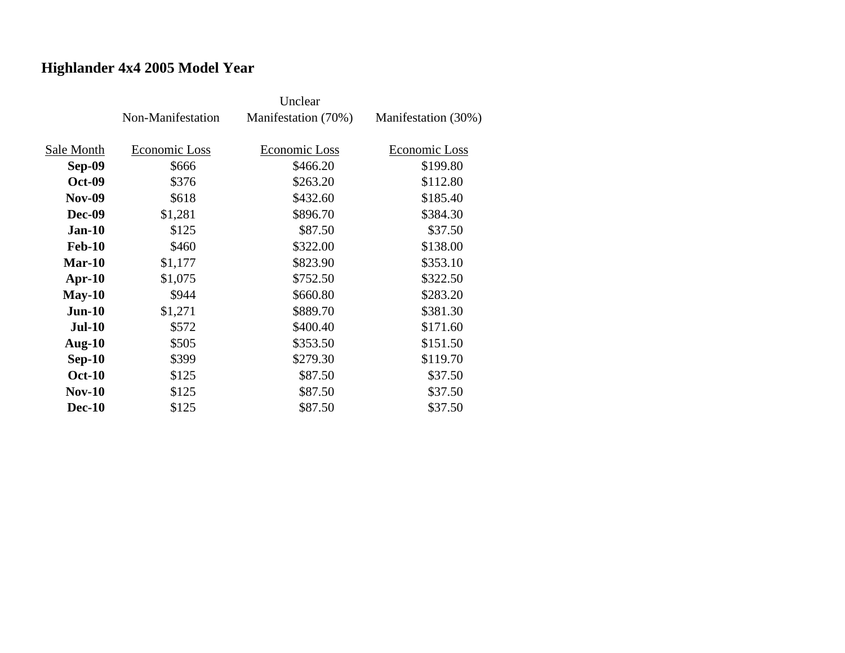## **Highlander 4x4 2005 Model Year**

|               | Non-Manifestation | Manifestation (70%) | Manifestation (30%) |
|---------------|-------------------|---------------------|---------------------|
| Sale Month    | Economic Loss     | Economic Loss       | Economic Loss       |
| Sep-09        | \$666             | \$466.20            | \$199.80            |
| <b>Oct-09</b> | \$376             | \$263.20            | \$112.80            |
| <b>Nov-09</b> | \$618             | \$432.60            | \$185.40            |
| <b>Dec-09</b> | \$1,281           | \$896.70            | \$384.30            |
| $Jan-10$      | \$125             | \$87.50             | \$37.50             |
| <b>Feb-10</b> | \$460             | \$322.00            | \$138.00            |
| $Mar-10$      | \$1,177           | \$823.90            | \$353.10            |
| $Apr-10$      | \$1,075           | \$752.50            | \$322.50            |
| $May-10$      | \$944             | \$660.80            | \$283.20            |
| $Jun-10$      | \$1,271           | \$889.70            | \$381.30            |
| <b>Jul-10</b> | \$572             | \$400.40            | \$171.60            |
| Aug- $10$     | \$505             | \$353.50            | \$151.50            |
| $Sep-10$      | \$399             | \$279.30            | \$119.70            |
| <b>Oct-10</b> | \$125             | \$87.50             | \$37.50             |
| $Nov-10$      | \$125             | \$87.50             | \$37.50             |
| <b>Dec-10</b> | \$125             | \$87.50             | \$37.50             |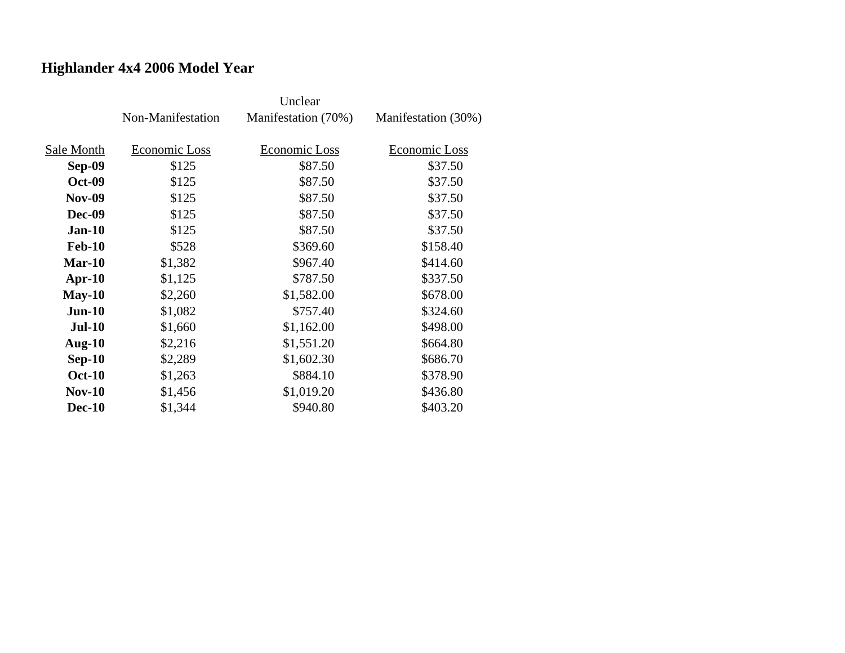## **Highlander 4x4 2006 Model Year**

|               | Non-Manifestation | Manifestation (70%) | Manifestation (30%) |
|---------------|-------------------|---------------------|---------------------|
| Sale Month    | Economic Loss     | Economic Loss       | Economic Loss       |
| Sep-09        | \$125             | \$87.50             | \$37.50             |
| <b>Oct-09</b> | \$125             | \$87.50             | \$37.50             |
| <b>Nov-09</b> | \$125             | \$87.50             | \$37.50             |
| <b>Dec-09</b> | \$125             | \$87.50             | \$37.50             |
| $Jan-10$      | \$125             | \$87.50             | \$37.50             |
| <b>Feb-10</b> | \$528             | \$369.60            | \$158.40            |
| $Mar-10$      | \$1,382           | \$967.40            | \$414.60            |
| $Apr-10$      | \$1,125           | \$787.50            | \$337.50            |
| $May-10$      | \$2,260           | \$1,582.00          | \$678.00            |
| $Jun-10$      | \$1,082           | \$757.40            | \$324.60            |
| <b>Jul-10</b> | \$1,660           | \$1,162.00          | \$498.00            |
| Aug- $10$     | \$2,216           | \$1,551.20          | \$664.80            |
| $Sep-10$      | \$2,289           | \$1,602.30          | \$686.70            |
| <b>Oct-10</b> | \$1,263           | \$884.10            | \$378.90            |
| <b>Nov-10</b> | \$1,456           | \$1,019.20          | \$436.80            |
| <b>Dec-10</b> | \$1,344           | \$940.80            | \$403.20            |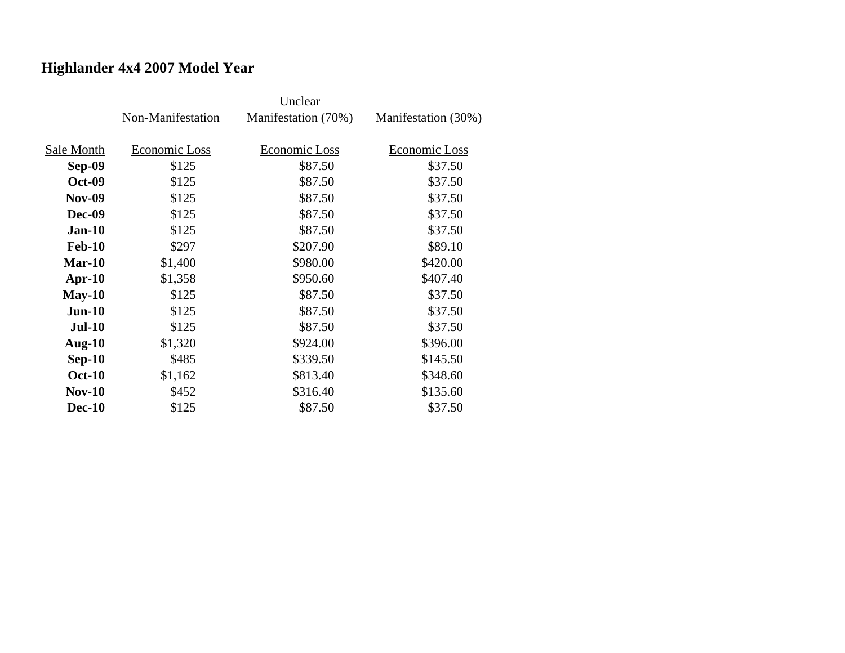## **Highlander 4x4 2007 Model Year**

|               | Non-Manifestation | Manifestation (70%)  | Manifestation (30%) |
|---------------|-------------------|----------------------|---------------------|
| Sale Month    | Economic Loss     | <b>Economic Loss</b> | Economic Loss       |
| Sep-09        | \$125             | \$87.50              | \$37.50             |
| <b>Oct-09</b> | \$125             | \$87.50              | \$37.50             |
| <b>Nov-09</b> | \$125             | \$87.50              | \$37.50             |
| <b>Dec-09</b> | \$125             | \$87.50              | \$37.50             |
| $Jan-10$      | \$125             | \$87.50              | \$37.50             |
| <b>Feb-10</b> | \$297             | \$207.90             | \$89.10             |
| $Mar-10$      |                   |                      |                     |
|               | \$1,400           | \$980.00             | \$420.00            |
| $Apr-10$      | \$1,358           | \$950.60             | \$407.40            |
| $May-10$      | \$125             | \$87.50              | \$37.50             |
| $Jun-10$      | \$125             | \$87.50              | \$37.50             |
| <b>Jul-10</b> | \$125             | \$87.50              | \$37.50             |
| Aug- $10$     | \$1,320           | \$924.00             | \$396.00            |
| $Sep-10$      | \$485             | \$339.50             | \$145.50            |
| <b>Oct-10</b> | \$1,162           | \$813.40             | \$348.60            |
| $Nov-10$      | \$452             | \$316.40             | \$135.60            |
| <b>Dec-10</b> | \$125             | \$87.50              | \$37.50             |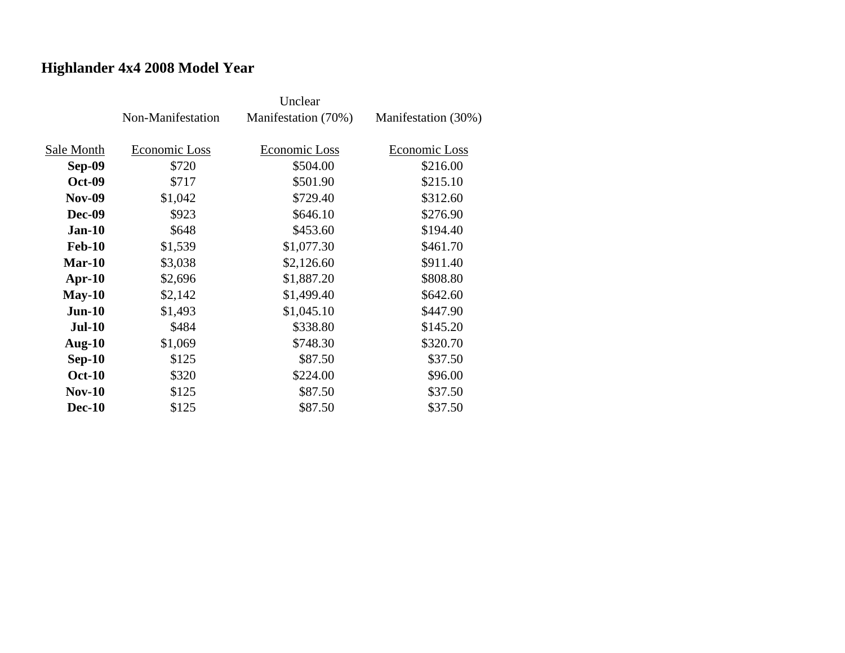## **Highlander 4x4 2008 Model Year**

|               | Non-Manifestation | Manifestation (70%) | Manifestation (30%) |
|---------------|-------------------|---------------------|---------------------|
|               |                   |                     |                     |
| Sale Month    | Economic Loss     | Economic Loss       | Economic Loss       |
| <b>Sep-09</b> | \$720             | \$504.00            | \$216.00            |
| <b>Oct-09</b> | \$717             | \$501.90            | \$215.10            |
| <b>Nov-09</b> | \$1,042           | \$729.40            | \$312.60            |
| <b>Dec-09</b> | \$923             | \$646.10            | \$276.90            |
| <b>Jan-10</b> | \$648             | \$453.60            | \$194.40            |
| <b>Feb-10</b> | \$1,539           | \$1,077.30          | \$461.70            |
| $Mar-10$      | \$3,038           | \$2,126.60          | \$911.40            |
| $Apr-10$      | \$2,696           | \$1,887.20          | \$808.80            |
| $May-10$      | \$2,142           | \$1,499.40          | \$642.60            |
| $Jun-10$      | \$1,493           | \$1,045.10          | \$447.90            |
| <b>Jul-10</b> | \$484             | \$338.80            | \$145.20            |
| Aug- $10$     | \$1,069           | \$748.30            | \$320.70            |
| $Sep-10$      | \$125             | \$87.50             | \$37.50             |
| <b>Oct-10</b> | \$320             | \$224.00            | \$96.00             |
| <b>Nov-10</b> | \$125             | \$87.50             | \$37.50             |
| <b>Dec-10</b> | \$125             | \$87.50             | \$37.50             |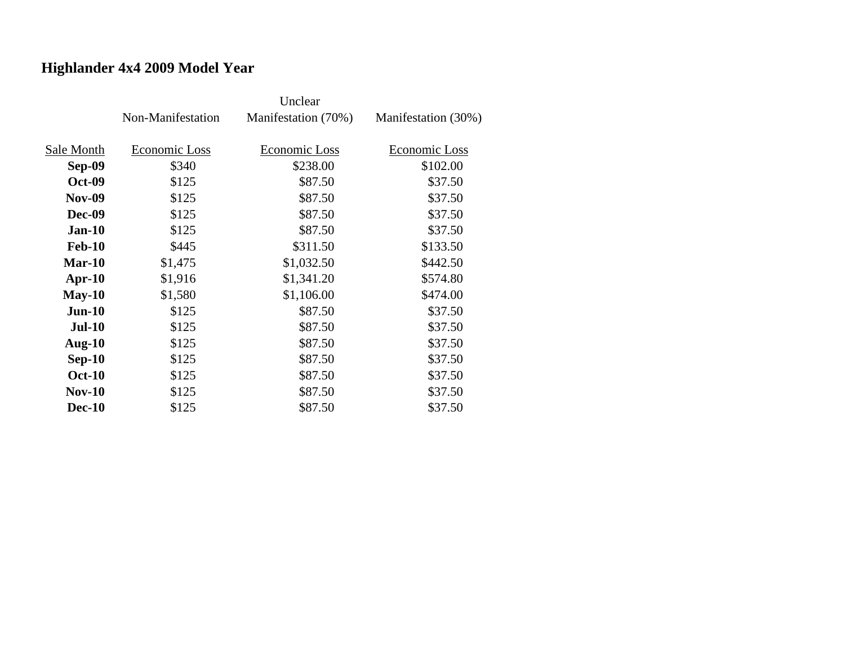## **Highlander 4x4 2009 Model Year**

|               | Non-Manifestation | Manifestation (70%) | Manifestation (30%) |
|---------------|-------------------|---------------------|---------------------|
| Sale Month    | Economic Loss     | Economic Loss       | Economic Loss       |
| <b>Sep-09</b> | \$340             | \$238.00            | \$102.00            |
| <b>Oct-09</b> | \$125             | \$87.50             | \$37.50             |
| <b>Nov-09</b> | \$125             | \$87.50             | \$37.50             |
| <b>Dec-09</b> | \$125             | \$87.50             | \$37.50             |
| $Jan-10$      | \$125             | \$87.50             | \$37.50             |
| <b>Feb-10</b> | \$445             | \$311.50            | \$133.50            |
| $Mar-10$      | \$1,475           | \$1,032.50          | \$442.50            |
| $Apr-10$      | \$1,916           | \$1,341.20          | \$574.80            |
| $May-10$      | \$1,580           | \$1,106.00          | \$474.00            |
| $Jun-10$      | \$125             | \$87.50             | \$37.50             |
| <b>Jul-10</b> | \$125             | \$87.50             | \$37.50             |
| Aug- $10$     | \$125             | \$87.50             | \$37.50             |
| $Sep-10$      | \$125             | \$87.50             | \$37.50             |
| <b>Oct-10</b> | \$125             | \$87.50             | \$37.50             |
| <b>Nov-10</b> | \$125             | \$87.50             | \$37.50             |
| <b>Dec-10</b> | \$125             | \$87.50             | \$37.50             |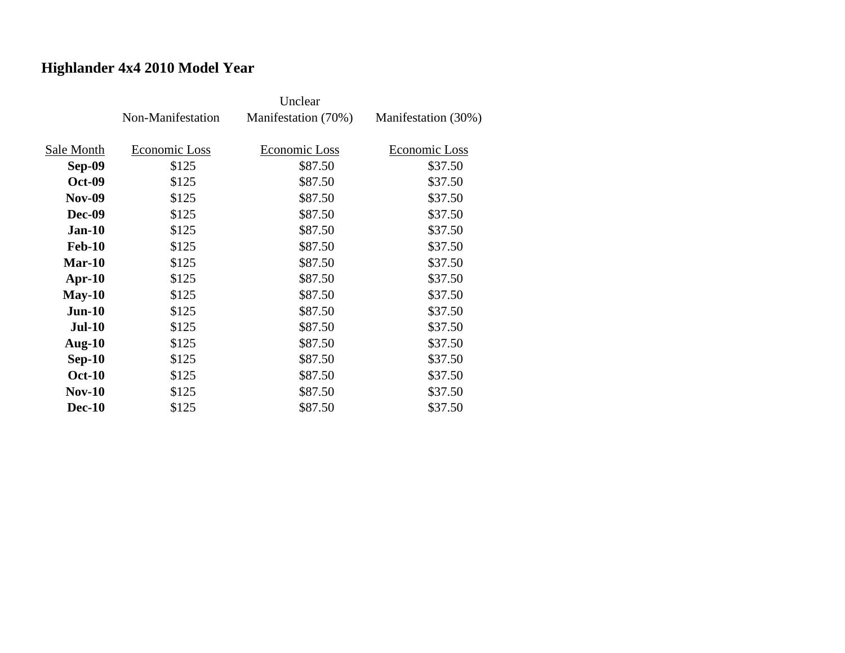## **Highlander 4x4 2010 Model Year**

|               | Non-Manifestation | Manifestation (70%) | Manifestation (30%) |
|---------------|-------------------|---------------------|---------------------|
|               |                   |                     |                     |
| Sale Month    | Economic Loss     | Economic Loss       | Economic Loss       |
| Sep-09        | \$125             | \$87.50             | \$37.50             |
| <b>Oct-09</b> | \$125             | \$87.50             | \$37.50             |
| <b>Nov-09</b> | \$125             | \$87.50             | \$37.50             |
| <b>Dec-09</b> | \$125             | \$87.50             | \$37.50             |
| $Jan-10$      | \$125             | \$87.50             | \$37.50             |
| <b>Feb-10</b> | \$125             | \$87.50             | \$37.50             |
| $Mar-10$      | \$125             | \$87.50             | \$37.50             |
| $Apr-10$      | \$125             | \$87.50             | \$37.50             |
| $May-10$      | \$125             | \$87.50             | \$37.50             |
| $Jun-10$      | \$125             | \$87.50             | \$37.50             |
| <b>Jul-10</b> | \$125             | \$87.50             | \$37.50             |
| Aug- $10$     | \$125             | \$87.50             | \$37.50             |
| $Sep-10$      | \$125             | \$87.50             | \$37.50             |
| <b>Oct-10</b> | \$125             | \$87.50             | \$37.50             |
| $Nov-10$      | \$125             | \$87.50             | \$37.50             |
| <b>Dec-10</b> | \$125             | \$87.50             | \$37.50             |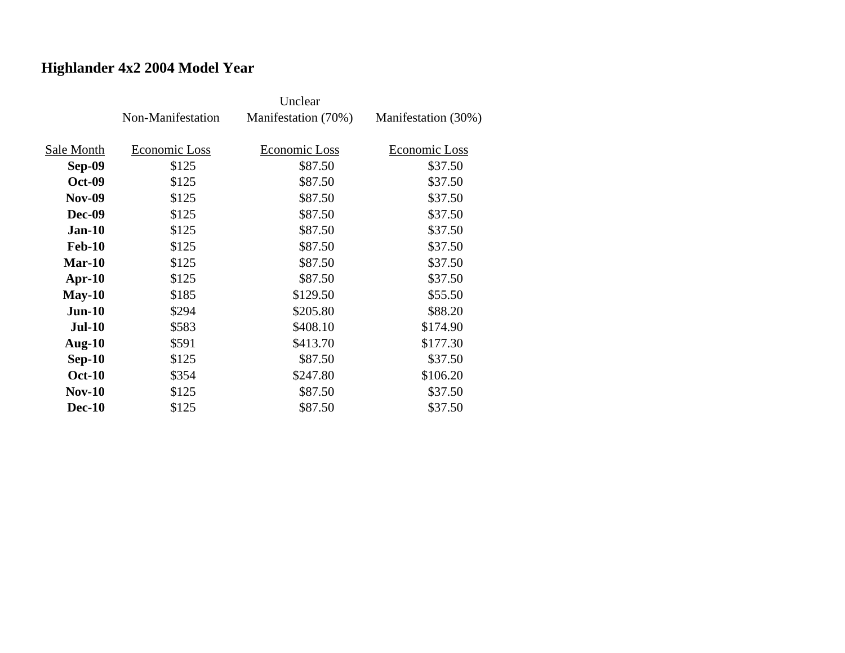## **Highlander 4x2 2004 Model Year**

|               | Non-Manifestation | Manifestation (70%) | Manifestation (30%) |
|---------------|-------------------|---------------------|---------------------|
|               |                   |                     |                     |
| Sale Month    | Economic Loss     | Economic Loss       | Economic Loss       |
| Sep-09        | \$125             | \$87.50             | \$37.50             |
| <b>Oct-09</b> | \$125             | \$87.50             | \$37.50             |
| <b>Nov-09</b> | \$125             | \$87.50             | \$37.50             |
| <b>Dec-09</b> | \$125             | \$87.50             | \$37.50             |
| $Jan-10$      | \$125             | \$87.50             | \$37.50             |
| <b>Feb-10</b> | \$125             | \$87.50             | \$37.50             |
| $Mar-10$      | \$125             | \$87.50             | \$37.50             |
| $Apr-10$      | \$125             | \$87.50             | \$37.50             |
| $May-10$      | \$185             | \$129.50            | \$55.50             |
| $Jun-10$      | \$294             | \$205.80            | \$88.20             |
| <b>Jul-10</b> | \$583             | \$408.10            | \$174.90            |
| Aug- $10$     | \$591             | \$413.70            | \$177.30            |
| $Sep-10$      | \$125             | \$87.50             | \$37.50             |
| <b>Oct-10</b> | \$354             | \$247.80            | \$106.20            |
| $Nov-10$      | \$125             | \$87.50             | \$37.50             |
| <b>Dec-10</b> | \$125             | \$87.50             | \$37.50             |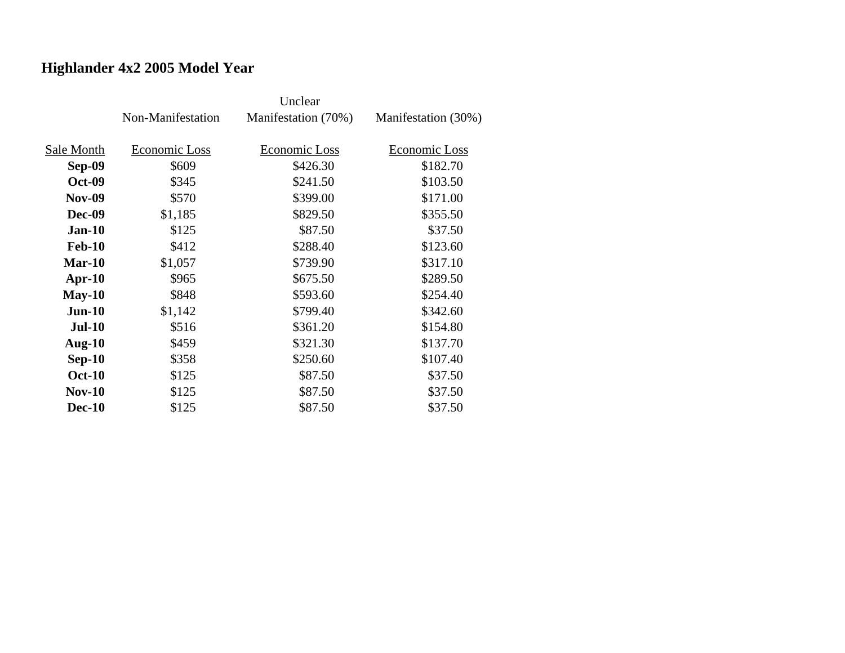## **Highlander 4x2 2005 Model Year**

|               | Non-Manifestation | Manifestation (70%) | Manifestation (30%) |
|---------------|-------------------|---------------------|---------------------|
| Sale Month    | Economic Loss     | Economic Loss       | Economic Loss       |
| <b>Sep-09</b> | \$609             | \$426.30            | \$182.70            |
| <b>Oct-09</b> | \$345             | \$241.50            | \$103.50            |
| <b>Nov-09</b> | \$570             | \$399.00            | \$171.00            |
| <b>Dec-09</b> | \$1,185           | \$829.50            | \$355.50            |
| $Jan-10$      | \$125             | \$87.50             | \$37.50             |
| <b>Feb-10</b> | \$412             | \$288.40            | \$123.60            |
| $Mar-10$      | \$1,057           | \$739.90            | \$317.10            |
| $Apr-10$      | \$965             | \$675.50            | \$289.50            |
| $May-10$      | \$848             | \$593.60            | \$254.40            |
| $Jun-10$      | \$1,142           | \$799.40            | \$342.60            |
| <b>Jul-10</b> | \$516             | \$361.20            | \$154.80            |
| Aug- $10$     | \$459             | \$321.30            | \$137.70            |
| $Sep-10$      | \$358             | \$250.60            | \$107.40            |
| <b>Oct-10</b> | \$125             | \$87.50             | \$37.50             |
| $Nov-10$      | \$125             | \$87.50             | \$37.50             |
| <b>Dec-10</b> | \$125             | \$87.50             | \$37.50             |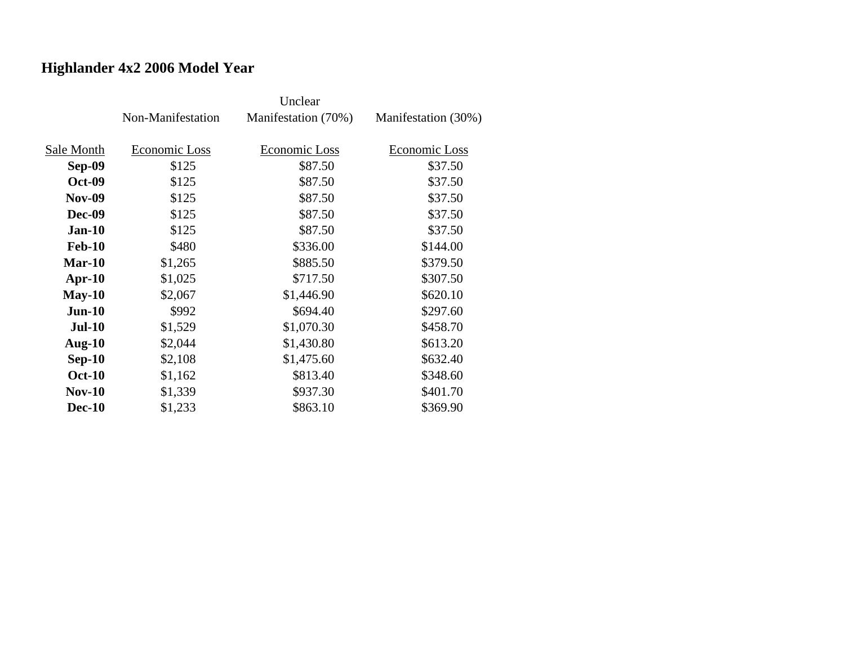## **Highlander 4x2 2006 Model Year**

|               | Non-Manifestation | Manifestation (70%) | Manifestation (30%) |
|---------------|-------------------|---------------------|---------------------|
| Sale Month    | Economic Loss     | Economic Loss       | Economic Loss       |
| <b>Sep-09</b> | \$125             | \$87.50             | \$37.50             |
| <b>Oct-09</b> | \$125             | \$87.50             | \$37.50             |
| <b>Nov-09</b> | \$125             | \$87.50             | \$37.50             |
| <b>Dec-09</b> | \$125             | \$87.50             | \$37.50             |
| $Jan-10$      | \$125             | \$87.50             | \$37.50             |
| <b>Feb-10</b> | \$480             | \$336.00            | \$144.00            |
| $Mar-10$      | \$1,265           | \$885.50            | \$379.50            |
| $Apr-10$      | \$1,025           | \$717.50            | \$307.50            |
| $May-10$      | \$2,067           | \$1,446.90          | \$620.10            |
| $Jun-10$      | \$992             | \$694.40            | \$297.60            |
| <b>Jul-10</b> | \$1,529           | \$1,070.30          | \$458.70            |
| Aug- $10$     | \$2,044           | \$1,430.80          | \$613.20            |
| $Sep-10$      | \$2,108           | \$1,475.60          | \$632.40            |
| <b>Oct-10</b> | \$1,162           | \$813.40            | \$348.60            |
| <b>Nov-10</b> | \$1,339           | \$937.30            | \$401.70            |
| <b>Dec-10</b> | \$1,233           | \$863.10            | \$369.90            |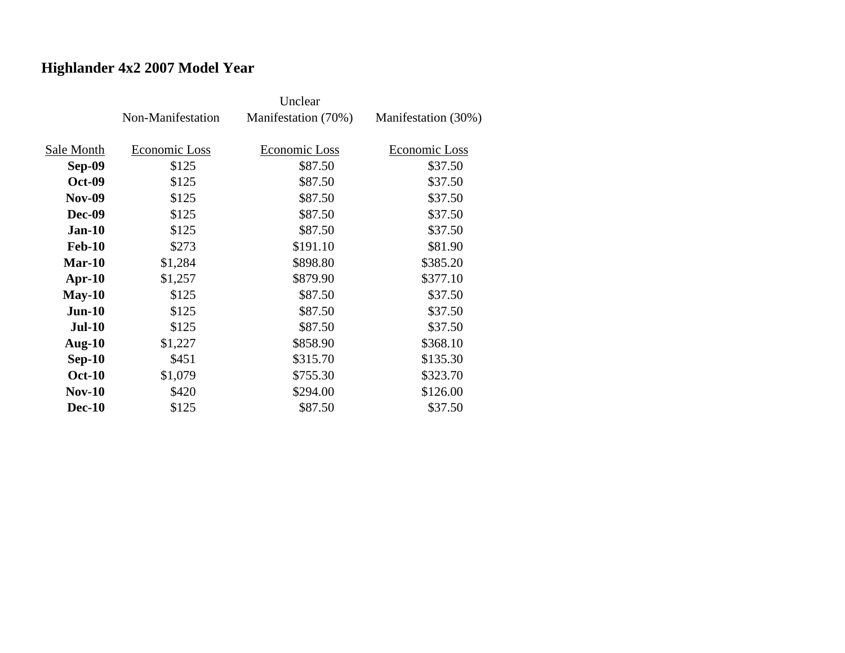## **Highlander 4x2 2007 Model Year**

|               | Non-Manifestation | Manifestation (70%)  | Manifestation (30%) |
|---------------|-------------------|----------------------|---------------------|
| Sale Month    | Economic Loss     | <b>Economic Loss</b> | Economic Loss       |
| Sep-09        | \$125             | \$87.50              | \$37.50             |
| <b>Oct-09</b> | \$125             | \$87.50              | \$37.50             |
| <b>Nov-09</b> | \$125             | \$87.50              | \$37.50             |
| <b>Dec-09</b> | \$125             | \$87.50              | \$37.50             |
| $Jan-10$      | \$125             | \$87.50              | \$37.50             |
| <b>Feb-10</b> | \$273             | \$191.10             | \$81.90             |
| $Mar-10$      | \$1,284           | \$898.80             | \$385.20            |
| $Apr-10$      | \$1,257           | \$879.90             | \$377.10            |
| $May-10$      | \$125             | \$87.50              | \$37.50             |
| $Jun-10$      | \$125             | \$87.50              | \$37.50             |
| <b>Jul-10</b> | \$125             | \$87.50              | \$37.50             |
| Aug- $10$     | \$1,227           | \$858.90             | \$368.10            |
| $Sep-10$      | \$451             | \$315.70             | \$135.30            |
| <b>Oct-10</b> | \$1,079           | \$755.30             | \$323.70            |
| $Nov-10$      | \$420             | \$294.00             | \$126.00            |
| <b>Dec-10</b> | \$125             | \$87.50              | \$37.50             |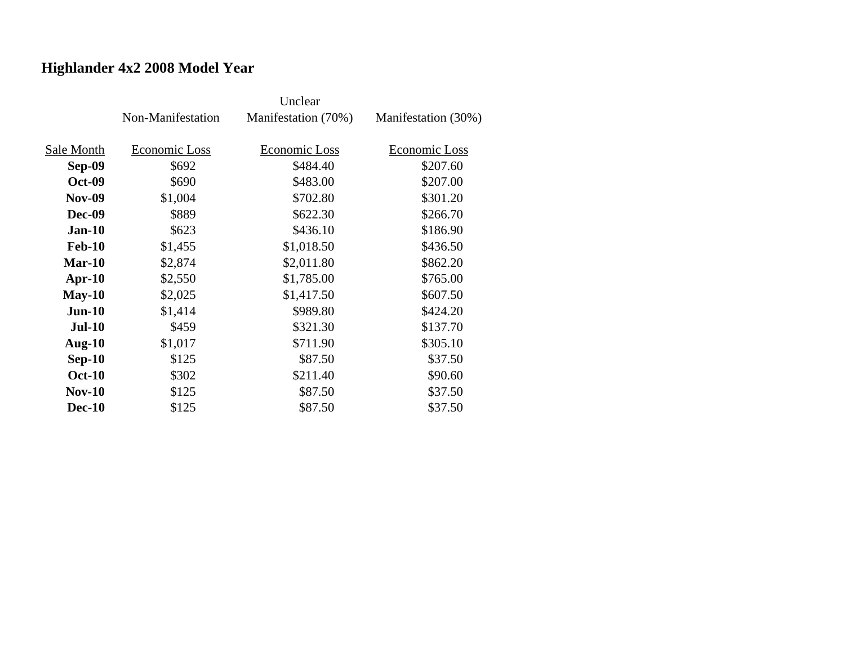## **Highlander 4x2 2008 Model Year**

|               | Non-Manifestation | Manifestation (70%) | Manifestation (30%) |
|---------------|-------------------|---------------------|---------------------|
|               |                   |                     |                     |
| Sale Month    | Economic Loss     | Economic Loss       | Economic Loss       |
| Sep-09        | \$692             | \$484.40            | \$207.60            |
| <b>Oct-09</b> | \$690             | \$483.00            | \$207.00            |
| <b>Nov-09</b> | \$1,004           | \$702.80            | \$301.20            |
| <b>Dec-09</b> | \$889             | \$622.30            | \$266.70            |
| $Jan-10$      | \$623             | \$436.10            | \$186.90            |
| <b>Feb-10</b> | \$1,455           | \$1,018.50          | \$436.50            |
| $Mar-10$      | \$2,874           | \$2,011.80          | \$862.20            |
| $Apr-10$      | \$2,550           | \$1,785.00          | \$765.00            |
| $May-10$      | \$2,025           | \$1,417.50          | \$607.50            |
| $Jun-10$      | \$1,414           | \$989.80            | \$424.20            |
| <b>Jul-10</b> | \$459             | \$321.30            | \$137.70            |
| Aug- $10$     | \$1,017           | \$711.90            | \$305.10            |
| $Sep-10$      | \$125             | \$87.50             | \$37.50             |
| <b>Oct-10</b> | \$302             | \$211.40            | \$90.60             |
| $Nov-10$      | \$125             | \$87.50             | \$37.50             |
| <b>Dec-10</b> | \$125             | \$87.50             | \$37.50             |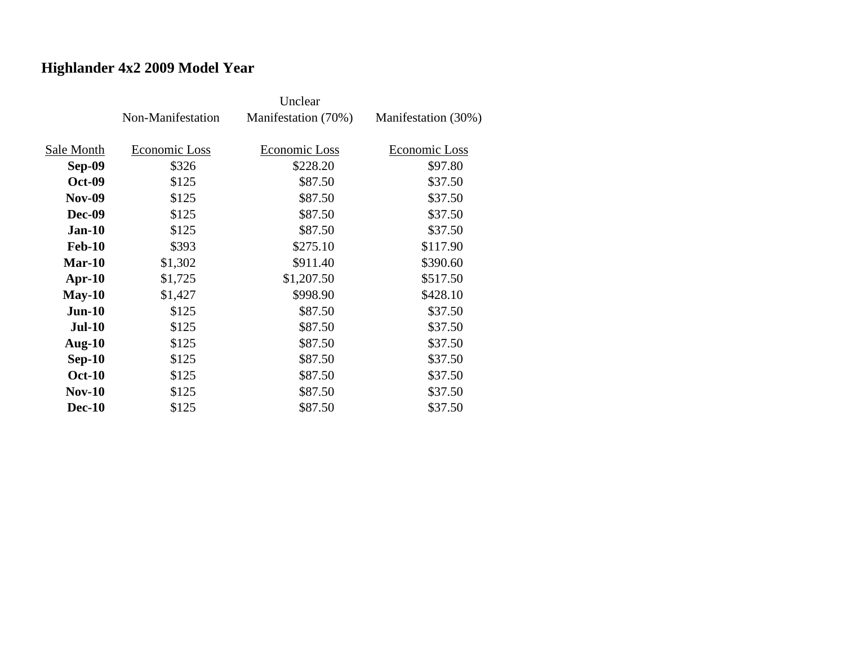## **Highlander 4x2 2009 Model Year**

|               | Non-Manifestation | Manifestation (70%) | Manifestation (30%) |
|---------------|-------------------|---------------------|---------------------|
| Sale Month    | Economic Loss     | Economic Loss       | Economic Loss       |
| <b>Sep-09</b> | \$326             | \$228.20            | \$97.80             |
| <b>Oct-09</b> | \$125             | \$87.50             | \$37.50             |
| <b>Nov-09</b> | \$125             | \$87.50             | \$37.50             |
| <b>Dec-09</b> | \$125             | \$87.50             | \$37.50             |
| $Jan-10$      | \$125             | \$87.50             | \$37.50             |
| <b>Feb-10</b> | \$393             | \$275.10            | \$117.90            |
| $Mar-10$      | \$1,302           | \$911.40            | \$390.60            |
| $Apr-10$      | \$1,725           | \$1,207.50          | \$517.50            |
| $May-10$      | \$1,427           | \$998.90            | \$428.10            |
| $Jun-10$      | \$125             | \$87.50             | \$37.50             |
| <b>Jul-10</b> | \$125             | \$87.50             | \$37.50             |
| Aug- $10$     | \$125             | \$87.50             | \$37.50             |
| $Sep-10$      | \$125             | \$87.50             | \$37.50             |
| <b>Oct-10</b> | \$125             | \$87.50             | \$37.50             |
| $Nov-10$      | \$125             | \$87.50             | \$37.50             |
| <b>Dec-10</b> | \$125             | \$87.50             | \$37.50             |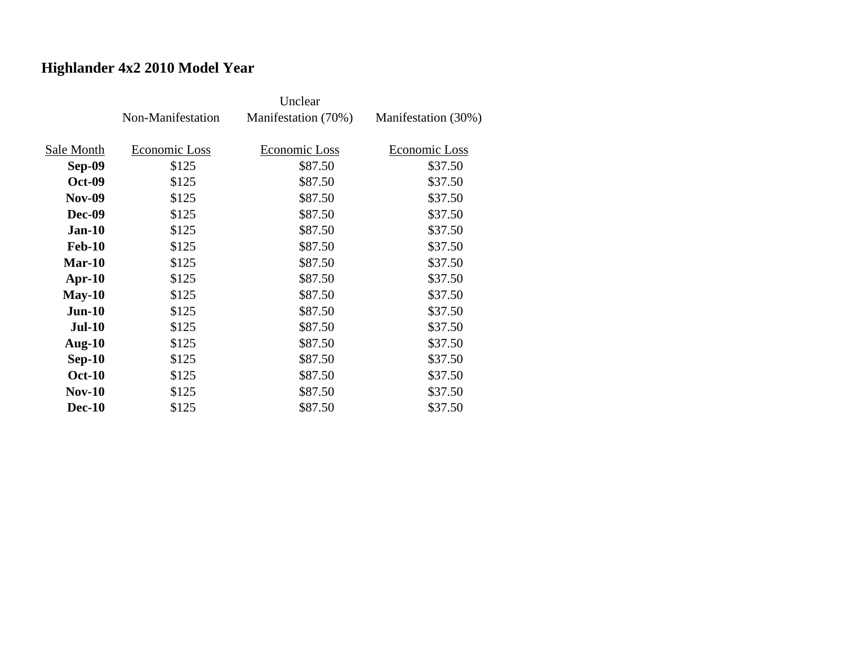## **Highlander 4x2 2010 Model Year**

|               | Non-Manifestation | Manifestation (70%) | Manifestation (30%) |
|---------------|-------------------|---------------------|---------------------|
| Sale Month    | Economic Loss     | Economic Loss       | Economic Loss       |
| Sep-09        | \$125             | \$87.50             | \$37.50             |
| <b>Oct-09</b> | \$125             | \$87.50             | \$37.50             |
| <b>Nov-09</b> | \$125             | \$87.50             | \$37.50             |
| <b>Dec-09</b> | \$125             | \$87.50             | \$37.50             |
| $Jan-10$      | \$125             | \$87.50             | \$37.50             |
| <b>Feb-10</b> | \$125             | \$87.50             | \$37.50             |
| $Mar-10$      | \$125             | \$87.50             | \$37.50             |
| $Apr-10$      | \$125             | \$87.50             | \$37.50             |
| $May-10$      | \$125             | \$87.50             | \$37.50             |
| $Jun-10$      | \$125             | \$87.50             | \$37.50             |
| <b>Jul-10</b> | \$125             | \$87.50             | \$37.50             |
| Aug- $10$     | \$125             | \$87.50             | \$37.50             |
| $Sep-10$      | \$125             | \$87.50             | \$37.50             |
| <b>Oct-10</b> | \$125             | \$87.50             | \$37.50             |
| $Nov-10$      | \$125             | \$87.50             | \$37.50             |
| <b>Dec-10</b> | \$125             | \$87.50             | \$37.50             |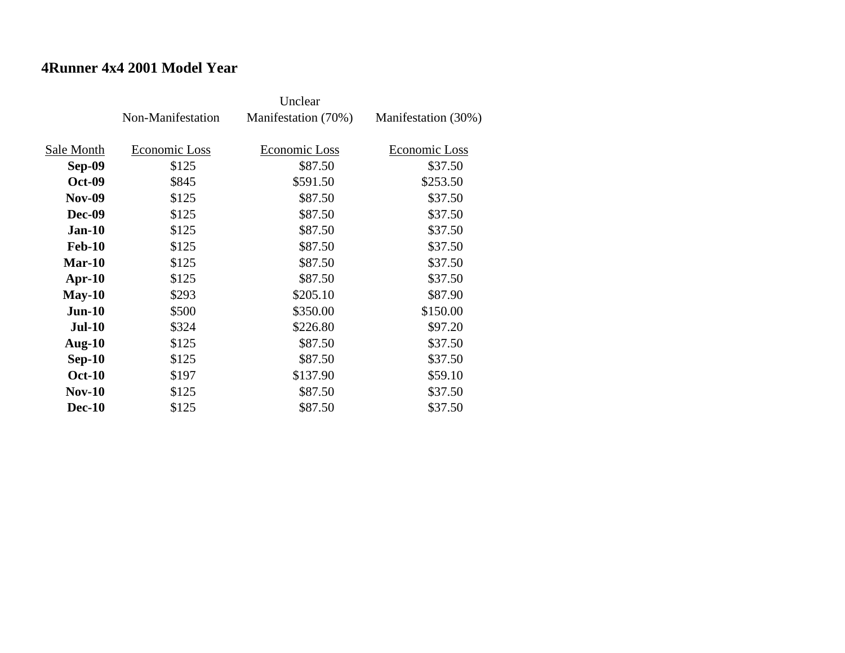### **4Runner 4x4 2001 Model Year**

|               | Non-Manifestation | Manifestation (70%) | Manifestation (30%) |
|---------------|-------------------|---------------------|---------------------|
|               |                   |                     |                     |
| Sale Month    | Economic Loss     | Economic Loss       | Economic Loss       |
| <b>Sep-09</b> | \$125             | \$87.50             | \$37.50             |
| <b>Oct-09</b> | \$845             | \$591.50            | \$253.50            |
| <b>Nov-09</b> | \$125             | \$87.50             | \$37.50             |
| <b>Dec-09</b> | \$125             | \$87.50             | \$37.50             |
| $Jan-10$      | \$125             | \$87.50             | \$37.50             |
| <b>Feb-10</b> | \$125             | \$87.50             | \$37.50             |
| $Mar-10$      | \$125             | \$87.50             | \$37.50             |
| Apr- $10$     | \$125             | \$87.50             | \$37.50             |
| $May-10$      | \$293             | \$205.10            | \$87.90             |
| $Jun-10$      | \$500             | \$350.00            | \$150.00            |
| <b>Jul-10</b> | \$324             | \$226.80            | \$97.20             |
| Aug- $10$     | \$125             | \$87.50             | \$37.50             |
| $Sep-10$      | \$125             | \$87.50             | \$37.50             |
| <b>Oct-10</b> | \$197             | \$137.90            | \$59.10             |
| $Nov-10$      | \$125             | \$87.50             | \$37.50             |
| <b>Dec-10</b> | \$125             | \$87.50             | \$37.50             |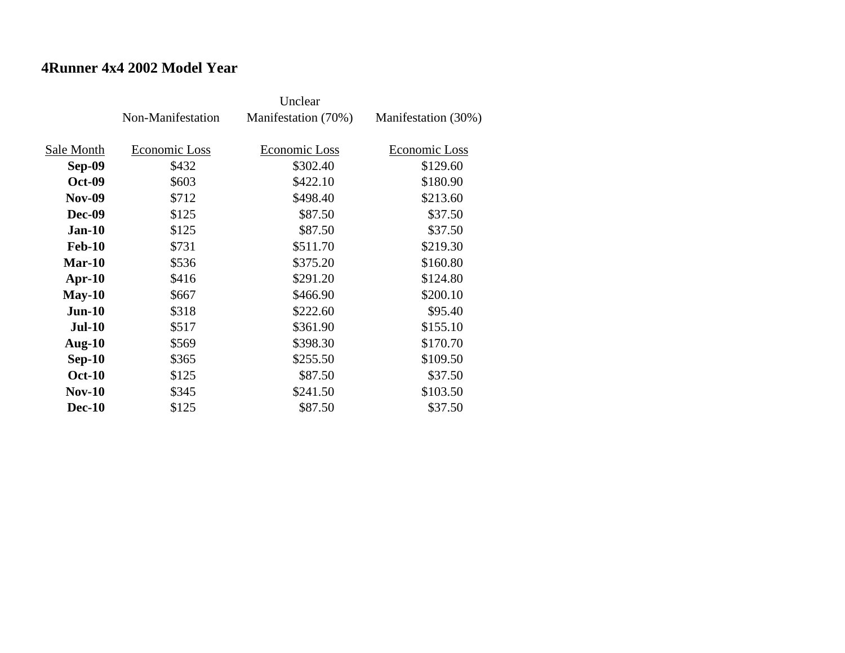#### **4Runner 4x4 2002 Model Year**

|               | Non-Manifestation | Manifestation (70%) | Manifestation (30%) |
|---------------|-------------------|---------------------|---------------------|
|               |                   |                     |                     |
| Sale Month    | Economic Loss     | Economic Loss       | Economic Loss       |
| <b>Sep-09</b> | \$432             | \$302.40            | \$129.60            |
| <b>Oct-09</b> | \$603             | \$422.10            | \$180.90            |
| <b>Nov-09</b> | \$712             | \$498.40            | \$213.60            |
| <b>Dec-09</b> | \$125             | \$87.50             | \$37.50             |
| $Jan-10$      | \$125             | \$87.50             | \$37.50             |
| <b>Feb-10</b> | \$731             | \$511.70            | \$219.30            |
| $Mar-10$      | \$536             | \$375.20            | \$160.80            |
| Apr- $10$     | \$416             | \$291.20            | \$124.80            |
| $May-10$      | \$667             | \$466.90            | \$200.10            |
| $Jun-10$      | \$318             | \$222.60            | \$95.40             |
| <b>Jul-10</b> | \$517             | \$361.90            | \$155.10            |
| Aug- $10$     | \$569             | \$398.30            | \$170.70            |
| $Sep-10$      | \$365             | \$255.50            | \$109.50            |
| <b>Oct-10</b> | \$125             | \$87.50             | \$37.50             |
| $Nov-10$      | \$345             | \$241.50            | \$103.50            |
| <b>Dec-10</b> | \$125             | \$87.50             | \$37.50             |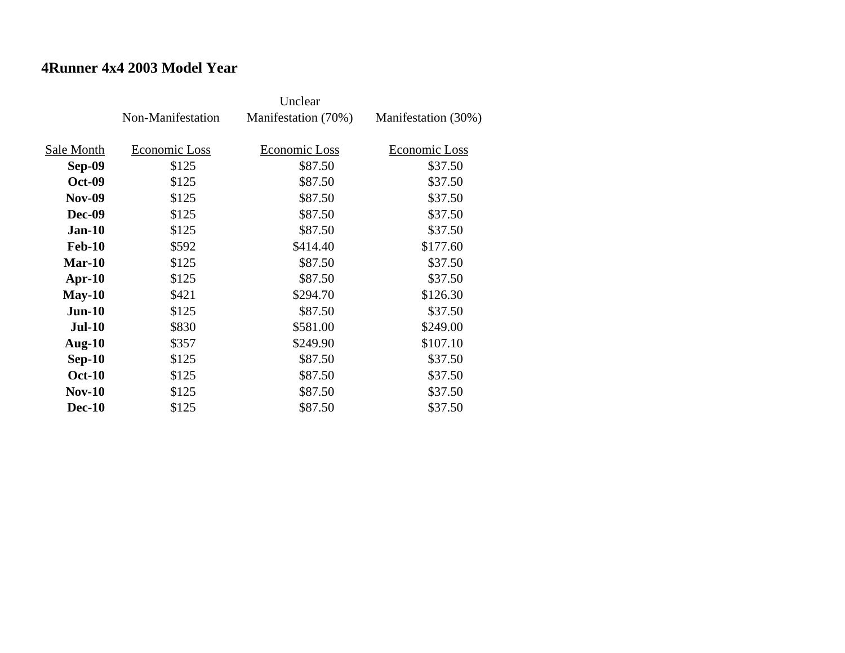### **4Runner 4x4 2003 Model Year**

|               | Non-Manifestation | Manifestation (70%) | Manifestation (30%) |
|---------------|-------------------|---------------------|---------------------|
|               |                   |                     |                     |
| Sale Month    | Economic Loss     | Economic Loss       | Economic Loss       |
| Sep-09        | \$125             | \$87.50             | \$37.50             |
| <b>Oct-09</b> | \$125             | \$87.50             | \$37.50             |
| <b>Nov-09</b> | \$125             | \$87.50             | \$37.50             |
| <b>Dec-09</b> | \$125             | \$87.50             | \$37.50             |
| $Jan-10$      | \$125             | \$87.50             | \$37.50             |
| <b>Feb-10</b> | \$592             | \$414.40            | \$177.60            |
| Mar-10        | \$125             | \$87.50             | \$37.50             |
| $Apr-10$      | \$125             | \$87.50             | \$37.50             |
| $May-10$      | \$421             | \$294.70            | \$126.30            |
| $Jun-10$      | \$125             | \$87.50             | \$37.50             |
| <b>Jul-10</b> | \$830             | \$581.00            | \$249.00            |
| Aug- $10$     | \$357             | \$249.90            | \$107.10            |
| $Sep-10$      | \$125             | \$87.50             | \$37.50             |
| <b>Oct-10</b> | \$125             | \$87.50             | \$37.50             |
| <b>Nov-10</b> | \$125             | \$87.50             | \$37.50             |
| <b>Dec-10</b> | \$125             | \$87.50             | \$37.50             |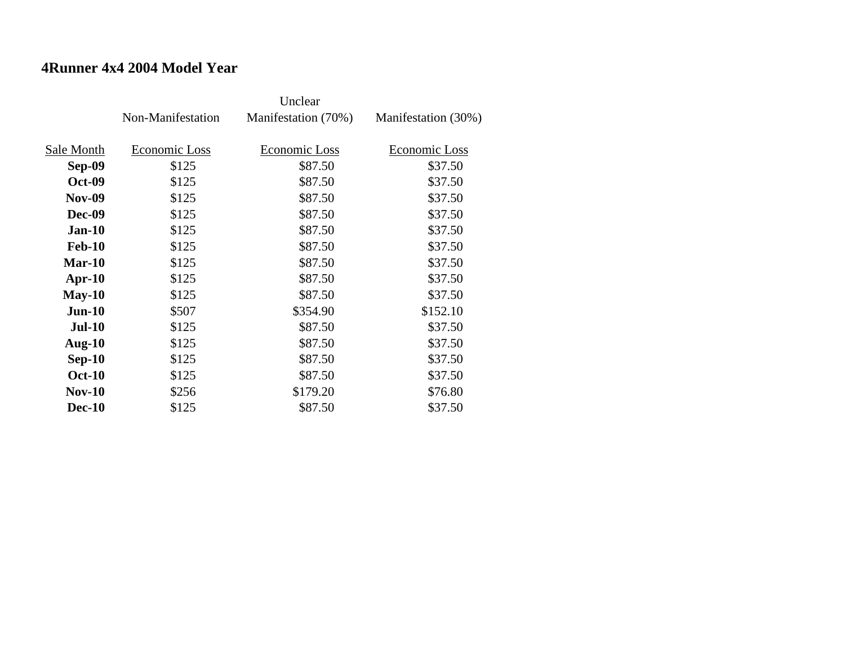#### **4Runner 4x4 2004 Model Year**

|               | Non-Manifestation | Manifestation (70%) | Manifestation (30%) |
|---------------|-------------------|---------------------|---------------------|
|               |                   |                     |                     |
| Sale Month    | Economic Loss     | Economic Loss       | Economic Loss       |
| Sep-09        | \$125             | \$87.50             | \$37.50             |
| <b>Oct-09</b> | \$125             | \$87.50             | \$37.50             |
| <b>Nov-09</b> | \$125             | \$87.50             | \$37.50             |
| <b>Dec-09</b> | \$125             | \$87.50             | \$37.50             |
| <b>Jan-10</b> | \$125             | \$87.50             | \$37.50             |
| <b>Feb-10</b> | \$125             | \$87.50             | \$37.50             |
| $Mar-10$      | \$125             | \$87.50             | \$37.50             |
| $Apr-10$      | \$125             | \$87.50             | \$37.50             |
| $May-10$      | \$125             | \$87.50             | \$37.50             |
| $Jun-10$      | \$507             | \$354.90            | \$152.10            |
| <b>Jul-10</b> | \$125             | \$87.50             | \$37.50             |
| Aug- $10$     | \$125             | \$87.50             | \$37.50             |
| $Sep-10$      | \$125             | \$87.50             | \$37.50             |
| <b>Oct-10</b> | \$125             | \$87.50             | \$37.50             |
| $Nov-10$      | \$256             | \$179.20            | \$76.80             |
| <b>Dec-10</b> | \$125             | \$87.50             | \$37.50             |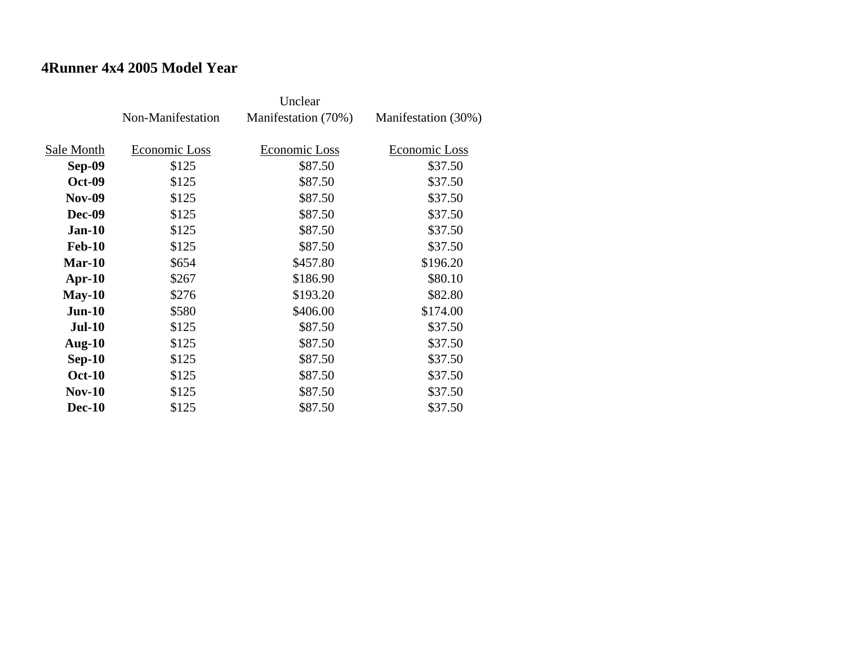### **4Runner 4x4 2005 Model Year**

|               | Non-Manifestation | Manifestation (70%) | Manifestation (30%) |
|---------------|-------------------|---------------------|---------------------|
|               |                   |                     |                     |
| Sale Month    | Economic Loss     | Economic Loss       | Economic Loss       |
| Sep-09        | \$125             | \$87.50             | \$37.50             |
| <b>Oct-09</b> | \$125             | \$87.50             | \$37.50             |
| <b>Nov-09</b> | \$125             | \$87.50             | \$37.50             |
| <b>Dec-09</b> | \$125             | \$87.50             | \$37.50             |
| $Jan-10$      | \$125             | \$87.50             | \$37.50             |
| <b>Feb-10</b> | \$125             | \$87.50             | \$37.50             |
| $Mar-10$      | \$654             | \$457.80            | \$196.20            |
| $Apr-10$      | \$267             | \$186.90            | \$80.10             |
| $May-10$      | \$276             | \$193.20            | \$82.80             |
| $Jun-10$      | \$580             | \$406.00            | \$174.00            |
| <b>Jul-10</b> | \$125             | \$87.50             | \$37.50             |
| Aug- $10$     | \$125             | \$87.50             | \$37.50             |
| $Sep-10$      | \$125             | \$87.50             | \$37.50             |
| <b>Oct-10</b> | \$125             | \$87.50             | \$37.50             |
| $Nov-10$      | \$125             | \$87.50             | \$37.50             |
| <b>Dec-10</b> | \$125             | \$87.50             | \$37.50             |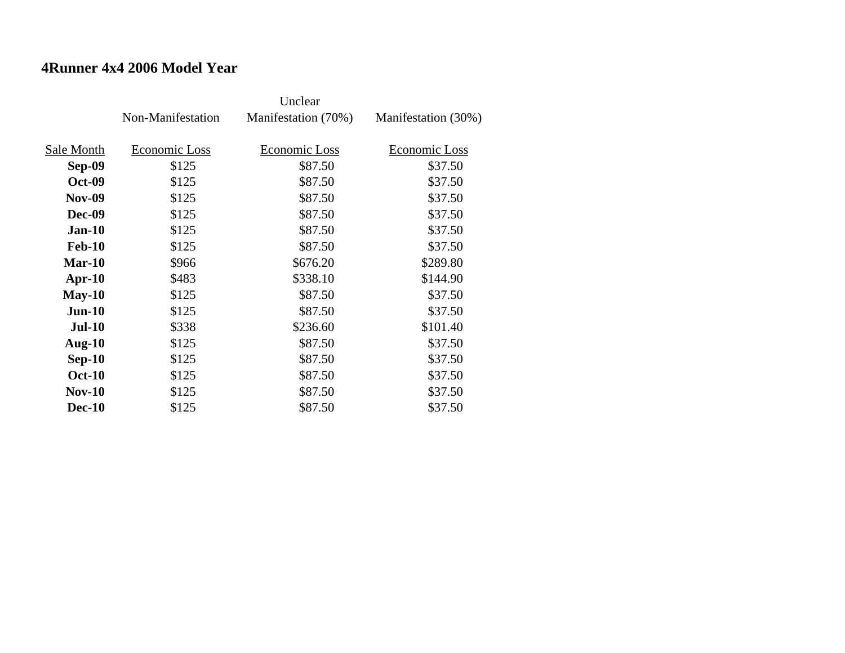#### **4Runner 4x4 2006 Model Year**

|               | Non-Manifestation | Manifestation (70%) | Manifestation (30%) |
|---------------|-------------------|---------------------|---------------------|
|               |                   |                     |                     |
| Sale Month    | Economic Loss     | Economic Loss       | Economic Loss       |
| <b>Sep-09</b> | \$125             | \$87.50             | \$37.50             |
| <b>Oct-09</b> | \$125             | \$87.50             | \$37.50             |
| <b>Nov-09</b> | \$125             | \$87.50             | \$37.50             |
| <b>Dec-09</b> | \$125             | \$87.50             | \$37.50             |
| $Jan-10$      | \$125             | \$87.50             | \$37.50             |
| <b>Feb-10</b> | \$125             | \$87.50             | \$37.50             |
| $Mar-10$      | \$966             | \$676.20            | \$289.80            |
| Apr- $10$     | \$483             | \$338.10            | \$144.90            |
| $May-10$      | \$125             | \$87.50             | \$37.50             |
| $Jun-10$      | \$125             | \$87.50             | \$37.50             |
| <b>Jul-10</b> | \$338             | \$236.60            | \$101.40            |
| Aug- $10$     | \$125             | \$87.50             | \$37.50             |
| $Sep-10$      | \$125             | \$87.50             | \$37.50             |
| <b>Oct-10</b> | \$125             | \$87.50             | \$37.50             |
| $Nov-10$      | \$125             | \$87.50             | \$37.50             |
| <b>Dec-10</b> | \$125             | \$87.50             | \$37.50             |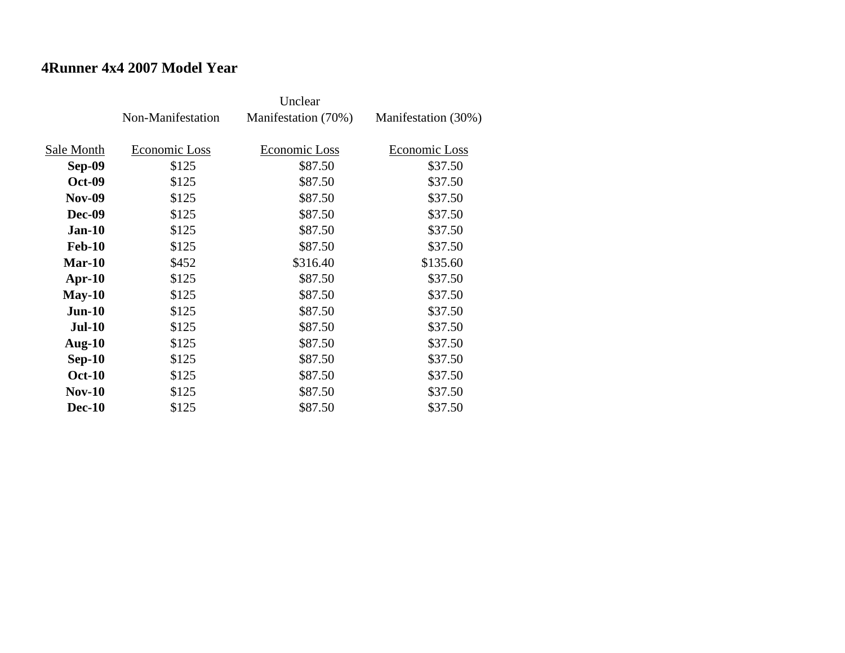#### **4Runner 4x4 2007 Model Year**

|               | Non-Manifestation | Manifestation (70%) | Manifestation (30%) |
|---------------|-------------------|---------------------|---------------------|
|               |                   |                     |                     |
| Sale Month    | Economic Loss     | Economic Loss       | Economic Loss       |
| Sep-09        | \$125             | \$87.50             | \$37.50             |
| <b>Oct-09</b> | \$125             | \$87.50             | \$37.50             |
| <b>Nov-09</b> | \$125             | \$87.50             | \$37.50             |
| <b>Dec-09</b> | \$125             | \$87.50             | \$37.50             |
| $Jan-10$      | \$125             | \$87.50             | \$37.50             |
| <b>Feb-10</b> | \$125             | \$87.50             | \$37.50             |
| $Mar-10$      | \$452             | \$316.40            | \$135.60            |
| $Apr-10$      | \$125             | \$87.50             | \$37.50             |
| $May-10$      | \$125             | \$87.50             | \$37.50             |
| $Jun-10$      | \$125             | \$87.50             | \$37.50             |
| <b>Jul-10</b> | \$125             | \$87.50             | \$37.50             |
| Aug- $10$     | \$125             | \$87.50             | \$37.50             |
| $Sep-10$      | \$125             | \$87.50             | \$37.50             |
| <b>Oct-10</b> | \$125             | \$87.50             | \$37.50             |
| $Nov-10$      | \$125             | \$87.50             | \$37.50             |
| <b>Dec-10</b> | \$125             | \$87.50             | \$37.50             |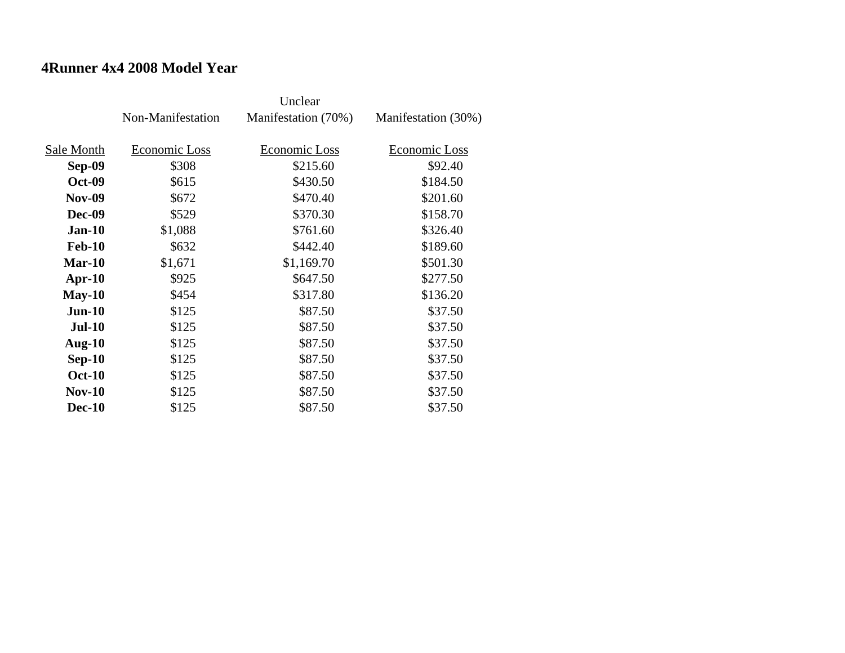### **4Runner 4x4 2008 Model Year**

|               | Non-Manifestation | Manifestation (70%) | Manifestation (30%) |
|---------------|-------------------|---------------------|---------------------|
|               |                   |                     |                     |
| Sale Month    | Economic Loss     | Economic Loss       | Economic Loss       |
| <b>Sep-09</b> | \$308             | \$215.60            | \$92.40             |
| <b>Oct-09</b> | \$615             | \$430.50            | \$184.50            |
| <b>Nov-09</b> | \$672             | \$470.40            | \$201.60            |
| <b>Dec-09</b> | \$529             | \$370.30            | \$158.70            |
| $Jan-10$      | \$1,088           | \$761.60            | \$326.40            |
| <b>Feb-10</b> | \$632             | \$442.40            | \$189.60            |
| <b>Mar-10</b> | \$1,671           | \$1,169.70          | \$501.30            |
| $Apr-10$      | \$925             | \$647.50            | \$277.50            |
| $May-10$      | \$454             | \$317.80            | \$136.20            |
| $Jun-10$      | \$125             | \$87.50             | \$37.50             |
| <b>Jul-10</b> | \$125             | \$87.50             | \$37.50             |
| Aug- $10$     | \$125             | \$87.50             | \$37.50             |
| $Sep-10$      | \$125             | \$87.50             | \$37.50             |
| <b>Oct-10</b> | \$125             | \$87.50             | \$37.50             |
| <b>Nov-10</b> | \$125             | \$87.50             | \$37.50             |
| <b>Dec-10</b> | \$125             | \$87.50             | \$37.50             |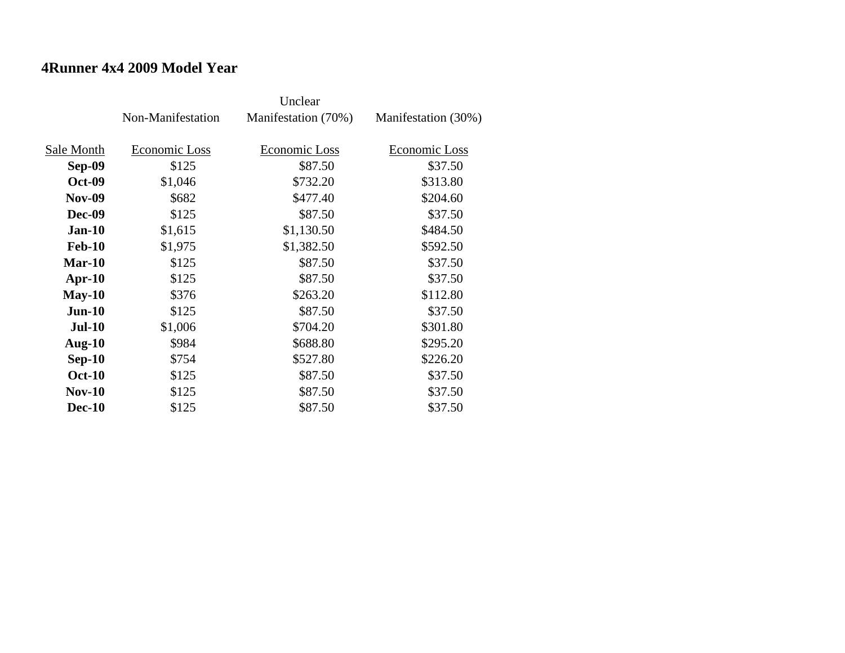#### **4Runner 4x4 2009 Model Year**

|               | Non-Manifestation | Manifestation (70%) | Manifestation (30%) |
|---------------|-------------------|---------------------|---------------------|
|               |                   |                     |                     |
| Sale Month    | Economic Loss     | Economic Loss       | Economic Loss       |
| Sep-09        | \$125             | \$87.50             | \$37.50             |
| <b>Oct-09</b> | \$1,046           | \$732.20            | \$313.80            |
| <b>Nov-09</b> | \$682             | \$477.40            | \$204.60            |
| <b>Dec-09</b> | \$125             | \$87.50             | \$37.50             |
| <b>Jan-10</b> | \$1,615           | \$1,130.50          | \$484.50            |
| <b>Feb-10</b> | \$1,975           | \$1,382.50          | \$592.50            |
| $Mar-10$      | \$125             | \$87.50             | \$37.50             |
| $Apr-10$      | \$125             | \$87.50             | \$37.50             |
| $May-10$      | \$376             | \$263.20            | \$112.80            |
| $Jun-10$      | \$125             | \$87.50             | \$37.50             |
| <b>Jul-10</b> | \$1,006           | \$704.20            | \$301.80            |
| Aug- $10$     | \$984             | \$688.80            | \$295.20            |
| $Sep-10$      | \$754             | \$527.80            | \$226.20            |
| <b>Oct-10</b> | \$125             | \$87.50             | \$37.50             |
| $Nov-10$      | \$125             | \$87.50             | \$37.50             |
| <b>Dec-10</b> | \$125             | \$87.50             | \$37.50             |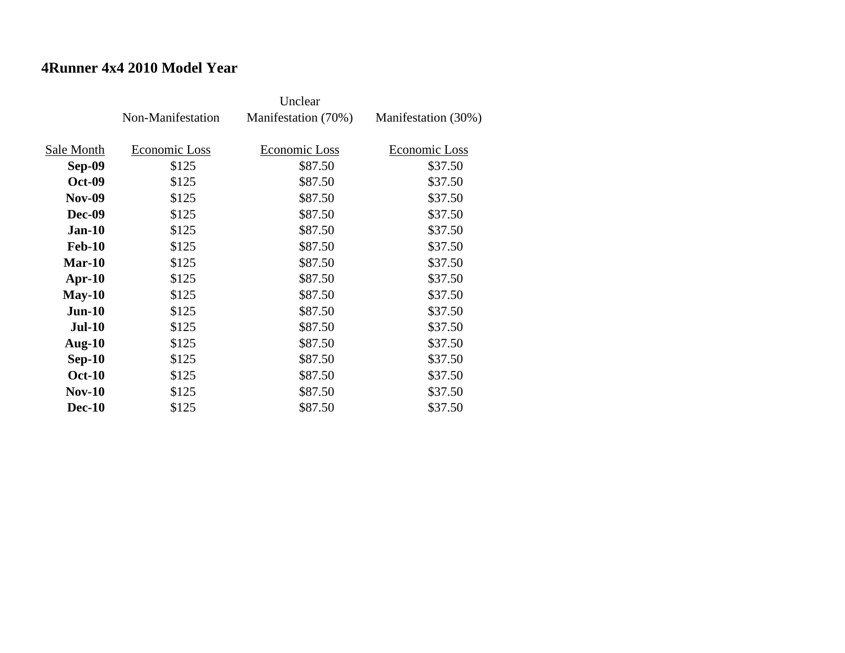### **4Runner 4x4 2010 Model Year**

|               | Non-Manifestation | Manifestation (70%) | Manifestation (30%) |
|---------------|-------------------|---------------------|---------------------|
|               |                   |                     |                     |
| Sale Month    | Economic Loss     | Economic Loss       | Economic Loss       |
| Sep-09        | \$125             | \$87.50             | \$37.50             |
| <b>Oct-09</b> | \$125             | \$87.50             | \$37.50             |
| <b>Nov-09</b> | \$125             | \$87.50             | \$37.50             |
| <b>Dec-09</b> | \$125             | \$87.50             | \$37.50             |
| $Jan-10$      | \$125             | \$87.50             | \$37.50             |
| <b>Feb-10</b> | \$125             | \$87.50             | \$37.50             |
| $Mar-10$      | \$125             | \$87.50             | \$37.50             |
| $Apr-10$      | \$125             | \$87.50             | \$37.50             |
| $May-10$      | \$125             | \$87.50             | \$37.50             |
| $Jun-10$      | \$125             | \$87.50             | \$37.50             |
| <b>Jul-10</b> | \$125             | \$87.50             | \$37.50             |
| Aug- $10$     | \$125             | \$87.50             | \$37.50             |
| $Sep-10$      | \$125             | \$87.50             | \$37.50             |
| <b>Oct-10</b> | \$125             | \$87.50             | \$37.50             |
| $Nov-10$      | \$125             | \$87.50             | \$37.50             |
| <b>Dec-10</b> | \$125             | \$87.50             | \$37.50             |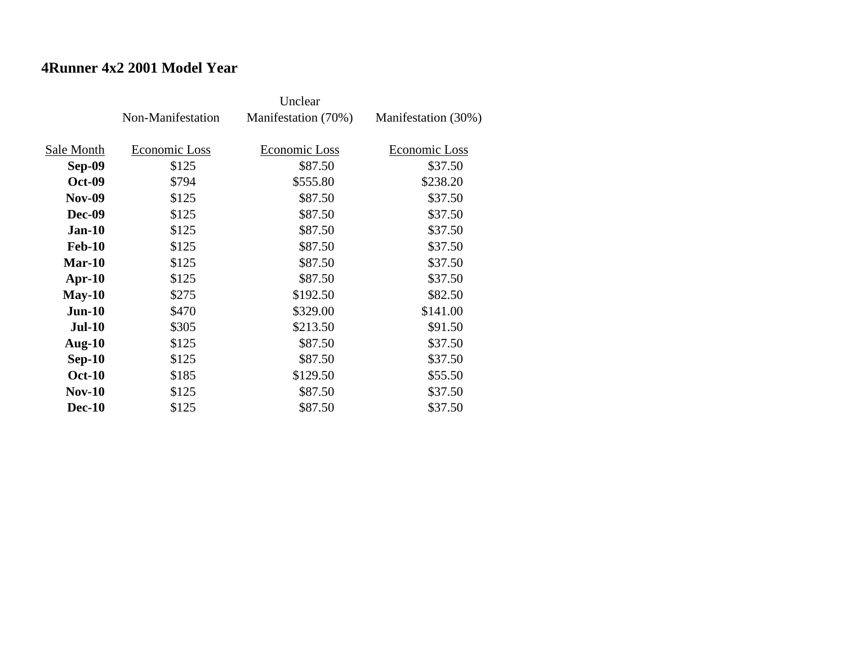### **4Runner 4x2 2001 Model Year**

|               | Non-Manifestation | Manifestation (70%) | Manifestation (30%) |
|---------------|-------------------|---------------------|---------------------|
|               |                   |                     |                     |
| Sale Month    | Economic Loss     | Economic Loss       | Economic Loss       |
| <b>Sep-09</b> | \$125             | \$87.50             | \$37.50             |
| <b>Oct-09</b> | \$794             | \$555.80            | \$238.20            |
| <b>Nov-09</b> | \$125             | \$87.50             | \$37.50             |
| <b>Dec-09</b> | \$125             | \$87.50             | \$37.50             |
| $Jan-10$      | \$125             | \$87.50             | \$37.50             |
| <b>Feb-10</b> | \$125             | \$87.50             | \$37.50             |
| $Mar-10$      | \$125             | \$87.50             | \$37.50             |
| $Apr-10$      | \$125             | \$87.50             | \$37.50             |
| $May-10$      | \$275             | \$192.50            | \$82.50             |
| $Jun-10$      | \$470             | \$329.00            | \$141.00            |
| <b>Jul-10</b> | \$305             | \$213.50            | \$91.50             |
| Aug- $10$     | \$125             | \$87.50             | \$37.50             |
| $Sep-10$      | \$125             | \$87.50             | \$37.50             |
| <b>Oct-10</b> | \$185             | \$129.50            | \$55.50             |
| $Nov-10$      | \$125             | \$87.50             | \$37.50             |
| <b>Dec-10</b> | \$125             | \$87.50             | \$37.50             |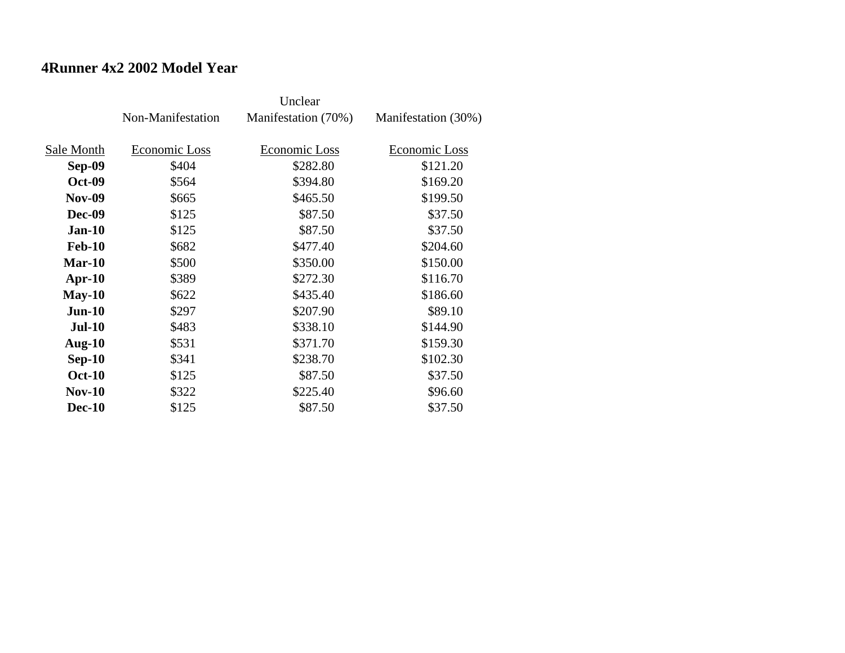### **4Runner 4x2 2002 Model Year**

|               | Non-Manifestation | Manifestation (70%) | Manifestation (30%) |
|---------------|-------------------|---------------------|---------------------|
|               |                   |                     |                     |
| Sale Month    | Economic Loss     | Economic Loss       | Economic Loss       |
| <b>Sep-09</b> | \$404             | \$282.80            | \$121.20            |
| <b>Oct-09</b> | \$564             | \$394.80            | \$169.20            |
| <b>Nov-09</b> | \$665             | \$465.50            | \$199.50            |
| <b>Dec-09</b> | \$125             | \$87.50             | \$37.50             |
| $Jan-10$      | \$125             | \$87.50             | \$37.50             |
| <b>Feb-10</b> | \$682             | \$477.40            | \$204.60            |
| <b>Mar-10</b> | \$500             | \$350.00            | \$150.00            |
| $Apr-10$      | \$389             | \$272.30            | \$116.70            |
| $May-10$      | \$622             | \$435.40            | \$186.60            |
| $Jun-10$      | \$297             | \$207.90            | \$89.10             |
| <b>Jul-10</b> | \$483             | \$338.10            | \$144.90            |
| Aug- $10$     | \$531             | \$371.70            | \$159.30            |
| $Sep-10$      | \$341             | \$238.70            | \$102.30            |
| <b>Oct-10</b> | \$125             | \$87.50             | \$37.50             |
| <b>Nov-10</b> | \$322             | \$225.40            | \$96.60             |
| <b>Dec-10</b> | \$125             | \$87.50             | \$37.50             |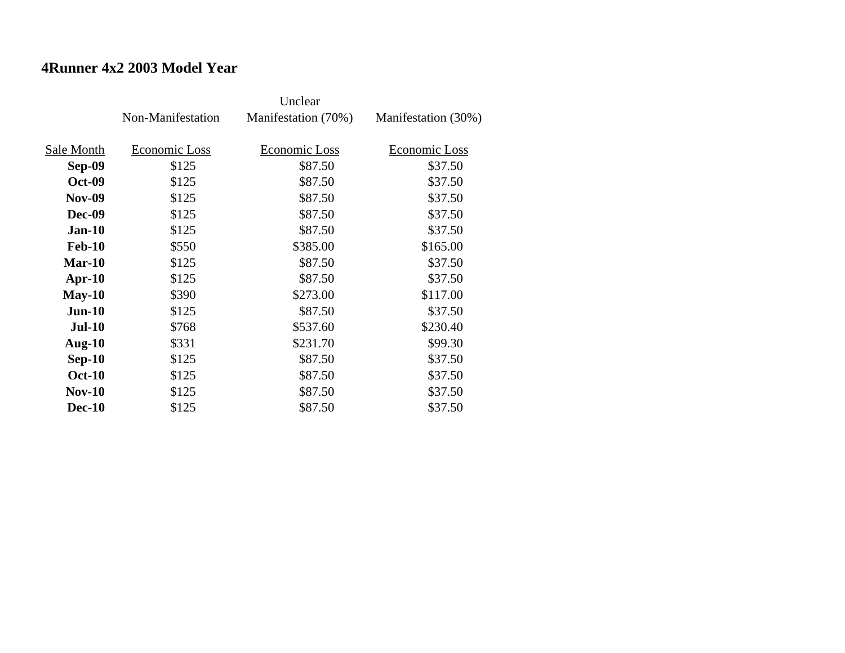### **4Runner 4x2 2003 Model Year**

|               | Non-Manifestation | Manifestation (70%)  | Manifestation (30%) |
|---------------|-------------------|----------------------|---------------------|
| Sale Month    | Economic Loss     | <b>Economic Loss</b> | Economic Loss       |
|               |                   |                      |                     |
| <b>Sep-09</b> | \$125             | \$87.50              | \$37.50             |
| <b>Oct-09</b> | \$125             | \$87.50              | \$37.50             |
| <b>Nov-09</b> | \$125             | \$87.50              | \$37.50             |
| <b>Dec-09</b> | \$125             | \$87.50              | \$37.50             |
| $Jan-10$      | \$125             | \$87.50              | \$37.50             |
| <b>Feb-10</b> | \$550             | \$385.00             | \$165.00            |
| $Mar-10$      | \$125             | \$87.50              | \$37.50             |
| $Apr-10$      | \$125             | \$87.50              | \$37.50             |
| $May-10$      | \$390             | \$273.00             | \$117.00            |
| $Jun-10$      | \$125             | \$87.50              | \$37.50             |
| <b>Jul-10</b> | \$768             | \$537.60             | \$230.40            |
| Aug- $10$     | \$331             | \$231.70             | \$99.30             |
| $Sep-10$      | \$125             | \$87.50              | \$37.50             |
| <b>Oct-10</b> | \$125             | \$87.50              | \$37.50             |
| $Nov-10$      | \$125             | \$87.50              | \$37.50             |
| <b>Dec-10</b> | \$125             | \$87.50              | \$37.50             |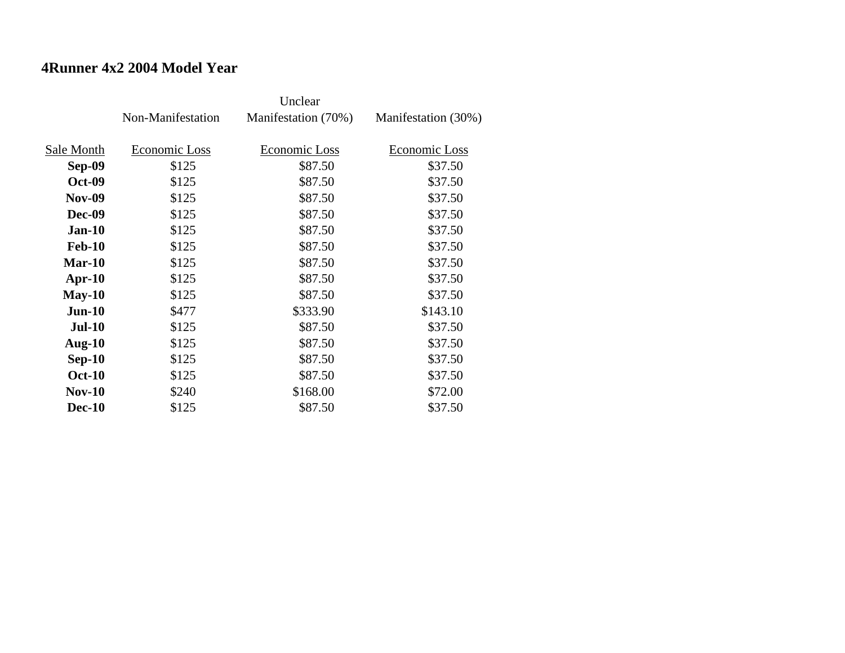### **4Runner 4x2 2004 Model Year**

|               | Non-Manifestation | Manifestation (70%) | Manifestation (30%) |
|---------------|-------------------|---------------------|---------------------|
|               |                   |                     |                     |
| Sale Month    | Economic Loss     | Economic Loss       | Economic Loss       |
| <b>Sep-09</b> | \$125             | \$87.50             | \$37.50             |
| <b>Oct-09</b> | \$125             | \$87.50             | \$37.50             |
| <b>Nov-09</b> | \$125             | \$87.50             | \$37.50             |
| <b>Dec-09</b> | \$125             | \$87.50             | \$37.50             |
| $Jan-10$      | \$125             | \$87.50             | \$37.50             |
| <b>Feb-10</b> | \$125             | \$87.50             | \$37.50             |
| $Mar-10$      | \$125             | \$87.50             | \$37.50             |
| $Apr-10$      | \$125             | \$87.50             | \$37.50             |
| $May-10$      | \$125             | \$87.50             | \$37.50             |
| $Jun-10$      | \$477             | \$333.90            | \$143.10            |
| <b>Jul-10</b> | \$125             | \$87.50             | \$37.50             |
| Aug- $10$     | \$125             | \$87.50             | \$37.50             |
| $Sep-10$      | \$125             | \$87.50             | \$37.50             |
| <b>Oct-10</b> | \$125             | \$87.50             | \$37.50             |
| $Nov-10$      | \$240             | \$168.00            | \$72.00             |
| <b>Dec-10</b> | \$125             | \$87.50             | \$37.50             |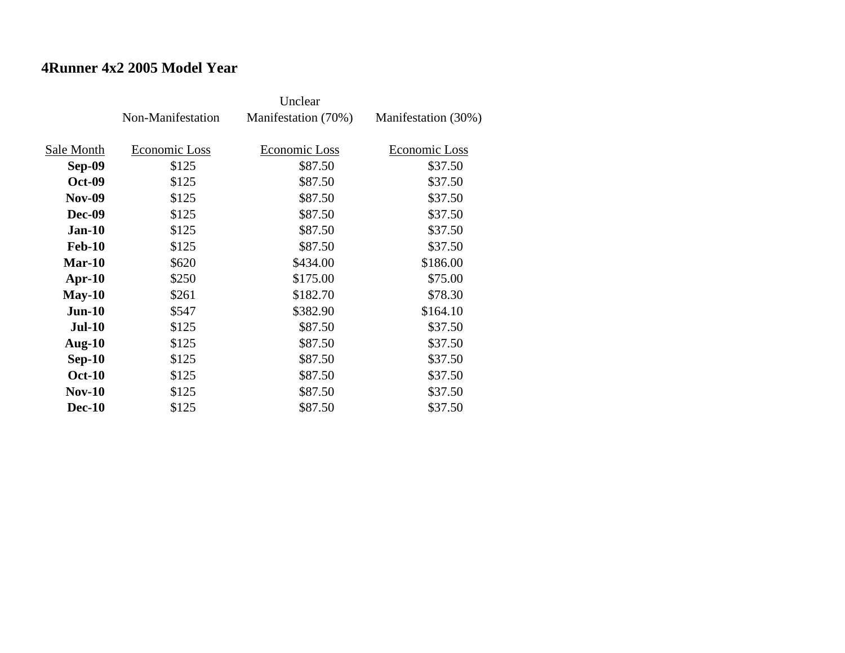### **4Runner 4x2 2005 Model Year**

|               | Non-Manifestation | Manifestation (70%) | Manifestation (30%) |
|---------------|-------------------|---------------------|---------------------|
|               |                   |                     |                     |
| Sale Month    | Economic Loss     | Economic Loss       | Economic Loss       |
| <b>Sep-09</b> | \$125             | \$87.50             | \$37.50             |
| <b>Oct-09</b> | \$125             | \$87.50             | \$37.50             |
| <b>Nov-09</b> | \$125             | \$87.50             | \$37.50             |
| <b>Dec-09</b> | \$125             | \$87.50             | \$37.50             |
| $Jan-10$      | \$125             | \$87.50             | \$37.50             |
| <b>Feb-10</b> | \$125             | \$87.50             | \$37.50             |
| $Mar-10$      | \$620             | \$434.00            | \$186.00            |
| $Apr-10$      | \$250             | \$175.00            | \$75.00             |
| $May-10$      | \$261             | \$182.70            | \$78.30             |
| $Jun-10$      | \$547             | \$382.90            | \$164.10            |
| <b>Jul-10</b> | \$125             | \$87.50             | \$37.50             |
| Aug- $10$     | \$125             | \$87.50             | \$37.50             |
| $Sep-10$      | \$125             | \$87.50             | \$37.50             |
| <b>Oct-10</b> | \$125             | \$87.50             | \$37.50             |
| $Nov-10$      | \$125             | \$87.50             | \$37.50             |
| <b>Dec-10</b> | \$125             | \$87.50             | \$37.50             |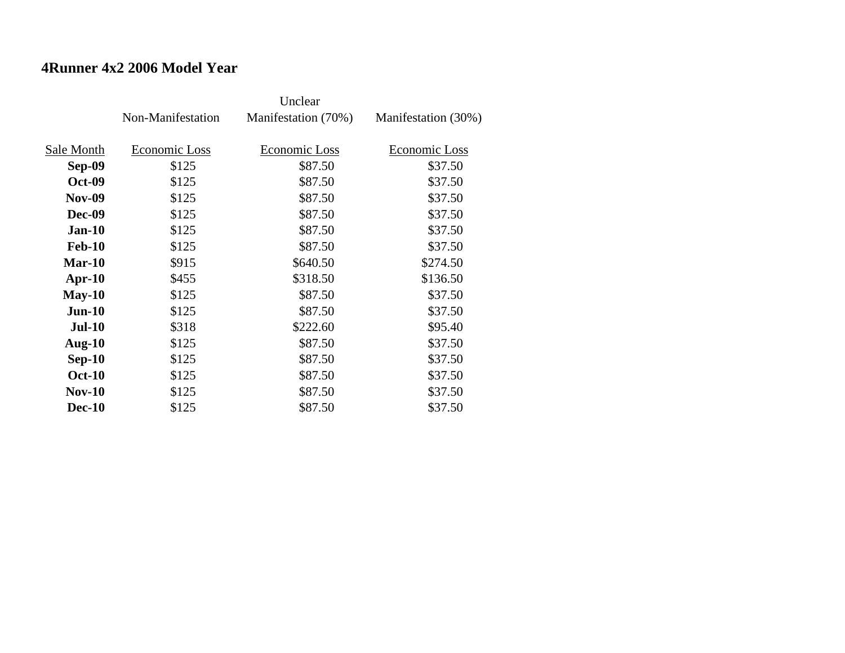#### **4Runner 4x2 2006 Model Year**

|               | Non-Manifestation | Manifestation (70%)  | Manifestation (30%) |
|---------------|-------------------|----------------------|---------------------|
| Sale Month    | Economic Loss     | <b>Economic Loss</b> | Economic Loss       |
| <b>Sep-09</b> | \$125             | \$87.50              | \$37.50             |
| <b>Oct-09</b> | \$125             | \$87.50              | \$37.50             |
| <b>Nov-09</b> | \$125             | \$87.50              | \$37.50             |
| <b>Dec-09</b> | \$125             | \$87.50              | \$37.50             |
| $Jan-10$      | \$125             | \$87.50              | \$37.50             |
| <b>Feb-10</b> | \$125             | \$87.50              | \$37.50             |
| $Mar-10$      | \$915             | \$640.50             | \$274.50            |
| $Apr-10$      | \$455             | \$318.50             | \$136.50            |
| $May-10$      | \$125             | \$87.50              | \$37.50             |
| $Jun-10$      | \$125             | \$87.50              | \$37.50             |
| <b>Jul-10</b> | \$318             | \$222.60             | \$95.40             |
| Aug- $10$     | \$125             | \$87.50              | \$37.50             |
| $Sep-10$      | \$125             | \$87.50              | \$37.50             |
| <b>Oct-10</b> | \$125             | \$87.50              | \$37.50             |
| $Nov-10$      | \$125             | \$87.50              | \$37.50             |
| <b>Dec-10</b> | \$125             | \$87.50              | \$37.50             |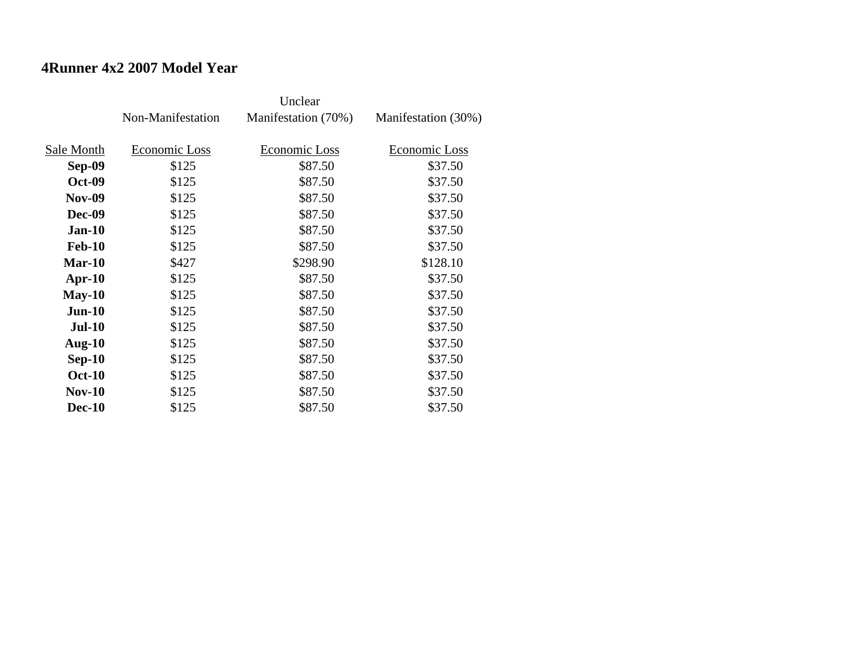#### **4Runner 4x2 2007 Model Year**

|               | Non-Manifestation | Manifestation (70%)  | Manifestation (30%) |
|---------------|-------------------|----------------------|---------------------|
| Sale Month    | Economic Loss     | <b>Economic Loss</b> | Economic Loss       |
|               |                   |                      |                     |
| <b>Sep-09</b> | \$125             | \$87.50              | \$37.50             |
| <b>Oct-09</b> | \$125             | \$87.50              | \$37.50             |
| <b>Nov-09</b> | \$125             | \$87.50              | \$37.50             |
| <b>Dec-09</b> | \$125             | \$87.50              | \$37.50             |
| $Jan-10$      | \$125             | \$87.50              | \$37.50             |
| <b>Feb-10</b> | \$125             | \$87.50              | \$37.50             |
| $Mar-10$      | \$427             | \$298.90             | \$128.10            |
| $Apr-10$      | \$125             | \$87.50              | \$37.50             |
| $May-10$      | \$125             | \$87.50              | \$37.50             |
| $Jun-10$      | \$125             | \$87.50              | \$37.50             |
| <b>Jul-10</b> | \$125             | \$87.50              | \$37.50             |
| Aug- $10$     | \$125             | \$87.50              | \$37.50             |
| $Sep-10$      | \$125             | \$87.50              | \$37.50             |
| <b>Oct-10</b> | \$125             | \$87.50              | \$37.50             |
| $Nov-10$      | \$125             | \$87.50              | \$37.50             |
| <b>Dec-10</b> | \$125             | \$87.50              | \$37.50             |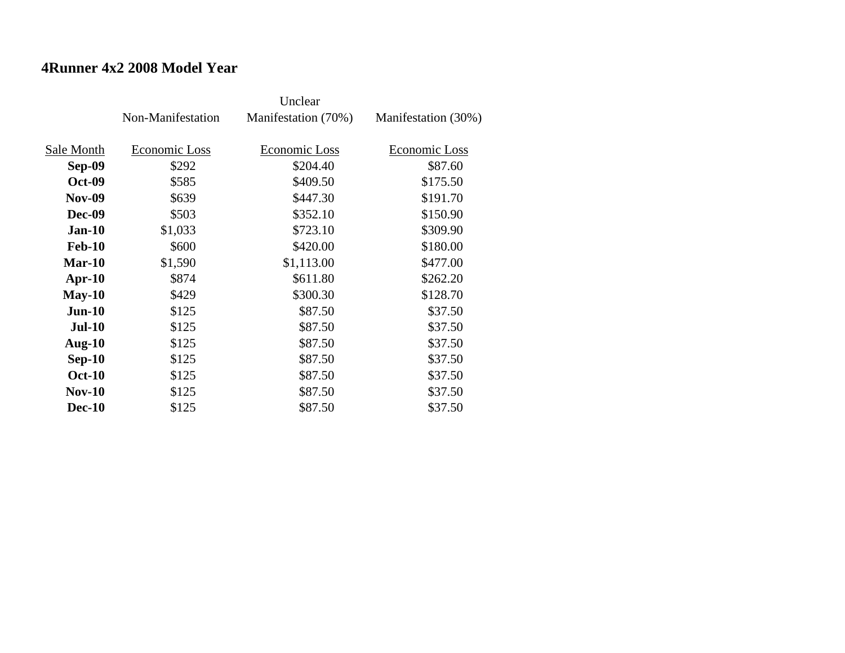#### **4Runner 4x2 2008 Model Year**

|               | Non-Manifestation | Manifestation (70%)  | Manifestation (30%) |
|---------------|-------------------|----------------------|---------------------|
| Sale Month    | Economic Loss     | <b>Economic Loss</b> | Economic Loss       |
|               |                   |                      |                     |
| <b>Sep-09</b> | \$292             | \$204.40             | \$87.60             |
| <b>Oct-09</b> | \$585             | \$409.50             | \$175.50            |
| <b>Nov-09</b> | \$639             | \$447.30             | \$191.70            |
| <b>Dec-09</b> | \$503             | \$352.10             | \$150.90            |
| $Jan-10$      | \$1,033           | \$723.10             | \$309.90            |
| <b>Feb-10</b> | \$600             | \$420.00             | \$180.00            |
| $Mar-10$      | \$1,590           | \$1,113.00           | \$477.00            |
| $Apr-10$      | \$874             | \$611.80             | \$262.20            |
| $May-10$      | \$429             | \$300.30             | \$128.70            |
| $Jun-10$      | \$125             | \$87.50              | \$37.50             |
| <b>Jul-10</b> | \$125             | \$87.50              | \$37.50             |
| Aug- $10$     | \$125             | \$87.50              | \$37.50             |
| $Sep-10$      | \$125             | \$87.50              | \$37.50             |
| <b>Oct-10</b> | \$125             | \$87.50              | \$37.50             |
| $Nov-10$      | \$125             | \$87.50              | \$37.50             |
| <b>Dec-10</b> | \$125             | \$87.50              | \$37.50             |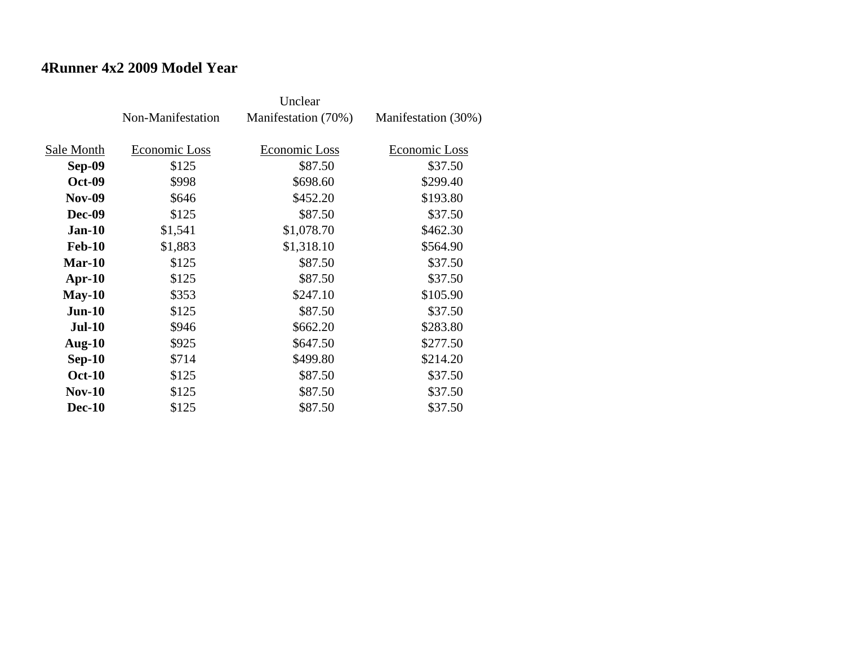#### **4Runner 4x2 2009 Model Year**

|               | Non-Manifestation | Manifestation (70%) | Manifestation (30%) |
|---------------|-------------------|---------------------|---------------------|
|               |                   |                     |                     |
| Sale Month    | Economic Loss     | Economic Loss       | Economic Loss       |
| <b>Sep-09</b> | \$125             | \$87.50             | \$37.50             |
| <b>Oct-09</b> | \$998             | \$698.60            | \$299.40            |
| <b>Nov-09</b> | \$646             | \$452.20            | \$193.80            |
| <b>Dec-09</b> | \$125             | \$87.50             | \$37.50             |
| $Jan-10$      | \$1,541           | \$1,078.70          | \$462.30            |
| <b>Feb-10</b> | \$1,883           | \$1,318.10          | \$564.90            |
| $Mar-10$      | \$125             | \$87.50             | \$37.50             |
| Apr- $10$     | \$125             | \$87.50             | \$37.50             |
| $May-10$      | \$353             | \$247.10            | \$105.90            |
| $Jun-10$      | \$125             | \$87.50             | \$37.50             |
| <b>Jul-10</b> | \$946             | \$662.20            | \$283.80            |
| Aug- $10$     | \$925             | \$647.50            | \$277.50            |
| $Sep-10$      | \$714             | \$499.80            | \$214.20            |
| <b>Oct-10</b> | \$125             | \$87.50             | \$37.50             |
| $Nov-10$      | \$125             | \$87.50             | \$37.50             |
| <b>Dec-10</b> | \$125             | \$87.50             | \$37.50             |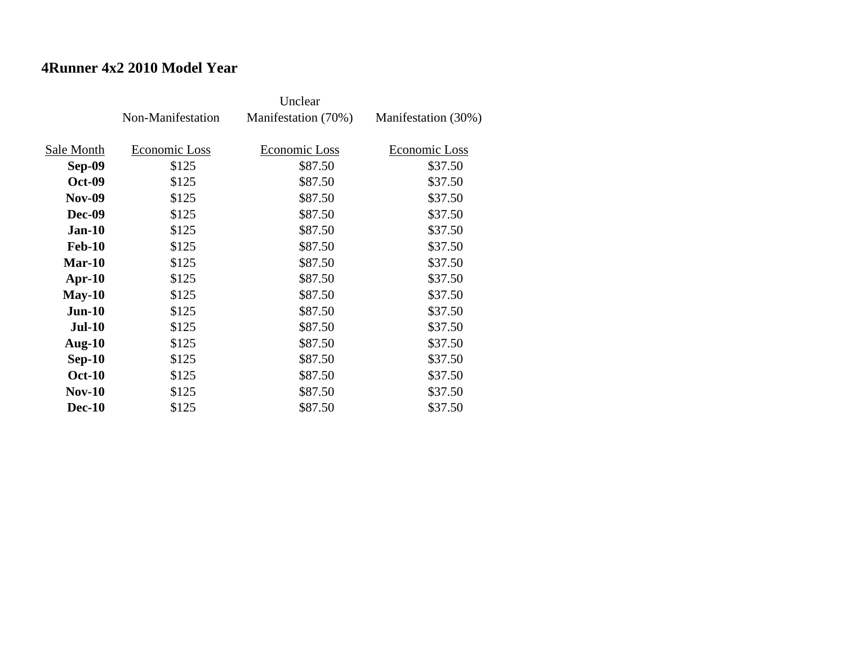#### **4Runner 4x2 2010 Model Year**

|               | Non-Manifestation | Manifestation (70%) | Manifestation (30%) |
|---------------|-------------------|---------------------|---------------------|
|               |                   |                     |                     |
| Sale Month    | Economic Loss     | Economic Loss       | Economic Loss       |
| Sep-09        | \$125             | \$87.50             | \$37.50             |
| <b>Oct-09</b> | \$125             | \$87.50             | \$37.50             |
| <b>Nov-09</b> | \$125             | \$87.50             | \$37.50             |
| <b>Dec-09</b> | \$125             | \$87.50             | \$37.50             |
| $Jan-10$      | \$125             | \$87.50             | \$37.50             |
| <b>Feb-10</b> | \$125             | \$87.50             | \$37.50             |
| $Mar-10$      | \$125             | \$87.50             | \$37.50             |
| $Apr-10$      | \$125             | \$87.50             | \$37.50             |
| $May-10$      | \$125             | \$87.50             | \$37.50             |
| $Jun-10$      | \$125             | \$87.50             | \$37.50             |
| <b>Jul-10</b> | \$125             | \$87.50             | \$37.50             |
| Aug- $10$     | \$125             | \$87.50             | \$37.50             |
| $Sep-10$      | \$125             | \$87.50             | \$37.50             |
| <b>Oct-10</b> | \$125             | \$87.50             | \$37.50             |
| $Nov-10$      | \$125             | \$87.50             | \$37.50             |
| <b>Dec-10</b> | \$125             | \$87.50             | \$37.50             |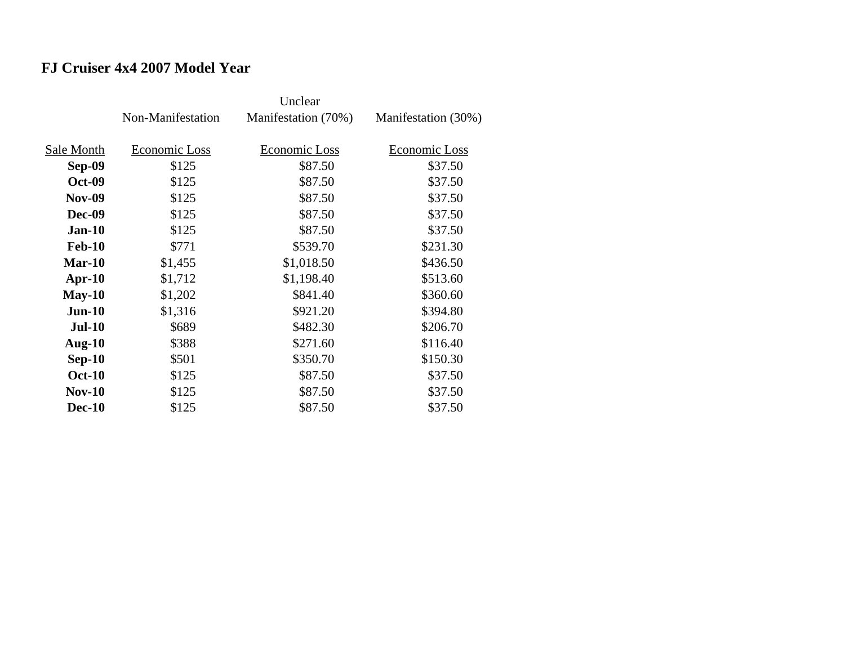# **FJ Cruiser 4x4 2007 Model Year**

|               | Non-Manifestation | Manifestation (70%) | Manifestation (30%) |
|---------------|-------------------|---------------------|---------------------|
| Sale Month    | Economic Loss     | Economic Loss       | Economic Loss       |
| Sep-09        | \$125             | \$87.50             | \$37.50             |
| <b>Oct-09</b> | \$125             | \$87.50             | \$37.50             |
| <b>Nov-09</b> | \$125             | \$87.50             | \$37.50             |
| <b>Dec-09</b> | \$125             | \$87.50             | \$37.50             |
| $Jan-10$      | \$125             | \$87.50             | \$37.50             |
| <b>Feb-10</b> | \$771             | \$539.70            | \$231.30            |
| $Mar-10$      | \$1,455           | \$1,018.50          | \$436.50            |
| $Apr-10$      | \$1,712           | \$1,198.40          | \$513.60            |
| $May-10$      | \$1,202           | \$841.40            | \$360.60            |
| $Jun-10$      | \$1,316           | \$921.20            | \$394.80            |
| <b>Jul-10</b> | \$689             | \$482.30            | \$206.70            |
| Aug- $10$     | \$388             | \$271.60            | \$116.40            |
| $Sep-10$      | \$501             | \$350.70            | \$150.30            |
| <b>Oct-10</b> | \$125             | \$87.50             | \$37.50             |
| $Nov-10$      | \$125             | \$87.50             | \$37.50             |
| <b>Dec-10</b> | \$125             | \$87.50             | \$37.50             |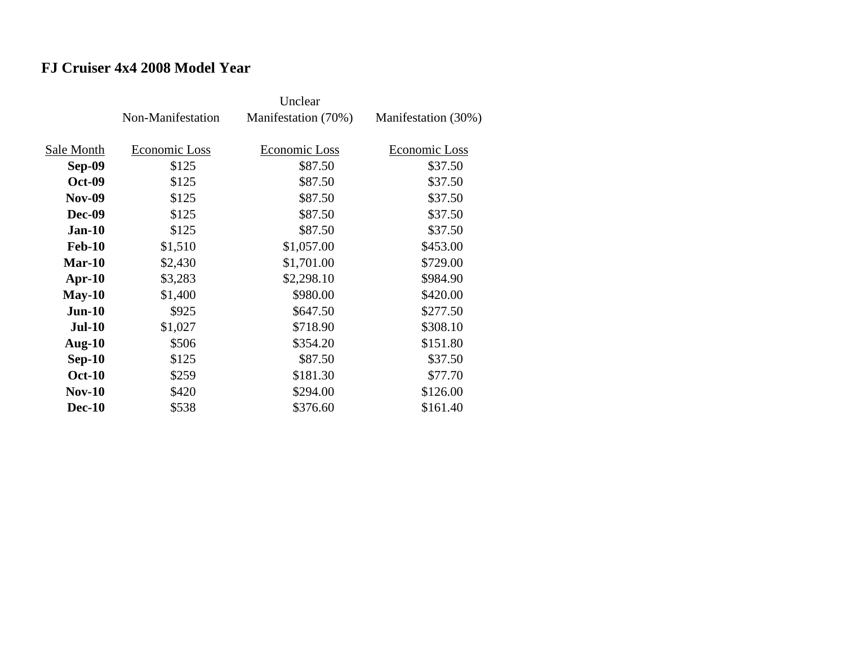# **FJ Cruiser 4x4 2008 Model Year**

|               | Non-Manifestation | Manifestation (70%) | Manifestation (30%) |
|---------------|-------------------|---------------------|---------------------|
| Sale Month    | Economic Loss     | Economic Loss       | Economic Loss       |
| <b>Sep-09</b> | \$125             | \$87.50             | \$37.50             |
| <b>Oct-09</b> | \$125             | \$87.50             | \$37.50             |
| <b>Nov-09</b> | \$125             | \$87.50             | \$37.50             |
| <b>Dec-09</b> | \$125             | \$87.50             | \$37.50             |
| <b>Jan-10</b> | \$125             | \$87.50             | \$37.50             |
| <b>Feb-10</b> | \$1,510           | \$1,057.00          | \$453.00            |
| $Mar-10$      | \$2,430           | \$1,701.00          | \$729.00            |
| Apr- $10$     | \$3,283           | \$2,298.10          | \$984.90            |
| $May-10$      | \$1,400           | \$980.00            | \$420.00            |
| $Jun-10$      | \$925             | \$647.50            | \$277.50            |
| <b>Jul-10</b> | \$1,027           | \$718.90            | \$308.10            |
| Aug- $10$     | \$506             | \$354.20            | \$151.80            |
| $Sep-10$      | \$125             | \$87.50             | \$37.50             |
| <b>Oct-10</b> | \$259             | \$181.30            | \$77.70             |
| $Nov-10$      | \$420             | \$294.00            | \$126.00            |
| <b>Dec-10</b> | \$538             | \$376.60            | \$161.40            |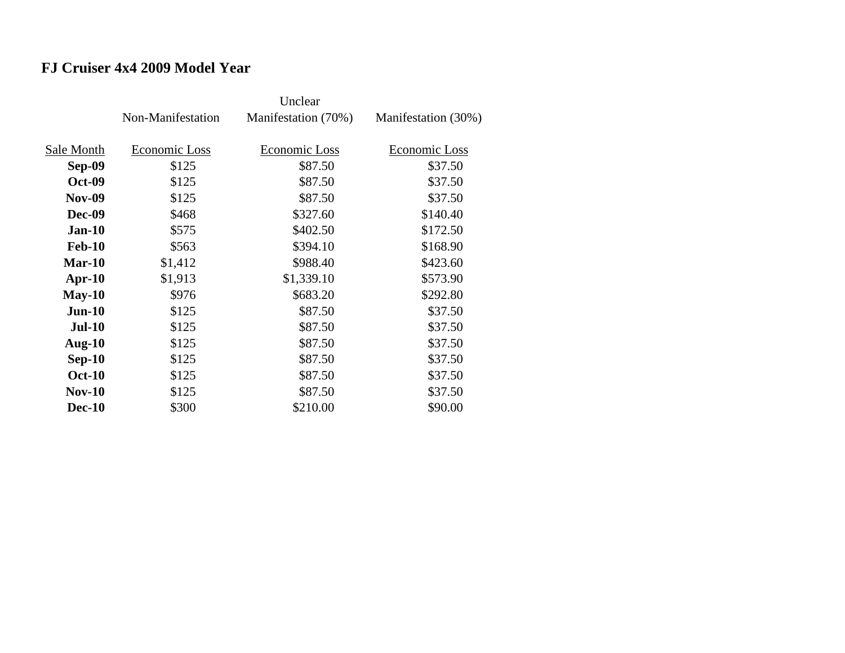#### **FJ Cruiser 4x4 2009 Model Year**

|               | Non-Manifestation | Manifestation (70%) | Manifestation (30%) |
|---------------|-------------------|---------------------|---------------------|
|               |                   |                     |                     |
| Sale Month    | Economic Loss     | Economic Loss       | Economic Loss       |
| <b>Sep-09</b> | \$125             | \$87.50             | \$37.50             |
| <b>Oct-09</b> | \$125             | \$87.50             | \$37.50             |
| <b>Nov-09</b> | \$125             | \$87.50             | \$37.50             |
| <b>Dec-09</b> | \$468             | \$327.60            | \$140.40            |
| $Jan-10$      | \$575             | \$402.50            | \$172.50            |
| <b>Feb-10</b> | \$563             | \$394.10            | \$168.90            |
| Mar-10        | \$1,412           | \$988.40            | \$423.60            |
| $Apr-10$      | \$1,913           | \$1,339.10          | \$573.90            |
| $May-10$      | \$976             | \$683.20            | \$292.80            |
| $Jun-10$      | \$125             | \$87.50             | \$37.50             |
| <b>Jul-10</b> | \$125             | \$87.50             | \$37.50             |
| Aug- $10$     | \$125             | \$87.50             | \$37.50             |
| $Sep-10$      | \$125             | \$87.50             | \$37.50             |
| <b>Oct-10</b> | \$125             | \$87.50             | \$37.50             |
| <b>Nov-10</b> | \$125             | \$87.50             | \$37.50             |
| <b>Dec-10</b> | \$300             | \$210.00            | \$90.00             |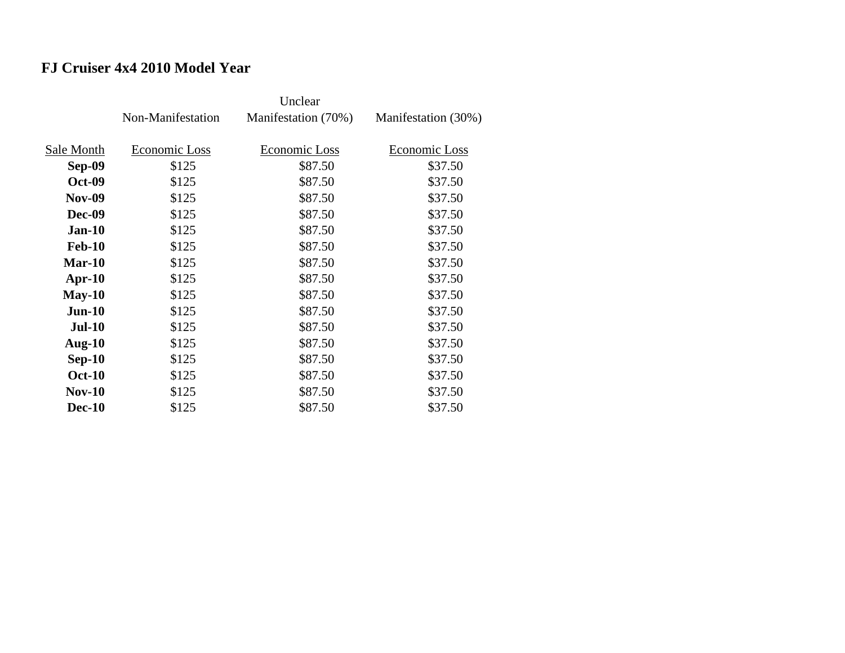# **FJ Cruiser 4x4 2010 Model Year**

|               | Non-Manifestation | Manifestation (70%) | Manifestation (30%) |
|---------------|-------------------|---------------------|---------------------|
|               |                   |                     |                     |
| Sale Month    | Economic Loss     | Economic Loss       | Economic Loss       |
| Sep-09        | \$125             | \$87.50             | \$37.50             |
| <b>Oct-09</b> | \$125             | \$87.50             | \$37.50             |
| <b>Nov-09</b> | \$125             | \$87.50             | \$37.50             |
| <b>Dec-09</b> | \$125             | \$87.50             | \$37.50             |
| $Jan-10$      | \$125             | \$87.50             | \$37.50             |
| <b>Feb-10</b> | \$125             | \$87.50             | \$37.50             |
| $Mar-10$      | \$125             | \$87.50             | \$37.50             |
| $Apr-10$      | \$125             | \$87.50             | \$37.50             |
| $May-10$      | \$125             | \$87.50             | \$37.50             |
| $Jun-10$      | \$125             | \$87.50             | \$37.50             |
| <b>Jul-10</b> | \$125             | \$87.50             | \$37.50             |
| Aug- $10$     | \$125             | \$87.50             | \$37.50             |
| $Sep-10$      | \$125             | \$87.50             | \$37.50             |
| <b>Oct-10</b> | \$125             | \$87.50             | \$37.50             |
| $Nov-10$      | \$125             | \$87.50             | \$37.50             |
| <b>Dec-10</b> | \$125             | \$87.50             | \$37.50             |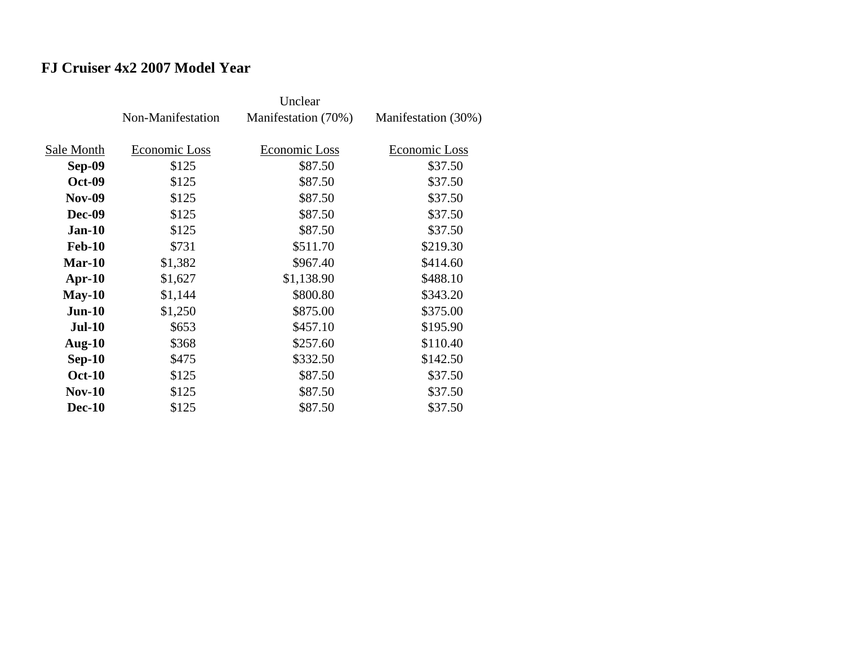# **FJ Cruiser 4x2 2007 Model Year**

|               | Non-Manifestation | Manifestation (70%) | Manifestation (30%) |
|---------------|-------------------|---------------------|---------------------|
|               |                   |                     |                     |
| Sale Month    | Economic Loss     | Economic Loss       | Economic Loss       |
| Sep-09        | \$125             | \$87.50             | \$37.50             |
| <b>Oct-09</b> | \$125             | \$87.50             | \$37.50             |
| <b>Nov-09</b> | \$125             | \$87.50             | \$37.50             |
| <b>Dec-09</b> | \$125             | \$87.50             | \$37.50             |
| $Jan-10$      | \$125             | \$87.50             | \$37.50             |
| <b>Feb-10</b> | \$731             | \$511.70            | \$219.30            |
| $Mar-10$      | \$1,382           | \$967.40            | \$414.60            |
| $Apr-10$      | \$1,627           | \$1,138.90          | \$488.10            |
| $May-10$      | \$1,144           | \$800.80            | \$343.20            |
| $Jun-10$      | \$1,250           | \$875.00            | \$375.00            |
| <b>Jul-10</b> | \$653             | \$457.10            | \$195.90            |
| Aug- $10$     | \$368             | \$257.60            | \$110.40            |
| $Sep-10$      | \$475             | \$332.50            | \$142.50            |
| <b>Oct-10</b> | \$125             | \$87.50             | \$37.50             |
| $Nov-10$      | \$125             | \$87.50             | \$37.50             |
| <b>Dec-10</b> | \$125             | \$87.50             | \$37.50             |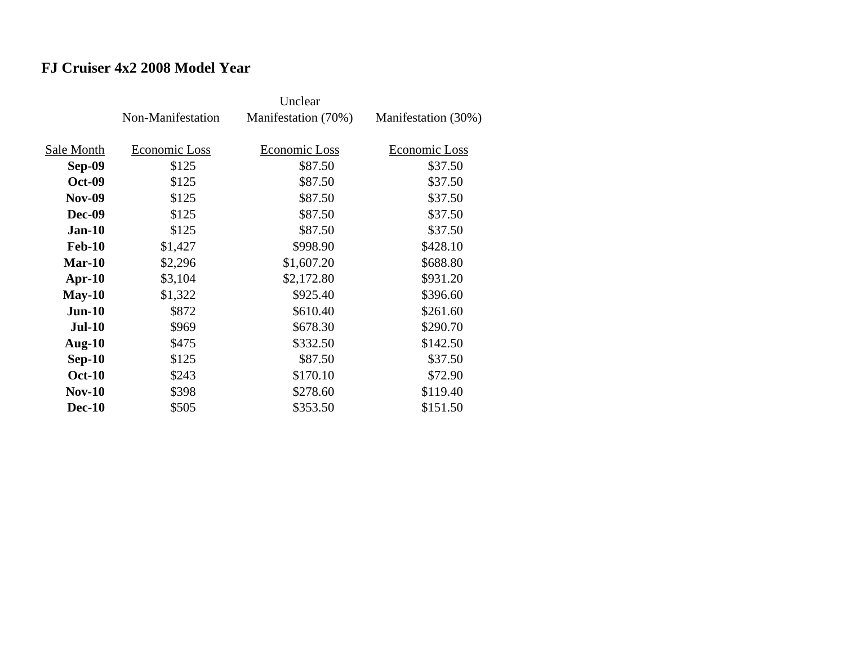# **FJ Cruiser 4x2 2008 Model Year**

|               | Non-Manifestation | Manifestation (70%) | Manifestation (30%) |
|---------------|-------------------|---------------------|---------------------|
|               |                   |                     |                     |
| Sale Month    | Economic Loss     | Economic Loss       | Economic Loss       |
| Sep-09        | \$125             | \$87.50             | \$37.50             |
| <b>Oct-09</b> | \$125             | \$87.50             | \$37.50             |
| <b>Nov-09</b> | \$125             | \$87.50             | \$37.50             |
| <b>Dec-09</b> | \$125             | \$87.50             | \$37.50             |
| $Jan-10$      | \$125             | \$87.50             | \$37.50             |
| <b>Feb-10</b> | \$1,427           | \$998.90            | \$428.10            |
| $Mar-10$      | \$2,296           | \$1,607.20          | \$688.80            |
| $Apr-10$      | \$3,104           | \$2,172.80          | \$931.20            |
| $May-10$      | \$1,322           | \$925.40            | \$396.60            |
| $Jun-10$      | \$872             | \$610.40            | \$261.60            |
| <b>Jul-10</b> | \$969             | \$678.30            | \$290.70            |
| Aug- $10$     | \$475             | \$332.50            | \$142.50            |
| $Sep-10$      | \$125             | \$87.50             | \$37.50             |
| <b>Oct-10</b> | \$243             | \$170.10            | \$72.90             |
| $Nov-10$      | \$398             | \$278.60            | \$119.40            |
| <b>Dec-10</b> | \$505             | \$353.50            | \$151.50            |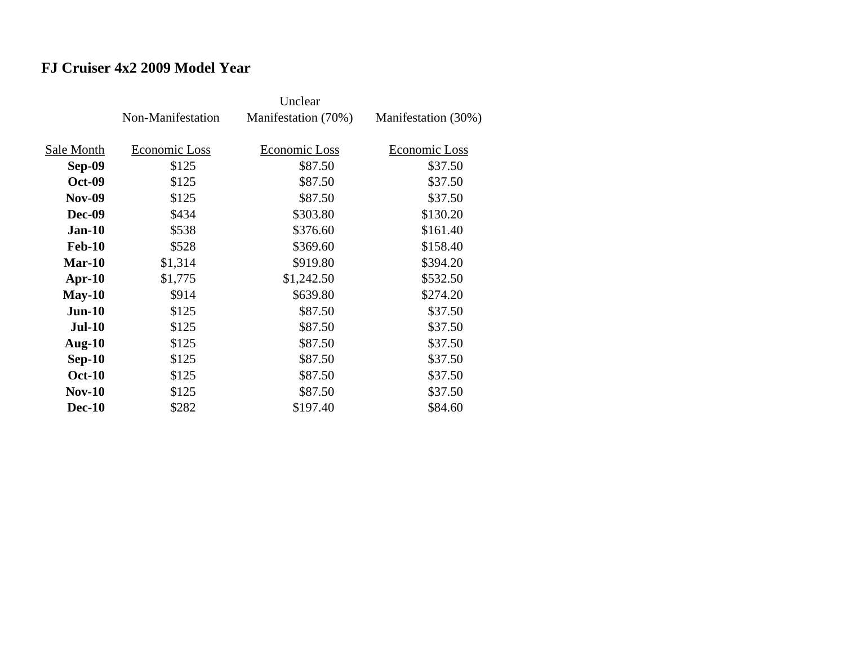# **FJ Cruiser 4x2 2009 Model Year**

|               | Non-Manifestation | Manifestation (70%) | Manifestation (30%) |
|---------------|-------------------|---------------------|---------------------|
|               |                   |                     |                     |
| Sale Month    | Economic Loss     | Economic Loss       | Economic Loss       |
| <b>Sep-09</b> | \$125             | \$87.50             | \$37.50             |
| <b>Oct-09</b> | \$125             | \$87.50             | \$37.50             |
| <b>Nov-09</b> | \$125             | \$87.50             | \$37.50             |
| <b>Dec-09</b> | \$434             | \$303.80            | \$130.20            |
| $Jan-10$      | \$538             | \$376.60            | \$161.40            |
| <b>Feb-10</b> | \$528             | \$369.60            | \$158.40            |
| Mar-10        | \$1,314           | \$919.80            | \$394.20            |
| $Apr-10$      | \$1,775           | \$1,242.50          | \$532.50            |
| $May-10$      | \$914             | \$639.80            | \$274.20            |
| $Jun-10$      | \$125             | \$87.50             | \$37.50             |
| <b>Jul-10</b> | \$125             | \$87.50             | \$37.50             |
| Aug- $10$     | \$125             | \$87.50             | \$37.50             |
| $Sep-10$      | \$125             | \$87.50             | \$37.50             |
| <b>Oct-10</b> | \$125             | \$87.50             | \$37.50             |
| <b>Nov-10</b> | \$125             | \$87.50             | \$37.50             |
| <b>Dec-10</b> | \$282             | \$197.40            | \$84.60             |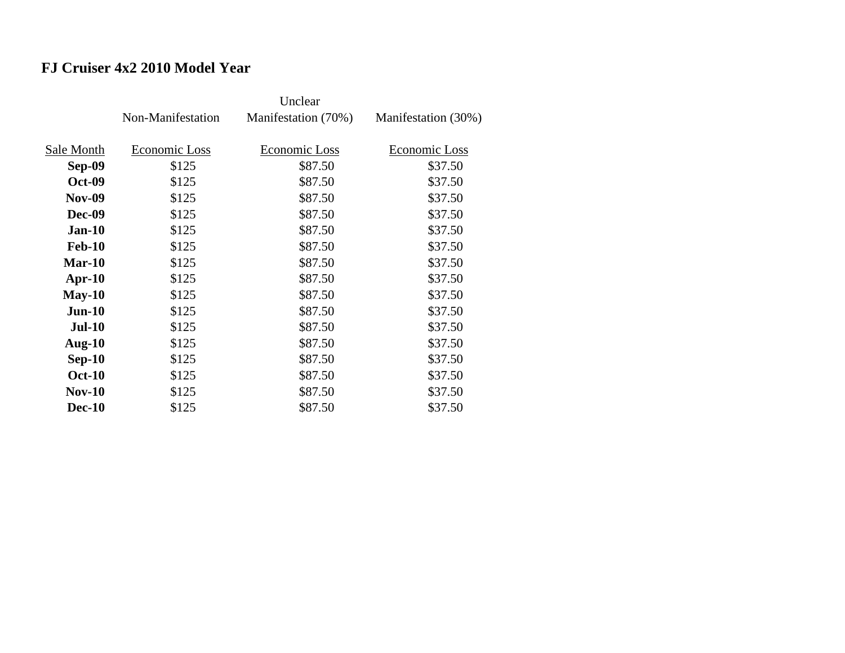# **FJ Cruiser 4x2 2010 Model Year**

|               | Non-Manifestation | Manifestation (70%) | Manifestation (30%) |
|---------------|-------------------|---------------------|---------------------|
|               |                   |                     |                     |
| Sale Month    | Economic Loss     | Economic Loss       | Economic Loss       |
| Sep-09        | \$125             | \$87.50             | \$37.50             |
| <b>Oct-09</b> | \$125             | \$87.50             | \$37.50             |
| <b>Nov-09</b> | \$125             | \$87.50             | \$37.50             |
| <b>Dec-09</b> | \$125             | \$87.50             | \$37.50             |
| $Jan-10$      | \$125             | \$87.50             | \$37.50             |
| <b>Feb-10</b> | \$125             | \$87.50             | \$37.50             |
| $Mar-10$      | \$125             | \$87.50             | \$37.50             |
| $Apr-10$      | \$125             | \$87.50             | \$37.50             |
| $May-10$      | \$125             | \$87.50             | \$37.50             |
| $Jun-10$      | \$125             | \$87.50             | \$37.50             |
| <b>Jul-10</b> | \$125             | \$87.50             | \$37.50             |
| Aug- $10$     | \$125             | \$87.50             | \$37.50             |
| $Sep-10$      | \$125             | \$87.50             | \$37.50             |
| <b>Oct-10</b> | \$125             | \$87.50             | \$37.50             |
| $Nov-10$      | \$125             | \$87.50             | \$37.50             |
| <b>Dec-10</b> | \$125             | \$87.50             | \$37.50             |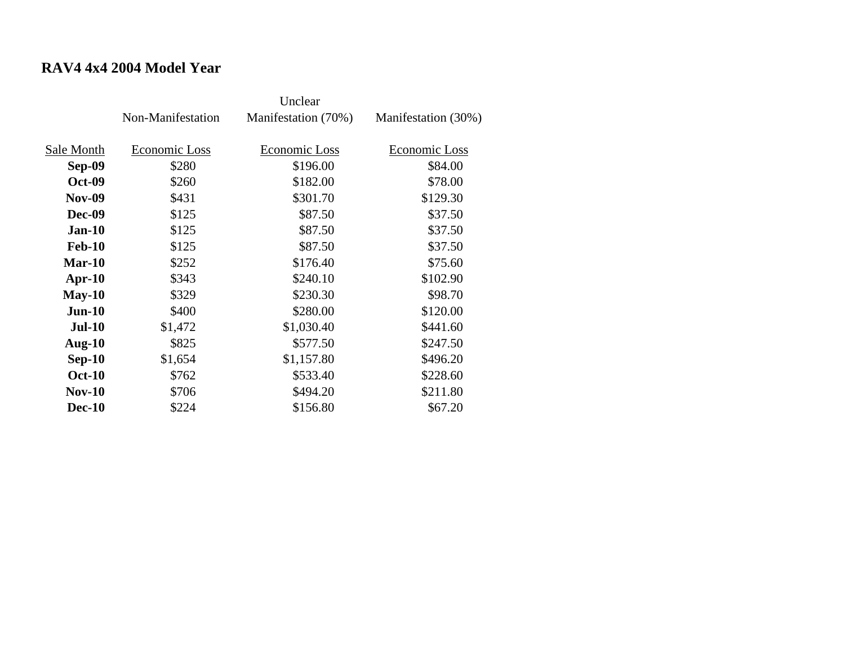# **RAV4 4x4 2004 Model Year**

|               | Non-Manifestation | Manifestation (70%) | Manifestation (30%) |
|---------------|-------------------|---------------------|---------------------|
| Sale Month    | Economic Loss     | Economic Loss       | Economic Loss       |
| Sep-09        | \$280             | \$196.00            | \$84.00             |
| <b>Oct-09</b> | \$260             | \$182.00            | \$78.00             |
| <b>Nov-09</b> | \$431             | \$301.70            | \$129.30            |
| Dec-09        | \$125             | \$87.50             | \$37.50             |
| <b>Jan-10</b> | \$125             | \$87.50             | \$37.50             |
| <b>Feb-10</b> | \$125             | \$87.50             | \$37.50             |
| $Mar-10$      | \$252             | \$176.40            | \$75.60             |
| Apr- $10$     | \$343             | \$240.10            | \$102.90            |
| $May-10$      | \$329             | \$230.30            | \$98.70             |
| $Jun-10$      | \$400             | \$280.00            | \$120.00            |
| <b>Jul-10</b> | \$1,472           | \$1,030.40          | \$441.60            |
| Aug- $10$     | \$825             | \$577.50            | \$247.50            |
| $Sep-10$      | \$1,654           | \$1,157.80          | \$496.20            |
| <b>Oct-10</b> | \$762             | \$533.40            | \$228.60            |
| $Nov-10$      | \$706             | \$494.20            | \$211.80            |
| <b>Dec-10</b> | \$224             | \$156.80            | \$67.20             |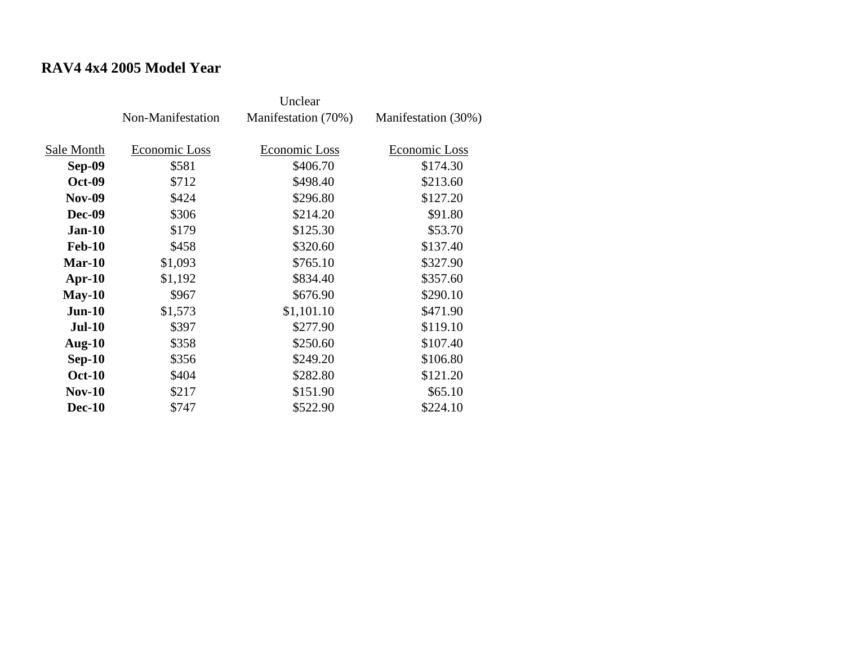# **RAV4 4x4 2005 Model Year**

|               | Non-Manifestation | Manifestation (70%) | Manifestation (30%) |
|---------------|-------------------|---------------------|---------------------|
| Sale Month    | Economic Loss     | Economic Loss       | Economic Loss       |
| Sep-09        | \$581             | \$406.70            | \$174.30            |
| <b>Oct-09</b> | \$712             | \$498.40            | \$213.60            |
| <b>Nov-09</b> | \$424             | \$296.80            | \$127.20            |
| Dec-09        | \$306             | \$214.20            | \$91.80             |
| <b>Jan-10</b> | \$179             | \$125.30            | \$53.70             |
| <b>Feb-10</b> | \$458             | \$320.60            | \$137.40            |
| $Mar-10$      | \$1,093           | \$765.10            | \$327.90            |
| Apr- $10$     | \$1,192           | \$834.40            | \$357.60            |
| $May-10$      | \$967             | \$676.90            | \$290.10            |
| $Jun-10$      | \$1,573           | \$1,101.10          | \$471.90            |
| <b>Jul-10</b> | \$397             | \$277.90            | \$119.10            |
| Aug- $10$     | \$358             | \$250.60            | \$107.40            |
| $Sep-10$      | \$356             | \$249.20            | \$106.80            |
| <b>Oct-10</b> | \$404             | \$282.80            | \$121.20            |
| <b>Nov-10</b> | \$217             | \$151.90            | \$65.10             |
| <b>Dec-10</b> | \$747             | \$522.90            | \$224.10            |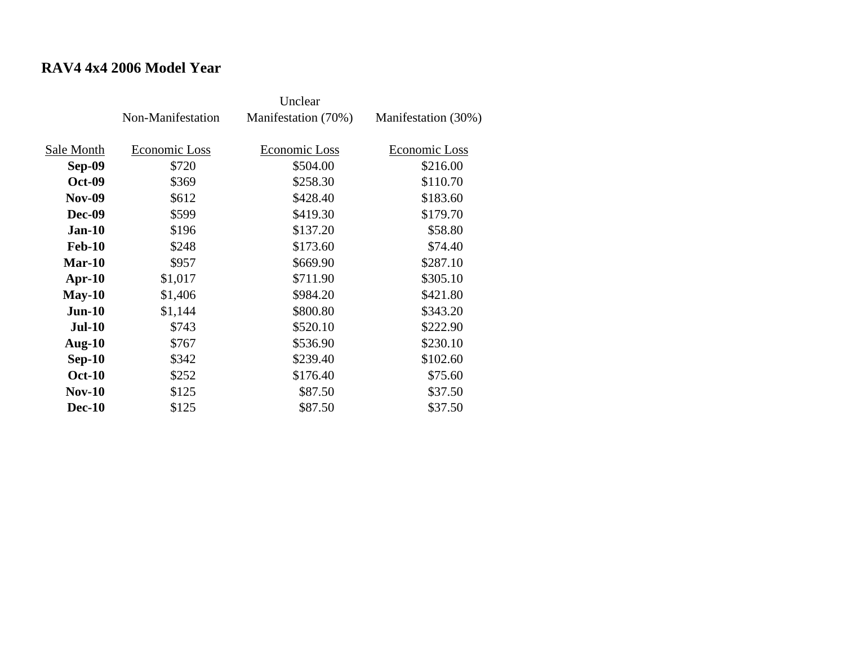# **RAV4 4x4 2006 Model Year**

|               | Non-Manifestation | Manifestation (70%)  | Manifestation (30%) |
|---------------|-------------------|----------------------|---------------------|
|               |                   |                      |                     |
| Sale Month    | Economic Loss     | <b>Economic Loss</b> | Economic Loss       |
| <b>Sep-09</b> | \$720             | \$504.00             | \$216.00            |
| <b>Oct-09</b> | \$369             | \$258.30             | \$110.70            |
| <b>Nov-09</b> | \$612             | \$428.40             | \$183.60            |
| <b>Dec-09</b> | \$599             | \$419.30             | \$179.70            |
| $Jan-10$      | \$196             | \$137.20             | \$58.80             |
| <b>Feb-10</b> | \$248             | \$173.60             | \$74.40             |
| $Mar-10$      | \$957             | \$669.90             | \$287.10            |
| $Apr-10$      | \$1,017           | \$711.90             | \$305.10            |
| $May-10$      | \$1,406           | \$984.20             | \$421.80            |
| $Jun-10$      | \$1,144           | \$800.80             | \$343.20            |
| <b>Jul-10</b> | \$743             | \$520.10             | \$222.90            |
| Aug- $10$     | \$767             | \$536.90             | \$230.10            |
| $Sep-10$      | \$342             | \$239.40             | \$102.60            |
| <b>Oct-10</b> | \$252             | \$176.40             | \$75.60             |
| $Nov-10$      | \$125             | \$87.50              | \$37.50             |
| <b>Dec-10</b> | \$125             | \$87.50              | \$37.50             |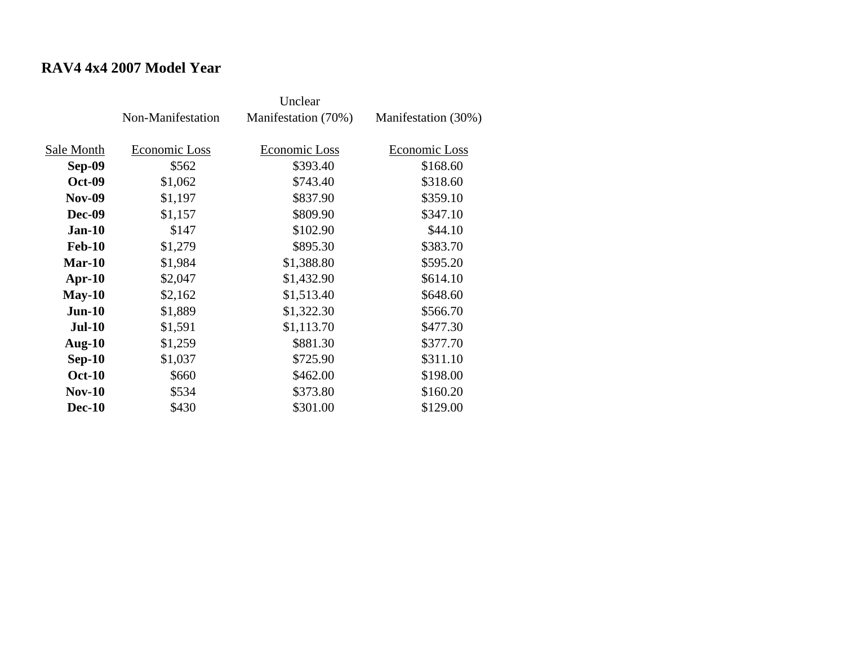# **RAV4 4x4 2007 Model Year**

|               | Non-Manifestation | Manifestation (70%)  | Manifestation (30%) |
|---------------|-------------------|----------------------|---------------------|
|               |                   |                      |                     |
| Sale Month    | Economic Loss     | <b>Economic Loss</b> | Economic Loss       |
| <b>Sep-09</b> | \$562             | \$393.40             | \$168.60            |
| <b>Oct-09</b> | \$1,062           | \$743.40             | \$318.60            |
| <b>Nov-09</b> | \$1,197           | \$837.90             | \$359.10            |
| <b>Dec-09</b> | \$1,157           | \$809.90             | \$347.10            |
| $Jan-10$      | \$147             | \$102.90             | \$44.10             |
| <b>Feb-10</b> | \$1,279           | \$895.30             | \$383.70            |
| $Mar-10$      | \$1,984           | \$1,388.80           | \$595.20            |
| $Apr-10$      | \$2,047           | \$1,432.90           | \$614.10            |
| $May-10$      | \$2,162           | \$1,513.40           | \$648.60            |
| $Jun-10$      | \$1,889           | \$1,322.30           | \$566.70            |
| <b>Jul-10</b> | \$1,591           | \$1,113.70           | \$477.30            |
| Aug- $10$     | \$1,259           | \$881.30             | \$377.70            |
| $Sep-10$      | \$1,037           | \$725.90             | \$311.10            |
| <b>Oct-10</b> | \$660             | \$462.00             | \$198.00            |
| $Nov-10$      | \$534             | \$373.80             | \$160.20            |
| <b>Dec-10</b> | \$430             | \$301.00             | \$129.00            |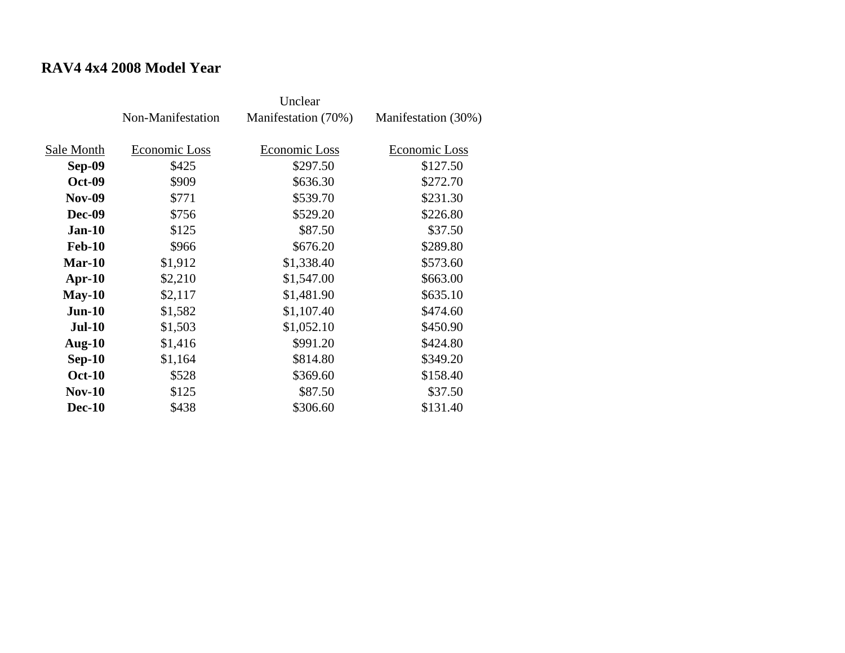# **RAV4 4x4 2008 Model Year**

|               | Non-Manifestation | Manifestation (70%) | Manifestation (30%) |
|---------------|-------------------|---------------------|---------------------|
| Sale Month    | Economic Loss     | Economic Loss       | Economic Loss       |
| Sep-09        | \$425             | \$297.50            | \$127.50            |
| <b>Oct-09</b> | \$909             | \$636.30            | \$272.70            |
| <b>Nov-09</b> | \$771             | \$539.70            | \$231.30            |
| <b>Dec-09</b> | \$756             | \$529.20            | \$226.80            |
| $Jan-10$      | \$125             | \$87.50             | \$37.50             |
| <b>Feb-10</b> | \$966             | \$676.20            | \$289.80            |
| $Mar-10$      | \$1,912           | \$1,338.40          | \$573.60            |
| $Apr-10$      | \$2,210           | \$1,547.00          | \$663.00            |
| $May-10$      | \$2,117           | \$1,481.90          | \$635.10            |
| $Jun-10$      | \$1,582           | \$1,107.40          | \$474.60            |
| <b>Jul-10</b> | \$1,503           | \$1,052.10          | \$450.90            |
| Aug- $10$     | \$1,416           | \$991.20            | \$424.80            |
| $Sep-10$      | \$1,164           | \$814.80            | \$349.20            |
| <b>Oct-10</b> | \$528             | \$369.60            | \$158.40            |
| <b>Nov-10</b> | \$125             | \$87.50             | \$37.50             |
| <b>Dec-10</b> | \$438             | \$306.60            | \$131.40            |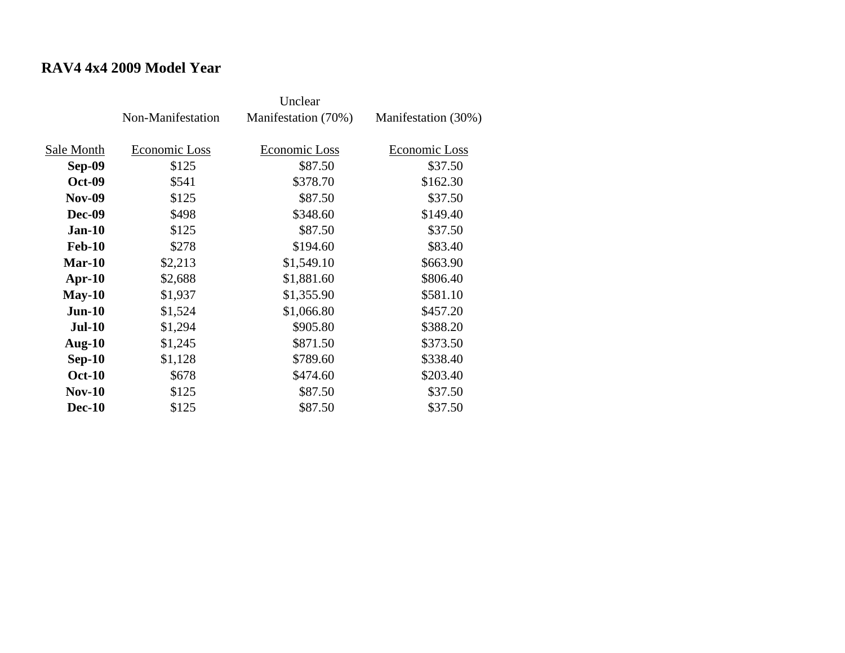# **RAV4 4x4 2009 Model Year**

|               | Non-Manifestation | Manifestation (70%) | Manifestation (30%) |
|---------------|-------------------|---------------------|---------------------|
| Sale Month    | Economic Loss     | Economic Loss       | Economic Loss       |
| Sep-09        | \$125             | \$87.50             | \$37.50             |
| <b>Oct-09</b> | \$541             | \$378.70            | \$162.30            |
| <b>Nov-09</b> | \$125             | \$87.50             | \$37.50             |
| Dec-09        | \$498             | \$348.60            | \$149.40            |
| $Jan-10$      | \$125             | \$87.50             | \$37.50             |
| <b>Feb-10</b> | \$278             | \$194.60            | \$83.40             |
| $Mar-10$      | \$2,213           | \$1,549.10          | \$663.90            |
| Apr- $10$     | \$2,688           | \$1,881.60          | \$806.40            |
| $May-10$      | \$1,937           | \$1,355.90          | \$581.10            |
| $Jun-10$      | \$1,524           | \$1,066.80          | \$457.20            |
| <b>Jul-10</b> | \$1,294           | \$905.80            | \$388.20            |
| Aug- $10$     | \$1,245           | \$871.50            | \$373.50            |
| $Sep-10$      | \$1,128           | \$789.60            | \$338.40            |
| <b>Oct-10</b> | \$678             | \$474.60            | \$203.40            |
| <b>Nov-10</b> | \$125             | \$87.50             | \$37.50             |
| <b>Dec-10</b> | \$125             | \$87.50             | \$37.50             |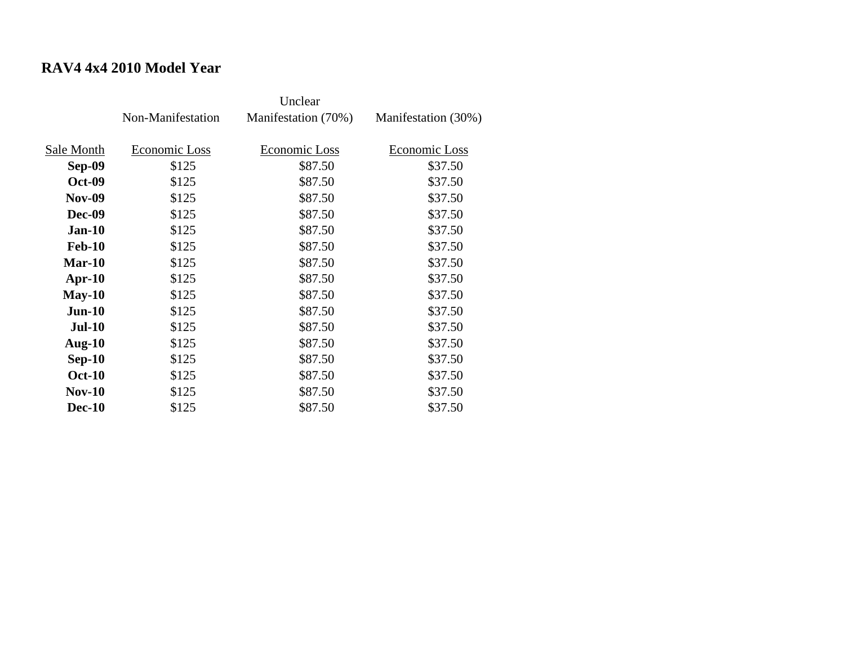# **RAV4 4x4 2010 Model Year**

|               | Non-Manifestation | Manifestation (70%) | Manifestation (30%) |
|---------------|-------------------|---------------------|---------------------|
| Sale Month    | Economic Loss     | Economic Loss       | Economic Loss       |
| Sep-09        | \$125             | \$87.50             | \$37.50             |
| <b>Oct-09</b> | \$125             | \$87.50             | \$37.50             |
| <b>Nov-09</b> | \$125             | \$87.50             | \$37.50             |
| <b>Dec-09</b> | \$125             | \$87.50             | \$37.50             |
| <b>Jan-10</b> | \$125             | \$87.50             | \$37.50             |
| <b>Feb-10</b> | \$125             | \$87.50             | \$37.50             |
| $Mar-10$      | \$125             | \$87.50             | \$37.50             |
| Apr- $10$     | \$125             | \$87.50             | \$37.50             |
| $May-10$      | \$125             | \$87.50             | \$37.50             |
| $Jun-10$      | \$125             | \$87.50             | \$37.50             |
| <b>Jul-10</b> | \$125             | \$87.50             | \$37.50             |
| Aug- $10$     | \$125             | \$87.50             | \$37.50             |
| $Sep-10$      | \$125             | \$87.50             | \$37.50             |
| <b>Oct-10</b> | \$125             | \$87.50             | \$37.50             |
| $Nov-10$      | \$125             | \$87.50             | \$37.50             |
| <b>Dec-10</b> | \$125             | \$87.50             | \$37.50             |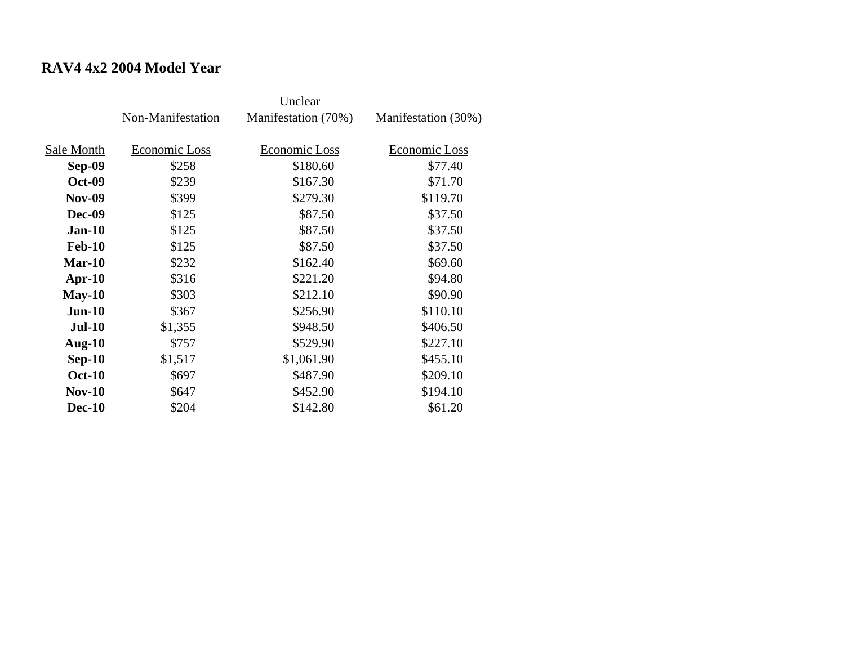# **RAV4 4x2 2004 Model Year**

|               | Non-Manifestation | Manifestation (70%) | Manifestation (30%) |
|---------------|-------------------|---------------------|---------------------|
| Sale Month    | Economic Loss     | Economic Loss       | Economic Loss       |
|               |                   |                     |                     |
| Sep-09        | \$258             | \$180.60            | \$77.40             |
| <b>Oct-09</b> | \$239             | \$167.30            | \$71.70             |
| <b>Nov-09</b> | \$399             | \$279.30            | \$119.70            |
| <b>Dec-09</b> | \$125             | \$87.50             | \$37.50             |
| $Jan-10$      | \$125             | \$87.50             | \$37.50             |
| <b>Feb-10</b> | \$125             | \$87.50             | \$37.50             |
| $Mar-10$      | \$232             | \$162.40            | \$69.60             |
| Apr- $10$     | \$316             | \$221.20            | \$94.80             |
| $May-10$      | \$303             | \$212.10            | \$90.90             |
| $Jun-10$      | \$367             | \$256.90            | \$110.10            |
| <b>Jul-10</b> | \$1,355           | \$948.50            | \$406.50            |
| Aug- $10$     | \$757             | \$529.90            | \$227.10            |
| $Sep-10$      | \$1,517           | \$1,061.90          | \$455.10            |
| <b>Oct-10</b> | \$697             | \$487.90            | \$209.10            |
| $Nov-10$      | \$647             | \$452.90            | \$194.10            |
| <b>Dec-10</b> | \$204             | \$142.80            | \$61.20             |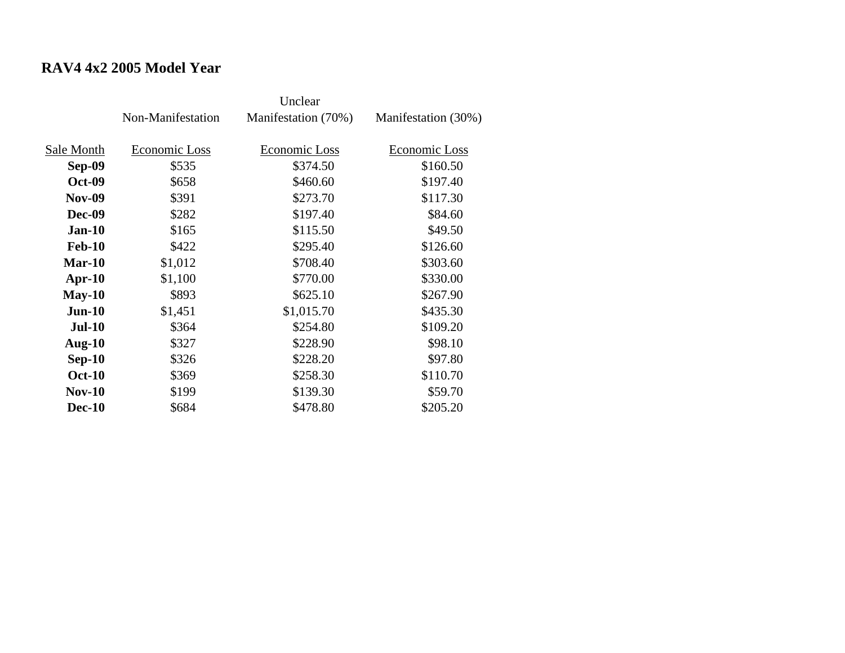# **RAV4 4x2 2005 Model Year**

|               | Non-Manifestation | Manifestation (70%) | Manifestation (30%) |
|---------------|-------------------|---------------------|---------------------|
| Sale Month    | Economic Loss     | Economic Loss       | Economic Loss       |
| <b>Sep-09</b> | \$535             | \$374.50            | \$160.50            |
| <b>Oct-09</b> | \$658             | \$460.60            | \$197.40            |
| <b>Nov-09</b> | \$391             | \$273.70            | \$117.30            |
| Dec-09        | \$282             | \$197.40            | \$84.60             |
| $Jan-10$      | \$165             | \$115.50            | \$49.50             |
| <b>Feb-10</b> | \$422             | \$295.40            | \$126.60            |
| $Mar-10$      | \$1,012           | \$708.40            | \$303.60            |
| Apr- $10$     | \$1,100           | \$770.00            | \$330.00            |
| $May-10$      | \$893             | \$625.10            | \$267.90            |
| $Jun-10$      | \$1,451           | \$1,015.70          | \$435.30            |
| $Jul-10$      | \$364             | \$254.80            | \$109.20            |
| Aug- $10$     | \$327             | \$228.90            | \$98.10             |
| $Sep-10$      | \$326             | \$228.20            | \$97.80             |
| <b>Oct-10</b> | \$369             | \$258.30            | \$110.70            |
| $Nov-10$      | \$199             | \$139.30            | \$59.70             |
| <b>Dec-10</b> | \$684             | \$478.80            | \$205.20            |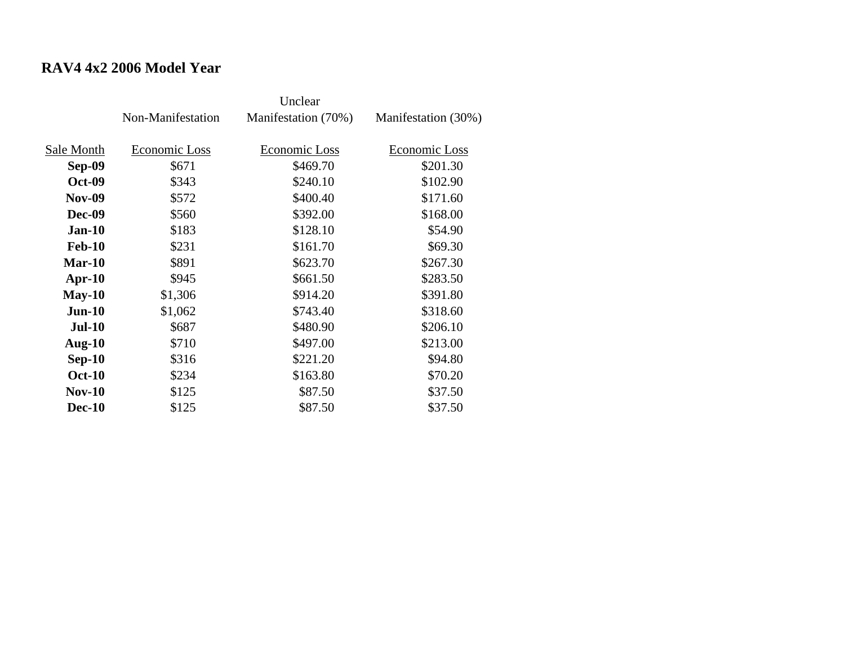#### **RAV4 4x2 2006 Model Year**

|               | Non-Manifestation | Manifestation (70%) | Manifestation (30%) |
|---------------|-------------------|---------------------|---------------------|
| Sale Month    | Economic Loss     | Economic Loss       | Economic Loss       |
| Sep-09        | \$671             | \$469.70            | \$201.30            |
| <b>Oct-09</b> | \$343             | \$240.10            | \$102.90            |
| <b>Nov-09</b> | \$572             | \$400.40            | \$171.60            |
| Dec-09        | \$560             | \$392.00            | \$168.00            |
| $Jan-10$      | \$183             | \$128.10            | \$54.90             |
| <b>Feb-10</b> | \$231             | \$161.70            | \$69.30             |
| $Mar-10$      | \$891             | \$623.70            | \$267.30            |
| Apr- $10$     | \$945             | \$661.50            | \$283.50            |
| $May-10$      | \$1,306           | \$914.20            | \$391.80            |
| $Jun-10$      | \$1,062           | \$743.40            | \$318.60            |
| <b>Jul-10</b> | \$687             | \$480.90            | \$206.10            |
| Aug- $10$     | \$710             | \$497.00            | \$213.00            |
| $Sep-10$      | \$316             | \$221.20            | \$94.80             |
| <b>Oct-10</b> | \$234             | \$163.80            | \$70.20             |
| <b>Nov-10</b> | \$125             | \$87.50             | \$37.50             |
| <b>Dec-10</b> | \$125             | \$87.50             | \$37.50             |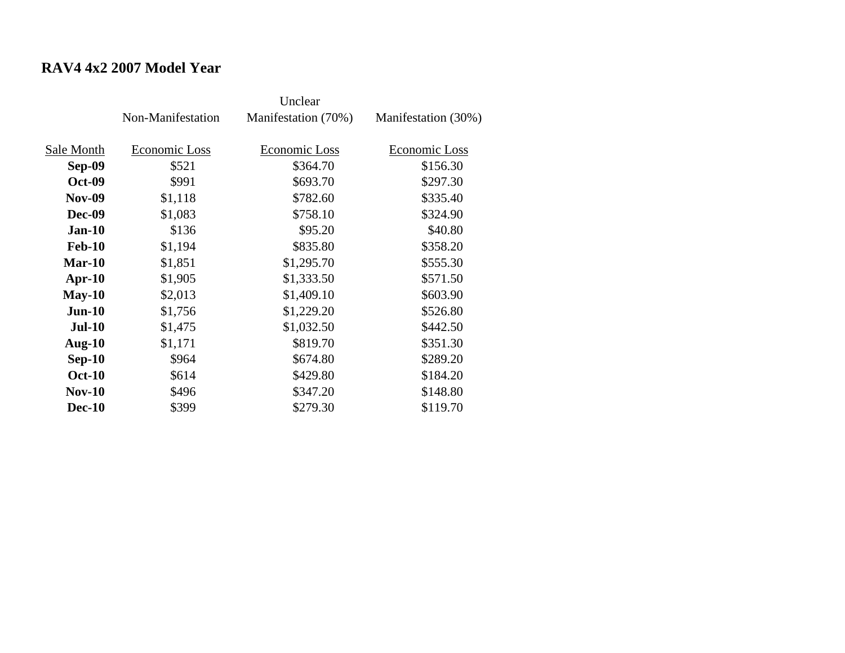# **RAV4 4x2 2007 Model Year**

|               | Non-Manifestation | Manifestation (70%)  | Manifestation (30%) |
|---------------|-------------------|----------------------|---------------------|
|               |                   |                      |                     |
| Sale Month    | Economic Loss     | <b>Economic Loss</b> | Economic Loss       |
| <b>Sep-09</b> | \$521             | \$364.70             | \$156.30            |
| <b>Oct-09</b> | \$991             | \$693.70             | \$297.30            |
| <b>Nov-09</b> | \$1,118           | \$782.60             | \$335.40            |
| <b>Dec-09</b> | \$1,083           | \$758.10             | \$324.90            |
| $Jan-10$      | \$136             | \$95.20              | \$40.80             |
| <b>Feb-10</b> | \$1,194           | \$835.80             | \$358.20            |
| $Mar-10$      | \$1,851           | \$1,295.70           | \$555.30            |
| $Apr-10$      | \$1,905           | \$1,333.50           | \$571.50            |
| $May-10$      | \$2,013           | \$1,409.10           | \$603.90            |
| $Jun-10$      | \$1,756           | \$1,229.20           | \$526.80            |
| <b>Jul-10</b> | \$1,475           | \$1,032.50           | \$442.50            |
| Aug- $10$     | \$1,171           | \$819.70             | \$351.30            |
| $Sep-10$      | \$964             | \$674.80             | \$289.20            |
| <b>Oct-10</b> | \$614             | \$429.80             | \$184.20            |
| $Nov-10$      | \$496             | \$347.20             | \$148.80            |
| <b>Dec-10</b> | \$399             | \$279.30             | \$119.70            |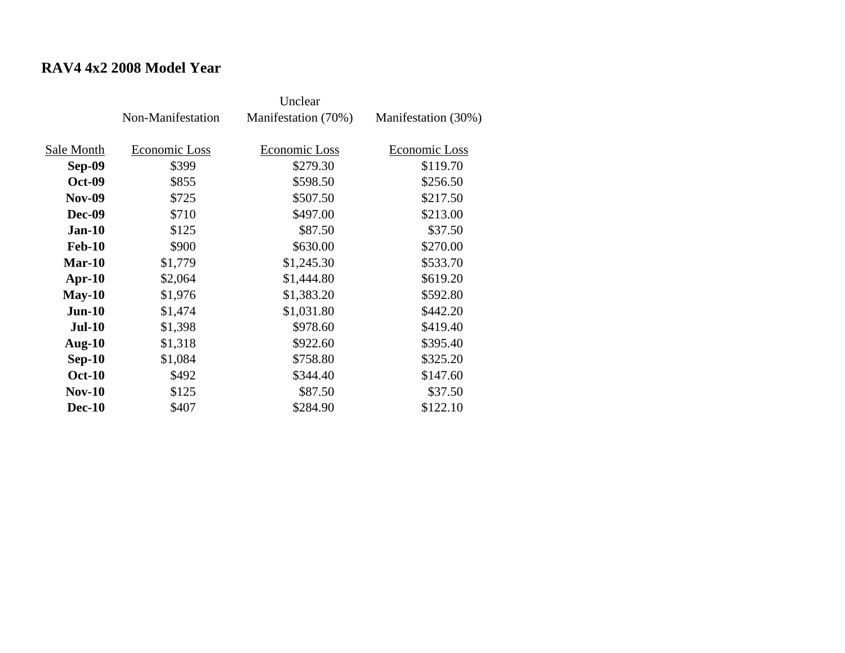#### **RAV4 4x2 2008 Model Year**

|               | Non-Manifestation | Manifestation (70%) | Manifestation (30%) |
|---------------|-------------------|---------------------|---------------------|
| Sale Month    | Economic Loss     | Economic Loss       | Economic Loss       |
| <b>Sep-09</b> | \$399             | \$279.30            | \$119.70            |
| <b>Oct-09</b> | \$855             | \$598.50            | \$256.50            |
| <b>Nov-09</b> | \$725             | \$507.50            | \$217.50            |
| Dec-09        | \$710             | \$497.00            | \$213.00            |
| $Jan-10$      | \$125             | \$87.50             | \$37.50             |
| <b>Feb-10</b> | \$900             | \$630.00            | \$270.00            |
| $Mar-10$      | \$1,779           | \$1,245.30          | \$533.70            |
| Apr- $10$     | \$2,064           | \$1,444.80          | \$619.20            |
| $May-10$      | \$1,976           | \$1,383.20          | \$592.80            |
| $Jun-10$      | \$1,474           | \$1,031.80          | \$442.20            |
| $Jul-10$      | \$1,398           | \$978.60            | \$419.40            |
| Aug- $10$     | \$1,318           | \$922.60            | \$395.40            |
| $Sep-10$      | \$1,084           | \$758.80            | \$325.20            |
| <b>Oct-10</b> | \$492             | \$344.40            | \$147.60            |
| $Nov-10$      | \$125             | \$87.50             | \$37.50             |
| <b>Dec-10</b> | \$407             | \$284.90            | \$122.10            |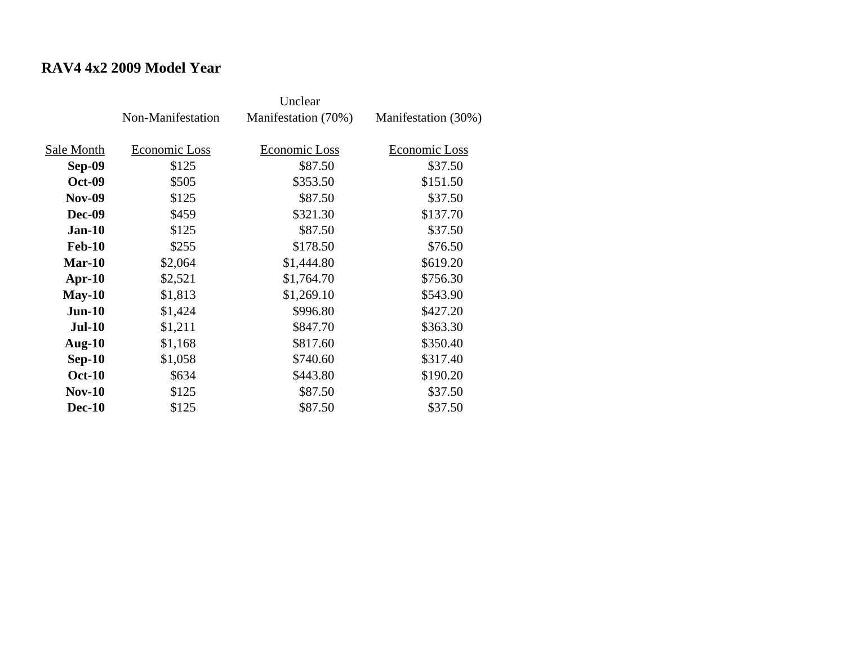#### **RAV4 4x2 2009 Model Year**

|               | Non-Manifestation | Manifestation (70%) | Manifestation (30%) |
|---------------|-------------------|---------------------|---------------------|
| Sale Month    | Economic Loss     | Economic Loss       | Economic Loss       |
| Sep-09        | \$125             | \$87.50             | \$37.50             |
| <b>Oct-09</b> | \$505             | \$353.50            | \$151.50            |
| <b>Nov-09</b> | \$125             | \$87.50             | \$37.50             |
| Dec-09        | \$459             | \$321.30            | \$137.70            |
| $Jan-10$      | \$125             | \$87.50             | \$37.50             |
| <b>Feb-10</b> | \$255             | \$178.50            | \$76.50             |
| $Mar-10$      | \$2,064           | \$1,444.80          | \$619.20            |
| Apr- $10$     | \$2,521           | \$1,764.70          | \$756.30            |
| $May-10$      | \$1,813           | \$1,269.10          | \$543.90            |
| $Jun-10$      | \$1,424           | \$996.80            | \$427.20            |
| <b>Jul-10</b> | \$1,211           | \$847.70            | \$363.30            |
| Aug- $10$     | \$1,168           | \$817.60            | \$350.40            |
| $Sep-10$      | \$1,058           | \$740.60            | \$317.40            |
| <b>Oct-10</b> | \$634             | \$443.80            | \$190.20            |
| <b>Nov-10</b> | \$125             | \$87.50             | \$37.50             |
| <b>Dec-10</b> | \$125             | \$87.50             | \$37.50             |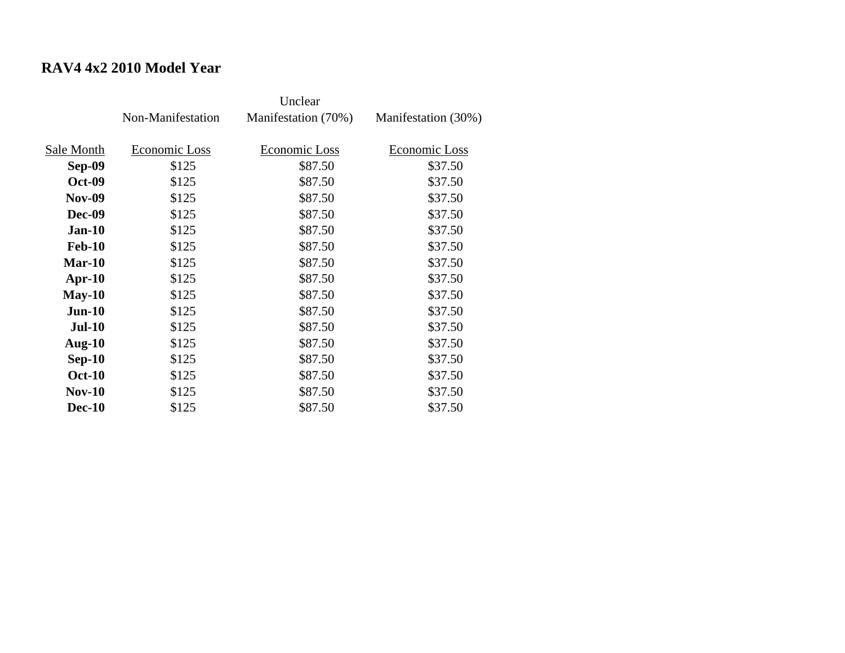# **RAV4 4x2 2010 Model Year**

|               | Non-Manifestation | Manifestation (70%) | Manifestation (30%) |
|---------------|-------------------|---------------------|---------------------|
| Sale Month    | Economic Loss     | Economic Loss       | Economic Loss       |
| Sep-09        | \$125             | \$87.50             | \$37.50             |
| <b>Oct-09</b> | \$125             | \$87.50             | \$37.50             |
| <b>Nov-09</b> | \$125             | \$87.50             | \$37.50             |
| Dec-09        | \$125             | \$87.50             | \$37.50             |
| <b>Jan-10</b> | \$125             | \$87.50             | \$37.50             |
| <b>Feb-10</b> | \$125             | \$87.50             | \$37.50             |
| $Mar-10$      | \$125             | \$87.50             | \$37.50             |
| Apr- $10$     | \$125             | \$87.50             | \$37.50             |
| $May-10$      | \$125             | \$87.50             | \$37.50             |
| $Jun-10$      | \$125             | \$87.50             | \$37.50             |
| <b>Jul-10</b> | \$125             | \$87.50             | \$37.50             |
| Aug- $10$     | \$125             | \$87.50             | \$37.50             |
| $Sep-10$      | \$125             | \$87.50             | \$37.50             |
| <b>Oct-10</b> | \$125             | \$87.50             | \$37.50             |
| <b>Nov-10</b> | \$125             | \$87.50             | \$37.50             |
| <b>Dec-10</b> | \$125             | \$87.50             | \$37.50             |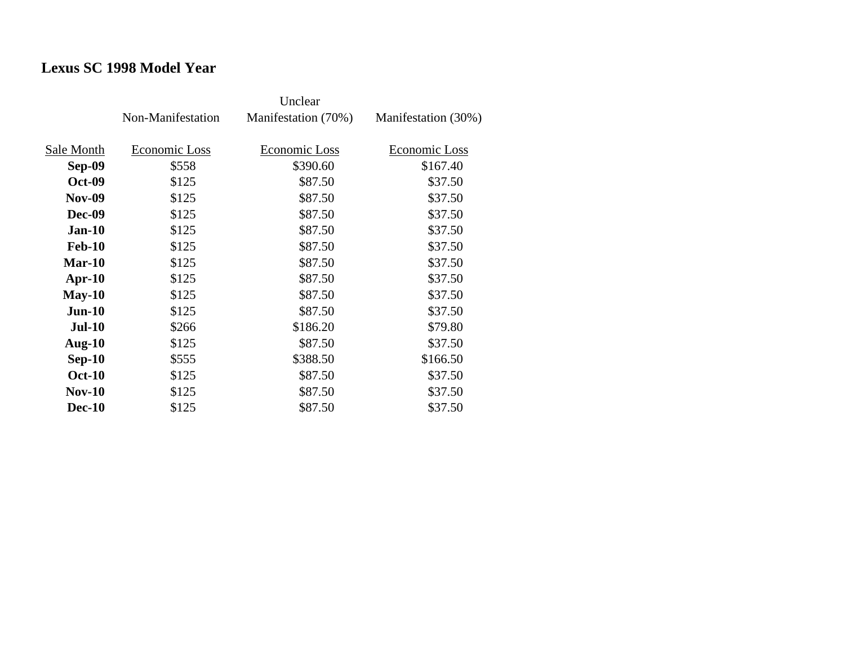# **Lexus SC 1998 Model Year**

|               | Non-Manifestation | Manifestation (70%) | Manifestation (30%) |
|---------------|-------------------|---------------------|---------------------|
| Sale Month    | Economic Loss     | Economic Loss       | Economic Loss       |
| Sep-09        | \$558             | \$390.60            | \$167.40            |
| <b>Oct-09</b> | \$125             | \$87.50             | \$37.50             |
| <b>Nov-09</b> | \$125             | \$87.50             | \$37.50             |
| Dec-09        | \$125             | \$87.50             | \$37.50             |
| <b>Jan-10</b> | \$125             | \$87.50             | \$37.50             |
| <b>Feb-10</b> | \$125             | \$87.50             | \$37.50             |
| $Mar-10$      | \$125             | \$87.50             | \$37.50             |
| Apr- $10$     | \$125             | \$87.50             | \$37.50             |
| $May-10$      | \$125             | \$87.50             | \$37.50             |
| $Jun-10$      | \$125             | \$87.50             | \$37.50             |
| <b>Jul-10</b> | \$266             | \$186.20            | \$79.80             |
| Aug- $10$     | \$125             | \$87.50             | \$37.50             |
| $Sep-10$      | \$555             | \$388.50            | \$166.50            |
| <b>Oct-10</b> | \$125             | \$87.50             | \$37.50             |
| $Nov-10$      | \$125             | \$87.50             | \$37.50             |
| <b>Dec-10</b> | \$125             | \$87.50             | \$37.50             |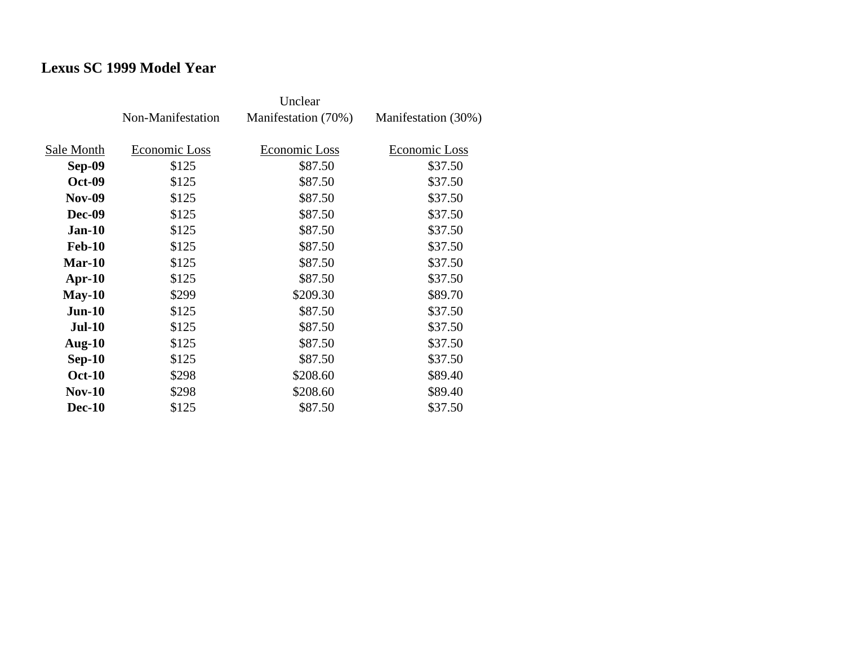# **Lexus SC 1999 Model Year**

|               | Non-Manifestation | Manifestation (70%) | Manifestation (30%) |
|---------------|-------------------|---------------------|---------------------|
| Sale Month    | Economic Loss     | Economic Loss       | Economic Loss       |
| Sep-09        | \$125             | \$87.50             | \$37.50             |
| <b>Oct-09</b> | \$125             | \$87.50             | \$37.50             |
| <b>Nov-09</b> | \$125             | \$87.50             | \$37.50             |
| Dec-09        | \$125             | \$87.50             | \$37.50             |
| $Jan-10$      | \$125             | \$87.50             | \$37.50             |
| <b>Feb-10</b> | \$125             | \$87.50             | \$37.50             |
| $Mar-10$      | \$125             | \$87.50             | \$37.50             |
| Apr- $10$     | \$125             | \$87.50             | \$37.50             |
| $May-10$      | \$299             | \$209.30            | \$89.70             |
| $Jun-10$      | \$125             | \$87.50             | \$37.50             |
| <b>Jul-10</b> | \$125             | \$87.50             | \$37.50             |
| Aug- $10$     | \$125             | \$87.50             | \$37.50             |
| $Sep-10$      | \$125             | \$87.50             | \$37.50             |
| <b>Oct-10</b> | \$298             | \$208.60            | \$89.40             |
| $Nov-10$      | \$298             | \$208.60            | \$89.40             |
| <b>Dec-10</b> | \$125             | \$87.50             | \$37.50             |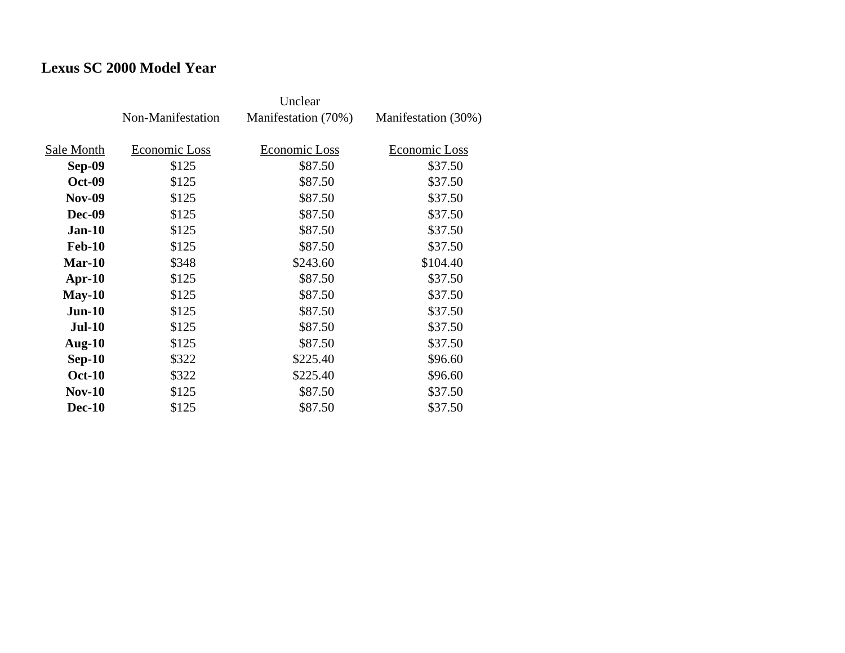# **Lexus SC 2000 Model Year**

|               | Non-Manifestation | Manifestation (70%) | Manifestation (30%) |
|---------------|-------------------|---------------------|---------------------|
| Sale Month    | Economic Loss     | Economic Loss       | Economic Loss       |
| <b>Sep-09</b> | \$125             | \$87.50             | \$37.50             |
| <b>Oct-09</b> | \$125             | \$87.50             | \$37.50             |
| <b>Nov-09</b> | \$125             | \$87.50             | \$37.50             |
| <b>Dec-09</b> | \$125             | \$87.50             | \$37.50             |
| $Jan-10$      | \$125             | \$87.50             | \$37.50             |
| <b>Feb-10</b> | \$125             | \$87.50             | \$37.50             |
| $Mar-10$      | \$348             | \$243.60            | \$104.40            |
| $Apr-10$      | \$125             | \$87.50             | \$37.50             |
| $May-10$      | \$125             | \$87.50             | \$37.50             |
| $Jun-10$      | \$125             | \$87.50             | \$37.50             |
| $Jul-10$      | \$125             | \$87.50             | \$37.50             |
| Aug- $10$     | \$125             | \$87.50             | \$37.50             |
| $Sep-10$      | \$322             | \$225.40            | \$96.60             |
| <b>Oct-10</b> | \$322             | \$225.40            | \$96.60             |
| $Nov-10$      | \$125             | \$87.50             | \$37.50             |
| <b>Dec-10</b> | \$125             | \$87.50             | \$37.50             |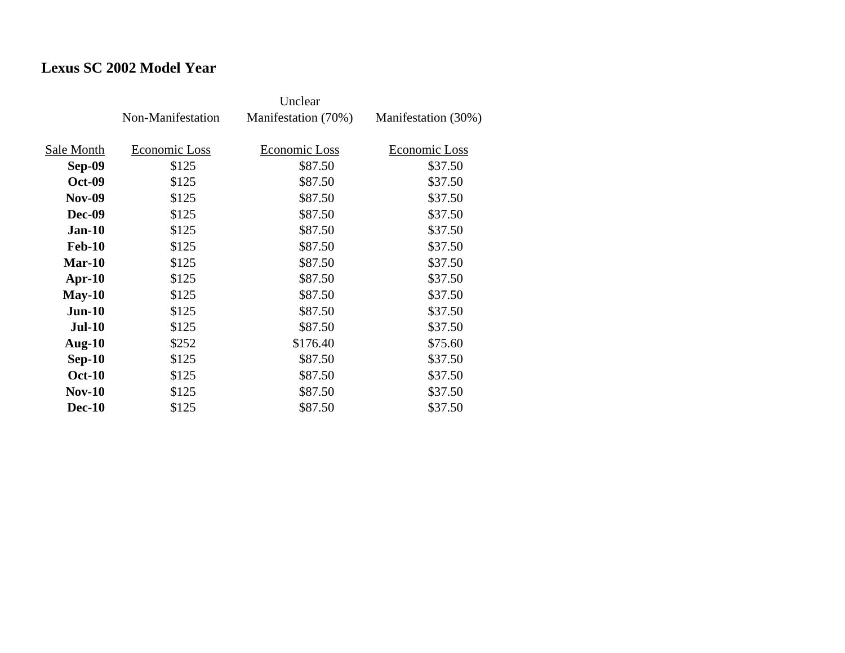# **Lexus SC 2002 Model Year**

|               | Non-Manifestation | Manifestation (70%) | Manifestation (30%) |
|---------------|-------------------|---------------------|---------------------|
| Sale Month    | Economic Loss     | Economic Loss       | Economic Loss       |
| <b>Sep-09</b> | \$125             | \$87.50             | \$37.50             |
| <b>Oct-09</b> | \$125             | \$87.50             | \$37.50             |
| <b>Nov-09</b> | \$125             | \$87.50             | \$37.50             |
| <b>Dec-09</b> | \$125             | \$87.50             | \$37.50             |
| <b>Jan-10</b> | \$125             | \$87.50             | \$37.50             |
| <b>Feb-10</b> | \$125             | \$87.50             | \$37.50             |
| $Mar-10$      | \$125             | \$87.50             | \$37.50             |
| $Apr-10$      | \$125             | \$87.50             | \$37.50             |
| $May-10$      | \$125             | \$87.50             | \$37.50             |
| $Jun-10$      | \$125             | \$87.50             | \$37.50             |
| $Jul-10$      | \$125             | \$87.50             | \$37.50             |
| Aug- $10$     | \$252             | \$176.40            | \$75.60             |
| $Sep-10$      | \$125             | \$87.50             | \$37.50             |
| <b>Oct-10</b> | \$125             | \$87.50             | \$37.50             |
| $Nov-10$      | \$125             | \$87.50             | \$37.50             |
| <b>Dec-10</b> | \$125             | \$87.50             | \$37.50             |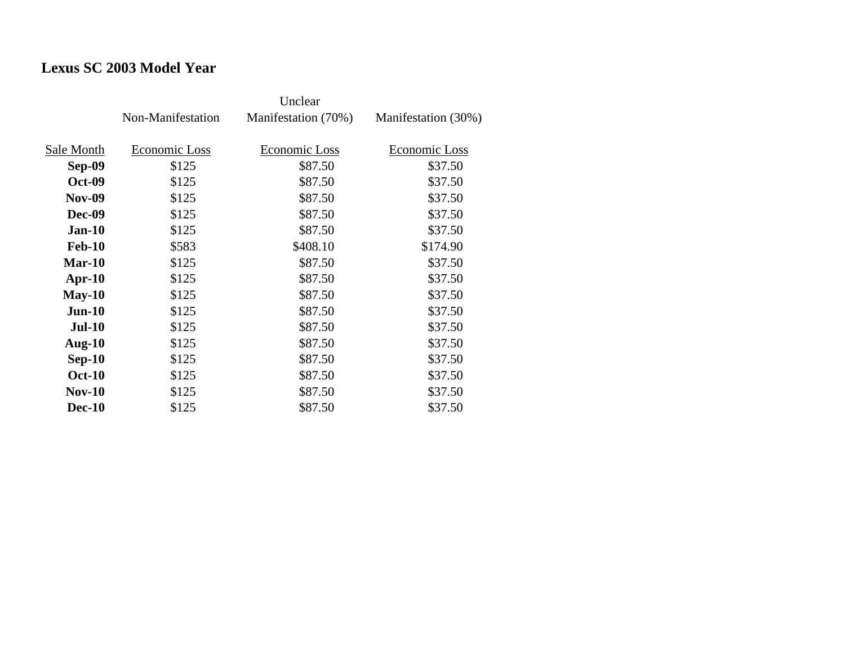# **Lexus SC 2003 Model Year**

|               | Non-Manifestation | Manifestation (70%) | Manifestation (30%) |
|---------------|-------------------|---------------------|---------------------|
| Sale Month    | Economic Loss     | Economic Loss       | Economic Loss       |
| Sep-09        | \$125             | \$87.50             | \$37.50             |
| <b>Oct-09</b> | \$125             | \$87.50             | \$37.50             |
| <b>Nov-09</b> | \$125             | \$87.50             | \$37.50             |
| Dec-09        | \$125             | \$87.50             | \$37.50             |
| $Jan-10$      | \$125             | \$87.50             | \$37.50             |
| <b>Feb-10</b> | \$583             | \$408.10            | \$174.90            |
| $Mar-10$      | \$125             | \$87.50             | \$37.50             |
| Apr- $10$     | \$125             | \$87.50             | \$37.50             |
| $May-10$      | \$125             | \$87.50             | \$37.50             |
| $Jun-10$      | \$125             | \$87.50             | \$37.50             |
| <b>Jul-10</b> | \$125             | \$87.50             | \$37.50             |
| Aug- $10$     | \$125             | \$87.50             | \$37.50             |
| $Sep-10$      | \$125             | \$87.50             | \$37.50             |
| <b>Oct-10</b> | \$125             | \$87.50             | \$37.50             |
| <b>Nov-10</b> | \$125             | \$87.50             | \$37.50             |
| <b>Dec-10</b> | \$125             | \$87.50             | \$37.50             |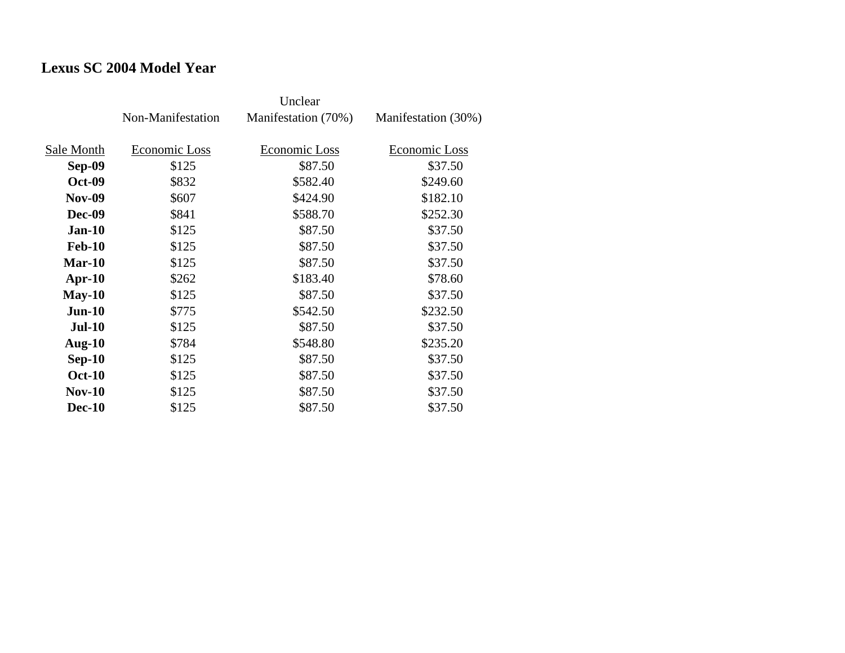# **Lexus SC 2004 Model Year**

|               | Non-Manifestation | Manifestation (70%) | Manifestation (30%) |
|---------------|-------------------|---------------------|---------------------|
| Sale Month    | Economic Loss     | Economic Loss       | Economic Loss       |
| <b>Sep-09</b> | \$125             | \$87.50             | \$37.50             |
| <b>Oct-09</b> | \$832             | \$582.40            | \$249.60            |
| <b>Nov-09</b> | \$607             | \$424.90            | \$182.10            |
| <b>Dec-09</b> | \$841             | \$588.70            | \$252.30            |
| $Jan-10$      | \$125             | \$87.50             | \$37.50             |
| <b>Feb-10</b> | \$125             | \$87.50             | \$37.50             |
| $Mar-10$      | \$125             | \$87.50             | \$37.50             |
| $Apr-10$      | \$262             | \$183.40            | \$78.60             |
| $May-10$      | \$125             | \$87.50             | \$37.50             |
| $Jun-10$      | \$775             | \$542.50            | \$232.50            |
| $Jul-10$      | \$125             | \$87.50             | \$37.50             |
| Aug- $10$     | \$784             | \$548.80            | \$235.20            |
| $Sep-10$      | \$125             | \$87.50             | \$37.50             |
| <b>Oct-10</b> | \$125             | \$87.50             | \$37.50             |
| $Nov-10$      | \$125             | \$87.50             | \$37.50             |
| <b>Dec-10</b> | \$125             | \$87.50             | \$37.50             |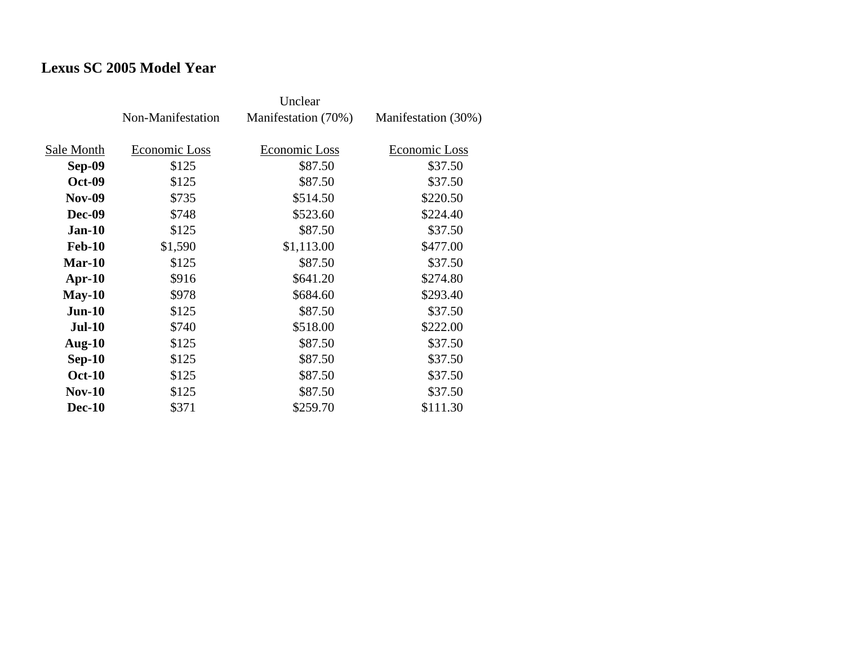# **Lexus SC 2005 Model Year**

|               | Non-Manifestation | Manifestation (70%) | Manifestation (30%) |
|---------------|-------------------|---------------------|---------------------|
| Sale Month    | Economic Loss     | Economic Loss       | Economic Loss       |
| <b>Sep-09</b> | \$125             | \$87.50             | \$37.50             |
| <b>Oct-09</b> | \$125             | \$87.50             | \$37.50             |
| <b>Nov-09</b> | \$735             | \$514.50            | \$220.50            |
| <b>Dec-09</b> | \$748             | \$523.60            | \$224.40            |
| $Jan-10$      | \$125             | \$87.50             | \$37.50             |
| <b>Feb-10</b> | \$1,590           | \$1,113.00          | \$477.00            |
| $Mar-10$      | \$125             | \$87.50             | \$37.50             |
| $Apr-10$      | \$916             | \$641.20            | \$274.80            |
| $May-10$      | \$978             | \$684.60            | \$293.40            |
| $Jun-10$      | \$125             | \$87.50             | \$37.50             |
| $Jul-10$      | \$740             | \$518.00            | \$222.00            |
| Aug- $10$     | \$125             | \$87.50             | \$37.50             |
| $Sep-10$      | \$125             | \$87.50             | \$37.50             |
| <b>Oct-10</b> | \$125             | \$87.50             | \$37.50             |
| $Nov-10$      | \$125             | \$87.50             | \$37.50             |
| <b>Dec-10</b> | \$371             | \$259.70            | \$111.30            |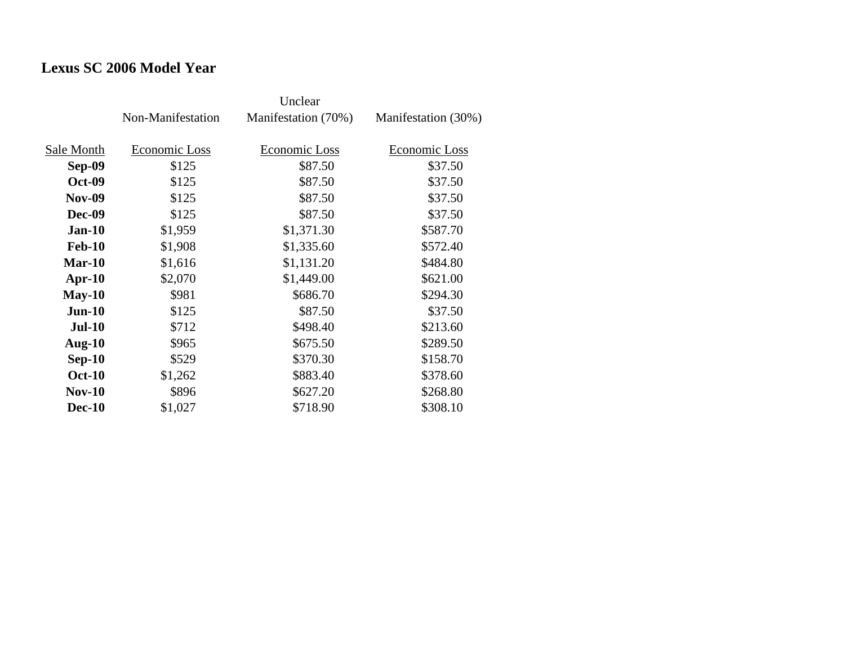# **Lexus SC 2006 Model Year**

|               | Unclear           |                     |                     |
|---------------|-------------------|---------------------|---------------------|
|               | Non-Manifestation | Manifestation (70%) | Manifestation (30%) |
| Sale Month    | Economic Loss     | Economic Loss       | Economic Loss       |
| <b>Sep-09</b> | \$125             | \$87.50             | \$37.50             |
| <b>Oct-09</b> | \$125             | \$87.50             | \$37.50             |
| <b>Nov-09</b> | \$125             | \$87.50             | \$37.50             |
| <b>Dec-09</b> | \$125             | \$87.50             | \$37.50             |
| <b>Jan-10</b> | \$1,959           | \$1,371.30          | \$587.70            |
| <b>Feb-10</b> | \$1,908           | \$1,335.60          | \$572.40            |
| $Mar-10$      | \$1,616           | \$1,131.20          | \$484.80            |
| $Apr-10$      | \$2,070           | \$1,449.00          | \$621.00            |
| $May-10$      | \$981             | \$686.70            | \$294.30            |
| $Jun-10$      | \$125             | \$87.50             | \$37.50             |
| <b>Jul-10</b> | \$712             | \$498.40            | \$213.60            |
| Aug- $10$     | \$965             | \$675.50            | \$289.50            |
| $Sep-10$      | \$529             | \$370.30            | \$158.70            |
| <b>Oct-10</b> | \$1,262           | \$883.40            | \$378.60            |
| <b>Nov-10</b> | \$896             | \$627.20            | \$268.80            |
| <b>Dec-10</b> | \$1,027           | \$718.90            | \$308.10            |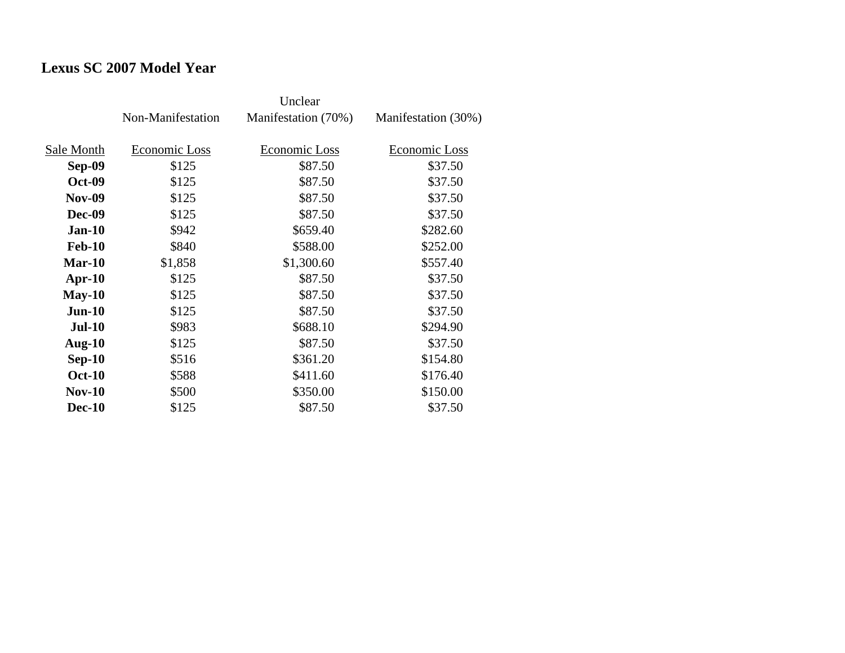# **Lexus SC 2007 Model Year**

|               | Non-Manifestation | Manifestation (70%) | Manifestation (30%) |
|---------------|-------------------|---------------------|---------------------|
| Sale Month    | Economic Loss     | Economic Loss       | Economic Loss       |
| Sep-09        | \$125             | \$87.50             | \$37.50             |
| <b>Oct-09</b> | \$125             | \$87.50             | \$37.50             |
| <b>Nov-09</b> | \$125             | \$87.50             | \$37.50             |
| Dec-09        | \$125             | \$87.50             | \$37.50             |
| $Jan-10$      | \$942             | \$659.40            | \$282.60            |
| <b>Feb-10</b> | \$840             | \$588.00            | \$252.00            |
| $Mar-10$      | \$1,858           | \$1,300.60          | \$557.40            |
| $Apr-10$      | \$125             | \$87.50             | \$37.50             |
| $May-10$      | \$125             | \$87.50             | \$37.50             |
| $Jun-10$      | \$125             | \$87.50             | \$37.50             |
| $Jul-10$      | \$983             | \$688.10            | \$294.90            |
| Aug- $10$     | \$125             | \$87.50             | \$37.50             |
| $Sep-10$      | \$516             | \$361.20            | \$154.80            |
| <b>Oct-10</b> | \$588             | \$411.60            | \$176.40            |
| $Nov-10$      | \$500             | \$350.00            | \$150.00            |
| <b>Dec-10</b> | \$125             | \$87.50             | \$37.50             |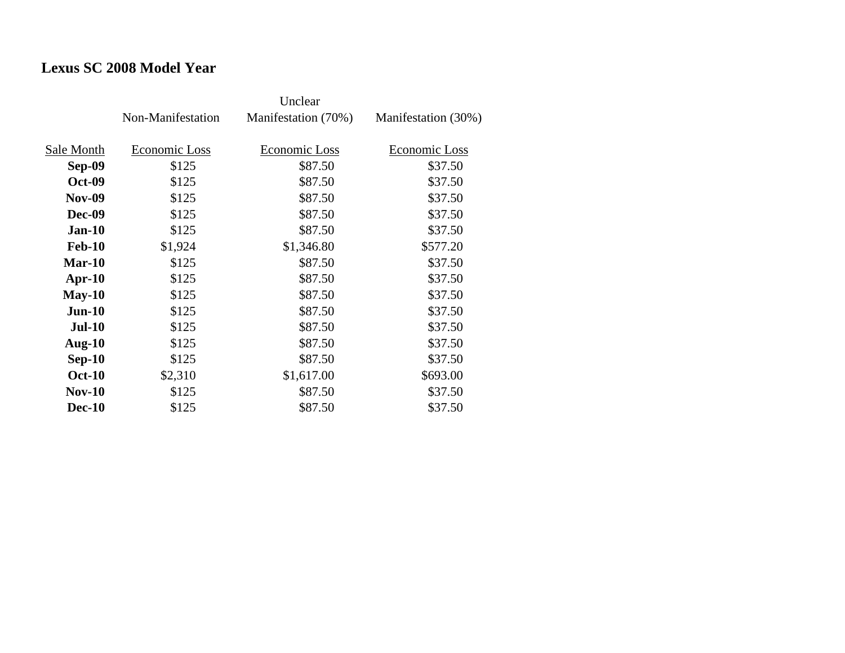### **Lexus SC 2008 Model Year**

|               | Non-Manifestation | Manifestation (70%) | Manifestation (30%) |
|---------------|-------------------|---------------------|---------------------|
| Sale Month    | Economic Loss     | Economic Loss       | Economic Loss       |
| Sep-09        | \$125             | \$87.50             | \$37.50             |
| <b>Oct-09</b> | \$125             | \$87.50             | \$37.50             |
| <b>Nov-09</b> | \$125             | \$87.50             | \$37.50             |
| <b>Dec-09</b> | \$125             | \$87.50             | \$37.50             |
| $Jan-10$      | \$125             | \$87.50             | \$37.50             |
| <b>Feb-10</b> | \$1,924           | \$1,346.80          | \$577.20            |
| Mar-10        | \$125             | \$87.50             | \$37.50             |
| $Apr-10$      | \$125             | \$87.50             | \$37.50             |
| $May-10$      | \$125             | \$87.50             | \$37.50             |
| $Jun-10$      | \$125             | \$87.50             | \$37.50             |
| $Jul-10$      | \$125             | \$87.50             | \$37.50             |
| Aug- $10$     | \$125             | \$87.50             | \$37.50             |
| $Sep-10$      | \$125             | \$87.50             | \$37.50             |
| <b>Oct-10</b> | \$2,310           | \$1,617.00          | \$693.00            |
| $Nov-10$      | \$125             | \$87.50             | \$37.50             |
| <b>Dec-10</b> | \$125             | \$87.50             | \$37.50             |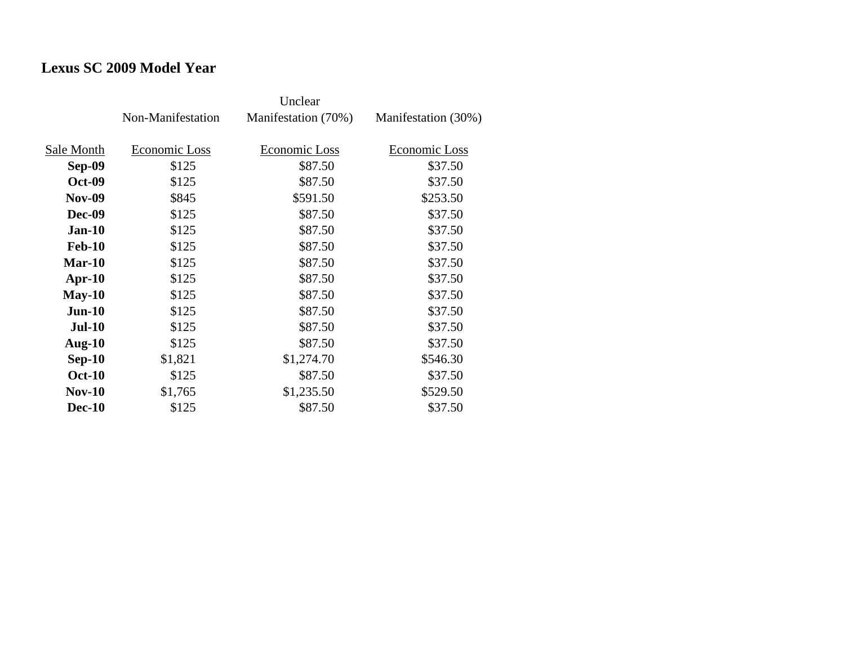### **Lexus SC 2009 Model Year**

|               | Non-Manifestation | Manifestation (70%) | Manifestation (30%) |
|---------------|-------------------|---------------------|---------------------|
|               |                   |                     |                     |
| Sale Month    | Economic Loss     | Economic Loss       | Economic Loss       |
| Sep-09        | \$125             | \$87.50             | \$37.50             |
| <b>Oct-09</b> | \$125             | \$87.50             | \$37.50             |
| <b>Nov-09</b> | \$845             | \$591.50            | \$253.50            |
| <b>Dec-09</b> | \$125             | \$87.50             | \$37.50             |
| $Jan-10$      | \$125             | \$87.50             | \$37.50             |
| <b>Feb-10</b> | \$125             | \$87.50             | \$37.50             |
| Mar-10        | \$125             | \$87.50             | \$37.50             |
| $Apr-10$      | \$125             | \$87.50             | \$37.50             |
| $May-10$      | \$125             | \$87.50             | \$37.50             |
| $Jun-10$      | \$125             | \$87.50             | \$37.50             |
| <b>Jul-10</b> | \$125             | \$87.50             | \$37.50             |
| Aug- $10$     | \$125             | \$87.50             | \$37.50             |
| $Sep-10$      | \$1,821           | \$1,274.70          | \$546.30            |
| <b>Oct-10</b> | \$125             | \$87.50             | \$37.50             |
| $Nov-10$      | \$1,765           | \$1,235.50          | \$529.50            |
| <b>Dec-10</b> | \$125             | \$87.50             | \$37.50             |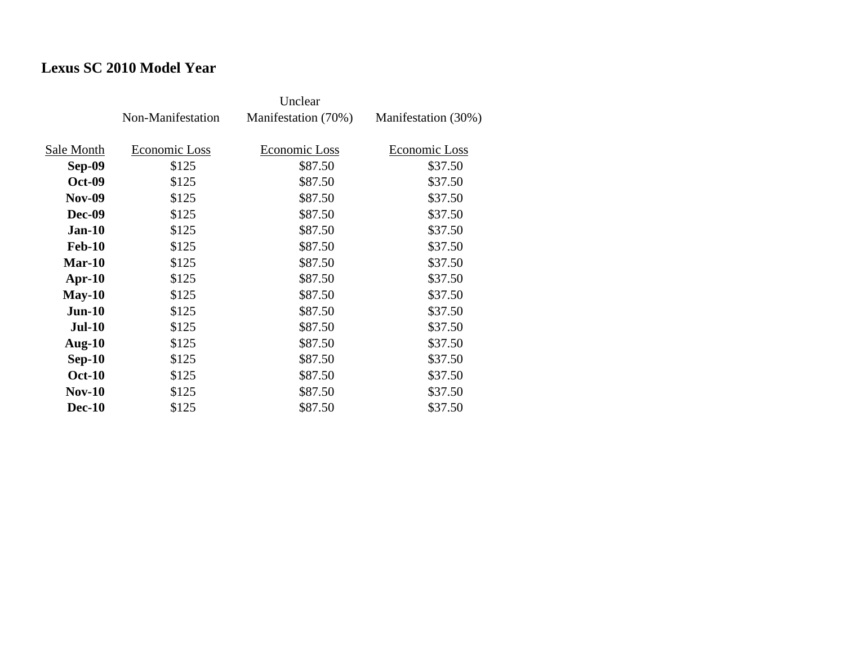### **Lexus SC 2010 Model Year**

|               | Non-Manifestation | Manifestation (70%) | Manifestation (30%) |
|---------------|-------------------|---------------------|---------------------|
| Sale Month    | Economic Loss     | Economic Loss       | Economic Loss       |
| Sep-09        | \$125             | \$87.50             | \$37.50             |
| <b>Oct-09</b> | \$125             | \$87.50             | \$37.50             |
| <b>Nov-09</b> | \$125             | \$87.50             | \$37.50             |
| Dec-09        | \$125             | \$87.50             | \$37.50             |
| <b>Jan-10</b> | \$125             | \$87.50             | \$37.50             |
| <b>Feb-10</b> | \$125             | \$87.50             | \$37.50             |
| $Mar-10$      | \$125             | \$87.50             | \$37.50             |
| $Apr-10$      | \$125             | \$87.50             | \$37.50             |
| $May-10$      | \$125             | \$87.50             | \$37.50             |
| $Jun-10$      | \$125             | \$87.50             | \$37.50             |
| $Jul-10$      | \$125             | \$87.50             | \$37.50             |
| Aug- $10$     | \$125             | \$87.50             | \$37.50             |
| $Sep-10$      | \$125             | \$87.50             | \$37.50             |
| <b>Oct-10</b> | \$125             | \$87.50             | \$37.50             |
| $Nov-10$      | \$125             | \$87.50             | \$37.50             |
| <b>Dec-10</b> | \$125             | \$87.50             | \$37.50             |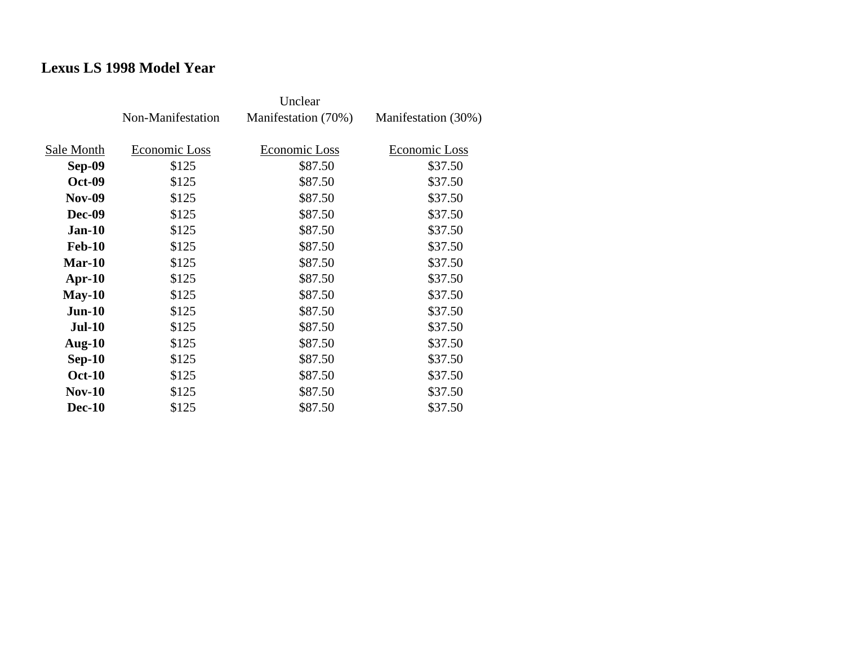### **Lexus LS 1998 Model Year**

|               | Non-Manifestation | Manifestation (70%) | Manifestation (30%) |
|---------------|-------------------|---------------------|---------------------|
| Sale Month    | Economic Loss     | Economic Loss       | Economic Loss       |
| Sep-09        | \$125             | \$87.50             | \$37.50             |
|               |                   |                     |                     |
| <b>Oct-09</b> | \$125             | \$87.50             | \$37.50             |
| <b>Nov-09</b> | \$125             | \$87.50             | \$37.50             |
| <b>Dec-09</b> | \$125             | \$87.50             | \$37.50             |
| $Jan-10$      | \$125             | \$87.50             | \$37.50             |
| <b>Feb-10</b> | \$125             | \$87.50             | \$37.50             |
| Mar-10        | \$125             | \$87.50             | \$37.50             |
| $Apr-10$      | \$125             | \$87.50             | \$37.50             |
| $May-10$      | \$125             | \$87.50             | \$37.50             |
| $Jun-10$      | \$125             | \$87.50             | \$37.50             |
| <b>Jul-10</b> | \$125             | \$87.50             | \$37.50             |
| Aug- $10$     | \$125             | \$87.50             | \$37.50             |
| $Sep-10$      | \$125             | \$87.50             | \$37.50             |
| <b>Oct-10</b> | \$125             | \$87.50             | \$37.50             |
| $Nov-10$      | \$125             | \$87.50             | \$37.50             |
| <b>Dec-10</b> | \$125             | \$87.50             | \$37.50             |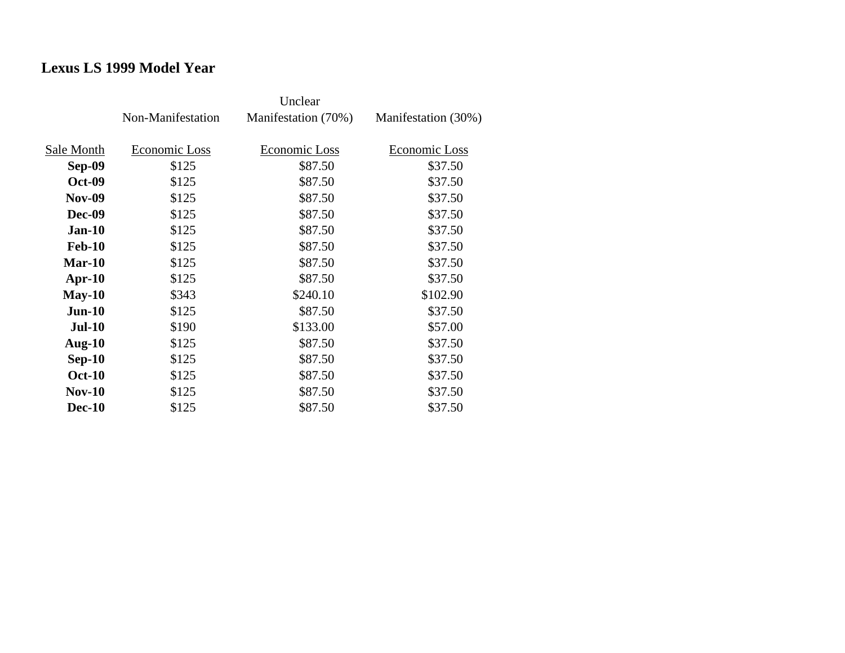### **Lexus LS 1999 Model Year**

|               | Non-Manifestation | Manifestation (70%) | Manifestation (30%) |
|---------------|-------------------|---------------------|---------------------|
|               |                   |                     |                     |
| Sale Month    | Economic Loss     | Economic Loss       | Economic Loss       |
| Sep-09        | \$125             | \$87.50             | \$37.50             |
| <b>Oct-09</b> | \$125             | \$87.50             | \$37.50             |
| <b>Nov-09</b> | \$125             | \$87.50             | \$37.50             |
| <b>Dec-09</b> | \$125             | \$87.50             | \$37.50             |
| $Jan-10$      | \$125             | \$87.50             | \$37.50             |
| <b>Feb-10</b> | \$125             | \$87.50             | \$37.50             |
| Mar-10        | \$125             | \$87.50             | \$37.50             |
| $Apr-10$      | \$125             | \$87.50             | \$37.50             |
| $May-10$      | \$343             | \$240.10            | \$102.90            |
| $Jun-10$      | \$125             | \$87.50             | \$37.50             |
| <b>Jul-10</b> | \$190             | \$133.00            | \$57.00             |
| Aug- $10$     | \$125             | \$87.50             | \$37.50             |
| $Sep-10$      | \$125             | \$87.50             | \$37.50             |
| <b>Oct-10</b> | \$125             | \$87.50             | \$37.50             |
| $Nov-10$      | \$125             | \$87.50             | \$37.50             |
| <b>Dec-10</b> | \$125             | \$87.50             | \$37.50             |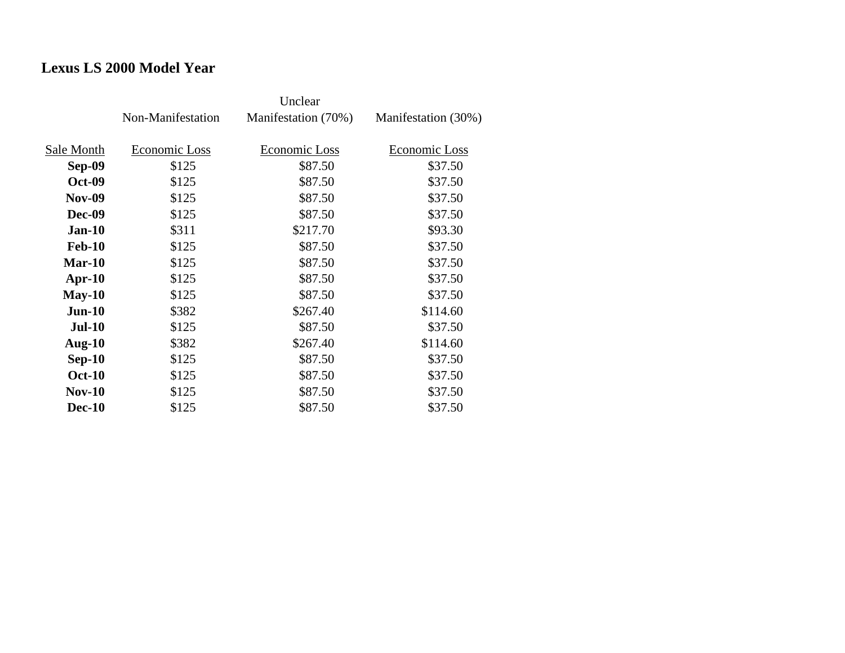## **Lexus LS 2000 Model Year**

|               | Non-Manifestation | Manifestation (70%) | Manifestation (30%) |
|---------------|-------------------|---------------------|---------------------|
| Sale Month    | Economic Loss     | Economic Loss       | Economic Loss       |
| Sep-09        | \$125             | \$87.50             | \$37.50             |
| <b>Oct-09</b> | \$125             | \$87.50             | \$37.50             |
| <b>Nov-09</b> | \$125             | \$87.50             | \$37.50             |
| <b>Dec-09</b> | \$125             | \$87.50             | \$37.50             |
| $Jan-10$      | \$311             | \$217.70            | \$93.30             |
| <b>Feb-10</b> | \$125             | \$87.50             | \$37.50             |
| $Mar-10$      | \$125             | \$87.50             | \$37.50             |
| $Apr-10$      | \$125             | \$87.50             | \$37.50             |
| $May-10$      | \$125             | \$87.50             | \$37.50             |
| $Jun-10$      | \$382             | \$267.40            | \$114.60            |
| <b>Jul-10</b> | \$125             | \$87.50             | \$37.50             |
| Aug- $10$     | \$382             | \$267.40            | \$114.60            |
| $Sep-10$      | \$125             | \$87.50             | \$37.50             |
| <b>Oct-10</b> | \$125             | \$87.50             | \$37.50             |
| $Nov-10$      | \$125             | \$87.50             | \$37.50             |
| <b>Dec-10</b> | \$125             | \$87.50             | \$37.50             |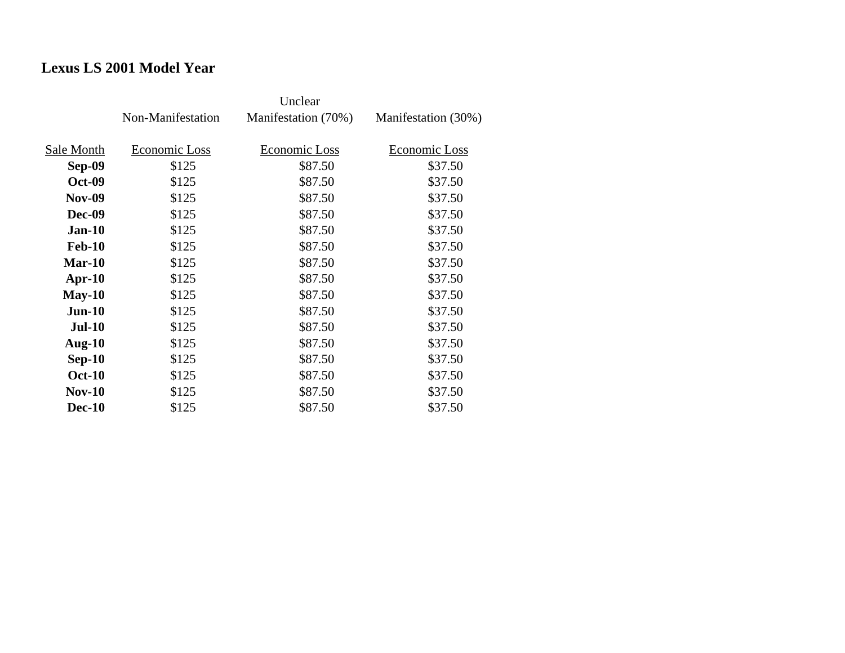# **Lexus LS 2001 Model Year**

|               | Non-Manifestation | Manifestation (70%) | Manifestation (30%) |
|---------------|-------------------|---------------------|---------------------|
| Sale Month    | Economic Loss     | Economic Loss       | Economic Loss       |
| <b>Sep-09</b> | \$125             | \$87.50             | \$37.50             |
| <b>Oct-09</b> | \$125             | \$87.50             | \$37.50             |
| <b>Nov-09</b> | \$125             | \$87.50             | \$37.50             |
| <b>Dec-09</b> | \$125             | \$87.50             | \$37.50             |
| <b>Jan-10</b> | \$125             | \$87.50             | \$37.50             |
| <b>Feb-10</b> | \$125             | \$87.50             | \$37.50             |
| $Mar-10$      | \$125             | \$87.50             | \$37.50             |
| $Apr-10$      | \$125             | \$87.50             | \$37.50             |
| $May-10$      | \$125             | \$87.50             | \$37.50             |
| $Jun-10$      | \$125             | \$87.50             | \$37.50             |
| $Jul-10$      | \$125             | \$87.50             | \$37.50             |
| Aug- $10$     | \$125             | \$87.50             | \$37.50             |
| $Sep-10$      | \$125             | \$87.50             | \$37.50             |
| <b>Oct-10</b> | \$125             | \$87.50             | \$37.50             |
| $Nov-10$      | \$125             | \$87.50             | \$37.50             |
| <b>Dec-10</b> | \$125             | \$87.50             | \$37.50             |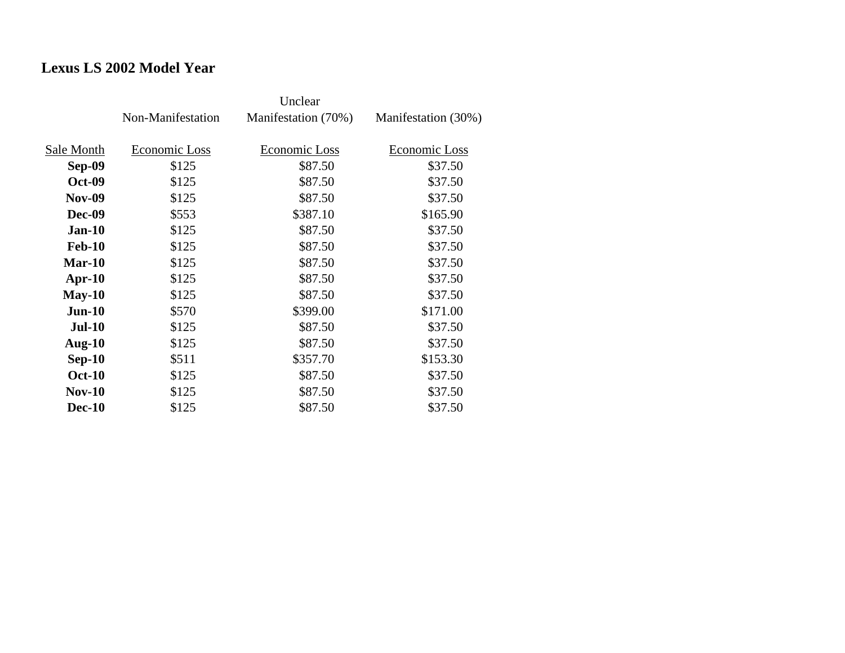## **Lexus LS 2002 Model Year**

|               | Non-Manifestation | Manifestation (70%) | Manifestation (30%) |
|---------------|-------------------|---------------------|---------------------|
| Sale Month    | Economic Loss     | Economic Loss       | Economic Loss       |
| Sep-09        | \$125             | \$87.50             | \$37.50             |
| <b>Oct-09</b> | \$125             | \$87.50             | \$37.50             |
| <b>Nov-09</b> | \$125             | \$87.50             | \$37.50             |
| Dec-09        | \$553             | \$387.10            | \$165.90            |
| <b>Jan-10</b> | \$125             | \$87.50             | \$37.50             |
| <b>Feb-10</b> | \$125             | \$87.50             | \$37.50             |
| $Mar-10$      | \$125             | \$87.50             | \$37.50             |
| Apr- $10$     | \$125             | \$87.50             | \$37.50             |
| $May-10$      | \$125             | \$87.50             | \$37.50             |
| $Jun-10$      | \$570             | \$399.00            | \$171.00            |
| <b>Jul-10</b> | \$125             | \$87.50             | \$37.50             |
| Aug- $10$     | \$125             | \$87.50             | \$37.50             |
| $Sep-10$      | \$511             | \$357.70            | \$153.30            |
| <b>Oct-10</b> | \$125             | \$87.50             | \$37.50             |
| $Nov-10$      | \$125             | \$87.50             | \$37.50             |
| <b>Dec-10</b> | \$125             | \$87.50             | \$37.50             |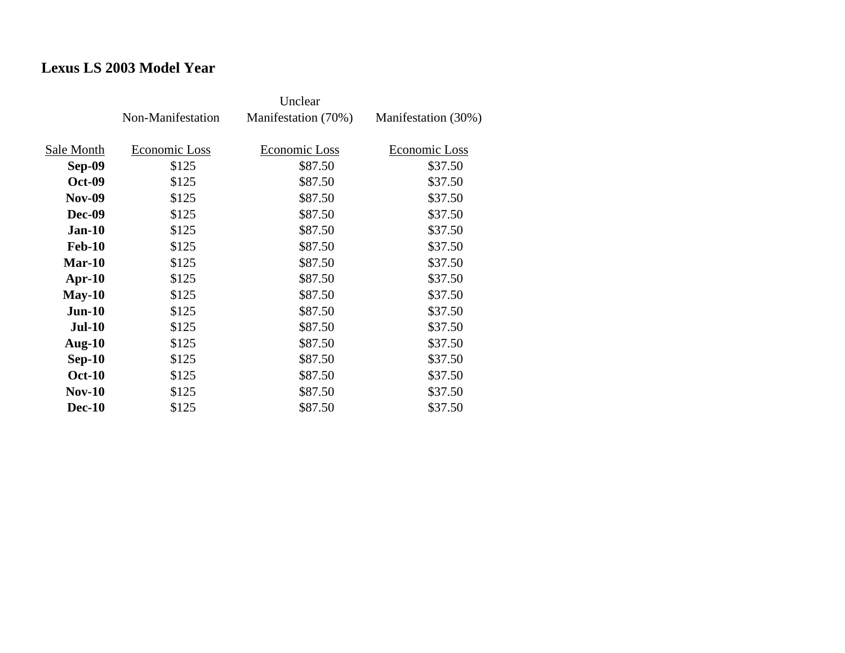# **Lexus LS 2003 Model Year**

|               | Non-Manifestation | Manifestation (70%) | Manifestation (30%) |
|---------------|-------------------|---------------------|---------------------|
| Sale Month    | Economic Loss     | Economic Loss       | Economic Loss       |
| Sep-09        | \$125             | \$87.50             | \$37.50             |
| <b>Oct-09</b> | \$125             | \$87.50             | \$37.50             |
| <b>Nov-09</b> | \$125             | \$87.50             | \$37.50             |
| Dec-09        | \$125             | \$87.50             | \$37.50             |
| <b>Jan-10</b> | \$125             | \$87.50             | \$37.50             |
| <b>Feb-10</b> | \$125             | \$87.50             | \$37.50             |
| $Mar-10$      | \$125             | \$87.50             | \$37.50             |
| $Apr-10$      | \$125             | \$87.50             | \$37.50             |
| $May-10$      | \$125             | \$87.50             | \$37.50             |
| $Jun-10$      | \$125             | \$87.50             | \$37.50             |
| <b>Jul-10</b> | \$125             | \$87.50             | \$37.50             |
| Aug- $10$     | \$125             | \$87.50             | \$37.50             |
| $Sep-10$      | \$125             | \$87.50             | \$37.50             |
| <b>Oct-10</b> | \$125             | \$87.50             | \$37.50             |
| <b>Nov-10</b> | \$125             | \$87.50             | \$37.50             |
| <b>Dec-10</b> | \$125             | \$87.50             | \$37.50             |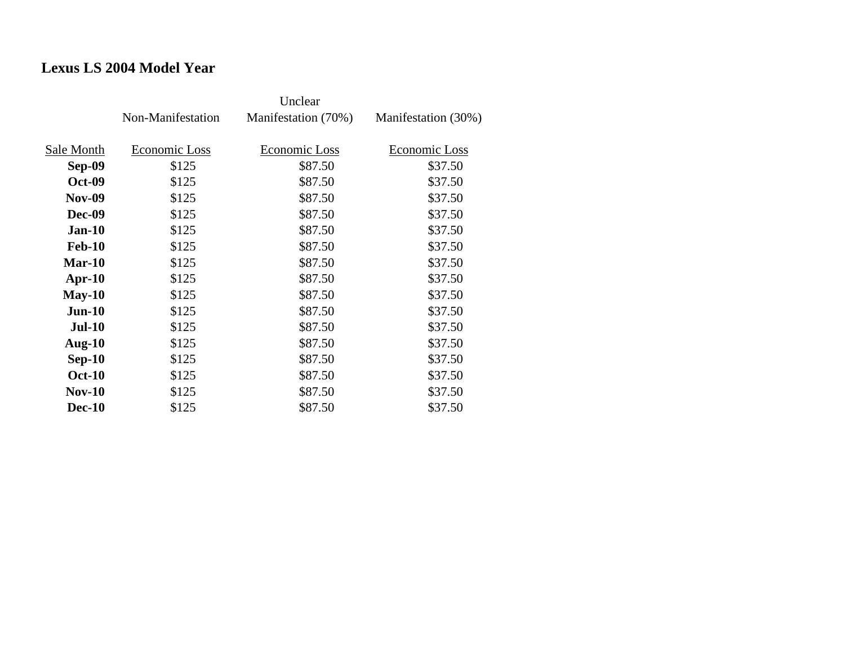## **Lexus LS 2004 Model Year**

|               | Non-Manifestation | Manifestation (70%) | Manifestation (30%) |
|---------------|-------------------|---------------------|---------------------|
| Sale Month    | Economic Loss     | Economic Loss       | Economic Loss       |
| Sep-09        | \$125             | \$87.50             | \$37.50             |
| <b>Oct-09</b> | \$125             | \$87.50             | \$37.50             |
| <b>Nov-09</b> | \$125             | \$87.50             | \$37.50             |
| <b>Dec-09</b> | \$125             | \$87.50             | \$37.50             |
| <b>Jan-10</b> | \$125             | \$87.50             | \$37.50             |
| <b>Feb-10</b> | \$125             | \$87.50             | \$37.50             |
| $Mar-10$      | \$125             | \$87.50             | \$37.50             |
| $Apr-10$      | \$125             | \$87.50             | \$37.50             |
| $May-10$      | \$125             | \$87.50             | \$37.50             |
| $Jun-10$      | \$125             | \$87.50             | \$37.50             |
| <b>Jul-10</b> | \$125             | \$87.50             | \$37.50             |
| Aug- $10$     | \$125             | \$87.50             | \$37.50             |
| $Sep-10$      | \$125             | \$87.50             | \$37.50             |
| <b>Oct-10</b> | \$125             | \$87.50             | \$37.50             |
| $Nov-10$      | \$125             | \$87.50             | \$37.50             |
| <b>Dec-10</b> | \$125             | \$87.50             | \$37.50             |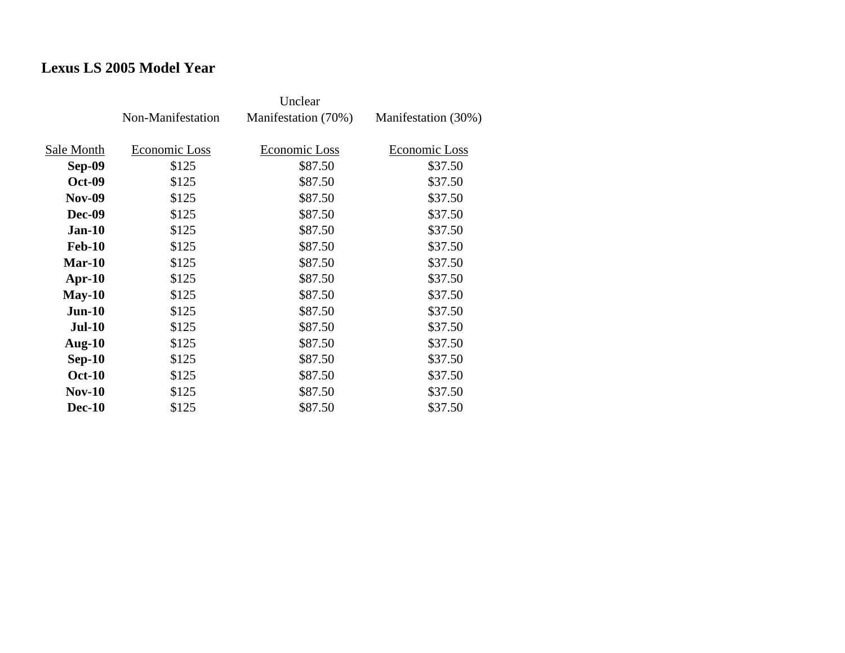# **Lexus LS 2005 Model Year**

|               | Non-Manifestation | Manifestation (70%) | Manifestation (30%) |
|---------------|-------------------|---------------------|---------------------|
| Sale Month    | Economic Loss     | Economic Loss       | Economic Loss       |
| <b>Sep-09</b> | \$125             | \$87.50             | \$37.50             |
| <b>Oct-09</b> | \$125             | \$87.50             | \$37.50             |
| <b>Nov-09</b> | \$125             | \$87.50             | \$37.50             |
| <b>Dec-09</b> | \$125             | \$87.50             | \$37.50             |
| <b>Jan-10</b> | \$125             | \$87.50             | \$37.50             |
| <b>Feb-10</b> | \$125             | \$87.50             | \$37.50             |
| $Mar-10$      | \$125             | \$87.50             | \$37.50             |
| Apr- $10$     | \$125             | \$87.50             | \$37.50             |
| $May-10$      | \$125             | \$87.50             | \$37.50             |
| $Jun-10$      | \$125             | \$87.50             | \$37.50             |
| $Jul-10$      | \$125             | \$87.50             | \$37.50             |
| Aug- $10$     | \$125             | \$87.50             | \$37.50             |
| $Sep-10$      | \$125             | \$87.50             | \$37.50             |
| <b>Oct-10</b> | \$125             | \$87.50             | \$37.50             |
| $Nov-10$      | \$125             | \$87.50             | \$37.50             |
| <b>Dec-10</b> | \$125             | \$87.50             | \$37.50             |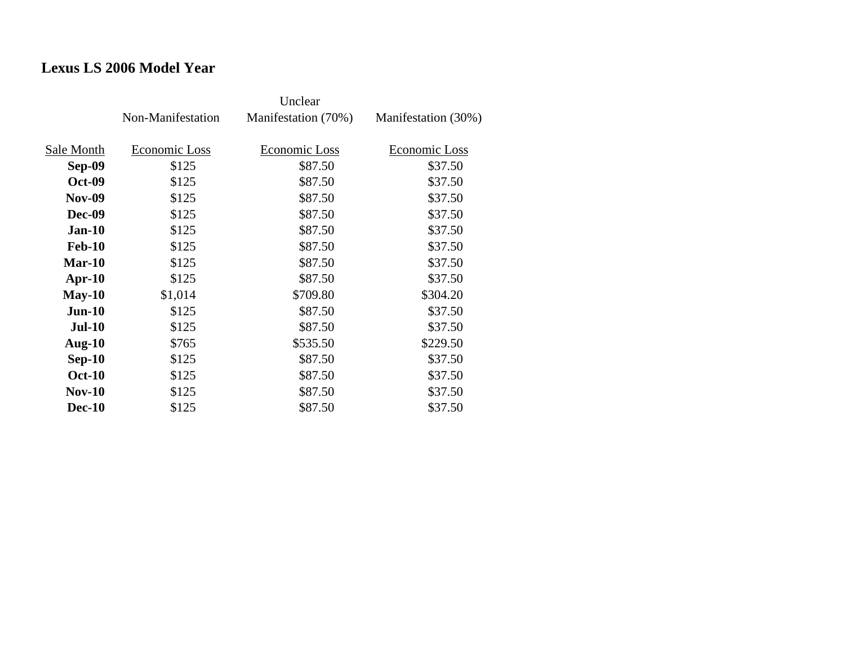## **Lexus LS 2006 Model Year**

|               | Non-Manifestation | Manifestation (70%) | Manifestation (30%) |
|---------------|-------------------|---------------------|---------------------|
| Sale Month    | Economic Loss     | Economic Loss       | Economic Loss       |
| Sep-09        | \$125             | \$87.50             | \$37.50             |
| <b>Oct-09</b> | \$125             | \$87.50             | \$37.50             |
| <b>Nov-09</b> | \$125             | \$87.50             | \$37.50             |
| <b>Dec-09</b> | \$125             | \$87.50             | \$37.50             |
| <b>Jan-10</b> | \$125             | \$87.50             | \$37.50             |
| <b>Feb-10</b> | \$125             | \$87.50             | \$37.50             |
| Mar-10        | \$125             | \$87.50             | \$37.50             |
| $Apr-10$      | \$125             | \$87.50             | \$37.50             |
| $May-10$      | \$1,014           | \$709.80            | \$304.20            |
| $Jun-10$      | \$125             | \$87.50             | \$37.50             |
| $Jul-10$      | \$125             | \$87.50             | \$37.50             |
| Aug- $10$     | \$765             | \$535.50            | \$229.50            |
| $Sep-10$      | \$125             | \$87.50             | \$37.50             |
| <b>Oct-10</b> | \$125             | \$87.50             | \$37.50             |
| $Nov-10$      | \$125             | \$87.50             | \$37.50             |
| <b>Dec-10</b> | \$125             | \$87.50             | \$37.50             |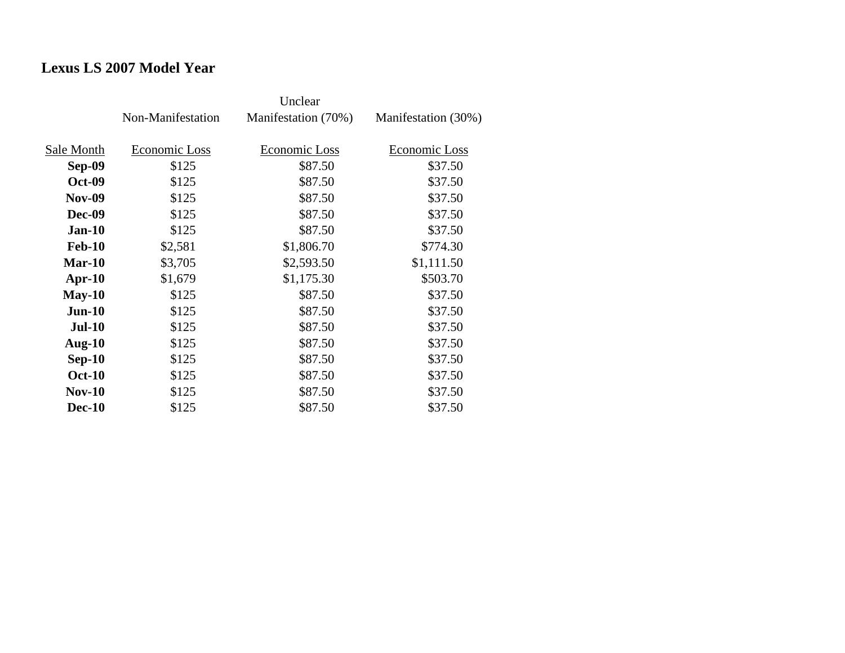### **Lexus LS 2007 Model Year**

|               | Non-Manifestation | Manifestation (70%) | Manifestation (30%) |
|---------------|-------------------|---------------------|---------------------|
| Sale Month    | Economic Loss     | Economic Loss       | Economic Loss       |
| <b>Sep-09</b> | \$125             | \$87.50             | \$37.50             |
| <b>Oct-09</b> | \$125             | \$87.50             | \$37.50             |
| <b>Nov-09</b> | \$125             | \$87.50             | \$37.50             |
| Dec-09        | \$125             | \$87.50             | \$37.50             |
| $Jan-10$      | \$125             | \$87.50             | \$37.50             |
| <b>Feb-10</b> | \$2,581           | \$1,806.70          | \$774.30            |
| $Mar-10$      | \$3,705           | \$2,593.50          | \$1,111.50          |
| Apr- $10$     | \$1,679           | \$1,175.30          | \$503.70            |
| $May-10$      | \$125             | \$87.50             | \$37.50             |
| $Jun-10$      | \$125             | \$87.50             | \$37.50             |
| <b>Jul-10</b> | \$125             | \$87.50             | \$37.50             |
| Aug- $10$     | \$125             | \$87.50             | \$37.50             |
| $Sep-10$      | \$125             | \$87.50             | \$37.50             |
| <b>Oct-10</b> | \$125             | \$87.50             | \$37.50             |
| <b>Nov-10</b> | \$125             | \$87.50             | \$37.50             |
| <b>Dec-10</b> | \$125             | \$87.50             | \$37.50             |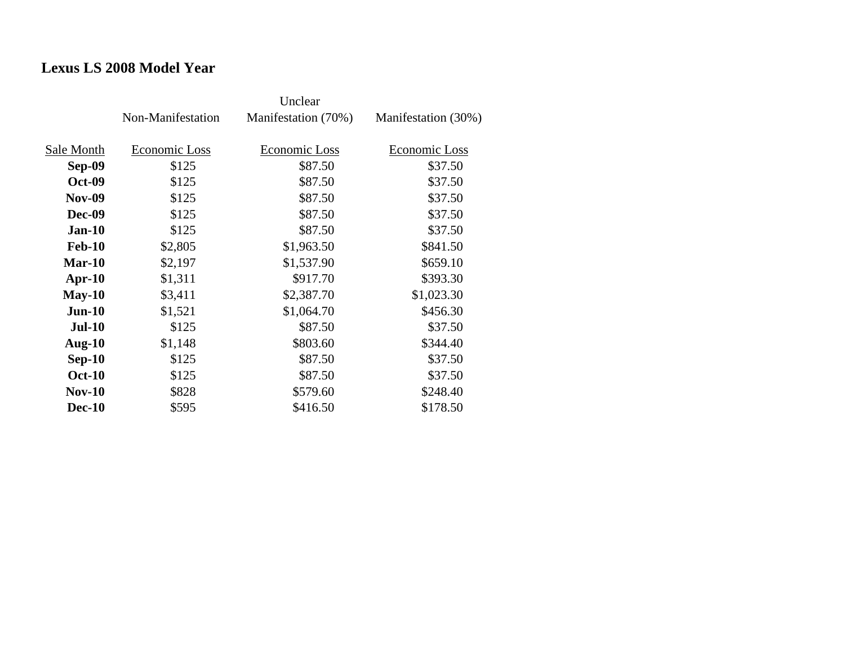### **Lexus LS 2008 Model Year**

|               | Non-Manifestation | Manifestation (70%) | Manifestation (30%) |
|---------------|-------------------|---------------------|---------------------|
| Sale Month    | Economic Loss     | Economic Loss       | Economic Loss       |
| <b>Sep-09</b> | \$125             | \$87.50             | \$37.50             |
| <b>Oct-09</b> | \$125             | \$87.50             | \$37.50             |
| <b>Nov-09</b> | \$125             | \$87.50             | \$37.50             |
| <b>Dec-09</b> | \$125             | \$87.50             | \$37.50             |
| $Jan-10$      | \$125             | \$87.50             | \$37.50             |
| <b>Feb-10</b> | \$2,805           | \$1,963.50          | \$841.50            |
| $Mar-10$      | \$2,197           | \$1,537.90          | \$659.10            |
| Apr- $10$     | \$1,311           | \$917.70            | \$393.30            |
| $May-10$      | \$3,411           | \$2,387.70          | \$1,023.30          |
| $Jun-10$      | \$1,521           | \$1,064.70          | \$456.30            |
| $Jul-10$      | \$125             | \$87.50             | \$37.50             |
| Aug- $10$     | \$1,148           | \$803.60            | \$344.40            |
| $Sep-10$      | \$125             | \$87.50             | \$37.50             |
| <b>Oct-10</b> | \$125             | \$87.50             | \$37.50             |
| <b>Nov-10</b> | \$828             | \$579.60            | \$248.40            |
| <b>Dec-10</b> | \$595             | \$416.50            | \$178.50            |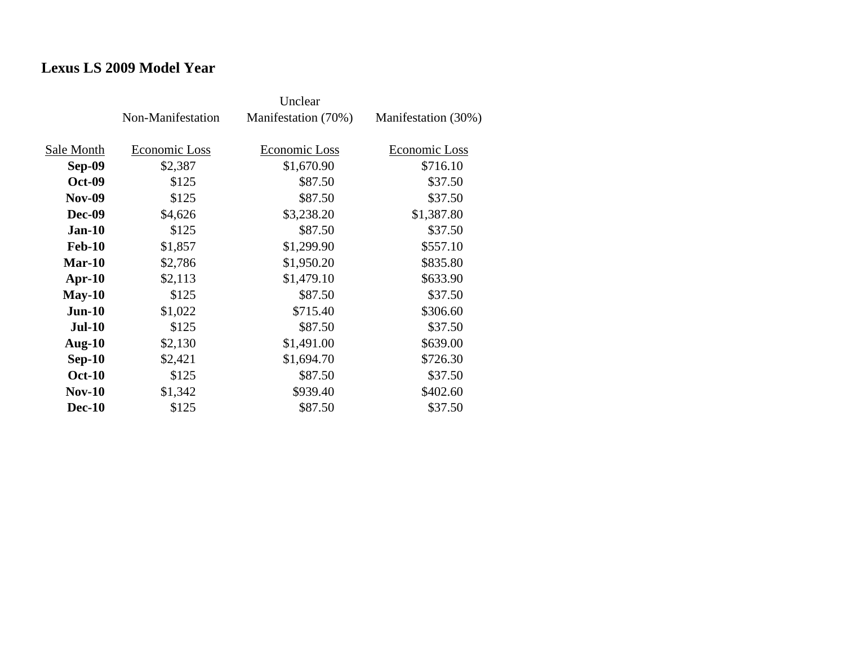### **Lexus LS 2009 Model Year**

|               | Non-Manifestation | Manifestation (70%) | Manifestation (30%) |
|---------------|-------------------|---------------------|---------------------|
| Sale Month    | Economic Loss     | Economic Loss       | Economic Loss       |
| <b>Sep-09</b> | \$2,387           | \$1,670.90          | \$716.10            |
| <b>Oct-09</b> | \$125             | \$87.50             | \$37.50             |
| <b>Nov-09</b> | \$125             | \$87.50             | \$37.50             |
| Dec-09        | \$4,626           | \$3,238.20          | \$1,387.80          |
| <b>Jan-10</b> | \$125             | \$87.50             | \$37.50             |
| <b>Feb-10</b> | \$1,857           | \$1,299.90          | \$557.10            |
| Mar-10        | \$2,786           | \$1,950.20          | \$835.80            |
| Apr- $10$     | \$2,113           | \$1,479.10          | \$633.90            |
| $May-10$      | \$125             | \$87.50             | \$37.50             |
| $Jun-10$      | \$1,022           | \$715.40            | \$306.60            |
| <b>Jul-10</b> | \$125             | \$87.50             | \$37.50             |
| Aug- $10$     | \$2,130           | \$1,491.00          | \$639.00            |
| $Sep-10$      | \$2,421           | \$1,694.70          | \$726.30            |
| <b>Oct-10</b> | \$125             | \$87.50             | \$37.50             |
| $Nov-10$      | \$1,342           | \$939.40            | \$402.60            |
| <b>Dec-10</b> | \$125             | \$87.50             | \$37.50             |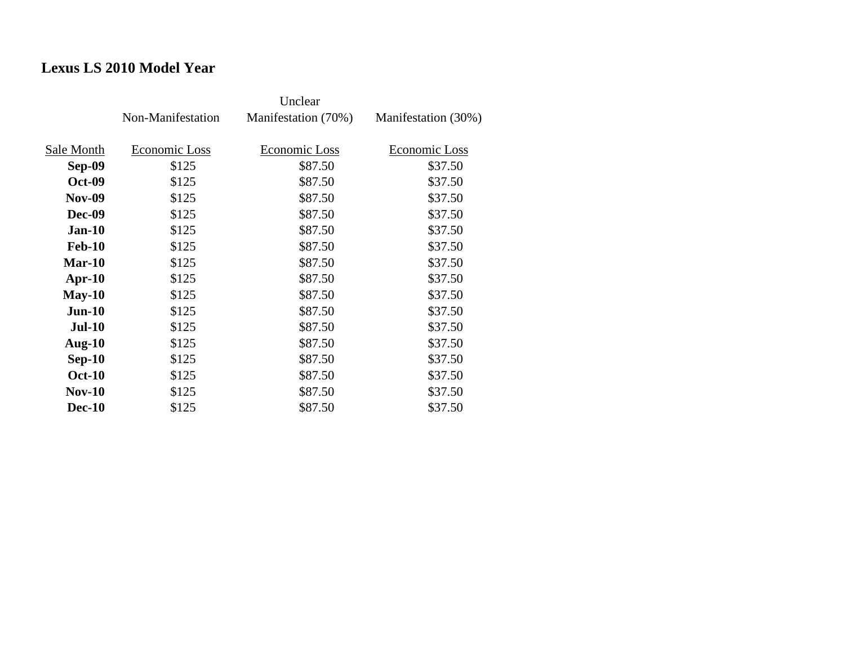# **Lexus LS 2010 Model Year**

|               | Non-Manifestation | Manifestation (70%) | Manifestation (30%) |
|---------------|-------------------|---------------------|---------------------|
| Sale Month    | Economic Loss     | Economic Loss       | Economic Loss       |
| Sep-09        | \$125             | \$87.50             | \$37.50             |
| <b>Oct-09</b> | \$125             | \$87.50             | \$37.50             |
| <b>Nov-09</b> | \$125             | \$87.50             | \$37.50             |
| Dec-09        | \$125             | \$87.50             | \$37.50             |
| <b>Jan-10</b> | \$125             | \$87.50             | \$37.50             |
| <b>Feb-10</b> | \$125             | \$87.50             | \$37.50             |
| $Mar-10$      | \$125             | \$87.50             | \$37.50             |
| $Apr-10$      | \$125             | \$87.50             | \$37.50             |
| $May-10$      | \$125             | \$87.50             | \$37.50             |
| $Jun-10$      | \$125             | \$87.50             | \$37.50             |
| <b>Jul-10</b> | \$125             | \$87.50             | \$37.50             |
| Aug- $10$     | \$125             | \$87.50             | \$37.50             |
| $Sep-10$      | \$125             | \$87.50             | \$37.50             |
| <b>Oct-10</b> | \$125             | \$87.50             | \$37.50             |
| $Nov-10$      | \$125             | \$87.50             | \$37.50             |
| <b>Dec-10</b> | \$125             | \$87.50             | \$37.50             |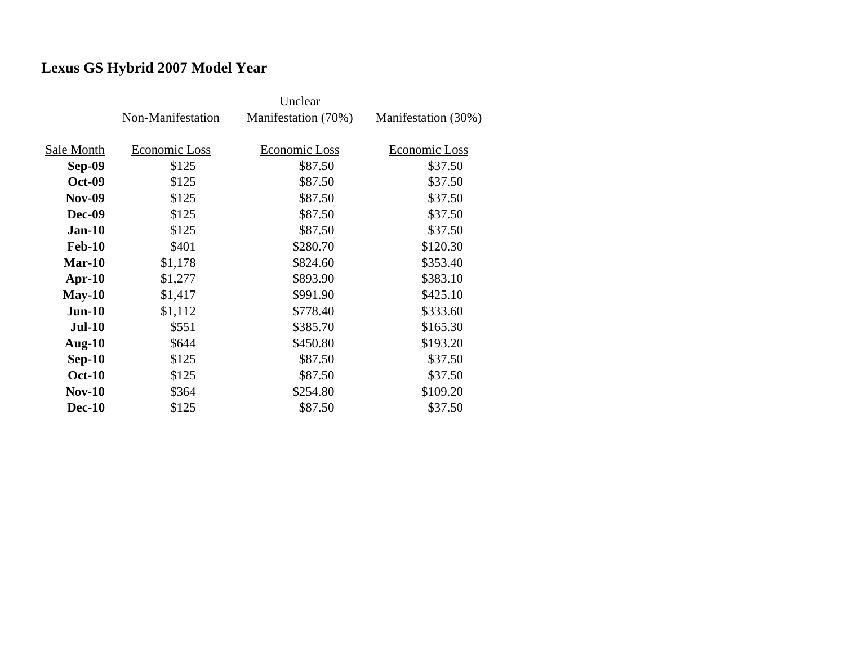# **Lexus GS Hybrid 2007 Model Year**

|               | Non-Manifestation | Manifestation (70%) | Manifestation (30%) |
|---------------|-------------------|---------------------|---------------------|
|               |                   |                     |                     |
| Sale Month    | Economic Loss     | Economic Loss       | Economic Loss       |
| <b>Sep-09</b> | \$125             | \$87.50             | \$37.50             |
| <b>Oct-09</b> | \$125             | \$87.50             | \$37.50             |
| <b>Nov-09</b> | \$125             | \$87.50             | \$37.50             |
| <b>Dec-09</b> | \$125             | \$87.50             | \$37.50             |
| $Jan-10$      | \$125             | \$87.50             | \$37.50             |
| <b>Feb-10</b> | \$401             | \$280.70            | \$120.30            |
| $Mar-10$      | \$1,178           | \$824.60            | \$353.40            |
| $Apr-10$      | \$1,277           | \$893.90            | \$383.10            |
| $May-10$      | \$1,417           | \$991.90            | \$425.10            |
| $Jun-10$      | \$1,112           | \$778.40            | \$333.60            |
| <b>Jul-10</b> | \$551             | \$385.70            | \$165.30            |
| Aug- $10$     | \$644             | \$450.80            | \$193.20            |
| $Sep-10$      | \$125             | \$87.50             | \$37.50             |
| <b>Oct-10</b> | \$125             | \$87.50             | \$37.50             |
| <b>Nov-10</b> | \$364             | \$254.80            | \$109.20            |
| <b>Dec-10</b> | \$125             | \$87.50             | \$37.50             |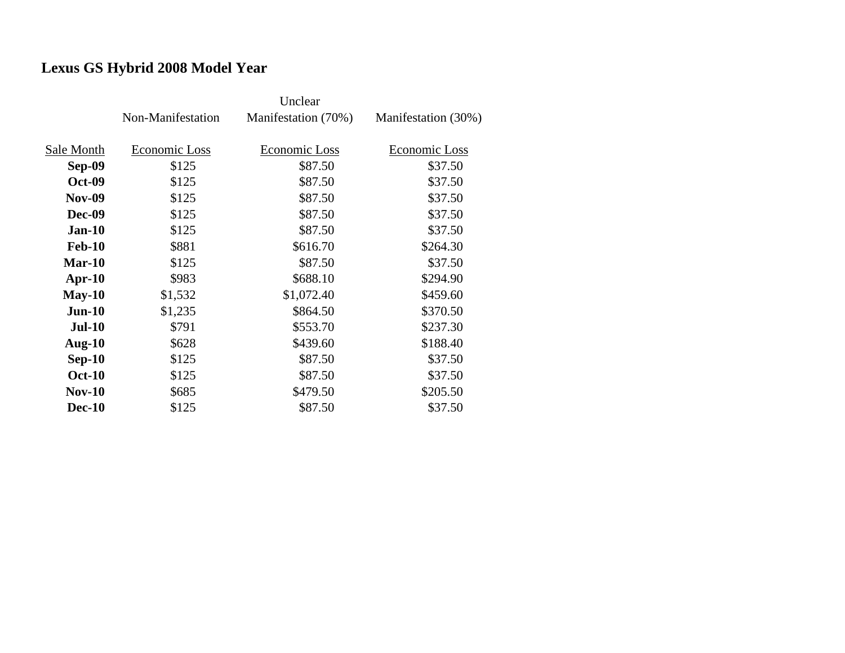# **Lexus GS Hybrid 2008 Model Year**

|               | Non-Manifestation | Manifestation (70%) | Manifestation (30%) |
|---------------|-------------------|---------------------|---------------------|
|               |                   |                     |                     |
| Sale Month    | Economic Loss     | Economic Loss       | Economic Loss       |
| <b>Sep-09</b> | \$125             | \$87.50             | \$37.50             |
| <b>Oct-09</b> | \$125             | \$87.50             | \$37.50             |
| <b>Nov-09</b> | \$125             | \$87.50             | \$37.50             |
| <b>Dec-09</b> | \$125             | \$87.50             | \$37.50             |
| $Jan-10$      | \$125             | \$87.50             | \$37.50             |
| <b>Feb-10</b> | \$881             | \$616.70            | \$264.30            |
| $Mar-10$      | \$125             | \$87.50             | \$37.50             |
| Apr- $10$     | \$983             | \$688.10            | \$294.90            |
| $May-10$      | \$1,532           | \$1,072.40          | \$459.60            |
| $Jun-10$      | \$1,235           | \$864.50            | \$370.50            |
| <b>Jul-10</b> | \$791             | \$553.70            | \$237.30            |
| Aug- $10$     | \$628             | \$439.60            | \$188.40            |
| $Sep-10$      | \$125             | \$87.50             | \$37.50             |
| <b>Oct-10</b> | \$125             | \$87.50             | \$37.50             |
| <b>Nov-10</b> | \$685             | \$479.50            | \$205.50            |
| <b>Dec-10</b> | \$125             | \$87.50             | \$37.50             |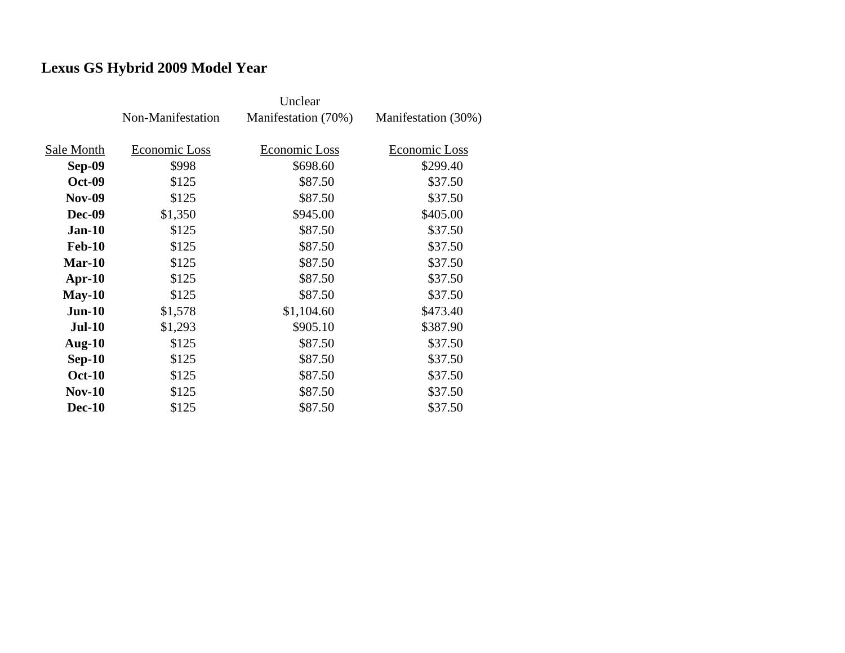# **Lexus GS Hybrid 2009 Model Year**

|               | Non-Manifestation | Manifestation (70%) | Manifestation (30%) |
|---------------|-------------------|---------------------|---------------------|
|               |                   |                     |                     |
| Sale Month    | Economic Loss     | Economic Loss       | Economic Loss       |
| Sep-09        | \$998             | \$698.60            | \$299.40            |
| <b>Oct-09</b> | \$125             | \$87.50             | \$37.50             |
| <b>Nov-09</b> | \$125             | \$87.50             | \$37.50             |
| <b>Dec-09</b> | \$1,350           | \$945.00            | \$405.00            |
| $Jan-10$      | \$125             | \$87.50             | \$37.50             |
| <b>Feb-10</b> | \$125             | \$87.50             | \$37.50             |
| $Mar-10$      | \$125             | \$87.50             | \$37.50             |
| Apr- $10$     | \$125             | \$87.50             | \$37.50             |
| $May-10$      | \$125             | \$87.50             | \$37.50             |
| $Jun-10$      | \$1,578           | \$1,104.60          | \$473.40            |
| <b>Jul-10</b> | \$1,293           | \$905.10            | \$387.90            |
| Aug- $10$     | \$125             | \$87.50             | \$37.50             |
| $Sep-10$      | \$125             | \$87.50             | \$37.50             |
| <b>Oct-10</b> | \$125             | \$87.50             | \$37.50             |
| <b>Nov-10</b> | \$125             | \$87.50             | \$37.50             |
| <b>Dec-10</b> | \$125             | \$87.50             | \$37.50             |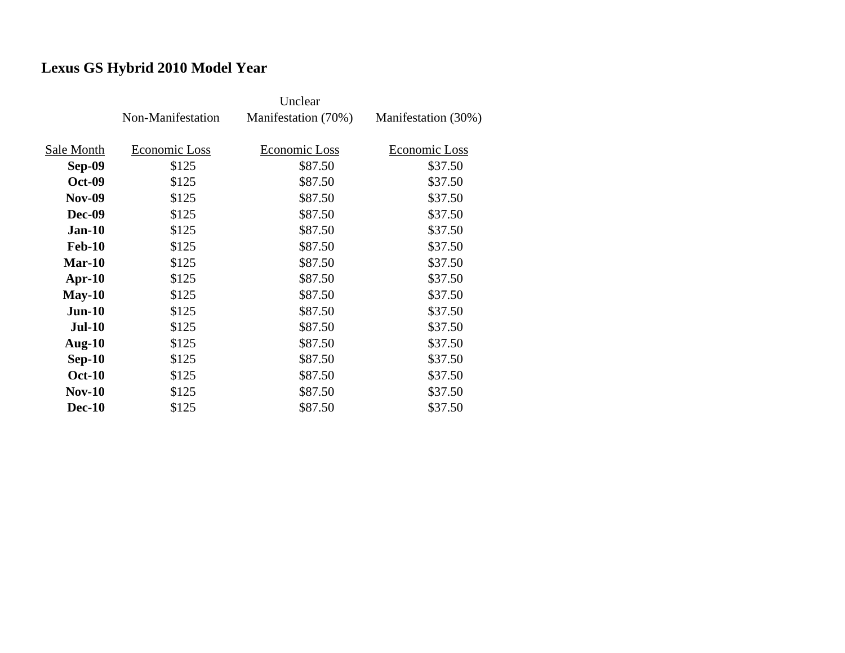# **Lexus GS Hybrid 2010 Model Year**

|               | Non-Manifestation | Manifestation (70%) | Manifestation (30%) |
|---------------|-------------------|---------------------|---------------------|
|               |                   |                     |                     |
| Sale Month    | Economic Loss     | Economic Loss       | Economic Loss       |
| Sep-09        | \$125             | \$87.50             | \$37.50             |
| <b>Oct-09</b> | \$125             | \$87.50             | \$37.50             |
| <b>Nov-09</b> | \$125             | \$87.50             | \$37.50             |
| <b>Dec-09</b> | \$125             | \$87.50             | \$37.50             |
| $Jan-10$      | \$125             | \$87.50             | \$37.50             |
| <b>Feb-10</b> | \$125             | \$87.50             | \$37.50             |
| $Mar-10$      | \$125             | \$87.50             | \$37.50             |
| $Apr-10$      | \$125             | \$87.50             | \$37.50             |
| $May-10$      | \$125             | \$87.50             | \$37.50             |
| $Jun-10$      | \$125             | \$87.50             | \$37.50             |
| <b>Jul-10</b> | \$125             | \$87.50             | \$37.50             |
| Aug- $10$     | \$125             | \$87.50             | \$37.50             |
| $Sep-10$      | \$125             | \$87.50             | \$37.50             |
| <b>Oct-10</b> | \$125             | \$87.50             | \$37.50             |
| <b>Nov-10</b> | \$125             | \$87.50             | \$37.50             |
| <b>Dec-10</b> | \$125             | \$87.50             | \$37.50             |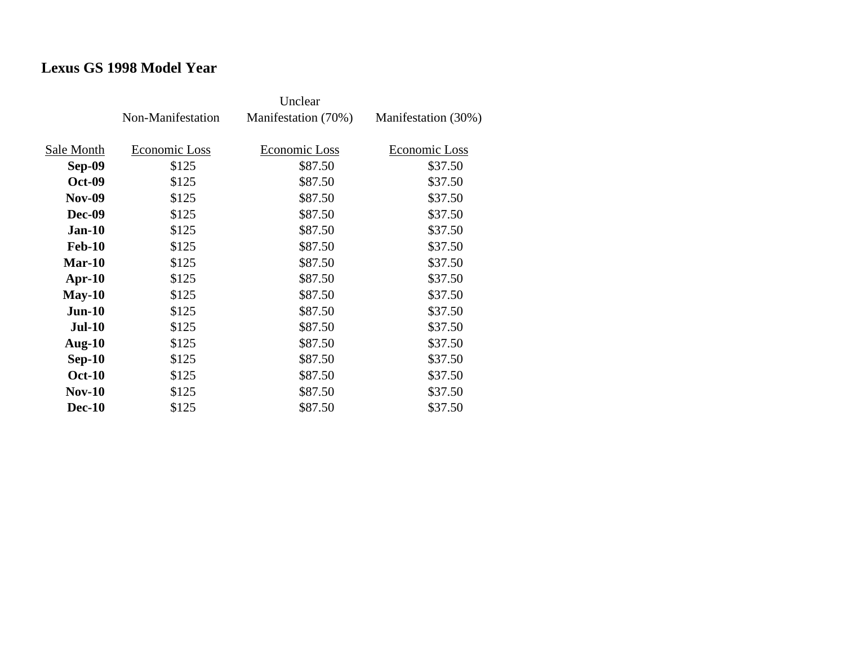# **Lexus GS 1998 Model Year**

|               | Non-Manifestation | Manifestation (70%) | Manifestation (30%) |
|---------------|-------------------|---------------------|---------------------|
| Sale Month    | Economic Loss     | Economic Loss       | Economic Loss       |
| <b>Sep-09</b> | \$125             | \$87.50             | \$37.50             |
| <b>Oct-09</b> | \$125             | \$87.50             | \$37.50             |
| <b>Nov-09</b> | \$125             | \$87.50             | \$37.50             |
| Dec-09        | \$125             | \$87.50             | \$37.50             |
| $Jan-10$      | \$125             | \$87.50             | \$37.50             |
| <b>Feb-10</b> | \$125             | \$87.50             | \$37.50             |
| $Mar-10$      | \$125             | \$87.50             | \$37.50             |
| Apr- $10$     | \$125             | \$87.50             | \$37.50             |
| $May-10$      | \$125             | \$87.50             | \$37.50             |
| $Jun-10$      | \$125             | \$87.50             | \$37.50             |
| <b>Jul-10</b> | \$125             | \$87.50             | \$37.50             |
| Aug- $10$     | \$125             | \$87.50             | \$37.50             |
| $Sep-10$      | \$125             | \$87.50             | \$37.50             |
| <b>Oct-10</b> | \$125             | \$87.50             | \$37.50             |
| <b>Nov-10</b> | \$125             | \$87.50             | \$37.50             |
| <b>Dec-10</b> | \$125             | \$87.50             | \$37.50             |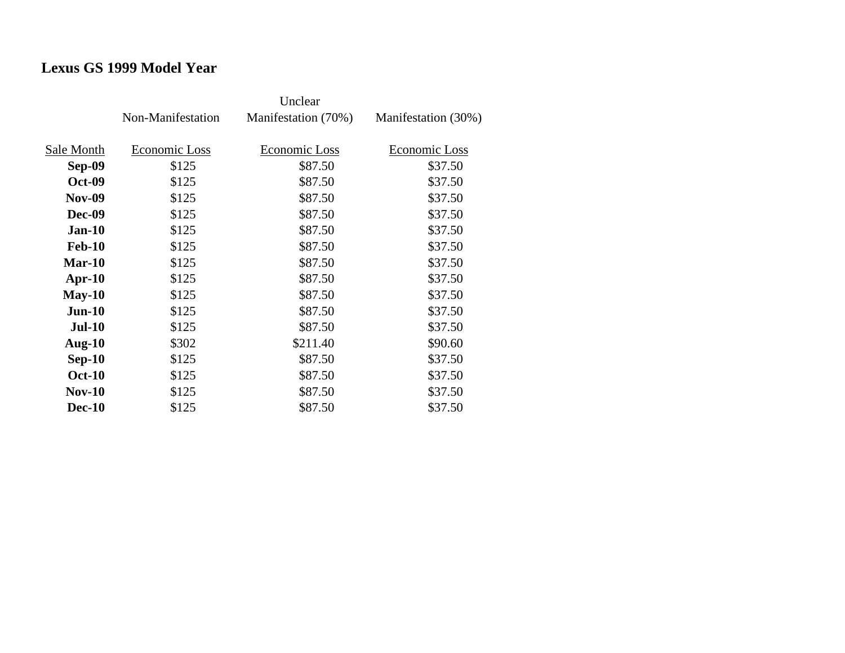# **Lexus GS 1999 Model Year**

|               | Non-Manifestation | Manifestation (70%) | Manifestation (30%) |
|---------------|-------------------|---------------------|---------------------|
| Sale Month    | Economic Loss     | Economic Loss       | Economic Loss       |
| <b>Sep-09</b> | \$125             | \$87.50             | \$37.50             |
| <b>Oct-09</b> | \$125             | \$87.50             | \$37.50             |
| <b>Nov-09</b> | \$125             | \$87.50             | \$37.50             |
| Dec-09        | \$125             | \$87.50             | \$37.50             |
| $Jan-10$      | \$125             | \$87.50             | \$37.50             |
| <b>Feb-10</b> | \$125             | \$87.50             | \$37.50             |
| $Mar-10$      | \$125             | \$87.50             | \$37.50             |
| $Apr-10$      | \$125             | \$87.50             | \$37.50             |
| $May-10$      | \$125             | \$87.50             | \$37.50             |
| $Jun-10$      | \$125             | \$87.50             | \$37.50             |
| <b>Jul-10</b> | \$125             | \$87.50             | \$37.50             |
| Aug- $10$     | \$302             | \$211.40            | \$90.60             |
| $Sep-10$      | \$125             | \$87.50             | \$37.50             |
| <b>Oct-10</b> | \$125             | \$87.50             | \$37.50             |
| <b>Nov-10</b> | \$125             | \$87.50             | \$37.50             |
| <b>Dec-10</b> | \$125             | \$87.50             | \$37.50             |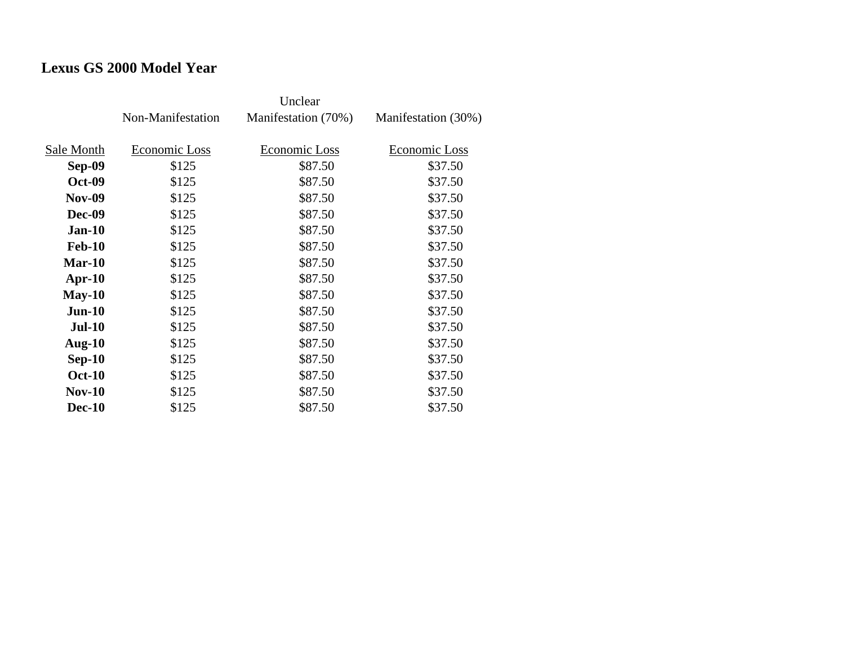# **Lexus GS 2000 Model Year**

|               | Non-Manifestation | Manifestation (70%) | Manifestation (30%) |
|---------------|-------------------|---------------------|---------------------|
| Sale Month    | Economic Loss     | Economic Loss       | Economic Loss       |
| <b>Sep-09</b> | \$125             | \$87.50             | \$37.50             |
| <b>Oct-09</b> | \$125             | \$87.50             | \$37.50             |
| <b>Nov-09</b> | \$125             | \$87.50             | \$37.50             |
| <b>Dec-09</b> | \$125             | \$87.50             | \$37.50             |
| $Jan-10$      | \$125             | \$87.50             | \$37.50             |
| <b>Feb-10</b> | \$125             | \$87.50             | \$37.50             |
| $Mar-10$      | \$125             | \$87.50             | \$37.50             |
| $Apr-10$      | \$125             | \$87.50             | \$37.50             |
| $May-10$      | \$125             | \$87.50             | \$37.50             |
| $Jun-10$      | \$125             | \$87.50             | \$37.50             |
| <b>Jul-10</b> | \$125             | \$87.50             | \$37.50             |
| Aug- $10$     | \$125             | \$87.50             | \$37.50             |
| $Sep-10$      | \$125             | \$87.50             | \$37.50             |
| <b>Oct-10</b> | \$125             | \$87.50             | \$37.50             |
| $Nov-10$      | \$125             | \$87.50             | \$37.50             |
| <b>Dec-10</b> | \$125             | \$87.50             | \$37.50             |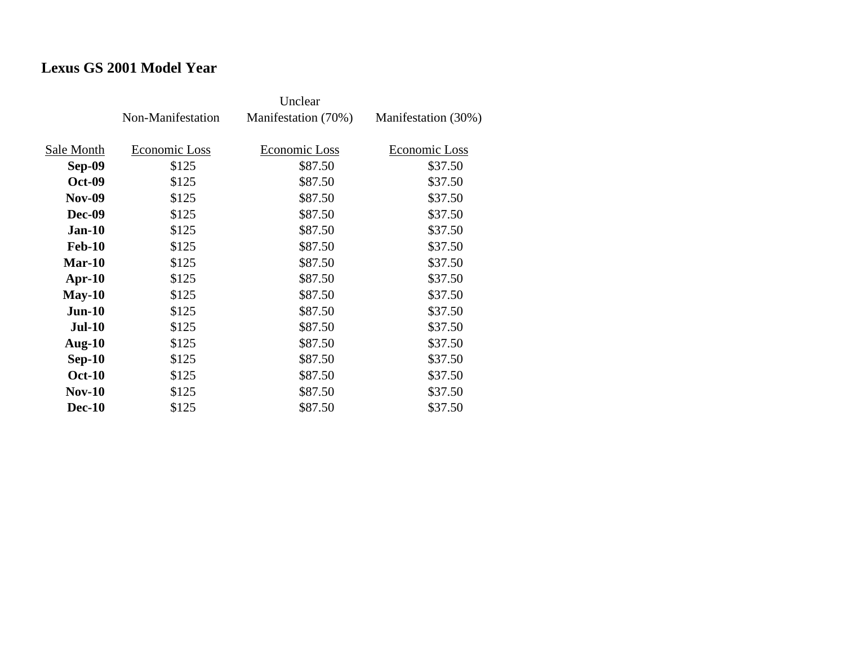# **Lexus GS 2001 Model Year**

|               | Non-Manifestation | Manifestation (70%) | Manifestation (30%) |
|---------------|-------------------|---------------------|---------------------|
| Sale Month    | Economic Loss     | Economic Loss       | Economic Loss       |
| <b>Sep-09</b> | \$125             | \$87.50             | \$37.50             |
| <b>Oct-09</b> | \$125             | \$87.50             | \$37.50             |
| <b>Nov-09</b> | \$125             | \$87.50             | \$37.50             |
| <b>Dec-09</b> | \$125             | \$87.50             | \$37.50             |
| <b>Jan-10</b> | \$125             | \$87.50             | \$37.50             |
| <b>Feb-10</b> | \$125             | \$87.50             | \$37.50             |
| $Mar-10$      | \$125             | \$87.50             | \$37.50             |
| Apr- $10$     | \$125             | \$87.50             | \$37.50             |
| $May-10$      | \$125             | \$87.50             | \$37.50             |
| $Jun-10$      | \$125             | \$87.50             | \$37.50             |
| $Jul-10$      | \$125             | \$87.50             | \$37.50             |
| Aug- $10$     | \$125             | \$87.50             | \$37.50             |
| $Sep-10$      | \$125             | \$87.50             | \$37.50             |
| <b>Oct-10</b> | \$125             | \$87.50             | \$37.50             |
| $Nov-10$      | \$125             | \$87.50             | \$37.50             |
| <b>Dec-10</b> | \$125             | \$87.50             | \$37.50             |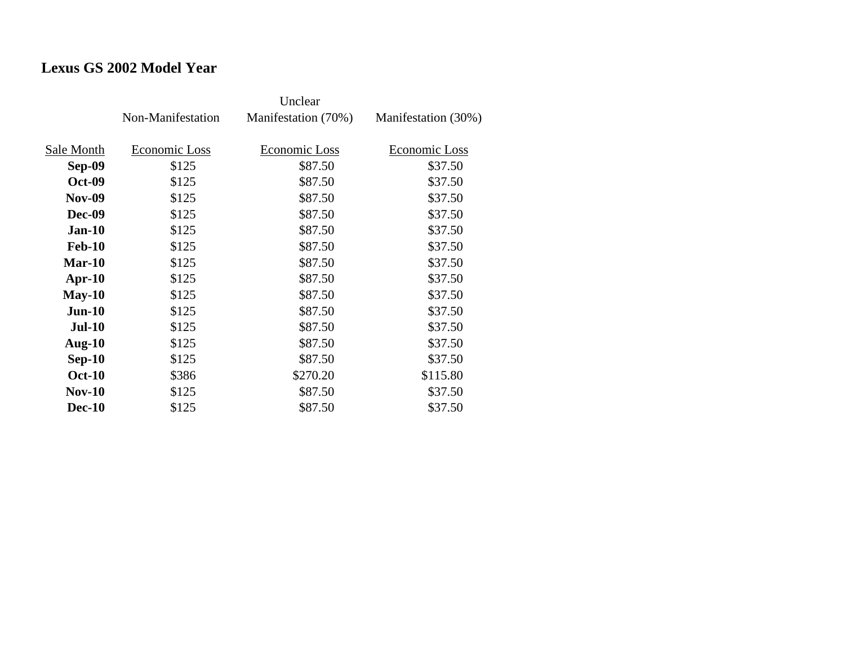# **Lexus GS 2002 Model Year**

|               | Non-Manifestation | Manifestation (70%) | Manifestation (30%) |
|---------------|-------------------|---------------------|---------------------|
| Sale Month    | Economic Loss     | Economic Loss       | Economic Loss       |
| <b>Sep-09</b> | \$125             | \$87.50             | \$37.50             |
| <b>Oct-09</b> | \$125             | \$87.50             | \$37.50             |
| <b>Nov-09</b> | \$125             | \$87.50             | \$37.50             |
| Dec-09        | \$125             | \$87.50             | \$37.50             |
| $Jan-10$      | \$125             | \$87.50             | \$37.50             |
| <b>Feb-10</b> | \$125             | \$87.50             | \$37.50             |
| $Mar-10$      | \$125             | \$87.50             | \$37.50             |
| $Apr-10$      | \$125             | \$87.50             | \$37.50             |
| $May-10$      | \$125             | \$87.50             | \$37.50             |
| $Jun-10$      | \$125             | \$87.50             | \$37.50             |
| <b>Jul-10</b> | \$125             | \$87.50             | \$37.50             |
| Aug- $10$     | \$125             | \$87.50             | \$37.50             |
| $Sep-10$      | \$125             | \$87.50             | \$37.50             |
| <b>Oct-10</b> | \$386             | \$270.20            | \$115.80            |
| <b>Nov-10</b> | \$125             | \$87.50             | \$37.50             |
| <b>Dec-10</b> | \$125             | \$87.50             | \$37.50             |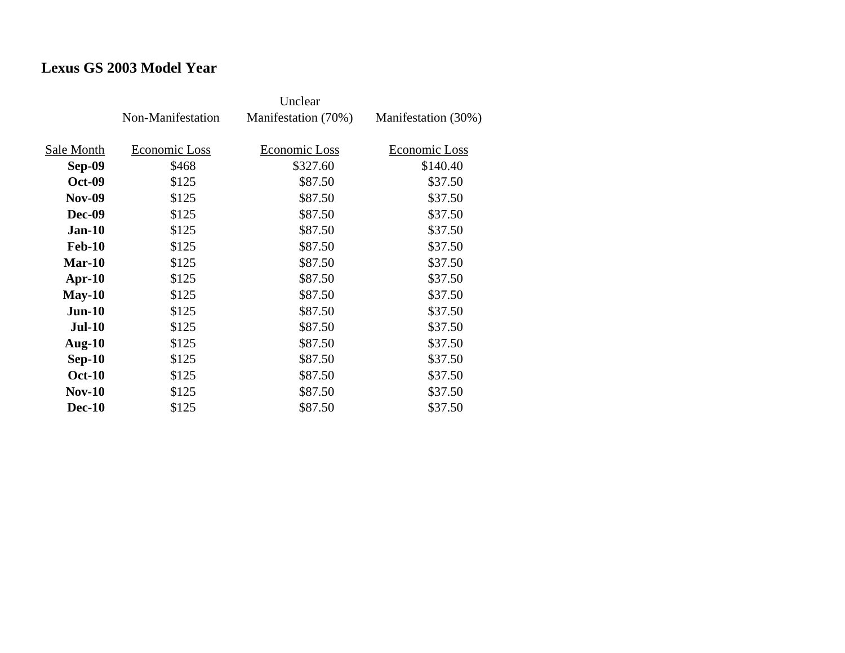# **Lexus GS 2003 Model Year**

|               | Non-Manifestation | Manifestation (70%) | Manifestation (30%) |
|---------------|-------------------|---------------------|---------------------|
| Sale Month    | Economic Loss     | Economic Loss       | Economic Loss       |
| Sep-09        | \$468             | \$327.60            | \$140.40            |
| <b>Oct-09</b> | \$125             | \$87.50             | \$37.50             |
| <b>Nov-09</b> | \$125             | \$87.50             | \$37.50             |
| Dec-09        | \$125             | \$87.50             | \$37.50             |
| $Jan-10$      | \$125             | \$87.50             | \$37.50             |
| <b>Feb-10</b> | \$125             | \$87.50             | \$37.50             |
| $Mar-10$      | \$125             | \$87.50             | \$37.50             |
| Apr- $10$     | \$125             | \$87.50             | \$37.50             |
| $May-10$      | \$125             | \$87.50             | \$37.50             |
| $Jun-10$      | \$125             | \$87.50             | \$37.50             |
| <b>Jul-10</b> | \$125             | \$87.50             | \$37.50             |
| Aug- $10$     | \$125             | \$87.50             | \$37.50             |
| $Sep-10$      | \$125             | \$87.50             | \$37.50             |
| <b>Oct-10</b> | \$125             | \$87.50             | \$37.50             |
| <b>Nov-10</b> | \$125             | \$87.50             | \$37.50             |
| <b>Dec-10</b> | \$125             | \$87.50             | \$37.50             |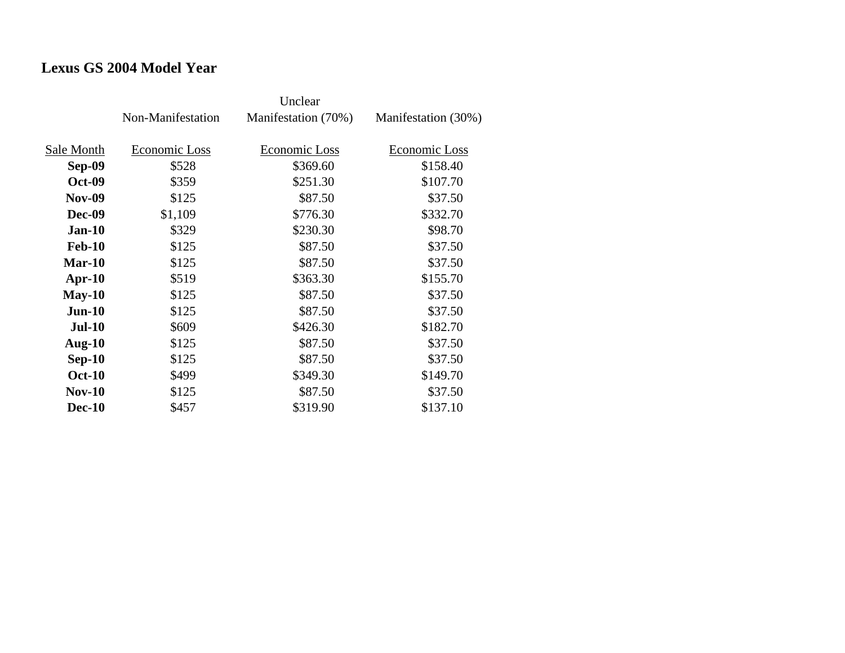## **Lexus GS 2004 Model Year**

|               | Non-Manifestation | Manifestation (70%)  | Manifestation (30%) |
|---------------|-------------------|----------------------|---------------------|
| Sale Month    | Economic Loss     | <b>Economic Loss</b> | Economic Loss       |
|               |                   |                      |                     |
| <b>Sep-09</b> | \$528             | \$369.60             | \$158.40            |
| <b>Oct-09</b> | \$359             | \$251.30             | \$107.70            |
| <b>Nov-09</b> | \$125             | \$87.50              | \$37.50             |
| <b>Dec-09</b> | \$1,109           | \$776.30             | \$332.70            |
| $Jan-10$      | \$329             | \$230.30             | \$98.70             |
| <b>Feb-10</b> | \$125             | \$87.50              | \$37.50             |
| $Mar-10$      | \$125             | \$87.50              | \$37.50             |
| $Apr-10$      | \$519             | \$363.30             | \$155.70            |
| $May-10$      | \$125             | \$87.50              | \$37.50             |
| $Jun-10$      | \$125             | \$87.50              | \$37.50             |
| <b>Jul-10</b> | \$609             | \$426.30             | \$182.70            |
| Aug- $10$     | \$125             | \$87.50              | \$37.50             |
| $Sep-10$      | \$125             | \$87.50              | \$37.50             |
| <b>Oct-10</b> | \$499             | \$349.30             | \$149.70            |
| $Nov-10$      | \$125             | \$87.50              | \$37.50             |
| <b>Dec-10</b> | \$457             | \$319.90             | \$137.10            |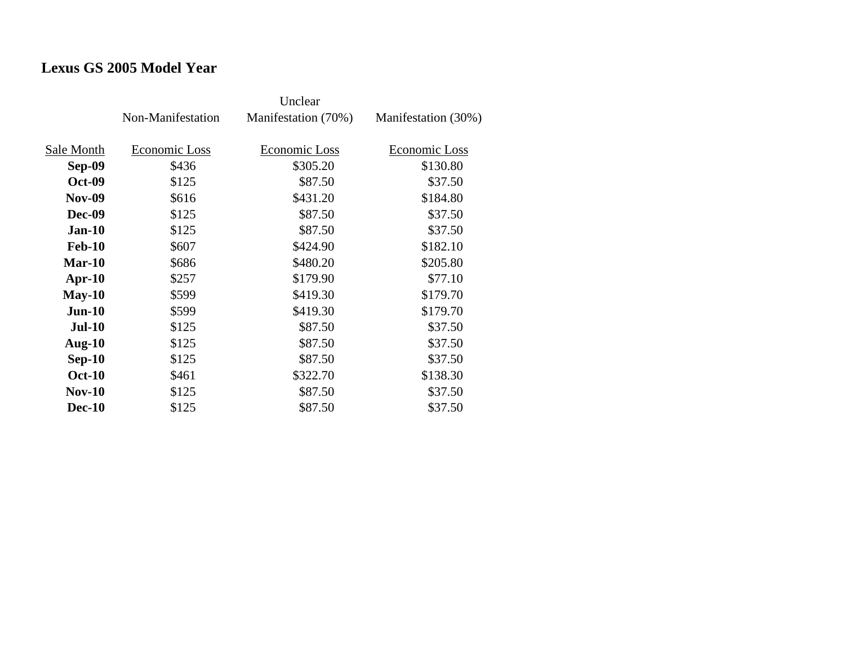# **Lexus GS 2005 Model Year**

|               | Non-Manifestation | Manifestation (70%) | Manifestation (30%) |
|---------------|-------------------|---------------------|---------------------|
| Sale Month    | Economic Loss     | Economic Loss       | Economic Loss       |
| <b>Sep-09</b> | \$436             | \$305.20            | \$130.80            |
| <b>Oct-09</b> | \$125             | \$87.50             | \$37.50             |
| <b>Nov-09</b> | \$616             | \$431.20            | \$184.80            |
| Dec-09        | \$125             | \$87.50             | \$37.50             |
| $Jan-10$      | \$125             | \$87.50             | \$37.50             |
| <b>Feb-10</b> | \$607             | \$424.90            | \$182.10            |
| $Mar-10$      | \$686             | \$480.20            | \$205.80            |
| Apr- $10$     | \$257             | \$179.90            | \$77.10             |
| $May-10$      | \$599             | \$419.30            | \$179.70            |
| $Jun-10$      | \$599             | \$419.30            | \$179.70            |
| $Jul-10$      | \$125             | \$87.50             | \$37.50             |
| Aug- $10$     | \$125             | \$87.50             | \$37.50             |
| $Sep-10$      | \$125             | \$87.50             | \$37.50             |
| <b>Oct-10</b> | \$461             | \$322.70            | \$138.30            |
| $Nov-10$      | \$125             | \$87.50             | \$37.50             |
| <b>Dec-10</b> | \$125             | \$87.50             | \$37.50             |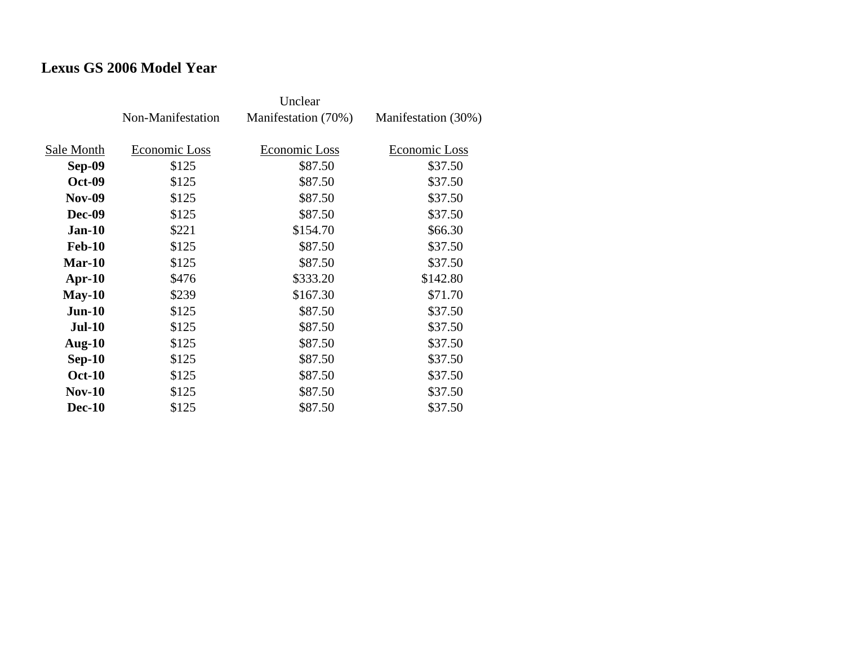# **Lexus GS 2006 Model Year**

|               | Non-Manifestation | Manifestation (70%)  | Manifestation (30%) |
|---------------|-------------------|----------------------|---------------------|
| Sale Month    | Economic Loss     | <b>Economic Loss</b> | Economic Loss       |
|               | \$125             | \$87.50              | \$37.50             |
| <b>Sep-09</b> |                   |                      |                     |
| <b>Oct-09</b> | \$125             | \$87.50              | \$37.50             |
| <b>Nov-09</b> | \$125             | \$87.50              | \$37.50             |
| <b>Dec-09</b> | \$125             | \$87.50              | \$37.50             |
| $Jan-10$      | \$221             | \$154.70             | \$66.30             |
| <b>Feb-10</b> | \$125             | \$87.50              | \$37.50             |
| $Mar-10$      | \$125             | \$87.50              | \$37.50             |
| $Apr-10$      | \$476             | \$333.20             | \$142.80            |
| $May-10$      | \$239             | \$167.30             | \$71.70             |
| $Jun-10$      | \$125             | \$87.50              | \$37.50             |
| <b>Jul-10</b> | \$125             | \$87.50              | \$37.50             |
| Aug- $10$     | \$125             | \$87.50              | \$37.50             |
| $Sep-10$      | \$125             | \$87.50              | \$37.50             |
| <b>Oct-10</b> | \$125             | \$87.50              | \$37.50             |
| $Nov-10$      | \$125             | \$87.50              | \$37.50             |
| <b>Dec-10</b> | \$125             | \$87.50              | \$37.50             |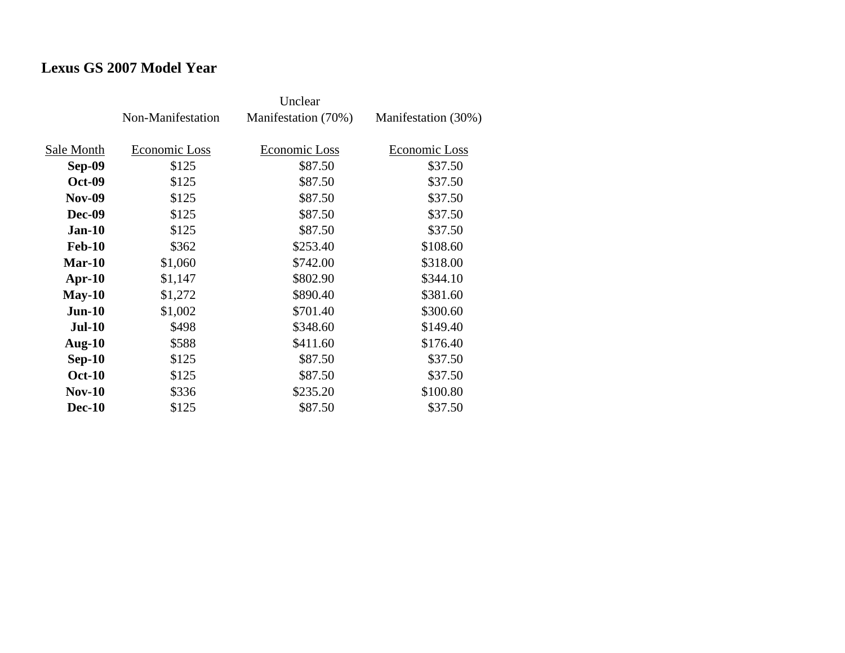# **Lexus GS 2007 Model Year**

|               | Non-Manifestation | Manifestation (70%) | Manifestation (30%) |
|---------------|-------------------|---------------------|---------------------|
| Sale Month    | Economic Loss     | Economic Loss       | Economic Loss       |
| <b>Sep-09</b> | \$125             | \$87.50             | \$37.50             |
| <b>Oct-09</b> | \$125             | \$87.50             | \$37.50             |
| <b>Nov-09</b> | \$125             | \$87.50             | \$37.50             |
| Dec-09        | \$125             | \$87.50             | \$37.50             |
| $Jan-10$      | \$125             | \$87.50             | \$37.50             |
| <b>Feb-10</b> | \$362             | \$253.40            | \$108.60            |
| $Mar-10$      | \$1,060           | \$742.00            | \$318.00            |
| Apr- $10$     | \$1,147           | \$802.90            | \$344.10            |
| $May-10$      | \$1,272           | \$890.40            | \$381.60            |
| $Jun-10$      | \$1,002           | \$701.40            | \$300.60            |
| $Jul-10$      | \$498             | \$348.60            | \$149.40            |
| Aug- $10$     | \$588             | \$411.60            | \$176.40            |
| $Sep-10$      | \$125             | \$87.50             | \$37.50             |
| <b>Oct-10</b> | \$125             | \$87.50             | \$37.50             |
| $Nov-10$      | \$336             | \$235.20            | \$100.80            |
| <b>Dec-10</b> | \$125             | \$87.50             | \$37.50             |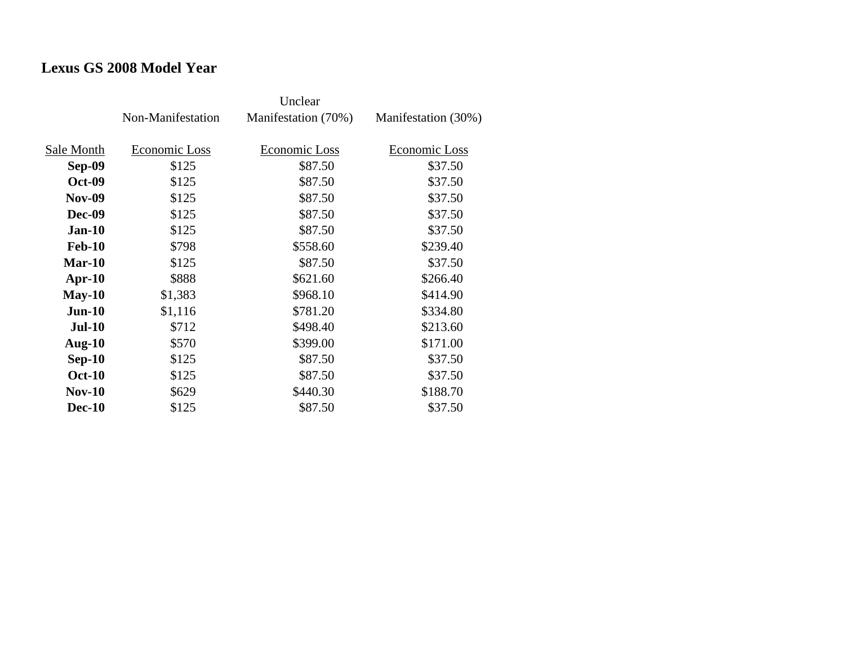# **Lexus GS 2008 Model Year**

|               | Non-Manifestation | Manifestation (70%) | Manifestation (30%) |
|---------------|-------------------|---------------------|---------------------|
| Sale Month    | Economic Loss     | Economic Loss       | Economic Loss       |
| <b>Sep-09</b> | \$125             | \$87.50             | \$37.50             |
| <b>Oct-09</b> | \$125             | \$87.50             | \$37.50             |
| <b>Nov-09</b> | \$125             | \$87.50             | \$37.50             |
| Dec-09        | \$125             | \$87.50             | \$37.50             |
| $Jan-10$      | \$125             | \$87.50             | \$37.50             |
| <b>Feb-10</b> | \$798             | \$558.60            | \$239.40            |
| $Mar-10$      | \$125             | \$87.50             | \$37.50             |
| Apr- $10$     | \$888             | \$621.60            | \$266.40            |
| $May-10$      | \$1,383           | \$968.10            | \$414.90            |
| $Jun-10$      | \$1,116           | \$781.20            | \$334.80            |
| $Jul-10$      | \$712             | \$498.40            | \$213.60            |
| Aug- $10$     | \$570             | \$399.00            | \$171.00            |
| $Sep-10$      | \$125             | \$87.50             | \$37.50             |
| <b>Oct-10</b> | \$125             | \$87.50             | \$37.50             |
| $Nov-10$      | \$629             | \$440.30            | \$188.70            |
| <b>Dec-10</b> | \$125             | \$87.50             | \$37.50             |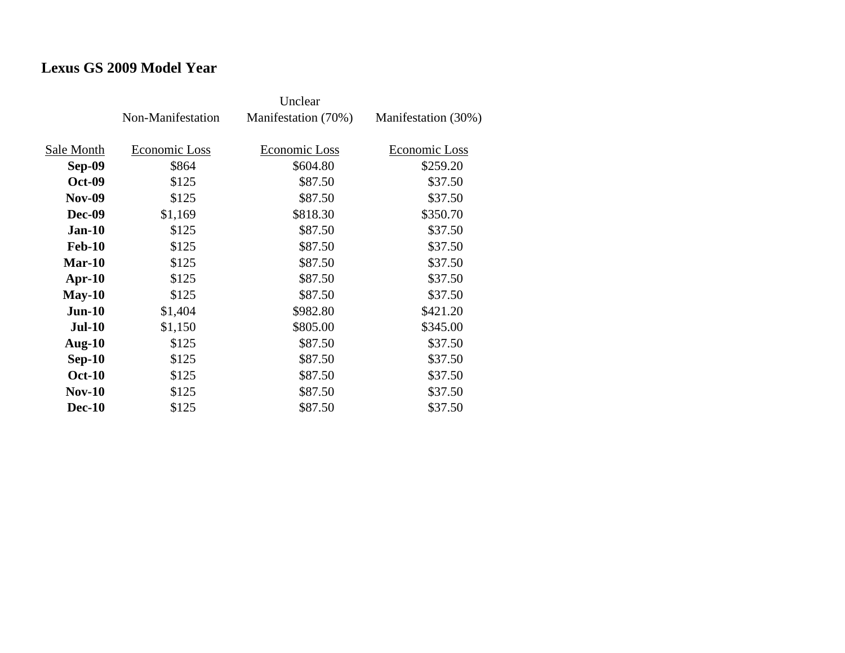## **Lexus GS 2009 Model Year**

|               | Non-Manifestation | Manifestation (70%) | Manifestation (30%) |
|---------------|-------------------|---------------------|---------------------|
| Sale Month    | Economic Loss     | Economic Loss       | Economic Loss       |
| <b>Sep-09</b> | \$864             | \$604.80            | \$259.20            |
| <b>Oct-09</b> | \$125             | \$87.50             | \$37.50             |
| <b>Nov-09</b> | \$125             | \$87.50             | \$37.50             |
| <b>Dec-09</b> | \$1,169           | \$818.30            | \$350.70            |
| $Jan-10$      | \$125             | \$87.50             | \$37.50             |
| <b>Feb-10</b> | \$125             | \$87.50             | \$37.50             |
| $Mar-10$      | \$125             | \$87.50             | \$37.50             |
| $Apr-10$      | \$125             | \$87.50             | \$37.50             |
| $May-10$      | \$125             | \$87.50             | \$37.50             |
| $Jun-10$      | \$1,404           | \$982.80            | \$421.20            |
| <b>Jul-10</b> | \$1,150           | \$805.00            | \$345.00            |
| Aug- $10$     | \$125             | \$87.50             | \$37.50             |
| $Sep-10$      | \$125             | \$87.50             | \$37.50             |
| <b>Oct-10</b> | \$125             | \$87.50             | \$37.50             |
| <b>Nov-10</b> | \$125             | \$87.50             | \$37.50             |
| <b>Dec-10</b> | \$125             | \$87.50             | \$37.50             |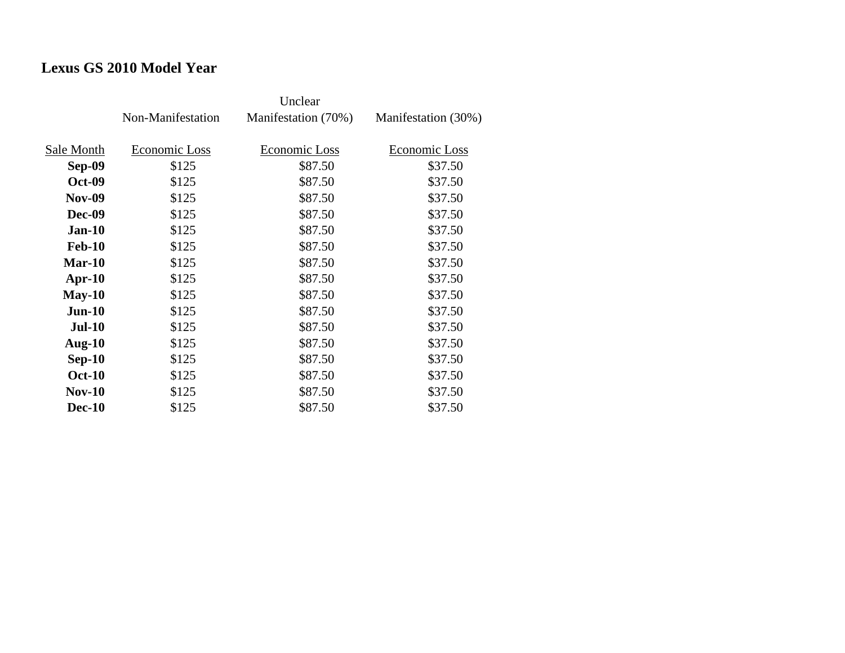# **Lexus GS 2010 Model Year**

|               | Non-Manifestation | Manifestation (70%) | Manifestation (30%) |
|---------------|-------------------|---------------------|---------------------|
| Sale Month    | Economic Loss     | Economic Loss       | Economic Loss       |
| Sep-09        | \$125             | \$87.50             | \$37.50             |
| <b>Oct-09</b> | \$125             | \$87.50             | \$37.50             |
| <b>Nov-09</b> | \$125             | \$87.50             | \$37.50             |
| Dec-09        | \$125             | \$87.50             | \$37.50             |
| $Jan-10$      | \$125             | \$87.50             | \$37.50             |
| <b>Feb-10</b> | \$125             | \$87.50             | \$37.50             |
| $Mar-10$      | \$125             | \$87.50             | \$37.50             |
| Apr- $10$     | \$125             | \$87.50             | \$37.50             |
| $May-10$      | \$125             | \$87.50             | \$37.50             |
| $Jun-10$      | \$125             | \$87.50             | \$37.50             |
| <b>Jul-10</b> | \$125             | \$87.50             | \$37.50             |
| Aug- $10$     | \$125             | \$87.50             | \$37.50             |
| $Sep-10$      | \$125             | \$87.50             | \$37.50             |
| <b>Oct-10</b> | \$125             | \$87.50             | \$37.50             |
| <b>Nov-10</b> | \$125             | \$87.50             | \$37.50             |
| <b>Dec-10</b> | \$125             | \$87.50             | \$37.50             |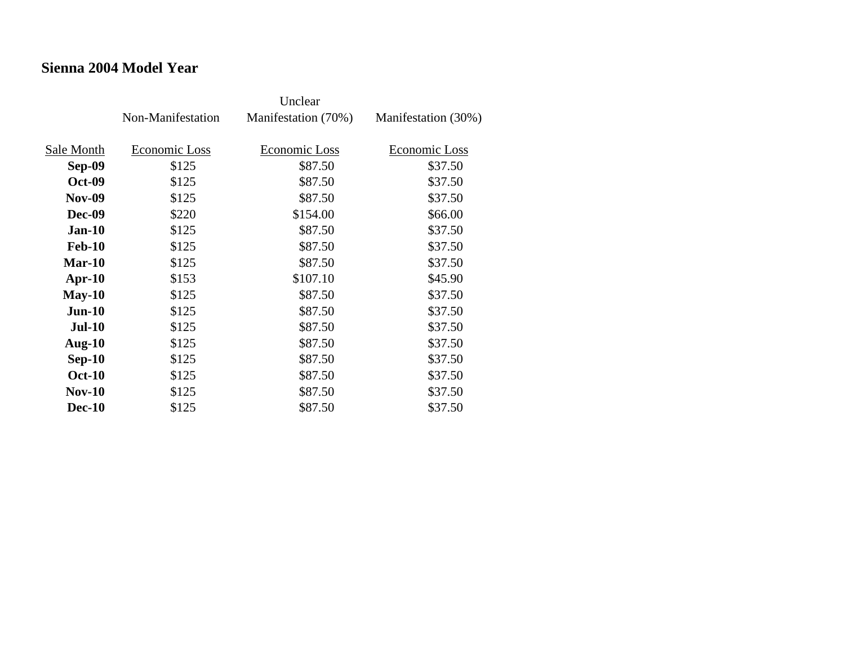#### **Sienna 2004 Model Year**

|               | Non-Manifestation | Manifestation (70%) | Manifestation (30%) |
|---------------|-------------------|---------------------|---------------------|
| Sale Month    | Economic Loss     | Economic Loss       | Economic Loss       |
| Sep-09        | \$125             | \$87.50             | \$37.50             |
|               |                   |                     |                     |
| <b>Oct-09</b> | \$125             | \$87.50             | \$37.50             |
| <b>Nov-09</b> | \$125             | \$87.50             | \$37.50             |
| <b>Dec-09</b> | \$220             | \$154.00            | \$66.00             |
| $Jan-10$      | \$125             | \$87.50             | \$37.50             |
| <b>Feb-10</b> | \$125             | \$87.50             | \$37.50             |
| Mar-10        | \$125             | \$87.50             | \$37.50             |
| $Apr-10$      | \$153             | \$107.10            | \$45.90             |
| $May-10$      | \$125             | \$87.50             | \$37.50             |
| $Jun-10$      | \$125             | \$87.50             | \$37.50             |
| <b>Jul-10</b> | \$125             | \$87.50             | \$37.50             |
| Aug- $10$     | \$125             | \$87.50             | \$37.50             |
| $Sep-10$      | \$125             | \$87.50             | \$37.50             |
| <b>Oct-10</b> | \$125             | \$87.50             | \$37.50             |
| $Nov-10$      | \$125             | \$87.50             | \$37.50             |
| <b>Dec-10</b> | \$125             | \$87.50             | \$37.50             |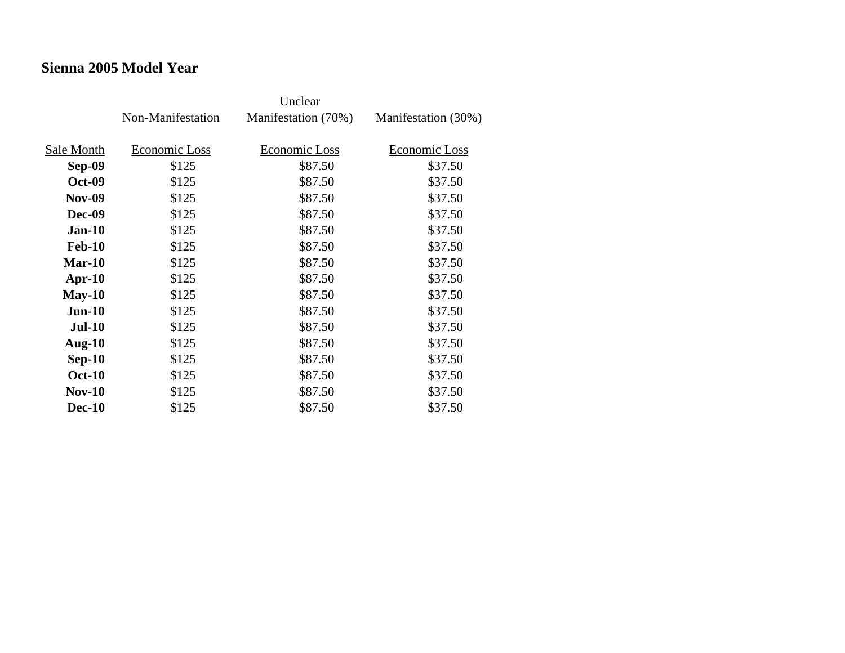### **Sienna 2005 Model Year**

|               | Non-Manifestation | Manifestation (70%) | Manifestation (30%) |
|---------------|-------------------|---------------------|---------------------|
| Sale Month    | Economic Loss     | Economic Loss       | Economic Loss       |
| Sep-09        | \$125             | \$87.50             | \$37.50             |
| <b>Oct-09</b> | \$125             | \$87.50             | \$37.50             |
| <b>Nov-09</b> | \$125             | \$87.50             | \$37.50             |
| <b>Dec-09</b> |                   | \$87.50             | \$37.50             |
|               | \$125             |                     |                     |
| <b>Jan-10</b> | \$125             | \$87.50             | \$37.50             |
| <b>Feb-10</b> | \$125             | \$87.50             | \$37.50             |
| Mar-10        | \$125             | \$87.50             | \$37.50             |
| Apr- $10$     | \$125             | \$87.50             | \$37.50             |
| $May-10$      | \$125             | \$87.50             | \$37.50             |
| $Jun-10$      | \$125             | \$87.50             | \$37.50             |
| <b>Jul-10</b> | \$125             | \$87.50             | \$37.50             |
| Aug- $10$     | \$125             | \$87.50             | \$37.50             |
| $Sep-10$      | \$125             | \$87.50             | \$37.50             |
| <b>Oct-10</b> | \$125             | \$87.50             | \$37.50             |
| <b>Nov-10</b> | \$125             | \$87.50             | \$37.50             |
| <b>Dec-10</b> | \$125             | \$87.50             | \$37.50             |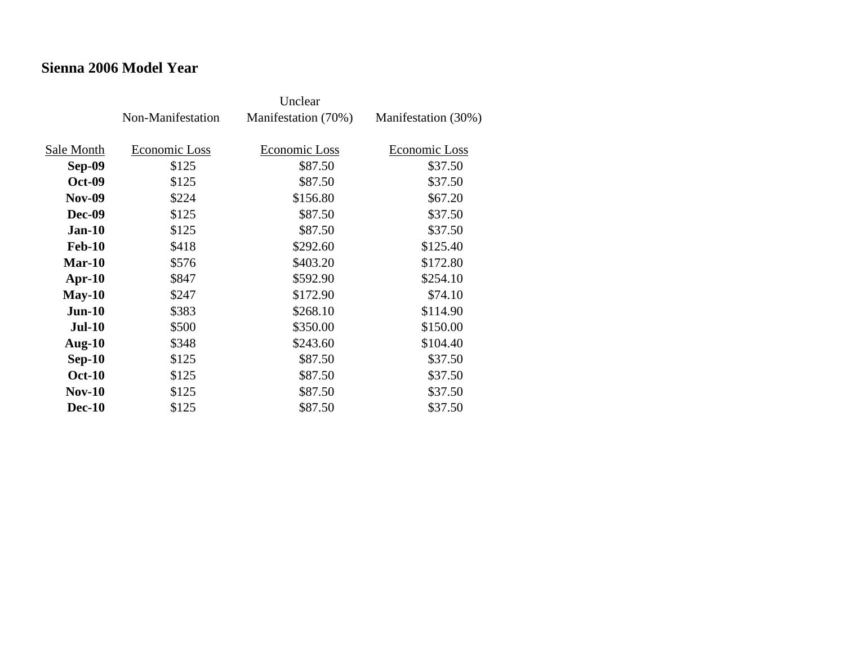#### **Sienna 2006 Model Year**

|               | Non-Manifestation | Manifestation (70%) | Manifestation (30%) |
|---------------|-------------------|---------------------|---------------------|
| Sale Month    | Economic Loss     | Economic Loss       | Economic Loss       |
|               |                   |                     |                     |
| Sep-09        | \$125             | \$87.50             | \$37.50             |
| <b>Oct-09</b> | \$125             | \$87.50             | \$37.50             |
| <b>Nov-09</b> | \$224             | \$156.80            | \$67.20             |
| <b>Dec-09</b> | \$125             | \$87.50             | \$37.50             |
| <b>Jan-10</b> | \$125             | \$87.50             | \$37.50             |
| <b>Feb-10</b> | \$418             | \$292.60            | \$125.40            |
| Mar-10        | \$576             | \$403.20            | \$172.80            |
| $Apr-10$      | \$847             | \$592.90            | \$254.10            |
| $May-10$      | \$247             | \$172.90            | \$74.10             |
| $Jun-10$      | \$383             | \$268.10            | \$114.90            |
| <b>Jul-10</b> | \$500             | \$350.00            | \$150.00            |
| Aug- $10$     | \$348             | \$243.60            | \$104.40            |
| $Sep-10$      | \$125             | \$87.50             | \$37.50             |
| <b>Oct-10</b> | \$125             | \$87.50             | \$37.50             |
| $Nov-10$      | \$125             | \$87.50             | \$37.50             |
| <b>Dec-10</b> | \$125             | \$87.50             | \$37.50             |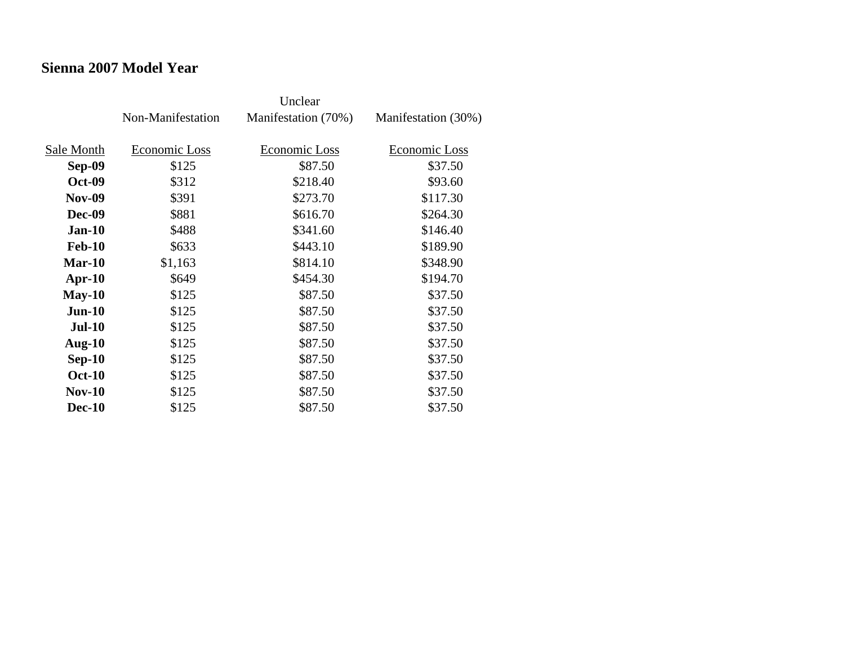#### **Sienna 2007 Model Year**

|               | Non-Manifestation | Manifestation (70%) | Manifestation (30%) |
|---------------|-------------------|---------------------|---------------------|
| Sale Month    | Economic Loss     | Economic Loss       | Economic Loss       |
| Sep-09        | \$125             | \$87.50             | \$37.50             |
| <b>Oct-09</b> | \$312             | \$218.40            | \$93.60             |
| <b>Nov-09</b> | \$391             | \$273.70            | \$117.30            |
| <b>Dec-09</b> | \$881             | \$616.70            | \$264.30            |
| $Jan-10$      | \$488             | \$341.60            | \$146.40            |
| <b>Feb-10</b> | \$633             | \$443.10            | \$189.90            |
| Mar-10        | \$1,163           | \$814.10            | \$348.90            |
| $Apr-10$      | \$649             | \$454.30            | \$194.70            |
| $May-10$      | \$125             | \$87.50             | \$37.50             |
| $Jun-10$      | \$125             | \$87.50             | \$37.50             |
| $Jul-10$      | \$125             | \$87.50             | \$37.50             |
| Aug- $10$     | \$125             | \$87.50             | \$37.50             |
| $Sep-10$      | \$125             | \$87.50             | \$37.50             |
| <b>Oct-10</b> | \$125             | \$87.50             | \$37.50             |
| $Nov-10$      | \$125             | \$87.50             | \$37.50             |
| <b>Dec-10</b> | \$125             | \$87.50             | \$37.50             |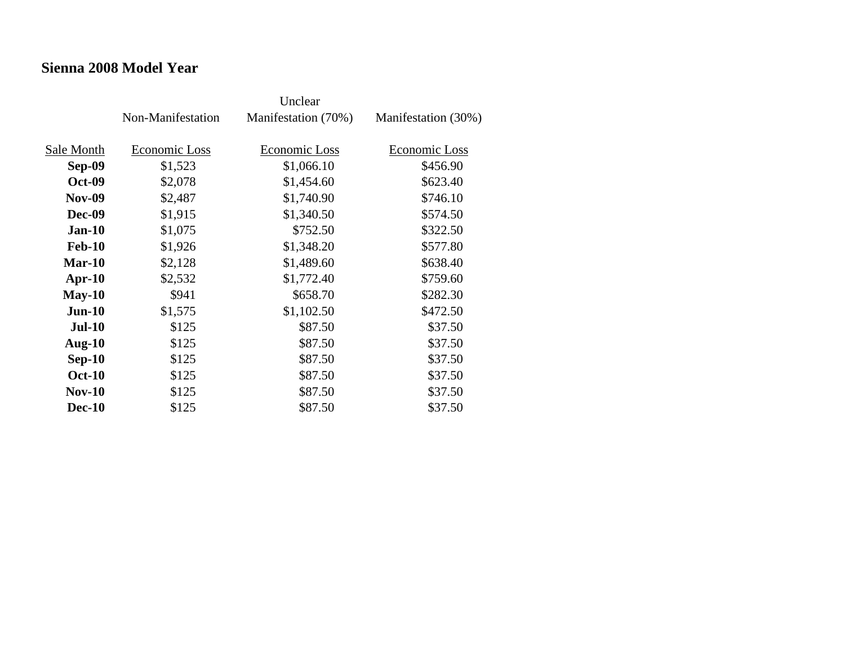#### **Sienna 2008 Model Year**

|               | Non-Manifestation | Manifestation (70%) | Manifestation (30%) |
|---------------|-------------------|---------------------|---------------------|
| Sale Month    | Economic Loss     | Economic Loss       | Economic Loss       |
| Sep-09        | \$1,523           | \$1,066.10          | \$456.90            |
| <b>Oct-09</b> | \$2,078           | \$1,454.60          | \$623.40            |
| <b>Nov-09</b> | \$2,487           | \$1,740.90          | \$746.10            |
| <b>Dec-09</b> | \$1,915           | \$1,340.50          | \$574.50            |
| $Jan-10$      | \$1,075           | \$752.50            | \$322.50            |
| <b>Feb-10</b> | \$1,926           | \$1,348.20          | \$577.80            |
| $Mar-10$      | \$2,128           | \$1,489.60          | \$638.40            |
| $Apr-10$      | \$2,532           | \$1,772.40          | \$759.60            |
| $May-10$      | \$941             | \$658.70            | \$282.30            |
| $Jun-10$      | \$1,575           | \$1,102.50          | \$472.50            |
| <b>Jul-10</b> | \$125             | \$87.50             | \$37.50             |
| Aug- $10$     | \$125             | \$87.50             | \$37.50             |
| $Sep-10$      | \$125             | \$87.50             | \$37.50             |
| <b>Oct-10</b> | \$125             | \$87.50             | \$37.50             |
| $Nov-10$      | \$125             | \$87.50             | \$37.50             |
| <b>Dec-10</b> | \$125             | \$87.50             | \$37.50             |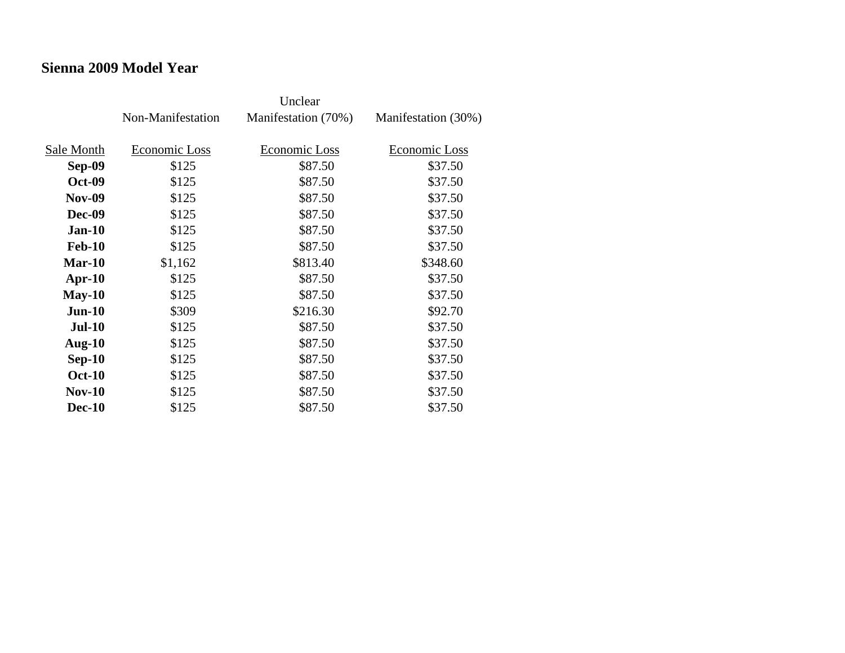#### **Sienna 2009 Model Year**

|               | Non-Manifestation | Manifestation (70%) | Manifestation (30%) |
|---------------|-------------------|---------------------|---------------------|
| Sale Month    | Economic Loss     | Economic Loss       | Economic Loss       |
|               |                   |                     |                     |
| Sep-09        | \$125             | \$87.50             | \$37.50             |
| <b>Oct-09</b> | \$125             | \$87.50             | \$37.50             |
| <b>Nov-09</b> | \$125             | \$87.50             | \$37.50             |
| <b>Dec-09</b> | \$125             | \$87.50             | \$37.50             |
| $Jan-10$      | \$125             | \$87.50             | \$37.50             |
| <b>Feb-10</b> | \$125             | \$87.50             | \$37.50             |
| Mar-10        | \$1,162           | \$813.40            | \$348.60            |
| $Apr-10$      | \$125             | \$87.50             | \$37.50             |
| $May-10$      | \$125             | \$87.50             | \$37.50             |
| $Jun-10$      | \$309             | \$216.30            | \$92.70             |
| <b>Jul-10</b> | \$125             | \$87.50             | \$37.50             |
| Aug- $10$     | \$125             | \$87.50             | \$37.50             |
| $Sep-10$      | \$125             | \$87.50             | \$37.50             |
| <b>Oct-10</b> | \$125             | \$87.50             | \$37.50             |
| $Nov-10$      | \$125             | \$87.50             | \$37.50             |
| <b>Dec-10</b> | \$125             | \$87.50             | \$37.50             |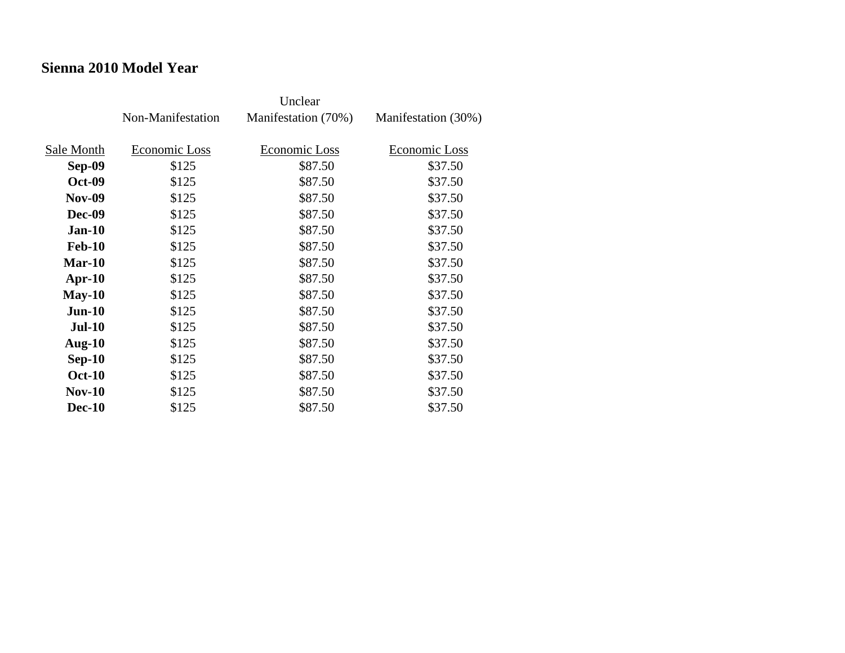#### **Sienna 2010 Model Year**

|               | Non-Manifestation | Manifestation (70%) | Manifestation (30%) |
|---------------|-------------------|---------------------|---------------------|
| Sale Month    | Economic Loss     | Economic Loss       | Economic Loss       |
| Sep-09        | \$125             | \$87.50             | \$37.50             |
|               |                   |                     |                     |
| <b>Oct-09</b> | \$125             | \$87.50             | \$37.50             |
| <b>Nov-09</b> | \$125             | \$87.50             | \$37.50             |
| <b>Dec-09</b> | \$125             | \$87.50             | \$37.50             |
| $Jan-10$      | \$125             | \$87.50             | \$37.50             |
| <b>Feb-10</b> | \$125             | \$87.50             | \$37.50             |
| Mar-10        | \$125             | \$87.50             | \$37.50             |
| $Apr-10$      | \$125             | \$87.50             | \$37.50             |
| $May-10$      | \$125             | \$87.50             | \$37.50             |
| $Jun-10$      | \$125             | \$87.50             | \$37.50             |
| <b>Jul-10</b> | \$125             | \$87.50             | \$37.50             |
| Aug- $10$     | \$125             | \$87.50             | \$37.50             |
| $Sep-10$      | \$125             | \$87.50             | \$37.50             |
| <b>Oct-10</b> | \$125             | \$87.50             | \$37.50             |
| $Nov-10$      | \$125             | \$87.50             | \$37.50             |
| <b>Dec-10</b> | \$125             | \$87.50             | \$37.50             |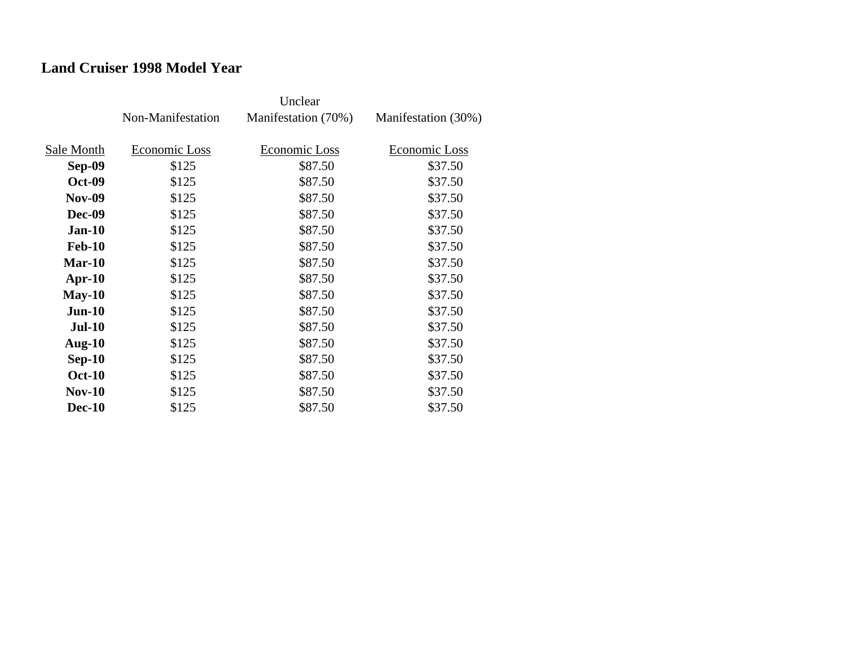## **Land Cruiser 1998 Model Year**

|               | Non-Manifestation | Manifestation (70%) | Manifestation (30%) |
|---------------|-------------------|---------------------|---------------------|
| Sale Month    | Economic Loss     | Economic Loss       | Economic Loss       |
| Sep-09        | \$125             | \$87.50             | \$37.50             |
| <b>Oct-09</b> | \$125             | \$87.50             | \$37.50             |
| <b>Nov-09</b> | \$125             | \$87.50             | \$37.50             |
| <b>Dec-09</b> | \$125             | \$87.50             | \$37.50             |
| $Jan-10$      | \$125             | \$87.50             | \$37.50             |
| <b>Feb-10</b> | \$125             | \$87.50             | \$37.50             |
| $Mar-10$      | \$125             | \$87.50             | \$37.50             |
| $Apr-10$      | \$125             | \$87.50             | \$37.50             |
| $May-10$      | \$125             | \$87.50             | \$37.50             |
| $Jun-10$      | \$125             | \$87.50             | \$37.50             |
| <b>Jul-10</b> | \$125             | \$87.50             | \$37.50             |
| Aug- $10$     | \$125             | \$87.50             | \$37.50             |
| $Sep-10$      | \$125             | \$87.50             | \$37.50             |
| <b>Oct-10</b> | \$125             | \$87.50             | \$37.50             |
| $Nov-10$      | \$125             | \$87.50             | \$37.50             |
| <b>Dec-10</b> | \$125             | \$87.50             | \$37.50             |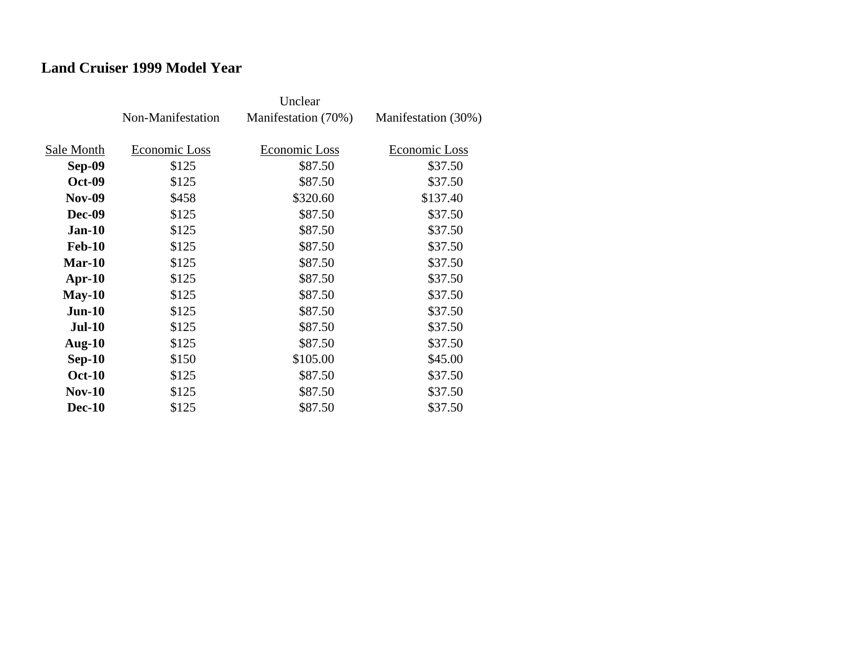### **Land Cruiser 1999 Model Year**

|               | Non-Manifestation | Manifestation (70%) | Manifestation (30%) |
|---------------|-------------------|---------------------|---------------------|
|               |                   |                     |                     |
| Sale Month    | Economic Loss     | Economic Loss       | Economic Loss       |
| Sep-09        | \$125             | \$87.50             | \$37.50             |
| <b>Oct-09</b> | \$125             | \$87.50             | \$37.50             |
| <b>Nov-09</b> | \$458             | \$320.60            | \$137.40            |
| <b>Dec-09</b> | \$125             | \$87.50             | \$37.50             |
| $Jan-10$      | \$125             | \$87.50             | \$37.50             |
| <b>Feb-10</b> | \$125             | \$87.50             | \$37.50             |
| $Mar-10$      | \$125             | \$87.50             | \$37.50             |
| $Apr-10$      | \$125             | \$87.50             | \$37.50             |
| $May-10$      | \$125             | \$87.50             | \$37.50             |
| $Jun-10$      | \$125             | \$87.50             | \$37.50             |
| <b>Jul-10</b> | \$125             | \$87.50             | \$37.50             |
| Aug- $10$     | \$125             | \$87.50             | \$37.50             |
| $Sep-10$      | \$150             | \$105.00            | \$45.00             |
| <b>Oct-10</b> | \$125             | \$87.50             | \$37.50             |
| $Nov-10$      | \$125             | \$87.50             | \$37.50             |
| <b>Dec-10</b> | \$125             | \$87.50             | \$37.50             |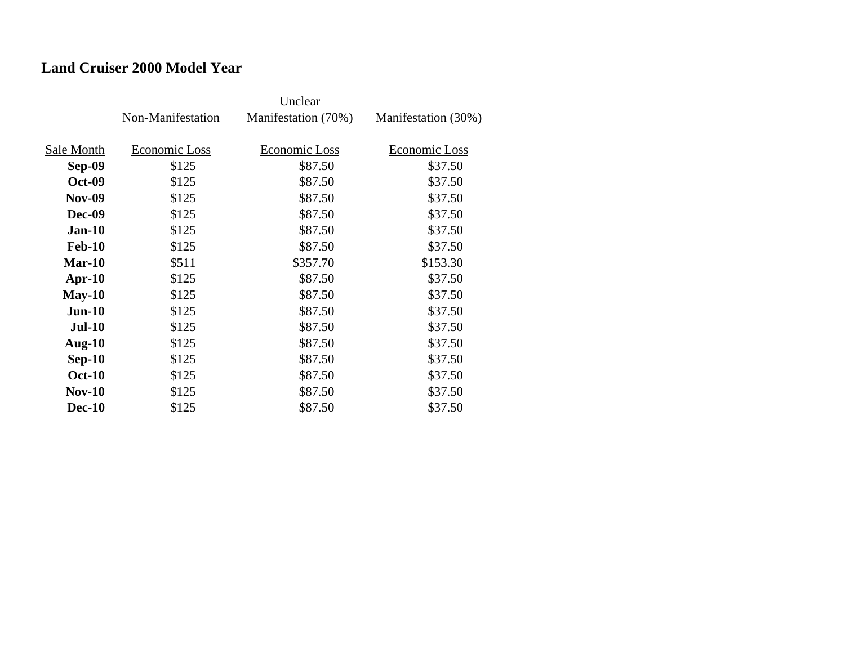## **Land Cruiser 2000 Model Year**

|               | Non-Manifestation | Manifestation (70%) | Manifestation (30%) |
|---------------|-------------------|---------------------|---------------------|
| Sale Month    | Economic Loss     | Economic Loss       | Economic Loss       |
| <b>Sep-09</b> | \$125             | \$87.50             | \$37.50             |
| <b>Oct-09</b> | \$125             | \$87.50             | \$37.50             |
| <b>Nov-09</b> | \$125             | \$87.50             | \$37.50             |
| <b>Dec-09</b> | \$125             | \$87.50             | \$37.50             |
| $Jan-10$      | \$125             | \$87.50             | \$37.50             |
| <b>Feb-10</b> | \$125             | \$87.50             | \$37.50             |
| $Mar-10$      | \$511             | \$357.70            | \$153.30            |
| Apr- $10$     | \$125             | \$87.50             | \$37.50             |
| $May-10$      | \$125             | \$87.50             | \$37.50             |
| $Jun-10$      | \$125             | \$87.50             | \$37.50             |
| <b>Jul-10</b> | \$125             | \$87.50             | \$37.50             |
| Aug- $10$     | \$125             | \$87.50             | \$37.50             |
| $Sep-10$      | \$125             | \$87.50             | \$37.50             |
| <b>Oct-10</b> | \$125             | \$87.50             | \$37.50             |
| $Nov-10$      | \$125             | \$87.50             | \$37.50             |
| <b>Dec-10</b> | \$125             | \$87.50             | \$37.50             |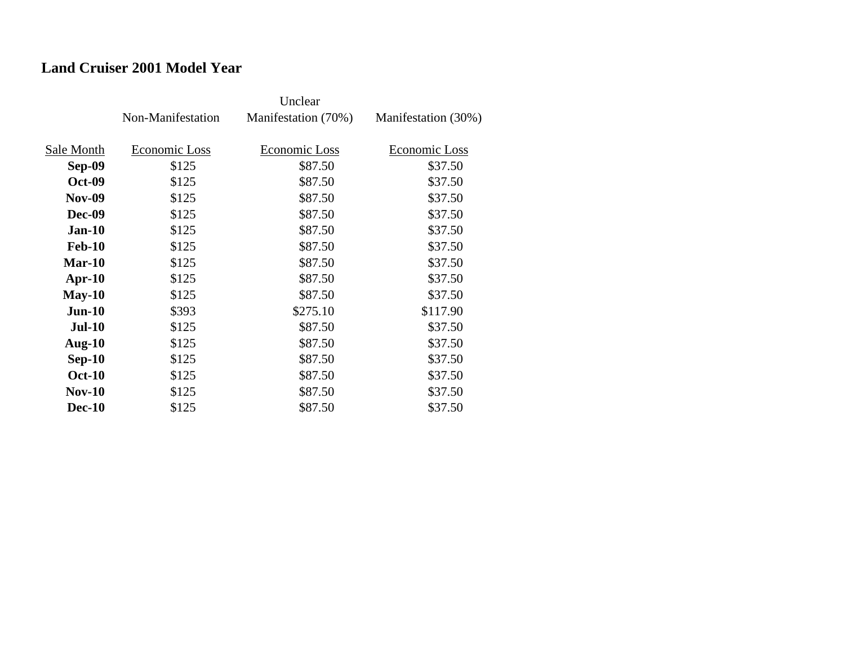## **Land Cruiser 2001 Model Year**

|               | Non-Manifestation | Manifestation (70%) | Manifestation (30%) |
|---------------|-------------------|---------------------|---------------------|
| Sale Month    | Economic Loss     | Economic Loss       | Economic Loss       |
|               |                   |                     |                     |
| Sep-09        | \$125             | \$87.50             | \$37.50             |
| <b>Oct-09</b> | \$125             | \$87.50             | \$37.50             |
| <b>Nov-09</b> | \$125             | \$87.50             | \$37.50             |
| <b>Dec-09</b> | \$125             | \$87.50             | \$37.50             |
| $Jan-10$      | \$125             | \$87.50             | \$37.50             |
| <b>Feb-10</b> | \$125             | \$87.50             | \$37.50             |
| $Mar-10$      | \$125             | \$87.50             | \$37.50             |
| $Apr-10$      | \$125             | \$87.50             | \$37.50             |
| $May-10$      | \$125             | \$87.50             | \$37.50             |
| $Jun-10$      | \$393             | \$275.10            | \$117.90            |
| <b>Jul-10</b> | \$125             | \$87.50             | \$37.50             |
| Aug- $10$     | \$125             | \$87.50             | \$37.50             |
| $Sep-10$      | \$125             | \$87.50             | \$37.50             |
| <b>Oct-10</b> | \$125             | \$87.50             | \$37.50             |
| $Nov-10$      | \$125             | \$87.50             | \$37.50             |
| <b>Dec-10</b> | \$125             | \$87.50             | \$37.50             |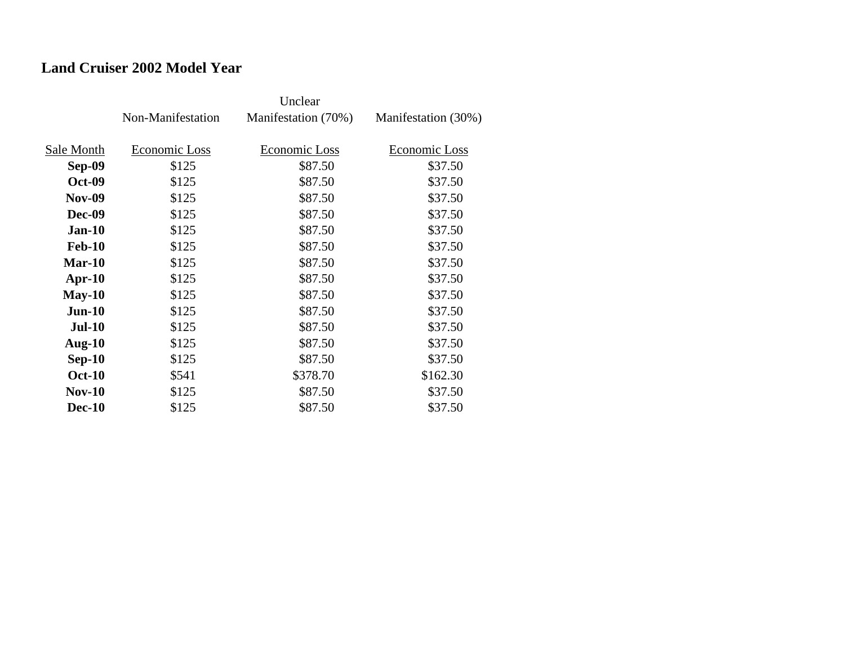## **Land Cruiser 2002 Model Year**

|               | Non-Manifestation | Manifestation (70%) | Manifestation (30%) |
|---------------|-------------------|---------------------|---------------------|
|               |                   |                     |                     |
| Sale Month    | Economic Loss     | Economic Loss       | Economic Loss       |
| Sep-09        | \$125             | \$87.50             | \$37.50             |
| <b>Oct-09</b> | \$125             | \$87.50             | \$37.50             |
| <b>Nov-09</b> | \$125             | \$87.50             | \$37.50             |
| <b>Dec-09</b> | \$125             | \$87.50             | \$37.50             |
| $Jan-10$      | \$125             | \$87.50             | \$37.50             |
| <b>Feb-10</b> | \$125             | \$87.50             | \$37.50             |
| Mar-10        | \$125             | \$87.50             | \$37.50             |
| $Apr-10$      | \$125             | \$87.50             | \$37.50             |
| $May-10$      | \$125             | \$87.50             | \$37.50             |
| $Jun-10$      | \$125             | \$87.50             | \$37.50             |
| <b>Jul-10</b> | \$125             | \$87.50             | \$37.50             |
| Aug- $10$     | \$125             | \$87.50             | \$37.50             |
| $Sep-10$      | \$125             | \$87.50             | \$37.50             |
| <b>Oct-10</b> | \$541             | \$378.70            | \$162.30            |
| <b>Nov-10</b> | \$125             | \$87.50             | \$37.50             |
| <b>Dec-10</b> | \$125             | \$87.50             | \$37.50             |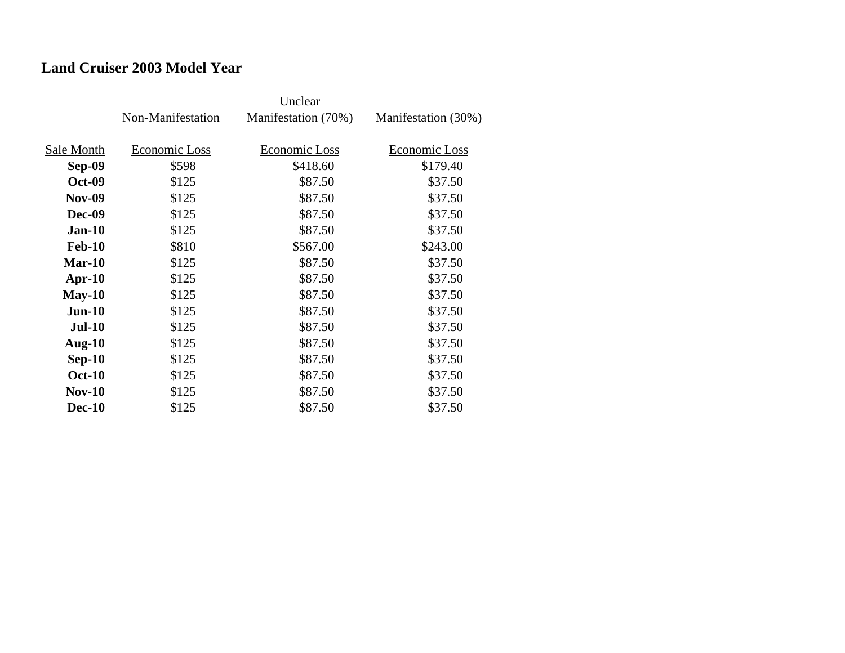## **Land Cruiser 2003 Model Year**

|               | Non-Manifestation | Manifestation (70%) | Manifestation (30%) |
|---------------|-------------------|---------------------|---------------------|
| Sale Month    | Economic Loss     | Economic Loss       | Economic Loss       |
| Sep-09        | \$598             | \$418.60            | \$179.40            |
| <b>Oct-09</b> | \$125             | \$87.50             | \$37.50             |
| <b>Nov-09</b> | \$125             | \$87.50             | \$37.50             |
| <b>Dec-09</b> | \$125             | \$87.50             | \$37.50             |
| $Jan-10$      | \$125             | \$87.50             | \$37.50             |
| <b>Feb-10</b> | \$810             | \$567.00            | \$243.00            |
| $Mar-10$      | \$125             | \$87.50             | \$37.50             |
| $Apr-10$      | \$125             | \$87.50             | \$37.50             |
| $May-10$      | \$125             | \$87.50             | \$37.50             |
| $Jun-10$      | \$125             | \$87.50             | \$37.50             |
| <b>Jul-10</b> | \$125             | \$87.50             | \$37.50             |
| Aug- $10$     | \$125             | \$87.50             | \$37.50             |
| $Sep-10$      | \$125             | \$87.50             | \$37.50             |
| <b>Oct-10</b> | \$125             | \$87.50             | \$37.50             |
| $Nov-10$      | \$125             | \$87.50             | \$37.50             |
| <b>Dec-10</b> | \$125             | \$87.50             | \$37.50             |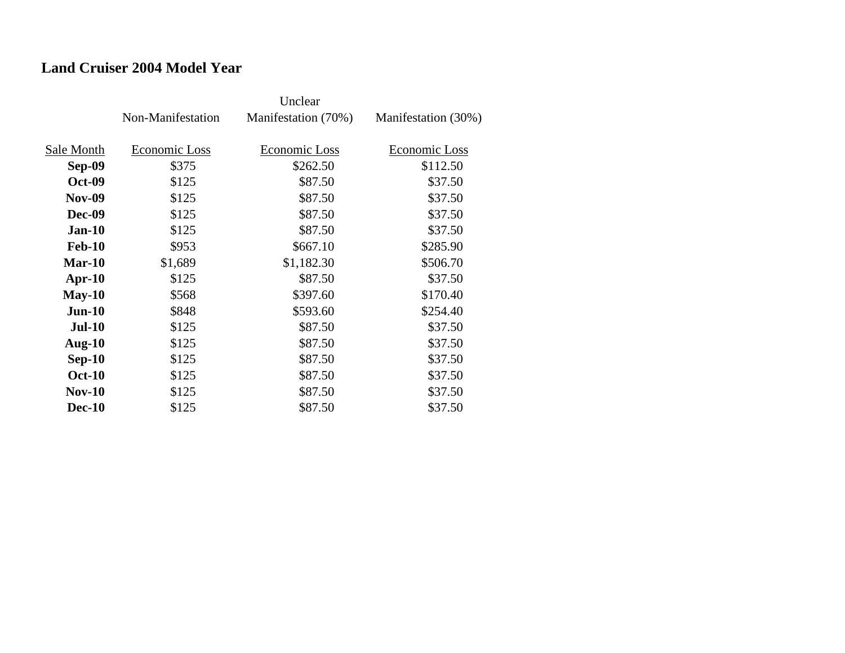#### **Land Cruiser 2004 Model Year**

|               | Non-Manifestation | Manifestation (70%) | Manifestation (30%) |
|---------------|-------------------|---------------------|---------------------|
|               |                   |                     |                     |
| Sale Month    | Economic Loss     | Economic Loss       | Economic Loss       |
| Sep-09        | \$375             | \$262.50            | \$112.50            |
| <b>Oct-09</b> | \$125             | \$87.50             | \$37.50             |
| <b>Nov-09</b> | \$125             | \$87.50             | \$37.50             |
| <b>Dec-09</b> | \$125             | \$87.50             | \$37.50             |
| $Jan-10$      | \$125             | \$87.50             | \$37.50             |
| <b>Feb-10</b> | \$953             | \$667.10            | \$285.90            |
| $Mar-10$      | \$1,689           | \$1,182.30          | \$506.70            |
| $Apr-10$      | \$125             | \$87.50             | \$37.50             |
| $May-10$      | \$568             | \$397.60            | \$170.40            |
| $Jun-10$      | \$848             | \$593.60            | \$254.40            |
| <b>Jul-10</b> | \$125             | \$87.50             | \$37.50             |
| Aug- $10$     | \$125             | \$87.50             | \$37.50             |
| $Sep-10$      | \$125             | \$87.50             | \$37.50             |
| <b>Oct-10</b> | \$125             | \$87.50             | \$37.50             |
| $Nov-10$      | \$125             | \$87.50             | \$37.50             |
| <b>Dec-10</b> | \$125             | \$87.50             | \$37.50             |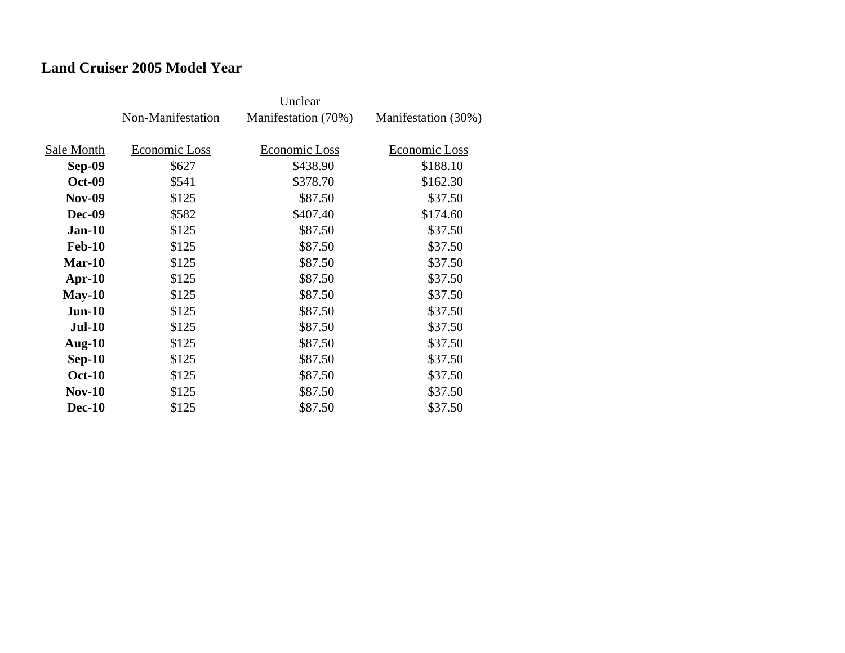## **Land Cruiser 2005 Model Year**

|               | Non-Manifestation | Manifestation (70%) | Manifestation (30%) |
|---------------|-------------------|---------------------|---------------------|
|               |                   |                     |                     |
| Sale Month    | Economic Loss     | Economic Loss       | Economic Loss       |
| Sep-09        | \$627             | \$438.90            | \$188.10            |
| <b>Oct-09</b> | \$541             | \$378.70            | \$162.30            |
| <b>Nov-09</b> | \$125             | \$87.50             | \$37.50             |
| <b>Dec-09</b> | \$582             | \$407.40            | \$174.60            |
| $Jan-10$      | \$125             | \$87.50             | \$37.50             |
| <b>Feb-10</b> | \$125             | \$87.50             | \$37.50             |
| $Mar-10$      | \$125             | \$87.50             | \$37.50             |
| $Apr-10$      | \$125             | \$87.50             | \$37.50             |
| $May-10$      | \$125             | \$87.50             | \$37.50             |
| $Jun-10$      | \$125             | \$87.50             | \$37.50             |
| <b>Jul-10</b> | \$125             | \$87.50             | \$37.50             |
| Aug- $10$     | \$125             | \$87.50             | \$37.50             |
| $Sep-10$      | \$125             | \$87.50             | \$37.50             |
| <b>Oct-10</b> | \$125             | \$87.50             | \$37.50             |
| $Nov-10$      | \$125             | \$87.50             | \$37.50             |
| <b>Dec-10</b> | \$125             | \$87.50             | \$37.50             |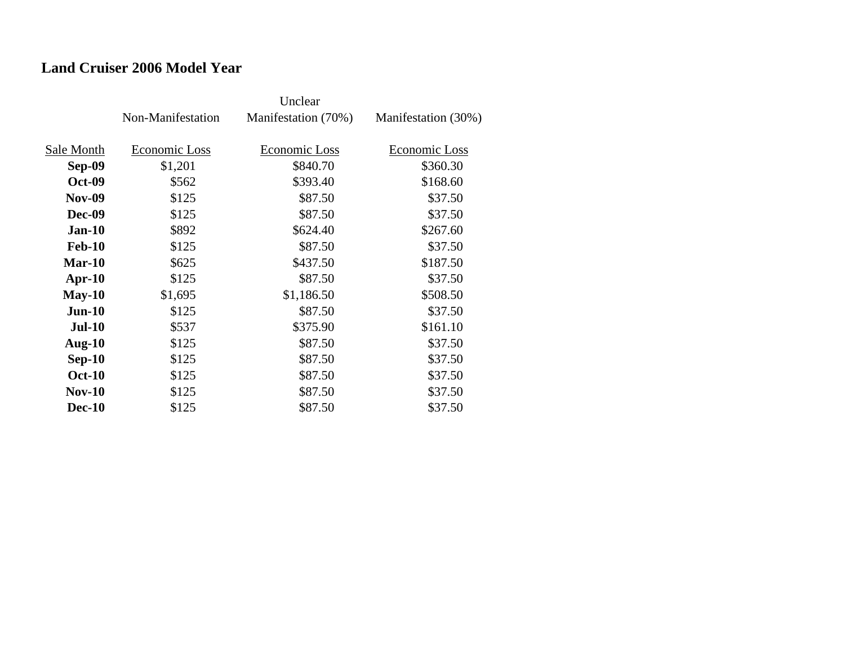#### **Land Cruiser 2006 Model Year**

|               | Non-Manifestation | Manifestation (70%) | Manifestation (30%) |
|---------------|-------------------|---------------------|---------------------|
| Sale Month    | Economic Loss     | Economic Loss       | Economic Loss       |
|               |                   |                     |                     |
| Sep-09        | \$1,201           | \$840.70            | \$360.30            |
| <b>Oct-09</b> | \$562             | \$393.40            | \$168.60            |
| <b>Nov-09</b> | \$125             | \$87.50             | \$37.50             |
| <b>Dec-09</b> | \$125             | \$87.50             | \$37.50             |
| $Jan-10$      | \$892             | \$624.40            | \$267.60            |
| <b>Feb-10</b> | \$125             | \$87.50             | \$37.50             |
| $Mar-10$      | \$625             | \$437.50            | \$187.50            |
| $Apr-10$      | \$125             | \$87.50             | \$37.50             |
| $May-10$      | \$1,695           | \$1,186.50          | \$508.50            |
| $Jun-10$      | \$125             | \$87.50             | \$37.50             |
| <b>Jul-10</b> | \$537             | \$375.90            | \$161.10            |
| Aug- $10$     | \$125             | \$87.50             | \$37.50             |
| $Sep-10$      | \$125             | \$87.50             | \$37.50             |
| <b>Oct-10</b> | \$125             | \$87.50             | \$37.50             |
| $Nov-10$      | \$125             | \$87.50             | \$37.50             |
| <b>Dec-10</b> | \$125             | \$87.50             | \$37.50             |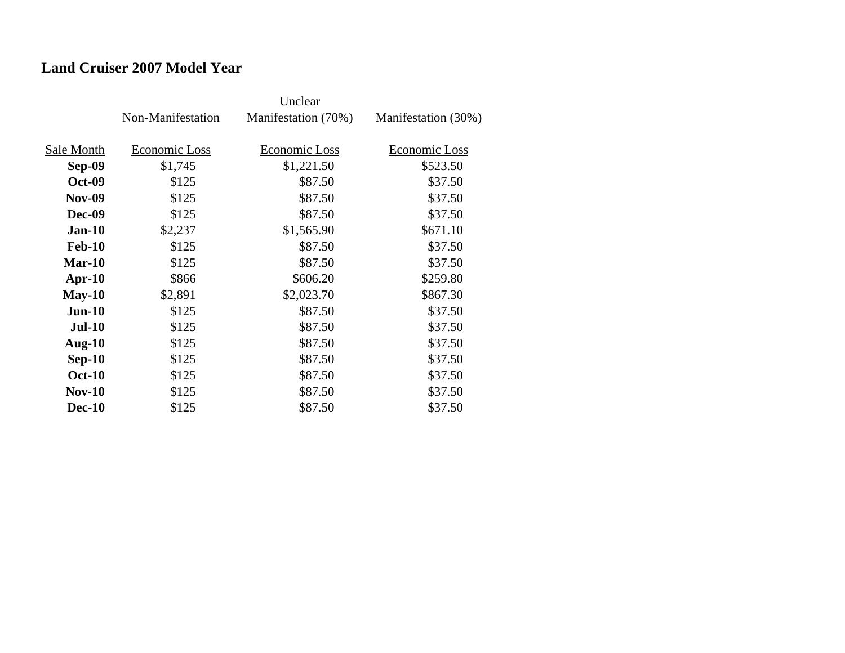### **Land Cruiser 2007 Model Year**

|               | Non-Manifestation | Manifestation (70%) | Manifestation (30%) |
|---------------|-------------------|---------------------|---------------------|
|               |                   |                     |                     |
| Sale Month    | Economic Loss     | Economic Loss       | Economic Loss       |
| <b>Sep-09</b> | \$1,745           | \$1,221.50          | \$523.50            |
| <b>Oct-09</b> | \$125             | \$87.50             | \$37.50             |
| <b>Nov-09</b> | \$125             | \$87.50             | \$37.50             |
| <b>Dec-09</b> | \$125             | \$87.50             | \$37.50             |
| $Jan-10$      | \$2,237           | \$1,565.90          | \$671.10            |
| <b>Feb-10</b> | \$125             | \$87.50             | \$37.50             |
| Mar-10        | \$125             | \$87.50             | \$37.50             |
| $Apr-10$      | \$866             | \$606.20            | \$259.80            |
| $May-10$      | \$2,891           | \$2,023.70          | \$867.30            |
| $Jun-10$      | \$125             | \$87.50             | \$37.50             |
| <b>Jul-10</b> | \$125             | \$87.50             | \$37.50             |
| Aug- $10$     | \$125             | \$87.50             | \$37.50             |
| $Sep-10$      | \$125             | \$87.50             | \$37.50             |
| <b>Oct-10</b> | \$125             | \$87.50             | \$37.50             |
| $Nov-10$      | \$125             | \$87.50             | \$37.50             |
| <b>Dec-10</b> | \$125             | \$87.50             | \$37.50             |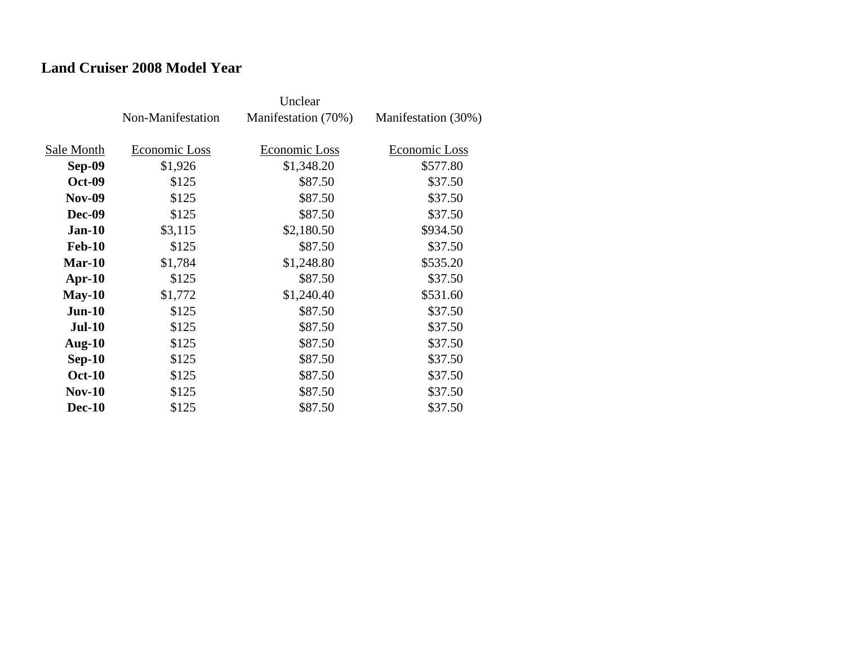### **Land Cruiser 2008 Model Year**

|               | Non-Manifestation | Manifestation (70%) | Manifestation (30%) |
|---------------|-------------------|---------------------|---------------------|
| Sale Month    | Economic Loss     | Economic Loss       | Economic Loss       |
| <b>Sep-09</b> | \$1,926           | \$1,348.20          | \$577.80            |
| <b>Oct-09</b> | \$125             | \$87.50             | \$37.50             |
| <b>Nov-09</b> | \$125             | \$87.50             | \$37.50             |
| <b>Dec-09</b> | \$125             | \$87.50             | \$37.50             |
| $Jan-10$      | \$3,115           | \$2,180.50          | \$934.50            |
| <b>Feb-10</b> | \$125             | \$87.50             | \$37.50             |
| $Mar-10$      | \$1,784           | \$1,248.80          | \$535.20            |
| $Apr-10$      | \$125             | \$87.50             | \$37.50             |
| $May-10$      | \$1,772           | \$1,240.40          | \$531.60            |
| $Jun-10$      | \$125             | \$87.50             | \$37.50             |
| <b>Jul-10</b> | \$125             | \$87.50             | \$37.50             |
| Aug- $10$     | \$125             | \$87.50             | \$37.50             |
| $Sep-10$      | \$125             | \$87.50             | \$37.50             |
| <b>Oct-10</b> | \$125             | \$87.50             | \$37.50             |
| <b>Nov-10</b> | \$125             | \$87.50             | \$37.50             |
| <b>Dec-10</b> | \$125             | \$87.50             | \$37.50             |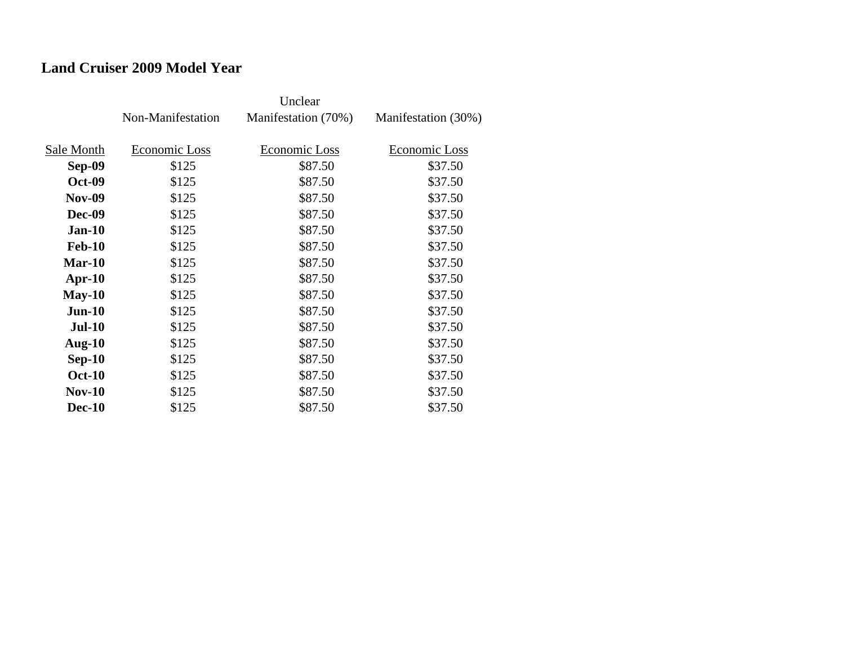### **Land Cruiser 2009 Model Year**

|               | Non-Manifestation | Manifestation (70%) | Manifestation (30%) |
|---------------|-------------------|---------------------|---------------------|
| Sale Month    | Economic Loss     | Economic Loss       | Economic Loss       |
| Sep-09        | \$125             | \$87.50             | \$37.50             |
| <b>Oct-09</b> | \$125             | \$87.50             | \$37.50             |
| <b>Nov-09</b> | \$125             | \$87.50             | \$37.50             |
| <b>Dec-09</b> | \$125             | \$87.50             | \$37.50             |
| $Jan-10$      | \$125             | \$87.50             | \$37.50             |
| <b>Feb-10</b> | \$125             | \$87.50             | \$37.50             |
| $Mar-10$      | \$125             | \$87.50             | \$37.50             |
| $Apr-10$      | \$125             | \$87.50             | \$37.50             |
| $May-10$      | \$125             | \$87.50             | \$37.50             |
| $Jun-10$      | \$125             | \$87.50             | \$37.50             |
| <b>Jul-10</b> | \$125             | \$87.50             | \$37.50             |
| Aug- $10$     | \$125             | \$87.50             | \$37.50             |
| $Sep-10$      | \$125             | \$87.50             | \$37.50             |
| <b>Oct-10</b> | \$125             | \$87.50             | \$37.50             |
| $Nov-10$      | \$125             | \$87.50             | \$37.50             |
| <b>Dec-10</b> | \$125             | \$87.50             | \$37.50             |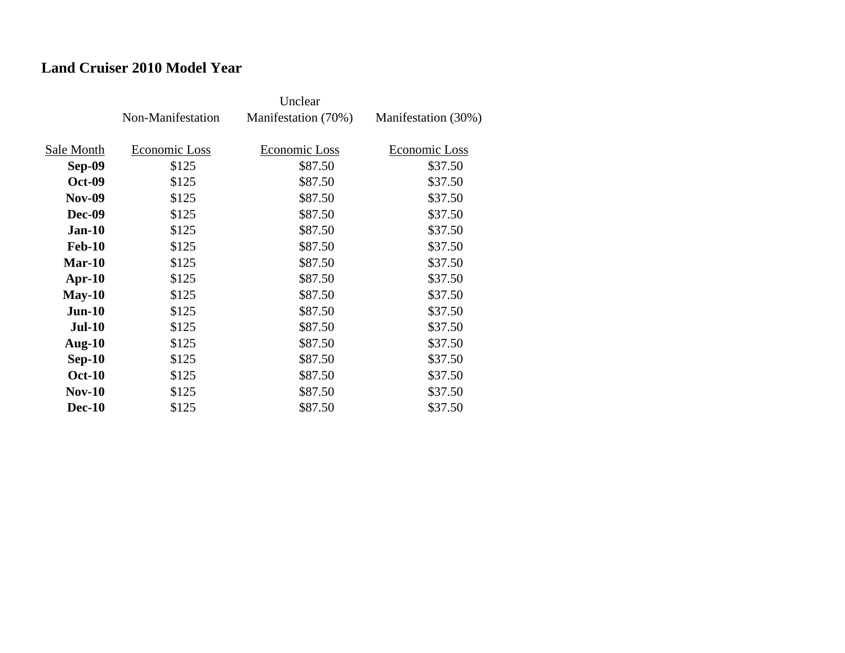## **Land Cruiser 2010 Model Year**

|               | Non-Manifestation | Manifestation (70%) | Manifestation (30%) |
|---------------|-------------------|---------------------|---------------------|
| Sale Month    | Economic Loss     | Economic Loss       | Economic Loss       |
| <b>Sep-09</b> | \$125             | \$87.50             | \$37.50             |
| <b>Oct-09</b> | \$125             | \$87.50             | \$37.50             |
| <b>Nov-09</b> | \$125             | \$87.50             | \$37.50             |
| <b>Dec-09</b> | \$125             | \$87.50             | \$37.50             |
| $Jan-10$      | \$125             | \$87.50             | \$37.50             |
| <b>Feb-10</b> | \$125             | \$87.50             | \$37.50             |
| Mar-10        | \$125             | \$87.50             | \$37.50             |
| $Apr-10$      | \$125             | \$87.50             | \$37.50             |
| $May-10$      | \$125             | \$87.50             | \$37.50             |
| $Jun-10$      | \$125             | \$87.50             | \$37.50             |
| <b>Jul-10</b> | \$125             | \$87.50             | \$37.50             |
| Aug- $10$     | \$125             | \$87.50             | \$37.50             |
| $Sep-10$      | \$125             | \$87.50             | \$37.50             |
| <b>Oct-10</b> | \$125             | \$87.50             | \$37.50             |
| <b>Nov-10</b> | \$125             | \$87.50             | \$37.50             |
| <b>Dec-10</b> | \$125             | \$87.50             | \$37.50             |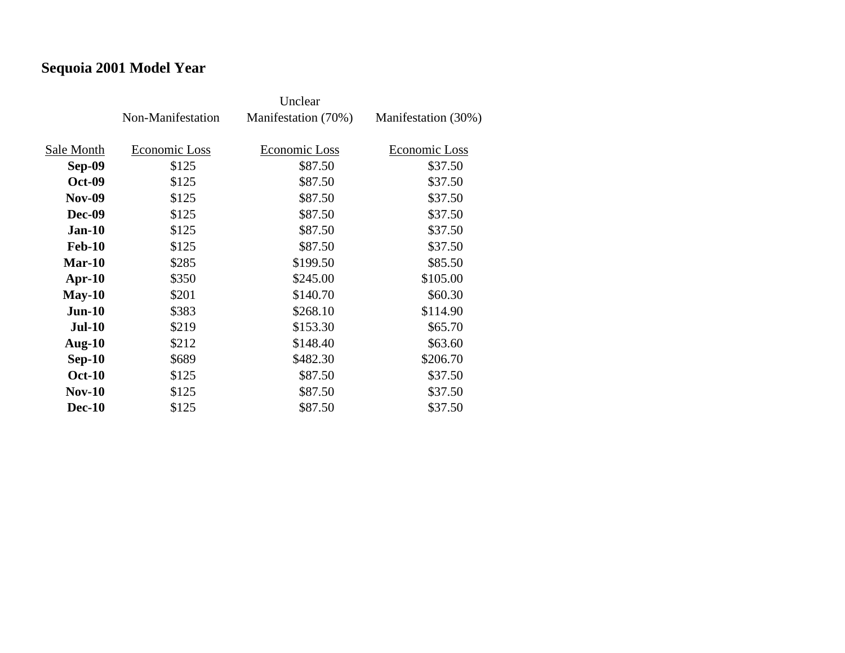# **Sequoia 2001 Model Year**

|               | Non-Manifestation | Manifestation (70%) | Manifestation (30%) |
|---------------|-------------------|---------------------|---------------------|
| Sale Month    | Economic Loss     | Economic Loss       | Economic Loss       |
| Sep-09        | \$125             | \$87.50             | \$37.50             |
| <b>Oct-09</b> | \$125             | \$87.50             | \$37.50             |
| <b>Nov-09</b> | \$125             | \$87.50             | \$37.50             |
| <b>Dec-09</b> | \$125             | \$87.50             | \$37.50             |
| $Jan-10$      | \$125             | \$87.50             | \$37.50             |
| <b>Feb-10</b> | \$125             | \$87.50             | \$37.50             |
| $Mar-10$      | \$285             | \$199.50            | \$85.50             |
| $Apr-10$      | \$350             | \$245.00            | \$105.00            |
| $May-10$      | \$201             | \$140.70            | \$60.30             |
| $Jun-10$      | \$383             | \$268.10            | \$114.90            |
| <b>Jul-10</b> | \$219             | \$153.30            | \$65.70             |
| Aug- $10$     | \$212             | \$148.40            | \$63.60             |
| $Sep-10$      | \$689             | \$482.30            | \$206.70            |
| <b>Oct-10</b> | \$125             | \$87.50             | \$37.50             |
| $Nov-10$      | \$125             | \$87.50             | \$37.50             |
| <b>Dec-10</b> | \$125             | \$87.50             | \$37.50             |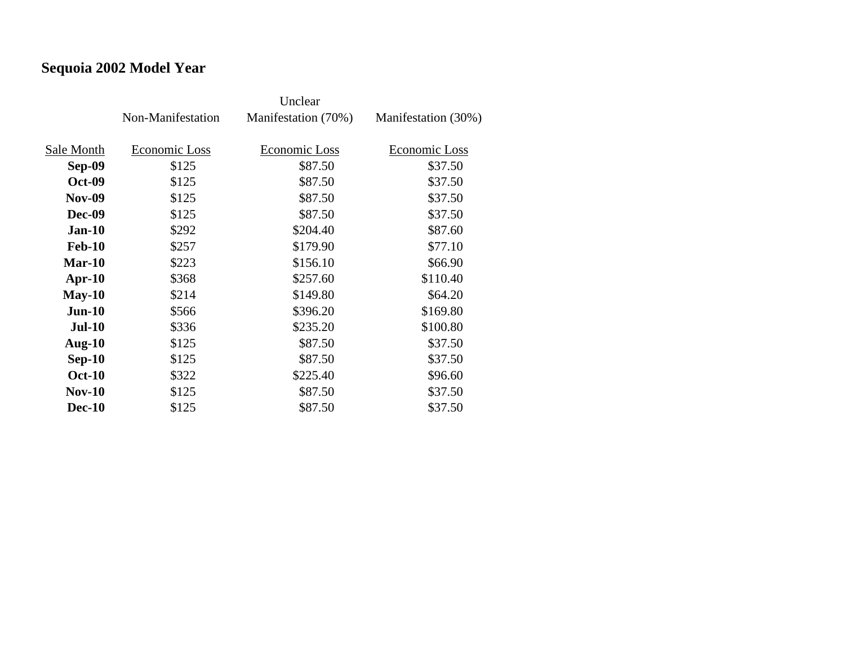# **Sequoia 2002 Model Year**

|               | Non-Manifestation | Manifestation (70%) | Manifestation (30%) |
|---------------|-------------------|---------------------|---------------------|
| Sale Month    | Economic Loss     | Economic Loss       | Economic Loss       |
|               |                   |                     |                     |
| Sep-09        | \$125             | \$87.50             | \$37.50             |
| <b>Oct-09</b> | \$125             | \$87.50             | \$37.50             |
| <b>Nov-09</b> | \$125             | \$87.50             | \$37.50             |
| Dec-09        | \$125             | \$87.50             | \$37.50             |
| <b>Jan-10</b> | \$292             | \$204.40            | \$87.60             |
| <b>Feb-10</b> | \$257             | \$179.90            | \$77.10             |
| $Mar-10$      | \$223             | \$156.10            | \$66.90             |
| $Apr-10$      | \$368             | \$257.60            | \$110.40            |
| $May-10$      | \$214             | \$149.80            | \$64.20             |
| $Jun-10$      | \$566             | \$396.20            | \$169.80            |
| <b>Jul-10</b> | \$336             | \$235.20            | \$100.80            |
| Aug- $10$     | \$125             | \$87.50             | \$37.50             |
| $Sep-10$      | \$125             | \$87.50             | \$37.50             |
| <b>Oct-10</b> | \$322             | \$225.40            | \$96.60             |
| $Nov-10$      | \$125             | \$87.50             | \$37.50             |
| <b>Dec-10</b> | \$125             | \$87.50             | \$37.50             |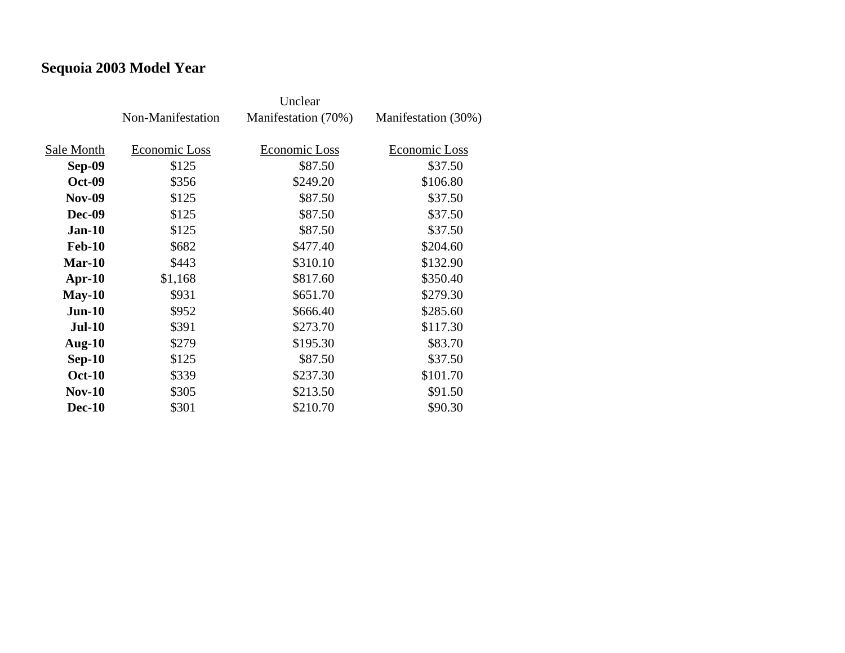# **Sequoia 2003 Model Year**

|               | Non-Manifestation | Manifestation (70%) | Manifestation (30%) |
|---------------|-------------------|---------------------|---------------------|
|               |                   |                     |                     |
| Sale Month    | Economic Loss     | Economic Loss       | Economic Loss       |
| Sep-09        | \$125             | \$87.50             | \$37.50             |
| <b>Oct-09</b> | \$356             | \$249.20            | \$106.80            |
| <b>Nov-09</b> | \$125             | \$87.50             | \$37.50             |
| <b>Dec-09</b> | \$125             | \$87.50             | \$37.50             |
| <b>Jan-10</b> | \$125             | \$87.50             | \$37.50             |
| <b>Feb-10</b> | \$682             | \$477.40            | \$204.60            |
| $Mar-10$      | \$443             | \$310.10            | \$132.90            |
| $Apr-10$      | \$1,168           | \$817.60            | \$350.40            |
| $May-10$      | \$931             | \$651.70            | \$279.30            |
| $Jun-10$      | \$952             | \$666.40            | \$285.60            |
| <b>Jul-10</b> | \$391             | \$273.70            | \$117.30            |
| Aug- $10$     | \$279             | \$195.30            | \$83.70             |
| $Sep-10$      | \$125             | \$87.50             | \$37.50             |
| <b>Oct-10</b> | \$339             | \$237.30            | \$101.70            |
| $Nov-10$      | \$305             | \$213.50            | \$91.50             |
| <b>Dec-10</b> | \$301             | \$210.70            | \$90.30             |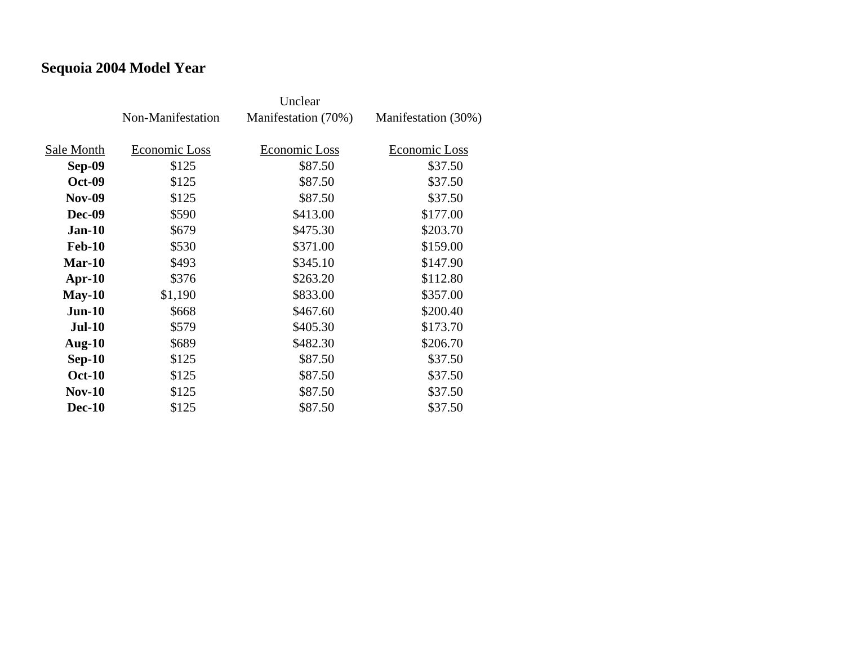# **Sequoia 2004 Model Year**

|               | Non-Manifestation | Manifestation (70%) | Manifestation (30%) |
|---------------|-------------------|---------------------|---------------------|
|               |                   |                     |                     |
| Sale Month    | Economic Loss     | Economic Loss       | Economic Loss       |
| Sep-09        | \$125             | \$87.50             | \$37.50             |
| <b>Oct-09</b> | \$125             | \$87.50             | \$37.50             |
| <b>Nov-09</b> | \$125             | \$87.50             | \$37.50             |
| Dec-09        | \$590             | \$413.00            | \$177.00            |
| <b>Jan-10</b> | \$679             | \$475.30            | \$203.70            |
| <b>Feb-10</b> | \$530             | \$371.00            | \$159.00            |
| $Mar-10$      | \$493             | \$345.10            | \$147.90            |
| $Apr-10$      | \$376             | \$263.20            | \$112.80            |
| $May-10$      | \$1,190           | \$833.00            | \$357.00            |
| $Jun-10$      | \$668             | \$467.60            | \$200.40            |
| <b>Jul-10</b> | \$579             | \$405.30            | \$173.70            |
| Aug- $10$     | \$689             | \$482.30            | \$206.70            |
| $Sep-10$      | \$125             | \$87.50             | \$37.50             |
| <b>Oct-10</b> | \$125             | \$87.50             | \$37.50             |
| <b>Nov-10</b> | \$125             | \$87.50             | \$37.50             |
| <b>Dec-10</b> | \$125             | \$87.50             | \$37.50             |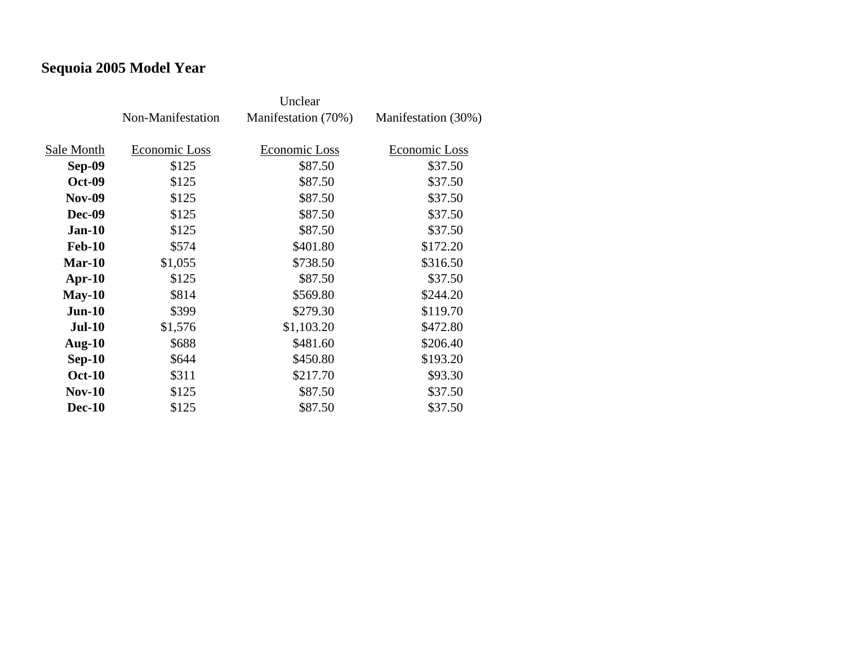# **Sequoia 2005 Model Year**

|               | Non-Manifestation | Manifestation (70%) | Manifestation (30%) |
|---------------|-------------------|---------------------|---------------------|
| Sale Month    | Economic Loss     | Economic Loss       | Economic Loss       |
|               |                   |                     |                     |
| Sep-09        | \$125             | \$87.50             | \$37.50             |
| <b>Oct-09</b> | \$125             | \$87.50             | \$37.50             |
| <b>Nov-09</b> | \$125             | \$87.50             | \$37.50             |
| <b>Dec-09</b> | \$125             | \$87.50             | \$37.50             |
| <b>Jan-10</b> | \$125             | \$87.50             | \$37.50             |
| <b>Feb-10</b> | \$574             | \$401.80            | \$172.20            |
| Mar-10        | \$1,055           | \$738.50            | \$316.50            |
| $Apr-10$      | \$125             | \$87.50             | \$37.50             |
| $May-10$      | \$814             | \$569.80            | \$244.20            |
| $Jun-10$      | \$399             | \$279.30            | \$119.70            |
| <b>Jul-10</b> | \$1,576           | \$1,103.20          | \$472.80            |
| Aug- $10$     | \$688             | \$481.60            | \$206.40            |
| $Sep-10$      | \$644             | \$450.80            | \$193.20            |
| <b>Oct-10</b> | \$311             | \$217.70            | \$93.30             |
| $Nov-10$      | \$125             | \$87.50             | \$37.50             |
| <b>Dec-10</b> | \$125             | \$87.50             | \$37.50             |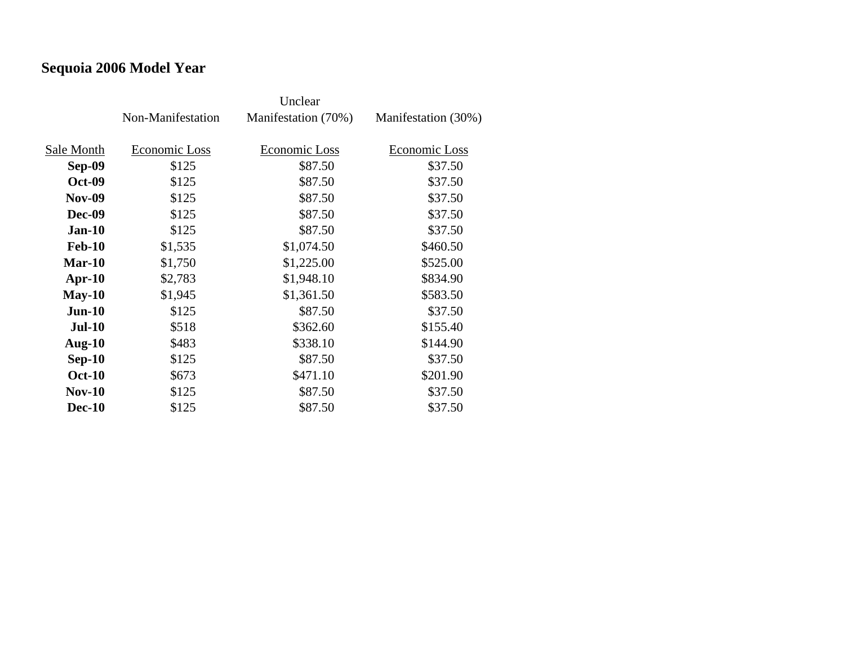# **Sequoia 2006 Model Year**

|               | Non-Manifestation | Manifestation (70%) | Manifestation (30%) |
|---------------|-------------------|---------------------|---------------------|
|               |                   |                     |                     |
| Sale Month    | Economic Loss     | Economic Loss       | Economic Loss       |
| Sep-09        | \$125             | \$87.50             | \$37.50             |
| <b>Oct-09</b> | \$125             | \$87.50             | \$37.50             |
| <b>Nov-09</b> | \$125             | \$87.50             | \$37.50             |
| Dec-09        | \$125             | \$87.50             | \$37.50             |
| <b>Jan-10</b> | \$125             | \$87.50             | \$37.50             |
| <b>Feb-10</b> | \$1,535           | \$1,074.50          | \$460.50            |
| $Mar-10$      | \$1,750           | \$1,225.00          | \$525.00            |
| $Apr-10$      | \$2,783           | \$1,948.10          | \$834.90            |
| $May-10$      | \$1,945           | \$1,361.50          | \$583.50            |
| $Jun-10$      | \$125             | \$87.50             | \$37.50             |
| <b>Jul-10</b> | \$518             | \$362.60            | \$155.40            |
| Aug- $10$     | \$483             | \$338.10            | \$144.90            |
| $Sep-10$      | \$125             | \$87.50             | \$37.50             |
| <b>Oct-10</b> | \$673             | \$471.10            | \$201.90            |
| $Nov-10$      | \$125             | \$87.50             | \$37.50             |
| <b>Dec-10</b> | \$125             | \$87.50             | \$37.50             |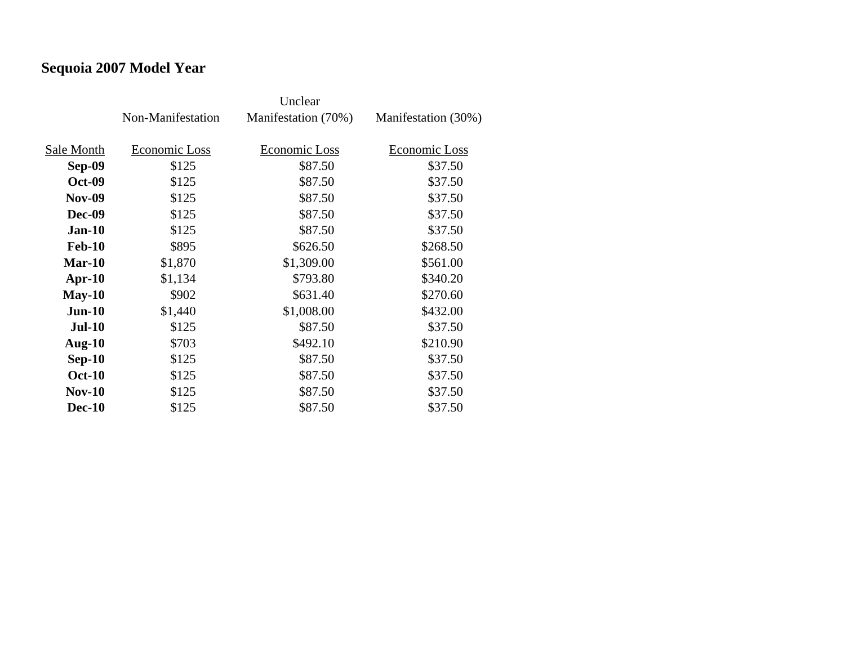# **Sequoia 2007 Model Year**

|               | Non-Manifestation | Manifestation (70%) | Manifestation (30%) |
|---------------|-------------------|---------------------|---------------------|
| Sale Month    | Economic Loss     | Economic Loss       | Economic Loss       |
| Sep-09        | \$125             | \$87.50             | \$37.50             |
| <b>Oct-09</b> | \$125             | \$87.50             | \$37.50             |
| <b>Nov-09</b> | \$125             | \$87.50             | \$37.50             |
| Dec-09        | \$125             | \$87.50             | \$37.50             |
| $Jan-10$      | \$125             | \$87.50             | \$37.50             |
| <b>Feb-10</b> | \$895             | \$626.50            | \$268.50            |
| $Mar-10$      | \$1,870           | \$1,309.00          | \$561.00            |
| $Apr-10$      | \$1,134           | \$793.80            | \$340.20            |
| $May-10$      | \$902             | \$631.40            | \$270.60            |
| $Jun-10$      | \$1,440           | \$1,008.00          | \$432.00            |
| $Jul-10$      | \$125             | \$87.50             | \$37.50             |
| <b>Aug-10</b> | \$703             | \$492.10            | \$210.90            |
| $Sep-10$      | \$125             | \$87.50             | \$37.50             |
| <b>Oct-10</b> | \$125             | \$87.50             | \$37.50             |
| $Nov-10$      | \$125             | \$87.50             | \$37.50             |
| <b>Dec-10</b> | \$125             | \$87.50             | \$37.50             |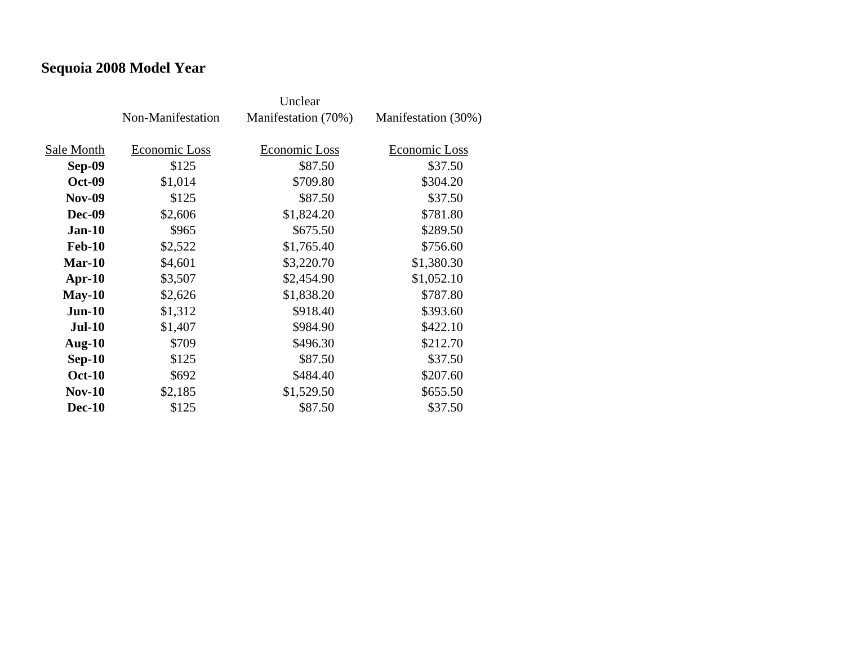# **Sequoia 2008 Model Year**

|               | Non-Manifestation | Manifestation (70%) | Manifestation (30%) |
|---------------|-------------------|---------------------|---------------------|
|               |                   |                     |                     |
| Sale Month    | Economic Loss     | Economic Loss       | Economic Loss       |
| Sep-09        | \$125             | \$87.50             | \$37.50             |
| <b>Oct-09</b> | \$1,014           | \$709.80            | \$304.20            |
| <b>Nov-09</b> | \$125             | \$87.50             | \$37.50             |
| Dec-09        | \$2,606           | \$1,824.20          | \$781.80            |
| <b>Jan-10</b> | \$965             | \$675.50            | \$289.50            |
| <b>Feb-10</b> | \$2,522           | \$1,765.40          | \$756.60            |
| $Mar-10$      | \$4,601           | \$3,220.70          | \$1,380.30          |
| $Apr-10$      | \$3,507           | \$2,454.90          | \$1,052.10          |
| $May-10$      | \$2,626           | \$1,838.20          | \$787.80            |
| $Jun-10$      | \$1,312           | \$918.40            | \$393.60            |
| <b>Jul-10</b> | \$1,407           | \$984.90            | \$422.10            |
| Aug- $10$     | \$709             | \$496.30            | \$212.70            |
| $Sep-10$      | \$125             | \$87.50             | \$37.50             |
| <b>Oct-10</b> | \$692             | \$484.40            | \$207.60            |
| <b>Nov-10</b> | \$2,185           | \$1,529.50          | \$655.50            |
| <b>Dec-10</b> | \$125             | \$87.50             | \$37.50             |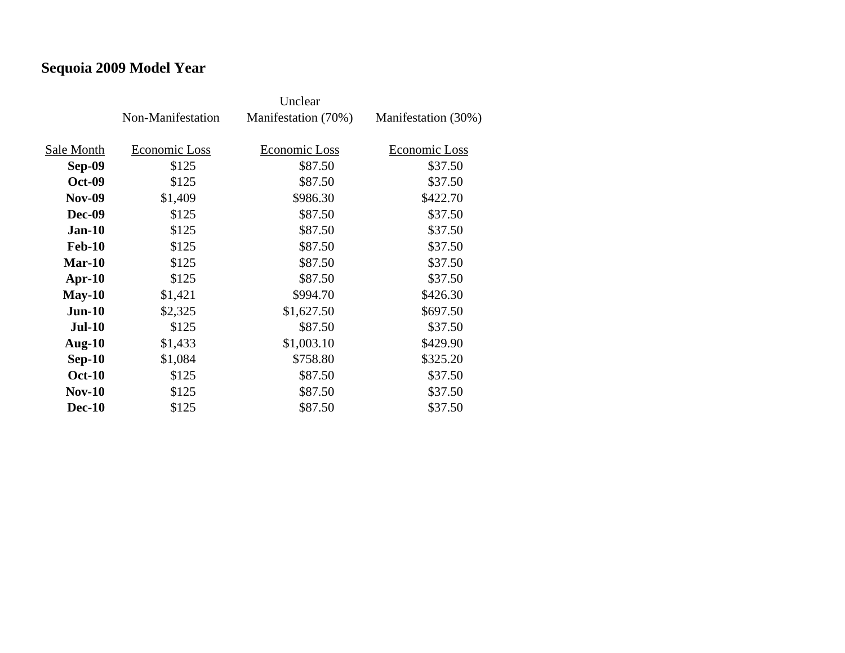# **Sequoia 2009 Model Year**

|               | Non-Manifestation | Manifestation (70%) | Manifestation (30%) |
|---------------|-------------------|---------------------|---------------------|
|               |                   |                     |                     |
| Sale Month    | Economic Loss     | Economic Loss       | Economic Loss       |
| Sep-09        | \$125             | \$87.50             | \$37.50             |
| <b>Oct-09</b> | \$125             | \$87.50             | \$37.50             |
| <b>Nov-09</b> | \$1,409           | \$986.30            | \$422.70            |
| <b>Dec-09</b> | \$125             | \$87.50             | \$37.50             |
| $Jan-10$      | \$125             | \$87.50             | \$37.50             |
| <b>Feb-10</b> | \$125             | \$87.50             | \$37.50             |
| Mar-10        | \$125             | \$87.50             | \$37.50             |
| $Apr-10$      | \$125             | \$87.50             | \$37.50             |
| $May-10$      | \$1,421           | \$994.70            | \$426.30            |
| $Jun-10$      | \$2,325           | \$1,627.50          | \$697.50            |
| <b>Jul-10</b> | \$125             | \$87.50             | \$37.50             |
| Aug- $10$     | \$1,433           | \$1,003.10          | \$429.90            |
| $Sep-10$      | \$1,084           | \$758.80            | \$325.20            |
| <b>Oct-10</b> | \$125             | \$87.50             | \$37.50             |
| $Nov-10$      | \$125             | \$87.50             | \$37.50             |
| <b>Dec-10</b> | \$125             | \$87.50             | \$37.50             |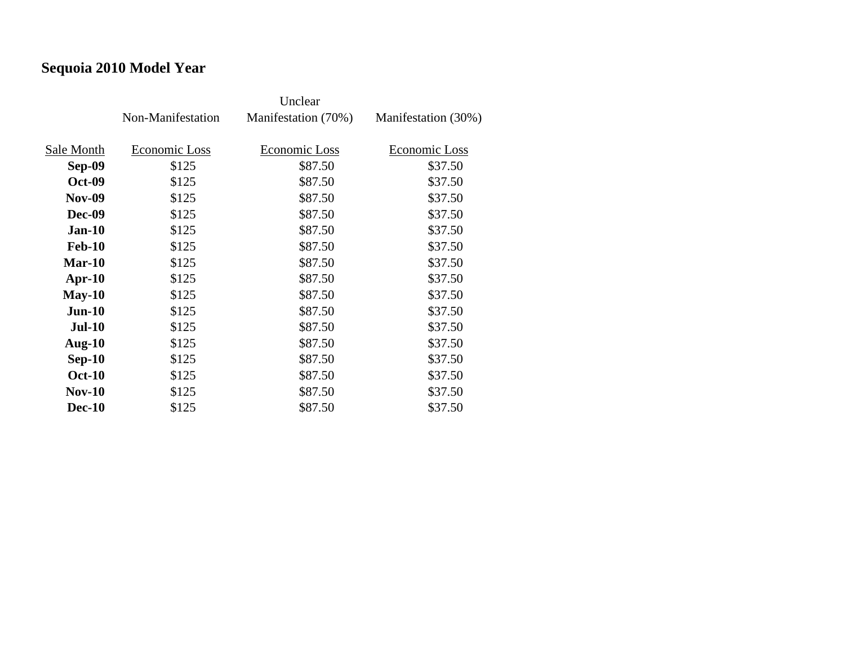# **Sequoia 2010 Model Year**

|               | Non-Manifestation | Manifestation (70%) | Manifestation (30%) |
|---------------|-------------------|---------------------|---------------------|
|               |                   |                     |                     |
| Sale Month    | Economic Loss     | Economic Loss       | Economic Loss       |
| Sep-09        | \$125             | \$87.50             | \$37.50             |
| <b>Oct-09</b> | \$125             | \$87.50             | \$37.50             |
| <b>Nov-09</b> | \$125             | \$87.50             | \$37.50             |
| Dec-09        | \$125             | \$87.50             | \$37.50             |
| $Jan-10$      | \$125             | \$87.50             | \$37.50             |
| <b>Feb-10</b> | \$125             | \$87.50             | \$37.50             |
| $Mar-10$      | \$125             | \$87.50             | \$37.50             |
| $Apr-10$      | \$125             | \$87.50             | \$37.50             |
| $May-10$      | \$125             | \$87.50             | \$37.50             |
| <b>Jun-10</b> | \$125             | \$87.50             | \$37.50             |
| <b>Jul-10</b> | \$125             | \$87.50             | \$37.50             |
| Aug- $10$     | \$125             | \$87.50             | \$37.50             |
| $Sep-10$      | \$125             | \$87.50             | \$37.50             |
| <b>Oct-10</b> | \$125             | \$87.50             | \$37.50             |
| $Nov-10$      | \$125             | \$87.50             | \$37.50             |
| <b>Dec-10</b> | \$125             | \$87.50             | \$37.50             |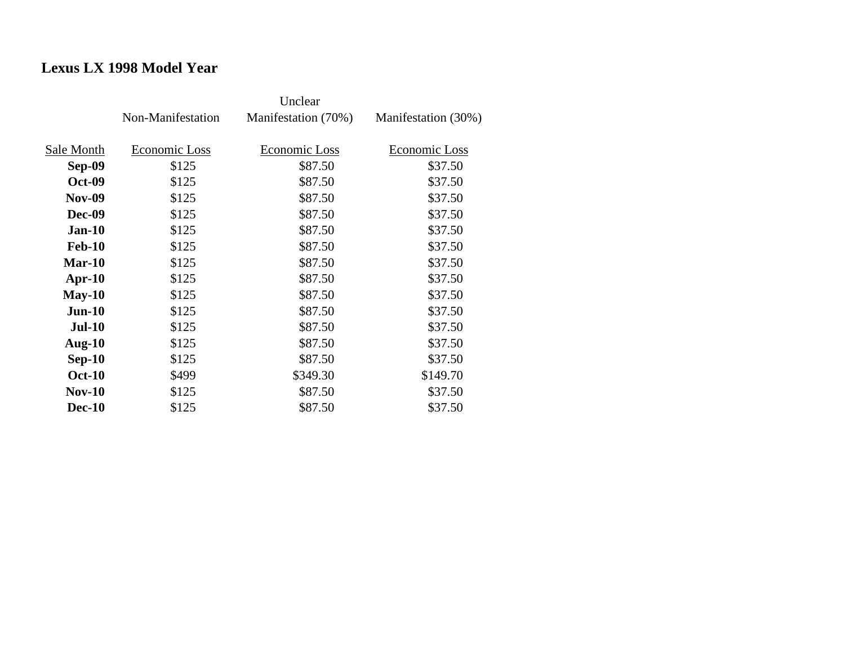## **Lexus LX 1998 Model Year**

|               | Non-Manifestation | Manifestation (70%) | Manifestation (30%) |
|---------------|-------------------|---------------------|---------------------|
| Sale Month    | Economic Loss     | Economic Loss       | Economic Loss       |
| Sep-09        | \$125             | \$87.50             | \$37.50             |
| <b>Oct-09</b> | \$125             | \$87.50             | \$37.50             |
| <b>Nov-09</b> | \$125             | \$87.50             | \$37.50             |
| <b>Dec-09</b> | \$125             | \$87.50             | \$37.50             |
| $Jan-10$      | \$125             | \$87.50             | \$37.50             |
| <b>Feb-10</b> | \$125             | \$87.50             | \$37.50             |
| $Mar-10$      | \$125             | \$87.50             | \$37.50             |
| $Apr-10$      | \$125             | \$87.50             | \$37.50             |
| $May-10$      | \$125             | \$87.50             | \$37.50             |
| $Jun-10$      | \$125             | \$87.50             | \$37.50             |
| <b>Jul-10</b> | \$125             | \$87.50             | \$37.50             |
| Aug- $10$     | \$125             | \$87.50             | \$37.50             |
| $Sep-10$      | \$125             | \$87.50             | \$37.50             |
| <b>Oct-10</b> | \$499             | \$349.30            | \$149.70            |
| $Nov-10$      | \$125             | \$87.50             | \$37.50             |
| <b>Dec-10</b> | \$125             | \$87.50             | \$37.50             |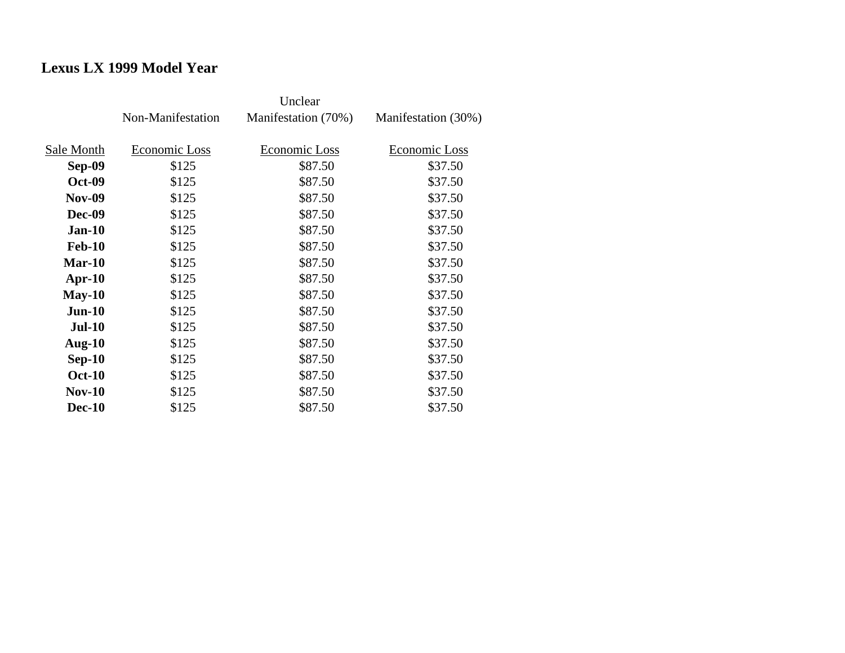## **Lexus LX 1999 Model Year**

|               | Non-Manifestation | Manifestation (70%) | Manifestation (30%) |
|---------------|-------------------|---------------------|---------------------|
| Sale Month    | Economic Loss     | Economic Loss       | Economic Loss       |
| Sep-09        | \$125             | \$87.50             | \$37.50             |
| <b>Oct-09</b> | \$125             | \$87.50             | \$37.50             |
| <b>Nov-09</b> | \$125             | \$87.50             | \$37.50             |
| <b>Dec-09</b> | \$125             | \$87.50             | \$37.50             |
| $Jan-10$      | \$125             | \$87.50             | \$37.50             |
| <b>Feb-10</b> | \$125             | \$87.50             | \$37.50             |
| Mar-10        | \$125             | \$87.50             | \$37.50             |
| $Apr-10$      | \$125             | \$87.50             | \$37.50             |
| $May-10$      | \$125             | \$87.50             | \$37.50             |
| $Jun-10$      | \$125             | \$87.50             | \$37.50             |
| <b>Jul-10</b> | \$125             | \$87.50             | \$37.50             |
| Aug- $10$     | \$125             | \$87.50             | \$37.50             |
| $Sep-10$      | \$125             | \$87.50             | \$37.50             |
| <b>Oct-10</b> | \$125             | \$87.50             | \$37.50             |
| <b>Nov-10</b> | \$125             | \$87.50             | \$37.50             |
| <b>Dec-10</b> | \$125             | \$87.50             | \$37.50             |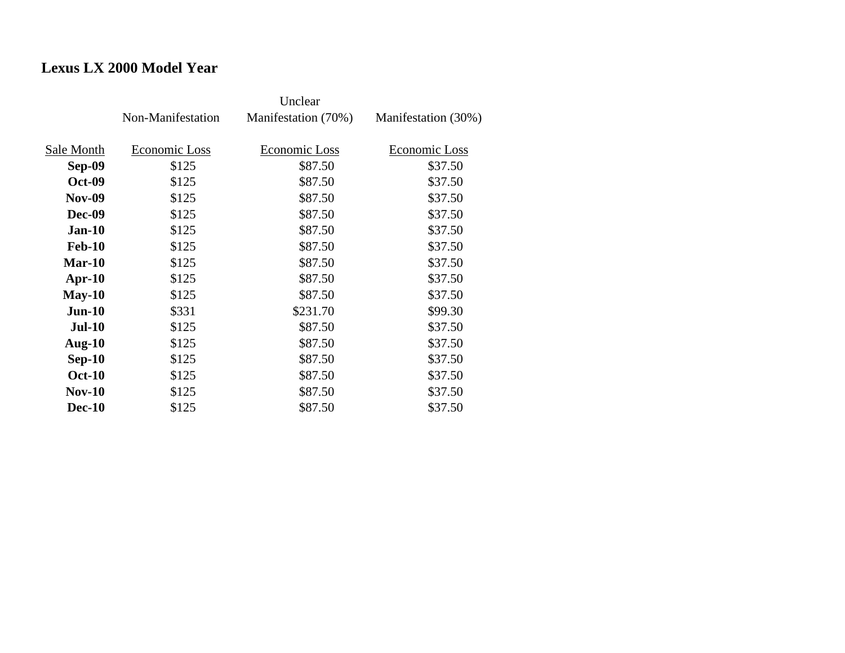## **Lexus LX 2000 Model Year**

|               | Non-Manifestation | Manifestation (70%) | Manifestation (30%) |
|---------------|-------------------|---------------------|---------------------|
| Sale Month    | Economic Loss     | Economic Loss       | Economic Loss       |
| <b>Sep-09</b> | \$125             | \$87.50             | \$37.50             |
| <b>Oct-09</b> | \$125             | \$87.50             | \$37.50             |
| <b>Nov-09</b> | \$125             | \$87.50             | \$37.50             |
| <b>Dec-09</b> | \$125             | \$87.50             | \$37.50             |
| <b>Jan-10</b> | \$125             | \$87.50             | \$37.50             |
| <b>Feb-10</b> | \$125             | \$87.50             | \$37.50             |
| $Mar-10$      | \$125             | \$87.50             | \$37.50             |
| $Apr-10$      | \$125             | \$87.50             | \$37.50             |
| $May-10$      | \$125             | \$87.50             | \$37.50             |
| $Jun-10$      | \$331             | \$231.70            | \$99.30             |
| $Jul-10$      | \$125             | \$87.50             | \$37.50             |
| Aug- $10$     | \$125             | \$87.50             | \$37.50             |
| $Sep-10$      | \$125             | \$87.50             | \$37.50             |
| <b>Oct-10</b> | \$125             | \$87.50             | \$37.50             |
| $Nov-10$      | \$125             | \$87.50             | \$37.50             |
| <b>Dec-10</b> | \$125             | \$87.50             | \$37.50             |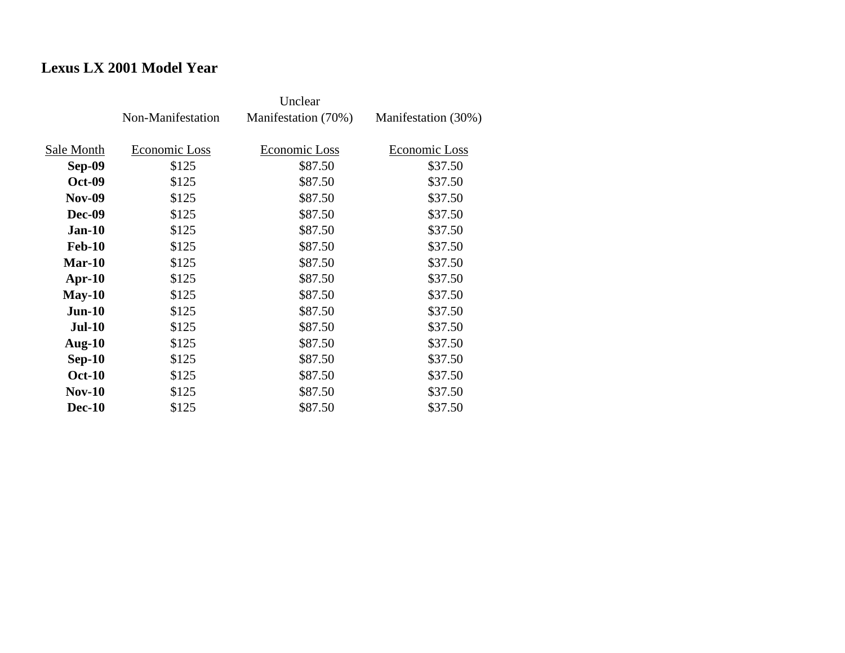## **Lexus LX 2001 Model Year**

|               | Non-Manifestation | Manifestation (70%) | Manifestation (30%) |
|---------------|-------------------|---------------------|---------------------|
| Sale Month    | Economic Loss     | Economic Loss       | Economic Loss       |
| Sep-09        | \$125             | \$87.50             | \$37.50             |
| <b>Oct-09</b> | \$125             | \$87.50             | \$37.50             |
| <b>Nov-09</b> | \$125             | \$87.50             | \$37.50             |
| Dec-09        | \$125             | \$87.50             | \$37.50             |
| $Jan-10$      | \$125             | \$87.50             | \$37.50             |
| <b>Feb-10</b> | \$125             | \$87.50             | \$37.50             |
| $Mar-10$      | \$125             | \$87.50             | \$37.50             |
| $Apr-10$      | \$125             | \$87.50             | \$37.50             |
| $May-10$      | \$125             | \$87.50             | \$37.50             |
| $Jun-10$      | \$125             | \$87.50             | \$37.50             |
| <b>Jul-10</b> | \$125             | \$87.50             | \$37.50             |
| Aug- $10$     | \$125             | \$87.50             | \$37.50             |
| $Sep-10$      | \$125             | \$87.50             | \$37.50             |
| <b>Oct-10</b> | \$125             | \$87.50             | \$37.50             |
| $Nov-10$      | \$125             | \$87.50             | \$37.50             |
| <b>Dec-10</b> | \$125             | \$87.50             | \$37.50             |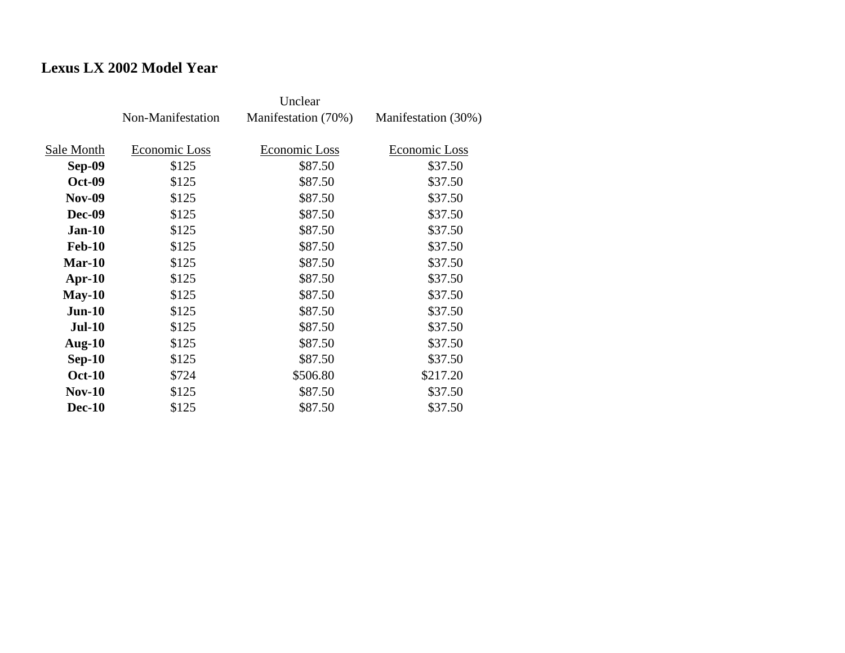## **Lexus LX 2002 Model Year**

|               | Non-Manifestation | Manifestation (70%) | Manifestation (30%) |
|---------------|-------------------|---------------------|---------------------|
| Sale Month    | Economic Loss     | Economic Loss       | Economic Loss       |
| Sep-09        | \$125             | \$87.50             | \$37.50             |
| <b>Oct-09</b> | \$125             | \$87.50             | \$37.50             |
| <b>Nov-09</b> | \$125             | \$87.50             | \$37.50             |
| Dec-09        | \$125             | \$87.50             | \$37.50             |
| <b>Jan-10</b> | \$125             | \$87.50             | \$37.50             |
| <b>Feb-10</b> | \$125             | \$87.50             | \$37.50             |
| $Mar-10$      | \$125             | \$87.50             | \$37.50             |
| $Apr-10$      | \$125             | \$87.50             | \$37.50             |
| $May-10$      | \$125             | \$87.50             | \$37.50             |
| $Jun-10$      | \$125             | \$87.50             | \$37.50             |
| <b>Jul-10</b> | \$125             | \$87.50             | \$37.50             |
| Aug- $10$     | \$125             | \$87.50             | \$37.50             |
| $Sep-10$      | \$125             | \$87.50             | \$37.50             |
| <b>Oct-10</b> | \$724             | \$506.80            | \$217.20            |
| <b>Nov-10</b> | \$125             | \$87.50             | \$37.50             |
| <b>Dec-10</b> | \$125             | \$87.50             | \$37.50             |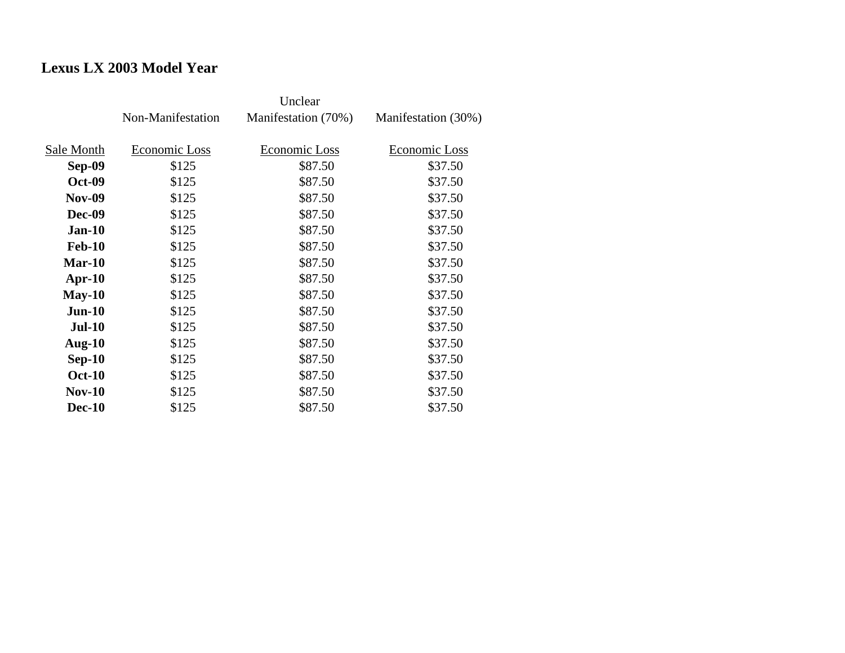## **Lexus LX 2003 Model Year**

|               | Non-Manifestation | Manifestation (70%) | Manifestation (30%) |
|---------------|-------------------|---------------------|---------------------|
| Sale Month    | Economic Loss     | Economic Loss       | Economic Loss       |
| Sep-09        | \$125             | \$87.50             | \$37.50             |
| <b>Oct-09</b> | \$125             | \$87.50             | \$37.50             |
| <b>Nov-09</b> | \$125             | \$87.50             | \$37.50             |
| Dec-09        | \$125             | \$87.50             | \$37.50             |
| $Jan-10$      | \$125             | \$87.50             | \$37.50             |
| <b>Feb-10</b> | \$125             | \$87.50             | \$37.50             |
| $Mar-10$      | \$125             | \$87.50             | \$37.50             |
| $Apr-10$      | \$125             | \$87.50             | \$37.50             |
| $May-10$      | \$125             | \$87.50             | \$37.50             |
| $Jun-10$      | \$125             | \$87.50             | \$37.50             |
| <b>Jul-10</b> | \$125             | \$87.50             | \$37.50             |
| Aug- $10$     | \$125             | \$87.50             | \$37.50             |
| $Sep-10$      | \$125             | \$87.50             | \$37.50             |
| <b>Oct-10</b> | \$125             | \$87.50             | \$37.50             |
| $Nov-10$      | \$125             | \$87.50             | \$37.50             |
| <b>Dec-10</b> | \$125             | \$87.50             | \$37.50             |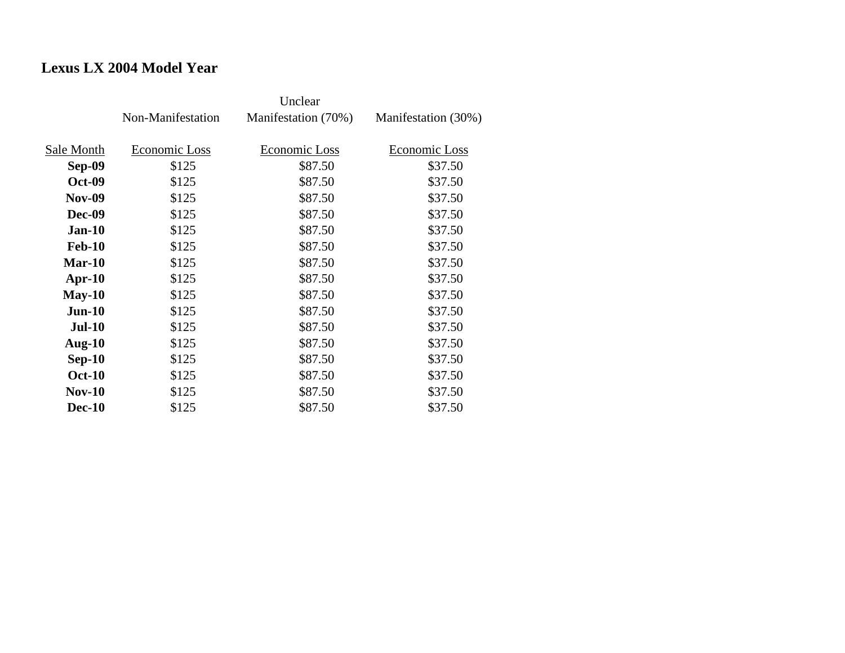## **Lexus LX 2004 Model Year**

|               | Non-Manifestation | Manifestation (70%) | Manifestation (30%) |
|---------------|-------------------|---------------------|---------------------|
| Sale Month    | Economic Loss     | Economic Loss       | Economic Loss       |
| Sep-09        | \$125             | \$87.50             | \$37.50             |
| <b>Oct-09</b> | \$125             | \$87.50             | \$37.50             |
| <b>Nov-09</b> | \$125             | \$87.50             | \$37.50             |
| Dec-09        | \$125             | \$87.50             | \$37.50             |
| $Jan-10$      | \$125             | \$87.50             | \$37.50             |
| <b>Feb-10</b> | \$125             | \$87.50             | \$37.50             |
| $Mar-10$      | \$125             | \$87.50             | \$37.50             |
| $Apr-10$      | \$125             | \$87.50             | \$37.50             |
| $May-10$      | \$125             | \$87.50             | \$37.50             |
| $Jun-10$      | \$125             | \$87.50             | \$37.50             |
| <b>Jul-10</b> | \$125             | \$87.50             | \$37.50             |
| Aug- $10$     | \$125             | \$87.50             | \$37.50             |
| $Sep-10$      | \$125             | \$87.50             | \$37.50             |
| <b>Oct-10</b> | \$125             | \$87.50             | \$37.50             |
| $Nov-10$      | \$125             | \$87.50             | \$37.50             |
| <b>Dec-10</b> | \$125             | \$87.50             | \$37.50             |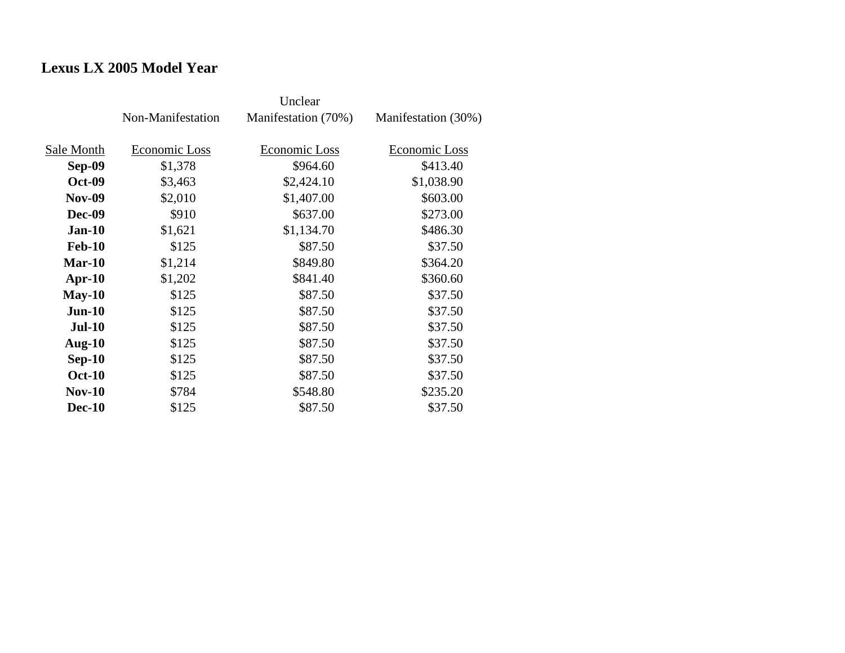## **Lexus LX 2005 Model Year**

|               | Non-Manifestation | Manifestation (70%)  | Manifestation (30%) |
|---------------|-------------------|----------------------|---------------------|
|               |                   |                      |                     |
| Sale Month    | Economic Loss     | <b>Economic Loss</b> | Economic Loss       |
| Sep-09        | \$1,378           | \$964.60             | \$413.40            |
| <b>Oct-09</b> | \$3,463           | \$2,424.10           | \$1,038.90          |
| <b>Nov-09</b> | \$2,010           | \$1,407.00           | \$603.00            |
| <b>Dec-09</b> | \$910             | \$637.00             | \$273.00            |
| $Jan-10$      | \$1,621           | \$1,134.70           | \$486.30            |
| <b>Feb-10</b> | \$125             | \$87.50              | \$37.50             |
| $Mar-10$      | \$1,214           | \$849.80             | \$364.20            |
| $Apr-10$      | \$1,202           | \$841.40             | \$360.60            |
| $May-10$      | \$125             | \$87.50              | \$37.50             |
| $Jun-10$      | \$125             | \$87.50              | \$37.50             |
| <b>Jul-10</b> | \$125             | \$87.50              | \$37.50             |
| Aug- $10$     | \$125             | \$87.50              | \$37.50             |
| $Sep-10$      | \$125             | \$87.50              | \$37.50             |
| <b>Oct-10</b> | \$125             | \$87.50              | \$37.50             |
| $Nov-10$      | \$784             | \$548.80             | \$235.20            |
| <b>Dec-10</b> | \$125             | \$87.50              | \$37.50             |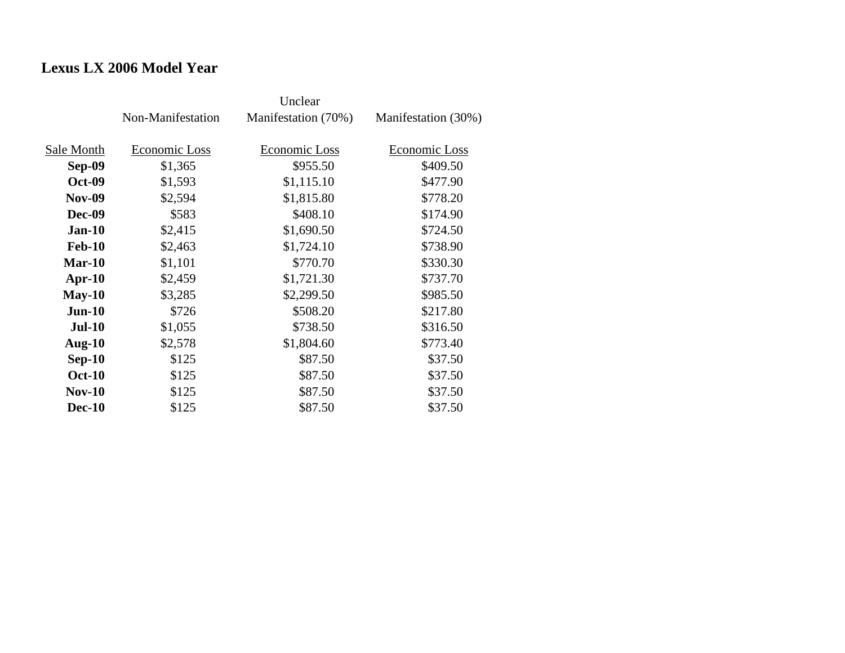## **Lexus LX 2006 Model Year**

|               | Non-Manifestation | Manifestation (70%) | Manifestation (30%) |
|---------------|-------------------|---------------------|---------------------|
| Sale Month    | Economic Loss     | Economic Loss       | Economic Loss       |
| Sep-09        | \$1,365           | \$955.50            | \$409.50            |
| <b>Oct-09</b> | \$1,593           | \$1,115.10          | \$477.90            |
| <b>Nov-09</b> | \$2,594           | \$1,815.80          | \$778.20            |
| Dec-09        | \$583             | \$408.10            | \$174.90            |
| $Jan-10$      | \$2,415           | \$1,690.50          | \$724.50            |
| <b>Feb-10</b> | \$2,463           | \$1,724.10          | \$738.90            |
| $Mar-10$      | \$1,101           | \$770.70            | \$330.30            |
| $Apr-10$      | \$2,459           | \$1,721.30          | \$737.70            |
| $May-10$      | \$3,285           | \$2,299.50          | \$985.50            |
| $Jun-10$      | \$726             | \$508.20            | \$217.80            |
| <b>Jul-10</b> | \$1,055           | \$738.50            | \$316.50            |
| Aug- $10$     | \$2,578           | \$1,804.60          | \$773.40            |
| $Sep-10$      | \$125             | \$87.50             | \$37.50             |
| <b>Oct-10</b> | \$125             | \$87.50             | \$37.50             |
| <b>Nov-10</b> | \$125             | \$87.50             | \$37.50             |
| <b>Dec-10</b> | \$125             | \$87.50             | \$37.50             |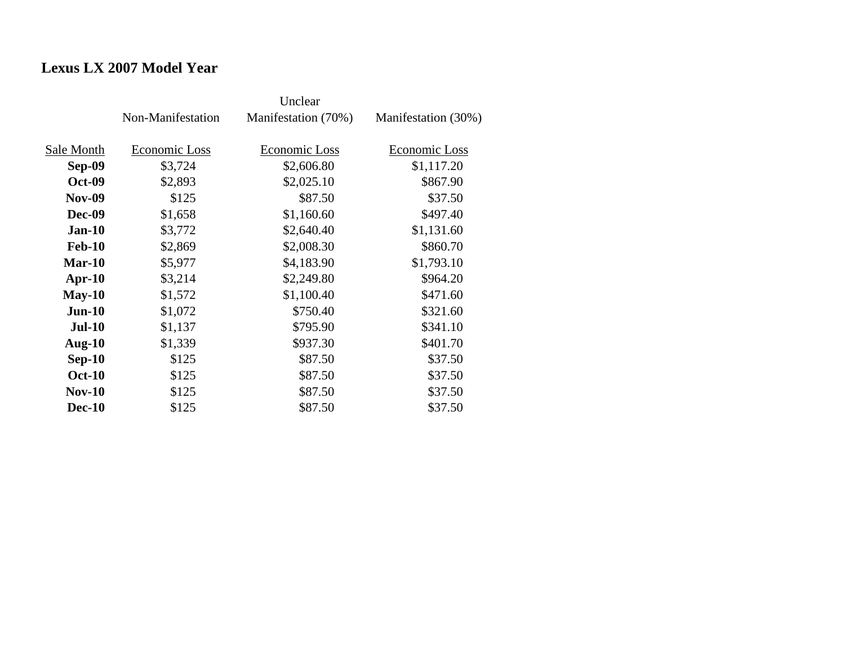## **Lexus LX 2007 Model Year**

|               | Non-Manifestation | Manifestation (70%) | Manifestation (30%) |
|---------------|-------------------|---------------------|---------------------|
| Sale Month    | Economic Loss     | Economic Loss       | Economic Loss       |
| <b>Sep-09</b> | \$3,724           | \$2,606.80          | \$1,117.20          |
| <b>Oct-09</b> | \$2,893           | \$2,025.10          | \$867.90            |
| <b>Nov-09</b> | \$125             | \$87.50             | \$37.50             |
| <b>Dec-09</b> | \$1,658           | \$1,160.60          | \$497.40            |
| $Jan-10$      | \$3,772           | \$2,640.40          | \$1,131.60          |
| <b>Feb-10</b> | \$2,869           | \$2,008.30          | \$860.70            |
| $Mar-10$      | \$5,977           | \$4,183.90          | \$1,793.10          |
| $Apr-10$      | \$3,214           | \$2,249.80          | \$964.20            |
| $May-10$      | \$1,572           | \$1,100.40          | \$471.60            |
| $Jun-10$      | \$1,072           | \$750.40            | \$321.60            |
| $Jul-10$      | \$1,137           | \$795.90            | \$341.10            |
| Aug- $10$     | \$1,339           | \$937.30            | \$401.70            |
| $Sep-10$      | \$125             | \$87.50             | \$37.50             |
| <b>Oct-10</b> | \$125             | \$87.50             | \$37.50             |
| $Nov-10$      | \$125             | \$87.50             | \$37.50             |
| <b>Dec-10</b> | \$125             | \$87.50             | \$37.50             |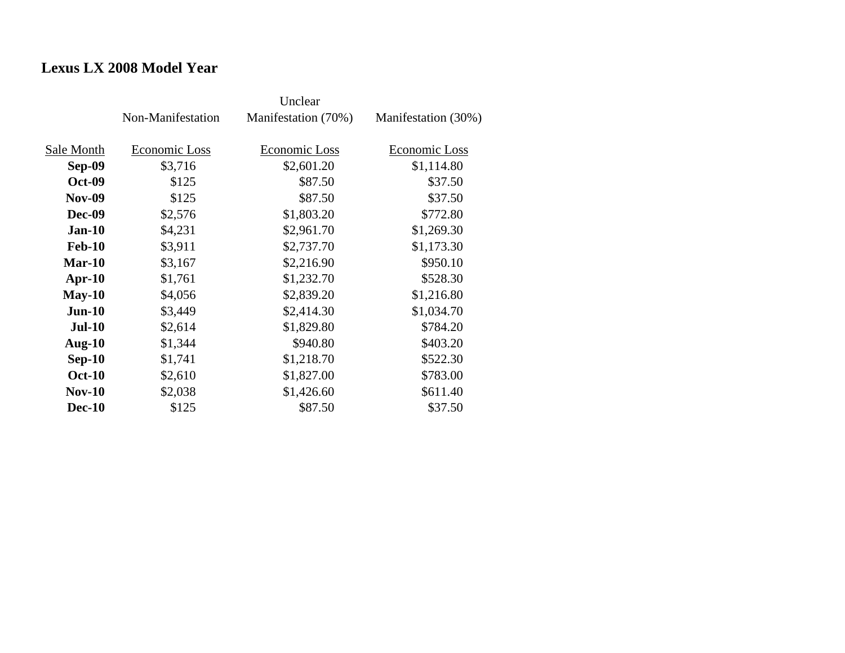## **Lexus LX 2008 Model Year**

|               | Non-Manifestation | Manifestation (70%) | Manifestation (30%) |
|---------------|-------------------|---------------------|---------------------|
| Sale Month    | Economic Loss     | Economic Loss       | Economic Loss       |
| <b>Sep-09</b> | \$3,716           | \$2,601.20          | \$1,114.80          |
| <b>Oct-09</b> | \$125             | \$87.50             | \$37.50             |
| <b>Nov-09</b> | \$125             | \$87.50             | \$37.50             |
| <b>Dec-09</b> | \$2,576           | \$1,803.20          | \$772.80            |
| $Jan-10$      | \$4,231           | \$2,961.70          | \$1,269.30          |
| <b>Feb-10</b> | \$3,911           | \$2,737.70          | \$1,173.30          |
| $Mar-10$      | \$3,167           | \$2,216.90          | \$950.10            |
| $Apr-10$      | \$1,761           | \$1,232.70          | \$528.30            |
| $May-10$      | \$4,056           | \$2,839.20          | \$1,216.80          |
| $Jun-10$      | \$3,449           | \$2,414.30          | \$1,034.70          |
| $Jul-10$      | \$2,614           | \$1,829.80          | \$784.20            |
| Aug- $10$     | \$1,344           | \$940.80            | \$403.20            |
| $Sep-10$      | \$1,741           | \$1,218.70          | \$522.30            |
| <b>Oct-10</b> | \$2,610           | \$1,827.00          | \$783.00            |
| $Nov-10$      | \$2,038           | \$1,426.60          | \$611.40            |
| <b>Dec-10</b> | \$125             | \$87.50             | \$37.50             |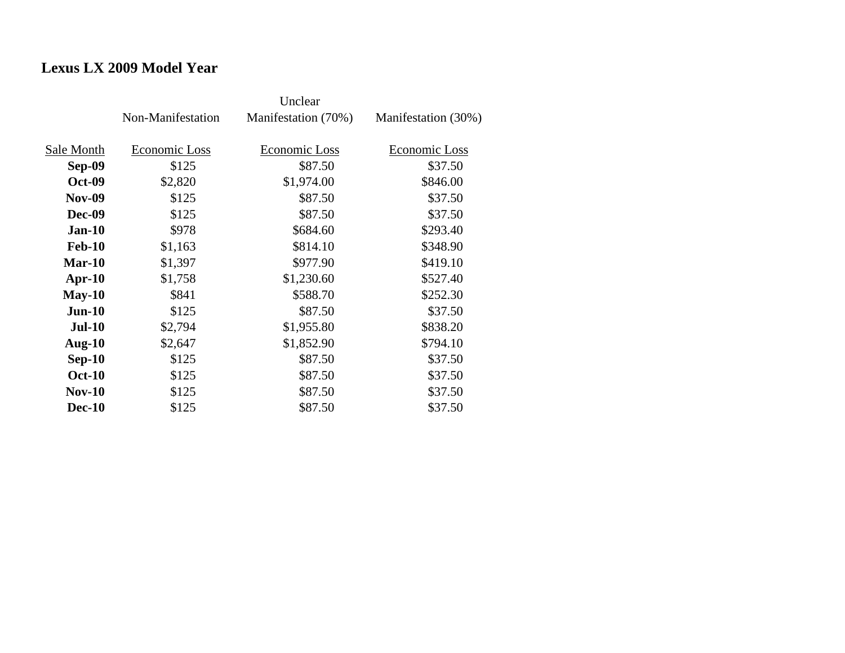## **Lexus LX 2009 Model Year**

|               | Non-Manifestation | Manifestation (70%) | Manifestation (30%) |
|---------------|-------------------|---------------------|---------------------|
| Sale Month    | Economic Loss     | Economic Loss       | Economic Loss       |
| <b>Sep-09</b> | \$125             | \$87.50             | \$37.50             |
| <b>Oct-09</b> | \$2,820           | \$1,974.00          | \$846.00            |
| <b>Nov-09</b> | \$125             | \$87.50             | \$37.50             |
| <b>Dec-09</b> | \$125             | \$87.50             | \$37.50             |
| $Jan-10$      | \$978             | \$684.60            | \$293.40            |
| <b>Feb-10</b> | \$1,163           | \$814.10            | \$348.90            |
| $Mar-10$      | \$1,397           | \$977.90            | \$419.10            |
| $Apr-10$      | \$1,758           | \$1,230.60          | \$527.40            |
| $May-10$      | \$841             | \$588.70            | \$252.30            |
| $Jun-10$      | \$125             | \$87.50             | \$37.50             |
| $Jul-10$      | \$2,794           | \$1,955.80          | \$838.20            |
| Aug- $10$     | \$2,647           | \$1,852.90          | \$794.10            |
| $Sep-10$      | \$125             | \$87.50             | \$37.50             |
| <b>Oct-10</b> | \$125             | \$87.50             | \$37.50             |
| $Nov-10$      | \$125             | \$87.50             | \$37.50             |
| <b>Dec-10</b> | \$125             | \$87.50             | \$37.50             |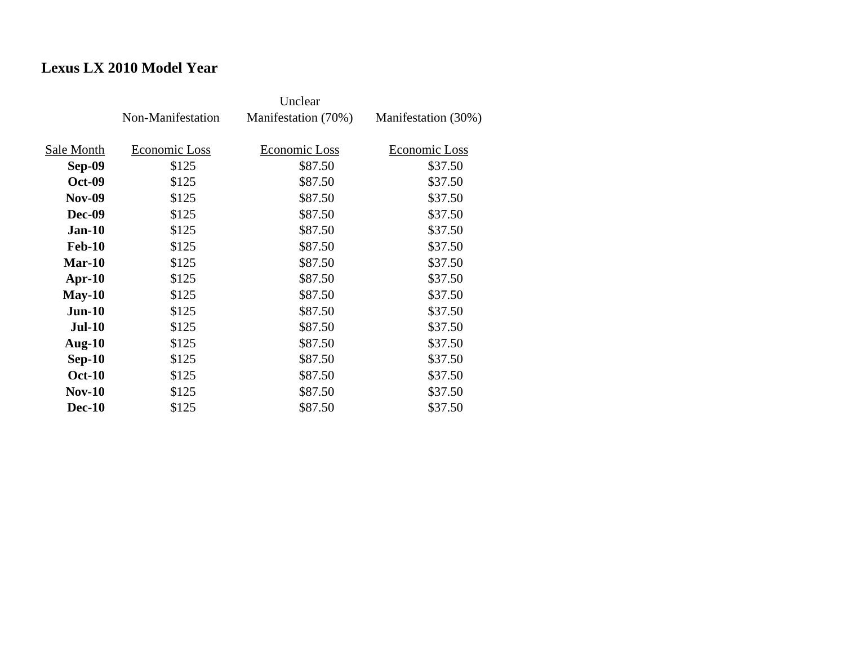# **Lexus LX 2010 Model Year**

|               | Non-Manifestation | Manifestation (70%) | Manifestation (30%) |
|---------------|-------------------|---------------------|---------------------|
| Sale Month    | Economic Loss     | Economic Loss       | Economic Loss       |
| <b>Sep-09</b> | \$125             | \$87.50             | \$37.50             |
| <b>Oct-09</b> | \$125             | \$87.50             | \$37.50             |
| <b>Nov-09</b> | \$125             | \$87.50             | \$37.50             |
| Dec-09        | \$125             | \$87.50             | \$37.50             |
| $Jan-10$      | \$125             | \$87.50             | \$37.50             |
| <b>Feb-10</b> | \$125             | \$87.50             | \$37.50             |
| $Mar-10$      | \$125             | \$87.50             | \$37.50             |
| $Apr-10$      | \$125             | \$87.50             | \$37.50             |
| $May-10$      | \$125             | \$87.50             | \$37.50             |
| $Jun-10$      | \$125             | \$87.50             | \$37.50             |
| <b>Jul-10</b> | \$125             | \$87.50             | \$37.50             |
| Aug- $10$     | \$125             | \$87.50             | \$37.50             |
| $Sep-10$      | \$125             | \$87.50             | \$37.50             |
| <b>Oct-10</b> | \$125             | \$87.50             | \$37.50             |
| $Nov-10$      | \$125             | \$87.50             | \$37.50             |
| <b>Dec-10</b> | \$125             | \$87.50             | \$37.50             |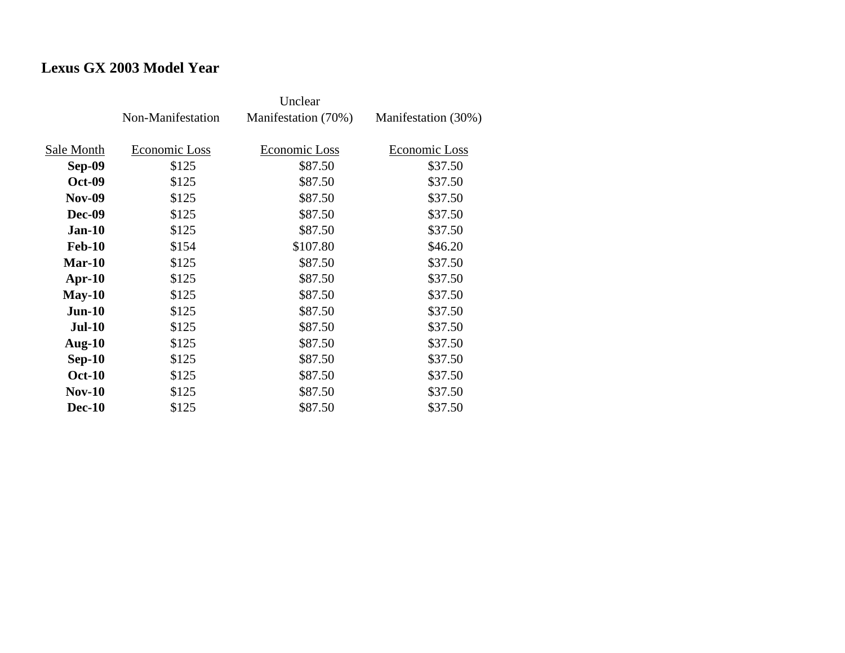# **Lexus GX 2003 Model Year**

|               | Non-Manifestation | Manifestation (70%) | Manifestation (30%) |
|---------------|-------------------|---------------------|---------------------|
| Sale Month    | Economic Loss     | Economic Loss       | Economic Loss       |
| Sep-09        | \$125             | \$87.50             | \$37.50             |
| <b>Oct-09</b> | \$125             | \$87.50             | \$37.50             |
| <b>Nov-09</b> | \$125             | \$87.50             | \$37.50             |
| Dec-09        | \$125             | \$87.50             | \$37.50             |
| <b>Jan-10</b> | \$125             | \$87.50             | \$37.50             |
| <b>Feb-10</b> | \$154             | \$107.80            | \$46.20             |
| $Mar-10$      | \$125             | \$87.50             | \$37.50             |
| $Apr-10$      | \$125             | \$87.50             | \$37.50             |
| $May-10$      | \$125             | \$87.50             | \$37.50             |
| $Jun-10$      | \$125             | \$87.50             | \$37.50             |
| <b>Jul-10</b> | \$125             | \$87.50             | \$37.50             |
| Aug- $10$     | \$125             | \$87.50             | \$37.50             |
| $Sep-10$      | \$125             | \$87.50             | \$37.50             |
| <b>Oct-10</b> | \$125             | \$87.50             | \$37.50             |
| <b>Nov-10</b> | \$125             | \$87.50             | \$37.50             |
| <b>Dec-10</b> | \$125             | \$87.50             | \$37.50             |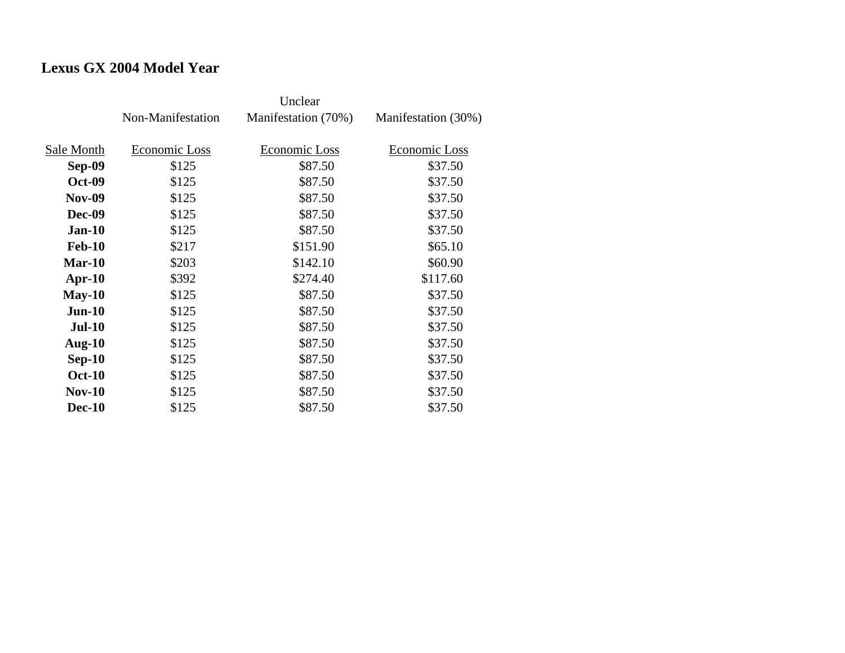## **Lexus GX 2004 Model Year**

|               | Non-Manifestation | Manifestation (70%) | Manifestation (30%) |
|---------------|-------------------|---------------------|---------------------|
| Sale Month    | Economic Loss     | Economic Loss       | Economic Loss       |
| Sep-09        | \$125             | \$87.50             | \$37.50             |
| <b>Oct-09</b> | \$125             | \$87.50             | \$37.50             |
| <b>Nov-09</b> | \$125             | \$87.50             | \$37.50             |
| Dec-09        | \$125             | \$87.50             | \$37.50             |
| <b>Jan-10</b> | \$125             | \$87.50             | \$37.50             |
| <b>Feb-10</b> | \$217             | \$151.90            | \$65.10             |
| $Mar-10$      | \$203             | \$142.10            | \$60.90             |
| $Apr-10$      | \$392             | \$274.40            | \$117.60            |
| $May-10$      | \$125             | \$87.50             | \$37.50             |
| $Jun-10$      | \$125             | \$87.50             | \$37.50             |
| <b>Jul-10</b> | \$125             | \$87.50             | \$37.50             |
| Aug- $10$     | \$125             | \$87.50             | \$37.50             |
| $Sep-10$      | \$125             | \$87.50             | \$37.50             |
| <b>Oct-10</b> | \$125             | \$87.50             | \$37.50             |
| <b>Nov-10</b> | \$125             | \$87.50             | \$37.50             |
| <b>Dec-10</b> | \$125             | \$87.50             | \$37.50             |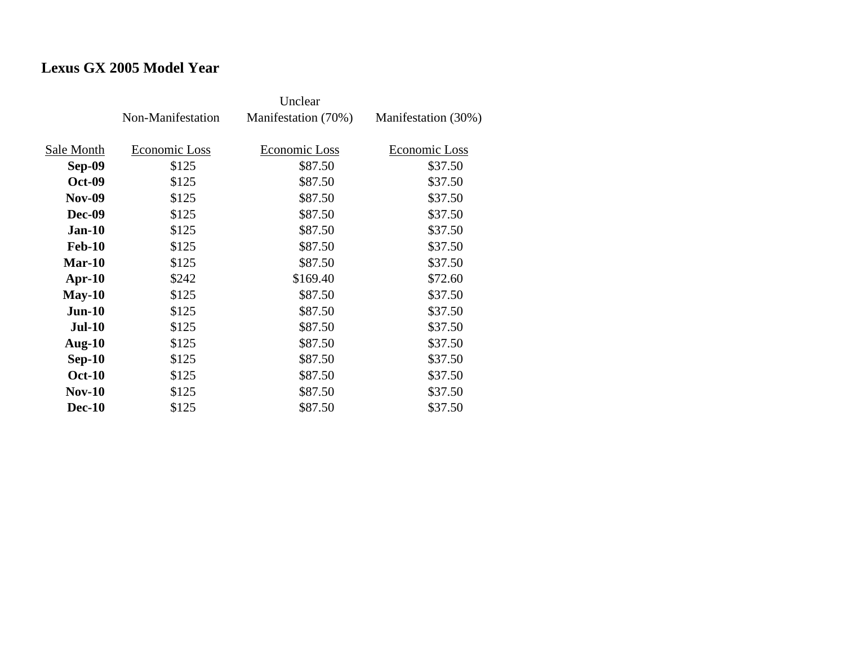# **Lexus GX 2005 Model Year**

|               | Non-Manifestation | Manifestation (70%) | Manifestation (30%) |
|---------------|-------------------|---------------------|---------------------|
| Sale Month    | Economic Loss     | Economic Loss       | Economic Loss       |
| Sep-09        | \$125             | \$87.50             | \$37.50             |
| <b>Oct-09</b> | \$125             | \$87.50             | \$37.50             |
| <b>Nov-09</b> | \$125             | \$87.50             | \$37.50             |
| Dec-09        | \$125             | \$87.50             | \$37.50             |
| <b>Jan-10</b> | \$125             | \$87.50             | \$37.50             |
| <b>Feb-10</b> | \$125             | \$87.50             | \$37.50             |
| $Mar-10$      | \$125             | \$87.50             | \$37.50             |
| $Apr-10$      | \$242             | \$169.40            | \$72.60             |
| $May-10$      | \$125             | \$87.50             | \$37.50             |
| $Jun-10$      | \$125             | \$87.50             | \$37.50             |
| <b>Jul-10</b> | \$125             | \$87.50             | \$37.50             |
| Aug- $10$     | \$125             | \$87.50             | \$37.50             |
| $Sep-10$      | \$125             | \$87.50             | \$37.50             |
| <b>Oct-10</b> | \$125             | \$87.50             | \$37.50             |
| <b>Nov-10</b> | \$125             | \$87.50             | \$37.50             |
| <b>Dec-10</b> | \$125             | \$87.50             | \$37.50             |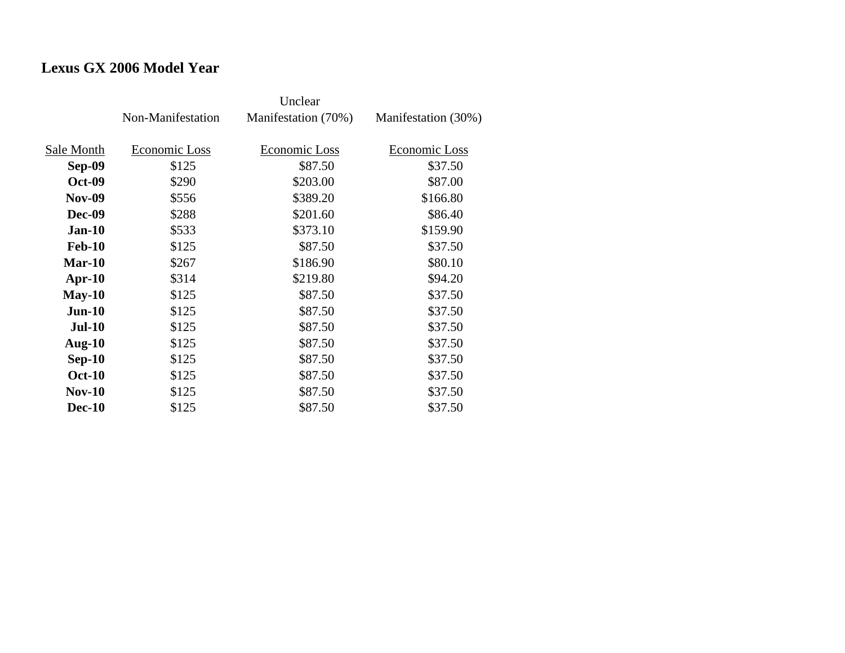## **Lexus GX 2006 Model Year**

|               | Non-Manifestation | Manifestation (70%)  | Manifestation (30%) |
|---------------|-------------------|----------------------|---------------------|
| Sale Month    | Economic Loss     | <b>Economic Loss</b> | Economic Loss       |
| <b>Sep-09</b> | \$125             | \$87.50              | \$37.50             |
| <b>Oct-09</b> | \$290             | \$203.00             | \$87.00             |
| <b>Nov-09</b> | \$556             | \$389.20             | \$166.80            |
| <b>Dec-09</b> | \$288             | \$201.60             | \$86.40             |
| $Jan-10$      | \$533             | \$373.10             | \$159.90            |
| <b>Feb-10</b> | \$125             | \$87.50              | \$37.50             |
| $Mar-10$      | \$267             | \$186.90             | \$80.10             |
| $Apr-10$      | \$314             | \$219.80             | \$94.20             |
| $May-10$      | \$125             | \$87.50              | \$37.50             |
| $Jun-10$      | \$125             | \$87.50              | \$37.50             |
| <b>Jul-10</b> | \$125             | \$87.50              | \$37.50             |
| Aug- $10$     | \$125             | \$87.50              | \$37.50             |
| $Sep-10$      | \$125             | \$87.50              | \$37.50             |
| <b>Oct-10</b> | \$125             | \$87.50              | \$37.50             |
| $Nov-10$      | \$125             | \$87.50              | \$37.50             |
| <b>Dec-10</b> | \$125             | \$87.50              | \$37.50             |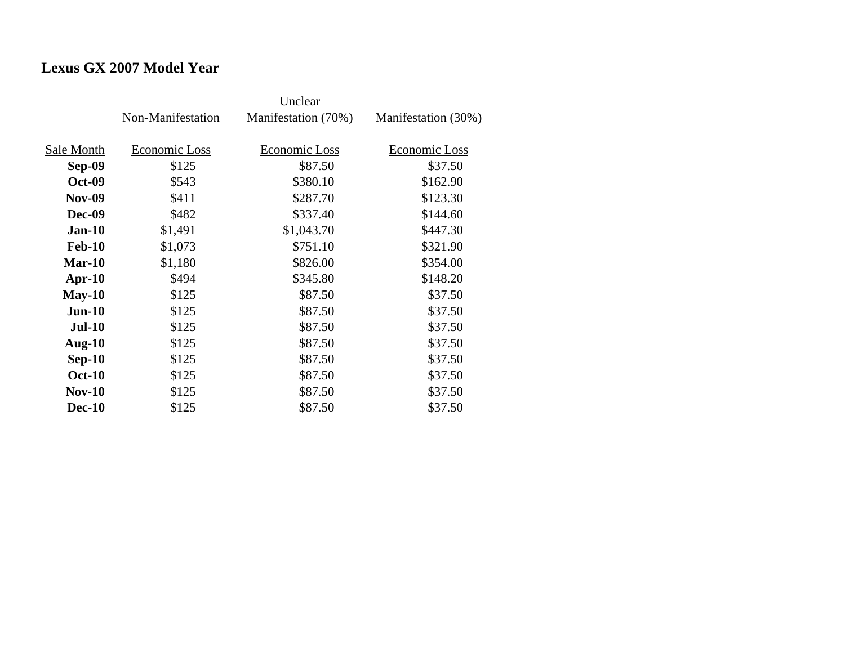## **Lexus GX 2007 Model Year**

|               | Non-Manifestation | Manifestation (70%) | Manifestation (30%) |
|---------------|-------------------|---------------------|---------------------|
| Sale Month    | Economic Loss     | Economic Loss       | Economic Loss       |
| Sep-09        | \$125             | \$87.50             | \$37.50             |
| <b>Oct-09</b> | \$543             | \$380.10            | \$162.90            |
| <b>Nov-09</b> | \$411             | \$287.70            | \$123.30            |
| Dec-09        | \$482             | \$337.40            | \$144.60            |
| $Jan-10$      | \$1,491           | \$1,043.70          | \$447.30            |
| <b>Feb-10</b> | \$1,073           | \$751.10            | \$321.90            |
| $Mar-10$      | \$1,180           | \$826.00            | \$354.00            |
| $Apr-10$      | \$494             | \$345.80            | \$148.20            |
| $May-10$      | \$125             | \$87.50             | \$37.50             |
| $Jun-10$      | \$125             | \$87.50             | \$37.50             |
| <b>Jul-10</b> | \$125             | \$87.50             | \$37.50             |
| Aug- $10$     | \$125             | \$87.50             | \$37.50             |
| $Sep-10$      | \$125             | \$87.50             | \$37.50             |
| <b>Oct-10</b> | \$125             | \$87.50             | \$37.50             |
| <b>Nov-10</b> | \$125             | \$87.50             | \$37.50             |
| <b>Dec-10</b> | \$125             | \$87.50             | \$37.50             |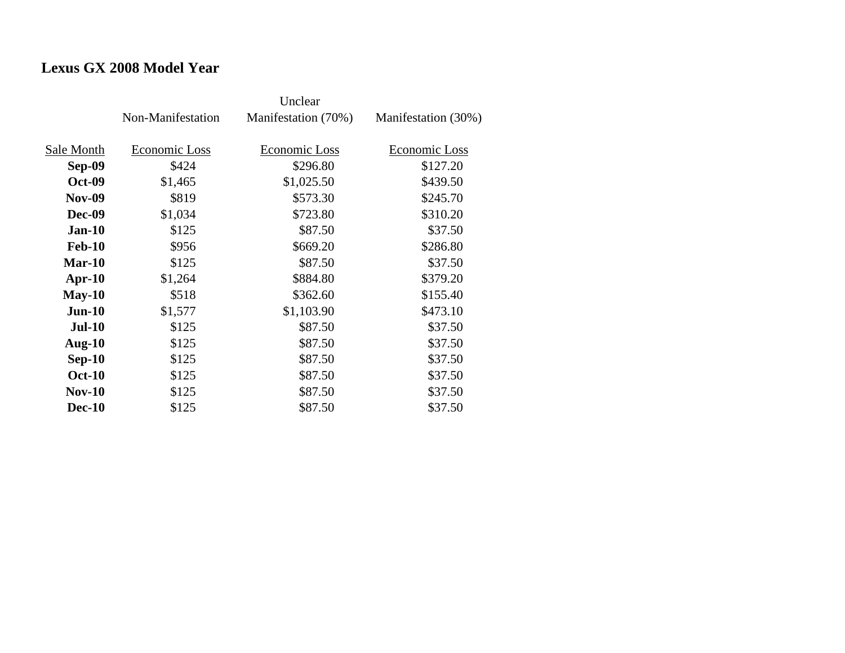## **Lexus GX 2008 Model Year**

|               | Non-Manifestation | Manifestation (70%) | Manifestation (30%) |
|---------------|-------------------|---------------------|---------------------|
| Sale Month    | Economic Loss     | Economic Loss       | Economic Loss       |
| Sep-09        | \$424             | \$296.80            | \$127.20            |
| <b>Oct-09</b> | \$1,465           | \$1,025.50          | \$439.50            |
| <b>Nov-09</b> | \$819             | \$573.30            | \$245.70            |
| Dec-09        | \$1,034           | \$723.80            | \$310.20            |
| $Jan-10$      | \$125             | \$87.50             | \$37.50             |
| <b>Feb-10</b> | \$956             | \$669.20            | \$286.80            |
| $Mar-10$      | \$125             | \$87.50             | \$37.50             |
| Apr- $10$     | \$1,264           | \$884.80            | \$379.20            |
| $May-10$      | \$518             | \$362.60            | \$155.40            |
| $Jun-10$      | \$1,577           | \$1,103.90          | \$473.10            |
| <b>Jul-10</b> | \$125             | \$87.50             | \$37.50             |
| Aug- $10$     | \$125             | \$87.50             | \$37.50             |
| $Sep-10$      | \$125             | \$87.50             | \$37.50             |
| <b>Oct-10</b> | \$125             | \$87.50             | \$37.50             |
| <b>Nov-10</b> | \$125             | \$87.50             | \$37.50             |
| <b>Dec-10</b> | \$125             | \$87.50             | \$37.50             |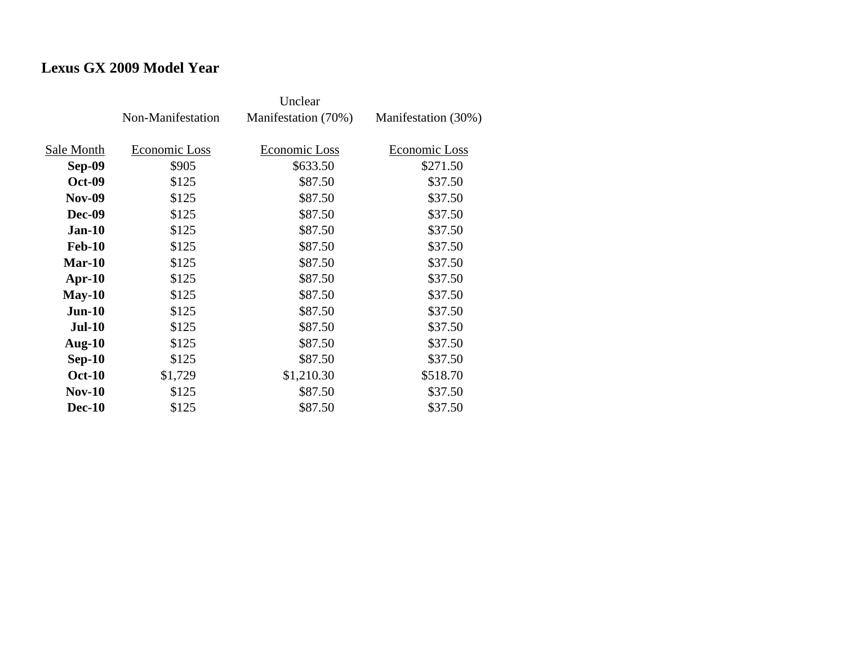## **Lexus GX 2009 Model Year**

|               | Non-Manifestation | Manifestation (70%) | Manifestation (30%) |
|---------------|-------------------|---------------------|---------------------|
| Sale Month    | Economic Loss     | Economic Loss       | Economic Loss       |
| <b>Sep-09</b> | \$905             | \$633.50            | \$271.50            |
| <b>Oct-09</b> | \$125             | \$87.50             | \$37.50             |
| <b>Nov-09</b> | \$125             | \$87.50             | \$37.50             |
| <b>Dec-09</b> | \$125             | \$87.50             | \$37.50             |
| $Jan-10$      | \$125             | \$87.50             | \$37.50             |
| <b>Feb-10</b> | \$125             | \$87.50             | \$37.50             |
| $Mar-10$      | \$125             | \$87.50             | \$37.50             |
| $Apr-10$      | \$125             | \$87.50             | \$37.50             |
| $May-10$      | \$125             | \$87.50             | \$37.50             |
| $Jun-10$      | \$125             | \$87.50             | \$37.50             |
| $Jul-10$      | \$125             | \$87.50             | \$37.50             |
| Aug- $10$     | \$125             | \$87.50             | \$37.50             |
| $Sep-10$      | \$125             | \$87.50             | \$37.50             |
| <b>Oct-10</b> | \$1,729           | \$1,210.30          | \$518.70            |
| $Nov-10$      | \$125             | \$87.50             | \$37.50             |
| <b>Dec-10</b> | \$125             | \$87.50             | \$37.50             |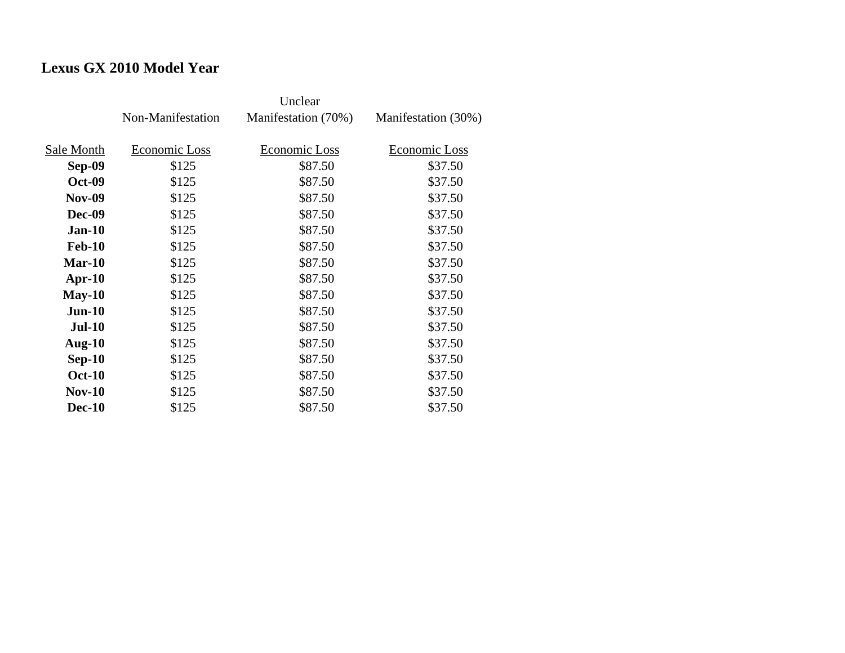# **Lexus GX 2010 Model Year**

|               | Non-Manifestation | Manifestation (70%) | Manifestation (30%) |
|---------------|-------------------|---------------------|---------------------|
| Sale Month    | Economic Loss     | Economic Loss       | Economic Loss       |
| Sep-09        | \$125             | \$87.50             | \$37.50             |
| <b>Oct-09</b> | \$125             | \$87.50             | \$37.50             |
| <b>Nov-09</b> | \$125             | \$87.50             | \$37.50             |
| Dec-09        | \$125             | \$87.50             | \$37.50             |
| <b>Jan-10</b> | \$125             | \$87.50             | \$37.50             |
| <b>Feb-10</b> | \$125             | \$87.50             | \$37.50             |
| $Mar-10$      | \$125             | \$87.50             | \$37.50             |
| $Apr-10$      | \$125             | \$87.50             | \$37.50             |
| $May-10$      | \$125             | \$87.50             | \$37.50             |
| $Jun-10$      | \$125             | \$87.50             | \$37.50             |
| <b>Jul-10</b> | \$125             | \$87.50             | \$37.50             |
| Aug- $10$     | \$125             | \$87.50             | \$37.50             |
| $Sep-10$      | \$125             | \$87.50             | \$37.50             |
| <b>Oct-10</b> | \$125             | \$87.50             | \$37.50             |
| <b>Nov-10</b> | \$125             | \$87.50             | \$37.50             |
| <b>Dec-10</b> | \$125             | \$87.50             | \$37.50             |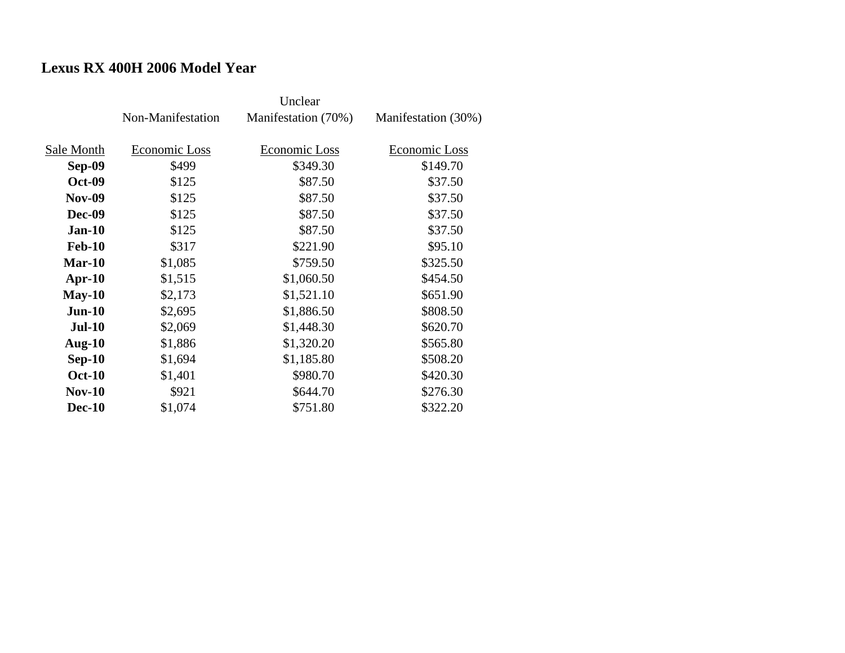# **Lexus RX 400H 2006 Model Year**

|               | Non-Manifestation | Manifestation (70%) | Manifestation (30%) |
|---------------|-------------------|---------------------|---------------------|
| Sale Month    | Economic Loss     | Economic Loss       | Economic Loss       |
| Sep-09        | \$499             | \$349.30            | \$149.70            |
| <b>Oct-09</b> | \$125             | \$87.50             | \$37.50             |
| <b>Nov-09</b> | \$125             | \$87.50             | \$37.50             |
| <b>Dec-09</b> | \$125             | \$87.50             | \$37.50             |
| $Jan-10$      | \$125             | \$87.50             | \$37.50             |
| <b>Feb-10</b> | \$317             | \$221.90            | \$95.10             |
| $Mar-10$      | \$1,085           | \$759.50            | \$325.50            |
| $Apr-10$      | \$1,515           | \$1,060.50          | \$454.50            |
| $May-10$      | \$2,173           | \$1,521.10          | \$651.90            |
| $Jun-10$      | \$2,695           | \$1,886.50          | \$808.50            |
| <b>Jul-10</b> | \$2,069           | \$1,448.30          | \$620.70            |
| Aug- $10$     | \$1,886           | \$1,320.20          | \$565.80            |
| $Sep-10$      | \$1,694           | \$1,185.80          | \$508.20            |
| <b>Oct-10</b> | \$1,401           | \$980.70            | \$420.30            |
| <b>Nov-10</b> | \$921             | \$644.70            | \$276.30            |
| <b>Dec-10</b> | \$1,074           | \$751.80            | \$322.20            |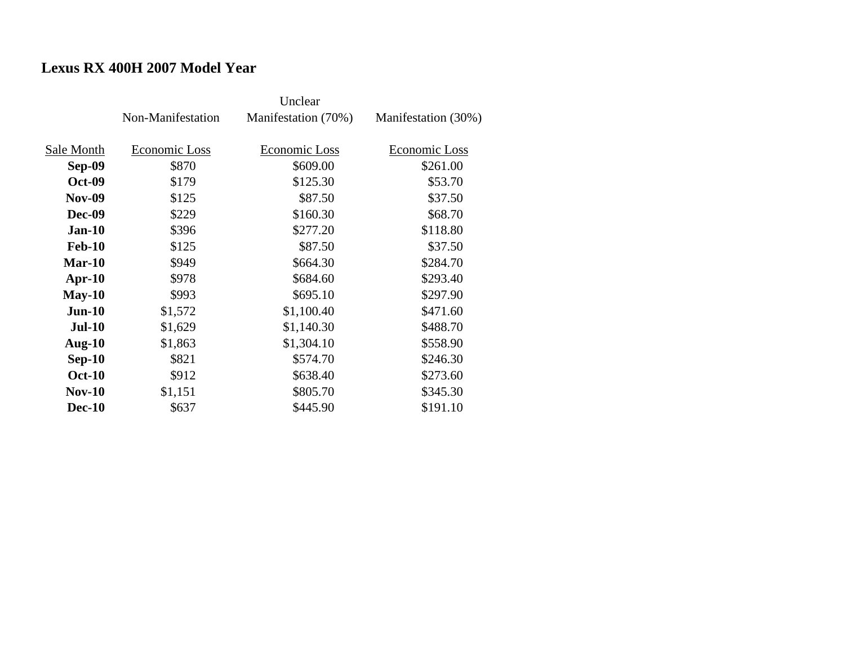# **Lexus RX 400H 2007 Model Year**

|               |                   | Unclear             |                     |
|---------------|-------------------|---------------------|---------------------|
|               | Non-Manifestation | Manifestation (70%) | Manifestation (30%) |
|               |                   |                     |                     |
| Sale Month    | Economic Loss     | Economic Loss       | Economic Loss       |
| <b>Sep-09</b> | \$870             | \$609.00            | \$261.00            |
| <b>Oct-09</b> | \$179             | \$125.30            | \$53.70             |
| <b>Nov-09</b> | \$125             | \$87.50             | \$37.50             |
| <b>Dec-09</b> | \$229             | \$160.30            | \$68.70             |
| $Jan-10$      | \$396             | \$277.20            | \$118.80            |
| <b>Feb-10</b> | \$125             | \$87.50             | \$37.50             |
| $Mar-10$      | \$949             | \$664.30            | \$284.70            |
| $Apr-10$      | \$978             | \$684.60            | \$293.40            |
| $May-10$      | \$993             | \$695.10            | \$297.90            |
| $Jun-10$      | \$1,572           | \$1,100.40          | \$471.60            |
| <b>Jul-10</b> | \$1,629           | \$1,140.30          | \$488.70            |
| Aug- $10$     | \$1,863           | \$1,304.10          | \$558.90            |
| $Sep-10$      | \$821             | \$574.70            | \$246.30            |
| <b>Oct-10</b> | \$912             | \$638.40            | \$273.60            |
| $Nov-10$      | \$1,151           | \$805.70            | \$345.30            |
| <b>Dec-10</b> | \$637             | \$445.90            | \$191.10            |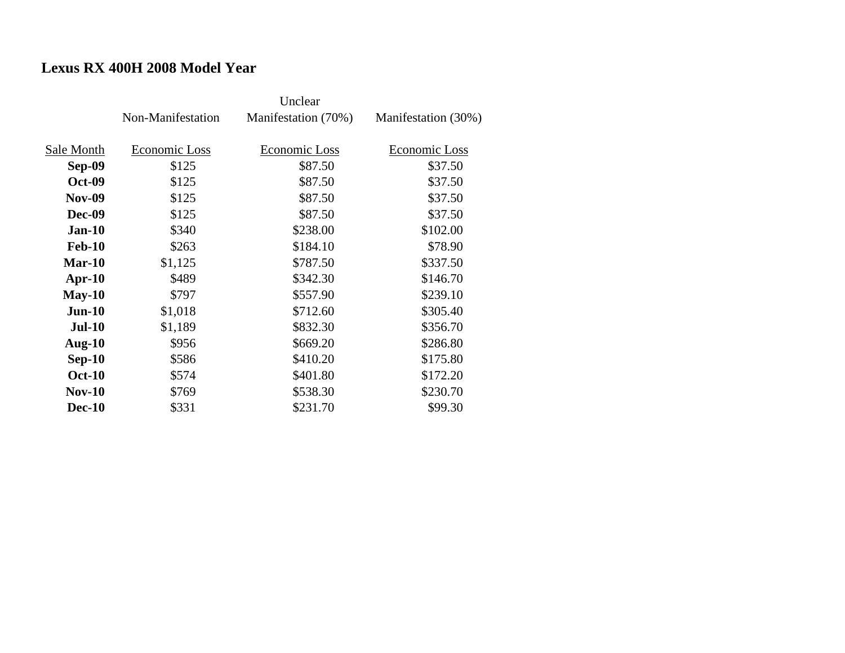# **Lexus RX 400H 2008 Model Year**

|               | Non-Manifestation | Manifestation (70%) | Manifestation (30%) |
|---------------|-------------------|---------------------|---------------------|
| Sale Month    | Economic Loss     | Economic Loss       | Economic Loss       |
|               |                   |                     |                     |
| Sep-09        | \$125             | \$87.50             | \$37.50             |
| <b>Oct-09</b> | \$125             | \$87.50             | \$37.50             |
| <b>Nov-09</b> | \$125             | \$87.50             | \$37.50             |
| <b>Dec-09</b> | \$125             | \$87.50             | \$37.50             |
| $Jan-10$      | \$340             | \$238.00            | \$102.00            |
| <b>Feb-10</b> | \$263             | \$184.10            | \$78.90             |
| $Mar-10$      | \$1,125           | \$787.50            | \$337.50            |
| $Apr-10$      | \$489             | \$342.30            | \$146.70            |
| $May-10$      | \$797             | \$557.90            | \$239.10            |
| $Jun-10$      | \$1,018           | \$712.60            | \$305.40            |
| <b>Jul-10</b> | \$1,189           | \$832.30            | \$356.70            |
| Aug- $10$     | \$956             | \$669.20            | \$286.80            |
| $Sep-10$      | \$586             | \$410.20            | \$175.80            |
| <b>Oct-10</b> | \$574             | \$401.80            | \$172.20            |
| $Nov-10$      | \$769             | \$538.30            | \$230.70            |
| <b>Dec-10</b> | \$331             | \$231.70            | \$99.30             |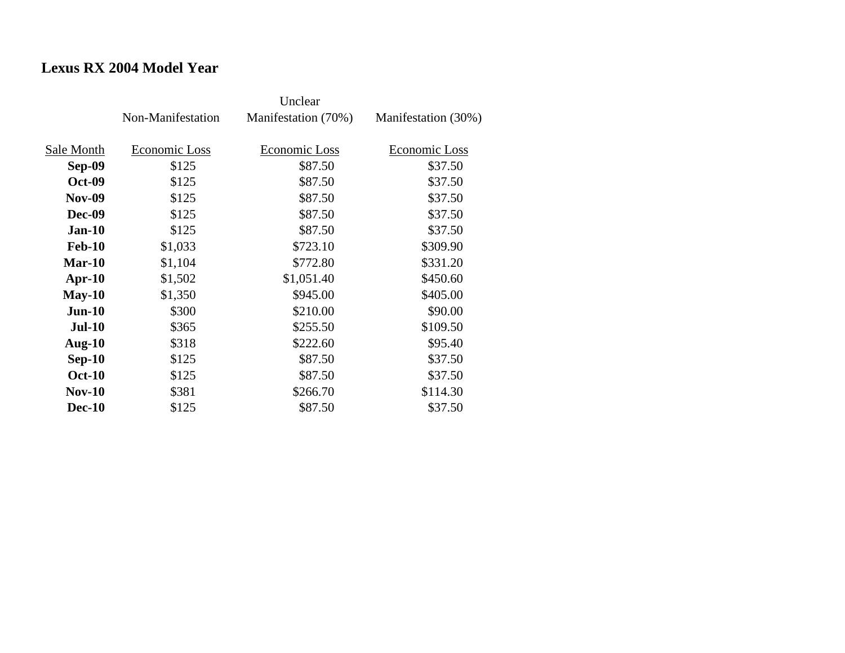## **Lexus RX 2004 Model Year**

|               | Non-Manifestation | Manifestation (70%) | Manifestation (30%) |
|---------------|-------------------|---------------------|---------------------|
| Sale Month    | Economic Loss     | Economic Loss       | Economic Loss       |
| Sep-09        | \$125             | \$87.50             | \$37.50             |
| <b>Oct-09</b> | \$125             | \$87.50             | \$37.50             |
| <b>Nov-09</b> | \$125             | \$87.50             | \$37.50             |
| <b>Dec-09</b> | \$125             | \$87.50             | \$37.50             |
| $Jan-10$      | \$125             | \$87.50             | \$37.50             |
| <b>Feb-10</b> | \$1,033           | \$723.10            | \$309.90            |
| $Mar-10$      | \$1,104           | \$772.80            | \$331.20            |
| $Apr-10$      | \$1,502           | \$1,051.40          | \$450.60            |
| $May-10$      | \$1,350           | \$945.00            | \$405.00            |
| $Jun-10$      | \$300             | \$210.00            | \$90.00             |
| <b>Jul-10</b> | \$365             | \$255.50            | \$109.50            |
| Aug- $10$     | \$318             | \$222.60            | \$95.40             |
| $Sep-10$      | \$125             | \$87.50             | \$37.50             |
| <b>Oct-10</b> | \$125             | \$87.50             | \$37.50             |
| $Nov-10$      | \$381             | \$266.70            | \$114.30            |
| <b>Dec-10</b> | \$125             | \$87.50             | \$37.50             |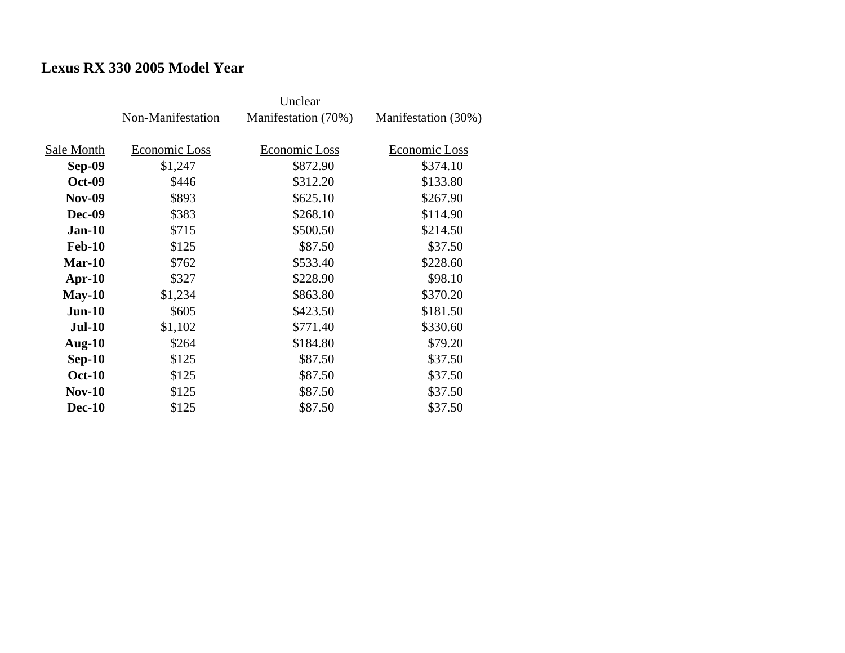# **Lexus RX 330 2005 Model Year**

|               |                   | Unclear             |                     |
|---------------|-------------------|---------------------|---------------------|
|               | Non-Manifestation | Manifestation (70%) | Manifestation (30%) |
|               |                   |                     |                     |
| Sale Month    | Economic Loss     | Economic Loss       | Economic Loss       |
| <b>Sep-09</b> | \$1,247           | \$872.90            | \$374.10            |
| <b>Oct-09</b> | \$446             | \$312.20            | \$133.80            |
| <b>Nov-09</b> | \$893             | \$625.10            | \$267.90            |
| <b>Dec-09</b> | \$383             | \$268.10            | \$114.90            |
| $Jan-10$      | \$715             | \$500.50            | \$214.50            |
| <b>Feb-10</b> | \$125             | \$87.50             | \$37.50             |
| $Mar-10$      | \$762             | \$533.40            | \$228.60            |
| $Apr-10$      | \$327             | \$228.90            | \$98.10             |
| $May-10$      | \$1,234           | \$863.80            | \$370.20            |
| $Jun-10$      | \$605             | \$423.50            | \$181.50            |
| <b>Jul-10</b> | \$1,102           | \$771.40            | \$330.60            |
| Aug- $10$     | \$264             | \$184.80            | \$79.20             |
| $Sep-10$      | \$125             | \$87.50             | \$37.50             |
| <b>Oct-10</b> | \$125             | \$87.50             | \$37.50             |
| $Nov-10$      | \$125             | \$87.50             | \$37.50             |
| <b>Dec-10</b> | \$125             | \$87.50             | \$37.50             |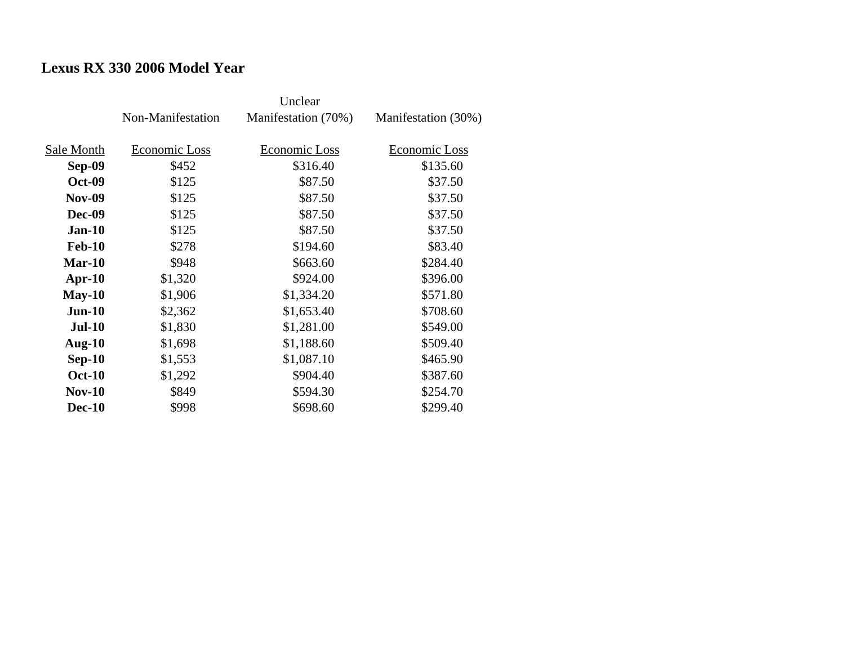## **Lexus RX 330 2006 Model Year**

|               | Non-Manifestation | Manifestation (70%) | Manifestation (30%) |
|---------------|-------------------|---------------------|---------------------|
|               |                   |                     |                     |
| Sale Month    | Economic Loss     | Economic Loss       | Economic Loss       |
| <b>Sep-09</b> | \$452             | \$316.40            | \$135.60            |
| <b>Oct-09</b> | \$125             | \$87.50             | \$37.50             |
| <b>Nov-09</b> | \$125             | \$87.50             | \$37.50             |
| <b>Dec-09</b> | \$125             | \$87.50             | \$37.50             |
| $Jan-10$      | \$125             | \$87.50             | \$37.50             |
| <b>Feb-10</b> | \$278             | \$194.60            | \$83.40             |
| <b>Mar-10</b> | \$948             | \$663.60            | \$284.40            |
| $Apr-10$      | \$1,320           | \$924.00            | \$396.00            |
| $May-10$      | \$1,906           | \$1,334.20          | \$571.80            |
| $Jun-10$      | \$2,362           | \$1,653.40          | \$708.60            |
| <b>Jul-10</b> | \$1,830           | \$1,281.00          | \$549.00            |
| Aug- $10$     | \$1,698           | \$1,188.60          | \$509.40            |
| $Sep-10$      | \$1,553           | \$1,087.10          | \$465.90            |
| <b>Oct-10</b> | \$1,292           | \$904.40            | \$387.60            |
| <b>Nov-10</b> | \$849             | \$594.30            | \$254.70            |
| <b>Dec-10</b> | \$998             | \$698.60            | \$299.40            |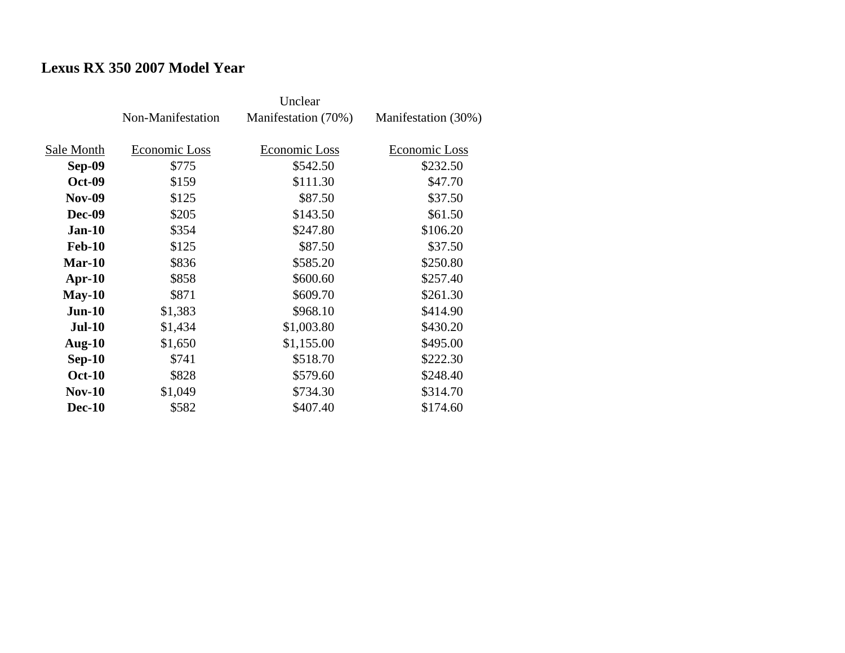## **Lexus RX 350 2007 Model Year**

|               | Non-Manifestation | Manifestation (70%) | Manifestation (30%) |
|---------------|-------------------|---------------------|---------------------|
|               |                   |                     |                     |
| Sale Month    | Economic Loss     | Economic Loss       | Economic Loss       |
| <b>Sep-09</b> | \$775             | \$542.50            | \$232.50            |
| <b>Oct-09</b> | \$159             | \$111.30            | \$47.70             |
| <b>Nov-09</b> | \$125             | \$87.50             | \$37.50             |
| <b>Dec-09</b> | \$205             | \$143.50            | \$61.50             |
| $Jan-10$      | \$354             | \$247.80            | \$106.20            |
| <b>Feb-10</b> | \$125             | \$87.50             | \$37.50             |
| <b>Mar-10</b> | \$836             | \$585.20            | \$250.80            |
| $Apr-10$      | \$858             | \$600.60            | \$257.40            |
| $May-10$      | \$871             | \$609.70            | \$261.30            |
| $Jun-10$      | \$1,383           | \$968.10            | \$414.90            |
| <b>Jul-10</b> | \$1,434           | \$1,003.80          | \$430.20            |
| Aug- $10$     | \$1,650           | \$1,155.00          | \$495.00            |
| $Sep-10$      | \$741             | \$518.70            | \$222.30            |
| <b>Oct-10</b> | \$828             | \$579.60            | \$248.40            |
| <b>Nov-10</b> | \$1,049           | \$734.30            | \$314.70            |
| <b>Dec-10</b> | \$582             | \$407.40            | \$174.60            |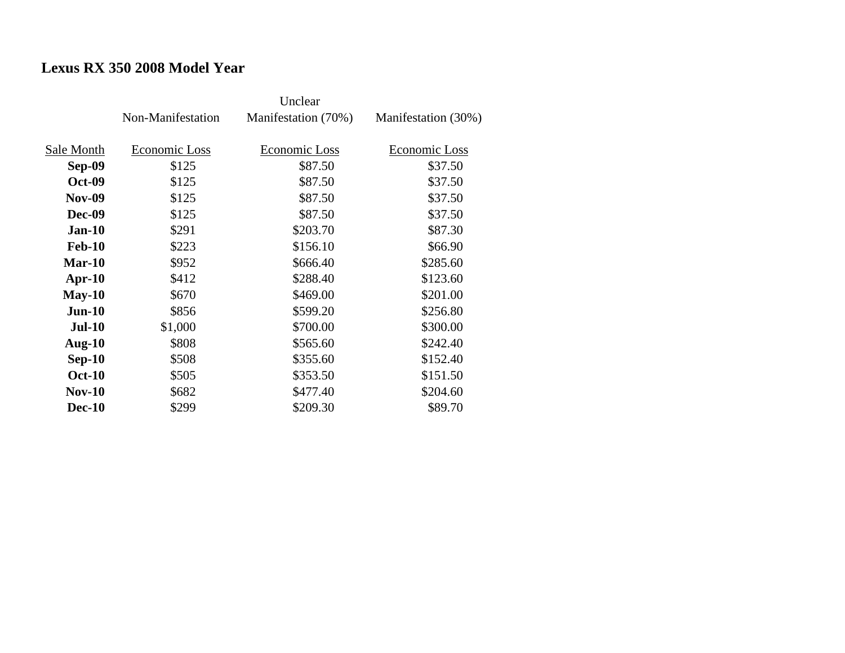## **Lexus RX 350 2008 Model Year**

|               | Non-Manifestation | Manifestation (70%) | Manifestation (30%) |
|---------------|-------------------|---------------------|---------------------|
| Sale Month    | Economic Loss     | Economic Loss       | Economic Loss       |
| <b>Sep-09</b> | \$125             | \$87.50             | \$37.50             |
| <b>Oct-09</b> | \$125             | \$87.50             | \$37.50             |
| <b>Nov-09</b> | \$125             | \$87.50             | \$37.50             |
| <b>Dec-09</b> | \$125             | \$87.50             | \$37.50             |
| $Jan-10$      | \$291             | \$203.70            | \$87.30             |
| <b>Feb-10</b> | \$223             | \$156.10            | \$66.90             |
| <b>Mar-10</b> | \$952             | \$666.40            | \$285.60            |
| $Apr-10$      | \$412             | \$288.40            | \$123.60            |
| $May-10$      | \$670             | \$469.00            | \$201.00            |
| $Jun-10$      | \$856             | \$599.20            | \$256.80            |
| <b>Jul-10</b> | \$1,000           | \$700.00            | \$300.00            |
| Aug- $10$     | \$808             | \$565.60            | \$242.40            |
| $Sep-10$      | \$508             | \$355.60            | \$152.40            |
| <b>Oct-10</b> | \$505             | \$353.50            | \$151.50            |
| <b>Nov-10</b> | \$682             | \$477.40            | \$204.60            |
| <b>Dec-10</b> | \$299             | \$209.30            | \$89.70             |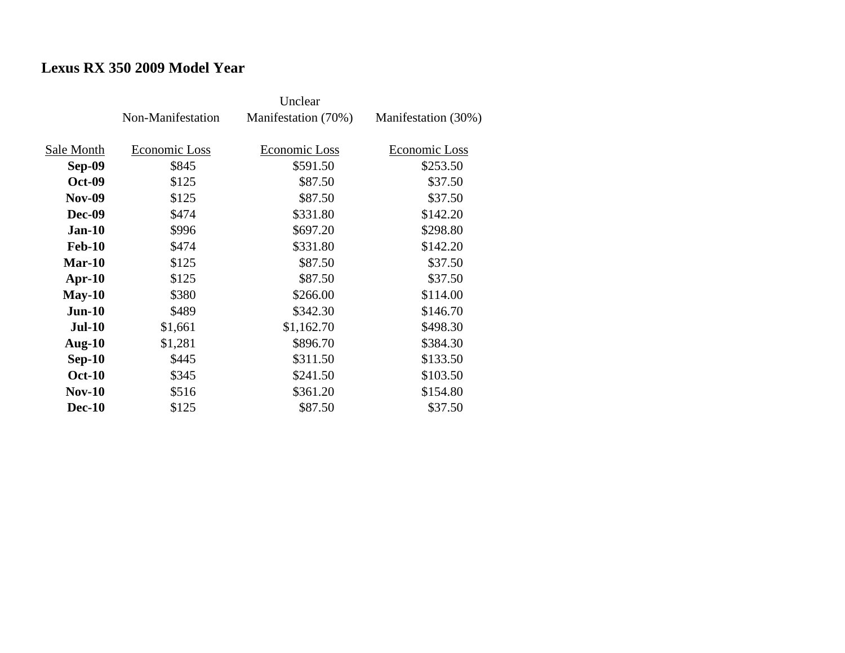## **Lexus RX 350 2009 Model Year**

|               | Non-Manifestation | Manifestation (70%) | Manifestation (30%) |
|---------------|-------------------|---------------------|---------------------|
| Sale Month    | Economic Loss     | Economic Loss       | Economic Loss       |
|               |                   |                     |                     |
| <b>Sep-09</b> | \$845             | \$591.50            | \$253.50            |
| <b>Oct-09</b> | \$125             | \$87.50             | \$37.50             |
| <b>Nov-09</b> | \$125             | \$87.50             | \$37.50             |
| <b>Dec-09</b> | \$474             | \$331.80            | \$142.20            |
| $Jan-10$      | \$996             | \$697.20            | \$298.80            |
| <b>Feb-10</b> | \$474             | \$331.80            | \$142.20            |
| <b>Mar-10</b> | \$125             | \$87.50             | \$37.50             |
| $Apr-10$      | \$125             | \$87.50             | \$37.50             |
| $May-10$      | \$380             | \$266.00            | \$114.00            |
| $Jun-10$      | \$489             | \$342.30            | \$146.70            |
| <b>Jul-10</b> | \$1,661           | \$1,162.70          | \$498.30            |
| Aug- $10$     | \$1,281           | \$896.70            | \$384.30            |
| $Sep-10$      | \$445             | \$311.50            | \$133.50            |
| <b>Oct-10</b> | \$345             | \$241.50            | \$103.50            |
| <b>Nov-10</b> | \$516             | \$361.20            | \$154.80            |
| <b>Dec-10</b> | \$125             | \$87.50             | \$37.50             |